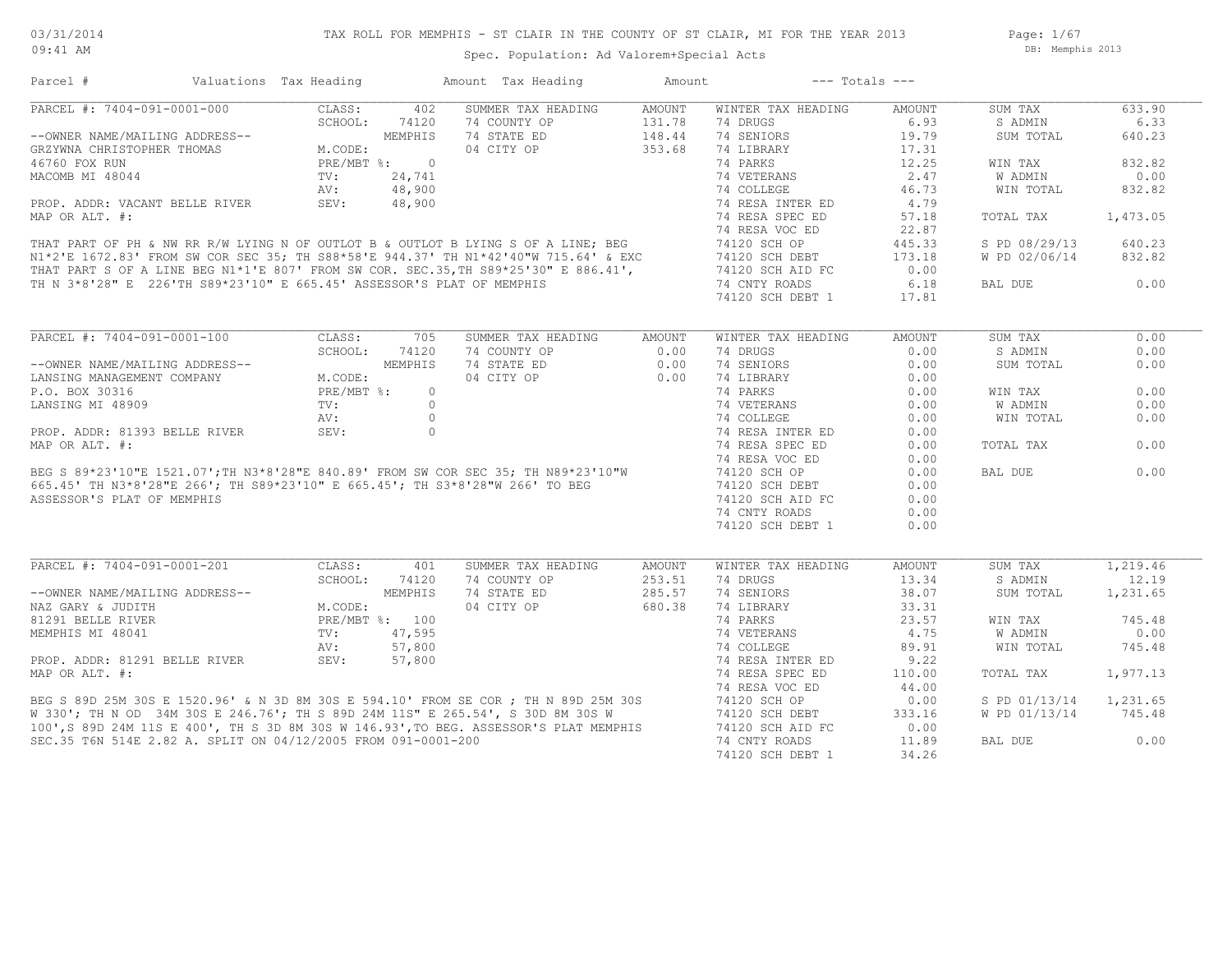Spec. Population: Ad Valorem+Special Acts

Page: 1/67 DB: Memphis 2013

| Parcel #                                                                                                                                                                                                                             | Valuations Tax Heading |                | Amount Tax Heading                 | Amount           | $---$ Totals $---$                |                 |               |                   |
|--------------------------------------------------------------------------------------------------------------------------------------------------------------------------------------------------------------------------------------|------------------------|----------------|------------------------------------|------------------|-----------------------------------|-----------------|---------------|-------------------|
| PARCEL #: 7404-091-0001-000                                                                                                                                                                                                          | CLASS:                 | 402            | SUMMER TAX HEADING                 | AMOUNT           | WINTER TAX HEADING                | AMOUNT          | SUM TAX       | 633.90            |
|                                                                                                                                                                                                                                      | SCHOOL:                | 74120          | 74 COUNTY OP                       | 131.78           | 74 DRUGS                          | 6.93            | S ADMIN       | 6.33              |
|                                                                                                                                                                                                                                      |                        | MEMPHIS        | 74 STATE ED                        | 148.44           | 74 SENIORS                        | 19.79           | SUM TOTAL     | 640.23            |
|                                                                                                                                                                                                                                      | M.CODE:                |                | 04 CITY OP                         | 353.68           | 74 LIBRARY                        | 17.31           |               |                   |
| 46760 FOX RUN                                                                                                                                                                                                                        |                        | PRE/MBT %: 0   |                                    |                  | 74 PARKS                          | 12.25           | WIN TAX       | 832.82            |
| MACOMB MI 48044                                                                                                                                                                                                                      | TV:                    | 24,741         |                                    |                  | 74 VETERANS                       | 2.47            | W ADMIN       | 0.00              |
|                                                                                                                                                                                                                                      | AV:                    | 48,900         |                                    |                  | 74 COLLEGE                        | 46.73           | WIN TOTAL     | 832.82            |
| PROP. ADDR: VACANT BELLE RIVER                                                                                                                                                                                                       | SEV:                   | 48,900         |                                    |                  | 74 RESA INTER ED                  | 4.79            |               |                   |
| MAP OR ALT. #:                                                                                                                                                                                                                       |                        |                |                                    |                  | 74 RESA SPEC ED                   | 57.18           | TOTAL TAX     | 1,473.05          |
|                                                                                                                                                                                                                                      |                        |                |                                    |                  | 74 RESA VOC ED                    | 22.87           |               |                   |
| THAT PART OF PH & NW RR R/W LYING N OF OUTLOT B & OUTLOT B LYING S OF A LINE; BEG<br>N1*2'E 1672.83' FROM SW COR SEC 35; TH S88*58'E 944.37' TH N1*42'40"W 715.64' & EXC<br>THAT PART S OF A LINE BEG N1*1'E 807' FROM SW COR. SEC.3 |                        |                |                                    |                  | 74120 SCH OP                      | 445.33          | S PD 08/29/13 | 640.23            |
|                                                                                                                                                                                                                                      |                        |                |                                    |                  |                                   |                 |               | 832.82            |
|                                                                                                                                                                                                                                      |                        |                |                                    |                  | 74120 SCH DEBT                    | 173.18          | W PD 02/06/14 |                   |
|                                                                                                                                                                                                                                      |                        |                |                                    |                  | 74120 SCH AID FC                  | 0.00            |               |                   |
| TH N 3*8'28" E 226'TH S89*23'10" E 665.45' ASSESSOR'S PLAT OF MEMPHIS                                                                                                                                                                |                        |                |                                    |                  | 74 CNTY ROADS                     | 6.18            | BAL DUE       | 0.00              |
|                                                                                                                                                                                                                                      |                        |                |                                    |                  | 74120 SCH DEBT 1                  | 17.81           |               |                   |
|                                                                                                                                                                                                                                      |                        |                |                                    |                  |                                   |                 |               |                   |
| PARCEL #: 7404-091-0001-100                                                                                                                                                                                                          | CLASS:                 | 705            | SUMMER TAX HEADING                 | AMOUNT           | WINTER TAX HEADING                | AMOUNT          | SUM TAX       | 0.00              |
|                                                                                                                                                                                                                                      | SCHOOL:                | 74120          | 74 COUNTY OP                       | 0.00             | 74 DRUGS                          | 0.00            | S ADMIN       | 0.00              |
| --OWNER NAME/MAILING ADDRESS--                                                                                                                                                                                                       |                        | MEMPHIS        | 74 STATE ED                        | 0.00             | 74 SENIORS                        | 0.00            | SUM TOTAL     | 0.00              |
| LANSING MANAGEMENT COMPANY                                                                                                                                                                                                           | M.CODE:                |                | 04 CITY OP                         | 0.00             | 74 LIBRARY                        | 0.00            |               |                   |
| P.O. BOX 30316                                                                                                                                                                                                                       | PRE/MBT %:             | $\circ$        |                                    |                  | 74 PARKS                          | 0.00            | WIN TAX       | 0.00              |
| LANSING MI 48909                                                                                                                                                                                                                     | TV:                    | $\Omega$       |                                    |                  | 74 VETERANS                       | 0.00            | W ADMIN       | 0.00              |
|                                                                                                                                                                                                                                      | AV:                    | $\circ$        |                                    |                  | 74 COLLEGE                        | 0.00            | WIN TOTAL     | 0.00              |
| PROP. ADDR: 81393 BELLE RIVER                                                                                                                                                                                                        | SEV:                   | $\Omega$       |                                    |                  | 74 RESA INTER ED                  | 0.00            |               |                   |
| MAP OR ALT. #:                                                                                                                                                                                                                       |                        |                |                                    |                  | 74 RESA SPEC ED                   | 0.00            | TOTAL TAX     | 0.00              |
|                                                                                                                                                                                                                                      |                        |                |                                    |                  | 74 RESA VOC ED                    | 0.00            |               |                   |
|                                                                                                                                                                                                                                      |                        |                |                                    |                  | 74120 SCH OP                      | 0.00            | BAL DUE       | 0.00              |
| BEG S 89*23'10"E 1521.07';TH N3*8'28"E 840.89' FROM SW COR SEC 35; TH N89*23'10"W<br>665.45' TH N3*8'28"E 266'; TH S89*23'10" E 665.45'; TH S3*8'28"W 266' TO BEG<br>200500010 PLE 201 WILLIAM                                       |                        |                |                                    |                  | 74120 SCH DEBT                    | 0.00            |               |                   |
| ASSESSOR'S PLAT OF MEMPHIS                                                                                                                                                                                                           |                        |                |                                    |                  | 74120 SCH AID FC                  | 0.00            |               |                   |
|                                                                                                                                                                                                                                      |                        |                |                                    |                  |                                   |                 |               |                   |
|                                                                                                                                                                                                                                      |                        |                |                                    |                  | 74 CNTY ROADS<br>74120 SCH DEBT 1 | 0.00<br>0.00    |               |                   |
|                                                                                                                                                                                                                                      |                        |                |                                    |                  |                                   |                 |               |                   |
|                                                                                                                                                                                                                                      |                        |                |                                    |                  |                                   |                 |               |                   |
| PARCEL #: 7404-091-0001-201                                                                                                                                                                                                          | CLASS:                 | 401            | SUMMER TAX HEADING<br>74 COUNTY OP | AMOUNT<br>253.51 | WINTER TAX HEADING                | AMOUNT<br>13.34 | SUM TAX       | 1,219.46<br>12.19 |
|                                                                                                                                                                                                                                      | SCHOOL:                | 74120          |                                    |                  | 74 DRUGS                          |                 | S ADMIN       |                   |
| --OWNER NAME/MAILING ADDRESS--                                                                                                                                                                                                       |                        | MEMPHIS        | 74 STATE ED                        | 285.57           | 74 SENIORS                        | 38.07           | SUM TOTAL     | 1,231.65          |
| NAZ GARY & JUDITH                                                                                                                                                                                                                    | M.CODE:                |                | 04 CITY OP                         | 680.38           | 74 LIBRARY                        | 33.31           |               |                   |
| 81291 BELLE RIVER                                                                                                                                                                                                                    |                        | PRE/MBT %: 100 |                                    |                  | 74 PARKS                          | 23.57           | WIN TAX       | 745.48            |
| MEMPHIS MI 48041                                                                                                                                                                                                                     | TV:                    | 47,595         |                                    |                  | 74 VETERANS                       | 4.75            | W ADMIN       | 0.00              |
|                                                                                                                                                                                                                                      | AV:                    | 57,800         |                                    |                  | 74 COLLEGE                        | 89.91           | WIN TOTAL     | 745.48            |
| PROP. ADDR: 81291 BELLE RIVER                                                                                                                                                                                                        | SEV:                   | 57,800         |                                    |                  | 74 RESA INTER ED                  | 9.22            |               |                   |
| MAP OR ALT. #:                                                                                                                                                                                                                       |                        |                |                                    |                  | 74 RESA SPEC ED                   | 110.00          | TOTAL TAX     | 1,977.13          |
|                                                                                                                                                                                                                                      |                        |                |                                    |                  | 74 RESA VOC ED                    | 44.00           |               |                   |
|                                                                                                                                                                                                                                      |                        |                |                                    |                  | 74120 SCH OP                      | 0.00            | S PD 01/13/14 | 1,231.65          |
| BEG S 89D 25M 30S E 1520.96' & N 3D 8M 30S E 594.10' FROM SE COR ; TH N 89D 25M 30S<br>W 330'; TH N OD 34M 30S E 246.76'; TH S 89D 24M 11S" E 265.54', S 30D 8M 30S W<br>100',S 89D 24M 11S E 400', TH S 3D 8M 30S W 146.93',TO BEG. |                        |                |                                    |                  | 74120 SCH DEBT                    | 333.16          | W PD 01/13/14 | 745.48            |
|                                                                                                                                                                                                                                      |                        |                |                                    |                  | 74120 SCH AID FC                  | 0.00            |               |                   |
| SEC.35 T6N 514E 2.82 A. SPLIT ON 04/12/2005 FROM 091-0001-200                                                                                                                                                                        |                        |                |                                    |                  | 74 CNTY ROADS                     | 11.89           | BAL DUE       | 0.00              |
|                                                                                                                                                                                                                                      |                        |                |                                    |                  | 74120 SCH DEBT 1                  | 34.26           |               |                   |
|                                                                                                                                                                                                                                      |                        |                |                                    |                  |                                   |                 |               |                   |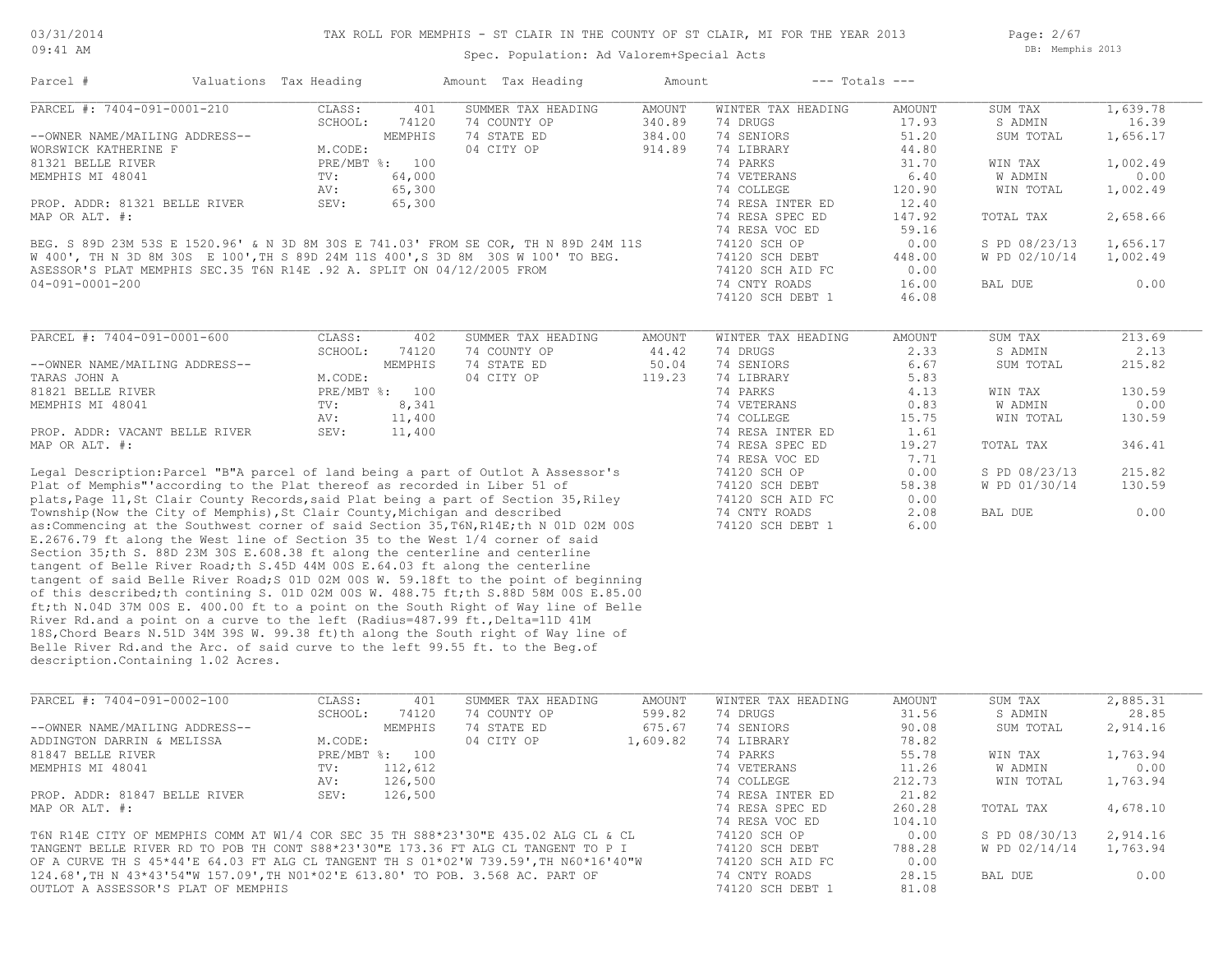Parcel # Valuations Tax Heading Amount Tax Heading Amount --- Totals ---

Spec. Population: Ad Valorem+Special Acts

Page: 2/67 DB: Memphis 2013

| PARCEL #: 7404-091-0001-210                                                            | CLASS:<br>SCHOOL: | 401<br>74120   | SUMMER TAX HEADING<br>74 COUNTY OP | <b>AMOUNT</b><br>340.89 | WINTER TAX HEADING<br>74 DRUGS | <b>AMOUNT</b><br>17.93 | SUM TAX<br>S ADMIN | 1,639.78<br>16.39 |
|----------------------------------------------------------------------------------------|-------------------|----------------|------------------------------------|-------------------------|--------------------------------|------------------------|--------------------|-------------------|
| --OWNER NAME/MAILING ADDRESS--                                                         |                   | MEMPHIS        | 74 STATE ED                        | 384.00                  | 74 SENIORS                     | 51.20                  | SUM TOTAL          | 1,656.17          |
| WORSWICK KATHERINE F                                                                   | M.CODE:           |                | 04 CITY OP                         | 914.89                  | 74 LIBRARY                     | 44.80                  |                    |                   |
| 81321 BELLE RIVER                                                                      |                   | PRE/MBT %: 100 |                                    |                         | 74 PARKS                       | 31.70                  | WIN TAX            | 1,002.49          |
| MEMPHIS MI 48041                                                                       | TV:               | 64,000         |                                    |                         | 74 VETERANS                    | 6.40                   | W ADMIN            | 0.00              |
|                                                                                        |                   |                |                                    |                         |                                |                        |                    |                   |
|                                                                                        | AV:               | 65,300         |                                    |                         | 74 COLLEGE                     | 120.90                 | WIN TOTAL          | 1,002.49          |
| PROP. ADDR: 81321 BELLE RIVER                                                          | SEV:              | 65,300         |                                    |                         | 74 RESA INTER ED               | 12.40                  |                    |                   |
| MAP OR ALT. #:                                                                         |                   |                |                                    |                         | 74 RESA SPEC ED                | 147.92                 | TOTAL TAX          | 2,658.66          |
|                                                                                        |                   |                |                                    |                         | 74 RESA VOC ED                 | 59.16                  |                    |                   |
| BEG. S 89D 23M 53S E 1520.96' & N 3D 8M 30S E 741.03' FROM SE COR, TH N 89D 24M 11S    |                   |                |                                    |                         | 74120 SCH OP                   | 0.00                   | S PD 08/23/13      | 1,656.17          |
| W 400', TH N 3D 8M 30S E 100', TH S 89D 24M 11S 400', S 3D 8M 30S W 100' TO BEG.       |                   |                |                                    |                         | 74120 SCH DEBT                 | 448.00                 | W PD 02/10/14      | 1,002.49          |
| ASESSOR'S PLAT MEMPHIS SEC.35 T6N R14E .92 A. SPLIT ON 04/12/2005 FROM                 |                   |                |                                    |                         | 74120 SCH AID FC               | 0.00                   |                    |                   |
| $04 - 091 - 0001 - 200$                                                                |                   |                |                                    |                         | 74 CNTY ROADS                  | 16.00                  | BAL DUE            | 0.00              |
|                                                                                        |                   |                |                                    |                         | 74120 SCH DEBT 1               | 46.08                  |                    |                   |
|                                                                                        |                   |                |                                    |                         |                                |                        |                    |                   |
| PARCEL #: 7404-091-0001-600                                                            | CLASS:            | 402            | SUMMER TAX HEADING                 | <b>AMOUNT</b>           | WINTER TAX HEADING             | <b>AMOUNT</b>          | SUM TAX            | 213.69            |
|                                                                                        | SCHOOL:           | 74120          | 74 COUNTY OP                       | 44.42                   | 74 DRUGS                       | 2.33                   | S ADMIN            | 2.13              |
| --OWNER NAME/MAILING ADDRESS--                                                         |                   | MEMPHIS        | 74 STATE ED                        | 50.04                   | 74 SENIORS                     | 6.67                   | SUM TOTAL          | 215.82            |
| TARAS JOHN A                                                                           | M.CODE:           |                | 04 CITY OP                         | 119.23                  | 74 LIBRARY                     | 5.83                   |                    |                   |
| 81821 BELLE RIVER                                                                      |                   | PRE/MBT %: 100 |                                    |                         | 74 PARKS                       | 4.13                   | WIN TAX            | 130.59            |
| MEMPHIS MI 48041                                                                       | TV:               | 8,341          |                                    |                         | 74 VETERANS                    | 0.83                   | W ADMIN            | 0.00              |
|                                                                                        | AV:               | 11,400         |                                    |                         | 74 COLLEGE                     | 15.75                  | WIN TOTAL          | 130.59            |
| PROP. ADDR: VACANT BELLE RIVER                                                         | SEV:              | 11,400         |                                    |                         | 74 RESA INTER ED               | 1.61                   |                    |                   |
| MAP OR ALT. #:                                                                         |                   |                |                                    |                         | 74 RESA SPEC ED                | 19.27                  | TOTAL TAX          | 346.41            |
|                                                                                        |                   |                |                                    |                         | 74 RESA VOC ED                 | 7.71                   |                    |                   |
| Legal Description: Parcel "B"A parcel of land being a part of Outlot A Assessor's      |                   |                |                                    |                         | 74120 SCH OP                   | 0.00                   | S PD 08/23/13      | 215.82            |
| Plat of Memphis" according to the Plat thereof as recorded in Liber 51 of              |                   |                |                                    |                         | 74120 SCH DEBT                 | 58.38                  | W PD 01/30/14      | 130.59            |
| plats, Page 11, St Clair County Records, said Plat being a part of Section 35, Riley   |                   |                |                                    |                         | 74120 SCH AID FC               | 0.00                   |                    |                   |
| Township (Now the City of Memphis), St Clair County, Michigan and described            |                   |                |                                    |                         | 74 CNTY ROADS                  | 2.08                   | <b>BAL DUE</b>     | 0.00              |
| as: Commencing at the Southwest corner of said Section 35, T6N, R14E; th N 01D 02M 00S |                   |                |                                    |                         | 74120 SCH DEBT 1               | 6.00                   |                    |                   |
| E.2676.79 ft along the West line of Section 35 to the West 1/4 corner of said          |                   |                |                                    |                         |                                |                        |                    |                   |
| Section 35; th S. 88D 23M 30S E.608.38 ft along the centerline and centerline          |                   |                |                                    |                         |                                |                        |                    |                   |
| tangent of Belle River Road; th S.45D 44M 00S E.64.03 ft along the centerline          |                   |                |                                    |                         |                                |                        |                    |                   |
| tangent of said Belle River Road; S 01D 02M 00S W. 59.18ft to the point of beginning   |                   |                |                                    |                         |                                |                        |                    |                   |
|                                                                                        |                   |                |                                    |                         |                                |                        |                    |                   |
| of this described; th contining S. 01D 02M 00S W. 488.75 ft; th S.88D 58M 00S E.85.00  |                   |                |                                    |                         |                                |                        |                    |                   |
| ft;th N.04D 37M 00S E. 400.00 ft to a point on the South Right of Way line of Belle    |                   |                |                                    |                         |                                |                        |                    |                   |
| River Rd.and a point on a curve to the left (Radius=487.99 ft., Delta=11D 41M          |                   |                |                                    |                         |                                |                        |                    |                   |
| 18S, Chord Bears N.51D 34M 39S W. 99.38 ft) th along the South right of Way line of    |                   |                |                                    |                         |                                |                        |                    |                   |
| Belle River Rd.and the Arc. of said curve to the left 99.55 ft. to the Beg.of          |                   |                |                                    |                         |                                |                        |                    |                   |
| description. Containing 1.02 Acres.                                                    |                   |                |                                    |                         |                                |                        |                    |                   |
|                                                                                        |                   |                |                                    |                         |                                |                        |                    |                   |
| PARCEL #: 7404-091-0002-100                                                            | CLASS:            | 401            | SUMMER TAX HEADING                 | AMOUNT                  | WINTER TAX HEADING             | <b>AMOUNT</b>          | SUM TAX            | 2,885.31          |
|                                                                                        | SCHOOL:           | 74120          | 74 COUNTY OP                       | 599.82                  | 74 DRUGS                       | 31.56                  | S ADMIN            | 28.85             |
| --OWNER NAME/MAILING ADDRESS--                                                         |                   | MEMPHIS        | 74 STATE ED                        | 675.67                  | 74 SENIORS                     | 90.08                  | SUM TOTAL          | 2,914.16          |
| ADDINGTON DARRIN & MELISSA                                                             | M.CODE:           |                | 04 CITY OP                         | 1,609.82                | 74 LIBRARY                     | 78.82                  |                    |                   |
| 81847 BELLE RIVER                                                                      |                   | PRE/MBT %: 100 |                                    |                         | 74 PARKS                       | 55.78                  | WIN TAX            | 1,763.94          |
| MEMPHIS MI 48041                                                                       | TV:               | 112,612        |                                    |                         | 74 VETERANS                    | 11.26                  | W ADMIN            | 0.00              |
|                                                                                        | AV:               | 126,500        |                                    |                         | 74 COLLEGE                     | 212.73                 | WIN TOTAL          | 1,763.94          |
| PROP. ADDR: 81847 BELLE RIVER                                                          | SEV:              | 126,500        |                                    |                         | 74 RESA INTER ED               | 21.82                  |                    |                   |
| MAP OR ALT. #:                                                                         |                   |                |                                    |                         | 74 RESA SPEC ED                | 260.28                 | TOTAL TAX          | 4,678.10          |
|                                                                                        |                   |                |                                    |                         | 74 RESA VOC ED                 | 104.10                 |                    |                   |
|                                                                                        |                   |                |                                    |                         |                                |                        |                    |                   |
| T6N R14E CITY OF MEMPHIS COMM AT W1/4 COR SEC 35 TH S88*23'30"E 435.02 ALG CL & CL     |                   |                |                                    |                         | 74120 SCH OP                   | 0.00                   | S PD 08/30/13      | 2,914.16          |
| TANGENT BELLE RIVER RD TO POB TH CONT S88*23'30"E 173.36 FT ALG CL TANGENT TO P I      |                   |                |                                    |                         | 74120 SCH DEBT                 | 788.28                 | W PD 02/14/14      | 1,763.94          |
| OF A CURVE TH S 45*44'E 64.03 FT ALG CL TANGENT TH S 01*02'W 739.59', TH N60*16'40"W   |                   |                |                                    |                         | 74120 SCH AID FC               | 0.00                   |                    |                   |
| 124.68', TH N 43*43'54"W 157.09', TH NO1*02'E 613.80' TO POB. 3.568 AC. PART OF        |                   |                |                                    |                         | 74 CNTY ROADS                  | 28.15                  | BAL DUE            | 0.00              |
| OUTLOT A ASSESSOR'S PLAT OF MEMPHIS                                                    |                   |                |                                    |                         | 74120 SCH DEBT 1               | 81.08                  |                    |                   |
|                                                                                        |                   |                |                                    |                         |                                |                        |                    |                   |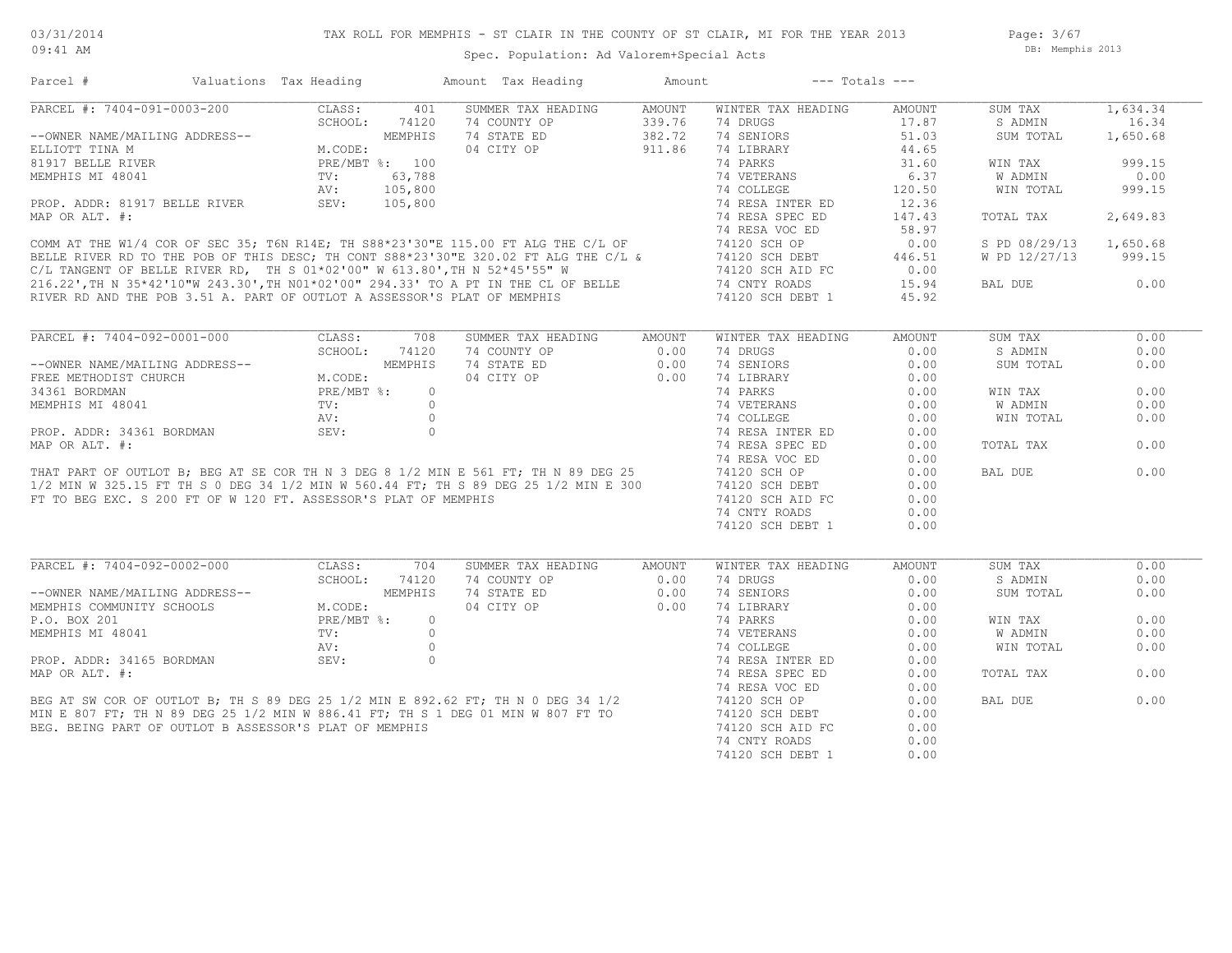Page: 3/67 DB: Memphis 2013

#### Parcel # Valuations Tax Heading Amount Tax Heading Amount --- Totals ---RIVER RD AND THE POB 3.51 A. PART OF OUTLOT A ASSESSOR'S PLAT OF MEMPHIS 74120 SCH DEBT 1 45.92 216.22',TH N 35\*42'10"W 243.30',TH N01\*02'00" 294.33' TO A PT IN THE CL OF BELLE 74 CNTY ROADS 15.94 BAL DUE 0.00  $C/L$  TANGENT OF BELLE RIVER RD, TH S  $01*02'00''$  W  $613.80'$ , TH N  $52*45'55''$  W 74120 SCH AID FC 0.00 BELLE RIVER RD TO THE POB OF THIS DESC; TH CONT S88\*23'30"E 320.02 FT ALG THE C/L & 74120 SCH DEBT 446.51 W PD 12/27/13 999.15 COMM AT THE W1/4 COR OF SEC 35; T6N R14E; TH S88\*23'30"E 115.00 FT ALG THE C/L OF 74120 SCH OP 0.00 S PD 08/29/13 1,650.68 74 RESA VOC ED 58.97 MAP OR ALT. #: 74 RESA SPEC ED 147.43 TOTAL TAX 2,649.83 PROP. ADDR: 81917 BELLE RIVER SEV: 105,800 74 RESA INTER ED 12.36<br>MAP OR ALT. #: 147.43 AV: 105,800 74 COLLEGE 120.50 WIN TOTAL 999.15 MEMPHIS MI 48041 TV: 63,788 74 VETERANS 6.37 W ADMIN 0.00 81917 BELLE RIVER PRE/MBT %: 100 74 PARKS 31.60 WIN TAX 999.15 ELLIOTT TINA M M.CODE: 04 CITY OP 911.86 74 LIBRARY 44.65 --OWNER NAME/MAILING ADDRESS-- WEMPHIS 74 STATE ED 382.72 74 SENIORS 51.03 SUM TOTAL 1,650.68 SCHOOL: 74120 74 COUNTY OP 339.76 74 DRUGS 17.87 SADMIN 16.34 PARCEL #: 7404-091-0003-200 CLASS: 401 SUMMER TAX HEADING AMOUNT WINTER TAX HEADING AMOUNT SUM TAX 1,634.34<br>SCHOOL: 74120 74 COUNTY OP 339.76 74 DRUGS 17.87 SADMIN 16.34  $\mathcal{L}_\mathcal{L} = \mathcal{L}_\mathcal{L} = \mathcal{L}_\mathcal{L} = \mathcal{L}_\mathcal{L} = \mathcal{L}_\mathcal{L} = \mathcal{L}_\mathcal{L} = \mathcal{L}_\mathcal{L} = \mathcal{L}_\mathcal{L} = \mathcal{L}_\mathcal{L} = \mathcal{L}_\mathcal{L} = \mathcal{L}_\mathcal{L} = \mathcal{L}_\mathcal{L} = \mathcal{L}_\mathcal{L} = \mathcal{L}_\mathcal{L} = \mathcal{L}_\mathcal{L} = \mathcal{L}_\mathcal{L} = \mathcal{L}_\mathcal{L}$  74120 SCH DEBT 1 0.00 74 CNTY ROADS 0.00 FT TO BEG EXC. S 200 FT OF W 120 FT. ASSESSOR'S PLAT OF MEMPHIS  $\begin{array}{ccc} 74120 & {\text{SCH AID FC}} & 0.00 \\ 74 & {\text{CNTY ROADS}} & 0.00 \end{array}$ 1/2 MIN W 325.15 FT TH S 0 DEG 34 1/2 MIN W 560.44 FT; TH S 89 DEG 25 1/2 MIN E 300 74120 SCH DEBT 0.00 THAT PART OF OUTLOT B; BEG AT SE COR TH N 3 DEG 8 1/2 MIN E 561 FT; TH N 89 DEG 25 74120 SCH OP 0.00 BAL DUE 0.00 74 RESA VOC ED 0.00 MAP OR ALT. #: THE SALT SERVICE OR DESCRIPTION OF THE SALT AND TOTAL TAX CONSIDERED A LOCAL TAX COLORED ORDER TO A LOCAL TAX COLORED AND RESA SPECIED ORDER TO TOTAL TAX PROP. ADDR: 34361 BORDMAN SEV: 0 0 74 RESA INTER ED 0.00<br>MAP OR ALT. #: 0.00 AV: 0 74 COLLEGE 0.00 0.00 MEMPHIS MI 48041 TV: 0 74 VETERANS 0.00 W ADMIN 0.00 34361 BORDMAN PRE/MBT %: 0 74 PARKS 0.00 WIN TAX 0.00 FREE METHODIST CHURCH M.CODE: 04 CITY OP 0.00 74 LIBRARY 0.00 --OWNER NAME/MAILING ADDRESS-- MEMPHIS 74 STATE ED 0.00 74 SENIORS 0.00 SUM TOTAL 0.00 SCHOOL: 74120 74 COUNTY OP 0.00 74 DRUGS 0.00 S ADMIN 0.00 PARCEL #: 7404-092-0001-000 CLASS: 708 SUMMER TAX HEADING AMOUNT WINTER TAX HEADING AMOUNT SUM TAX 0.00<br>SCHOOL: 74120 74 COUNTY OP 0.00 74 DRUGS 0.00 SADMIN 0.00  $\mathcal{L}_\mathcal{L} = \mathcal{L}_\mathcal{L} = \mathcal{L}_\mathcal{L} = \mathcal{L}_\mathcal{L} = \mathcal{L}_\mathcal{L} = \mathcal{L}_\mathcal{L} = \mathcal{L}_\mathcal{L} = \mathcal{L}_\mathcal{L} = \mathcal{L}_\mathcal{L} = \mathcal{L}_\mathcal{L} = \mathcal{L}_\mathcal{L} = \mathcal{L}_\mathcal{L} = \mathcal{L}_\mathcal{L} = \mathcal{L}_\mathcal{L} = \mathcal{L}_\mathcal{L} = \mathcal{L}_\mathcal{L} = \mathcal{L}_\mathcal{L}$  74 CNTY ROADS 0.00 BEG. BEING PART OF OUTLOT B ASSESSOR'S PLAT OF MEMPHIS  $\begin{array}{ccc} 74120 & 504 \\ 740 & 740 \\ 740 & 840 \\ 740 & 840 \\ \end{array}$ MIN E 807 FT; TH N 89 DEG 25 1/2 MIN W 886.41 FT; TH S 1 DEG 01 MIN W 807 FT TO 74120 SCH DEBT 0.00 BEG AT SW COR OF OUTLOT B; TH S 89 DEG 25 1/2 MIN E 892.62 FT; TH N 0 DEG 34 1/2 74120 SCH OP 0.00 BAL DUE 0.00 74 RESA VOC ED 0.00 MAP OR ALT. #: THE SALT SERVICE OR DESCRIPTION OF THE SALT AND TOTAL TAX CONSIDERED A LOCAL TAX COLORED ORDER PROP. ADDR: 34165 BORDMAN SEV: 0 0 74 RESA INTER ED 0.00 AV: 0 74 COLLEGE 0.00 0.00 MEMPHIS MI 48041 TV: 0 74 VETERANS 0.00 W ADMIN 0.00 P.O. BOX 201 PRE/MBT %: 0 74 PARKS 0.00 WIN TAX 0.00 MEMPHIS COMMUNITY SCHOOLS M.CODE: 04 CITY OP 0.00 74 LIBRARY 0.00 --OWNER NAME/MAILING ADDRESS-- MEMPHIS 74 STATE ED 0.00 74 SENIORS 0.00 SUM TOTAL 0.00 SCHOOL: 74120 74 COUNTY OP 0.00 74 DRUGS 0.00 S ADMIN 0.00 PARCEL #: 7404-092-0002-000 CLASS: 704 SUMMER TAX HEADING AMOUNT WINTER TAX HEADING AMOUNT SUM TAX 0.00<br>SCHOOL: 74120 74 COUNTY OP 0.00 74 DRUGS 0.00 SADMIN 0.00  $\mathcal{L}_\mathcal{L} = \mathcal{L}_\mathcal{L} = \mathcal{L}_\mathcal{L} = \mathcal{L}_\mathcal{L} = \mathcal{L}_\mathcal{L} = \mathcal{L}_\mathcal{L} = \mathcal{L}_\mathcal{L} = \mathcal{L}_\mathcal{L} = \mathcal{L}_\mathcal{L} = \mathcal{L}_\mathcal{L} = \mathcal{L}_\mathcal{L} = \mathcal{L}_\mathcal{L} = \mathcal{L}_\mathcal{L} = \mathcal{L}_\mathcal{L} = \mathcal{L}_\mathcal{L} = \mathcal{L}_\mathcal{L} = \mathcal{L}_\mathcal{L}$

74120 SCH DEBT 1 0.00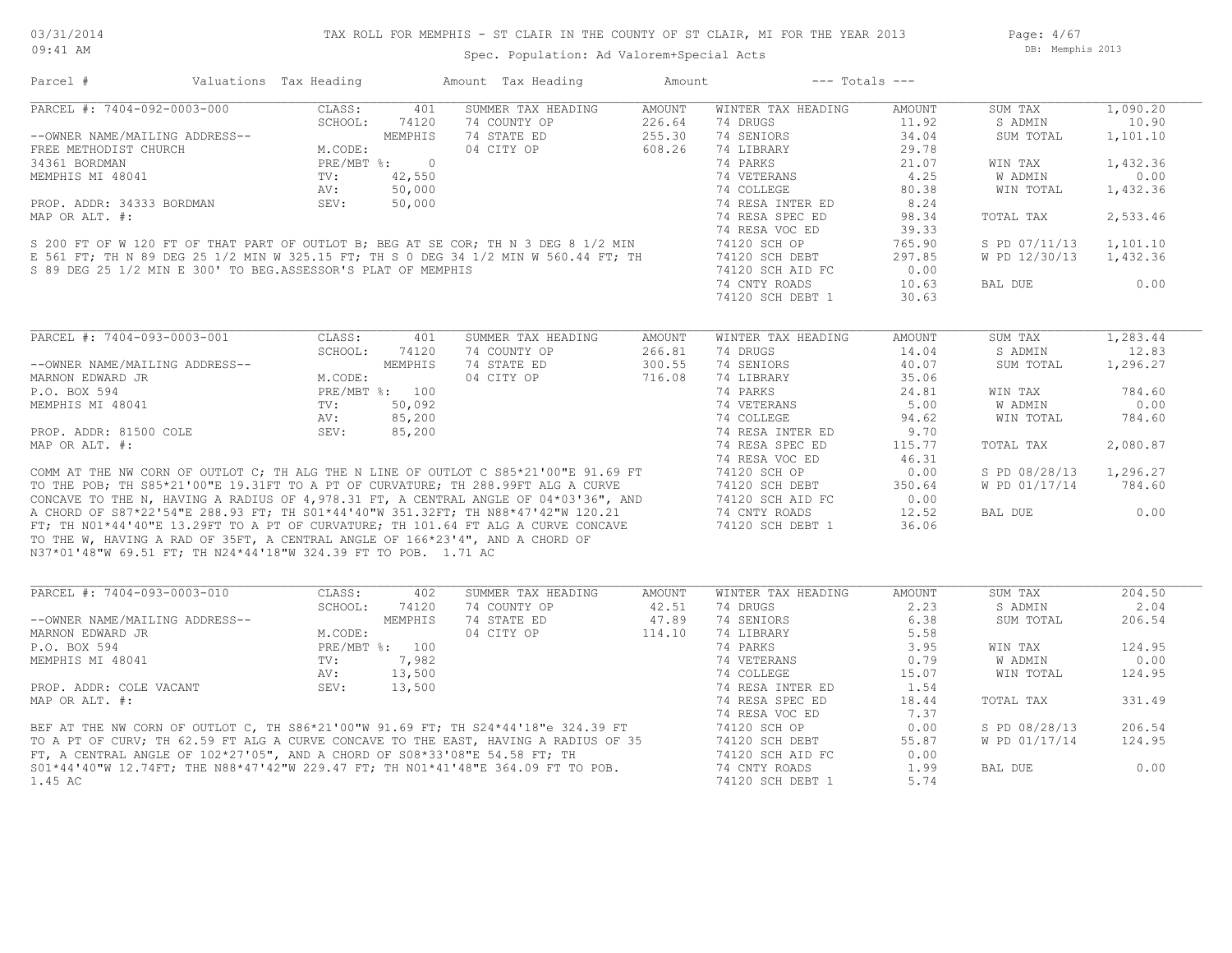Spec. Population: Ad Valorem+Special Acts

Page: 4/67 DB: Memphis 2013

| Parcel #                                                       | Valuations Tax Heading             |            | Amount Tax Heading                                                                                                                                                                                                                   | Amount |                    | $---$ Totals $---$ |               |          |
|----------------------------------------------------------------|------------------------------------|------------|--------------------------------------------------------------------------------------------------------------------------------------------------------------------------------------------------------------------------------------|--------|--------------------|--------------------|---------------|----------|
| PARCEL #: 7404-092-0003-000                                    | CLASS:                             | 401        | SUMMER TAX HEADING                                                                                                                                                                                                                   | AMOUNT | WINTER TAX HEADING | AMOUNT             | SUM TAX       | 1,090.20 |
|                                                                | SCHOOL:                            | 74120      | 74 COUNTY OP                                                                                                                                                                                                                         | 226.64 | 74 DRUGS           | 11.92              | S ADMIN       | 10.90    |
| --OWNER NAME/MAILING ADDRESS--                                 |                                    | MEMPHIS    | 74 STATE ED                                                                                                                                                                                                                          | 255.30 | 74 SENIORS         | 34.04              | SUM TOTAL     | 1,101.10 |
| FREE METHODIST CHURCH                                          | M.CODE:                            |            | 04 CITY OP                                                                                                                                                                                                                           | 608.26 | 74 LIBRARY         | 29.78              |               |          |
| 34361 BORDMAN                                                  | PRE/MBT %:                         | $\bigcirc$ |                                                                                                                                                                                                                                      |        | 74 PARKS           | 21.07              | WIN TAX       | 1,432.36 |
| MEMPHIS MI 48041                                               | $\texttt{TV}$ :                    | 42,550     |                                                                                                                                                                                                                                      |        | 74 VETERANS        | 4.25               | W ADMIN       | 0.00     |
|                                                                | AV:                                | 50,000     |                                                                                                                                                                                                                                      |        | 74 COLLEGE         | 80.38              | WIN TOTAL     | 1,432.36 |
| PROP. ADDR: 34333 BORDMAN                                      | SEV:                               | 50,000     |                                                                                                                                                                                                                                      |        | 74 RESA INTER ED   | 8.24               |               |          |
| MAP OR ALT. #:                                                 |                                    |            |                                                                                                                                                                                                                                      |        | 74 RESA SPEC ED    | 98.34              | TOTAL TAX     | 2,533.46 |
|                                                                |                                    |            |                                                                                                                                                                                                                                      |        | 74 RESA VOC ED     | 39.33              |               |          |
|                                                                |                                    |            | S 200 FT OF W 120 FT OF THAT PART OF OUTLOT B; BEG AT SE COR; TH N 3 DEG 8 1/2 MIN                                                                                                                                                   |        |                    |                    |               |          |
|                                                                |                                    |            |                                                                                                                                                                                                                                      |        | 74120 SCH OP       | 765.90             | S PD 07/11/13 | 1,101.10 |
|                                                                |                                    |            | E 561 FT; TH N 89 DEG 25 1/2 MIN W 325.15 FT; TH S 0 DEG 34 1/2 MIN W 560.44 FT; TH                                                                                                                                                  |        | 74120 SCH DEBT     | 297.85             | W PD 12/30/13 | 1,432.36 |
| S 89 DEG 25 1/2 MIN E 300' TO BEG.ASSESSOR'S PLAT OF MEMPHIS   |                                    |            |                                                                                                                                                                                                                                      |        | 74120 SCH AID FC   | 0.00               |               |          |
|                                                                |                                    |            |                                                                                                                                                                                                                                      |        | 74 CNTY ROADS      | 10.63              | BAL DUE       | 0.00     |
|                                                                |                                    |            |                                                                                                                                                                                                                                      |        | 74120 SCH DEBT 1   | 30.63              |               |          |
|                                                                |                                    |            |                                                                                                                                                                                                                                      |        |                    |                    |               |          |
| PARCEL #: 7404-093-0003-001                                    | CLASS:                             | 401        | SUMMER TAX HEADING                                                                                                                                                                                                                   | AMOUNT | WINTER TAX HEADING | AMOUNT             | SUM TAX       | 1,283.44 |
|                                                                | SCHOOL:                            | 74120      | 74 COUNTY OP                                                                                                                                                                                                                         | 266.81 | 74 DRUGS           | 14.04              | S ADMIN       | 12.83    |
| --OWNER NAME/MAILING ADDRESS--                                 |                                    | MEMPHIS    | 74 STATE ED                                                                                                                                                                                                                          | 300.55 | 74 SENIORS         | 40.07              | SUM TOTAL     | 1,296.27 |
| MARNON EDWARD JR                                               | M.CODE:                            |            | 04 CITY OP                                                                                                                                                                                                                           | 716.08 | 74 LIBRARY         | 35.06              |               |          |
| P.O. BOX 594                                                   | PRE/MBT %: 100                     |            |                                                                                                                                                                                                                                      |        | 74 PARKS           | 24.81              | WIN TAX       | 784.60   |
| MEMPHIS MI 48041                                               | TV:                                | 50,092     |                                                                                                                                                                                                                                      |        | 74 VETERANS        | 5.00               | W ADMIN       | 0.00     |
|                                                                | AV:                                | 85,200     |                                                                                                                                                                                                                                      |        | 74 COLLEGE         | 94.62              | WIN TOTAL     | 784.60   |
| PROP. ADDR: 81500 COLE                                         | SEV:                               | 85,200     |                                                                                                                                                                                                                                      |        | 74 RESA INTER ED   | 9.70               |               |          |
| MAP OR ALT. #:                                                 |                                    |            |                                                                                                                                                                                                                                      |        | 74 RESA SPEC ED    |                    |               | 2,080.87 |
|                                                                |                                    |            |                                                                                                                                                                                                                                      |        |                    | 115.77             | TOTAL TAX     |          |
|                                                                |                                    |            |                                                                                                                                                                                                                                      |        | 74 RESA VOC ED     | 46.31              |               |          |
|                                                                |                                    |            | COMM AT THE NW CORN OF OUTLOT C; TH ALG THE N LINE OF OUTLOT C S85*21'00"E 91.69 FT                                                                                                                                                  |        | 74120 SCH OP       | 0.00               | S PD 08/28/13 | 1,296.27 |
|                                                                |                                    |            |                                                                                                                                                                                                                                      |        | 74120 SCH DEBT     | 350.64             | W PD 01/17/14 | 784.60   |
|                                                                |                                    |            |                                                                                                                                                                                                                                      |        | 74120 SCH AID FC   | 0.00               |               |          |
|                                                                |                                    |            |                                                                                                                                                                                                                                      |        | 74 CNTY ROADS      | 12.52              | BAL DUE       | 0.00     |
|                                                                |                                    |            | TO THE POB; TH S85*21'00"E 19.31FT TO A PT OF CURVATURE; TH 288.99FT ALG A CURVE<br>CONCAVE TO THE N, HAVING A RADIUS OF 4,978.31 FT, A CENTRAL ANGLE OF 04*03'36", AND<br>A CHORD OF S87*22'54"E 288.93 FT; TH S01*44'40"W 351.32FT |        | 74120 SCH DEBT 1   | 36.06              |               |          |
|                                                                |                                    |            | TO THE W, HAVING A RAD OF 35FT, A CENTRAL ANGLE OF 166*23'4", AND A CHORD OF                                                                                                                                                         |        |                    |                    |               |          |
| N37*01'48"W 69.51 FT; TH N24*44'18"W 324.39 FT TO POB. 1.71 AC |                                    |            |                                                                                                                                                                                                                                      |        |                    |                    |               |          |
|                                                                |                                    |            |                                                                                                                                                                                                                                      |        |                    |                    |               |          |
| PARCEL #: 7404-093-0003-010                                    | CLASS:                             | 402        | SUMMER TAX HEADING                                                                                                                                                                                                                   | AMOUNT | WINTER TAX HEADING | AMOUNT             | SUM TAX       | 204.50   |
|                                                                | SCHOOL:                            | 74120      | 74 COUNTY OP                                                                                                                                                                                                                         | 42.51  | 74 DRUGS           | 2.23               | S ADMIN       | 2.04     |
| --OWNER NAME/MAILING ADDRESS--                                 |                                    | MEMPHIS    | 74 STATE ED                                                                                                                                                                                                                          | 47.89  | 74 SENIORS         | 6.38               | SUM TOTAL     | 206.54   |
| MARNON EDWARD JR                                               | M.CODE:<br>PRE/MBT %: 100<br>7,982 |            | 04 CITY OP                                                                                                                                                                                                                           | 114.10 | 74 LIBRARY         | 5.58               |               |          |
| P.O. BOX 594                                                   |                                    |            |                                                                                                                                                                                                                                      |        | 74 PARKS           | 3.95               | WIN TAX       | 124.95   |
| MEMPHIS MI 48041                                               |                                    |            |                                                                                                                                                                                                                                      |        | 74 VETERANS        | 0.79               | W ADMIN       | 0.00     |
|                                                                | AV:                                | 13,500     |                                                                                                                                                                                                                                      |        | 74 COLLEGE         | 15.07              | WIN TOTAL     | 124.95   |
| PROP. ADDR: COLE VACANT                                        | SEV:                               | 13,500     |                                                                                                                                                                                                                                      |        | 74 RESA INTER ED   | 1.54               |               |          |
|                                                                |                                    |            |                                                                                                                                                                                                                                      |        |                    |                    |               |          |
| MAP OR ALT. #:                                                 |                                    |            |                                                                                                                                                                                                                                      |        | 74 RESA SPEC ED    | 18.44              | TOTAL TAX     | 331.49   |
|                                                                |                                    |            |                                                                                                                                                                                                                                      |        | 74 RESA VOC ED     | 7.37               |               |          |
|                                                                |                                    |            |                                                                                                                                                                                                                                      |        | 74120 SCH OP       | 0.00               | S PD 08/28/13 | 206.54   |
|                                                                |                                    |            | BEF AT THE NW CORN OF OUTLOT C, TH S86*21'00"W 91.69 FT; TH S24*44'18"e 324.39 FT<br>TO A PT OF CURV; TH 62.59 FT ALG A CURVE CONCAVE TO THE EAST, HAVING A RADIUS OF 35<br>FT, A CENTRAL ANGLE OF 102*27'05", AND A CHORD OF S08*33 |        | 74120 SCH DEBT     | 55.87              | W PD 01/17/14 | 124.95   |
|                                                                |                                    |            |                                                                                                                                                                                                                                      |        | 74120 SCH AID FC   | 0.00               |               |          |
|                                                                |                                    |            | S01*44'40"W 12.74FT; THE N88*47'42"W 229.47 FT; TH N01*41'48"E 364.09 FT TO POB.                                                                                                                                                     |        | 74 CNTY ROADS      | 1.99               | BAL DUE       | 0.00     |
| 1.45 AC                                                        |                                    |            |                                                                                                                                                                                                                                      |        | 74120 SCH DEBT 1   | 5.74               |               |          |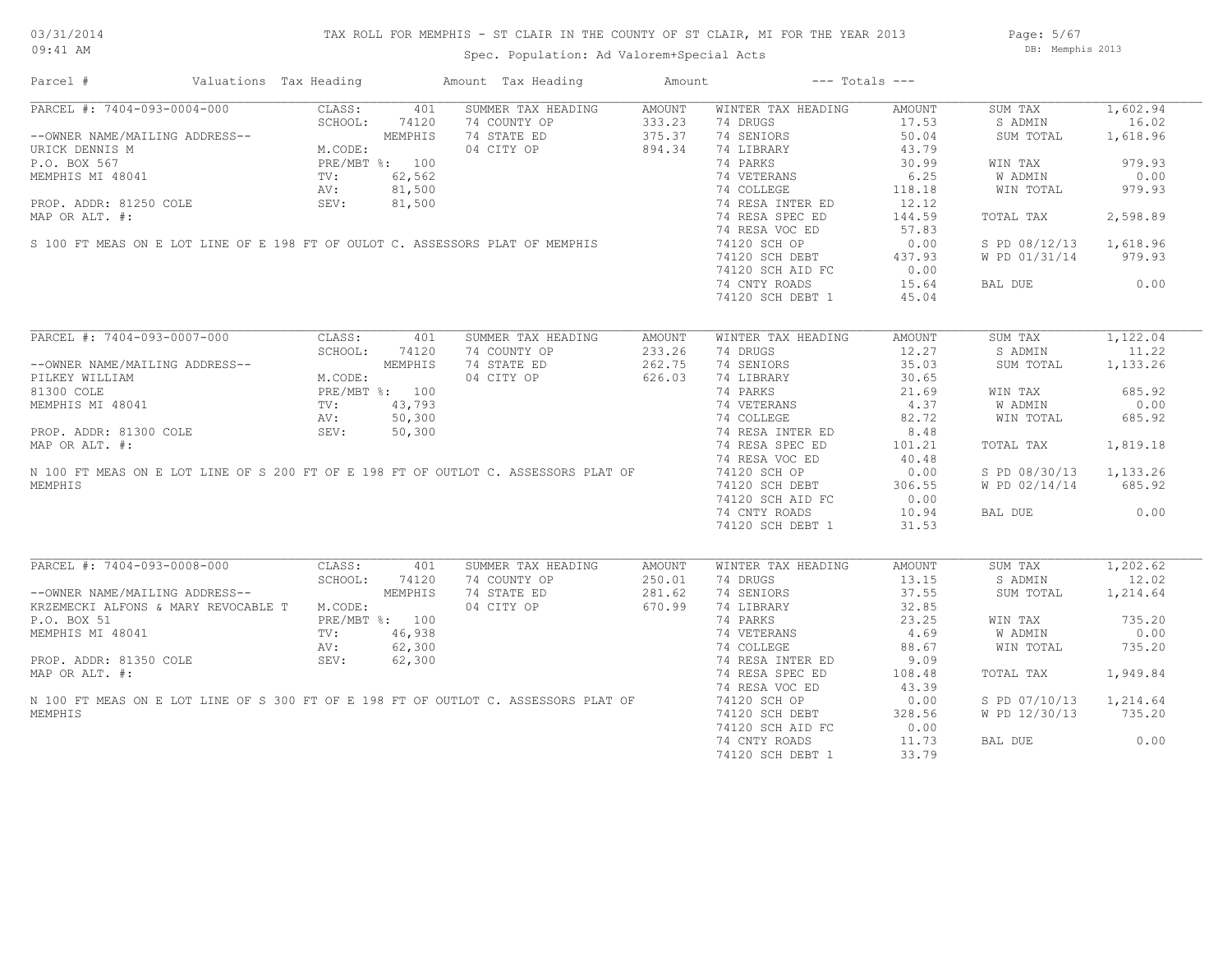## TAX ROLL FOR MEMPHIS - ST CLAIR IN THE COUNTY OF ST CLAIR, MI FOR THE YEAR 2013

Spec. Population: Ad Valorem+Special Acts

Page: 5/67 DB: Memphis 2013

| Parcel #                                                                           | Valuations Tax Heading                                                                     |                |     | Amount Tax Heading | Amount |                    | $---$ Totals $---$ |               |          |
|------------------------------------------------------------------------------------|--------------------------------------------------------------------------------------------|----------------|-----|--------------------|--------|--------------------|--------------------|---------------|----------|
| PARCEL #: 7404-093-0004-000                                                        | CLASS:                                                                                     |                | 401 | SUMMER TAX HEADING | AMOUNT | WINTER TAX HEADING | AMOUNT             | SUM TAX       | 1,602.94 |
|                                                                                    |                                                                                            |                |     | 74 COUNTY OP       | 333.23 | 74 DRUGS           | 17.53              | S ADMIN       | 16.02    |
| --OWNER NAME/MAILING ADDRESS--                                                     | 04-000<br>G ADDRESS--<br>M.CODE:<br>PRE/MBT %: 100<br>TV: 62,562<br>AV: 81,50<br>SEV: 81,5 |                |     | 74 STATE ED        | 375.37 | 74 SENIORS         | 50.04              | SUM TOTAL     | 1,618.96 |
| URICK DENNIS M                                                                     |                                                                                            |                |     | 04 CITY OP         | 894.34 | 74 LIBRARY         | 43.79              |               |          |
| P.O. BOX 567                                                                       |                                                                                            |                |     |                    |        | 74 PARKS           | 30.99              | WIN TAX       | 979.93   |
| MEMPHIS MI 48041                                                                   |                                                                                            |                |     |                    |        | 74 VETERANS        | 6.25               | W ADMIN       | 0.00     |
|                                                                                    |                                                                                            |                |     |                    |        | 74 COLLEGE         | 118.18             | WIN TOTAL     | 979.93   |
| PROP. ADDR: 81250 COLE                                                             |                                                                                            |                |     |                    |        | 74 RESA INTER ED   | 12.12              |               |          |
| MAP OR ALT. #:                                                                     |                                                                                            |                |     |                    |        | 74 RESA SPEC ED    | 144.59             | TOTAL TAX     | 2,598.89 |
|                                                                                    |                                                                                            |                |     |                    |        | 74 RESA VOC ED     | 57.83              |               |          |
| S 100 FT MEAS ON E LOT LINE OF E 198 FT OF OULOT C. ASSESSORS PLAT OF MEMPHIS      |                                                                                            |                |     |                    |        | 74120 SCH OP       | 0.00               | S PD 08/12/13 | 1,618.96 |
|                                                                                    |                                                                                            |                |     |                    |        | 74120 SCH DEBT     | 437.93             | W PD 01/31/14 | 979.93   |
|                                                                                    |                                                                                            |                |     |                    |        | 74120 SCH AID FC   | 0.00               |               |          |
|                                                                                    |                                                                                            |                |     |                    |        | 74 CNTY ROADS      | 15.64              | BAL DUE       | 0.00     |
|                                                                                    |                                                                                            |                |     |                    |        | 74120 SCH DEBT 1   | 45.04              |               |          |
|                                                                                    |                                                                                            |                |     |                    |        |                    |                    |               |          |
| PARCEL #: 7404-093-0007-000                                                        | CLASS:                                                                                     |                | 401 | SUMMER TAX HEADING | AMOUNT | WINTER TAX HEADING | AMOUNT             | SUM TAX       | 1,122.04 |
|                                                                                    | SCHOOL:                                                                                    | 74120          |     | 74 COUNTY OP       | 233.26 | 74 DRUGS           | 12.27              | S ADMIN       | 11.22    |
| --OWNER NAME/MAILING ADDRESS--                                                     |                                                                                            | MEMPHIS        |     | 74 STATE ED        | 262.75 | 74 SENIORS         | 35.03              | SUM TOTAL     | 1,133.26 |
| PILKEY WILLIAM                                                                     | M.CODE:                                                                                    |                |     | 04 CITY OP         | 626.03 | 74 LIBRARY         | 30.65              |               |          |
| 81300 COLE                                                                         |                                                                                            | PRE/MBT %: 100 |     |                    |        | 74 PARKS           | 21.69              | WIN TAX       | 685.92   |
| MEMPHIS MI 48041                                                                   | TV:                                                                                        | 43,793         |     |                    |        | 74 VETERANS        | 4.37               | W ADMIN       | 0.00     |
|                                                                                    |                                                                                            | 50,300         |     |                    |        | 74 COLLEGE         |                    |               |          |
|                                                                                    | AV:                                                                                        |                |     |                    |        |                    | 82.72              | WIN TOTAL     | 685.92   |
| PROP. ADDR: 81300 COLE                                                             | SEV:                                                                                       | 50,300         |     |                    |        | 74 RESA INTER ED   | 8.48               |               |          |
| MAP OR ALT. #:                                                                     |                                                                                            |                |     |                    |        | 74 RESA SPEC ED    | 101.21             | TOTAL TAX     | 1,819.18 |
|                                                                                    |                                                                                            |                |     |                    |        | 74 RESA VOC ED     | 40.48              |               |          |
| N 100 FT MEAS ON E LOT LINE OF S 200 FT OF E 198 FT OF OUTLOT C. ASSESSORS PLAT OF |                                                                                            |                |     |                    |        | 74120 SCH OP       | 0.00               | S PD 08/30/13 | 1,133.26 |
| MEMPHIS                                                                            |                                                                                            |                |     |                    |        | 74120 SCH DEBT     | 306.55             | W PD 02/14/14 | 685.92   |
|                                                                                    |                                                                                            |                |     |                    |        | 74120 SCH AID FC   | 0.00               |               |          |
|                                                                                    |                                                                                            |                |     |                    |        | 74 CNTY ROADS      | 10.94              | BAL DUE       | 0.00     |
|                                                                                    |                                                                                            |                |     |                    |        | 74120 SCH DEBT 1   | 31.53              |               |          |
| PARCEL #: 7404-093-0008-000                                                        | CLASS:                                                                                     |                | 401 | SUMMER TAX HEADING | AMOUNT | WINTER TAX HEADING | AMOUNT             | SUM TAX       | 1,202.62 |
|                                                                                    | SCHOOL:                                                                                    | 74120          |     | 74 COUNTY OP       | 250.01 | 74 DRUGS           | 13.15              | S ADMIN       | 12.02    |
| --OWNER NAME/MAILING ADDRESS--                                                     |                                                                                            | MEMPHIS        |     |                    | 281.62 |                    | 37.55              |               |          |
|                                                                                    |                                                                                            |                |     | 74 STATE ED        |        | 74 SENIORS         |                    | SUM TOTAL     | 1,214.64 |
| KRZEMECKI ALFONS & MARY REVOCABLE T M.CODE:                                        |                                                                                            |                |     | 04 CITY OP         | 670.99 | 74 LIBRARY         | 32.85              |               |          |
| P.O. BOX 51                                                                        |                                                                                            | PRE/MBT %: 100 |     |                    |        | 74 PARKS           | 23.25              | WIN TAX       | 735.20   |
| MEMPHIS MI 48041                                                                   | TV:                                                                                        | 46,938         |     |                    |        | 74 VETERANS        | 4.69               | W ADMIN       | 0.00     |
|                                                                                    | AV:                                                                                        | 62,300         |     |                    |        | 74 COLLEGE         | 88.67              | WIN TOTAL     | 735.20   |
| PROP. ADDR: 81350 COLE                                                             | SEV:                                                                                       | 62,300         |     |                    |        | 74 RESA INTER ED   | 9.09               |               |          |
| MAP OR ALT. #:                                                                     |                                                                                            |                |     |                    |        | 74 RESA SPEC ED    | 108.48             | TOTAL TAX     | 1,949.84 |
|                                                                                    |                                                                                            |                |     |                    |        | 74 RESA VOC ED     | 43.39              |               |          |
| N 100 FT MEAS ON E LOT LINE OF S 300 FT OF E 198 FT OF OUTLOT C. ASSESSORS PLAT OF |                                                                                            |                |     |                    |        | 74120 SCH OP       | 0.00               | S PD 07/10/13 | 1,214.64 |
| MEMPHIS                                                                            |                                                                                            |                |     |                    |        | 74120 SCH DEBT     | 328.56             | W PD 12/30/13 | 735.20   |
|                                                                                    |                                                                                            |                |     |                    |        | 74120 SCH AID FC   | 0.00               |               |          |
|                                                                                    |                                                                                            |                |     |                    |        | 74 CNTY ROADS      | 11.73              | BAL DUE       | 0.00     |
|                                                                                    |                                                                                            |                |     |                    |        | 74120 SCH DEBT 1   | 33.79              |               |          |
|                                                                                    |                                                                                            |                |     |                    |        |                    |                    |               |          |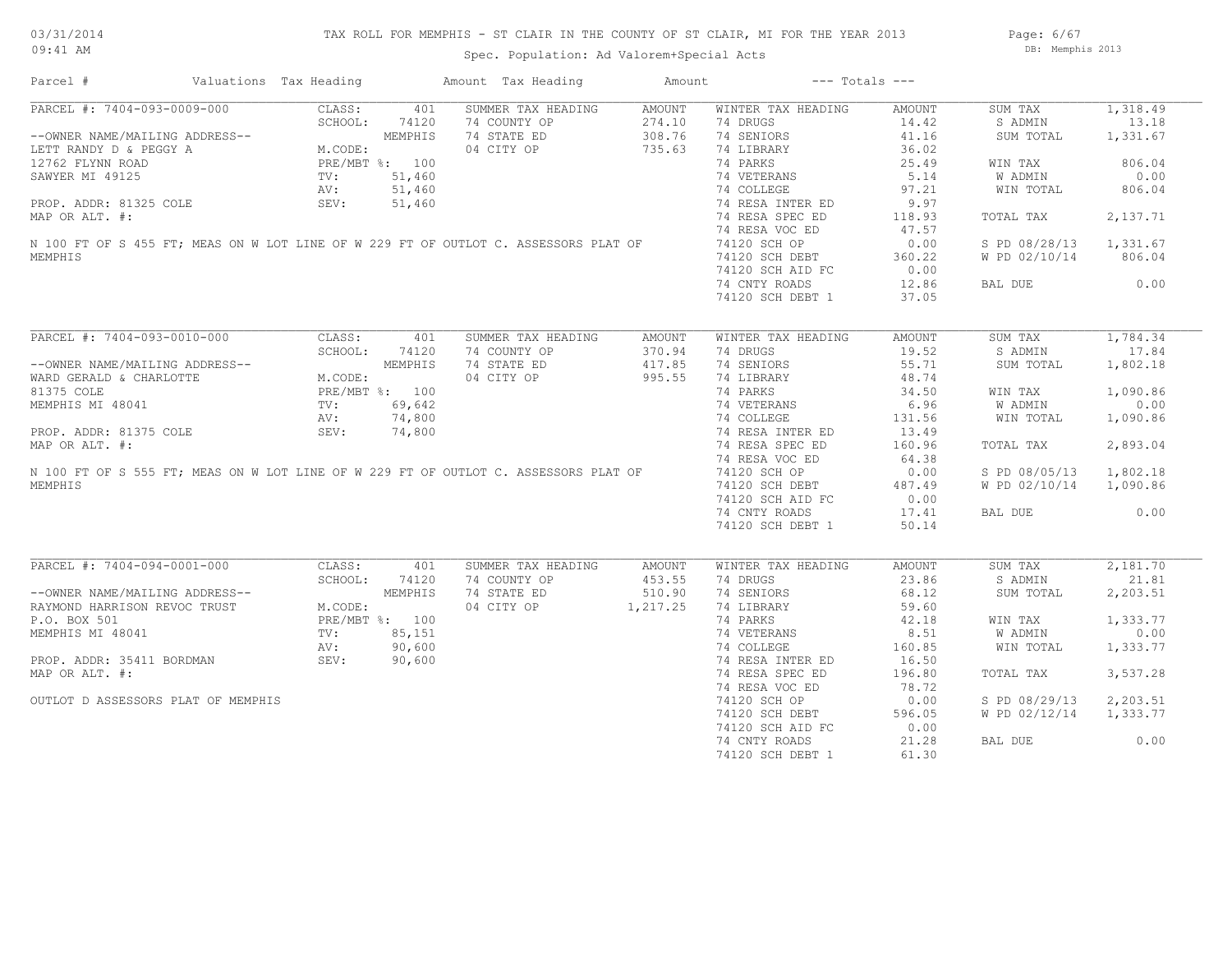|  |  |  | IS - ST CLAIR IN THE COUNTY OF ST CLAIR, MI FOR THE YEAR 2013 |  |  |  |  | Page: 6/67 |                  |  |
|--|--|--|---------------------------------------------------------------|--|--|--|--|------------|------------------|--|
|  |  |  | Spec. Population: Ad Valorem+Special Acts                     |  |  |  |  |            | DB: Memphis 2013 |  |

| Parcel #                                                                            | Valuations Tax Heading |         | Amount Tax Heading | Amount        | $---$ Totals $---$ |        |               |          |
|-------------------------------------------------------------------------------------|------------------------|---------|--------------------|---------------|--------------------|--------|---------------|----------|
| PARCEL #: 7404-093-0009-000                                                         | CLASS:                 | 401     | SUMMER TAX HEADING | <b>AMOUNT</b> | WINTER TAX HEADING | AMOUNT | SUM TAX       | 1,318.49 |
|                                                                                     | SCHOOL:                | 74120   | 74 COUNTY OP       | 274.10        | 74 DRUGS           | 14.42  | S ADMIN       | 13.18    |
| --OWNER NAME/MAILING ADDRESS--                                                      |                        | MEMPHIS | 74 STATE ED        | 308.76        | 74 SENIORS         | 41.16  | SUM TOTAL     | 1,331.67 |
| LETT RANDY D & PEGGY A                                                              | M.CODE:                |         | 04 CITY OP         | 735.63        | 74 LIBRARY         | 36.02  |               |          |
| 12762 FLYNN ROAD                                                                    | PRE/MBT %: 100         |         |                    |               | 74 PARKS           | 25.49  | WIN TAX       | 806.04   |
| SAWYER MI 49125                                                                     | TV:                    | 51,460  |                    |               | 74 VETERANS        | 5.14   | W ADMIN       | 0.00     |
|                                                                                     | AV:                    | 51,460  |                    |               | 74 COLLEGE         | 97.21  | WIN TOTAL     | 806.04   |
| PROP. ADDR: 81325 COLE                                                              | SEV:                   | 51,460  |                    |               | 74 RESA INTER ED   | 9.97   |               |          |
|                                                                                     |                        |         |                    |               |                    |        |               |          |
| MAP OR ALT. #:                                                                      |                        |         |                    |               | 74 RESA SPEC ED    | 118.93 | TOTAL TAX     | 2,137.71 |
|                                                                                     |                        |         |                    |               | 74 RESA VOC ED     | 47.57  |               |          |
| N 100 FT OF S 455 FT; MEAS ON W LOT LINE OF W 229 FT OF OUTLOT C. ASSESSORS PLAT OF |                        |         |                    |               | 74120 SCH OP       | 0.00   | S PD 08/28/13 | 1,331.67 |
| MEMPHIS                                                                             |                        |         |                    |               | 74120 SCH DEBT     | 360.22 | W PD 02/10/14 | 806.04   |
|                                                                                     |                        |         |                    |               | 74120 SCH AID FC   | 0.00   |               |          |
|                                                                                     |                        |         |                    |               | 74 CNTY ROADS      | 12.86  | BAL DUE       | 0.00     |
|                                                                                     |                        |         |                    |               | 74120 SCH DEBT 1   | 37.05  |               |          |
|                                                                                     |                        |         |                    |               |                    |        |               |          |
| PARCEL #: 7404-093-0010-000                                                         | CLASS:                 | 401     | SUMMER TAX HEADING | <b>AMOUNT</b> | WINTER TAX HEADING | AMOUNT | SUM TAX       | 1,784.34 |
|                                                                                     | SCHOOL:                | 74120   | 74 COUNTY OP       | 370.94        | 74 DRUGS           | 19.52  | S ADMIN       | 17.84    |
| --OWNER NAME/MAILING ADDRESS--                                                      |                        | MEMPHIS | 74 STATE ED        | 417.85        | 74 SENIORS         | 55.71  | SUM TOTAL     | 1,802.18 |
| WARD GERALD & CHARLOTTE                                                             | M.CODE:                |         | 04 CITY OP         | 995.55        | 74 LIBRARY         | 48.74  |               |          |
| 81375 COLE                                                                          | PRE/MBT %: 100         |         |                    |               | 74 PARKS           | 34.50  | WIN TAX       | 1,090.86 |
| MEMPHIS MI 48041                                                                    | TV:                    | 69,642  |                    |               | 74 VETERANS        | 6.96   | W ADMIN       | 0.00     |
|                                                                                     |                        | 74,800  |                    |               | 74 COLLEGE         | 131.56 | WIN TOTAL     |          |
|                                                                                     | AV:                    |         |                    |               |                    |        |               | 1,090.86 |
| PROP. ADDR: 81375 COLE                                                              | SEV:                   | 74,800  |                    |               | 74 RESA INTER ED   | 13.49  |               |          |
| MAP OR ALT. #:                                                                      |                        |         |                    |               | 74 RESA SPEC ED    | 160.96 | TOTAL TAX     | 2,893.04 |
|                                                                                     |                        |         |                    |               | 74 RESA VOC ED     | 64.38  |               |          |
| N 100 FT OF S 555 FT; MEAS ON W LOT LINE OF W 229 FT OF OUTLOT C. ASSESSORS PLAT OF |                        |         |                    |               | 74120 SCH OP       | 0.00   | S PD 08/05/13 | 1,802.18 |
| MEMPHIS                                                                             |                        |         |                    |               | 74120 SCH DEBT     | 487.49 | W PD 02/10/14 | 1,090.86 |
|                                                                                     |                        |         |                    |               | 74120 SCH AID FC   | 0.00   |               |          |
|                                                                                     |                        |         |                    |               | 74 CNTY ROADS      | 17.41  | BAL DUE       | 0.00     |
|                                                                                     |                        |         |                    |               | 74120 SCH DEBT 1   | 50.14  |               |          |
|                                                                                     |                        |         |                    |               |                    |        |               |          |
| PARCEL #: 7404-094-0001-000                                                         | CLASS:                 | 401     | SUMMER TAX HEADING | AMOUNT        | WINTER TAX HEADING | AMOUNT | SUM TAX       | 2,181.70 |
|                                                                                     | SCHOOL:                | 74120   | 74 COUNTY OP       | 453.55        | 74 DRUGS           | 23.86  | S ADMIN       | 21.81    |
|                                                                                     |                        |         |                    |               |                    |        |               |          |
| --OWNER NAME/MAILING ADDRESS--                                                      |                        | MEMPHIS | 74 STATE ED        | 510.90        | 74 SENIORS         | 68.12  | SUM TOTAL     | 2,203.51 |
| RAYMOND HARRISON REVOC TRUST                                                        | M.CODE:                |         | 04 CITY OP         | 1,217.25      | 74 LIBRARY         | 59.60  |               |          |
| P.O. BOX 501                                                                        | PRE/MBT %: 100         |         |                    |               | 74 PARKS           | 42.18  | WIN TAX       | 1,333.77 |
| MEMPHIS MI 48041                                                                    | TV:                    | 85,151  |                    |               | 74 VETERANS        | 8.51   | W ADMIN       | 0.00     |
|                                                                                     | AV:                    | 90,600  |                    |               | 74 COLLEGE         | 160.85 | WIN TOTAL     | 1,333.77 |
| PROP. ADDR: 35411 BORDMAN                                                           | SEV:                   | 90,600  |                    |               | 74 RESA INTER ED   | 16.50  |               |          |
| MAP OR ALT. #:                                                                      |                        |         |                    |               | 74 RESA SPEC ED    | 196.80 | TOTAL TAX     | 3,537.28 |
|                                                                                     |                        |         |                    |               | 74 RESA VOC ED     | 78.72  |               |          |
| OUTLOT D ASSESSORS PLAT OF MEMPHIS                                                  |                        |         |                    |               | 74120 SCH OP       | 0.00   | S PD 08/29/13 | 2,203.51 |
|                                                                                     |                        |         |                    |               | 74120 SCH DEBT     | 596.05 | W PD 02/12/14 | 1,333.77 |
|                                                                                     |                        |         |                    |               |                    |        |               |          |
|                                                                                     |                        |         |                    |               | 74120 SCH AID FC   | 0.00   |               |          |
|                                                                                     |                        |         |                    |               | 74 CNTY ROADS      | 21.28  | BAL DUE       | 0.00     |
|                                                                                     |                        |         |                    |               | 74120 SCH DEBT 1   | 61.30  |               |          |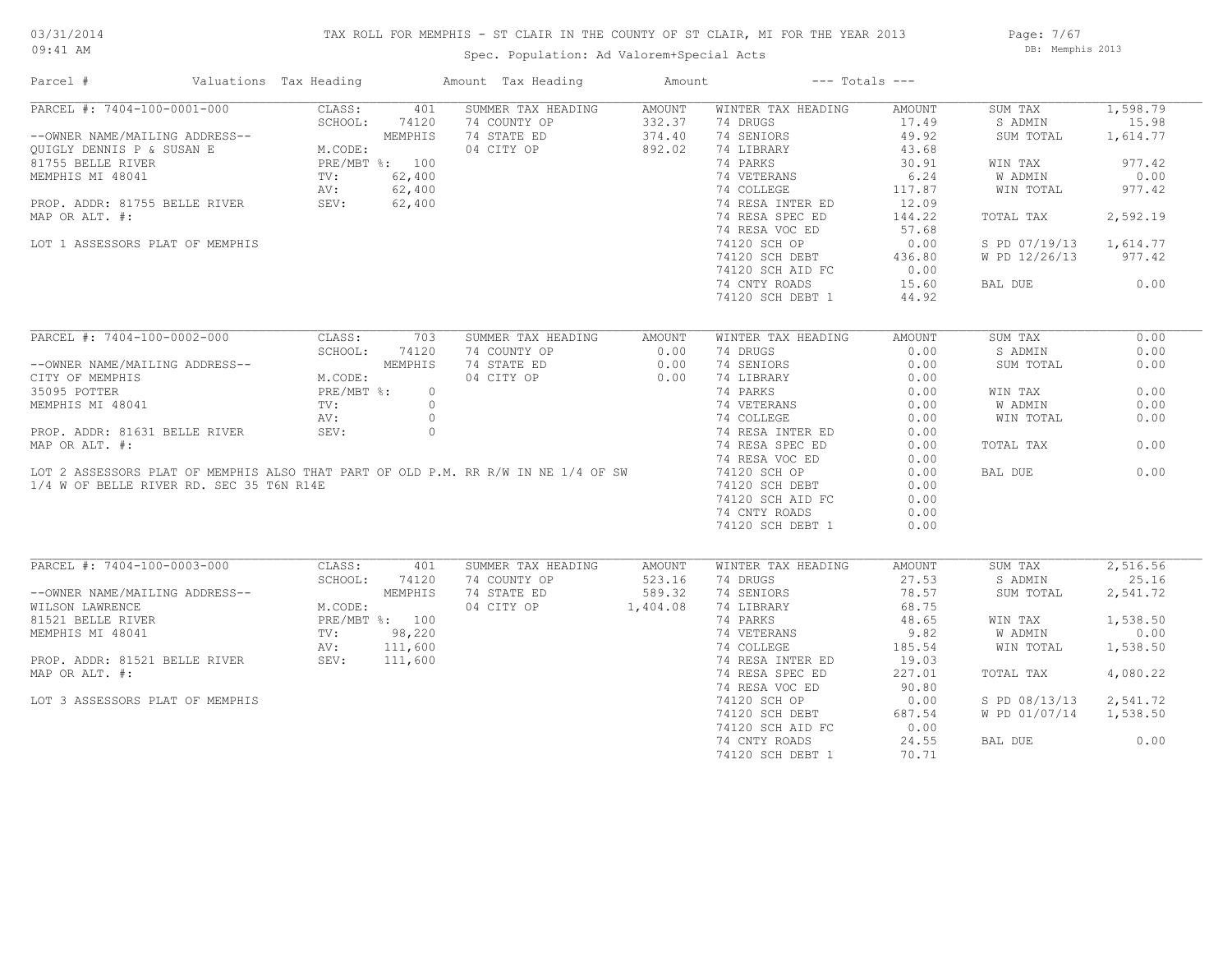## TAX ROLL FOR MEMPHIS - ST CLAIR IN THE COUNTY OF ST CLAIR, MI FOR THE YEAR 2013

Spec. Population: Ad Valorem+Special Acts

Page: 7/67 DB: Memphis 2013

| Parcel #                                 | Valuations Tax Heading |                |                | Amount Tax Heading                                                                | Amount   |                    | $---$ Totals $---$ |               |          |
|------------------------------------------|------------------------|----------------|----------------|-----------------------------------------------------------------------------------|----------|--------------------|--------------------|---------------|----------|
| PARCEL #: 7404-100-0001-000              |                        | CLASS:         | 401            | SUMMER TAX HEADING                                                                | AMOUNT   | WINTER TAX HEADING | AMOUNT             | SUM TAX       | 1,598.79 |
|                                          |                        | SCHOOL:        | 74120          | 74 COUNTY OP                                                                      | 332.37   | 74 DRUGS           | 17.49              | S ADMIN       | 15.98    |
| --OWNER NAME/MAILING ADDRESS--           |                        |                | MEMPHIS        | 74 STATE ED                                                                       | 374.40   | 74 SENIORS         | 49.92              | SUM TOTAL     | 1,614.77 |
| QUIGLY DENNIS P & SUSAN E                |                        | M.CODE:        |                | 04 CITY OP                                                                        | 892.02   | 74 LIBRARY         | 43.68              |               |          |
| 81755 BELLE RIVER                        |                        | PRE/MBT %: 100 |                |                                                                                   |          | 74 PARKS           | 30.91              | WIN TAX       | 977.42   |
| MEMPHIS MI 48041                         |                        | TV:            | 62,400         |                                                                                   |          | 74 VETERANS        | 6.24               | W ADMIN       | 0.00     |
|                                          |                        | AV:            | 62,400         |                                                                                   |          | 74 COLLEGE         | 117.87             | WIN TOTAL     | 977.42   |
| PROP. ADDR: 81755 BELLE RIVER            |                        | SEV:           | 62,400         |                                                                                   |          | 74 RESA INTER ED   | 12.09              |               |          |
| MAP OR ALT. #:                           |                        |                |                |                                                                                   |          | 74 RESA SPEC ED    | 144.22             | TOTAL TAX     | 2,592.19 |
|                                          |                        |                |                |                                                                                   |          | 74 RESA VOC ED     | 57.68              |               |          |
| LOT 1 ASSESSORS PLAT OF MEMPHIS          |                        |                |                |                                                                                   |          | 74120 SCH OP       | 0.00               | S PD 07/19/13 | 1,614.77 |
|                                          |                        |                |                |                                                                                   |          | 74120 SCH DEBT     | 436.80             | W PD 12/26/13 | 977.42   |
|                                          |                        |                |                |                                                                                   |          |                    |                    |               |          |
|                                          |                        |                |                |                                                                                   |          | 74120 SCH AID FC   | 0.00               |               |          |
|                                          |                        |                |                |                                                                                   |          | 74 CNTY ROADS      | 15.60              | BAL DUE       | 0.00     |
|                                          |                        |                |                |                                                                                   |          | 74120 SCH DEBT 1   | 44.92              |               |          |
| PARCEL #: 7404-100-0002-000              |                        | CLASS:         | 703            | SUMMER TAX HEADING                                                                | AMOUNT   | WINTER TAX HEADING | AMOUNT             | SUM TAX       | 0.00     |
|                                          |                        | SCHOOL:        | 74120          | 74 COUNTY OP                                                                      | 0.00     | 74 DRUGS           | 0.00               | S ADMIN       | 0.00     |
| --OWNER NAME/MAILING ADDRESS--           |                        |                | MEMPHIS        | 74 STATE ED                                                                       | 0.00     | 74 SENIORS         | 0.00               | SUM TOTAL     | 0.00     |
| CITY OF MEMPHIS                          |                        | M.CODE:        |                | 04 CITY OP                                                                        | 0.00     | 74 LIBRARY         |                    |               |          |
|                                          |                        |                |                |                                                                                   |          |                    | 0.00               |               |          |
| 35095 POTTER                             |                        | PRE/MBT %:     | $\circ$        |                                                                                   |          | 74 PARKS           | 0.00               | WIN TAX       | 0.00     |
| MEMPHIS MI 48041                         |                        | TV:            | $\circ$        |                                                                                   |          | 74 VETERANS        | 0.00               | W ADMIN       | 0.00     |
|                                          |                        | AV:            | $\circ$        |                                                                                   |          | 74 COLLEGE         | 0.00               | WIN TOTAL     | 0.00     |
| PROP. ADDR: 81631 BELLE RIVER            |                        | SEV:           | $\circ$        |                                                                                   |          | 74 RESA INTER ED   | 0.00               |               |          |
| MAP OR ALT. #:                           |                        |                |                |                                                                                   |          | 74 RESA SPEC ED    | 0.00               | TOTAL TAX     | 0.00     |
|                                          |                        |                |                |                                                                                   |          | 74 RESA VOC ED     | 0.00               |               |          |
|                                          |                        |                |                | LOT 2 ASSESSORS PLAT OF MEMPHIS ALSO THAT PART OF OLD P.M. RR R/W IN NE 1/4 OF SW |          | 74120 SCH OP       | 0.00               | BAL DUE       | 0.00     |
| 1/4 W OF BELLE RIVER RD. SEC 35 T6N R14E |                        |                |                |                                                                                   |          | 74120 SCH DEBT     | 0.00               |               |          |
|                                          |                        |                |                |                                                                                   |          | 74120 SCH AID FC   | 0.00               |               |          |
|                                          |                        |                |                |                                                                                   |          | 74 CNTY ROADS      | 0.00               |               |          |
|                                          |                        |                |                |                                                                                   |          | 74120 SCH DEBT 1   | 0.00               |               |          |
|                                          |                        |                |                |                                                                                   |          |                    |                    |               |          |
| PARCEL #: 7404-100-0003-000              |                        | CLASS:         | 401            | SUMMER TAX HEADING                                                                | AMOUNT   | WINTER TAX HEADING | AMOUNT             | SUM TAX       | 2,516.56 |
|                                          |                        | SCHOOL:        | 74120          | 74 COUNTY OP                                                                      | 523.16   | 74 DRUGS           | 27.53              | S ADMIN       | 25.16    |
| --OWNER NAME/MAILING ADDRESS--           |                        |                | MEMPHIS        | 74 STATE ED                                                                       | 589.32   | 74 SENIORS         | 78.57              | SUM TOTAL     | 2,541.72 |
| WILSON LAWRENCE                          |                        | M.CODE:        |                | 04 CITY OP                                                                        | 1,404.08 | 74 LIBRARY         | 68.75              |               |          |
| 81521 BELLE RIVER                        |                        |                | PRE/MBT %: 100 |                                                                                   |          | 74 PARKS           | 48.65              | WIN TAX       | 1,538.50 |
| MEMPHIS MI 48041                         |                        | TV:            | 98,220         |                                                                                   |          | 74 VETERANS        | 9.82               | W ADMIN       | 0.00     |
|                                          |                        | AV:            | 111,600        |                                                                                   |          | 74 COLLEGE         | 185.54             | WIN TOTAL     | 1,538.50 |
| PROP. ADDR: 81521 BELLE RIVER            |                        | SEV:           | 111,600        |                                                                                   |          | 74 RESA INTER ED   | 19.03              |               |          |
| MAP OR ALT. #:                           |                        |                |                |                                                                                   |          | 74 RESA SPEC ED    | 227.01             | TOTAL TAX     | 4,080.22 |
|                                          |                        |                |                |                                                                                   |          |                    |                    |               |          |
|                                          |                        |                |                |                                                                                   |          | 74 RESA VOC ED     | 90.80              |               |          |
| LOT 3 ASSESSORS PLAT OF MEMPHIS          |                        |                |                |                                                                                   |          | 74120 SCH OP       | 0.00               | S PD 08/13/13 | 2,541.72 |
|                                          |                        |                |                |                                                                                   |          | 74120 SCH DEBT     | 687.54             | W PD 01/07/14 | 1,538.50 |
|                                          |                        |                |                |                                                                                   |          | 74120 SCH AID FC   | 0.00               |               |          |
|                                          |                        |                |                |                                                                                   |          | 74 CNTY ROADS      | 24.55              | BAL DUE       | 0.00     |
|                                          |                        |                |                |                                                                                   |          | 74120 SCH DEBT 1   | 70.71              |               |          |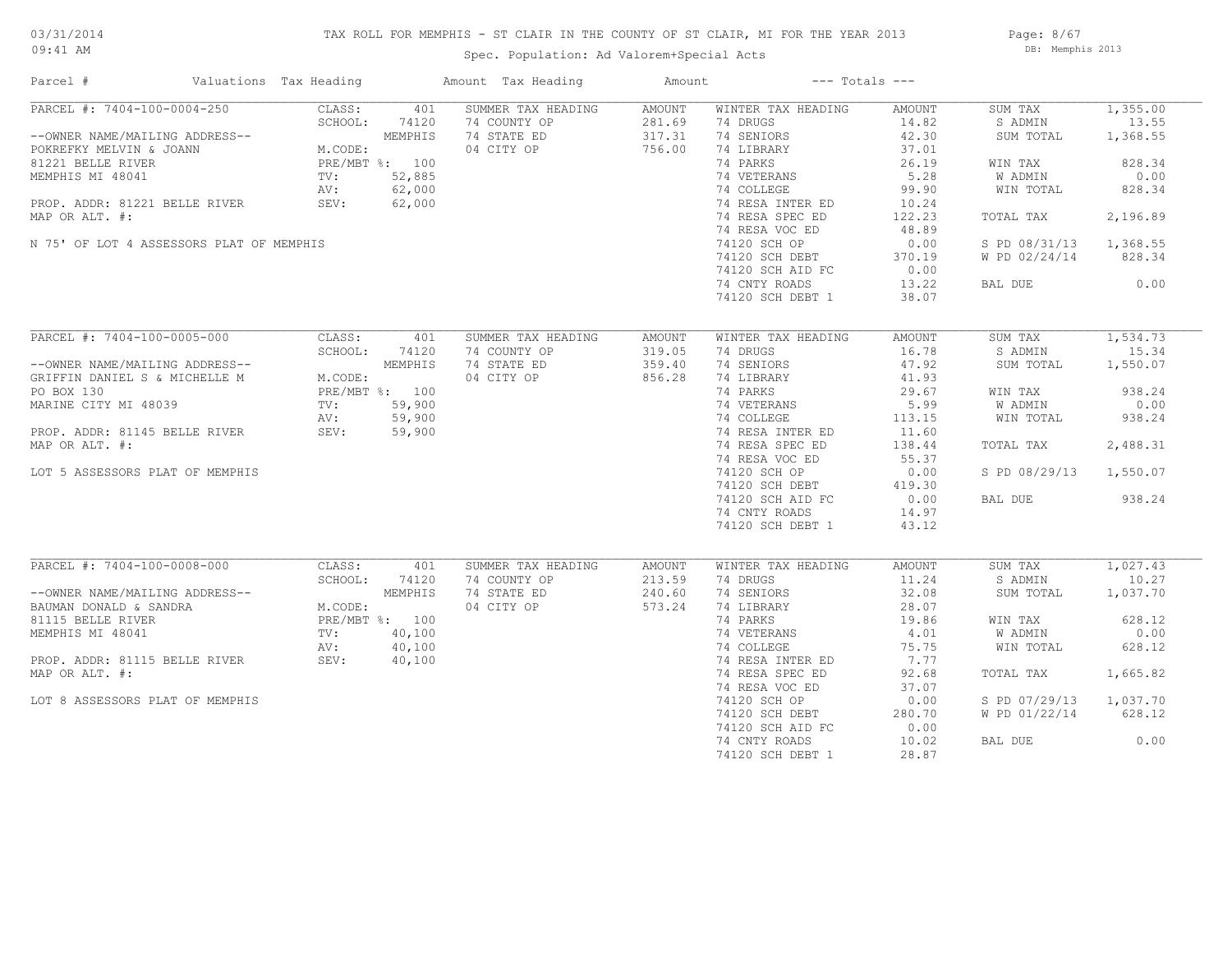## TAX ROLL FOR MEMPHIS - ST CLAIR IN THE COUNTY OF ST CLAIR, MI FOR THE YEAR 2013

Spec. Population: Ad Valorem+Special Acts

Page: 8/67 DB: Memphis 2013

| Parcel #                                                                                                                                                                                                                         | Valuations Tax Heading |                                                                      |                                                       | Amount Tax Heading                                              | Amount                               |                                                                                                                                                                                                | $---$ Totals $---$                                                                                        |                                                                                                                   |                                                                                             |
|----------------------------------------------------------------------------------------------------------------------------------------------------------------------------------------------------------------------------------|------------------------|----------------------------------------------------------------------|-------------------------------------------------------|-----------------------------------------------------------------|--------------------------------------|------------------------------------------------------------------------------------------------------------------------------------------------------------------------------------------------|-----------------------------------------------------------------------------------------------------------|-------------------------------------------------------------------------------------------------------------------|---------------------------------------------------------------------------------------------|
| PARCEL #: 7404-100-0004-250<br>--OWNER NAME/MAILING ADDRESS--<br>POKREFKY MELVIN & JOANN<br>81221 BELLE RIVER<br>MEMPHIS MI 48041<br>PROP. ADDR: 81221 BELLE RIVER<br>MAP OR ALT. #:<br>N 75' OF LOT 4 ASSESSORS PLAT OF MEMPHIS |                        | CLASS:<br>SCHOOL:<br>M.CODE:<br>PRE/MBT %: 100<br>TV:<br>AV:<br>SEV: | 401<br>74120<br>MEMPHIS<br>52,885<br>62,000<br>62,000 | SUMMER TAX HEADING<br>74 COUNTY OP<br>74 STATE ED<br>04 CITY OP | AMOUNT<br>281.69<br>317.31<br>756.00 | WINTER TAX HEADING<br>74 DRUGS<br>74 SENIORS<br>74 LIBRARY<br>74 PARKS<br>74 VETERANS<br>74 COLLEGE<br>74 RESA INTER ED<br>74 RESA SPEC ED<br>74 RESA VOC ED<br>74120 SCH OP<br>74120 SCH DEBT | AMOUNT<br>14.82<br>42.30<br>37.01<br>26.19<br>5.28<br>99.90<br>10.24<br>122.23<br>48.89<br>0.00<br>370.19 | SUM TAX<br>S ADMIN<br>SUM TOTAL<br>WIN TAX<br>W ADMIN<br>WIN TOTAL<br>TOTAL TAX<br>S PD 08/31/13<br>W PD 02/24/14 | 1,355.00<br>13.55<br>1,368.55<br>828.34<br>0.00<br>828.34<br>2,196.89<br>1,368.55<br>828.34 |
|                                                                                                                                                                                                                                  |                        |                                                                      |                                                       |                                                                 |                                      | 74120 SCH AID FC<br>74 CNTY ROADS<br>74120 SCH DEBT 1                                                                                                                                          | 0.00<br>13.22<br>38.07                                                                                    | BAL DUE                                                                                                           | 0.00                                                                                        |
| PARCEL #: 7404-100-0005-000<br>--OWNER NAME/MAILING ADDRESS--<br>GRIFFIN DANIEL S & MICHELLE M                                                                                                                                   |                        | CLASS:<br>SCHOOL:<br>M.CODE:                                         | 401<br>74120<br>MEMPHIS                               | SUMMER TAX HEADING<br>74 COUNTY OP<br>74 STATE ED<br>04 CITY OP | AMOUNT<br>319.05<br>359.40<br>856.28 | WINTER TAX HEADING<br>74 DRUGS<br>74 SENIORS<br>74 LIBRARY                                                                                                                                     | AMOUNT<br>16.78<br>47.92<br>41.93                                                                         | SUM TAX<br>S ADMIN<br>SUM TOTAL                                                                                   | 1,534.73<br>15.34<br>1,550.07                                                               |
| PO BOX 130<br>MARINE CITY MI 48039<br>PROP. ADDR: 81145 BELLE RIVER                                                                                                                                                              |                        | PRE/MBT %: 100<br>TV:<br>AV:<br>SEV:                                 | 59,900<br>59,900<br>59,900                            |                                                                 |                                      | 74 PARKS<br>74 VETERANS<br>74 COLLEGE<br>74 RESA INTER ED                                                                                                                                      | 29.67<br>5.99<br>113.15<br>11.60                                                                          | WIN TAX<br>W ADMIN<br>WIN TOTAL                                                                                   | 938.24<br>0.00<br>938.24                                                                    |
| MAP OR ALT. #:<br>LOT 5 ASSESSORS PLAT OF MEMPHIS                                                                                                                                                                                |                        |                                                                      |                                                       |                                                                 |                                      | 74 RESA SPEC ED<br>74 RESA VOC ED<br>74120 SCH OP<br>74120 SCH DEBT                                                                                                                            | 138.44<br>55.37<br>0.00<br>419.30                                                                         | TOTAL TAX<br>S PD 08/29/13                                                                                        | 2,488.31<br>1,550.07                                                                        |
|                                                                                                                                                                                                                                  |                        |                                                                      |                                                       |                                                                 |                                      | 74120 SCH AID FC<br>74 CNTY ROADS<br>74120 SCH DEBT 1                                                                                                                                          | 0.00<br>14.97<br>43.12                                                                                    | BAL DUE                                                                                                           | 938.24                                                                                      |
| PARCEL #: 7404-100-0008-000<br>--OWNER NAME/MAILING ADDRESS--<br>BAUMAN DONALD & SANDRA                                                                                                                                          |                        | CLASS:<br>SCHOOL:<br>M.CODE:                                         | 401<br>74120<br>MEMPHIS                               | SUMMER TAX HEADING<br>74 COUNTY OP<br>74 STATE ED<br>04 CITY OP | AMOUNT<br>213.59<br>240.60<br>573.24 | WINTER TAX HEADING<br>74 DRUGS<br>74 SENIORS<br>74 LIBRARY                                                                                                                                     | AMOUNT<br>11.24<br>32.08<br>28.07                                                                         | SUM TAX<br>S ADMIN<br>SUM TOTAL                                                                                   | 1,027.43<br>10.27<br>1,037.70                                                               |
| 81115 BELLE RIVER<br>MEMPHIS MI 48041                                                                                                                                                                                            |                        | PRE/MBT %: 100<br>TV:<br>AV:                                         | 40,100<br>40,100                                      |                                                                 |                                      | 74 PARKS<br>74 VETERANS<br>74 COLLEGE                                                                                                                                                          | 19.86<br>4.01<br>75.75                                                                                    | WIN TAX<br>W ADMIN<br>WIN TOTAL                                                                                   | 628.12<br>0.00<br>628.12                                                                    |
| PROP. ADDR: 81115 BELLE RIVER<br>MAP OR ALT. #:                                                                                                                                                                                  |                        | SEV:                                                                 | 40,100                                                |                                                                 |                                      | 74 RESA INTER ED<br>74 RESA SPEC ED<br>74 RESA VOC ED                                                                                                                                          | 7.77<br>92.68<br>37.07                                                                                    | TOTAL TAX                                                                                                         | 1,665.82                                                                                    |
| LOT 8 ASSESSORS PLAT OF MEMPHIS                                                                                                                                                                                                  |                        |                                                                      |                                                       |                                                                 |                                      | 74120 SCH OP<br>74120 SCH DEBT<br>74120 SCH AID FC                                                                                                                                             | 0.00<br>280.70<br>0.00                                                                                    | S PD 07/29/13<br>W PD 01/22/14                                                                                    | 1,037.70<br>628.12                                                                          |
|                                                                                                                                                                                                                                  |                        |                                                                      |                                                       |                                                                 |                                      | 74 CNTY ROADS<br>74120 SCH DEBT 1                                                                                                                                                              | 10.02<br>28.87                                                                                            | BAL DUE                                                                                                           | 0.00                                                                                        |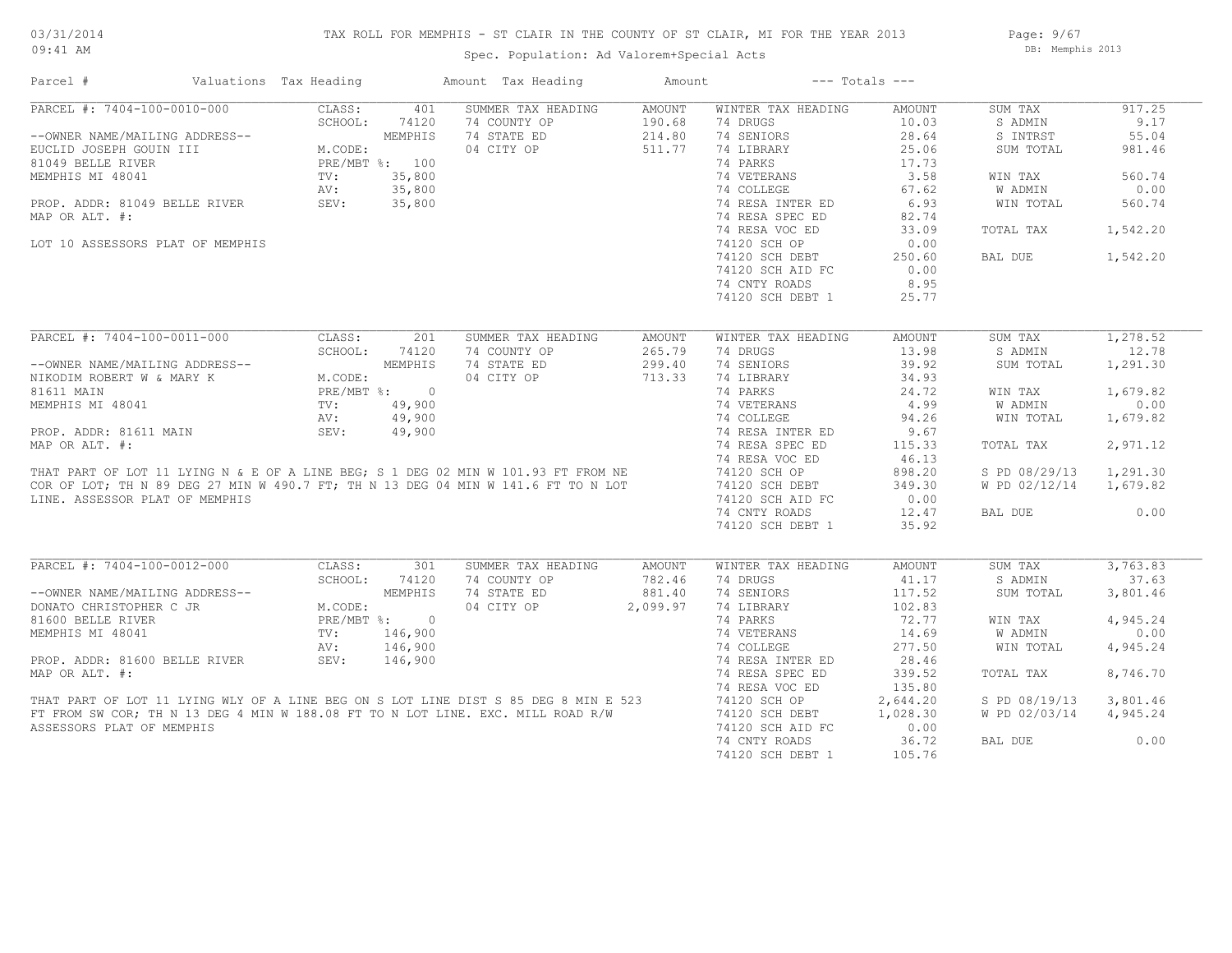## TAX ROLL FOR MEMPHIS - ST CLAIR IN THE COUNTY OF ST CLAIR, MI FOR THE YEAR 2013

09:41 AM

## Spec. Population: Ad Valorem+Special Acts

Page: 9/67 DB: Memphis 2013

| Parcel #                         | Valuations Tax Heading |               |                             | Amount Tax Heading                                                                  | Amount   |                    | $---$ Totals $---$ |                |          |
|----------------------------------|------------------------|---------------|-----------------------------|-------------------------------------------------------------------------------------|----------|--------------------|--------------------|----------------|----------|
| PARCEL #: 7404-100-0010-000      |                        | CLASS:        | 401                         | SUMMER TAX HEADING                                                                  | AMOUNT   | WINTER TAX HEADING | AMOUNT             | SUM TAX        | 917.25   |
|                                  |                        | SCHOOL:       | 74120                       | 74 COUNTY OP                                                                        | 190.68   | 74 DRUGS           | 10.03              | S ADMIN        | 9.17     |
| --OWNER NAME/MAILING ADDRESS--   |                        |               | MEMPHIS                     | 74 STATE ED                                                                         | 214.80   | 74 SENIORS         | 28.64              | S INTRST       | 55.04    |
| EUCLID JOSEPH GOUIN III          |                        | M.CODE:       |                             | 04 CITY OP                                                                          | 511.77   | 74 LIBRARY         | 25.06              | SUM TOTAL      | 981.46   |
| 81049 BELLE RIVER                |                        |               | PRE/MBT %: 100              |                                                                                     |          | 74 PARKS           | 17.73              |                |          |
| MEMPHIS MI 48041                 |                        | TV:           | 35,800                      |                                                                                     |          | 74 VETERANS        | 3.58               | WIN TAX        | 560.74   |
|                                  |                        | AV:           | 35,800                      |                                                                                     |          | 74 COLLEGE         | 67.62              | <b>W ADMIN</b> | 0.00     |
| PROP. ADDR: 81049 BELLE RIVER    |                        | SEV:          | 35,800                      |                                                                                     |          | 74 RESA INTER ED   | 6.93               | WIN TOTAL      | 560.74   |
| MAP OR ALT. #:                   |                        |               |                             |                                                                                     |          | 74 RESA SPEC ED    | 82.74              |                |          |
|                                  |                        |               |                             |                                                                                     |          | 74 RESA VOC ED     | 33.09              | TOTAL TAX      | 1,542.20 |
| LOT 10 ASSESSORS PLAT OF MEMPHIS |                        |               |                             |                                                                                     |          | 74120 SCH OP       | 0.00               |                |          |
|                                  |                        |               |                             |                                                                                     |          |                    |                    |                |          |
|                                  |                        |               |                             |                                                                                     |          | 74120 SCH DEBT     | 250.60             | BAL DUE        | 1,542.20 |
|                                  |                        |               |                             |                                                                                     |          | 74120 SCH AID FC   | 0.00               |                |          |
|                                  |                        |               |                             |                                                                                     |          | 74 CNTY ROADS      | 8.95               |                |          |
|                                  |                        |               |                             |                                                                                     |          | 74120 SCH DEBT 1   | 25.77              |                |          |
|                                  |                        |               |                             |                                                                                     |          |                    |                    |                |          |
| PARCEL #: 7404-100-0011-000      |                        | CLASS:        | 201                         | SUMMER TAX HEADING                                                                  | AMOUNT   | WINTER TAX HEADING | AMOUNT             | SUM TAX        | 1,278.52 |
|                                  |                        | SCHOOL:       | 74120                       | 74 COUNTY OP                                                                        | 265.79   | 74 DRUGS           | 13.98              | S ADMIN        | 12.78    |
| --OWNER NAME/MAILING ADDRESS--   |                        |               | MEMPHIS                     | 74 STATE ED                                                                         | 299.40   | 74 SENIORS         | 39.92              | SUM TOTAL      | 1,291.30 |
| NIKODIM ROBERT W & MARY K        |                        | M.CODE:       |                             | 04 CITY OP                                                                          | 713.33   | 74 LIBRARY         | 34.93              |                |          |
| 81611 MAIN                       |                        |               | PRE/MBT %: 0                |                                                                                     |          | 74 PARKS           | 24.72              | WIN TAX        | 1,679.82 |
| MEMPHIS MI 48041                 |                        | TV:           | 49,900                      |                                                                                     |          | 74 VETERANS        | 4.99               | <b>W ADMIN</b> | 0.00     |
|                                  |                        | AV:           | 49,900                      |                                                                                     |          | 74 COLLEGE         | 94.26              | WIN TOTAL      | 1,679.82 |
| PROP. ADDR: 81611 MAIN           |                        | SEV:          | 49,900                      |                                                                                     |          | 74 RESA INTER ED   | 9.67               |                |          |
| MAP OR ALT. #:                   |                        |               |                             |                                                                                     |          | 74 RESA SPEC ED    | 115.33             | TOTAL TAX      | 2,971.12 |
|                                  |                        |               |                             |                                                                                     |          | 74 RESA VOC ED     | 46.13              |                |          |
|                                  |                        |               |                             |                                                                                     |          |                    |                    |                |          |
|                                  |                        |               |                             | THAT PART OF LOT 11 LYING N & E OF A LINE BEG; S 1 DEG 02 MIN W 101.93 FT FROM NE   |          | 74120 SCH OP       | 898.20             | S PD 08/29/13  | 1,291.30 |
|                                  |                        |               |                             | COR OF LOT; TH N 89 DEG 27 MIN W 490.7 FT; TH N 13 DEG 04 MIN W 141.6 FT TO N LOT   |          | 74120 SCH DEBT     | 349.30             | W PD 02/12/14  | 1,679.82 |
| LINE. ASSESSOR PLAT OF MEMPHIS   |                        |               |                             |                                                                                     |          | 74120 SCH AID FC   | 0.00               |                |          |
|                                  |                        |               |                             |                                                                                     |          | 74 CNTY ROADS      | 12.47              | BAL DUE        | 0.00     |
|                                  |                        |               |                             |                                                                                     |          | 74120 SCH DEBT 1   | 35.92              |                |          |
|                                  |                        |               |                             |                                                                                     |          |                    |                    |                |          |
| PARCEL #: 7404-100-0012-000      |                        | CLASS:        | 301                         | SUMMER TAX HEADING                                                                  | AMOUNT   | WINTER TAX HEADING | AMOUNT             | SUM TAX        | 3,763.83 |
|                                  |                        | SCHOOL:       | 74120                       | 74 COUNTY OP                                                                        | 782.46   | 74 DRUGS           | 41.17              | S ADMIN        | 37.63    |
| --OWNER NAME/MAILING ADDRESS--   |                        |               | MEMPHIS                     | 74 STATE ED                                                                         | 881.40   | 74 SENIORS         | 117.52             | SUM TOTAL      | 3,801.46 |
| DONATO CHRISTOPHER C JR          |                        | M.CODE:       |                             | 04 CITY OP                                                                          | 2,099.97 | 74 LIBRARY         | 102.83             |                |          |
| 81600 BELLE RIVER                |                        |               | $PRE/MBT$ $\frac{1}{6}$ : 0 |                                                                                     |          | 74 PARKS           | 72.77              | WIN TAX        | 4,945.24 |
| MEMPHIS MI 48041                 |                        | $\text{TV}$ : | 146,900                     |                                                                                     |          | 74 VETERANS        | 14.69              | W ADMIN        | 0.00     |
|                                  |                        | AV:           | 146,900                     |                                                                                     |          | 74 COLLEGE         | 277.50             | WIN TOTAL      | 4,945.24 |
| PROP. ADDR: 81600 BELLE RIVER    |                        | SEV:          | 146,900                     |                                                                                     |          | 74 RESA INTER ED   | 28.46              |                |          |
| MAP OR ALT. #:                   |                        |               |                             |                                                                                     |          | 74 RESA SPEC ED    | 339.52             | TOTAL TAX      | 8,746.70 |
|                                  |                        |               |                             |                                                                                     |          | 74 RESA VOC ED     | 135.80             |                |          |
|                                  |                        |               |                             | THAT PART OF LOT 11 LYING WLY OF A LINE BEG ON S LOT LINE DIST S 85 DEG 8 MIN E 523 |          | 74120 SCH OP       | 2,644.20           | S PD 08/19/13  | 3,801.46 |
|                                  |                        |               |                             | FT FROM SW COR; TH N 13 DEG 4 MIN W 188.08 FT TO N LOT LINE. EXC. MILL ROAD R/W     |          | 74120 SCH DEBT     | 1,028.30           | W PD 02/03/14  | 4,945.24 |
| ASSESSORS PLAT OF MEMPHIS        |                        |               |                             |                                                                                     |          | 74120 SCH AID FC   | 0.00               |                |          |
|                                  |                        |               |                             |                                                                                     |          | 74 CNTY ROADS      | 36.72              | BAL DUE        | 0.00     |
|                                  |                        |               |                             |                                                                                     |          |                    |                    |                |          |
|                                  |                        |               |                             |                                                                                     |          | 74120 SCH DEBT 1   | 105.76             |                |          |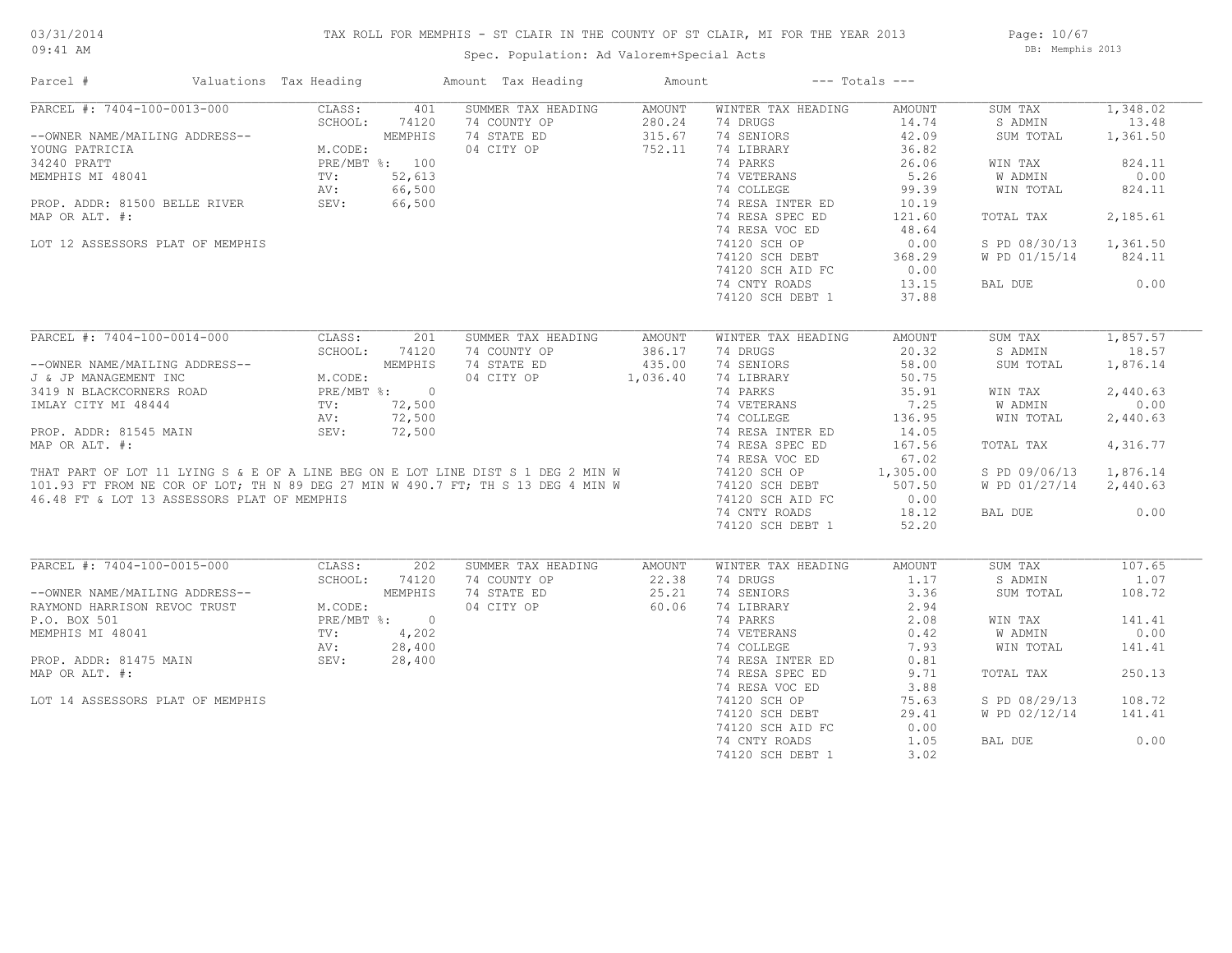## TAX ROLL FOR MEMPHIS - ST CLAIR IN THE COUNTY OF ST CLAIR, MI FOR THE YEAR 2013

09:41 AM

## Spec. Population: Ad Valorem+Special Acts

Page: 10/67 DB: Memphis 2013

| Parcel #                                                                                                                                                                               | Valuations Tax Heading |               | Amount Tax Heading | Amount   |                           | $---$ Totals $---$ |                        |          |
|----------------------------------------------------------------------------------------------------------------------------------------------------------------------------------------|------------------------|---------------|--------------------|----------|---------------------------|--------------------|------------------------|----------|
| PARCEL #: 7404-100-0013-000                                                                                                                                                            | CLASS:                 | 401           | SUMMER TAX HEADING | AMOUNT   | WINTER TAX HEADING        | AMOUNT             | SUM TAX                | 1,348.02 |
|                                                                                                                                                                                        | SCHOOL:                | 74120         | 74 COUNTY OP       | 280.24   | 74 DRUGS                  | 14.74              | S ADMIN                | 13.48    |
| --OWNER NAME/MAILING ADDRESS--<br>YOUNG PATRICIA MEMPHIS<br>34240 PRATT PRE/MBT %: 100<br>MEMPHIS MI 48041 TV: 52,613<br>PROP. ADDR: 81500 BELLE RIVER SEV: 66,500<br>MAR OP ALT #:    |                        |               | 74 STATE ED        | 315.67   | 74 SENIORS                | 42.09              | SUM TOTAL              | 1,361.50 |
|                                                                                                                                                                                        |                        |               | 04 CITY OP         | 752.11   | 74 LIBRARY                | 36.82              |                        |          |
|                                                                                                                                                                                        |                        |               |                    |          | 74 PARKS                  | 26.06              | WIN TAX                | 824.11   |
|                                                                                                                                                                                        |                        |               |                    |          | 74 VETERANS               | 5.26               | W ADMIN                | 0.00     |
|                                                                                                                                                                                        |                        |               |                    |          | 74 COLLEGE                | 99.39              | WIN TOTAL              | 824.11   |
|                                                                                                                                                                                        |                        |               |                    |          | 74 RESA INTER ED          | 10.19              |                        |          |
| MAP OR ALT. #:                                                                                                                                                                         |                        |               |                    |          | 74 RESA SPEC ED           | 121.60             | TOTAL TAX              | 2,185.61 |
|                                                                                                                                                                                        |                        |               |                    |          |                           |                    |                        |          |
|                                                                                                                                                                                        |                        |               |                    |          | 74 RESA VOC ED            | 48.64              |                        |          |
| LOT 12 ASSESSORS PLAT OF MEMPHIS                                                                                                                                                       |                        |               |                    |          | 74120 SCH OP              | 0.00               | S PD 08/30/13          | 1,361.50 |
|                                                                                                                                                                                        |                        |               |                    |          | 74120 SCH DEBT            | 368.29             | W PD 01/15/14          | 824.11   |
|                                                                                                                                                                                        |                        |               |                    |          | 74120 SCH AID FC          | 0.00               |                        |          |
|                                                                                                                                                                                        |                        |               |                    |          | 74 CNTY ROADS             | 13.15              | BAL DUE                | 0.00     |
|                                                                                                                                                                                        |                        |               |                    |          | 74120 SCH DEBT 1          | 37.88              |                        |          |
|                                                                                                                                                                                        |                        |               |                    |          |                           |                    |                        |          |
| PARCEL #: 7404-100-0014-000                                                                                                                                                            | CLASS:                 | 201           | SUMMER TAX HEADING | AMOUNT   | WINTER TAX HEADING        | AMOUNT             | SUM TAX                | 1,857.57 |
|                                                                                                                                                                                        |                        | SCHOOL: 74120 | 74 COUNTY OP       | 386.17   | 74 DRUGS                  | 20.32              | S ADMIN                | 18.57    |
| --OWNER NAME/MAILING ADDRESS--<br>J & JP MANAGEMENT INC<br>3419 N BLACKCORNERS ROAD<br>IMLAY CITY MI 48444<br>TV: 72,500<br>AV: 72,500                                                 |                        |               | 74 STATE ED        | 435.00   | 74 SENIORS                | 58.00              | SUM TOTAL              | 1,876.14 |
|                                                                                                                                                                                        |                        |               | 04 CITY OP         | 1,036.40 | 74 LIBRARY                | 50.75              |                        |          |
|                                                                                                                                                                                        |                        |               |                    |          | 74 PARKS                  | 35.91              | WIN TAX                | 2,440.63 |
|                                                                                                                                                                                        |                        |               |                    |          | 74 VETERANS               | 7.25               | W ADMIN                | 0.00     |
|                                                                                                                                                                                        |                        |               |                    |          | 74 COLLEGE                | 136.95             | WIN TOTAL              | 2,440.63 |
| PROP. ADDR: 81545 MAIN                                                                                                                                                                 | SEV:                   | 72,500        |                    |          | 74 RESA INTER ED          | 14.05              |                        |          |
| MAP OR ALT. #:                                                                                                                                                                         |                        |               |                    |          | 74 RESA SPEC ED           | 167.56             | TOTAL TAX              | 4,316.77 |
|                                                                                                                                                                                        |                        |               |                    |          | 74 RESA VOC ED            | 67.02              |                        |          |
| WAF OR ALL. #.<br>THAT PART OF LOT 11 LYING S & E OF A LINE BEG ON E LOT LINE DIST S 1 DEG 2 MIN W<br>101.93 FT FROM NE COR OF LOT; TH N 89 DEG 27 MIN W 490.7 FT; TH S 13 DEG 4 MIN W |                        |               |                    |          | 74120 SCH OP              | 1,305.00           | S PD 09/06/13          | 1,876.14 |
|                                                                                                                                                                                        |                        |               |                    |          | 74120 SCH DEBT            | 507.50             | W PD 01/27/14 2,440.63 |          |
|                                                                                                                                                                                        |                        |               |                    |          |                           |                    |                        |          |
| 46.48 FT & LOT 13 ASSESSORS PLAT OF MEMPHIS                                                                                                                                            |                        |               |                    |          | 74120 SCH AID FC          | 0.00               |                        |          |
|                                                                                                                                                                                        |                        |               |                    |          | 74 CNTY ROADS             | 18.12              | BAL DUE                | 0.00     |
|                                                                                                                                                                                        |                        |               |                    |          | 74120 SCH DEBT 1          | 52.20              |                        |          |
| PARCEL #: 7404-100-0015-000                                                                                                                                                            | CLASS:                 | 202           | SUMMER TAX HEADING | AMOUNT   | WINTER TAX HEADING        | AMOUNT             | SUM TAX                | 107.65   |
|                                                                                                                                                                                        | SCHOOL:                | 74120         | 74 COUNTY OP       | 22.38    | 74 DRUGS                  | 1.17               | S ADMIN                | 1.07     |
|                                                                                                                                                                                        |                        |               | 74 STATE ED        | 25.21    | 74 SENIORS                | 3.36               | SUM TOTAL              | 108.72   |
|                                                                                                                                                                                        |                        |               | 04 CITY OP         | 60.06    | 74 LIBRARY                | 2.94               |                        |          |
|                                                                                                                                                                                        |                        |               |                    |          | 74 PARKS                  | 2.08               | WIN TAX                | 141.41   |
|                                                                                                                                                                                        |                        |               |                    |          |                           |                    |                        | 0.00     |
| --OWNER NAME/MAILING ADDRESS--<br>RAYMOND HARRISON REVOC TRUST<br>P.O. BOX 501<br>MEMPHIS MI 48041<br>MEMPHIS MI 48041<br>TV: 4,202<br>AV: 28,400                                      |                        |               |                    |          | 74 VETERANS<br>74 COLLEGE | 0.42               | W ADMIN                |          |
|                                                                                                                                                                                        |                        |               |                    |          |                           | 7.93               | WIN TOTAL              | 141.41   |
| PROP. ADDR: 81475 MAIN                                                                                                                                                                 | SEV:                   | 28,400        |                    |          | 74 RESA INTER ED          | 0.81               |                        |          |
| MAP OR ALT. #:                                                                                                                                                                         |                        |               |                    |          | 74 RESA SPEC ED           | 9.71               | TOTAL TAX              | 250.13   |
|                                                                                                                                                                                        |                        |               |                    |          | 74 RESA VOC ED            | 3.88               |                        |          |
| LOT 14 ASSESSORS PLAT OF MEMPHIS                                                                                                                                                       |                        |               |                    |          | 74120 SCH OP              | 75.63              | S PD 08/29/13          | 108.72   |
|                                                                                                                                                                                        |                        |               |                    |          | 74120 SCH DEBT            | 29.41              | W PD 02/12/14          | 141.41   |
|                                                                                                                                                                                        |                        |               |                    |          | 74120 SCH AID FC          | 0.00               |                        |          |
|                                                                                                                                                                                        |                        |               |                    |          | 74 CNTY ROADS             | 1.05               | BAL DUE                | 0.00     |
|                                                                                                                                                                                        |                        |               |                    |          | 74120 SCH DEBT 1          | 3.02               |                        |          |
|                                                                                                                                                                                        |                        |               |                    |          |                           |                    |                        |          |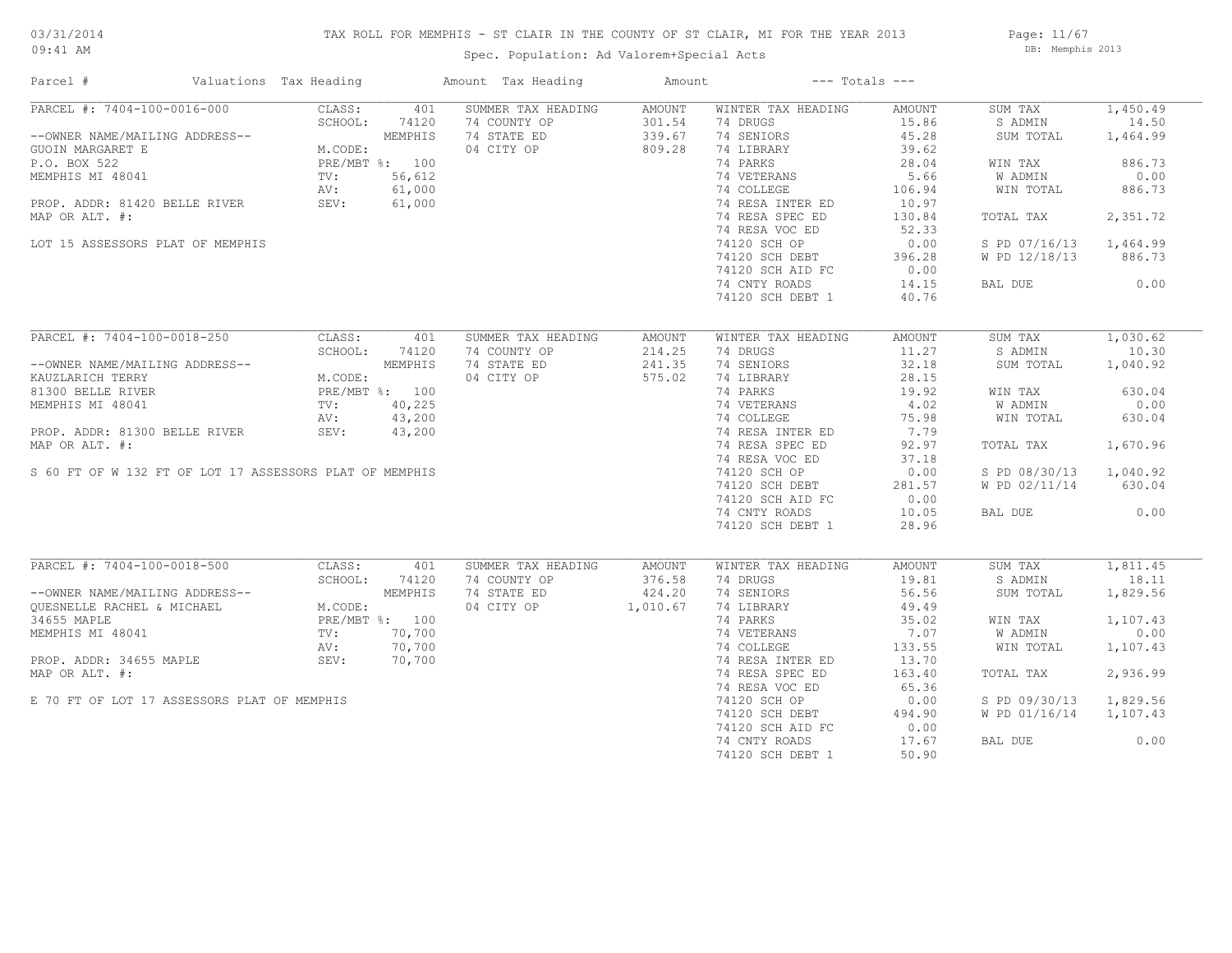## TAX ROLL FOR MEMPHIS - ST CLAIR IN THE COUNTY OF ST CLAIR, MI FOR THE YEAR 2013

Spec. Population: Ad Valorem+Special Acts

Page: 11/67 DB: Memphis 2013

| Parcel #                                                                                                                                                                                                                                                                                                                                                                                                      | Valuations Tax Heading                                                      |            | Amount Tax Heading  | Amount                     | $---$ Totals $---$        |        |                        |          |
|---------------------------------------------------------------------------------------------------------------------------------------------------------------------------------------------------------------------------------------------------------------------------------------------------------------------------------------------------------------------------------------------------------------|-----------------------------------------------------------------------------|------------|---------------------|----------------------------|---------------------------|--------|------------------------|----------|
| PARCEL #: 7404-100-0016-000                                                                                                                                                                                                                                                                                                                                                                                   |                                                                             | CLASS: 401 | SUMMER TAX HEADING  | AMOUNT                     | WINTER TAX HEADING        | AMOUNT | SUM TAX                | 1,450.49 |
| $\begin{tabular}{lllllllllllll} $\text{--}\text{OWNER} $\text{NAME}/\text{MALLING} $\text{ADDRESS--} $ & \text{SCHOOL:} & $74120$ \\ \text{GUOIN} $\text{MARGARET} $\text{E}$ & & & & & \text{MEMPHIS} \\ \text{P.O. BOX 522} & & & & \text{PRE}/\text{MBT} $\text{*}$: & $100$ \\ \text{MEMPHIS} $\text{MI}$ & $48041$ & & & \text{TV:} & 56,612 \\ & & & & & \text{AV:} & & & \text{0.00} \\ \end{tabular}$ |                                                                             |            | 74 COUNTY OP        | 301.54                     | 74 DRUGS                  | 15.86  | S ADMIN                | 14.50    |
|                                                                                                                                                                                                                                                                                                                                                                                                               |                                                                             |            | 74 STATE ED         | 339.67                     | 74 SENIORS                | 45.28  | SUM TOTAL              | 1,464.99 |
|                                                                                                                                                                                                                                                                                                                                                                                                               |                                                                             |            | 04 CITY OP          | 809.28                     | 74 LIBRARY                | 39.62  |                        |          |
|                                                                                                                                                                                                                                                                                                                                                                                                               |                                                                             |            |                     |                            | 74 PARKS                  | 28.04  | WIN TAX                | 886.73   |
|                                                                                                                                                                                                                                                                                                                                                                                                               |                                                                             |            |                     |                            | 74 VETERANS               | 5.66   | W ADMIN                | 0.00     |
|                                                                                                                                                                                                                                                                                                                                                                                                               |                                                                             |            |                     |                            | 74 COLLEGE                | 106.94 | WIN TOTAL              | 886.73   |
| ROP. ADDR: 81420 BELLE RIVER AV: 61,000<br>W. SEV: 61,000                                                                                                                                                                                                                                                                                                                                                     |                                                                             |            |                     |                            | 74 RESA INTER ED          | 10.97  |                        |          |
| MAP OR ALT. #:                                                                                                                                                                                                                                                                                                                                                                                                |                                                                             |            |                     |                            | 74 RESA SPEC ED           | 130.84 | TOTAL TAX              | 2,351.72 |
|                                                                                                                                                                                                                                                                                                                                                                                                               |                                                                             |            |                     |                            | 74 RESA VOC ED            | 52.33  |                        |          |
| LOT 15 ASSESSORS PLAT OF MEMPHIS                                                                                                                                                                                                                                                                                                                                                                              |                                                                             |            |                     |                            | 74120 SCH OP              | 0.00   | S PD 07/16/13          | 1,464.99 |
|                                                                                                                                                                                                                                                                                                                                                                                                               |                                                                             |            |                     |                            |                           |        |                        |          |
|                                                                                                                                                                                                                                                                                                                                                                                                               |                                                                             |            |                     |                            | 74120 SCH DEBT            | 396.28 | W PD 12/18/13          | 886.73   |
|                                                                                                                                                                                                                                                                                                                                                                                                               |                                                                             |            |                     |                            | 74120 SCH AID FC          | 0.00   |                        |          |
|                                                                                                                                                                                                                                                                                                                                                                                                               |                                                                             |            |                     |                            | 74 CNTY ROADS             | 14.15  | BAL DUE                | 0.00     |
|                                                                                                                                                                                                                                                                                                                                                                                                               |                                                                             |            |                     |                            | 74120 SCH DEBT 1          | 40.76  |                        |          |
|                                                                                                                                                                                                                                                                                                                                                                                                               |                                                                             |            |                     |                            |                           |        |                        |          |
| PARCEL #: 7404-100-0018-250                                                                                                                                                                                                                                                                                                                                                                                   | CLASS:                                                                      | 401        | SUMMER TAX HEADING  | AMOUNT                     | WINTER TAX HEADING        | AMOUNT | SUM TAX                | 1,030.62 |
|                                                                                                                                                                                                                                                                                                                                                                                                               | SCHOOL:                                                                     | 74120      | 74 COUNTY OP        | 214.25                     | 74 DRUGS                  | 11.27  | S ADMIN                | 10.30    |
| --OWNER NAME/MAILING ADDRESS--                                                                                                                                                                                                                                                                                                                                                                                |                                                                             |            | 74 STATE ED         | 241.35                     | 74 SENIORS                | 32.18  | SUM TOTAL              | 1,040.92 |
| KAUZLARICH TERRY                                                                                                                                                                                                                                                                                                                                                                                              | MEMPHIS<br>M.CODE:<br>M.CODE:<br>PRE/MBT %: 100<br>TV: 40,225<br>AV: 43,200 |            | 04 CITY OP          | 575.02                     | 74 LIBRARY                | 28.15  |                        |          |
| 81300 BELLE RIVER                                                                                                                                                                                                                                                                                                                                                                                             |                                                                             |            |                     |                            | 74 PARKS                  | 19.92  | WIN TAX                | 630.04   |
| MEMPHIS MI 48041                                                                                                                                                                                                                                                                                                                                                                                              |                                                                             |            |                     |                            | 74 VETERANS<br>74 COLLEGE | 4.02   | W ADMIN                | 0.00     |
|                                                                                                                                                                                                                                                                                                                                                                                                               |                                                                             |            |                     |                            |                           | 75.98  | WIN TOTAL              | 630.04   |
| PROP. ADDR: 81300 BELLE RIVER                                                                                                                                                                                                                                                                                                                                                                                 | SEV:                                                                        | 43,200     |                     |                            | 74 RESA INTER ED          | 7.79   |                        |          |
| MAP OR ALT. #:                                                                                                                                                                                                                                                                                                                                                                                                |                                                                             |            |                     |                            | 74 RESA SPEC ED           | 92.97  | TOTAL TAX              | 1,670.96 |
|                                                                                                                                                                                                                                                                                                                                                                                                               |                                                                             |            |                     |                            | 74 RESA VOC ED            | 37.18  |                        |          |
| S 60 FT OF W 132 FT OF LOT 17 ASSESSORS PLAT OF MEMPHIS                                                                                                                                                                                                                                                                                                                                                       |                                                                             |            |                     |                            | 74120 SCH OP              | 0.00   | S PD 08/30/13 1,040.92 |          |
|                                                                                                                                                                                                                                                                                                                                                                                                               |                                                                             |            |                     |                            | 74120 SCH DEBT            | 281.57 | W PD 02/11/14          | 630.04   |
|                                                                                                                                                                                                                                                                                                                                                                                                               |                                                                             |            |                     |                            | 74120 SCH AID FC          | 0.00   |                        |          |
|                                                                                                                                                                                                                                                                                                                                                                                                               |                                                                             |            |                     |                            |                           |        |                        | 0.00     |
|                                                                                                                                                                                                                                                                                                                                                                                                               |                                                                             |            |                     |                            | 74 CNTY ROADS             | 10.05  | BAL DUE                |          |
|                                                                                                                                                                                                                                                                                                                                                                                                               |                                                                             |            |                     |                            | 74120 SCH DEBT 1          | 28.96  |                        |          |
|                                                                                                                                                                                                                                                                                                                                                                                                               |                                                                             |            |                     |                            |                           |        |                        |          |
| PARCEL #: 7404-100-0018-500                                                                                                                                                                                                                                                                                                                                                                                   | CLASS:                                                                      | 401        | SUMMER TAX HEADING  | AMOUNT                     | WINTER TAX HEADING        | AMOUNT | SUM TAX                | 1,811.45 |
|                                                                                                                                                                                                                                                                                                                                                                                                               | SCHOOL:                                                                     | 74120      | 74 COUNTY OP        | 376.58<br>376.58<br>424.20 | 74 DRUGS                  | 19.81  | S ADMIN                | 18.11    |
| --OWNER NAME/MAILING ADDRESS--<br>QUESNELLE RACHEL & MICHAEL MEMPHIS<br>34655 MAPLE MEMPHIS MI 48041 PV: 70,700<br>PROP. ADDR: 34655 MAPLE SEV: 70,700<br>PROP. ADDR: 34655 MAPLE SEV: 70,700                                                                                                                                                                                                                 |                                                                             |            | 74 STATE ED         |                            | 74 SENIORS                | 56.56  | SUM TOTAL              | 1,829.56 |
|                                                                                                                                                                                                                                                                                                                                                                                                               |                                                                             |            | 04 CITY OP 1,010.67 |                            | 74 LIBRARY                | 49.49  |                        |          |
|                                                                                                                                                                                                                                                                                                                                                                                                               |                                                                             |            |                     |                            | 74 PARKS                  | 35.02  | WIN TAX                | 1,107.43 |
|                                                                                                                                                                                                                                                                                                                                                                                                               |                                                                             |            |                     |                            | 74 VETERANS               | 7.07   | W ADMIN                | 0.00     |
|                                                                                                                                                                                                                                                                                                                                                                                                               |                                                                             |            |                     |                            | ED<br>ED<br>74 COLLEGE    | 133.55 | WIN TOTAL              | 1,107.43 |
|                                                                                                                                                                                                                                                                                                                                                                                                               |                                                                             |            |                     |                            | 74 RESA INTER ED          | 13.70  |                        |          |
| MAP OR ALT. #:                                                                                                                                                                                                                                                                                                                                                                                                |                                                                             |            |                     |                            | 74 RESA SPEC ED           | 163.40 | TOTAL TAX              | 2,936.99 |
|                                                                                                                                                                                                                                                                                                                                                                                                               |                                                                             |            |                     |                            | 74 RESA VOC ED            | 65.36  |                        |          |
| E 70 FT OF LOT 17 ASSESSORS PLAT OF MEMPHIS                                                                                                                                                                                                                                                                                                                                                                   |                                                                             |            |                     |                            | 74120 SCH OP              | 0.00   | S PD 09/30/13          | 1,829.56 |
|                                                                                                                                                                                                                                                                                                                                                                                                               |                                                                             |            |                     |                            | 74120 SCH DEBT            | 494.90 | W PD 01/16/14 1,107.43 |          |
|                                                                                                                                                                                                                                                                                                                                                                                                               |                                                                             |            |                     |                            | 74120 SCH AID FC          | 0.00   |                        |          |
|                                                                                                                                                                                                                                                                                                                                                                                                               |                                                                             |            |                     |                            | 74 CNTY ROADS             | 17.67  | BAL DUE                | 0.00     |
|                                                                                                                                                                                                                                                                                                                                                                                                               |                                                                             |            |                     |                            | 74120 SCH DEBT 1          | 50.90  |                        |          |
|                                                                                                                                                                                                                                                                                                                                                                                                               |                                                                             |            |                     |                            |                           |        |                        |          |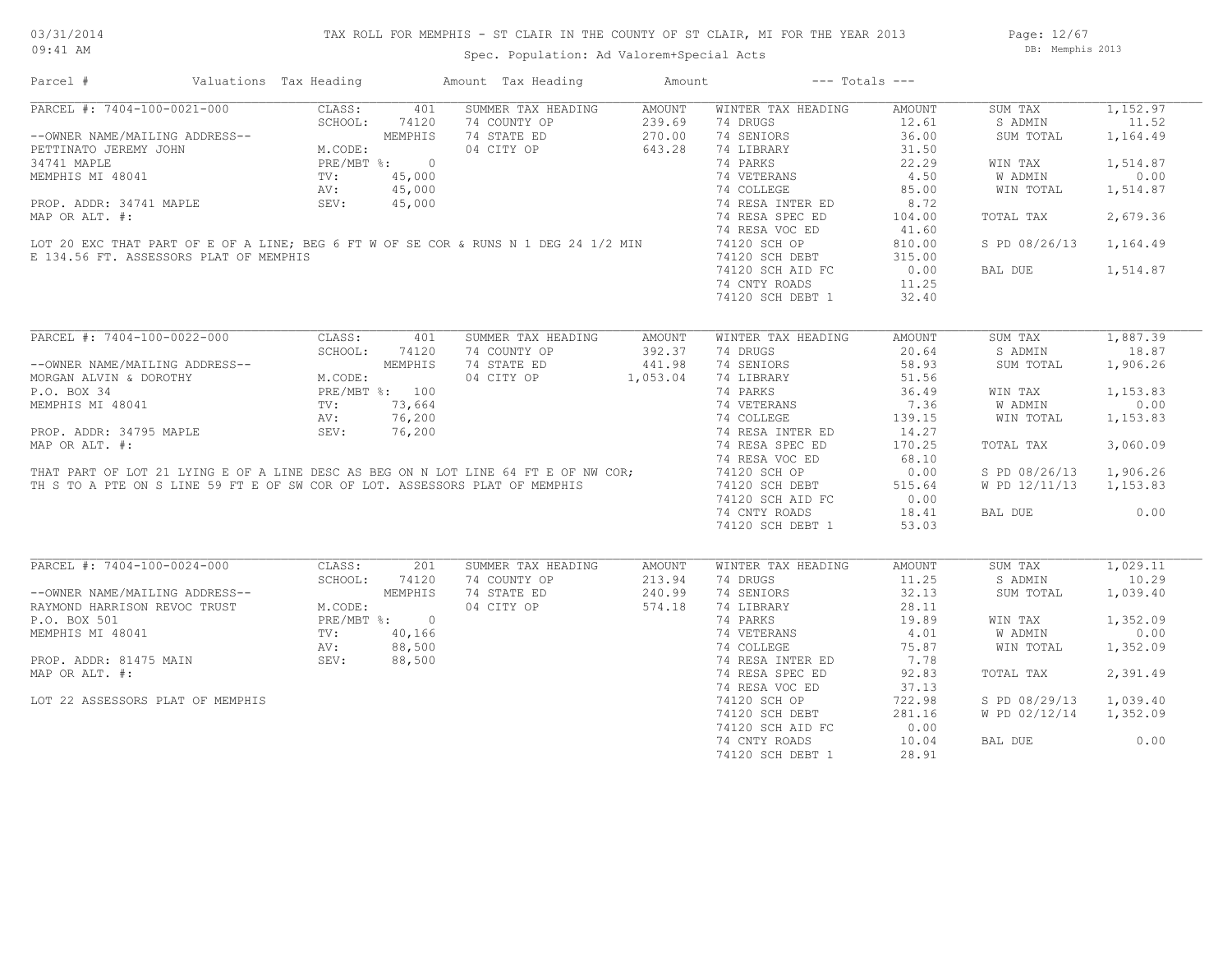Spec. Population: Ad Valorem+Special Acts

| Parcel #                                                                                          | Valuations Tax Heading                                                                                                                                                                                                                                                                                       |              | Amount Tax Heading                                                                                                                                                | Amount        | $---$ Totals $---$ |               |               |          |
|---------------------------------------------------------------------------------------------------|--------------------------------------------------------------------------------------------------------------------------------------------------------------------------------------------------------------------------------------------------------------------------------------------------------------|--------------|-------------------------------------------------------------------------------------------------------------------------------------------------------------------|---------------|--------------------|---------------|---------------|----------|
| PARCEL #: 7404-100-0021-000                                                                       | CLASS:                                                                                                                                                                                                                                                                                                       | 401          | SUMMER TAX HEADING                                                                                                                                                | <b>AMOUNT</b> | WINTER TAX HEADING | <b>AMOUNT</b> | SUM TAX       | 1,152.97 |
|                                                                                                   | SCHOOL:<br>$\begin{minipage}{0.9\linewidth} \begin{tabular}{c} \multicolumn{2}{c}{\textbf{Pr}} \\ \multicolumn{2}{c}{\textbf{Pr}} \\ \multicolumn{2}{c}{\textbf{TV}} \\ \multicolumn{2}{c}{\textbf{AV}} \\ \multicolumn{2}{c}{\textbf{NV}} \\ \multicolumn{2}{c}{\textbf{SFT}} \end{tabular} \end{minipage}$ | 74120        | 74 COUNTY OP                                                                                                                                                      | 239.69        | 74 DRUGS           | 12.61         | S ADMIN       | 11.52    |
| --OWNER NAME/MAILING ADDRESS--                                                                    |                                                                                                                                                                                                                                                                                                              | MEMPHIS      | 74 STATE ED                                                                                                                                                       | 270.00        | 74 SENIORS         | 36.00         | SUM TOTAL     | 1,164.49 |
| PETTINATO JEREMY JOHN                                                                             | M.CODE:                                                                                                                                                                                                                                                                                                      |              | 04 CITY OP                                                                                                                                                        | 643.28        | 74 LIBRARY         | 31.50         |               |          |
| 34741 MAPLE                                                                                       |                                                                                                                                                                                                                                                                                                              | PRE/MBT %: 0 |                                                                                                                                                                   |               | 74 PARKS           | 22.29         | WIN TAX       | 1,514.87 |
| MEMPHIS MI 48041                                                                                  |                                                                                                                                                                                                                                                                                                              | 45,000       |                                                                                                                                                                   |               | 74 VETERANS        | 4.50          | W ADMIN       | 0.00     |
|                                                                                                   |                                                                                                                                                                                                                                                                                                              | 45,000       |                                                                                                                                                                   |               | 74 COLLEGE         | 85.00         | WIN TOTAL     | 1,514.87 |
| PROP. ADDR: 34741 MAPLE                                                                           |                                                                                                                                                                                                                                                                                                              | 45,000       |                                                                                                                                                                   |               | 74 RESA INTER ED   | 8.72          |               |          |
| MAP OR ALT. #:                                                                                    |                                                                                                                                                                                                                                                                                                              |              |                                                                                                                                                                   |               | 74 RESA SPEC ED    | 104.00        | TOTAL TAX     | 2,679.36 |
|                                                                                                   |                                                                                                                                                                                                                                                                                                              |              |                                                                                                                                                                   |               |                    |               |               |          |
|                                                                                                   |                                                                                                                                                                                                                                                                                                              |              |                                                                                                                                                                   |               | 74 RESA VOC ED     | 41.60         |               |          |
|                                                                                                   |                                                                                                                                                                                                                                                                                                              |              | LOT 20 EXC THAT PART OF E OF A LINE; BEG 6 FT W OF SE COR & RUNS N 1 DEG 24 1/2 MIN                                                                               |               | 74120 SCH OP       | 810.00        | S PD 08/26/13 | 1,164.49 |
| E 134.56 FT. ASSESSORS PLAT OF MEMPHIS                                                            |                                                                                                                                                                                                                                                                                                              |              |                                                                                                                                                                   |               | 74120 SCH DEBT     | 315.00        |               |          |
|                                                                                                   |                                                                                                                                                                                                                                                                                                              |              |                                                                                                                                                                   |               | 74120 SCH AID FC   | 0.00          | BAL DUE       | 1,514.87 |
|                                                                                                   |                                                                                                                                                                                                                                                                                                              |              |                                                                                                                                                                   |               | 74 CNTY ROADS      | 11.25         |               |          |
|                                                                                                   |                                                                                                                                                                                                                                                                                                              |              |                                                                                                                                                                   |               | 74120 SCH DEBT 1   | 32.40         |               |          |
|                                                                                                   |                                                                                                                                                                                                                                                                                                              |              |                                                                                                                                                                   |               |                    |               |               |          |
| PARCEL #: 7404-100-0022-000                                                                       | SCHOOL: 741<br>SCHOOL: 741<br>MEMPHI.<br>M.CODE: PRE/MBT %: 100<br>TV: 73.66                                                                                                                                                                                                                                 |              | SUMMER TAX HEADING                                                                                                                                                | AMOUNT        | WINTER TAX HEADING | AMOUNT        | SUM TAX       | 1,887.39 |
|                                                                                                   |                                                                                                                                                                                                                                                                                                              |              | 74 COUNTY OP                                                                                                                                                      | 392.37        | 74 DRUGS           | 20.64         | S ADMIN       | 18.87    |
| --OWNER NAME/MAILING ADDRESS--                                                                    |                                                                                                                                                                                                                                                                                                              |              | 74 STATE ED                                                                                                                                                       | 441.98        | 74 SENIORS         | 58.93         | SUM TOTAL     | 1,906.26 |
| MORGAN ALVIN & DOROTHY                                                                            |                                                                                                                                                                                                                                                                                                              |              | 04 CITY OP                                                                                                                                                        | 1,053.04      | 74 LIBRARY         | 51.56         |               |          |
|                                                                                                   |                                                                                                                                                                                                                                                                                                              |              |                                                                                                                                                                   |               |                    |               |               |          |
| P.O. BOX 34                                                                                       |                                                                                                                                                                                                                                                                                                              |              |                                                                                                                                                                   |               | 74 PARKS           | 36.49         | WIN TAX       | 1,153.83 |
| MEMPHIS MI 48041                                                                                  |                                                                                                                                                                                                                                                                                                              |              |                                                                                                                                                                   |               | 74 VETERANS        | 7.36          | W ADMIN       | 0.00     |
|                                                                                                   |                                                                                                                                                                                                                                                                                                              |              |                                                                                                                                                                   |               | 74 COLLEGE         | 139.15        | WIN TOTAL     | 1,153.83 |
| PROP. ADDR: 34795 MAPLE                                                                           | SEV:                                                                                                                                                                                                                                                                                                         | 76,200       |                                                                                                                                                                   |               | 74 RESA INTER ED   | 14.27         |               |          |
| MAP OR ALT. #:                                                                                    |                                                                                                                                                                                                                                                                                                              |              |                                                                                                                                                                   |               | 74 RESA SPEC ED    | 170.25        | TOTAL TAX     | 3,060.09 |
|                                                                                                   |                                                                                                                                                                                                                                                                                                              |              |                                                                                                                                                                   |               | 74 RESA VOC ED     | 68.10         |               |          |
|                                                                                                   |                                                                                                                                                                                                                                                                                                              |              | THAT PART OF LOT 21 LYING E OF A LINE DESC AS BEG ON N LOT LINE 64 FT E OF NW COR;<br>TH S TO A PTE ON S LINE 59 FT E OF SW COR OF LOT. ASSESSORS PLAT OF MEMPHIS |               | 74120 SCH OP       | 0.00          | S PD 08/26/13 | 1,906.26 |
|                                                                                                   |                                                                                                                                                                                                                                                                                                              |              |                                                                                                                                                                   |               | 74120 SCH DEBT     | 515.64        | W PD 12/11/13 | 1,153.83 |
|                                                                                                   |                                                                                                                                                                                                                                                                                                              |              |                                                                                                                                                                   |               | 74120 SCH AID FC   | 0.00          |               |          |
|                                                                                                   |                                                                                                                                                                                                                                                                                                              |              |                                                                                                                                                                   |               | 74 CNTY ROADS      | 18.41         | BAL DUE       | 0.00     |
|                                                                                                   |                                                                                                                                                                                                                                                                                                              |              |                                                                                                                                                                   |               | 74120 SCH DEBT 1   | 53.03         |               |          |
|                                                                                                   |                                                                                                                                                                                                                                                                                                              |              |                                                                                                                                                                   |               |                    |               |               |          |
|                                                                                                   |                                                                                                                                                                                                                                                                                                              |              |                                                                                                                                                                   |               |                    |               |               |          |
| PARCEL #: 7404-100-0024-000                                                                       | CLASS:                                                                                                                                                                                                                                                                                                       | 201          | SUMMER TAX HEADING                                                                                                                                                | AMOUNT        | WINTER TAX HEADING | <b>AMOUNT</b> | SUM TAX       | 1,029.11 |
|                                                                                                   | SCHOOL:                                                                                                                                                                                                                                                                                                      | 74120        | 74 COUNTY OP                                                                                                                                                      | 213.94        | 74 DRUGS           | 11.25         | S ADMIN       | 10.29    |
|                                                                                                   |                                                                                                                                                                                                                                                                                                              | MEMPHIS      | 74 STATE ED                                                                                                                                                       | 240.99        | 74 SENIORS         | 32.13         | SUM TOTAL     | 1,039.40 |
| EXECUTION ADDRESS--<br>RAYMOND HARRISON REVOC TRUST M.CODE<br>P.O. BOX 501 DEVOC TRUST DEPARTMENT | M.CODE:                                                                                                                                                                                                                                                                                                      |              | 04 CITY OP                                                                                                                                                        | 574.18        | 74 LIBRARY         | 28.11         |               |          |
|                                                                                                   |                                                                                                                                                                                                                                                                                                              | PRE/MBT %: 0 |                                                                                                                                                                   |               | 74 PARKS           | 19.89         | WIN TAX       | 1,352.09 |
| MEMPHIS MI 48041                                                                                  | TV:                                                                                                                                                                                                                                                                                                          | 40,166       | $\frac{0}{56}$<br>00<br>00<br>00                                                                                                                                  |               | 74 VETERANS        | 4.01          | W ADMIN       | 0.00     |
|                                                                                                   | AV:                                                                                                                                                                                                                                                                                                          | 88,500       |                                                                                                                                                                   |               | 74 COLLEGE         | 75.87         | WIN TOTAL     | 1,352.09 |
| PROP. ADDR: 81475 MAIN                                                                            | SEV:                                                                                                                                                                                                                                                                                                         | 88,500       |                                                                                                                                                                   |               | 74 RESA INTER ED   | 7.78          |               |          |
| MAP OR ALT. #:                                                                                    |                                                                                                                                                                                                                                                                                                              |              |                                                                                                                                                                   |               | 74 RESA SPEC ED    | 92.83         | TOTAL TAX     | 2,391.49 |
|                                                                                                   |                                                                                                                                                                                                                                                                                                              |              |                                                                                                                                                                   |               | 74 RESA VOC ED     | 37.13         |               |          |
|                                                                                                   |                                                                                                                                                                                                                                                                                                              |              |                                                                                                                                                                   |               |                    |               |               |          |
| LOT 22 ASSESSORS PLAT OF MEMPHIS                                                                  |                                                                                                                                                                                                                                                                                                              |              |                                                                                                                                                                   |               | 74120 SCH OP       | 722.98        | S PD 08/29/13 | 1,039.40 |
|                                                                                                   |                                                                                                                                                                                                                                                                                                              |              |                                                                                                                                                                   |               | 74120 SCH DEBT     | 281.16        | W PD 02/12/14 | 1,352.09 |
|                                                                                                   |                                                                                                                                                                                                                                                                                                              |              |                                                                                                                                                                   |               | 74120 SCH AID FC   | 0.00          |               |          |
|                                                                                                   |                                                                                                                                                                                                                                                                                                              |              |                                                                                                                                                                   |               | 74 CNTY ROADS      | 10.04         | BAL DUE       | 0.00     |
|                                                                                                   |                                                                                                                                                                                                                                                                                                              |              |                                                                                                                                                                   |               | 74120 SCH DEBT 1   | 28.91         |               |          |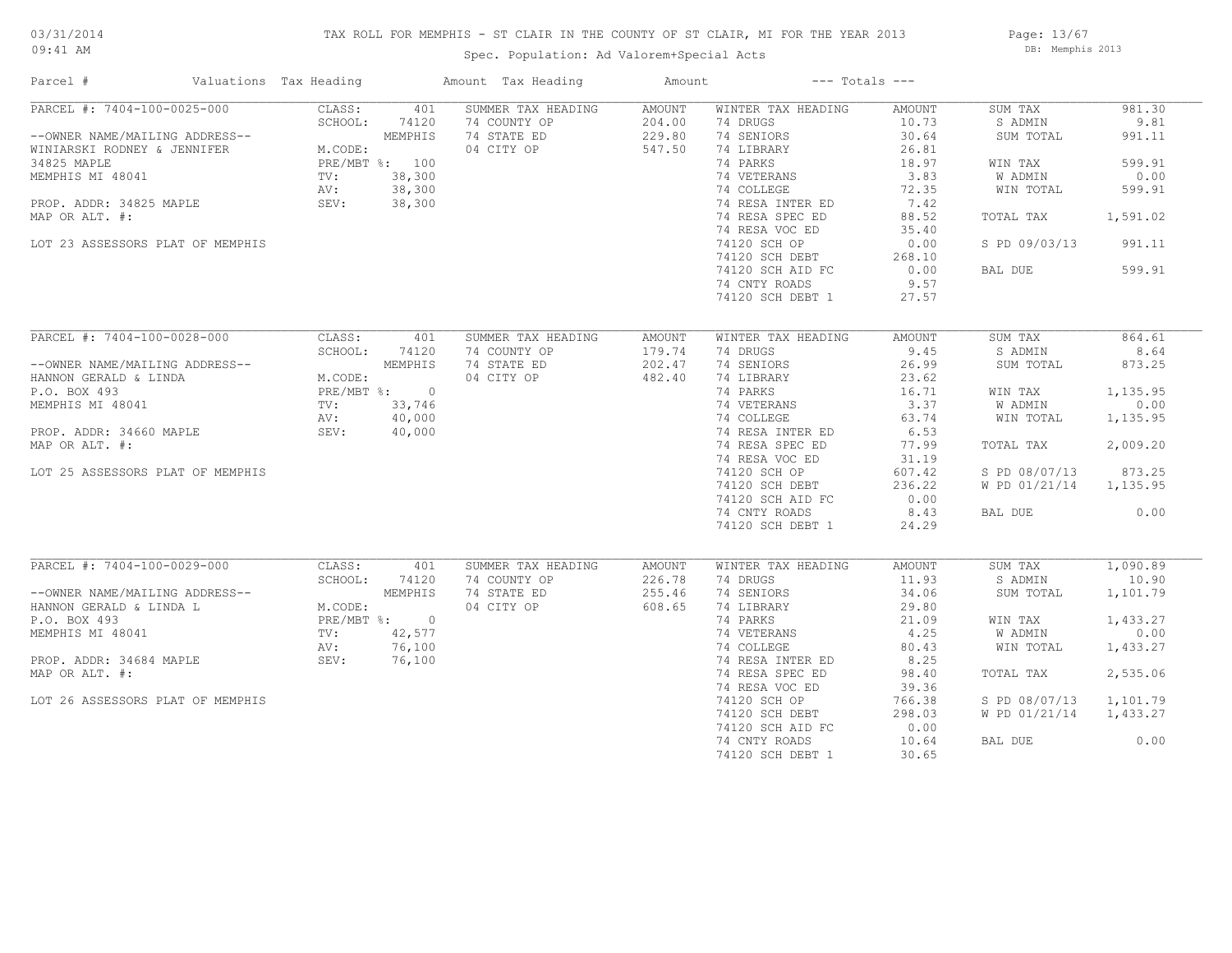## TAX ROLL FOR MEMPHIS - ST CLAIR IN THE COUNTY OF ST CLAIR, MI FOR THE YEAR 2013

09:41 AM

## Spec. Population: Ad Valorem+Special Acts

Page: 13/67 DB: Memphis 2013

| PARCEL #: 7404-100-0025-000<br>SUMMER TAX HEADING<br>CLASS:<br>401<br>AMOUNT<br>WINTER TAX HEADING<br>AMOUNT<br>SUM TAX<br>SCHOOL:<br>74120<br>74 COUNTY OP<br>204.00<br>74 DRUGS<br>10.73<br>S ADMIN<br>--OWNER NAME/MAILING ADDRESS--<br>$5$ CHOO.<br>MEMPHIS<br>74 STATE ED<br>229.80<br>74 SENIORS<br>30.64<br>SUM TOTAL<br>04 CITY OP<br>547.50<br>74 LIBRARY<br>WINIARSKI RODNEY & JENNIFER<br>M.CODE:<br>26.81<br>74 PARKS<br>34825 MAPLE<br>PRE/MBT %: 100<br>18.97<br>WIN TAX<br>$TV:$<br>AV:<br>38,300<br>74 VETERANS<br>3.83<br>MEMPHIS MI 48041<br>W ADMIN<br>38,300<br>74 COLLEGE<br>72.35<br>WIN TOTAL<br>SEV:<br>38,300<br>74 RESA INTER ED<br>7.42<br>PROP. ADDR: 34825 MAPLE<br>74 RESA SPEC ED<br>88.52<br>MAP OR ALT. #:<br>TOTAL TAX<br>74 RESA VOC ED<br>35.40<br>74120 SCH OP<br>S PD 09/03/13<br>LOT 23 ASSESSORS PLAT OF MEMPHIS<br>0.00<br>74120 SCH DEBT<br>268.10<br>74120 SCH AID FC<br>0.00<br>BAL DUE<br>599.91<br>74 CNTY ROADS<br>9.57<br>74120 SCH DEBT 1<br>27.57<br>PARCEL #: 7404-100-0028-000<br>CLASS:<br>864.61<br>401<br>SUMMER TAX HEADING<br>AMOUNT<br>WINTER TAX HEADING<br>AMOUNT<br>SUM TAX<br>SCHOOL:<br>74 COUNTY OP<br>179.74<br>74 DRUGS<br>9.45<br>S ADMIN<br>8.64<br>74120<br>74 STATE ED<br>202.47<br>74 SENIORS<br>26.99<br>873.25<br>--OWNER NAME/MAILING ADDRESS--<br>SUM TOTAL<br>ALL<br>M.CODE:<br>PRE/MBT %: 0<br>TV: 33 TV:<br>HANNON GERALD & LINDA<br>04 CITY OP<br>482.40<br>74 LIBRARY<br>23.62<br>74 PARKS<br>1,135.95<br>P.O. BOX 493<br>16.71<br>WIN TAX<br>74 VETERANS<br>3.37<br>0.00<br>MEMPHIS MI 48041<br>W ADMIN<br>40,000<br>74 COLLEGE<br>63.74<br>WIN TOTAL<br>1,135.95<br>AV:<br>40,000<br>74 RESA INTER ED<br>6.53<br>PROP. ADDR: 34660 MAPLE<br>SEV:<br>2,009.20<br>MAP OR ALT. #:<br>74 RESA SPEC ED<br>77.99<br>TOTAL TAX<br>74 RESA VOC ED<br>31.19<br>873.25<br>LOT 25 ASSESSORS PLAT OF MEMPHIS<br>74120 SCH OP<br>607.42<br>S PD 08/07/13<br>74120 SCH DEBT<br>236.22<br>W PD 01/21/14 1,135.95<br>74120 SCH AID FC<br>0.00<br>8.43<br>74 CNTY ROADS<br>BAL DUE<br>74120 SCH DEBT 1<br>24.29<br>PARCEL #: 7404-100-0029-000<br>1,090.89<br>CLASS:<br>401<br>SUMMER TAX HEADING<br>WINTER TAX HEADING<br>AMOUNT<br>SUM TAX<br>AMOUNT<br>SCHOOL:<br>74 COUNTY OP<br>226.78<br>74 DRUGS<br>11.93<br>S ADMIN<br>10.90<br>74120<br>EN SERALD & LINDA L<br>FREALD & LINDA L<br>P.O. BOX 493 PRE/MBT<br>MEMPHIS MI 48041<br>74 STATE ED<br>255.46<br>MEMPHIS<br>74 SENIORS<br>34.06<br>1,101.79<br>SUM TOTAL<br>M.CODE:<br>04 CITY OP<br>608.65<br>74 LIBRARY<br>29.80<br>PRE/MBT %: 0<br>74 PARKS<br>21.09<br>1,433.27<br>WIN TAX<br>0.00<br>TV: 42,577<br>74 VETERANS<br>4.25<br>W ADMIN<br>76,100<br>74 COLLEGE<br>WIN TOTAL<br>AV:<br>80.43<br>8.25<br>PROP. ADDR: 34684 MAPLE<br>SEV: 76,100<br>74 RESA INTER ED<br>74 RESA SPEC ED<br>2,535.06<br>98.40<br>TOTAL TAX<br>74 RESA VOC ED<br>39.36<br>LOT 26 ASSESSORS PLAT OF MEMPHIS<br>74120 SCH OP<br>766.38<br>S PD 08/07/13<br>1,101.79<br>74120 SCH DEBT<br>298.03<br>W PD 01/21/14<br>1,433.27<br>0.00<br>74120 SCH AID FC<br>0.00<br>74 CNTY ROADS<br>10.64<br>BAL DUE | Parcel #       | Valuations Tax Heading | Amount Tax Heading | Amount |                  | $---$ Totals $---$ |          |
|-----------------------------------------------------------------------------------------------------------------------------------------------------------------------------------------------------------------------------------------------------------------------------------------------------------------------------------------------------------------------------------------------------------------------------------------------------------------------------------------------------------------------------------------------------------------------------------------------------------------------------------------------------------------------------------------------------------------------------------------------------------------------------------------------------------------------------------------------------------------------------------------------------------------------------------------------------------------------------------------------------------------------------------------------------------------------------------------------------------------------------------------------------------------------------------------------------------------------------------------------------------------------------------------------------------------------------------------------------------------------------------------------------------------------------------------------------------------------------------------------------------------------------------------------------------------------------------------------------------------------------------------------------------------------------------------------------------------------------------------------------------------------------------------------------------------------------------------------------------------------------------------------------------------------------------------------------------------------------------------------------------------------------------------------------------------------------------------------------------------------------------------------------------------------------------------------------------------------------------------------------------------------------------------------------------------------------------------------------------------------------------------------------------------------------------------------------------------------------------------------------------------------------------------------------------------------------------------------------------------------------------------------------------------------------------------------------------------------------------------------------------------------------------------------------------------------------------------------------------------------------------------------------------------------------------------------------------------------------------------------------------------------------------------------------------------------------------------------------------------|----------------|------------------------|--------------------|--------|------------------|--------------------|----------|
|                                                                                                                                                                                                                                                                                                                                                                                                                                                                                                                                                                                                                                                                                                                                                                                                                                                                                                                                                                                                                                                                                                                                                                                                                                                                                                                                                                                                                                                                                                                                                                                                                                                                                                                                                                                                                                                                                                                                                                                                                                                                                                                                                                                                                                                                                                                                                                                                                                                                                                                                                                                                                                                                                                                                                                                                                                                                                                                                                                                                                                                                                                                 |                |                        |                    |        |                  |                    | 981.30   |
|                                                                                                                                                                                                                                                                                                                                                                                                                                                                                                                                                                                                                                                                                                                                                                                                                                                                                                                                                                                                                                                                                                                                                                                                                                                                                                                                                                                                                                                                                                                                                                                                                                                                                                                                                                                                                                                                                                                                                                                                                                                                                                                                                                                                                                                                                                                                                                                                                                                                                                                                                                                                                                                                                                                                                                                                                                                                                                                                                                                                                                                                                                                 |                |                        |                    |        |                  |                    | 9.81     |
|                                                                                                                                                                                                                                                                                                                                                                                                                                                                                                                                                                                                                                                                                                                                                                                                                                                                                                                                                                                                                                                                                                                                                                                                                                                                                                                                                                                                                                                                                                                                                                                                                                                                                                                                                                                                                                                                                                                                                                                                                                                                                                                                                                                                                                                                                                                                                                                                                                                                                                                                                                                                                                                                                                                                                                                                                                                                                                                                                                                                                                                                                                                 |                |                        |                    |        |                  |                    | 991.11   |
|                                                                                                                                                                                                                                                                                                                                                                                                                                                                                                                                                                                                                                                                                                                                                                                                                                                                                                                                                                                                                                                                                                                                                                                                                                                                                                                                                                                                                                                                                                                                                                                                                                                                                                                                                                                                                                                                                                                                                                                                                                                                                                                                                                                                                                                                                                                                                                                                                                                                                                                                                                                                                                                                                                                                                                                                                                                                                                                                                                                                                                                                                                                 |                |                        |                    |        |                  |                    |          |
|                                                                                                                                                                                                                                                                                                                                                                                                                                                                                                                                                                                                                                                                                                                                                                                                                                                                                                                                                                                                                                                                                                                                                                                                                                                                                                                                                                                                                                                                                                                                                                                                                                                                                                                                                                                                                                                                                                                                                                                                                                                                                                                                                                                                                                                                                                                                                                                                                                                                                                                                                                                                                                                                                                                                                                                                                                                                                                                                                                                                                                                                                                                 |                |                        |                    |        |                  |                    | 599.91   |
|                                                                                                                                                                                                                                                                                                                                                                                                                                                                                                                                                                                                                                                                                                                                                                                                                                                                                                                                                                                                                                                                                                                                                                                                                                                                                                                                                                                                                                                                                                                                                                                                                                                                                                                                                                                                                                                                                                                                                                                                                                                                                                                                                                                                                                                                                                                                                                                                                                                                                                                                                                                                                                                                                                                                                                                                                                                                                                                                                                                                                                                                                                                 |                |                        |                    |        |                  |                    | 0.00     |
|                                                                                                                                                                                                                                                                                                                                                                                                                                                                                                                                                                                                                                                                                                                                                                                                                                                                                                                                                                                                                                                                                                                                                                                                                                                                                                                                                                                                                                                                                                                                                                                                                                                                                                                                                                                                                                                                                                                                                                                                                                                                                                                                                                                                                                                                                                                                                                                                                                                                                                                                                                                                                                                                                                                                                                                                                                                                                                                                                                                                                                                                                                                 |                |                        |                    |        |                  |                    | 599.91   |
|                                                                                                                                                                                                                                                                                                                                                                                                                                                                                                                                                                                                                                                                                                                                                                                                                                                                                                                                                                                                                                                                                                                                                                                                                                                                                                                                                                                                                                                                                                                                                                                                                                                                                                                                                                                                                                                                                                                                                                                                                                                                                                                                                                                                                                                                                                                                                                                                                                                                                                                                                                                                                                                                                                                                                                                                                                                                                                                                                                                                                                                                                                                 |                |                        |                    |        |                  |                    |          |
|                                                                                                                                                                                                                                                                                                                                                                                                                                                                                                                                                                                                                                                                                                                                                                                                                                                                                                                                                                                                                                                                                                                                                                                                                                                                                                                                                                                                                                                                                                                                                                                                                                                                                                                                                                                                                                                                                                                                                                                                                                                                                                                                                                                                                                                                                                                                                                                                                                                                                                                                                                                                                                                                                                                                                                                                                                                                                                                                                                                                                                                                                                                 |                |                        |                    |        |                  |                    | 1,591.02 |
|                                                                                                                                                                                                                                                                                                                                                                                                                                                                                                                                                                                                                                                                                                                                                                                                                                                                                                                                                                                                                                                                                                                                                                                                                                                                                                                                                                                                                                                                                                                                                                                                                                                                                                                                                                                                                                                                                                                                                                                                                                                                                                                                                                                                                                                                                                                                                                                                                                                                                                                                                                                                                                                                                                                                                                                                                                                                                                                                                                                                                                                                                                                 |                |                        |                    |        |                  |                    |          |
|                                                                                                                                                                                                                                                                                                                                                                                                                                                                                                                                                                                                                                                                                                                                                                                                                                                                                                                                                                                                                                                                                                                                                                                                                                                                                                                                                                                                                                                                                                                                                                                                                                                                                                                                                                                                                                                                                                                                                                                                                                                                                                                                                                                                                                                                                                                                                                                                                                                                                                                                                                                                                                                                                                                                                                                                                                                                                                                                                                                                                                                                                                                 |                |                        |                    |        |                  |                    | 991.11   |
|                                                                                                                                                                                                                                                                                                                                                                                                                                                                                                                                                                                                                                                                                                                                                                                                                                                                                                                                                                                                                                                                                                                                                                                                                                                                                                                                                                                                                                                                                                                                                                                                                                                                                                                                                                                                                                                                                                                                                                                                                                                                                                                                                                                                                                                                                                                                                                                                                                                                                                                                                                                                                                                                                                                                                                                                                                                                                                                                                                                                                                                                                                                 |                |                        |                    |        |                  |                    |          |
|                                                                                                                                                                                                                                                                                                                                                                                                                                                                                                                                                                                                                                                                                                                                                                                                                                                                                                                                                                                                                                                                                                                                                                                                                                                                                                                                                                                                                                                                                                                                                                                                                                                                                                                                                                                                                                                                                                                                                                                                                                                                                                                                                                                                                                                                                                                                                                                                                                                                                                                                                                                                                                                                                                                                                                                                                                                                                                                                                                                                                                                                                                                 |                |                        |                    |        |                  |                    |          |
|                                                                                                                                                                                                                                                                                                                                                                                                                                                                                                                                                                                                                                                                                                                                                                                                                                                                                                                                                                                                                                                                                                                                                                                                                                                                                                                                                                                                                                                                                                                                                                                                                                                                                                                                                                                                                                                                                                                                                                                                                                                                                                                                                                                                                                                                                                                                                                                                                                                                                                                                                                                                                                                                                                                                                                                                                                                                                                                                                                                                                                                                                                                 |                |                        |                    |        |                  |                    |          |
|                                                                                                                                                                                                                                                                                                                                                                                                                                                                                                                                                                                                                                                                                                                                                                                                                                                                                                                                                                                                                                                                                                                                                                                                                                                                                                                                                                                                                                                                                                                                                                                                                                                                                                                                                                                                                                                                                                                                                                                                                                                                                                                                                                                                                                                                                                                                                                                                                                                                                                                                                                                                                                                                                                                                                                                                                                                                                                                                                                                                                                                                                                                 |                |                        |                    |        |                  |                    |          |
|                                                                                                                                                                                                                                                                                                                                                                                                                                                                                                                                                                                                                                                                                                                                                                                                                                                                                                                                                                                                                                                                                                                                                                                                                                                                                                                                                                                                                                                                                                                                                                                                                                                                                                                                                                                                                                                                                                                                                                                                                                                                                                                                                                                                                                                                                                                                                                                                                                                                                                                                                                                                                                                                                                                                                                                                                                                                                                                                                                                                                                                                                                                 |                |                        |                    |        |                  |                    |          |
|                                                                                                                                                                                                                                                                                                                                                                                                                                                                                                                                                                                                                                                                                                                                                                                                                                                                                                                                                                                                                                                                                                                                                                                                                                                                                                                                                                                                                                                                                                                                                                                                                                                                                                                                                                                                                                                                                                                                                                                                                                                                                                                                                                                                                                                                                                                                                                                                                                                                                                                                                                                                                                                                                                                                                                                                                                                                                                                                                                                                                                                                                                                 |                |                        |                    |        |                  |                    |          |
|                                                                                                                                                                                                                                                                                                                                                                                                                                                                                                                                                                                                                                                                                                                                                                                                                                                                                                                                                                                                                                                                                                                                                                                                                                                                                                                                                                                                                                                                                                                                                                                                                                                                                                                                                                                                                                                                                                                                                                                                                                                                                                                                                                                                                                                                                                                                                                                                                                                                                                                                                                                                                                                                                                                                                                                                                                                                                                                                                                                                                                                                                                                 |                |                        |                    |        |                  |                    |          |
|                                                                                                                                                                                                                                                                                                                                                                                                                                                                                                                                                                                                                                                                                                                                                                                                                                                                                                                                                                                                                                                                                                                                                                                                                                                                                                                                                                                                                                                                                                                                                                                                                                                                                                                                                                                                                                                                                                                                                                                                                                                                                                                                                                                                                                                                                                                                                                                                                                                                                                                                                                                                                                                                                                                                                                                                                                                                                                                                                                                                                                                                                                                 |                |                        |                    |        |                  |                    |          |
|                                                                                                                                                                                                                                                                                                                                                                                                                                                                                                                                                                                                                                                                                                                                                                                                                                                                                                                                                                                                                                                                                                                                                                                                                                                                                                                                                                                                                                                                                                                                                                                                                                                                                                                                                                                                                                                                                                                                                                                                                                                                                                                                                                                                                                                                                                                                                                                                                                                                                                                                                                                                                                                                                                                                                                                                                                                                                                                                                                                                                                                                                                                 |                |                        |                    |        |                  |                    |          |
|                                                                                                                                                                                                                                                                                                                                                                                                                                                                                                                                                                                                                                                                                                                                                                                                                                                                                                                                                                                                                                                                                                                                                                                                                                                                                                                                                                                                                                                                                                                                                                                                                                                                                                                                                                                                                                                                                                                                                                                                                                                                                                                                                                                                                                                                                                                                                                                                                                                                                                                                                                                                                                                                                                                                                                                                                                                                                                                                                                                                                                                                                                                 |                |                        |                    |        |                  |                    |          |
|                                                                                                                                                                                                                                                                                                                                                                                                                                                                                                                                                                                                                                                                                                                                                                                                                                                                                                                                                                                                                                                                                                                                                                                                                                                                                                                                                                                                                                                                                                                                                                                                                                                                                                                                                                                                                                                                                                                                                                                                                                                                                                                                                                                                                                                                                                                                                                                                                                                                                                                                                                                                                                                                                                                                                                                                                                                                                                                                                                                                                                                                                                                 |                |                        |                    |        |                  |                    |          |
|                                                                                                                                                                                                                                                                                                                                                                                                                                                                                                                                                                                                                                                                                                                                                                                                                                                                                                                                                                                                                                                                                                                                                                                                                                                                                                                                                                                                                                                                                                                                                                                                                                                                                                                                                                                                                                                                                                                                                                                                                                                                                                                                                                                                                                                                                                                                                                                                                                                                                                                                                                                                                                                                                                                                                                                                                                                                                                                                                                                                                                                                                                                 |                |                        |                    |        |                  |                    |          |
|                                                                                                                                                                                                                                                                                                                                                                                                                                                                                                                                                                                                                                                                                                                                                                                                                                                                                                                                                                                                                                                                                                                                                                                                                                                                                                                                                                                                                                                                                                                                                                                                                                                                                                                                                                                                                                                                                                                                                                                                                                                                                                                                                                                                                                                                                                                                                                                                                                                                                                                                                                                                                                                                                                                                                                                                                                                                                                                                                                                                                                                                                                                 |                |                        |                    |        |                  |                    |          |
|                                                                                                                                                                                                                                                                                                                                                                                                                                                                                                                                                                                                                                                                                                                                                                                                                                                                                                                                                                                                                                                                                                                                                                                                                                                                                                                                                                                                                                                                                                                                                                                                                                                                                                                                                                                                                                                                                                                                                                                                                                                                                                                                                                                                                                                                                                                                                                                                                                                                                                                                                                                                                                                                                                                                                                                                                                                                                                                                                                                                                                                                                                                 |                |                        |                    |        |                  |                    |          |
|                                                                                                                                                                                                                                                                                                                                                                                                                                                                                                                                                                                                                                                                                                                                                                                                                                                                                                                                                                                                                                                                                                                                                                                                                                                                                                                                                                                                                                                                                                                                                                                                                                                                                                                                                                                                                                                                                                                                                                                                                                                                                                                                                                                                                                                                                                                                                                                                                                                                                                                                                                                                                                                                                                                                                                                                                                                                                                                                                                                                                                                                                                                 |                |                        |                    |        |                  |                    |          |
|                                                                                                                                                                                                                                                                                                                                                                                                                                                                                                                                                                                                                                                                                                                                                                                                                                                                                                                                                                                                                                                                                                                                                                                                                                                                                                                                                                                                                                                                                                                                                                                                                                                                                                                                                                                                                                                                                                                                                                                                                                                                                                                                                                                                                                                                                                                                                                                                                                                                                                                                                                                                                                                                                                                                                                                                                                                                                                                                                                                                                                                                                                                 |                |                        |                    |        |                  |                    |          |
|                                                                                                                                                                                                                                                                                                                                                                                                                                                                                                                                                                                                                                                                                                                                                                                                                                                                                                                                                                                                                                                                                                                                                                                                                                                                                                                                                                                                                                                                                                                                                                                                                                                                                                                                                                                                                                                                                                                                                                                                                                                                                                                                                                                                                                                                                                                                                                                                                                                                                                                                                                                                                                                                                                                                                                                                                                                                                                                                                                                                                                                                                                                 |                |                        |                    |        |                  |                    |          |
|                                                                                                                                                                                                                                                                                                                                                                                                                                                                                                                                                                                                                                                                                                                                                                                                                                                                                                                                                                                                                                                                                                                                                                                                                                                                                                                                                                                                                                                                                                                                                                                                                                                                                                                                                                                                                                                                                                                                                                                                                                                                                                                                                                                                                                                                                                                                                                                                                                                                                                                                                                                                                                                                                                                                                                                                                                                                                                                                                                                                                                                                                                                 |                |                        |                    |        |                  |                    |          |
|                                                                                                                                                                                                                                                                                                                                                                                                                                                                                                                                                                                                                                                                                                                                                                                                                                                                                                                                                                                                                                                                                                                                                                                                                                                                                                                                                                                                                                                                                                                                                                                                                                                                                                                                                                                                                                                                                                                                                                                                                                                                                                                                                                                                                                                                                                                                                                                                                                                                                                                                                                                                                                                                                                                                                                                                                                                                                                                                                                                                                                                                                                                 |                |                        |                    |        |                  |                    |          |
|                                                                                                                                                                                                                                                                                                                                                                                                                                                                                                                                                                                                                                                                                                                                                                                                                                                                                                                                                                                                                                                                                                                                                                                                                                                                                                                                                                                                                                                                                                                                                                                                                                                                                                                                                                                                                                                                                                                                                                                                                                                                                                                                                                                                                                                                                                                                                                                                                                                                                                                                                                                                                                                                                                                                                                                                                                                                                                                                                                                                                                                                                                                 |                |                        |                    |        |                  |                    | 0.00     |
|                                                                                                                                                                                                                                                                                                                                                                                                                                                                                                                                                                                                                                                                                                                                                                                                                                                                                                                                                                                                                                                                                                                                                                                                                                                                                                                                                                                                                                                                                                                                                                                                                                                                                                                                                                                                                                                                                                                                                                                                                                                                                                                                                                                                                                                                                                                                                                                                                                                                                                                                                                                                                                                                                                                                                                                                                                                                                                                                                                                                                                                                                                                 |                |                        |                    |        |                  |                    |          |
|                                                                                                                                                                                                                                                                                                                                                                                                                                                                                                                                                                                                                                                                                                                                                                                                                                                                                                                                                                                                                                                                                                                                                                                                                                                                                                                                                                                                                                                                                                                                                                                                                                                                                                                                                                                                                                                                                                                                                                                                                                                                                                                                                                                                                                                                                                                                                                                                                                                                                                                                                                                                                                                                                                                                                                                                                                                                                                                                                                                                                                                                                                                 |                |                        |                    |        |                  |                    |          |
|                                                                                                                                                                                                                                                                                                                                                                                                                                                                                                                                                                                                                                                                                                                                                                                                                                                                                                                                                                                                                                                                                                                                                                                                                                                                                                                                                                                                                                                                                                                                                                                                                                                                                                                                                                                                                                                                                                                                                                                                                                                                                                                                                                                                                                                                                                                                                                                                                                                                                                                                                                                                                                                                                                                                                                                                                                                                                                                                                                                                                                                                                                                 |                |                        |                    |        |                  |                    |          |
|                                                                                                                                                                                                                                                                                                                                                                                                                                                                                                                                                                                                                                                                                                                                                                                                                                                                                                                                                                                                                                                                                                                                                                                                                                                                                                                                                                                                                                                                                                                                                                                                                                                                                                                                                                                                                                                                                                                                                                                                                                                                                                                                                                                                                                                                                                                                                                                                                                                                                                                                                                                                                                                                                                                                                                                                                                                                                                                                                                                                                                                                                                                 |                |                        |                    |        |                  |                    |          |
|                                                                                                                                                                                                                                                                                                                                                                                                                                                                                                                                                                                                                                                                                                                                                                                                                                                                                                                                                                                                                                                                                                                                                                                                                                                                                                                                                                                                                                                                                                                                                                                                                                                                                                                                                                                                                                                                                                                                                                                                                                                                                                                                                                                                                                                                                                                                                                                                                                                                                                                                                                                                                                                                                                                                                                                                                                                                                                                                                                                                                                                                                                                 |                |                        |                    |        |                  |                    |          |
|                                                                                                                                                                                                                                                                                                                                                                                                                                                                                                                                                                                                                                                                                                                                                                                                                                                                                                                                                                                                                                                                                                                                                                                                                                                                                                                                                                                                                                                                                                                                                                                                                                                                                                                                                                                                                                                                                                                                                                                                                                                                                                                                                                                                                                                                                                                                                                                                                                                                                                                                                                                                                                                                                                                                                                                                                                                                                                                                                                                                                                                                                                                 |                |                        |                    |        |                  |                    |          |
|                                                                                                                                                                                                                                                                                                                                                                                                                                                                                                                                                                                                                                                                                                                                                                                                                                                                                                                                                                                                                                                                                                                                                                                                                                                                                                                                                                                                                                                                                                                                                                                                                                                                                                                                                                                                                                                                                                                                                                                                                                                                                                                                                                                                                                                                                                                                                                                                                                                                                                                                                                                                                                                                                                                                                                                                                                                                                                                                                                                                                                                                                                                 |                |                        |                    |        |                  |                    |          |
|                                                                                                                                                                                                                                                                                                                                                                                                                                                                                                                                                                                                                                                                                                                                                                                                                                                                                                                                                                                                                                                                                                                                                                                                                                                                                                                                                                                                                                                                                                                                                                                                                                                                                                                                                                                                                                                                                                                                                                                                                                                                                                                                                                                                                                                                                                                                                                                                                                                                                                                                                                                                                                                                                                                                                                                                                                                                                                                                                                                                                                                                                                                 |                |                        |                    |        |                  |                    |          |
|                                                                                                                                                                                                                                                                                                                                                                                                                                                                                                                                                                                                                                                                                                                                                                                                                                                                                                                                                                                                                                                                                                                                                                                                                                                                                                                                                                                                                                                                                                                                                                                                                                                                                                                                                                                                                                                                                                                                                                                                                                                                                                                                                                                                                                                                                                                                                                                                                                                                                                                                                                                                                                                                                                                                                                                                                                                                                                                                                                                                                                                                                                                 |                |                        |                    |        |                  |                    | 1,433.27 |
|                                                                                                                                                                                                                                                                                                                                                                                                                                                                                                                                                                                                                                                                                                                                                                                                                                                                                                                                                                                                                                                                                                                                                                                                                                                                                                                                                                                                                                                                                                                                                                                                                                                                                                                                                                                                                                                                                                                                                                                                                                                                                                                                                                                                                                                                                                                                                                                                                                                                                                                                                                                                                                                                                                                                                                                                                                                                                                                                                                                                                                                                                                                 |                |                        |                    |        |                  |                    |          |
|                                                                                                                                                                                                                                                                                                                                                                                                                                                                                                                                                                                                                                                                                                                                                                                                                                                                                                                                                                                                                                                                                                                                                                                                                                                                                                                                                                                                                                                                                                                                                                                                                                                                                                                                                                                                                                                                                                                                                                                                                                                                                                                                                                                                                                                                                                                                                                                                                                                                                                                                                                                                                                                                                                                                                                                                                                                                                                                                                                                                                                                                                                                 | MAP OR ALT. #: |                        |                    |        |                  |                    |          |
|                                                                                                                                                                                                                                                                                                                                                                                                                                                                                                                                                                                                                                                                                                                                                                                                                                                                                                                                                                                                                                                                                                                                                                                                                                                                                                                                                                                                                                                                                                                                                                                                                                                                                                                                                                                                                                                                                                                                                                                                                                                                                                                                                                                                                                                                                                                                                                                                                                                                                                                                                                                                                                                                                                                                                                                                                                                                                                                                                                                                                                                                                                                 |                |                        |                    |        |                  |                    |          |
|                                                                                                                                                                                                                                                                                                                                                                                                                                                                                                                                                                                                                                                                                                                                                                                                                                                                                                                                                                                                                                                                                                                                                                                                                                                                                                                                                                                                                                                                                                                                                                                                                                                                                                                                                                                                                                                                                                                                                                                                                                                                                                                                                                                                                                                                                                                                                                                                                                                                                                                                                                                                                                                                                                                                                                                                                                                                                                                                                                                                                                                                                                                 |                |                        |                    |        |                  |                    |          |
|                                                                                                                                                                                                                                                                                                                                                                                                                                                                                                                                                                                                                                                                                                                                                                                                                                                                                                                                                                                                                                                                                                                                                                                                                                                                                                                                                                                                                                                                                                                                                                                                                                                                                                                                                                                                                                                                                                                                                                                                                                                                                                                                                                                                                                                                                                                                                                                                                                                                                                                                                                                                                                                                                                                                                                                                                                                                                                                                                                                                                                                                                                                 |                |                        |                    |        |                  |                    |          |
|                                                                                                                                                                                                                                                                                                                                                                                                                                                                                                                                                                                                                                                                                                                                                                                                                                                                                                                                                                                                                                                                                                                                                                                                                                                                                                                                                                                                                                                                                                                                                                                                                                                                                                                                                                                                                                                                                                                                                                                                                                                                                                                                                                                                                                                                                                                                                                                                                                                                                                                                                                                                                                                                                                                                                                                                                                                                                                                                                                                                                                                                                                                 |                |                        |                    |        |                  |                    |          |
|                                                                                                                                                                                                                                                                                                                                                                                                                                                                                                                                                                                                                                                                                                                                                                                                                                                                                                                                                                                                                                                                                                                                                                                                                                                                                                                                                                                                                                                                                                                                                                                                                                                                                                                                                                                                                                                                                                                                                                                                                                                                                                                                                                                                                                                                                                                                                                                                                                                                                                                                                                                                                                                                                                                                                                                                                                                                                                                                                                                                                                                                                                                 |                |                        |                    |        |                  |                    |          |
|                                                                                                                                                                                                                                                                                                                                                                                                                                                                                                                                                                                                                                                                                                                                                                                                                                                                                                                                                                                                                                                                                                                                                                                                                                                                                                                                                                                                                                                                                                                                                                                                                                                                                                                                                                                                                                                                                                                                                                                                                                                                                                                                                                                                                                                                                                                                                                                                                                                                                                                                                                                                                                                                                                                                                                                                                                                                                                                                                                                                                                                                                                                 |                |                        |                    |        | 74120 SCH DEBT 1 | 30.65              |          |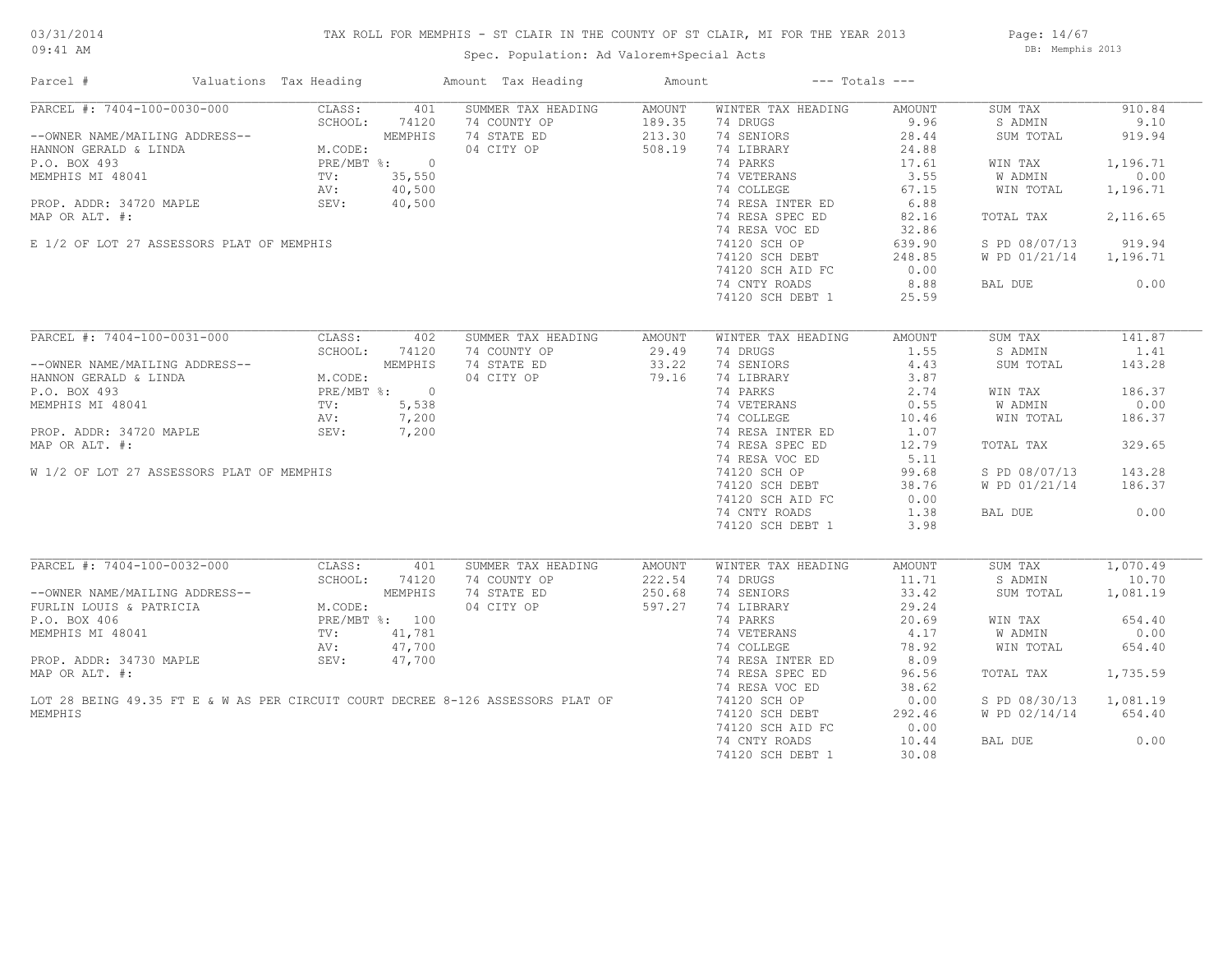## TAX ROLL FOR MEMPHIS - ST CLAIR IN THE COUNTY OF ST CLAIR, MI FOR THE YEAR 2013

09:41 AM

## Spec. Population: Ad Valorem+Special Acts

Page: 14/67 DB: Memphis 2013

| Parcel #                                  | Valuations Tax Heading |                                           |                | Amount Tax Heading                                                              | Amount |                    | $---$ Totals $---$ |               |          |
|-------------------------------------------|------------------------|-------------------------------------------|----------------|---------------------------------------------------------------------------------|--------|--------------------|--------------------|---------------|----------|
| PARCEL #: 7404-100-0030-000               |                        | CLASS:                                    | 401            | SUMMER TAX HEADING                                                              | AMOUNT | WINTER TAX HEADING | AMOUNT             | SUM TAX       | 910.84   |
|                                           |                        | SCHOOL:                                   | 74120          | 74 COUNTY OP                                                                    | 189.35 | 74 DRUGS           | 9.96               | S ADMIN       | 9.10     |
| --OWNER NAME/MAILING ADDRESS--            |                        |                                           | MEMPHIS        | 74 STATE ED                                                                     | 213.30 | 74 SENIORS         | 28.44              | SUM TOTAL     | 919.94   |
| HANNON GERALD & LINDA                     |                        | M.CODE:                                   |                | 04 CITY OP                                                                      | 508.19 | 74 LIBRARY         | 24.88              |               |          |
| P.O. BOX 493                              |                        |                                           | PRE/MBT %: 0   |                                                                                 |        | 74 PARKS           | 17.61              | WIN TAX       | 1,196.71 |
| MEMPHIS MI 48041                          |                        | TV:                                       | 35,550         |                                                                                 |        | 74 VETERANS        | 3.55               | W ADMIN       | 0.00     |
|                                           |                        | AV:                                       | 40,500         |                                                                                 |        | 74 COLLEGE         | 67.15              | WIN TOTAL     | 1,196.71 |
| PROP. ADDR: 34720 MAPLE                   |                        | SEV:                                      | 40,500         |                                                                                 |        | 74 RESA INTER ED   | 6.88               |               |          |
| MAP OR ALT. #:                            |                        |                                           |                |                                                                                 |        | 74 RESA SPEC ED    | 82.16              | TOTAL TAX     | 2,116.65 |
|                                           |                        |                                           |                |                                                                                 |        | 74 RESA VOC ED     | 32.86              |               |          |
| E 1/2 OF LOT 27 ASSESSORS PLAT OF MEMPHIS |                        |                                           |                |                                                                                 |        | 74120 SCH OP       | 639.90             | S PD 08/07/13 | 919.94   |
|                                           |                        |                                           |                |                                                                                 |        |                    |                    |               |          |
|                                           |                        |                                           |                |                                                                                 |        | 74120 SCH DEBT     | 248.85             | W PD 01/21/14 | 1,196.71 |
|                                           |                        |                                           |                |                                                                                 |        | 74120 SCH AID FC   | 0.00               |               |          |
|                                           |                        |                                           |                |                                                                                 |        | 74 CNTY ROADS      | 8.88               | BAL DUE       | 0.00     |
|                                           |                        |                                           |                |                                                                                 |        | 74120 SCH DEBT 1   | 25.59              |               |          |
| PARCEL #: 7404-100-0031-000               |                        | CLASS:                                    | 402            | SUMMER TAX HEADING                                                              | AMOUNT | WINTER TAX HEADING | AMOUNT             | SUM TAX       | 141.87   |
|                                           |                        | SCHOOL:                                   | 74120          | 74 COUNTY OP                                                                    | 29.49  | 74 DRUGS           | 1.55               | S ADMIN       | 1.41     |
|                                           |                        |                                           |                | 74 STATE ED                                                                     | 33.22  | 74 SENIORS         | 4.43               |               |          |
| --OWNER NAME/MAILING ADDRESS--            |                        |                                           |                |                                                                                 |        |                    |                    | SUM TOTAL     | 143.28   |
| HANNON GERALD & LINDA                     |                        | MEMPHIS<br>M.CODE:<br>PRE/MBT %: 0<br>TV: |                | 04 CITY OP                                                                      | 79.16  | 74 LIBRARY         | 3.87               |               |          |
| P.O. BOX 493                              |                        |                                           |                |                                                                                 |        | 74 PARKS           | 2.74               | WIN TAX       | 186.37   |
| MEMPHIS MI 48041                          |                        |                                           |                |                                                                                 |        | 74 VETERANS        | 0.55               | W ADMIN       | 0.00     |
|                                           |                        | AV:                                       | 7,200          |                                                                                 |        | 74 COLLEGE         | 10.46              | WIN TOTAL     | 186.37   |
| PROP. ADDR: 34720 MAPLE                   |                        | SEV:                                      | 7,200          |                                                                                 |        | 74 RESA INTER ED   | 1.07               |               |          |
| MAP OR ALT. #:                            |                        |                                           |                |                                                                                 |        | 74 RESA SPEC ED    | 12.79              | TOTAL TAX     | 329.65   |
|                                           |                        |                                           |                |                                                                                 |        | 74 RESA VOC ED     | 5.11               |               |          |
| W 1/2 OF LOT 27 ASSESSORS PLAT OF MEMPHIS |                        |                                           |                |                                                                                 |        | 74120 SCH OP       | 99.68              | S PD 08/07/13 | 143.28   |
|                                           |                        |                                           |                |                                                                                 |        | 74120 SCH DEBT     | 38.76              | W PD 01/21/14 | 186.37   |
|                                           |                        |                                           |                |                                                                                 |        | 74120 SCH AID FC   | 0.00               |               |          |
|                                           |                        |                                           |                |                                                                                 |        | 74 CNTY ROADS      | 1.38               | BAL DUE       | 0.00     |
|                                           |                        |                                           |                |                                                                                 |        | 74120 SCH DEBT 1   | 3.98               |               |          |
|                                           |                        |                                           |                |                                                                                 |        |                    |                    |               |          |
| PARCEL #: 7404-100-0032-000               |                        | CLASS:                                    | 401            | SUMMER TAX HEADING                                                              | AMOUNT | WINTER TAX HEADING | AMOUNT             | SUM TAX       | 1,070.49 |
|                                           |                        | SCHOOL:                                   | 74120          | 74 COUNTY OP                                                                    | 222.54 | 74 DRUGS           | 11.71              | S ADMIN       | 10.70    |
| --OWNER NAME/MAILING ADDRESS--            |                        |                                           | MEMPHIS        | 74 STATE ED                                                                     | 250.68 | 74 SENIORS         | 33.42              | SUM TOTAL     | 1,081.19 |
| FURLIN LOUIS & PATRICIA                   |                        | M.CODE:                                   |                | 04 CITY OP                                                                      | 597.27 | 74 LIBRARY         | 29.24              |               |          |
| P.O. BOX 406                              |                        |                                           | PRE/MBT %: 100 |                                                                                 |        | 74 PARKS           | 20.69              | WIN TAX       | 654.40   |
| MEMPHIS MI 48041                          |                        | TV:                                       | 41,781         |                                                                                 |        | 74 VETERANS        | 4.17               | W ADMIN       | 0.00     |
|                                           |                        | AV:                                       | 47,700         |                                                                                 |        | 74 COLLEGE         | 78.92              | WIN TOTAL     | 654.40   |
| PROP. ADDR: 34730 MAPLE                   |                        | SEV:                                      | 47,700         |                                                                                 |        | 74 RESA INTER ED   | 8.09               |               |          |
| MAP OR ALT. #:                            |                        |                                           |                |                                                                                 |        |                    | 96.56              |               |          |
|                                           |                        |                                           |                |                                                                                 |        | 74 RESA SPEC ED    |                    | TOTAL TAX     | 1,735.59 |
|                                           |                        |                                           |                |                                                                                 |        | 74 RESA VOC ED     | 38.62              |               |          |
|                                           |                        |                                           |                | LOT 28 BEING 49.35 FT E & W AS PER CIRCUIT COURT DECREE 8-126 ASSESSORS PLAT OF |        | 74120 SCH OP       | 0.00               | S PD 08/30/13 | 1,081.19 |
| MEMPHIS                                   |                        |                                           |                |                                                                                 |        | 74120 SCH DEBT     | 292.46             | W PD 02/14/14 | 654.40   |
|                                           |                        |                                           |                |                                                                                 |        | 74120 SCH AID FC   | 0.00               |               |          |
|                                           |                        |                                           |                |                                                                                 |        | 74 CNTY ROADS      | 10.44              | BAL DUE       | 0.00     |
|                                           |                        |                                           |                |                                                                                 |        | 74120 SCH DEBT 1   | 30.08              |               |          |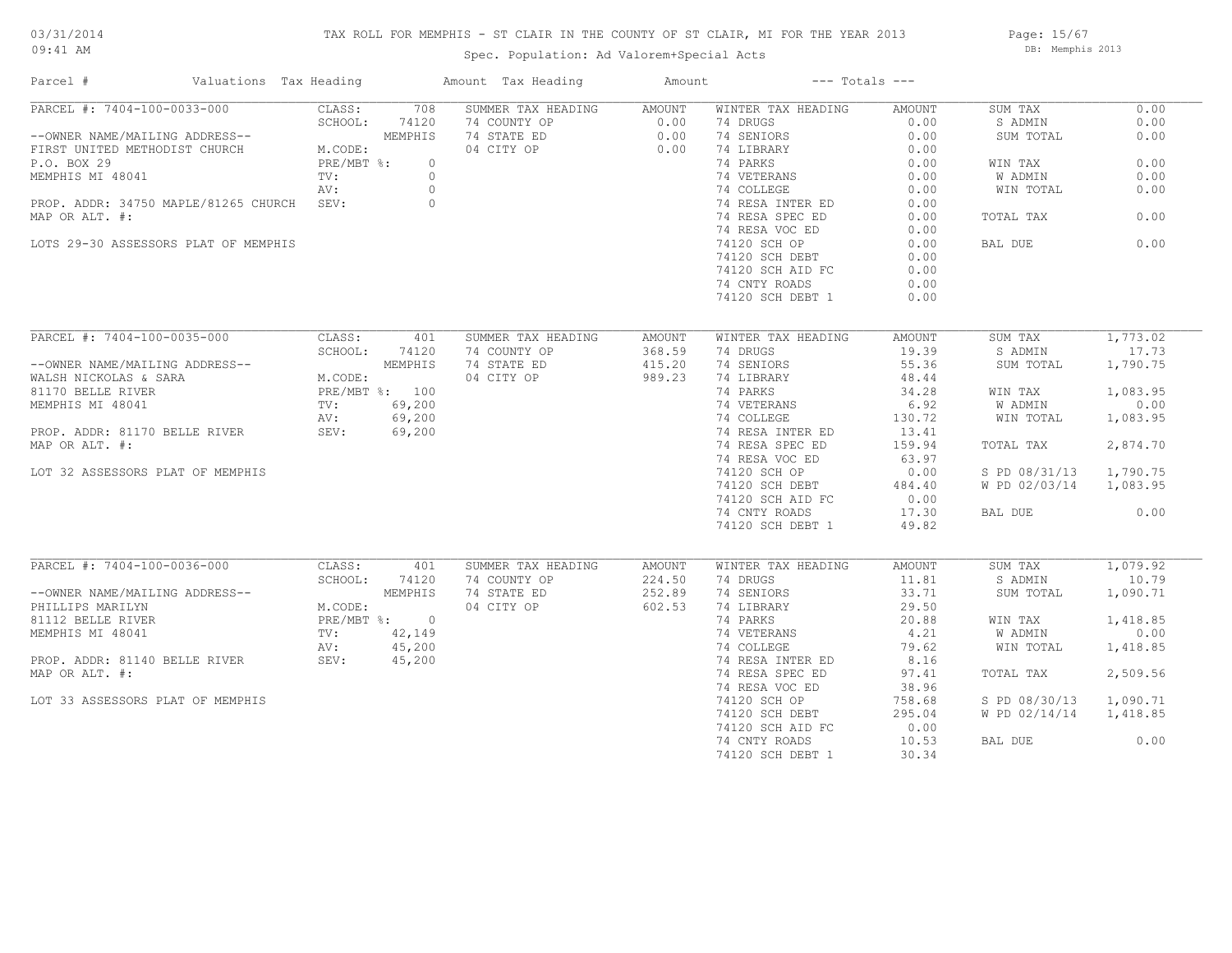## TAX ROLL FOR MEMPHIS - ST CLAIR IN THE COUNTY OF ST CLAIR, MI FOR THE YEAR 2013

Spec. Population: Ad Valorem+Special Acts

Page: 15/67 DB: Memphis 2013

| Parcel #                                                                                                                                                                                                   | Valuations Tax Heading |            |                         | Amount Tax Heading                    | Amount | $---$ Totals $---$        |        |                        |          |
|------------------------------------------------------------------------------------------------------------------------------------------------------------------------------------------------------------|------------------------|------------|-------------------------|---------------------------------------|--------|---------------------------|--------|------------------------|----------|
| $PARCEL$ #: 7404-100-0033-000                                                                                                                                                                              |                        | CLASS:     | 708                     | SUMMER TAX HEADING                    | AMOUNT | WINTER TAX HEADING        | AMOUNT | SUM TAX                | 0.00     |
|                                                                                                                                                                                                            |                        | SCHOOL:    | 74120                   |                                       |        | 74 DRUGS                  | 0.00   | S ADMIN                | 0.00     |
| --OWNER NAME/MAILING ADDRESS--<br>FIRST UNITED METHODIST CHURCH M.CODE:                                                                                                                                    |                        |            | MEMPHIS                 | 74 COUNTY OP 0.00<br>74 STATE ED 0.00 |        | 74 SENIORS                | 0.00   | SUM TOTAL              | 0.00     |
|                                                                                                                                                                                                            |                        |            |                         | 04 CITY OP                            | 0.00   | 74 LIBRARY                | 0.00   |                        |          |
| P.O. BOX 29                                                                                                                                                                                                |                        | PRE/MBT %: | $\circ$                 |                                       |        | 74 PARKS                  | 0.00   | WIN TAX                | 0.00     |
| MEMPHIS MI 48041                                                                                                                                                                                           |                        | TV:        | $\circ$                 |                                       |        | 74 VETERANS               | 0.00   | W ADMIN                | 0.00     |
|                                                                                                                                                                                                            |                        | AV:        | $\circ$                 |                                       |        | 74 COLLEGE                | 0.00   | WIN TOTAL              | 0.00     |
| PROP. ADDR: 34750 MAPLE/81265 CHURCH SEV:                                                                                                                                                                  |                        |            | $\circ$                 |                                       |        | 74 RESA INTER ED          | 0.00   |                        |          |
| MAP OR ALT. #:                                                                                                                                                                                             |                        |            |                         |                                       |        | 74 RESA SPEC ED           | 0.00   | TOTAL TAX              | 0.00     |
|                                                                                                                                                                                                            |                        |            |                         |                                       |        | 74 RESA VOC ED            | 0.00   |                        |          |
| LOTS 29-30 ASSESSORS PLAT OF MEMPHIS                                                                                                                                                                       |                        |            |                         |                                       |        | 74120 SCH OP              | 0.00   | BAL DUE                | 0.00     |
|                                                                                                                                                                                                            |                        |            |                         |                                       |        | 74120 SCH DEBT            | 0.00   |                        |          |
|                                                                                                                                                                                                            |                        |            |                         |                                       |        | 74120 SCH AID FC          | 0.00   |                        |          |
|                                                                                                                                                                                                            |                        |            |                         |                                       |        | 74 CNTY ROADS             | 0.00   |                        |          |
|                                                                                                                                                                                                            |                        |            |                         |                                       |        | 74120 SCH DEBT 1          | 0.00   |                        |          |
|                                                                                                                                                                                                            |                        |            |                         |                                       |        |                           |        |                        |          |
|                                                                                                                                                                                                            |                        |            |                         |                                       |        |                           |        |                        |          |
| PARCEL #: 7404-100-0035-000                                                                                                                                                                                |                        | CLASS:     | 401                     | SUMMER TAX HEADING                    | AMOUNT | WINTER TAX HEADING        | AMOUNT | SUM TAX                | 1,773.02 |
|                                                                                                                                                                                                            |                        |            | SCHOOL: 74120           | 74 COUNTY OP                          | 368.59 | 74 DRUGS                  | 19.39  | S ADMIN                | 17.73    |
| --OWNER NAME/MAILING ADDRESS--<br>WALSH NICKOLAS & SARA<br>81170 BELLE RIVER<br>81170 BELLE RIVER<br>8170 BELLE RIVER<br>8170 BELLE RIVER<br>81170 BELLE RIVER<br>8200 BY:<br>89,200<br>8200 BY:<br>89,200 |                        |            |                         | 74 STATE ED                           | 415.20 | 74 SENIORS                | 55.36  | SUM TOTAL              | 1,790.75 |
|                                                                                                                                                                                                            |                        |            |                         | 04 CITY OP                            | 989.23 | 74 LIBRARY                | 48.44  |                        |          |
|                                                                                                                                                                                                            |                        |            |                         |                                       |        | 74 PARKS                  | 34.28  | WIN TAX                | 1,083.95 |
|                                                                                                                                                                                                            |                        |            |                         |                                       |        | 74 VETERANS<br>74 COLLEGE | 6.92   | W ADMIN                | 0.00     |
|                                                                                                                                                                                                            |                        |            |                         |                                       |        |                           | 130.72 | WIN TOTAL              | 1,083.95 |
| PROP. ADDR: 81170 BELLE RIVER SEV: 69,200                                                                                                                                                                  |                        |            |                         |                                       |        | 74 RESA INTER ED          | 13.41  |                        |          |
| MAP OR ALT. #:                                                                                                                                                                                             |                        |            |                         |                                       |        | 74 RESA SPEC ED           | 159.94 | TOTAL TAX              | 2,874.70 |
|                                                                                                                                                                                                            |                        |            |                         |                                       |        | 74 RESA VOC ED            | 63.97  |                        |          |
| LOT 32 ASSESSORS PLAT OF MEMPHIS                                                                                                                                                                           |                        |            |                         |                                       |        | 74120 SCH OP              | 0.00   | S PD 08/31/13          | 1,790.75 |
|                                                                                                                                                                                                            |                        |            |                         |                                       |        | 74120 SCH DEBT            | 484.40 | W PD 02/03/14 1,083.95 |          |
|                                                                                                                                                                                                            |                        |            |                         |                                       |        | 74120 SCH AID FC          | 0.00   |                        |          |
|                                                                                                                                                                                                            |                        |            |                         |                                       |        | 74 CNTY ROADS             | 17.30  | BAL DUE                | 0.00     |
|                                                                                                                                                                                                            |                        |            |                         |                                       |        | 74120 SCH DEBT 1          | 49.82  |                        |          |
|                                                                                                                                                                                                            |                        |            |                         |                                       |        |                           |        |                        |          |
| PARCEL #: 7404-100-0036-000                                                                                                                                                                                |                        | CLASS:     | 401                     | SUMMER TAX HEADING                    | AMOUNT | WINTER TAX HEADING        | AMOUNT | SUM TAX                | 1,079.92 |
|                                                                                                                                                                                                            |                        | SCHOOL:    | 74120                   | 74 COUNTY OP                          | 224.50 | 74 DRUGS                  | 11.81  | S ADMIN                | 10.79    |
| --OWNER NAME/MAILING ADDRESS--                                                                                                                                                                             |                        |            | MEMPHIS                 | 74 STATE ED                           | 252.89 | 74 SENIORS                | 33.71  | SUM TOTAL              | 1,090.71 |
| PHILLIPS MARILYN                                                                                                                                                                                           |                        |            |                         | 04 CITY OP                            | 602.53 | 74 LIBRARY                | 29.50  |                        |          |
| 81112 BELLE RIVER                                                                                                                                                                                          |                        |            | M.CODE:<br>PRE/MBT %: 0 |                                       |        | 74 PARKS                  | 20.88  | WIN TAX                | 1,418.85 |
|                                                                                                                                                                                                            |                        |            | 42,149                  |                                       |        | 74 VETERANS<br>74 COLLEGE | 4.21   | W ADMIN                | 0.00     |
| MEMPHIS MI 48041 TV:<br>PROP. ADDR: 81140 BELLE RIVER SEV: SEV:                                                                                                                                            |                        |            | 45,200                  |                                       |        |                           | 79.62  | WIN TOTAL              | 1,418.85 |
|                                                                                                                                                                                                            |                        |            | 45,200                  |                                       |        | 74 RESA INTER ED          | 8.16   |                        |          |
| MAP OR ALT. #:                                                                                                                                                                                             |                        |            |                         |                                       |        | 74 RESA SPEC ED           | 97.41  | TOTAL TAX              | 2,509.56 |
|                                                                                                                                                                                                            |                        |            |                         |                                       |        | 74 RESA VOC ED            | 38.96  |                        |          |
| LOT 33 ASSESSORS PLAT OF MEMPHIS                                                                                                                                                                           |                        |            |                         |                                       |        | 74120 SCH OP              | 758.68 | S PD 08/30/13 1,090.71 |          |
|                                                                                                                                                                                                            |                        |            |                         |                                       |        | 74120 SCH DEBT            | 295.04 | W PD 02/14/14 1,418.85 |          |
|                                                                                                                                                                                                            |                        |            |                         |                                       |        | 74120 SCH AID FC          | 0.00   |                        |          |
|                                                                                                                                                                                                            |                        |            |                         |                                       |        | 74 CNTY ROADS             | 10.53  | BAL DUE                | 0.00     |
|                                                                                                                                                                                                            |                        |            |                         |                                       |        | 74120 SCH DEBT 1          | 30.34  |                        |          |
|                                                                                                                                                                                                            |                        |            |                         |                                       |        |                           |        |                        |          |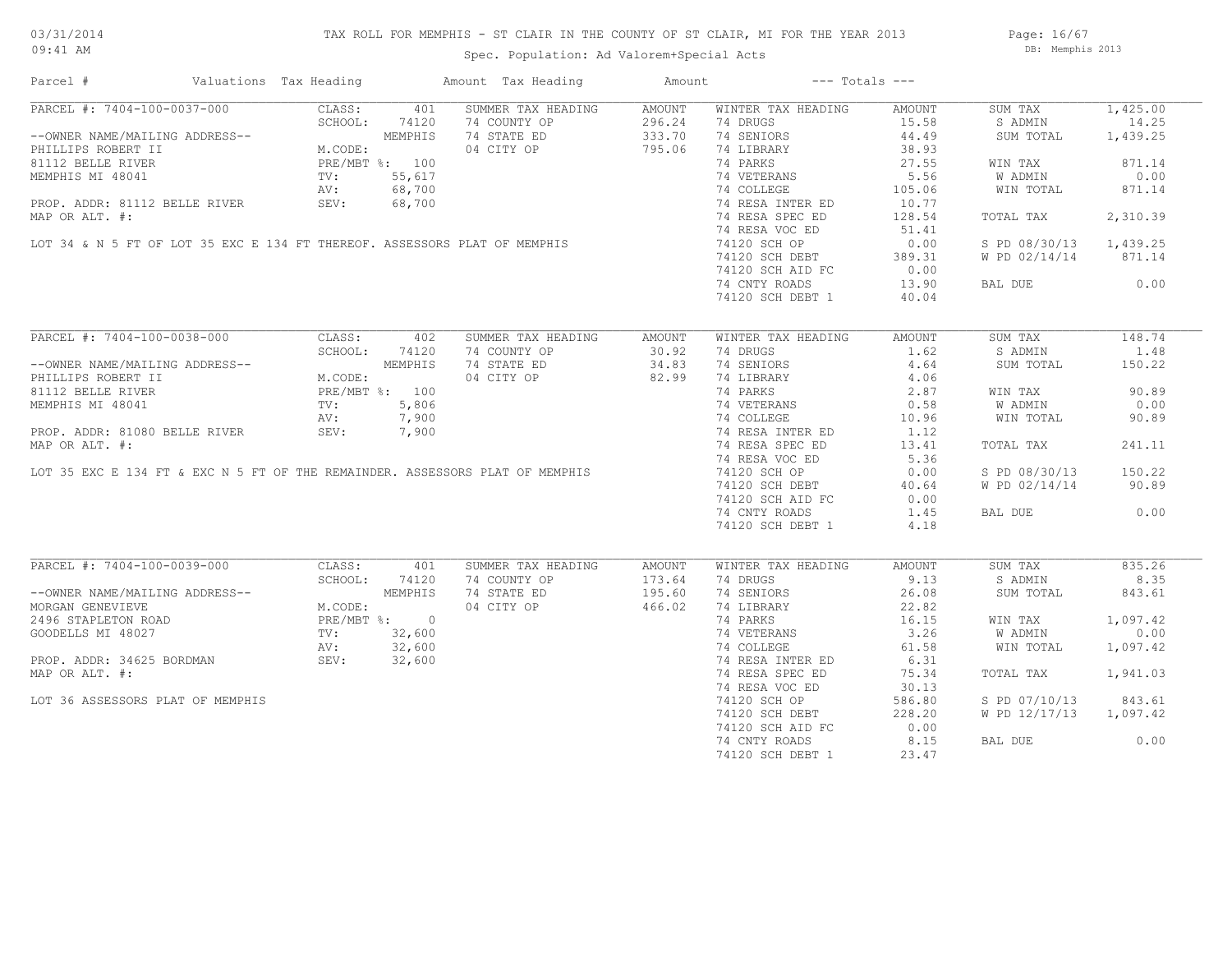## TAX ROLL FOR MEMPHIS - ST CLAIR IN THE COUNTY OF ST CLAIR, MI FOR THE YEAR 2013

Spec. Population: Ad Valorem+Special Acts

Page: 16/67 DB: Memphis 2013

| Parcel #                                                                                                                                                                                                                                         | Valuations Tax Heading |               | Amount Tax Heading                                                           | Amount | $---$ Totals $---$                                                                            |        |                        |          |
|--------------------------------------------------------------------------------------------------------------------------------------------------------------------------------------------------------------------------------------------------|------------------------|---------------|------------------------------------------------------------------------------|--------|-----------------------------------------------------------------------------------------------|--------|------------------------|----------|
| PARCEL #: 7404-100-0037-000                                                                                                                                                                                                                      | CLASS:                 | 401           | SUMMER TAX HEADING                                                           | AMOUNT | WINTER TAX HEADING                                                                            | AMOUNT | SUM TAX                | 1,425.00 |
|                                                                                                                                                                                                                                                  |                        |               |                                                                              |        | 74 DRUGS                                                                                      | 15.58  | S ADMIN                | 14.25    |
|                                                                                                                                                                                                                                                  |                        |               | 74 COUNTY OP<br>74 STATE ED 333.70<br>04 CITY OP 795.06                      |        | 74 SENIORS                                                                                    | 44.49  | SUM TOTAL              | 1,439.25 |
|                                                                                                                                                                                                                                                  |                        |               |                                                                              |        | 74 LIBRARY                                                                                    | 38.93  |                        |          |
|                                                                                                                                                                                                                                                  |                        |               |                                                                              |        | 74 PARKS                                                                                      | 27.55  | WIN TAX                | 871.14   |
|                                                                                                                                                                                                                                                  |                        |               |                                                                              |        |                                                                                               | 5.56   | W ADMIN                | 0.00     |
|                                                                                                                                                                                                                                                  |                        |               |                                                                              |        | 74 VETERANS<br>74 COLLEGE                                                                     | 105.06 | WIN TOTAL              | 871.14   |
|                                                                                                                                                                                                                                                  |                        |               |                                                                              |        |                                                                                               |        |                        |          |
|                                                                                                                                                                                                                                                  |                        |               |                                                                              |        | 74 RESA INTER ED<br>74 RESA INTER ED                                                          | 10.77  |                        |          |
|                                                                                                                                                                                                                                                  |                        |               |                                                                              |        |                                                                                               | 128.54 | TOTAL TAX              | 2,310.39 |
| 8112 BELE RIVER<br>MEMPHIS MI 48041<br>MEMPHIS MI 48041<br>PRE/MBT %: 100<br>NEMPHIS MI 48041<br>NOT AV: 68,700<br>PROP. ADDR: 81112 BELLE RIVER<br>SEV: 68,700<br>MAP OR ALT. #:<br>LOT 34 & N 5 FT OF LOT 35 EXC E 134 FT THEREOF. ASSESSORS P |                        |               |                                                                              |        | 74 RESA VOC ED                                                                                | 51.41  |                        |          |
|                                                                                                                                                                                                                                                  |                        |               |                                                                              |        | 74120 SCH OP                                                                                  | 0.00   | S PD 08/30/13 1,439.25 |          |
|                                                                                                                                                                                                                                                  |                        |               |                                                                              |        | 74120 SCH DEBT 389.31<br>74120 SCH AID FC 0.00                                                |        | W PD 02/14/14 871.14   |          |
|                                                                                                                                                                                                                                                  |                        |               |                                                                              |        |                                                                                               |        |                        |          |
|                                                                                                                                                                                                                                                  |                        |               |                                                                              |        | 74 CNTY ROADS                                                                                 | 13.90  | BAL DUE 0.00           |          |
|                                                                                                                                                                                                                                                  |                        |               |                                                                              |        | 74120 SCH DEBT 1                                                                              | 40.04  |                        |          |
|                                                                                                                                                                                                                                                  |                        |               |                                                                              |        |                                                                                               |        |                        |          |
| PARCEL #: 7404-100-0038-000                                                                                                                                                                                                                      |                        | CLASS: 402    | SUMMER TAX HEADING                                                           | AMOUNT | WINTER TAX HEADING                                                                            | AMOUNT | SUM TAX                | 148.74   |
|                                                                                                                                                                                                                                                  | SCHOOL:                | 74120         |                                                                              | 30.92  | 74 DRUGS                                                                                      | 1.62   | S ADMIN                | 1.48     |
|                                                                                                                                                                                                                                                  |                        |               | 74 COUNTY OP<br>74 STATE ED                                                  | 34.83  | 74 SENIORS                                                                                    | 4.64   | SUM TOTAL              | 150.22   |
| --OWNER NAME/MAILING ADDRESS--<br>PHILLIPS ROBERT II<br>81112 BELLE RIVER<br>MEMPHIS MI 48041<br>MEMPHIS MI 48041<br>MEMPHIS MI 48041<br>MEMPHIS MI 48041<br>MEMPHIS MI 48041<br>MI TV:<br>7,900                                                 |                        |               | 04 CITY OP                                                                   | 82.99  |                                                                                               | 4.06   |                        |          |
|                                                                                                                                                                                                                                                  |                        |               |                                                                              |        | 74 LIBRARY<br>74 PARKS                                                                        |        |                        |          |
|                                                                                                                                                                                                                                                  |                        |               |                                                                              |        | 74 PARKS<br>74 VETERANS<br>74 VETERANS<br>74 COLLEGE<br>74 COLLEGE<br>74 PESA INTER FD 10.96  |        | WIN TAX                | 90.89    |
|                                                                                                                                                                                                                                                  |                        |               |                                                                              |        |                                                                                               |        | W ADMIN                | 0.00     |
|                                                                                                                                                                                                                                                  |                        |               |                                                                              |        |                                                                                               |        | WIN TOTAL              | 90.89    |
| PROP. ADDR: 81080 BELLE RIVER SEV: 7,900                                                                                                                                                                                                         |                        |               |                                                                              |        | 74 RESA INTER ED                                                                              | 1.12   |                        |          |
| MAP OR ALT. #:                                                                                                                                                                                                                                   |                        |               |                                                                              |        | 74 RESA SPEC ED                                                                               | 13.41  | TOTAL TAX              | 241.11   |
|                                                                                                                                                                                                                                                  |                        |               |                                                                              |        | 74 RESA VOC ED                                                                                | 5.36   |                        |          |
|                                                                                                                                                                                                                                                  |                        |               | LOT 35 EXC E 134 FT & EXC N 5 FT OF THE REMAINDER. ASSESSORS PLAT OF MEMPHIS |        | 74120 SCH OP                                                                                  | 0.00   | S PD 08/30/13          | 150.22   |
|                                                                                                                                                                                                                                                  |                        |               |                                                                              |        | 74120 SCH DEBT                                                                                | 40.64  | W PD 02/14/14          | 90.89    |
|                                                                                                                                                                                                                                                  |                        |               |                                                                              |        | 74120 SCH AID FC                                                                              | 0.00   |                        |          |
|                                                                                                                                                                                                                                                  |                        |               |                                                                              |        | 74 CNTY ROADS                                                                                 | 1.45   | BAL DUE                | 0.00     |
|                                                                                                                                                                                                                                                  |                        |               |                                                                              |        | 74120 SCH DEBT 1                                                                              | 4.18   |                        |          |
|                                                                                                                                                                                                                                                  |                        |               |                                                                              |        |                                                                                               |        |                        |          |
| PARCEL #: 7404-100-0039-000                                                                                                                                                                                                                      | CLASS:                 | 401           | SUMMER TAX HEADING                                                           | AMOUNT | WINTER TAX HEADING                                                                            | AMOUNT | SUM TAX                | 835.26   |
|                                                                                                                                                                                                                                                  |                        | SCHOOL: 74120 | 74 COUNTY OP                                                                 | 173.64 | 74 DRUGS                                                                                      | 9.13   | S ADMIN                | 8.35     |
|                                                                                                                                                                                                                                                  |                        |               | 74 COUNTY OP 173.64<br>74 STATE ED 195.60                                    |        | 74 SENIORS                                                                                    | 26.08  | SUM TOTAL              | 843.61   |
| --OWNER NAME/MAILING ADDRESS--<br>MORGAN GENEVIEVE MORGAN MEMPHIS<br>2496 STAPLETON ROAD PRE/MBT %: 0<br>GOODELLS MI 48027 TV: 32,600<br>PROP. ADDR: 34625 BORDMAN SEV: 32,600<br>PROP. ADDR: 34625 BORDMAN SEV: 32,600                          |                        |               |                                                                              |        |                                                                                               |        |                        |          |
|                                                                                                                                                                                                                                                  |                        |               | 04 CITY OP 466.02                                                            |        | 74 LIBRARY<br>74 LIBRARY<br>74 PARKS<br>74 VETERANS<br>74 COLLEGE<br>74 RESA INTER ED<br>8.31 |        |                        |          |
|                                                                                                                                                                                                                                                  |                        |               | T $*$ : 0<br>32,600<br>32,600<br>32,600<br>32,600                            |        |                                                                                               |        | WIN TAX                | 1,097.42 |
|                                                                                                                                                                                                                                                  |                        |               |                                                                              |        |                                                                                               |        | W ADMIN                | 0.00     |
|                                                                                                                                                                                                                                                  |                        |               |                                                                              |        |                                                                                               |        | WIN TOTAL              | 1,097.42 |
|                                                                                                                                                                                                                                                  |                        |               |                                                                              |        |                                                                                               |        |                        |          |
| MAP OR ALT. #:                                                                                                                                                                                                                                   |                        |               |                                                                              |        | 74 RESA SPEC ED                                                                               | 75.34  | TOTAL TAX              | 1,941.03 |
|                                                                                                                                                                                                                                                  |                        |               |                                                                              |        | 74 RESA VOC ED                                                                                | 30.13  |                        |          |
| LOT 36 ASSESSORS PLAT OF MEMPHIS                                                                                                                                                                                                                 |                        |               |                                                                              |        | 74120 SCH OP<br>74120 SCH DEBT                                                                | 586.80 | S PD 07/10/13 843.61   |          |
|                                                                                                                                                                                                                                                  |                        |               |                                                                              |        | 74120 SCH DEBT                                                                                | 228.20 | W PD 12/17/13 1,097.42 |          |
|                                                                                                                                                                                                                                                  |                        |               |                                                                              |        | 74120 SCH AID FC                                                                              | 0.00   |                        |          |
|                                                                                                                                                                                                                                                  |                        |               |                                                                              |        | 74 CNTY ROADS                                                                                 | 8.15   | BAL DUE                | 0.00     |
|                                                                                                                                                                                                                                                  |                        |               |                                                                              |        | 74120 SCH DEBT 1                                                                              | 23.47  |                        |          |
|                                                                                                                                                                                                                                                  |                        |               |                                                                              |        |                                                                                               |        |                        |          |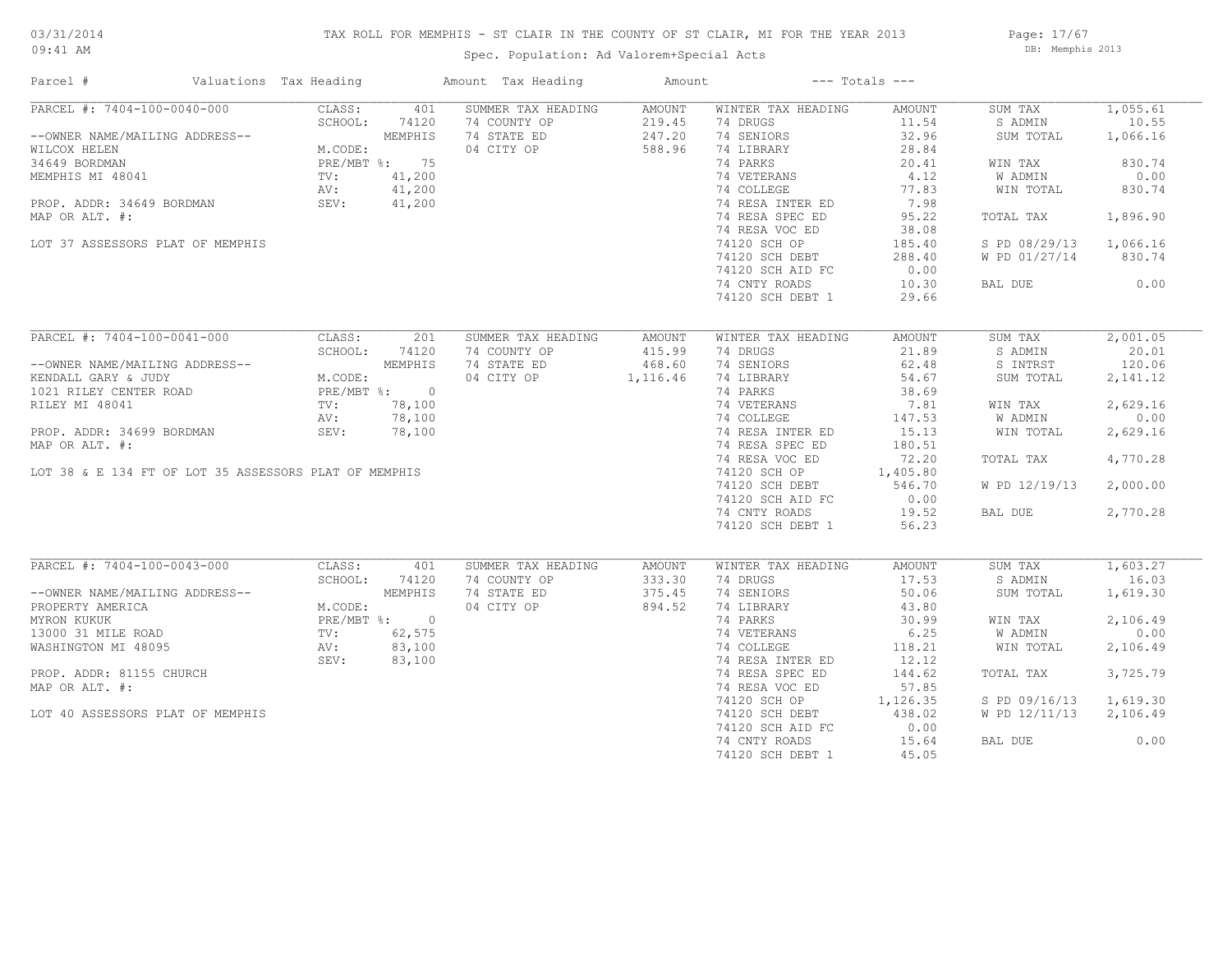## TAX ROLL FOR MEMPHIS - ST CLAIR IN THE COUNTY OF ST CLAIR, MI FOR THE YEAR 2013

09:41 AM

## Spec. Population: Ad Valorem+Special Acts

Page: 17/67 DB: Memphis 2013

| PARCEL #: 7404-100-0040-000<br>SUMMER TAX HEADING<br>CLASS:<br>401<br>AMOUNT<br>WINTER TAX HEADING<br>AMOUNT<br>SUM TAX<br>74 COUNTY OP<br>74 DRUGS<br>SCHOOL:<br>74120<br>219.45<br>11.54<br>S ADMIN<br>--OWNER NAME/MAILING ADDRESS--<br>MEMPHIS<br>74 STATE ED<br>247.20<br>74 SENIORS<br>32.96<br>SUM TOTAL<br>04 CITY OP<br>588.96<br>74 LIBRARY<br>28.84<br>WILCOX HELEN<br>M.CODE:<br>74 PARKS<br>34649 BORDMAN<br>PRE/MBT %: 75<br>20.41<br>WIN TAX<br>41,200<br>74 VETERANS<br>4.12<br>W ADMIN<br>MEMPHIS MI 48041<br>$\text{TV}$ :<br>41,200<br>74 COLLEGE<br>77.83<br>WIN TOTAL<br>AV:<br>7.98<br>PROP. ADDR: 34649 BORDMAN<br>SEV:<br>41,200<br>74 RESA INTER ED<br>74 RESA SPEC ED<br>95.22<br>MAP OR ALT. #:<br>TOTAL TAX<br>74 RESA VOC ED<br>38.08<br>LOT 37 ASSESSORS PLAT OF MEMPHIS<br>74120 SCH OP<br>185.40<br>S PD 08/29/13<br>74120 SCH DEBT<br>288.40<br>W PD 01/27/14<br>0.00<br>74120 SCH AID FC<br>74 CNTY ROADS<br>10.30<br>BAL DUE<br>74120 SCH DEBT 1<br>29.66<br>PARCEL #: 7404-100-0041-000<br>CLASS:<br>201<br>SUMMER TAX HEADING<br>AMOUNT<br>WINTER TAX HEADING<br>AMOUNT<br>SUM TAX<br>SCHOOL:<br>74 COUNTY OP<br>415.99<br>21.89<br>74120<br>74 DRUGS<br>S ADMIN<br>74 STATE ED<br>74 SENIORS<br>MEMPHIS<br>468.60<br>62.48<br>S INTRST<br>--OWNER NAME/MAILING ADDRESS--<br>KENDALL GARY & JUDY<br>M.CODE:<br>04 CITY OP<br>74 LIBRARY<br>54.67<br>1,116.46<br>SUM TOTAL<br>PRE/MBT %: 0<br>38.69<br>1021 RILEY CENTER ROAD<br>74 PARKS | 1,055.61<br>10.55<br>1,066.16<br>830.74<br>0.00<br>830.74<br>1,896.90<br>1,066.16<br>830.74<br>0.00<br>2,001.05<br>20.01 |
|-------------------------------------------------------------------------------------------------------------------------------------------------------------------------------------------------------------------------------------------------------------------------------------------------------------------------------------------------------------------------------------------------------------------------------------------------------------------------------------------------------------------------------------------------------------------------------------------------------------------------------------------------------------------------------------------------------------------------------------------------------------------------------------------------------------------------------------------------------------------------------------------------------------------------------------------------------------------------------------------------------------------------------------------------------------------------------------------------------------------------------------------------------------------------------------------------------------------------------------------------------------------------------------------------------------------------------------------------------------------------------------------------------------------------------------------------------------------------------|--------------------------------------------------------------------------------------------------------------------------|
|                                                                                                                                                                                                                                                                                                                                                                                                                                                                                                                                                                                                                                                                                                                                                                                                                                                                                                                                                                                                                                                                                                                                                                                                                                                                                                                                                                                                                                                                               |                                                                                                                          |
|                                                                                                                                                                                                                                                                                                                                                                                                                                                                                                                                                                                                                                                                                                                                                                                                                                                                                                                                                                                                                                                                                                                                                                                                                                                                                                                                                                                                                                                                               |                                                                                                                          |
|                                                                                                                                                                                                                                                                                                                                                                                                                                                                                                                                                                                                                                                                                                                                                                                                                                                                                                                                                                                                                                                                                                                                                                                                                                                                                                                                                                                                                                                                               |                                                                                                                          |
|                                                                                                                                                                                                                                                                                                                                                                                                                                                                                                                                                                                                                                                                                                                                                                                                                                                                                                                                                                                                                                                                                                                                                                                                                                                                                                                                                                                                                                                                               |                                                                                                                          |
|                                                                                                                                                                                                                                                                                                                                                                                                                                                                                                                                                                                                                                                                                                                                                                                                                                                                                                                                                                                                                                                                                                                                                                                                                                                                                                                                                                                                                                                                               |                                                                                                                          |
|                                                                                                                                                                                                                                                                                                                                                                                                                                                                                                                                                                                                                                                                                                                                                                                                                                                                                                                                                                                                                                                                                                                                                                                                                                                                                                                                                                                                                                                                               |                                                                                                                          |
|                                                                                                                                                                                                                                                                                                                                                                                                                                                                                                                                                                                                                                                                                                                                                                                                                                                                                                                                                                                                                                                                                                                                                                                                                                                                                                                                                                                                                                                                               |                                                                                                                          |
|                                                                                                                                                                                                                                                                                                                                                                                                                                                                                                                                                                                                                                                                                                                                                                                                                                                                                                                                                                                                                                                                                                                                                                                                                                                                                                                                                                                                                                                                               |                                                                                                                          |
|                                                                                                                                                                                                                                                                                                                                                                                                                                                                                                                                                                                                                                                                                                                                                                                                                                                                                                                                                                                                                                                                                                                                                                                                                                                                                                                                                                                                                                                                               |                                                                                                                          |
|                                                                                                                                                                                                                                                                                                                                                                                                                                                                                                                                                                                                                                                                                                                                                                                                                                                                                                                                                                                                                                                                                                                                                                                                                                                                                                                                                                                                                                                                               |                                                                                                                          |
|                                                                                                                                                                                                                                                                                                                                                                                                                                                                                                                                                                                                                                                                                                                                                                                                                                                                                                                                                                                                                                                                                                                                                                                                                                                                                                                                                                                                                                                                               |                                                                                                                          |
|                                                                                                                                                                                                                                                                                                                                                                                                                                                                                                                                                                                                                                                                                                                                                                                                                                                                                                                                                                                                                                                                                                                                                                                                                                                                                                                                                                                                                                                                               |                                                                                                                          |
|                                                                                                                                                                                                                                                                                                                                                                                                                                                                                                                                                                                                                                                                                                                                                                                                                                                                                                                                                                                                                                                                                                                                                                                                                                                                                                                                                                                                                                                                               |                                                                                                                          |
|                                                                                                                                                                                                                                                                                                                                                                                                                                                                                                                                                                                                                                                                                                                                                                                                                                                                                                                                                                                                                                                                                                                                                                                                                                                                                                                                                                                                                                                                               |                                                                                                                          |
|                                                                                                                                                                                                                                                                                                                                                                                                                                                                                                                                                                                                                                                                                                                                                                                                                                                                                                                                                                                                                                                                                                                                                                                                                                                                                                                                                                                                                                                                               |                                                                                                                          |
|                                                                                                                                                                                                                                                                                                                                                                                                                                                                                                                                                                                                                                                                                                                                                                                                                                                                                                                                                                                                                                                                                                                                                                                                                                                                                                                                                                                                                                                                               |                                                                                                                          |
|                                                                                                                                                                                                                                                                                                                                                                                                                                                                                                                                                                                                                                                                                                                                                                                                                                                                                                                                                                                                                                                                                                                                                                                                                                                                                                                                                                                                                                                                               |                                                                                                                          |
|                                                                                                                                                                                                                                                                                                                                                                                                                                                                                                                                                                                                                                                                                                                                                                                                                                                                                                                                                                                                                                                                                                                                                                                                                                                                                                                                                                                                                                                                               |                                                                                                                          |
|                                                                                                                                                                                                                                                                                                                                                                                                                                                                                                                                                                                                                                                                                                                                                                                                                                                                                                                                                                                                                                                                                                                                                                                                                                                                                                                                                                                                                                                                               | 120.06                                                                                                                   |
|                                                                                                                                                                                                                                                                                                                                                                                                                                                                                                                                                                                                                                                                                                                                                                                                                                                                                                                                                                                                                                                                                                                                                                                                                                                                                                                                                                                                                                                                               | 2,141.12                                                                                                                 |
|                                                                                                                                                                                                                                                                                                                                                                                                                                                                                                                                                                                                                                                                                                                                                                                                                                                                                                                                                                                                                                                                                                                                                                                                                                                                                                                                                                                                                                                                               |                                                                                                                          |
| RILEY MI 48041<br>78,100<br>74 VETERANS<br>7.81<br>$\text{TV}$ :<br>WIN TAX                                                                                                                                                                                                                                                                                                                                                                                                                                                                                                                                                                                                                                                                                                                                                                                                                                                                                                                                                                                                                                                                                                                                                                                                                                                                                                                                                                                                   | 2,629.16                                                                                                                 |
| 78,100<br>74 COLLEGE<br>AV:<br>147.53<br>W ADMIN                                                                                                                                                                                                                                                                                                                                                                                                                                                                                                                                                                                                                                                                                                                                                                                                                                                                                                                                                                                                                                                                                                                                                                                                                                                                                                                                                                                                                              | 0.00                                                                                                                     |
| PROP. ADDR: 34699 BORDMAN<br>SEV:<br>78,100<br>74 RESA INTER ED<br>15.13<br>WIN TOTAL                                                                                                                                                                                                                                                                                                                                                                                                                                                                                                                                                                                                                                                                                                                                                                                                                                                                                                                                                                                                                                                                                                                                                                                                                                                                                                                                                                                         | 2,629.16                                                                                                                 |
| MAP OR ALT. #:<br>74 RESA SPEC ED<br>180.51                                                                                                                                                                                                                                                                                                                                                                                                                                                                                                                                                                                                                                                                                                                                                                                                                                                                                                                                                                                                                                                                                                                                                                                                                                                                                                                                                                                                                                   |                                                                                                                          |
| 74 RESA VOC ED<br>72.20<br>TOTAL TAX                                                                                                                                                                                                                                                                                                                                                                                                                                                                                                                                                                                                                                                                                                                                                                                                                                                                                                                                                                                                                                                                                                                                                                                                                                                                                                                                                                                                                                          | 4,770.28                                                                                                                 |
| LOT 38 & E 134 FT OF LOT 35 ASSESSORS PLAT OF MEMPHIS<br>74120 SCH OP<br>1,405.80                                                                                                                                                                                                                                                                                                                                                                                                                                                                                                                                                                                                                                                                                                                                                                                                                                                                                                                                                                                                                                                                                                                                                                                                                                                                                                                                                                                             |                                                                                                                          |
| 74120 SCH DEBT<br>546.70<br>W PD 12/19/13                                                                                                                                                                                                                                                                                                                                                                                                                                                                                                                                                                                                                                                                                                                                                                                                                                                                                                                                                                                                                                                                                                                                                                                                                                                                                                                                                                                                                                     | 2,000.00                                                                                                                 |
| 74120 SCH AID FC<br>0.00                                                                                                                                                                                                                                                                                                                                                                                                                                                                                                                                                                                                                                                                                                                                                                                                                                                                                                                                                                                                                                                                                                                                                                                                                                                                                                                                                                                                                                                      |                                                                                                                          |
| 74 CNTY ROADS<br>19.52<br>BAL DUE                                                                                                                                                                                                                                                                                                                                                                                                                                                                                                                                                                                                                                                                                                                                                                                                                                                                                                                                                                                                                                                                                                                                                                                                                                                                                                                                                                                                                                             | 2,770.28                                                                                                                 |
| 74120 SCH DEBT 1<br>56.23                                                                                                                                                                                                                                                                                                                                                                                                                                                                                                                                                                                                                                                                                                                                                                                                                                                                                                                                                                                                                                                                                                                                                                                                                                                                                                                                                                                                                                                     |                                                                                                                          |
|                                                                                                                                                                                                                                                                                                                                                                                                                                                                                                                                                                                                                                                                                                                                                                                                                                                                                                                                                                                                                                                                                                                                                                                                                                                                                                                                                                                                                                                                               |                                                                                                                          |
| PARCEL #: 7404-100-0043-000<br>CLASS:<br>401<br>SUMMER TAX HEADING<br>WINTER TAX HEADING<br>AMOUNT<br>SUM TAX<br>AMOUNT                                                                                                                                                                                                                                                                                                                                                                                                                                                                                                                                                                                                                                                                                                                                                                                                                                                                                                                                                                                                                                                                                                                                                                                                                                                                                                                                                       | 1,603.27                                                                                                                 |
| SCHOOL:<br>74 COUNTY OP<br>333.30<br>74 DRUGS<br>17.53<br>S ADMIN<br>74120                                                                                                                                                                                                                                                                                                                                                                                                                                                                                                                                                                                                                                                                                                                                                                                                                                                                                                                                                                                                                                                                                                                                                                                                                                                                                                                                                                                                    | 16.03                                                                                                                    |
| MEMPHIS<br>--OWNER NAME/MAILING ADDRESS--<br>74 STATE ED<br>375.45<br>74 SENIORS<br>50.06<br>SUM TOTAL                                                                                                                                                                                                                                                                                                                                                                                                                                                                                                                                                                                                                                                                                                                                                                                                                                                                                                                                                                                                                                                                                                                                                                                                                                                                                                                                                                        | 1,619.30                                                                                                                 |
| PROPERTY AMERICA<br>M.CODE:<br>04 CITY OP<br>894.52<br>74 LIBRARY<br>43.80                                                                                                                                                                                                                                                                                                                                                                                                                                                                                                                                                                                                                                                                                                                                                                                                                                                                                                                                                                                                                                                                                                                                                                                                                                                                                                                                                                                                    |                                                                                                                          |
| MYRON KUKUK<br>PRE/MBT %: 0<br>74 PARKS<br>30.99<br>WIN TAX                                                                                                                                                                                                                                                                                                                                                                                                                                                                                                                                                                                                                                                                                                                                                                                                                                                                                                                                                                                                                                                                                                                                                                                                                                                                                                                                                                                                                   | 2,106.49                                                                                                                 |
| 74 VETERANS<br>6.25<br>W ADMIN<br>13000 31 MILE ROAD<br>TV:<br>62,575                                                                                                                                                                                                                                                                                                                                                                                                                                                                                                                                                                                                                                                                                                                                                                                                                                                                                                                                                                                                                                                                                                                                                                                                                                                                                                                                                                                                         | 0.00                                                                                                                     |
| WASHINGTON MI 48095<br>83,100<br>74 COLLEGE<br>118.21<br>WIN TOTAL<br>AV:                                                                                                                                                                                                                                                                                                                                                                                                                                                                                                                                                                                                                                                                                                                                                                                                                                                                                                                                                                                                                                                                                                                                                                                                                                                                                                                                                                                                     | 2,106.49                                                                                                                 |
| 83,100<br>12.12<br>SEV:<br>74 RESA INTER ED                                                                                                                                                                                                                                                                                                                                                                                                                                                                                                                                                                                                                                                                                                                                                                                                                                                                                                                                                                                                                                                                                                                                                                                                                                                                                                                                                                                                                                   |                                                                                                                          |
| PROP. ADDR: 81155 CHURCH<br>74 RESA SPEC ED<br>144.62<br>TOTAL TAX                                                                                                                                                                                                                                                                                                                                                                                                                                                                                                                                                                                                                                                                                                                                                                                                                                                                                                                                                                                                                                                                                                                                                                                                                                                                                                                                                                                                            | 3,725.79                                                                                                                 |
| MAP OR ALT. #:<br>74 RESA VOC ED<br>57.85                                                                                                                                                                                                                                                                                                                                                                                                                                                                                                                                                                                                                                                                                                                                                                                                                                                                                                                                                                                                                                                                                                                                                                                                                                                                                                                                                                                                                                     |                                                                                                                          |
| 1,126.35<br>74120 SCH OP<br>S PD 09/16/13                                                                                                                                                                                                                                                                                                                                                                                                                                                                                                                                                                                                                                                                                                                                                                                                                                                                                                                                                                                                                                                                                                                                                                                                                                                                                                                                                                                                                                     | 1,619.30                                                                                                                 |
| 74120 SCH DEBT<br>438.02<br>W PD 12/11/13<br>LOT 40 ASSESSORS PLAT OF MEMPHIS                                                                                                                                                                                                                                                                                                                                                                                                                                                                                                                                                                                                                                                                                                                                                                                                                                                                                                                                                                                                                                                                                                                                                                                                                                                                                                                                                                                                 | 2,106.49                                                                                                                 |
| 74120 SCH AID FC<br>0.00                                                                                                                                                                                                                                                                                                                                                                                                                                                                                                                                                                                                                                                                                                                                                                                                                                                                                                                                                                                                                                                                                                                                                                                                                                                                                                                                                                                                                                                      |                                                                                                                          |
| 74 CNTY ROADS<br>15.64<br>BAL DUE                                                                                                                                                                                                                                                                                                                                                                                                                                                                                                                                                                                                                                                                                                                                                                                                                                                                                                                                                                                                                                                                                                                                                                                                                                                                                                                                                                                                                                             | 0.00                                                                                                                     |
| 74120 SCH DEBT 1<br>45.05                                                                                                                                                                                                                                                                                                                                                                                                                                                                                                                                                                                                                                                                                                                                                                                                                                                                                                                                                                                                                                                                                                                                                                                                                                                                                                                                                                                                                                                     |                                                                                                                          |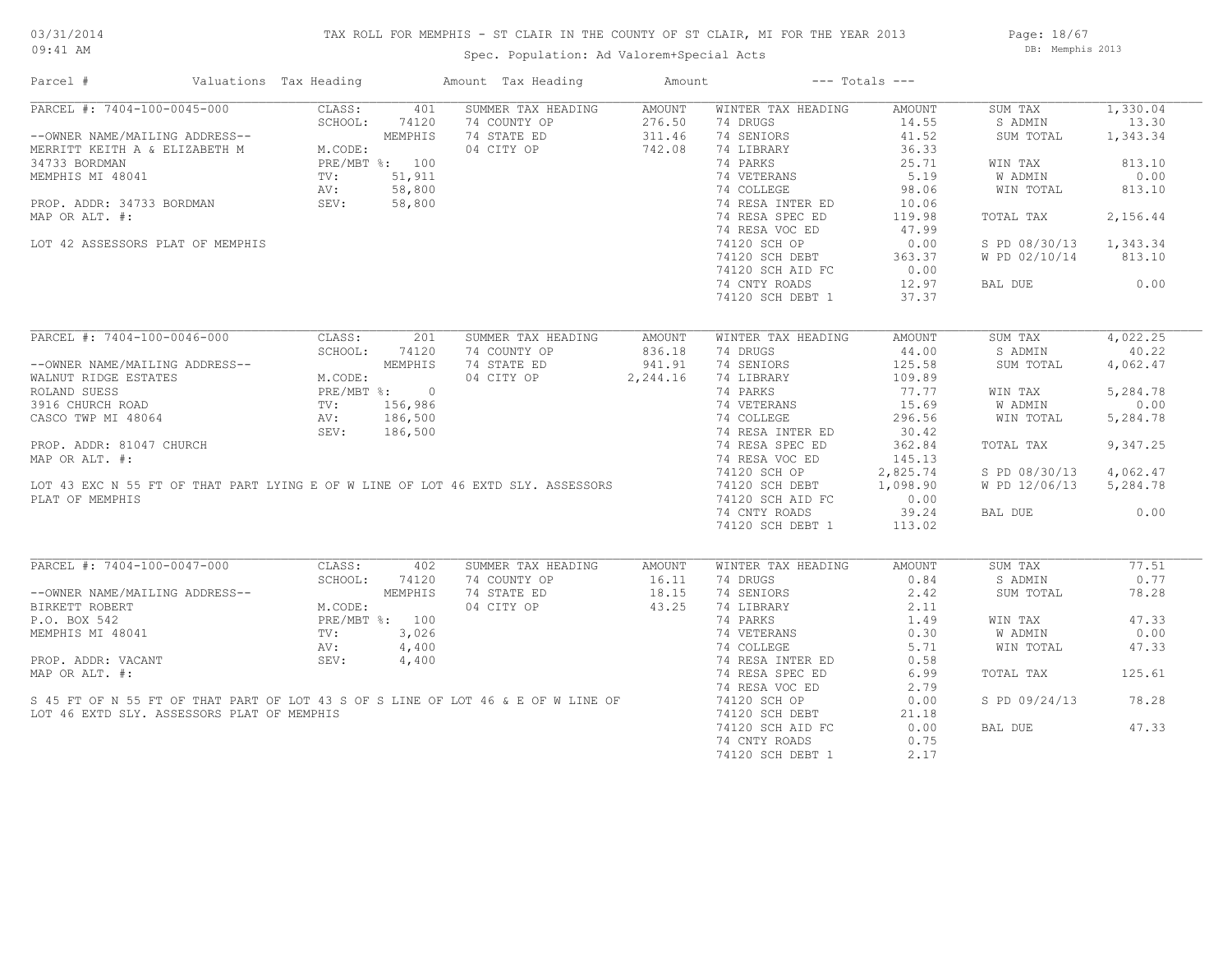## TAX ROLL FOR MEMPHIS - ST CLAIR IN THE COUNTY OF ST CLAIR, MI FOR THE YEAR 2013

Spec. Population: Ad Valorem+Special Acts

Page: 18/67 DB: Memphis 2013

| Parcel #                                                                                                                                                                                                                              |                                                                                                            | Valuations Tax Heading |               | Amount Tax Heading                                                               | Amount | $---$ Totals $---$                               |                        |                        |          |
|---------------------------------------------------------------------------------------------------------------------------------------------------------------------------------------------------------------------------------------|------------------------------------------------------------------------------------------------------------|------------------------|---------------|----------------------------------------------------------------------------------|--------|--------------------------------------------------|------------------------|------------------------|----------|
| PARCEL #: 7404-100-0045-000                                                                                                                                                                                                           |                                                                                                            | CLASS:                 | 401           | SUMMER TAX HEADING                                                               | AMOUNT | WINTER TAX HEADING                               | AMOUNT                 | SUM TAX                | 1,330.04 |
| --OWNER NAME/MAILING ADDRESS--<br>MERRITT KEITH A & ELIZABETH M M.CODE:<br>34733 BORDMAN PRE/MBT %: 100<br>MEMPHIS MI 48041 TV: 51,911<br>PROP. ADDR: 34733 BORDMAN SEV: 58,800<br>MAP OP ALT #:<br>MAP OP ALT #:                     |                                                                                                            |                        |               | 74 COUNTY OP                                                                     | 276.50 | 74 DRUGS                                         | 14.55                  | S ADMIN                | 13.30    |
|                                                                                                                                                                                                                                       |                                                                                                            |                        |               | 74 STATE ED                                                                      | 311.46 | 74 SENIORS                                       | 41.52                  | SUM TOTAL              | 1,343.34 |
|                                                                                                                                                                                                                                       |                                                                                                            |                        |               | 04 CITY OP                                                                       | 742.08 | 74 LIBRARY                                       | 36.33                  |                        |          |
|                                                                                                                                                                                                                                       |                                                                                                            |                        |               |                                                                                  |        | 74 PARKS                                         | 25.71                  | WIN TAX                | 813.10   |
|                                                                                                                                                                                                                                       |                                                                                                            |                        |               |                                                                                  |        | 74 VETERANS                                      | 5.19                   | W ADMIN                | 0.00     |
|                                                                                                                                                                                                                                       |                                                                                                            |                        |               |                                                                                  |        | 74 COLLEGE                                       | 98.06                  | WIN TOTAL              | 813.10   |
|                                                                                                                                                                                                                                       |                                                                                                            |                        |               |                                                                                  |        | 74 RESA INTER ED                                 | 10.06                  |                        |          |
|                                                                                                                                                                                                                                       |                                                                                                            |                        |               |                                                                                  |        | 74 RESA SPEC ED                                  |                        |                        | 2,156.44 |
| MAP OR ALT. #:                                                                                                                                                                                                                        |                                                                                                            |                        |               |                                                                                  |        |                                                  | 119.98                 | TOTAL TAX              |          |
|                                                                                                                                                                                                                                       |                                                                                                            |                        |               |                                                                                  |        | 74 RESA VOC ED                                   | 47.99                  |                        |          |
| LOT 42 ASSESSORS PLAT OF MEMPHIS                                                                                                                                                                                                      |                                                                                                            |                        |               |                                                                                  |        | 74120 SCH OP                                     | 0.00                   | S PD 08/30/13 1,343.34 |          |
|                                                                                                                                                                                                                                       |                                                                                                            |                        |               |                                                                                  |        | 74120 SCH DEBT 363.37<br>74120 SCH AID FC 0.00   |                        | W PD 02/10/14 813.10   |          |
|                                                                                                                                                                                                                                       |                                                                                                            |                        |               |                                                                                  |        |                                                  |                        |                        |          |
|                                                                                                                                                                                                                                       |                                                                                                            |                        |               |                                                                                  |        | 74 CNTY ROADS                                    | 12.97                  | BAL DUE                | 0.00     |
|                                                                                                                                                                                                                                       |                                                                                                            |                        |               |                                                                                  |        | 74120 SCH DEBT 1                                 | 37.37                  |                        |          |
|                                                                                                                                                                                                                                       |                                                                                                            |                        |               |                                                                                  |        |                                                  |                        |                        |          |
| PARCEL #: 7404-100-0046-000                                                                                                                                                                                                           |                                                                                                            | CLASS:                 | 201           | SUMMER TAX HEADING                                                               | AMOUNT | WINTER TAX HEADING                               | AMOUNT                 | SUM TAX                | 4,022.25 |
|                                                                                                                                                                                                                                       |                                                                                                            |                        | SCHOOL: 74120 | 74 COUNTY OP                                                                     | 836.18 | 74 DRUGS                                         | 44.00                  | S ADMIN                | 40.22    |
| --OWNER NAME/MAILING ADDRESS--<br>WALNUT RIDGE ESTATES<br>ROLAND SUESS<br>3916 CHURCH ROAD<br>CASCO TWP MI 48064<br>PRE/MBT %: 0<br>TV: 156,986<br>CASCO TWP MI 48064<br>PRE. 186,500<br>SEV: 186,500<br>PRE. 186,500<br>PRE. 186,500 |                                                                                                            |                        |               | 74 STATE ED                                                                      | 941.91 | 74 SENIORS                                       | 125.58                 | SUM TOTAL              | 4,062.47 |
|                                                                                                                                                                                                                                       |                                                                                                            |                        |               | 04 CITY OP 2, 244.16                                                             |        | 74 LIBRARY                                       | 109.89                 |                        |          |
|                                                                                                                                                                                                                                       |                                                                                                            |                        |               |                                                                                  |        | 74 PARKS                                         | 77.77                  | WIN TAX                | 5,284.78 |
|                                                                                                                                                                                                                                       |                                                                                                            |                        |               |                                                                                  |        | 74 VETERANS                                      | 15.69                  | W ADMIN                | 0.00     |
|                                                                                                                                                                                                                                       |                                                                                                            |                        |               |                                                                                  |        | 74 COLLEGE                                       | 296.56                 | WIN TOTAL              | 5,284.78 |
|                                                                                                                                                                                                                                       |                                                                                                            |                        |               |                                                                                  |        | 74 RESA INTER ED                                 | 30.42                  |                        |          |
|                                                                                                                                                                                                                                       |                                                                                                            |                        |               |                                                                                  |        |                                                  |                        |                        | 9,347.25 |
| PROP. ADDR: 81047 CHURCH                                                                                                                                                                                                              |                                                                                                            |                        |               |                                                                                  |        | 74 RESA SPEC ED                                  | 362.84                 | TOTAL TAX              |          |
| MAP OR ALT. #:                                                                                                                                                                                                                        |                                                                                                            |                        |               |                                                                                  |        | 74 RESA VOC ED                                   | 145.13                 |                        |          |
|                                                                                                                                                                                                                                       |                                                                                                            |                        |               | LOT 43 EXC N 55 FT OF THAT PART LYING E OF W LINE OF LOT 46 EXTD SLY. ASSESSORS  |        | 74120 SCH OP 2,825.74<br>74120 SCH DEBT 1,098.90 |                        | S PD 08/30/13          | 4,062.47 |
|                                                                                                                                                                                                                                       |                                                                                                            |                        |               |                                                                                  |        |                                                  |                        | W PD 12/06/13 5,284.78 |          |
| PLAT OF MEMPHIS                                                                                                                                                                                                                       |                                                                                                            |                        |               |                                                                                  |        | 74120 SCH AID FC                                 | $0.00$<br>39.24        |                        |          |
|                                                                                                                                                                                                                                       |                                                                                                            |                        |               |                                                                                  |        | 74 CNTY ROADS                                    |                        | BAL DUE                | 0.00     |
|                                                                                                                                                                                                                                       |                                                                                                            |                        |               |                                                                                  |        | 74120 SCH DEBT 1                                 | 113.02                 |                        |          |
|                                                                                                                                                                                                                                       |                                                                                                            |                        |               |                                                                                  |        |                                                  |                        |                        |          |
| PARCEL #: 7404-100-0047-000                                                                                                                                                                                                           |                                                                                                            | CLASS:                 | 402           | SUMMER TAX HEADING                                                               | AMOUNT | WINTER TAX HEADING                               | AMOUNT                 | SUM TAX                | 77.51    |
|                                                                                                                                                                                                                                       |                                                                                                            | SCHOOL:                | 74120         |                                                                                  |        | 74 DRUGS                                         | 0.84                   | S ADMIN                | 0.77     |
| --OWNER NAME/MAILING ADDRESS--                                                                                                                                                                                                        |                                                                                                            |                        |               |                                                                                  |        | 74 SENIORS                                       | 2.42                   | SUM TOTAL              | 78.28    |
| BIRKETT ROBERT                                                                                                                                                                                                                        | ELING ADDRESS--<br>M.CODE:<br>M.CODE:<br>M.CODE:<br>PRE/MBT %: 100<br>TV: 3,026<br>AV: 4,400<br>SEV: 4,400 |                        |               | 74 COUNTY OP<br>74 STATE ED 18.15<br>04 CITY OP 43.25                            |        | 74 LIBRARY                                       | 2.11                   |                        |          |
| P.O. BOX 542                                                                                                                                                                                                                          |                                                                                                            |                        |               |                                                                                  |        | 74 PARKS                                         | 1.49                   | WIN TAX                | 47.33    |
| MEMPHIS MI 48041                                                                                                                                                                                                                      |                                                                                                            |                        |               |                                                                                  |        | 74 VETERANS                                      |                        | <b>W ADMIN</b>         | 0.00     |
|                                                                                                                                                                                                                                       |                                                                                                            |                        |               |                                                                                  |        | 74 COLLEGE                                       | $5.71$<br>5.58<br>6.90 | WIN TOTAL              | 47.33    |
| PROP. ADDR: VACANT                                                                                                                                                                                                                    |                                                                                                            |                        |               |                                                                                  |        | 74 RESA INTER ED                                 |                        |                        |          |
| MAP OR ALT. #:                                                                                                                                                                                                                        |                                                                                                            |                        |               |                                                                                  |        | 74 RESA SPEC ED                                  | 6.99                   | TOTAL TAX              | 125.61   |
|                                                                                                                                                                                                                                       |                                                                                                            |                        |               |                                                                                  |        | 74 RESA VOC ED                                   | 2.79                   |                        |          |
|                                                                                                                                                                                                                                       |                                                                                                            |                        |               | S 45 FT OF N 55 FT OF THAT PART OF LOT 43 S OF S LINE OF LOT 46 & E OF W LINE OF |        | 74120 SCH OP                                     | 0.00                   | S PD 09/24/13          | 78.28    |
| LOT 46 EXTD SLY. ASSESSORS PLAT OF MEMPHIS                                                                                                                                                                                            |                                                                                                            |                        |               |                                                                                  |        | 74120 SCH DEBT                                   | 21.18                  |                        |          |
|                                                                                                                                                                                                                                       |                                                                                                            |                        |               |                                                                                  |        | 74120 SCH AID FC                                 | 0.00                   | BAL DUE                | 47.33    |
|                                                                                                                                                                                                                                       |                                                                                                            |                        |               |                                                                                  |        | 74 CNTY ROADS                                    | 0.75                   |                        |          |
|                                                                                                                                                                                                                                       |                                                                                                            |                        |               |                                                                                  |        | 74120 SCH DEBT 1                                 | 2.17                   |                        |          |
|                                                                                                                                                                                                                                       |                                                                                                            |                        |               |                                                                                  |        |                                                  |                        |                        |          |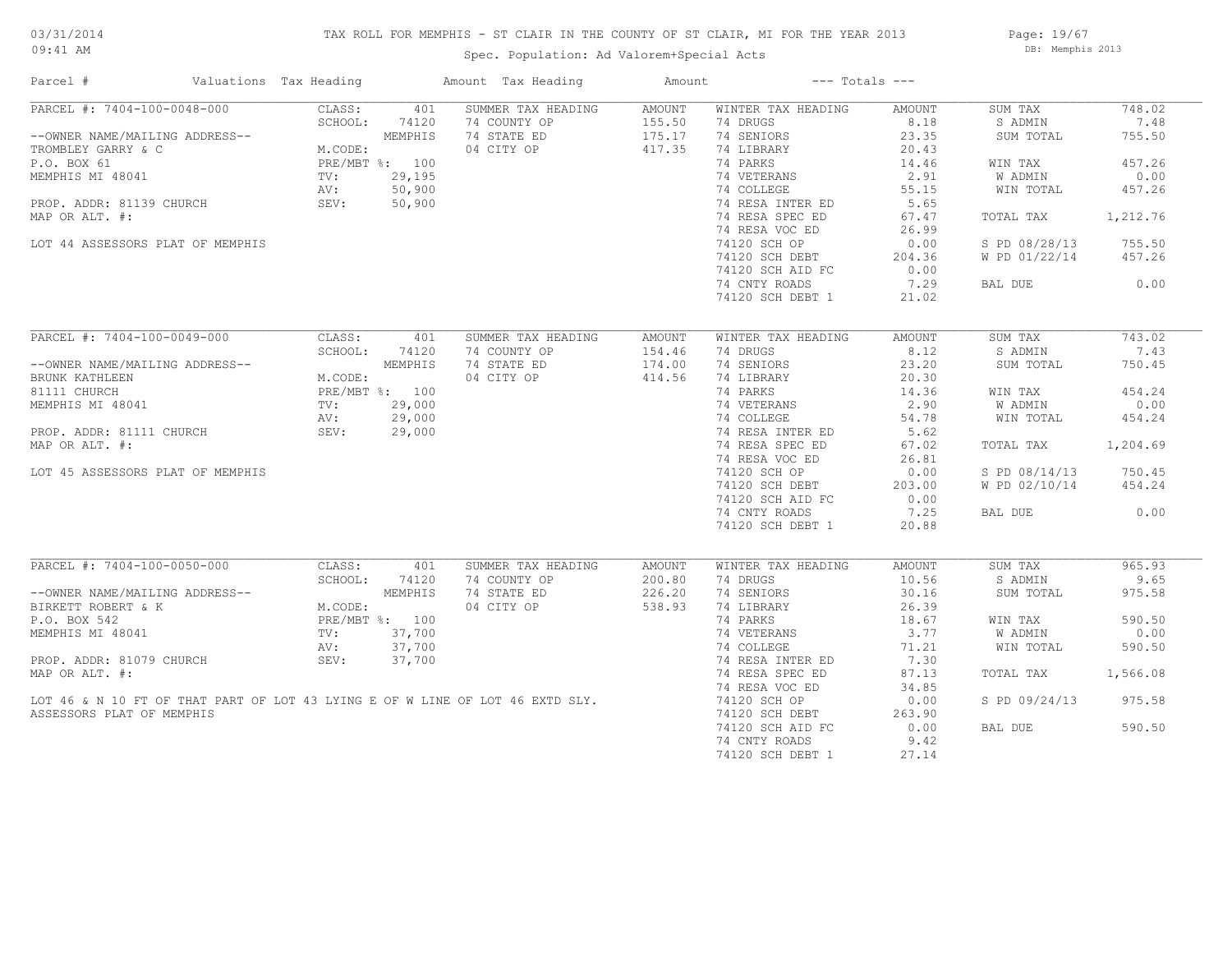## TAX ROLL FOR MEMPHIS - ST CLAIR IN THE COUNTY OF ST CLAIR, MI FOR THE YEAR 2013

09:41 AM

## Spec. Population: Ad Valorem+Special Acts

Page: 19/67 DB: Memphis 2013

| Parcel #                                                                      | Valuations Tax Heading |                | Amount Tax Heading | Amount        |                    | $---$ Totals $---$ |               |          |
|-------------------------------------------------------------------------------|------------------------|----------------|--------------------|---------------|--------------------|--------------------|---------------|----------|
| PARCEL #: 7404-100-0048-000                                                   | CLASS:                 | 401            | SUMMER TAX HEADING | <b>AMOUNT</b> | WINTER TAX HEADING | AMOUNT             | SUM TAX       | 748.02   |
|                                                                               | SCHOOL:                | 74120          | 74 COUNTY OP       | 155.50        | 74 DRUGS           | 8.18               | S ADMIN       | 7.48     |
| --OWNER NAME/MAILING ADDRESS--                                                |                        | MEMPHIS        | 74 STATE ED        | 175.17        | 74 SENIORS         | 23.35              | SUM TOTAL     | 755.50   |
| TROMBLEY GARRY & C                                                            | M.CODE:                |                | 04 CITY OP         | 417.35        | 74 LIBRARY         | 20.43              |               |          |
| P.O. BOX 61                                                                   |                        | PRE/MBT %: 100 |                    |               | 74 PARKS           | 14.46              | WIN TAX       | 457.26   |
| MEMPHIS MI 48041                                                              | TV:                    | 29,195         |                    |               | 74 VETERANS        | 2.91               | W ADMIN       | 0.00     |
|                                                                               | AV:                    | 50,900         |                    |               | 74 COLLEGE         | 55.15              | WIN TOTAL     | 457.26   |
| PROP. ADDR: 81139 CHURCH                                                      | SEV:                   | 50,900         |                    |               | 74 RESA INTER ED   | 5.65               |               |          |
| MAP OR ALT. #:                                                                |                        |                |                    |               | 74 RESA SPEC ED    | 67.47              | TOTAL TAX     | 1,212.76 |
|                                                                               |                        |                |                    |               | 74 RESA VOC ED     | 26.99              |               |          |
| LOT 44 ASSESSORS PLAT OF MEMPHIS                                              |                        |                |                    |               | 74120 SCH OP       | 0.00               | S PD 08/28/13 | 755.50   |
|                                                                               |                        |                |                    |               |                    |                    |               |          |
|                                                                               |                        |                |                    |               | 74120 SCH DEBT     | 204.36             | W PD 01/22/14 | 457.26   |
|                                                                               |                        |                |                    |               | 74120 SCH AID FC   | 0.00               |               |          |
|                                                                               |                        |                |                    |               | 74 CNTY ROADS      | 7.29               | BAL DUE       | 0.00     |
|                                                                               |                        |                |                    |               | 74120 SCH DEBT 1   | 21.02              |               |          |
|                                                                               |                        |                |                    |               |                    |                    |               |          |
| PARCEL #: 7404-100-0049-000                                                   | CLASS:                 | 401            | SUMMER TAX HEADING | AMOUNT        | WINTER TAX HEADING | AMOUNT             | SUM TAX       | 743.02   |
|                                                                               | SCHOOL:                | 74120          | 74 COUNTY OP       | 154.46        | 74 DRUGS           | 8.12               | S ADMIN       | 7.43     |
| --OWNER NAME/MAILING ADDRESS--                                                |                        | MEMPHIS        | 74 STATE ED        | 174.00        | 74 SENIORS         | 23.20              | SUM TOTAL     | 750.45   |
| BRUNK KATHLEEN                                                                | M.CODE:                |                | 04 CITY OP         | 414.56        | 74 LIBRARY         | 20.30              |               |          |
| 81111 CHURCH                                                                  |                        | PRE/MBT %: 100 |                    |               | 74 PARKS           | 14.36              | WIN TAX       | 454.24   |
| MEMPHIS MI 48041                                                              | TV:                    | 29,000         |                    |               | 74 VETERANS        | 2.90               | W ADMIN       | 0.00     |
|                                                                               | AV:                    | 29,000         |                    |               | 74 COLLEGE         | 54.78              | WIN TOTAL     | 454.24   |
| PROP. ADDR: 81111 CHURCH                                                      | SEV:                   | 29,000         |                    |               | 74 RESA INTER ED   | 5.62               |               |          |
| MAP OR ALT. #:                                                                |                        |                |                    |               | 74 RESA SPEC ED    | 67.02              | TOTAL TAX     | 1,204.69 |
|                                                                               |                        |                |                    |               | 74 RESA VOC ED     | 26.81              |               |          |
| LOT 45 ASSESSORS PLAT OF MEMPHIS                                              |                        |                |                    |               | 74120 SCH OP       | 0.00               | S PD 08/14/13 | 750.45   |
|                                                                               |                        |                |                    |               |                    |                    |               |          |
|                                                                               |                        |                |                    |               | 74120 SCH DEBT     | 203.00             | W PD 02/10/14 | 454.24   |
|                                                                               |                        |                |                    |               | 74120 SCH AID FC   | 0.00               |               |          |
|                                                                               |                        |                |                    |               | 74 CNTY ROADS      | 7.25               | BAL DUE       | 0.00     |
|                                                                               |                        |                |                    |               | 74120 SCH DEBT 1   | 20.88              |               |          |
| PARCEL #: 7404-100-0050-000                                                   |                        |                |                    |               |                    |                    |               | 965.93   |
|                                                                               | CLASS:                 | 401            | SUMMER TAX HEADING | AMOUNT        | WINTER TAX HEADING | AMOUNT             | SUM TAX       |          |
|                                                                               | SCHOOL:                | 74120          | 74 COUNTY OP       | 200.80        | 74 DRUGS           | 10.56              | S ADMIN       | 9.65     |
| --OWNER NAME/MAILING ADDRESS--                                                |                        | MEMPHIS        | 74 STATE ED        | 226.20        | 74 SENIORS         | 30.16              | SUM TOTAL     | 975.58   |
| BIRKETT ROBERT & K                                                            | M.CODE:                |                | 04 CITY OP         | 538.93        | 74 LIBRARY         | 26.39              |               |          |
| P.O. BOX 542                                                                  |                        | PRE/MBT %: 100 |                    |               | 74 PARKS           | 18.67              | WIN TAX       | 590.50   |
| MEMPHIS MI 48041                                                              | TV:                    | 37,700         |                    |               | 74 VETERANS        | 3.77               | W ADMIN       | 0.00     |
|                                                                               | AV:                    | 37,700         |                    |               | 74 COLLEGE         | 71.21              | WIN TOTAL     | 590.50   |
| PROP. ADDR: 81079 CHURCH                                                      | SEV:                   | 37,700         |                    |               | 74 RESA INTER ED   | 7.30               |               |          |
| MAP OR ALT. #:                                                                |                        |                |                    |               | 74 RESA SPEC ED    | 87.13              | TOTAL TAX     | 1,566.08 |
|                                                                               |                        |                |                    |               | 74 RESA VOC ED     | 34.85              |               |          |
| LOT 46 & N 10 FT OF THAT PART OF LOT 43 LYING E OF W LINE OF LOT 46 EXTD SLY. |                        |                |                    |               | 74120 SCH OP       | 0.00               | S PD 09/24/13 | 975.58   |
| ASSESSORS PLAT OF MEMPHIS                                                     |                        |                |                    |               | 74120 SCH DEBT     | 263.90             |               |          |
|                                                                               |                        |                |                    |               | 74120 SCH AID FC   | 0.00               | BAL DUE       | 590.50   |
|                                                                               |                        |                |                    |               | 74 CNTY ROADS      | 9.42               |               |          |
|                                                                               |                        |                |                    |               |                    |                    |               |          |
|                                                                               |                        |                |                    |               | 74120 SCH DEBT 1   | 27.14              |               |          |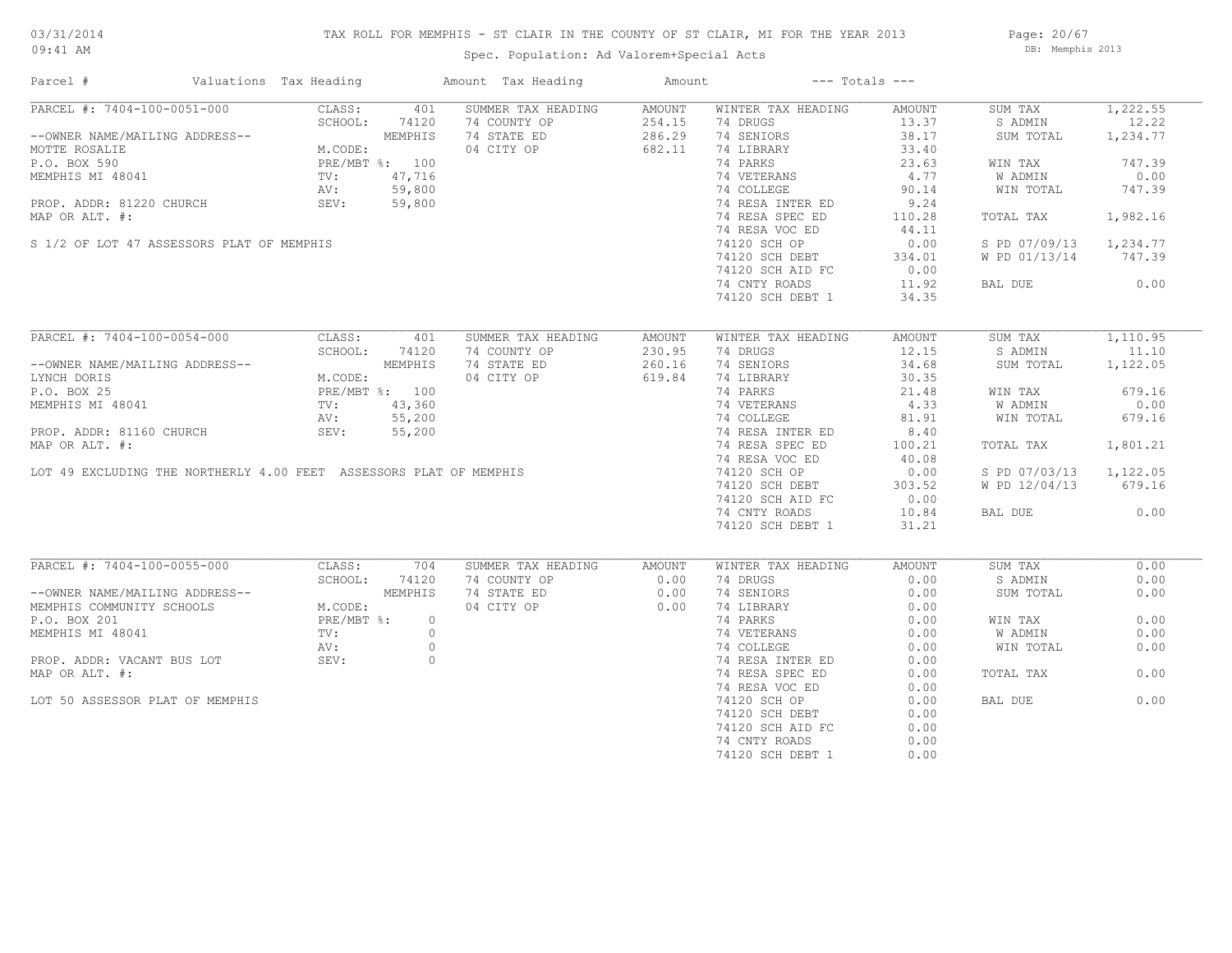## TAX ROLL FOR MEMPHIS - ST CLAIR IN THE COUNTY OF ST CLAIR, MI FOR THE YEAR 2013

Spec. Population: Ad Valorem+Special Acts

Page: 20/67 DB: Memphis 2013

| PARCEL #: 7404-100-0051-000<br>CLASS:<br>401<br>SUMMER TAX HEADING<br>AMOUNT<br>WINTER TAX HEADING<br>AMOUNT<br>SUM TAX<br>254.15<br>74 DRUGS<br>74 COUNTY OP<br>13.37<br>S ADMIN<br>--OWNER NAME/MAILING ADDRESS--<br>--OWNER NAME/MAILING ADDRESS--<br>MCTTE ROSALIE<br>P.O. BOX 590<br>MEMPHIS MI 48041<br>MCODE:<br>PRE/MBT %: 100<br>MEMPHIS MI 48041<br>TV: 47,716<br>PROP. ADDR: 81220 CHURCH<br>PROP. ADDR: 1220 CHURCH<br>SEV: 5<br>74 STATE ED<br>286.29<br>74 SENIORS<br>38.17<br>1,234.77<br>SUM TOTAL<br>04 CITY OP<br>682.11<br>74 LIBRARY<br>33.40<br>74 PARKS<br>23.63<br>747.39<br>WIN TAX<br>T $%$ : 100<br>47,716<br>59,800<br>59,800<br>59,800<br>74 VETERANS<br>0.00<br>4.77<br>W ADMIN<br>74 COLLEGE<br>90.14<br>WIN TOTAL<br>747.39<br>74 RESA INTER ED<br>9.24<br>74 RESA SPEC ED<br>1,982.16<br>MAP OR ALT. #:<br>110.28<br>TOTAL TAX<br>44.11<br>74 RESA VOC ED<br>S 1/2 OF LOT 47 ASSESSORS PLAT OF MEMPHIS<br>74120 SCH OP<br>0.00<br>S PD 07/09/13 1,234.77<br>747.39<br>$74120$ SCH DEBT<br>334.01<br>W PD 01/13/14<br>74120 SCH AID FC<br>0.00<br>BAL DUE 0.00<br>74 CNTY ROADS<br>11.92<br>34.35<br>74120 SCH DEBT 1<br>PARCEL #: 7404-100-0054-000<br>CLASS:<br>401<br>SUMMER TAX HEADING<br>1,110.95<br>AMOUNT<br>WINTER TAX HEADING<br>AMOUNT<br>SUM TAX<br>SCHOOL:<br>74120<br>74 COUNTY OP<br>230.95<br>74 DRUGS<br>12.15<br>S ADMIN<br>11.10<br>--OWNER NAME/MAILING ADDRESS--<br>ING ADDRESS--<br>M.CODE:<br>PRE/MBT %: 100<br>TV: 43,360<br>AV: 55,200<br>74 STATE ED<br>260.16<br>74 SENIORS<br>34.68<br>SUM TOTAL 1,122.05<br>619.84<br>04 CITY OP<br>74 LIBRARY<br>30.35<br>LYNCH DORIS<br>74 PARKS<br>679.16<br>21.48<br>WIN TAX<br>P.O. BOX 25<br>MEMPHIS MI 48041<br>PROP. ADDR: 81160 CHURCH<br>MAP OR ALT. #:<br>LOT 49 EXCLUDING THE NORTHERLY 4.00 FEET ASSESSORS PLAT OF MEMPHIS<br>74 VETERANS<br>74 COLLEGE<br>4.33<br>0.00<br>W ADMIN<br>679.16<br>81.91<br>WIN TOTAL<br>74 RESA INTER ED<br>8.40<br>74 RESA SPEC ED<br>100.21<br>TOTAL TAX<br>1,801.21<br>74 RESA VOC ED<br>40.08<br>74120 SCH OP<br>0.00<br>S PD 07/03/13 1,122.05<br>74120 SCH DEBT<br>303.52<br>W PD 12/04/13<br>679.16<br>74120 SCH AID FC<br>0.00<br>0.00<br>74 CNTY ROADS<br>10.84<br>BAL DUE<br>74120 SCH DEBT 1<br>31.21<br>PARCEL #: 7404-100-0055-000<br>CLASS:<br>SUMMER TAX HEADING<br>WINTER TAX HEADING<br>SUM TAX<br>704<br>AMOUNT<br>AMOUNT<br>SCHOOL:<br>74120<br>74 COUNTY OP<br>0.00<br>74 DRUGS<br>0.00<br>0.00<br>S ADMIN<br>--OWNER NAME/MAILING ADDRESS--<br>MEMPHIS COMMUNITY SCHOOLS<br>P.O. BOX 201<br>MEMPHIS MI 48041<br>MEMPHIS MI 48041<br>TV:<br>MEMPHIS<br>74 STATE ED<br>0.00<br>74 SENIORS<br>0.00<br>0.00<br>SUM TOTAL<br>04 CITY OP<br>0.00<br>74 LIBRARY<br>0.00<br>74 PARKS<br>0.00<br>0.00<br>$\circ$<br>WIN TAX<br>74 VETERANS<br>W ADMIN<br>0.00<br>$\circ$<br>0.00<br>$\circ$<br>74 COLLEGE<br>0.00<br>0.00<br>WIN TOTAL<br>AV:<br>PROP. ADDR: VACANT BUS LOT SEV:<br>$\circ$<br>74 RESA INTER ED<br>0.00<br>0.00<br>MAP OR ALT. #:<br>74 RESA SPEC ED<br>0.00<br>TOTAL TAX<br>74 RESA VOC ED<br>0.00<br>74120 SCH OP<br>0.00<br>LOT 50 ASSESSOR PLAT OF MEMPHIS<br>0.00<br>BAL DUE<br>74120 SCH DEBT<br>0.00<br>74120 SCH AID FC<br>0.00<br>74 CNTY ROADS<br>0.00 | Parcel # | Valuations Tax Heading | Amount Tax Heading | Amount | $---$ Totals $---$ |      |          |
|-------------------------------------------------------------------------------------------------------------------------------------------------------------------------------------------------------------------------------------------------------------------------------------------------------------------------------------------------------------------------------------------------------------------------------------------------------------------------------------------------------------------------------------------------------------------------------------------------------------------------------------------------------------------------------------------------------------------------------------------------------------------------------------------------------------------------------------------------------------------------------------------------------------------------------------------------------------------------------------------------------------------------------------------------------------------------------------------------------------------------------------------------------------------------------------------------------------------------------------------------------------------------------------------------------------------------------------------------------------------------------------------------------------------------------------------------------------------------------------------------------------------------------------------------------------------------------------------------------------------------------------------------------------------------------------------------------------------------------------------------------------------------------------------------------------------------------------------------------------------------------------------------------------------------------------------------------------------------------------------------------------------------------------------------------------------------------------------------------------------------------------------------------------------------------------------------------------------------------------------------------------------------------------------------------------------------------------------------------------------------------------------------------------------------------------------------------------------------------------------------------------------------------------------------------------------------------------------------------------------------------------------------------------------------------------------------------------------------------------------------------------------------------------------------------------------------------------------------------------------------------------------------------------------------------------------------------------------------------------------------------------------------------------------------------------------------------------------------------------------------------------------------------------------------------------------------------------------------------------|----------|------------------------|--------------------|--------|--------------------|------|----------|
|                                                                                                                                                                                                                                                                                                                                                                                                                                                                                                                                                                                                                                                                                                                                                                                                                                                                                                                                                                                                                                                                                                                                                                                                                                                                                                                                                                                                                                                                                                                                                                                                                                                                                                                                                                                                                                                                                                                                                                                                                                                                                                                                                                                                                                                                                                                                                                                                                                                                                                                                                                                                                                                                                                                                                                                                                                                                                                                                                                                                                                                                                                                                                                                                                                     |          |                        |                    |        |                    |      | 1,222.55 |
|                                                                                                                                                                                                                                                                                                                                                                                                                                                                                                                                                                                                                                                                                                                                                                                                                                                                                                                                                                                                                                                                                                                                                                                                                                                                                                                                                                                                                                                                                                                                                                                                                                                                                                                                                                                                                                                                                                                                                                                                                                                                                                                                                                                                                                                                                                                                                                                                                                                                                                                                                                                                                                                                                                                                                                                                                                                                                                                                                                                                                                                                                                                                                                                                                                     |          |                        |                    |        |                    |      | 12.22    |
|                                                                                                                                                                                                                                                                                                                                                                                                                                                                                                                                                                                                                                                                                                                                                                                                                                                                                                                                                                                                                                                                                                                                                                                                                                                                                                                                                                                                                                                                                                                                                                                                                                                                                                                                                                                                                                                                                                                                                                                                                                                                                                                                                                                                                                                                                                                                                                                                                                                                                                                                                                                                                                                                                                                                                                                                                                                                                                                                                                                                                                                                                                                                                                                                                                     |          |                        |                    |        |                    |      |          |
|                                                                                                                                                                                                                                                                                                                                                                                                                                                                                                                                                                                                                                                                                                                                                                                                                                                                                                                                                                                                                                                                                                                                                                                                                                                                                                                                                                                                                                                                                                                                                                                                                                                                                                                                                                                                                                                                                                                                                                                                                                                                                                                                                                                                                                                                                                                                                                                                                                                                                                                                                                                                                                                                                                                                                                                                                                                                                                                                                                                                                                                                                                                                                                                                                                     |          |                        |                    |        |                    |      |          |
|                                                                                                                                                                                                                                                                                                                                                                                                                                                                                                                                                                                                                                                                                                                                                                                                                                                                                                                                                                                                                                                                                                                                                                                                                                                                                                                                                                                                                                                                                                                                                                                                                                                                                                                                                                                                                                                                                                                                                                                                                                                                                                                                                                                                                                                                                                                                                                                                                                                                                                                                                                                                                                                                                                                                                                                                                                                                                                                                                                                                                                                                                                                                                                                                                                     |          |                        |                    |        |                    |      |          |
|                                                                                                                                                                                                                                                                                                                                                                                                                                                                                                                                                                                                                                                                                                                                                                                                                                                                                                                                                                                                                                                                                                                                                                                                                                                                                                                                                                                                                                                                                                                                                                                                                                                                                                                                                                                                                                                                                                                                                                                                                                                                                                                                                                                                                                                                                                                                                                                                                                                                                                                                                                                                                                                                                                                                                                                                                                                                                                                                                                                                                                                                                                                                                                                                                                     |          |                        |                    |        |                    |      |          |
|                                                                                                                                                                                                                                                                                                                                                                                                                                                                                                                                                                                                                                                                                                                                                                                                                                                                                                                                                                                                                                                                                                                                                                                                                                                                                                                                                                                                                                                                                                                                                                                                                                                                                                                                                                                                                                                                                                                                                                                                                                                                                                                                                                                                                                                                                                                                                                                                                                                                                                                                                                                                                                                                                                                                                                                                                                                                                                                                                                                                                                                                                                                                                                                                                                     |          |                        |                    |        |                    |      |          |
|                                                                                                                                                                                                                                                                                                                                                                                                                                                                                                                                                                                                                                                                                                                                                                                                                                                                                                                                                                                                                                                                                                                                                                                                                                                                                                                                                                                                                                                                                                                                                                                                                                                                                                                                                                                                                                                                                                                                                                                                                                                                                                                                                                                                                                                                                                                                                                                                                                                                                                                                                                                                                                                                                                                                                                                                                                                                                                                                                                                                                                                                                                                                                                                                                                     |          |                        |                    |        |                    |      |          |
|                                                                                                                                                                                                                                                                                                                                                                                                                                                                                                                                                                                                                                                                                                                                                                                                                                                                                                                                                                                                                                                                                                                                                                                                                                                                                                                                                                                                                                                                                                                                                                                                                                                                                                                                                                                                                                                                                                                                                                                                                                                                                                                                                                                                                                                                                                                                                                                                                                                                                                                                                                                                                                                                                                                                                                                                                                                                                                                                                                                                                                                                                                                                                                                                                                     |          |                        |                    |        |                    |      |          |
|                                                                                                                                                                                                                                                                                                                                                                                                                                                                                                                                                                                                                                                                                                                                                                                                                                                                                                                                                                                                                                                                                                                                                                                                                                                                                                                                                                                                                                                                                                                                                                                                                                                                                                                                                                                                                                                                                                                                                                                                                                                                                                                                                                                                                                                                                                                                                                                                                                                                                                                                                                                                                                                                                                                                                                                                                                                                                                                                                                                                                                                                                                                                                                                                                                     |          |                        |                    |        |                    |      |          |
|                                                                                                                                                                                                                                                                                                                                                                                                                                                                                                                                                                                                                                                                                                                                                                                                                                                                                                                                                                                                                                                                                                                                                                                                                                                                                                                                                                                                                                                                                                                                                                                                                                                                                                                                                                                                                                                                                                                                                                                                                                                                                                                                                                                                                                                                                                                                                                                                                                                                                                                                                                                                                                                                                                                                                                                                                                                                                                                                                                                                                                                                                                                                                                                                                                     |          |                        |                    |        |                    |      |          |
|                                                                                                                                                                                                                                                                                                                                                                                                                                                                                                                                                                                                                                                                                                                                                                                                                                                                                                                                                                                                                                                                                                                                                                                                                                                                                                                                                                                                                                                                                                                                                                                                                                                                                                                                                                                                                                                                                                                                                                                                                                                                                                                                                                                                                                                                                                                                                                                                                                                                                                                                                                                                                                                                                                                                                                                                                                                                                                                                                                                                                                                                                                                                                                                                                                     |          |                        |                    |        |                    |      |          |
|                                                                                                                                                                                                                                                                                                                                                                                                                                                                                                                                                                                                                                                                                                                                                                                                                                                                                                                                                                                                                                                                                                                                                                                                                                                                                                                                                                                                                                                                                                                                                                                                                                                                                                                                                                                                                                                                                                                                                                                                                                                                                                                                                                                                                                                                                                                                                                                                                                                                                                                                                                                                                                                                                                                                                                                                                                                                                                                                                                                                                                                                                                                                                                                                                                     |          |                        |                    |        |                    |      |          |
|                                                                                                                                                                                                                                                                                                                                                                                                                                                                                                                                                                                                                                                                                                                                                                                                                                                                                                                                                                                                                                                                                                                                                                                                                                                                                                                                                                                                                                                                                                                                                                                                                                                                                                                                                                                                                                                                                                                                                                                                                                                                                                                                                                                                                                                                                                                                                                                                                                                                                                                                                                                                                                                                                                                                                                                                                                                                                                                                                                                                                                                                                                                                                                                                                                     |          |                        |                    |        |                    |      |          |
|                                                                                                                                                                                                                                                                                                                                                                                                                                                                                                                                                                                                                                                                                                                                                                                                                                                                                                                                                                                                                                                                                                                                                                                                                                                                                                                                                                                                                                                                                                                                                                                                                                                                                                                                                                                                                                                                                                                                                                                                                                                                                                                                                                                                                                                                                                                                                                                                                                                                                                                                                                                                                                                                                                                                                                                                                                                                                                                                                                                                                                                                                                                                                                                                                                     |          |                        |                    |        |                    |      |          |
|                                                                                                                                                                                                                                                                                                                                                                                                                                                                                                                                                                                                                                                                                                                                                                                                                                                                                                                                                                                                                                                                                                                                                                                                                                                                                                                                                                                                                                                                                                                                                                                                                                                                                                                                                                                                                                                                                                                                                                                                                                                                                                                                                                                                                                                                                                                                                                                                                                                                                                                                                                                                                                                                                                                                                                                                                                                                                                                                                                                                                                                                                                                                                                                                                                     |          |                        |                    |        |                    |      |          |
|                                                                                                                                                                                                                                                                                                                                                                                                                                                                                                                                                                                                                                                                                                                                                                                                                                                                                                                                                                                                                                                                                                                                                                                                                                                                                                                                                                                                                                                                                                                                                                                                                                                                                                                                                                                                                                                                                                                                                                                                                                                                                                                                                                                                                                                                                                                                                                                                                                                                                                                                                                                                                                                                                                                                                                                                                                                                                                                                                                                                                                                                                                                                                                                                                                     |          |                        |                    |        |                    |      |          |
|                                                                                                                                                                                                                                                                                                                                                                                                                                                                                                                                                                                                                                                                                                                                                                                                                                                                                                                                                                                                                                                                                                                                                                                                                                                                                                                                                                                                                                                                                                                                                                                                                                                                                                                                                                                                                                                                                                                                                                                                                                                                                                                                                                                                                                                                                                                                                                                                                                                                                                                                                                                                                                                                                                                                                                                                                                                                                                                                                                                                                                                                                                                                                                                                                                     |          |                        |                    |        |                    |      |          |
|                                                                                                                                                                                                                                                                                                                                                                                                                                                                                                                                                                                                                                                                                                                                                                                                                                                                                                                                                                                                                                                                                                                                                                                                                                                                                                                                                                                                                                                                                                                                                                                                                                                                                                                                                                                                                                                                                                                                                                                                                                                                                                                                                                                                                                                                                                                                                                                                                                                                                                                                                                                                                                                                                                                                                                                                                                                                                                                                                                                                                                                                                                                                                                                                                                     |          |                        |                    |        |                    |      |          |
|                                                                                                                                                                                                                                                                                                                                                                                                                                                                                                                                                                                                                                                                                                                                                                                                                                                                                                                                                                                                                                                                                                                                                                                                                                                                                                                                                                                                                                                                                                                                                                                                                                                                                                                                                                                                                                                                                                                                                                                                                                                                                                                                                                                                                                                                                                                                                                                                                                                                                                                                                                                                                                                                                                                                                                                                                                                                                                                                                                                                                                                                                                                                                                                                                                     |          |                        |                    |        |                    |      |          |
|                                                                                                                                                                                                                                                                                                                                                                                                                                                                                                                                                                                                                                                                                                                                                                                                                                                                                                                                                                                                                                                                                                                                                                                                                                                                                                                                                                                                                                                                                                                                                                                                                                                                                                                                                                                                                                                                                                                                                                                                                                                                                                                                                                                                                                                                                                                                                                                                                                                                                                                                                                                                                                                                                                                                                                                                                                                                                                                                                                                                                                                                                                                                                                                                                                     |          |                        |                    |        |                    |      |          |
|                                                                                                                                                                                                                                                                                                                                                                                                                                                                                                                                                                                                                                                                                                                                                                                                                                                                                                                                                                                                                                                                                                                                                                                                                                                                                                                                                                                                                                                                                                                                                                                                                                                                                                                                                                                                                                                                                                                                                                                                                                                                                                                                                                                                                                                                                                                                                                                                                                                                                                                                                                                                                                                                                                                                                                                                                                                                                                                                                                                                                                                                                                                                                                                                                                     |          |                        |                    |        |                    |      |          |
|                                                                                                                                                                                                                                                                                                                                                                                                                                                                                                                                                                                                                                                                                                                                                                                                                                                                                                                                                                                                                                                                                                                                                                                                                                                                                                                                                                                                                                                                                                                                                                                                                                                                                                                                                                                                                                                                                                                                                                                                                                                                                                                                                                                                                                                                                                                                                                                                                                                                                                                                                                                                                                                                                                                                                                                                                                                                                                                                                                                                                                                                                                                                                                                                                                     |          |                        |                    |        |                    |      |          |
|                                                                                                                                                                                                                                                                                                                                                                                                                                                                                                                                                                                                                                                                                                                                                                                                                                                                                                                                                                                                                                                                                                                                                                                                                                                                                                                                                                                                                                                                                                                                                                                                                                                                                                                                                                                                                                                                                                                                                                                                                                                                                                                                                                                                                                                                                                                                                                                                                                                                                                                                                                                                                                                                                                                                                                                                                                                                                                                                                                                                                                                                                                                                                                                                                                     |          |                        |                    |        |                    |      |          |
|                                                                                                                                                                                                                                                                                                                                                                                                                                                                                                                                                                                                                                                                                                                                                                                                                                                                                                                                                                                                                                                                                                                                                                                                                                                                                                                                                                                                                                                                                                                                                                                                                                                                                                                                                                                                                                                                                                                                                                                                                                                                                                                                                                                                                                                                                                                                                                                                                                                                                                                                                                                                                                                                                                                                                                                                                                                                                                                                                                                                                                                                                                                                                                                                                                     |          |                        |                    |        |                    |      |          |
|                                                                                                                                                                                                                                                                                                                                                                                                                                                                                                                                                                                                                                                                                                                                                                                                                                                                                                                                                                                                                                                                                                                                                                                                                                                                                                                                                                                                                                                                                                                                                                                                                                                                                                                                                                                                                                                                                                                                                                                                                                                                                                                                                                                                                                                                                                                                                                                                                                                                                                                                                                                                                                                                                                                                                                                                                                                                                                                                                                                                                                                                                                                                                                                                                                     |          |                        |                    |        |                    |      |          |
|                                                                                                                                                                                                                                                                                                                                                                                                                                                                                                                                                                                                                                                                                                                                                                                                                                                                                                                                                                                                                                                                                                                                                                                                                                                                                                                                                                                                                                                                                                                                                                                                                                                                                                                                                                                                                                                                                                                                                                                                                                                                                                                                                                                                                                                                                                                                                                                                                                                                                                                                                                                                                                                                                                                                                                                                                                                                                                                                                                                                                                                                                                                                                                                                                                     |          |                        |                    |        |                    |      |          |
|                                                                                                                                                                                                                                                                                                                                                                                                                                                                                                                                                                                                                                                                                                                                                                                                                                                                                                                                                                                                                                                                                                                                                                                                                                                                                                                                                                                                                                                                                                                                                                                                                                                                                                                                                                                                                                                                                                                                                                                                                                                                                                                                                                                                                                                                                                                                                                                                                                                                                                                                                                                                                                                                                                                                                                                                                                                                                                                                                                                                                                                                                                                                                                                                                                     |          |                        |                    |        |                    |      |          |
|                                                                                                                                                                                                                                                                                                                                                                                                                                                                                                                                                                                                                                                                                                                                                                                                                                                                                                                                                                                                                                                                                                                                                                                                                                                                                                                                                                                                                                                                                                                                                                                                                                                                                                                                                                                                                                                                                                                                                                                                                                                                                                                                                                                                                                                                                                                                                                                                                                                                                                                                                                                                                                                                                                                                                                                                                                                                                                                                                                                                                                                                                                                                                                                                                                     |          |                        |                    |        |                    |      |          |
|                                                                                                                                                                                                                                                                                                                                                                                                                                                                                                                                                                                                                                                                                                                                                                                                                                                                                                                                                                                                                                                                                                                                                                                                                                                                                                                                                                                                                                                                                                                                                                                                                                                                                                                                                                                                                                                                                                                                                                                                                                                                                                                                                                                                                                                                                                                                                                                                                                                                                                                                                                                                                                                                                                                                                                                                                                                                                                                                                                                                                                                                                                                                                                                                                                     |          |                        |                    |        |                    |      |          |
|                                                                                                                                                                                                                                                                                                                                                                                                                                                                                                                                                                                                                                                                                                                                                                                                                                                                                                                                                                                                                                                                                                                                                                                                                                                                                                                                                                                                                                                                                                                                                                                                                                                                                                                                                                                                                                                                                                                                                                                                                                                                                                                                                                                                                                                                                                                                                                                                                                                                                                                                                                                                                                                                                                                                                                                                                                                                                                                                                                                                                                                                                                                                                                                                                                     |          |                        |                    |        |                    |      |          |
|                                                                                                                                                                                                                                                                                                                                                                                                                                                                                                                                                                                                                                                                                                                                                                                                                                                                                                                                                                                                                                                                                                                                                                                                                                                                                                                                                                                                                                                                                                                                                                                                                                                                                                                                                                                                                                                                                                                                                                                                                                                                                                                                                                                                                                                                                                                                                                                                                                                                                                                                                                                                                                                                                                                                                                                                                                                                                                                                                                                                                                                                                                                                                                                                                                     |          |                        |                    |        |                    |      |          |
|                                                                                                                                                                                                                                                                                                                                                                                                                                                                                                                                                                                                                                                                                                                                                                                                                                                                                                                                                                                                                                                                                                                                                                                                                                                                                                                                                                                                                                                                                                                                                                                                                                                                                                                                                                                                                                                                                                                                                                                                                                                                                                                                                                                                                                                                                                                                                                                                                                                                                                                                                                                                                                                                                                                                                                                                                                                                                                                                                                                                                                                                                                                                                                                                                                     |          |                        |                    |        |                    |      |          |
|                                                                                                                                                                                                                                                                                                                                                                                                                                                                                                                                                                                                                                                                                                                                                                                                                                                                                                                                                                                                                                                                                                                                                                                                                                                                                                                                                                                                                                                                                                                                                                                                                                                                                                                                                                                                                                                                                                                                                                                                                                                                                                                                                                                                                                                                                                                                                                                                                                                                                                                                                                                                                                                                                                                                                                                                                                                                                                                                                                                                                                                                                                                                                                                                                                     |          |                        |                    |        |                    |      | 0.00     |
|                                                                                                                                                                                                                                                                                                                                                                                                                                                                                                                                                                                                                                                                                                                                                                                                                                                                                                                                                                                                                                                                                                                                                                                                                                                                                                                                                                                                                                                                                                                                                                                                                                                                                                                                                                                                                                                                                                                                                                                                                                                                                                                                                                                                                                                                                                                                                                                                                                                                                                                                                                                                                                                                                                                                                                                                                                                                                                                                                                                                                                                                                                                                                                                                                                     |          |                        |                    |        |                    |      |          |
|                                                                                                                                                                                                                                                                                                                                                                                                                                                                                                                                                                                                                                                                                                                                                                                                                                                                                                                                                                                                                                                                                                                                                                                                                                                                                                                                                                                                                                                                                                                                                                                                                                                                                                                                                                                                                                                                                                                                                                                                                                                                                                                                                                                                                                                                                                                                                                                                                                                                                                                                                                                                                                                                                                                                                                                                                                                                                                                                                                                                                                                                                                                                                                                                                                     |          |                        |                    |        |                    |      |          |
|                                                                                                                                                                                                                                                                                                                                                                                                                                                                                                                                                                                                                                                                                                                                                                                                                                                                                                                                                                                                                                                                                                                                                                                                                                                                                                                                                                                                                                                                                                                                                                                                                                                                                                                                                                                                                                                                                                                                                                                                                                                                                                                                                                                                                                                                                                                                                                                                                                                                                                                                                                                                                                                                                                                                                                                                                                                                                                                                                                                                                                                                                                                                                                                                                                     |          |                        |                    |        |                    |      |          |
|                                                                                                                                                                                                                                                                                                                                                                                                                                                                                                                                                                                                                                                                                                                                                                                                                                                                                                                                                                                                                                                                                                                                                                                                                                                                                                                                                                                                                                                                                                                                                                                                                                                                                                                                                                                                                                                                                                                                                                                                                                                                                                                                                                                                                                                                                                                                                                                                                                                                                                                                                                                                                                                                                                                                                                                                                                                                                                                                                                                                                                                                                                                                                                                                                                     |          |                        |                    |        |                    |      |          |
|                                                                                                                                                                                                                                                                                                                                                                                                                                                                                                                                                                                                                                                                                                                                                                                                                                                                                                                                                                                                                                                                                                                                                                                                                                                                                                                                                                                                                                                                                                                                                                                                                                                                                                                                                                                                                                                                                                                                                                                                                                                                                                                                                                                                                                                                                                                                                                                                                                                                                                                                                                                                                                                                                                                                                                                                                                                                                                                                                                                                                                                                                                                                                                                                                                     |          |                        |                    |        |                    |      |          |
|                                                                                                                                                                                                                                                                                                                                                                                                                                                                                                                                                                                                                                                                                                                                                                                                                                                                                                                                                                                                                                                                                                                                                                                                                                                                                                                                                                                                                                                                                                                                                                                                                                                                                                                                                                                                                                                                                                                                                                                                                                                                                                                                                                                                                                                                                                                                                                                                                                                                                                                                                                                                                                                                                                                                                                                                                                                                                                                                                                                                                                                                                                                                                                                                                                     |          |                        |                    |        |                    |      |          |
|                                                                                                                                                                                                                                                                                                                                                                                                                                                                                                                                                                                                                                                                                                                                                                                                                                                                                                                                                                                                                                                                                                                                                                                                                                                                                                                                                                                                                                                                                                                                                                                                                                                                                                                                                                                                                                                                                                                                                                                                                                                                                                                                                                                                                                                                                                                                                                                                                                                                                                                                                                                                                                                                                                                                                                                                                                                                                                                                                                                                                                                                                                                                                                                                                                     |          |                        |                    |        |                    |      |          |
|                                                                                                                                                                                                                                                                                                                                                                                                                                                                                                                                                                                                                                                                                                                                                                                                                                                                                                                                                                                                                                                                                                                                                                                                                                                                                                                                                                                                                                                                                                                                                                                                                                                                                                                                                                                                                                                                                                                                                                                                                                                                                                                                                                                                                                                                                                                                                                                                                                                                                                                                                                                                                                                                                                                                                                                                                                                                                                                                                                                                                                                                                                                                                                                                                                     |          |                        |                    |        |                    |      |          |
|                                                                                                                                                                                                                                                                                                                                                                                                                                                                                                                                                                                                                                                                                                                                                                                                                                                                                                                                                                                                                                                                                                                                                                                                                                                                                                                                                                                                                                                                                                                                                                                                                                                                                                                                                                                                                                                                                                                                                                                                                                                                                                                                                                                                                                                                                                                                                                                                                                                                                                                                                                                                                                                                                                                                                                                                                                                                                                                                                                                                                                                                                                                                                                                                                                     |          |                        |                    |        |                    |      |          |
|                                                                                                                                                                                                                                                                                                                                                                                                                                                                                                                                                                                                                                                                                                                                                                                                                                                                                                                                                                                                                                                                                                                                                                                                                                                                                                                                                                                                                                                                                                                                                                                                                                                                                                                                                                                                                                                                                                                                                                                                                                                                                                                                                                                                                                                                                                                                                                                                                                                                                                                                                                                                                                                                                                                                                                                                                                                                                                                                                                                                                                                                                                                                                                                                                                     |          |                        |                    |        |                    |      |          |
|                                                                                                                                                                                                                                                                                                                                                                                                                                                                                                                                                                                                                                                                                                                                                                                                                                                                                                                                                                                                                                                                                                                                                                                                                                                                                                                                                                                                                                                                                                                                                                                                                                                                                                                                                                                                                                                                                                                                                                                                                                                                                                                                                                                                                                                                                                                                                                                                                                                                                                                                                                                                                                                                                                                                                                                                                                                                                                                                                                                                                                                                                                                                                                                                                                     |          |                        |                    |        |                    |      |          |
|                                                                                                                                                                                                                                                                                                                                                                                                                                                                                                                                                                                                                                                                                                                                                                                                                                                                                                                                                                                                                                                                                                                                                                                                                                                                                                                                                                                                                                                                                                                                                                                                                                                                                                                                                                                                                                                                                                                                                                                                                                                                                                                                                                                                                                                                                                                                                                                                                                                                                                                                                                                                                                                                                                                                                                                                                                                                                                                                                                                                                                                                                                                                                                                                                                     |          |                        |                    |        |                    |      |          |
|                                                                                                                                                                                                                                                                                                                                                                                                                                                                                                                                                                                                                                                                                                                                                                                                                                                                                                                                                                                                                                                                                                                                                                                                                                                                                                                                                                                                                                                                                                                                                                                                                                                                                                                                                                                                                                                                                                                                                                                                                                                                                                                                                                                                                                                                                                                                                                                                                                                                                                                                                                                                                                                                                                                                                                                                                                                                                                                                                                                                                                                                                                                                                                                                                                     |          |                        |                    |        |                    |      |          |
|                                                                                                                                                                                                                                                                                                                                                                                                                                                                                                                                                                                                                                                                                                                                                                                                                                                                                                                                                                                                                                                                                                                                                                                                                                                                                                                                                                                                                                                                                                                                                                                                                                                                                                                                                                                                                                                                                                                                                                                                                                                                                                                                                                                                                                                                                                                                                                                                                                                                                                                                                                                                                                                                                                                                                                                                                                                                                                                                                                                                                                                                                                                                                                                                                                     |          |                        |                    |        | 74120 SCH DEBT 1   | 0.00 |          |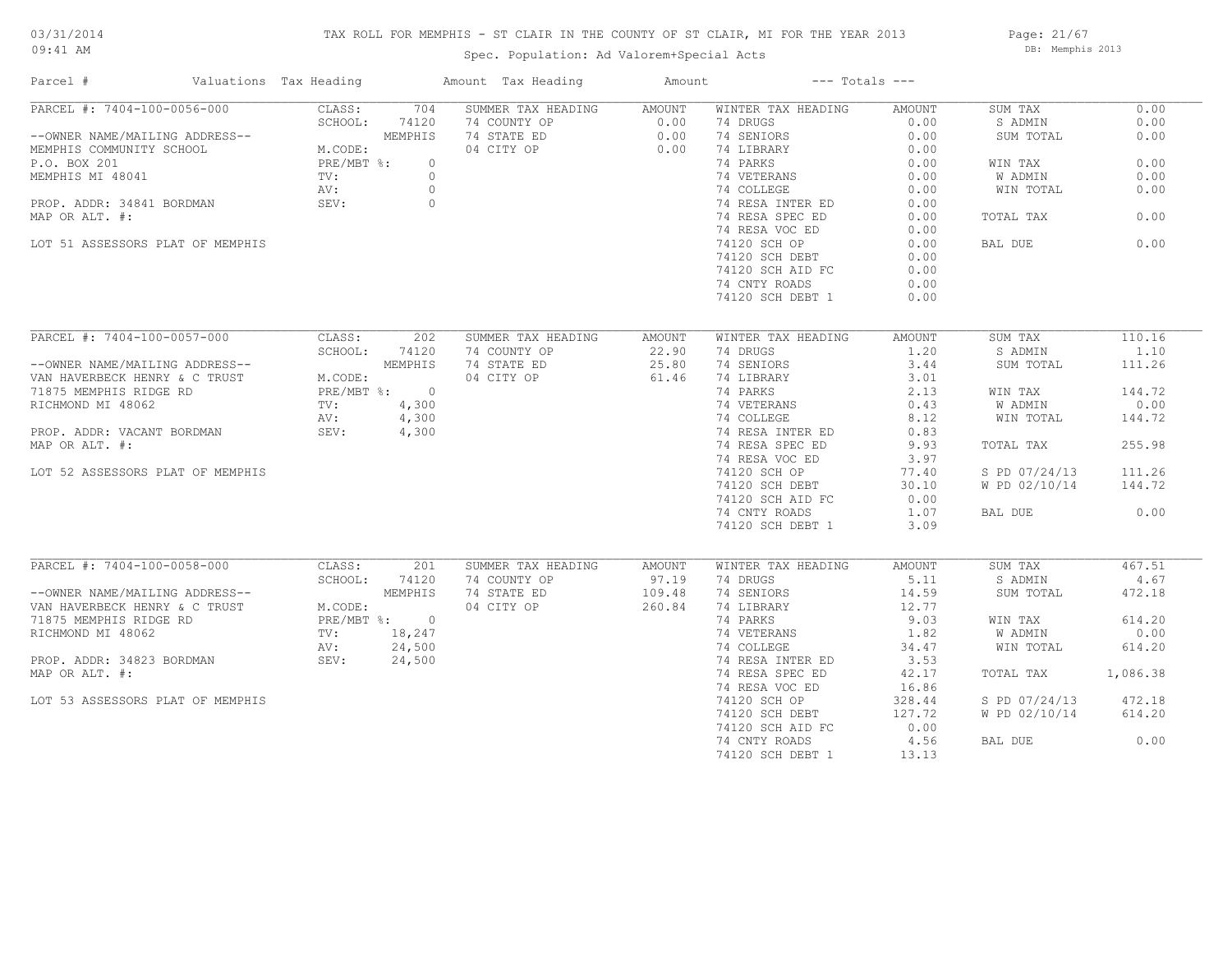## TAX ROLL FOR MEMPHIS - ST CLAIR IN THE COUNTY OF ST CLAIR, MI FOR THE YEAR 2013

Spec. Population: Ad Valorem+Special Acts

Page: 21/67 DB: Memphis 2013

| Parcel #                                                                                                                                                                                                                                       | Valuations Tax Heading |               | Amount Tax Heading                                  | Amount | $---$ Totals $---$                                  |        |                      |          |
|------------------------------------------------------------------------------------------------------------------------------------------------------------------------------------------------------------------------------------------------|------------------------|---------------|-----------------------------------------------------|--------|-----------------------------------------------------|--------|----------------------|----------|
| PARCEL #: 7404-100-0056-000                                                                                                                                                                                                                    | CLASS:                 | 704           | SUMMER TAX HEADING AMOUNT                           |        | WINTER TAX HEADING                                  | AMOUNT | SUM TAX              | 0.00     |
|                                                                                                                                                                                                                                                | SCHOOL:                | 74120         | 74 COUNTY OP<br>74 STATE ED 0.00<br>04 CITY OP 0.00 |        | 74 DRUGS                                            | 0.00   | S ADMIN              | 0.00     |
|                                                                                                                                                                                                                                                |                        |               |                                                     |        | 74 SENIORS                                          | 0.00   | SUM TOTAL            | 0.00     |
|                                                                                                                                                                                                                                                |                        |               |                                                     |        | 74 LIBRARY                                          | 0.00   |                      |          |
|                                                                                                                                                                                                                                                |                        |               |                                                     |        | 74 PARKS                                            | 0.00   | WIN TAX              | 0.00     |
|                                                                                                                                                                                                                                                |                        |               |                                                     |        | 74 VETERANS 0.00<br>74 COLLEGE 0.00                 |        | W ADMIN              | 0.00     |
|                                                                                                                                                                                                                                                |                        |               |                                                     |        |                                                     |        | WIN TOTAL            | 0.00     |
| PROP. ADDR: 34841 BORDMAN SEV: 0                                                                                                                                                                                                               |                        |               |                                                     |        | 74 RESA INTER ED<br>74 RESA SPEC ED                 | 0.00   |                      |          |
| MAP OR ALT. #:                                                                                                                                                                                                                                 |                        |               |                                                     |        | 74 RESA SPEC ED                                     | 0.00   | TOTAL TAX            | 0.00     |
|                                                                                                                                                                                                                                                |                        |               |                                                     |        | 74 RESA VOC ED                                      | 0.00   |                      |          |
| LOT 51 ASSESSORS PLAT OF MEMPHIS                                                                                                                                                                                                               |                        |               |                                                     |        | 74120 SCH OP                                        | 0.00   | BAL DUE              | 0.00     |
|                                                                                                                                                                                                                                                |                        |               |                                                     |        | 74120 SCH DEBT                                      | 0.00   |                      |          |
|                                                                                                                                                                                                                                                |                        |               |                                                     |        | 74120 SCH AID FC                                    | 0.00   |                      |          |
|                                                                                                                                                                                                                                                |                        |               |                                                     |        | 74 CNTY ROADS                                       | 0.00   |                      |          |
|                                                                                                                                                                                                                                                |                        |               |                                                     |        | 74120 SCH DEBT 1                                    | 0.00   |                      |          |
|                                                                                                                                                                                                                                                |                        |               |                                                     |        |                                                     |        |                      |          |
| PARCEL #: 7404-100-0057-000                                                                                                                                                                                                                    |                        |               |                                                     |        |                                                     |        |                      |          |
|                                                                                                                                                                                                                                                |                        | CLASS: 202    | SUMMER TAX HEADING                                  | AMOUNT | WINTER TAX HEADING                                  | AMOUNT | SUM TAX              | 110.16   |
| --OWNER NAME/MAILING ADDRESS--<br>VAN HAVERBECK HENRY & C TRUST<br>71875 MEMPHIS RIDGE RD<br>RICHMOND MI 48062<br>PROP. ADDR: VACANT BORDMAN<br>PROP. ADDR: VACANT BORDMAN<br>MAR OR ALT. 4,300<br>MAR OR ALT. 4,300<br>MAR OR ALT. 4,300      |                        | SCHOOL: 74120 | 74 COUNTY OP                                        | 22.90  | 74 DRUGS                                            | 1.20   | S ADMIN              | 1.10     |
|                                                                                                                                                                                                                                                |                        |               | 74 STATE ED                                         | 25.80  | 74 SENIORS                                          | 3.44   | SUM TOTAL            | 111.26   |
|                                                                                                                                                                                                                                                |                        |               | 04 CITY OP                                          | 61.46  | 74 LIBRARY                                          | 3.01   |                      |          |
|                                                                                                                                                                                                                                                |                        |               |                                                     |        | 74 PARKS                                            | 2.13   | WIN TAX              | 144.72   |
|                                                                                                                                                                                                                                                |                        |               |                                                     |        | 74 VETERANS 0.43<br>74 COLLEGE 8.12                 |        | W ADMIN              | 0.00     |
|                                                                                                                                                                                                                                                |                        |               |                                                     |        |                                                     |        | WIN TOTAL            | 144.72   |
|                                                                                                                                                                                                                                                |                        |               |                                                     |        | 74 RESA INTER ED 0.83<br>74 RESA SPEC ED 9.93       |        |                      |          |
| MAP OR ALT. #:                                                                                                                                                                                                                                 |                        |               |                                                     |        |                                                     |        | TOTAL TAX            | 255.98   |
|                                                                                                                                                                                                                                                |                        |               |                                                     |        | 74 RESA VOC ED                                      | 3.97   |                      |          |
| LOT 52 ASSESSORS PLAT OF MEMPHIS                                                                                                                                                                                                               |                        |               |                                                     |        | 74 RESA VOC ED<br>74120 SCH OP                      | 77.40  | S PD 07/24/13        | 111.26   |
|                                                                                                                                                                                                                                                |                        |               |                                                     |        | 74120 SCH DEBT                                      | 30.10  | W PD 02/10/14 144.72 |          |
|                                                                                                                                                                                                                                                |                        |               |                                                     |        | 74120 SCH AID FC                                    | 0.00   |                      |          |
|                                                                                                                                                                                                                                                |                        |               |                                                     |        | 74 CNTY ROADS                                       | 1.07   | BAL DUE              | 0.00     |
|                                                                                                                                                                                                                                                |                        |               |                                                     |        | 74120 SCH DEBT 1                                    | 3.09   |                      |          |
|                                                                                                                                                                                                                                                |                        |               |                                                     |        |                                                     |        |                      |          |
| PARCEL #: 7404-100-0058-000 CLASS:                                                                                                                                                                                                             |                        | 201           | SUMMER TAX HEADING                                  | AMOUNT | WINTER TAX HEADING                                  | AMOUNT | SUM TAX              | 467.51   |
| --OWNER NAME/MAILING ADDRESS--<br>VAN HAVERBECK HENRY & C TRUST<br>71875 MEMPHIS RIDGE RD<br>RICHMOND MI 48062<br>PROP. ADDR: 34823 BORDMAN<br>PROP. ADDR: 34823 BORDMAN<br>PROP. ADDR: 34823 BORDMAN<br>PROP. ADDR: 34823 BORDMAN<br>SEV: 24, |                        | SCHOOL: 74120 | 74 COUNTY OP 97.19<br>74 STATE ED 109.48            |        | 74 DRUGS                                            | 5.11   | S ADMIN              | 4.67     |
|                                                                                                                                                                                                                                                |                        |               |                                                     |        | 74 SENIORS                                          | 14.59  | SUM TOTAL            | 472.18   |
|                                                                                                                                                                                                                                                |                        |               | 04 CITY OP                                          | 260.84 | 74 LIBRARY<br>74 PARKS                              | 12.77  |                      |          |
|                                                                                                                                                                                                                                                |                        |               |                                                     |        |                                                     | 9.03   | WIN TAX              | 614.20   |
|                                                                                                                                                                                                                                                |                        |               |                                                     |        | 74 VETERANS<br>74 COLLEGE 34.47<br>74 COLLEGE 34.47 |        | W ADMIN              | 0.00     |
|                                                                                                                                                                                                                                                |                        |               |                                                     |        |                                                     |        | WIN TOTAL            | 614.20   |
|                                                                                                                                                                                                                                                |                        |               |                                                     |        | 74 RESA INTER ED                                    | 3.53   |                      |          |
| MAP OR ALT. #:                                                                                                                                                                                                                                 |                        |               |                                                     |        | 74 RESA SPEC ED                                     | 42.17  | TOTAL TAX            | 1,086.38 |
|                                                                                                                                                                                                                                                |                        |               |                                                     |        | 74 RESA VOC ED                                      | 16.86  |                      |          |
| LOT 53 ASSESSORS PLAT OF MEMPHIS                                                                                                                                                                                                               |                        |               |                                                     |        | 74120 SCH OP                                        | 328.44 | S PD 07/24/13        | 472.18   |
|                                                                                                                                                                                                                                                |                        |               |                                                     |        | 74120 SCH DEBT                                      | 127.72 | W PD 02/10/14        | 614.20   |
|                                                                                                                                                                                                                                                |                        |               |                                                     |        | 74120 SCH AID FC                                    | 0.00   |                      |          |
|                                                                                                                                                                                                                                                |                        |               |                                                     |        | 74 CNTY ROADS                                       | 4.56   | BAL DUE              | 0.00     |
|                                                                                                                                                                                                                                                |                        |               |                                                     |        | 74120 SCH DEBT 1                                    | 13.13  |                      |          |
|                                                                                                                                                                                                                                                |                        |               |                                                     |        |                                                     |        |                      |          |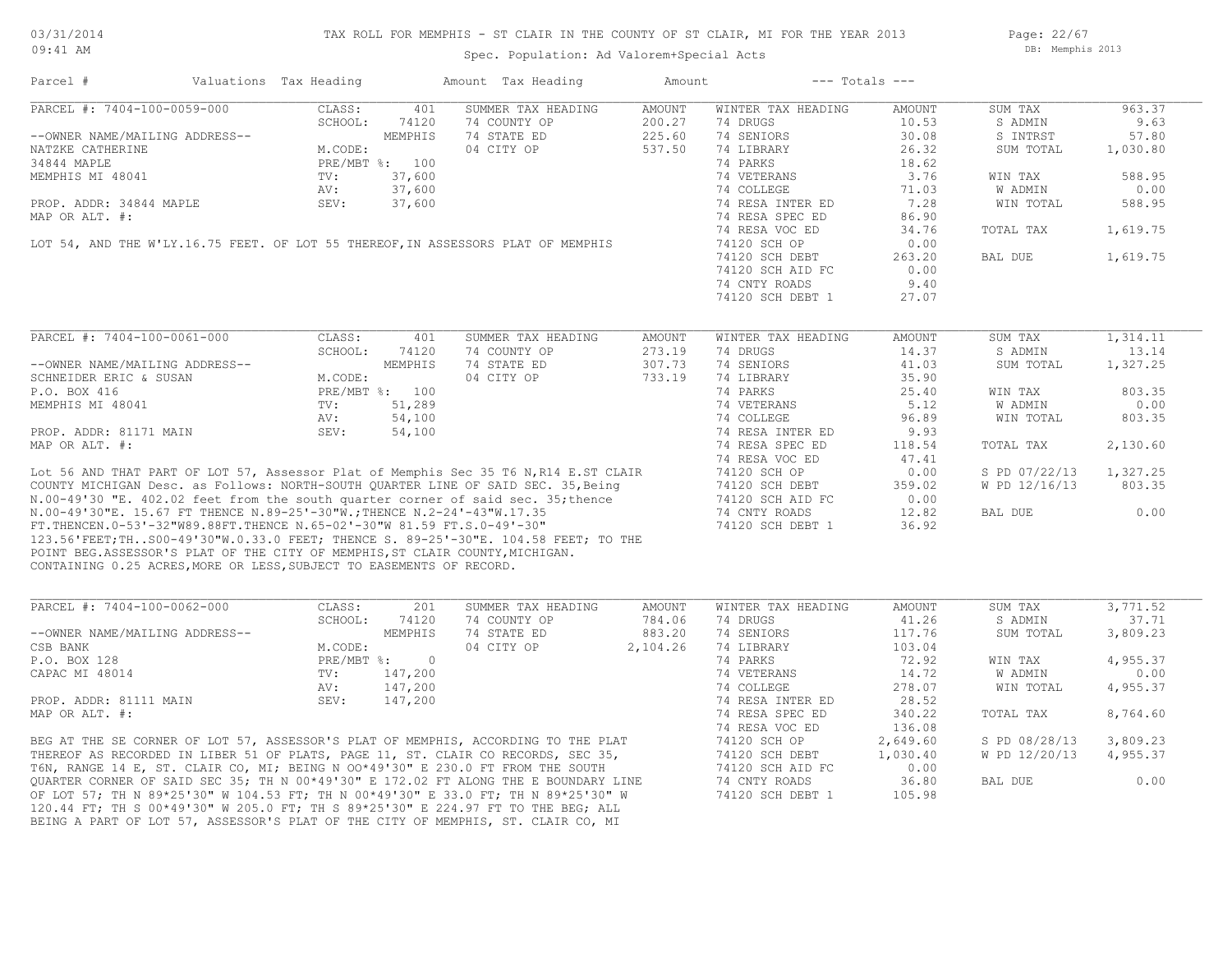Page: 22/67 DB: Memphis 2013

#### Spec. Population: Ad Valorem+Special Acts

Parcel # Valuations Tax Heading Amount Tax Heading Amount --- Totals ---

| PARCEL #: 7404-100-0059-000                                                          | CLASS:<br>401                | SUMMER TAX HEADING | AMOUNT   | WINTER TAX HEADING | AMOUNT   | SUM TAX       | 963.37   |
|--------------------------------------------------------------------------------------|------------------------------|--------------------|----------|--------------------|----------|---------------|----------|
|                                                                                      | SCHOOL:<br>74120             | 74 COUNTY OP       | 200.27   | 74 DRUGS           | 10.53    | S ADMIN       | 9.63     |
| --OWNER NAME/MAILING ADDRESS--                                                       | MEMPHIS                      | 74 STATE ED        | 225.60   | 74 SENIORS         | 30.08    | S INTRST      | 57.80    |
| NATZKE CATHERINE                                                                     | M.CODE:                      | 04 CITY OP         | 537.50   | 74 LIBRARY         | 26.32    | SUM TOTAL     | 1,030.80 |
| 34844 MAPLE                                                                          | PRE/MBT %: 100               |                    |          | 74 PARKS           | 18.62    |               |          |
| MEMPHIS MI 48041                                                                     | TV:<br>37,600                |                    |          | 74 VETERANS        | 3.76     | WIN TAX       | 588.95   |
|                                                                                      | AV:<br>37,600                |                    |          | 74 COLLEGE         | 71.03    | W ADMIN       | 0.00     |
| PROP. ADDR: 34844 MAPLE                                                              | 37,600<br>SEV:               |                    |          | 74 RESA INTER ED   | 7.28     | WIN TOTAL     | 588.95   |
| MAP OR ALT. #:                                                                       |                              |                    |          | 74 RESA SPEC ED    | 86.90    |               |          |
|                                                                                      |                              |                    |          | 74 RESA VOC ED     | 34.76    | TOTAL TAX     | 1,619.75 |
| LOT 54, AND THE W'LY.16.75 FEET. OF LOT 55 THEREOF, IN ASSESSORS PLAT OF MEMPHIS     |                              |                    |          | 74120 SCH OP       | 0.00     |               |          |
|                                                                                      |                              |                    |          | 74120 SCH DEBT     | 263.20   | BAL DUE       | 1,619.75 |
|                                                                                      |                              |                    |          | 74120 SCH AID FC   | 0.00     |               |          |
|                                                                                      |                              |                    |          | 74 CNTY ROADS      | 9.40     |               |          |
|                                                                                      |                              |                    |          | 74120 SCH DEBT 1   | 27.07    |               |          |
|                                                                                      |                              |                    |          |                    |          |               |          |
| PARCEL #: 7404-100-0061-000                                                          | CLASS:<br>401                | SUMMER TAX HEADING | AMOUNT   | WINTER TAX HEADING | AMOUNT   | SUM TAX       | 1,314.11 |
|                                                                                      | SCHOOL:<br>74120             | 74 COUNTY OP       | 273.19   | 74 DRUGS           | 14.37    | S ADMIN       | 13.14    |
| --OWNER NAME/MAILING ADDRESS--                                                       | MEMPHIS                      | 74 STATE ED        | 307.73   | 74 SENIORS         | 41.03    | SUM TOTAL     | 1,327.25 |
| SCHNEIDER ERIC & SUSAN                                                               | M.CODE:                      | 04 CITY OP         | 733.19   | 74 LIBRARY         | 35.90    |               |          |
| P.O. BOX 416                                                                         | PRE/MBT %: 100               |                    |          | 74 PARKS           | 25.40    | WIN TAX       | 803.35   |
| MEMPHIS MI 48041                                                                     | 51,289<br>TV:                |                    |          | 74 VETERANS        | 5.12     | W ADMIN       | 0.00     |
|                                                                                      | AV:<br>54,100                |                    |          | 74 COLLEGE         | 96.89    | WIN TOTAL     | 803.35   |
| PROP. ADDR: 81171 MAIN                                                               | SEV:<br>54,100               |                    |          | 74 RESA INTER ED   | 9.93     |               |          |
| MAP OR ALT. #:                                                                       |                              |                    |          | 74 RESA SPEC ED    | 118.54   | TOTAL TAX     | 2,130.60 |
|                                                                                      |                              |                    |          | 74 RESA VOC ED     | 47.41    |               |          |
| Lot 56 AND THAT PART OF LOT 57, Assessor Plat of Memphis Sec 35 T6 N, R14 E.ST CLAIR |                              |                    |          | 74120 SCH OP       | 0.00     | S PD 07/22/13 | 1,327.25 |
| COUNTY MICHIGAN Desc. as Follows: NORTH-SOUTH OUARTER LINE OF SAID SEC. 35, Being    |                              |                    |          | 74120 SCH DEBT     | 359.02   | W PD 12/16/13 | 803.35   |
| N.00-49'30 "E. 402.02 feet from the south quarter corner of said sec. 35; thence     |                              |                    |          | 74120 SCH AID FC   | 0.00     |               |          |
|                                                                                      |                              |                    |          |                    |          |               |          |
| N.00-49'30"E. 15.67 FT THENCE N.89-25'-30"W.; THENCE N.2-24'-43"W.17.35              |                              |                    |          | 74 CNTY ROADS      | 12.82    | BAL DUE       | 0.00     |
| FT. THENCEN. 0-53'-32"W89.88FT. THENCE N. 65-02'-30"W 81.59 FT. S. 0-49'-30"         |                              |                    |          | 74120 SCH DEBT 1   | 36.92    |               |          |
| 123.56'FEET;THS00-49'30"W.0.33.0 FEET; THENCE S. 89-25'-30"E. 104.58 FEET; TO THE    |                              |                    |          |                    |          |               |          |
| POINT BEG.ASSESSOR'S PLAT OF THE CITY OF MEMPHIS, ST CLAIR COUNTY, MICHIGAN.         |                              |                    |          |                    |          |               |          |
| CONTAINING 0.25 ACRES, MORE OR LESS, SUBJECT TO EASEMENTS OF RECORD.                 |                              |                    |          |                    |          |               |          |
|                                                                                      |                              |                    |          |                    |          |               |          |
| PARCEL #: 7404-100-0062-000                                                          | 201<br>CLASS:                | SUMMER TAX HEADING | AMOUNT   | WINTER TAX HEADING | AMOUNT   | SUM TAX       | 3,771.52 |
|                                                                                      | SCHOOL:<br>74120             | 74 COUNTY OP       | 784.06   | 74 DRUGS           | 41.26    | S ADMIN       | 37.71    |
| --OWNER NAME/MAILING ADDRESS--                                                       | MEMPHIS                      | 74 STATE ED        | 883.20   | 74 SENIORS         | 117.76   | SUM TOTAL     | 3,809.23 |
| CSB BANK                                                                             | M.CODE:                      | 04 CITY OP         | 2,104.26 | 74 LIBRARY         | 103.04   |               |          |
| P.O. BOX 128                                                                         | PRE/MBT %:<br>$\overline{0}$ |                    |          | 74 PARKS           | 72.92    | WIN TAX       | 4,955.37 |
| CAPAC MI 48014                                                                       | 147,200<br>TV:               |                    |          | 74 VETERANS        | 14.72    | W ADMIN       | 0.00     |
|                                                                                      | AV:<br>147,200               |                    |          | 74 COLLEGE         | 278.07   | WIN TOTAL     | 4,955.37 |
| PROP. ADDR: 81111 MAIN                                                               | SEV:<br>147,200              |                    |          | 74 RESA INTER ED   | 28.52    |               |          |
| MAP OR ALT. #:                                                                       |                              |                    |          | 74 RESA SPEC ED    | 340.22   | TOTAL TAX     | 8,764.60 |
|                                                                                      |                              |                    |          | 74 RESA VOC ED     | 136.08   |               |          |
| BEG AT THE SE CORNER OF LOT 57, ASSESSOR'S PLAT OF MEMPHIS, ACCORDING TO THE PLAT    |                              |                    |          | 74120 SCH OP       | 2,649.60 | S PD 08/28/13 | 3,809.23 |
| THEREOF AS RECORDED IN LIBER 51 OF PLATS, PAGE 11, ST. CLAIR CO RECORDS, SEC 35,     |                              |                    |          | 74120 SCH DEBT     | 1,030.40 | W PD 12/20/13 | 4,955.37 |
| T6N, RANGE 14 E, ST. CLAIR CO, MI; BEING N OO*49'30" E 230.0 FT FROM THE SOUTH       |                              |                    |          | 74120 SCH AID FC   | 0.00     |               |          |
| OUARTER CORNER OF SAID SEC 35; TH N 00*49'30" E 172.02 FT ALONG THE E BOUNDARY LINE  |                              |                    |          | 74 CNTY ROADS      | 36.80    | BAL DUE       | 0.00     |

BEING A PART OF LOT 57, ASSESSOR'S PLAT OF THE CITY OF MEMPHIS, ST. CLAIR CO, MI 120.44 FT; TH S 00\*49'30" W 205.0 FT; TH S 89\*25'30" E 224.97 FT TO THE BEG; ALL OF LOT 57; TH N 89\*25'30" W 104.53 FT; TH N 00\*49'30" E 33.0 FT; TH N 89\*25'30" W 74120 SCH DEBT 1 105.98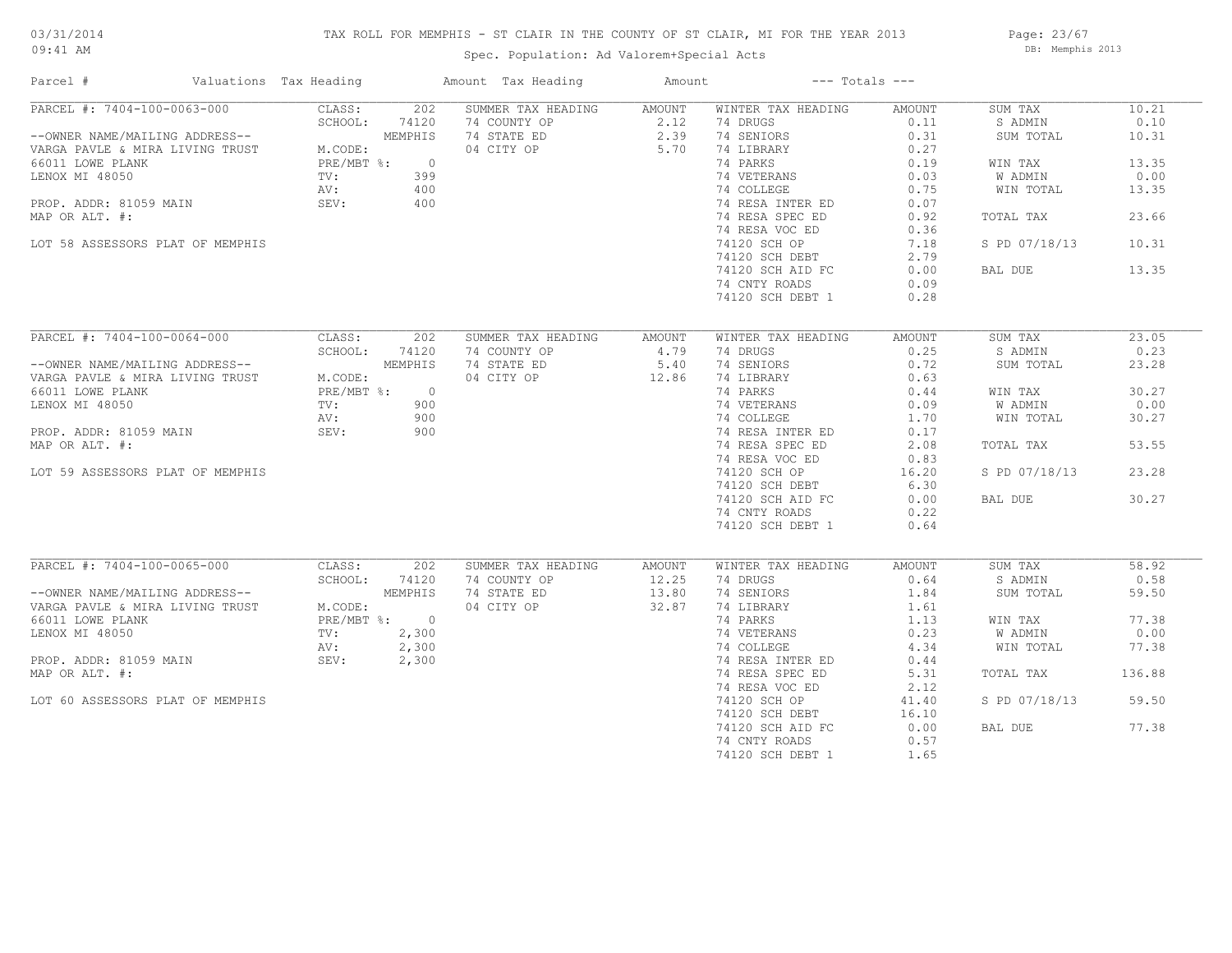## TAX ROLL FOR MEMPHIS - ST CLAIR IN THE COUNTY OF ST CLAIR, MI FOR THE YEAR 2013

Spec. Population: Ad Valorem+Special Acts

Page: 23/67 DB: Memphis 2013

| Parcel #                                                                                                                 | Valuations Tax Heading  |         | Amount Tax Heading                                  | Amount             | $---$ Totals $---$                                                                     |        |               |        |
|--------------------------------------------------------------------------------------------------------------------------|-------------------------|---------|-----------------------------------------------------|--------------------|----------------------------------------------------------------------------------------|--------|---------------|--------|
| PARCEL #: 7404-100-0063-000                                                                                              | CLASS:                  | 202     | SUMMER TAX HEADING AMOUNT                           |                    | WINTER TAX HEADING                                                                     | AMOUNT | SUM TAX       | 10.21  |
|                                                                                                                          |                         | 74120   |                                                     |                    | 74 DRUGS                                                                               | 0.11   | S ADMIN       | 0.10   |
| --OWNER NAME/MAILING ADDRESS--<br>VARGA PAVLE & MIRA LIVING TRUST M.CODE:<br>66011 LOWE PLANK<br>1999 - And Arthur Phane |                         | MEMPHIS | 74 COUNTY OP<br>74 STATE ED 2.39<br>04 CITY OP 5.70 |                    | 74 SENIORS                                                                             | 0.31   | SUM TOTAL     | 10.31  |
|                                                                                                                          |                         |         |                                                     |                    | 74 LIBRARY                                                                             | 0.27   |               |        |
|                                                                                                                          | PRE/MBT %: 0<br>TV: 399 |         |                                                     |                    | 74 PARKS                                                                               | 0.19   | WIN TAX       | 13.35  |
| LENOX MI 48050                                                                                                           |                         |         |                                                     |                    |                                                                                        | 0.03   | W ADMIN       | 0.00   |
|                                                                                                                          | AV:                     | 400     |                                                     |                    | 74 VETERANS<br>74 COLLEGE                                                              | 0.75   | WIN TOTAL     | 13.35  |
| PROP. ADDR: 81059 MAIN                                                                                                   | SEV: 400                |         |                                                     |                    | 74 RESA INTER ED                                                                       | 0.07   |               |        |
| MAP OR ALT. #:                                                                                                           |                         |         |                                                     |                    | 74 RESA SPEC ED                                                                        | 0.92   | TOTAL TAX     | 23.66  |
|                                                                                                                          |                         |         |                                                     |                    | 74 RESA VOC ED                                                                         | 0.36   |               |        |
| LOT 58 ASSESSORS PLAT OF MEMPHIS                                                                                         |                         |         |                                                     |                    | 74120 SCH OP                                                                           | 7.18   | S PD 07/18/13 | 10.31  |
|                                                                                                                          |                         |         |                                                     |                    |                                                                                        |        |               |        |
|                                                                                                                          |                         |         |                                                     |                    | 74120 SCH DEBT                                                                         | 2.79   |               |        |
|                                                                                                                          |                         |         |                                                     |                    | 74120 SCH AID FC                                                                       | 0.00   | BAL DUE       | 13.35  |
|                                                                                                                          |                         |         |                                                     |                    | 74 CNTY ROADS                                                                          | 0.09   |               |        |
|                                                                                                                          |                         |         |                                                     |                    | 74120 SCH DEBT 1                                                                       | 0.28   |               |        |
|                                                                                                                          |                         |         |                                                     |                    |                                                                                        |        |               |        |
| PARCEL #: 7404-100-0064-000                                                                                              | CLASS:                  | 202     | SUMMER TAX HEADING AMOUNT                           |                    | WINTER TAX HEADING                                                                     | AMOUNT | SUM TAX       | 23.05  |
|                                                                                                                          | SCHOOL: 74120           |         | 74 COUNTY OP $4.79$                                 |                    | 74 DRUGS                                                                               | 0.25   | S ADMIN       | 0.23   |
|                                                                                                                          |                         | MEMPHIS | 74 STATE ED                                         | 5.40               | 74 SENIORS                                                                             | 0.72   | SUM TOTAL     | 23.28  |
| --OWNER NAME/MAILING ADDRESS--<br>VARGA PAVLE & MIRA LIVING TRUST M.CODE:                                                | M.CODE:                 |         | 04 CITY OP 12.86                                    |                    | 74 LIBRARY                                                                             | 0.63   |               |        |
| 66011 LOWE PLANK                                                                                                         | PRE/MBT %: 0            |         |                                                     |                    | 74 PARKS                                                                               | 0.44   | WIN TAX       | 30.27  |
| LENOX MI 48050                                                                                                           | TV:                     | 900     |                                                     |                    |                                                                                        |        | W ADMIN       | 0.00   |
|                                                                                                                          |                         | 900     |                                                     |                    | 74 VETERANS 0.09<br>74 COLLEGE 1.70                                                    |        | WIN TOTAL     | 30.27  |
|                                                                                                                          | AV:                     | 900     |                                                     |                    |                                                                                        |        |               |        |
| PROP. ADDR: 81059 MAIN                                                                                                   | SEV:                    |         |                                                     |                    | 74 RESA INTER ED                                                                       | 0.17   |               |        |
| MAP OR ALT. #:                                                                                                           |                         |         |                                                     |                    | 74 RESA SPEC ED                                                                        | 2.08   | TOTAL TAX     | 53.55  |
|                                                                                                                          |                         |         |                                                     |                    | 74 RESA VOC ED                                                                         | 0.83   |               |        |
| LOT 59 ASSESSORS PLAT OF MEMPHIS                                                                                         |                         |         |                                                     |                    | 74120 SCH OP                                                                           | 16.20  | S PD 07/18/13 | 23.28  |
|                                                                                                                          |                         |         |                                                     |                    | 74120 SCH DEBT                                                                         | 6.30   |               |        |
|                                                                                                                          |                         |         |                                                     |                    | 74120 SCH AID FC                                                                       | 0.00   | BAL DUE       | 30.27  |
|                                                                                                                          |                         |         |                                                     |                    | 74 CNTY ROADS                                                                          | 0.22   |               |        |
|                                                                                                                          |                         |         |                                                     |                    | 74120 SCH DEBT 1                                                                       | 0.64   |               |        |
|                                                                                                                          |                         |         |                                                     |                    |                                                                                        |        |               |        |
| PARCEL #: 7404-100-0065-000                                                                                              | CLASS:                  | 202     | SUMMER TAX HEADING                                  | AMOUNT             | WINTER TAX HEADING                                                                     | AMOUNT | SUM TAX       | 58.92  |
|                                                                                                                          |                         |         | 74 COUNTY OP                                        | 12.25              | 74 DRUGS                                                                               | 0.64   | S ADMIN       | 0.58   |
|                                                                                                                          |                         |         | 74 STATE ED                                         | $12.25$<br>$13.80$ | 74 SENIORS                                                                             | 1.84   | SUM TOTAL     | 59.50  |
| EARCEL # (798 - - )<br>--OWNER NAME/MAILING ADDRESS--<br>VARGA PAVLE & MIRA LIVING TRUST M.CODE:<br>PRE/MBT %: 0         |                         |         | 04 CITY OP                                          | 32.87              | 74 LIBRARY                                                                             | 1.61   |               |        |
|                                                                                                                          |                         |         |                                                     |                    |                                                                                        |        | WIN TAX       | 77.38  |
| LENOX MI 48050                                                                                                           | TV:                     | 2,300   |                                                     |                    |                                                                                        |        | W ADMIN       | 0.00   |
|                                                                                                                          | AV: 2,300               |         |                                                     |                    |                                                                                        |        | WIN TOTAL     | 77.38  |
| PROP. ADDR: 81059 MAIN                                                                                                   | SEV:                    | 2,300   |                                                     |                    |                                                                                        |        |               |        |
| MAP OR ALT. #:                                                                                                           |                         |         |                                                     |                    | 74 PARKS<br>74 VETERANS<br>74 COLLEGE 4.34<br>TAURE ED 0.44<br>5.31<br>74 RESA SPEC ED | 5.31   | TOTAL TAX     | 136.88 |
|                                                                                                                          |                         |         |                                                     |                    |                                                                                        | 2.12   |               |        |
|                                                                                                                          |                         |         |                                                     |                    | 74 RESA VOC ED                                                                         |        |               |        |
| LOT 60 ASSESSORS PLAT OF MEMPHIS                                                                                         |                         |         |                                                     |                    | 74120 SCH OP                                                                           | 41.40  | S PD 07/18/13 | 59.50  |
|                                                                                                                          |                         |         |                                                     |                    | 74120 SCH DEBT                                                                         | 16.10  |               |        |
|                                                                                                                          |                         |         |                                                     |                    | 74120 SCH AID FC                                                                       | 0.00   | BAL DUE       | 77.38  |
|                                                                                                                          |                         |         |                                                     |                    | 74 CNTY ROADS                                                                          | 0.57   |               |        |
|                                                                                                                          |                         |         |                                                     |                    | 74120 SCH DEBT 1                                                                       | 1.65   |               |        |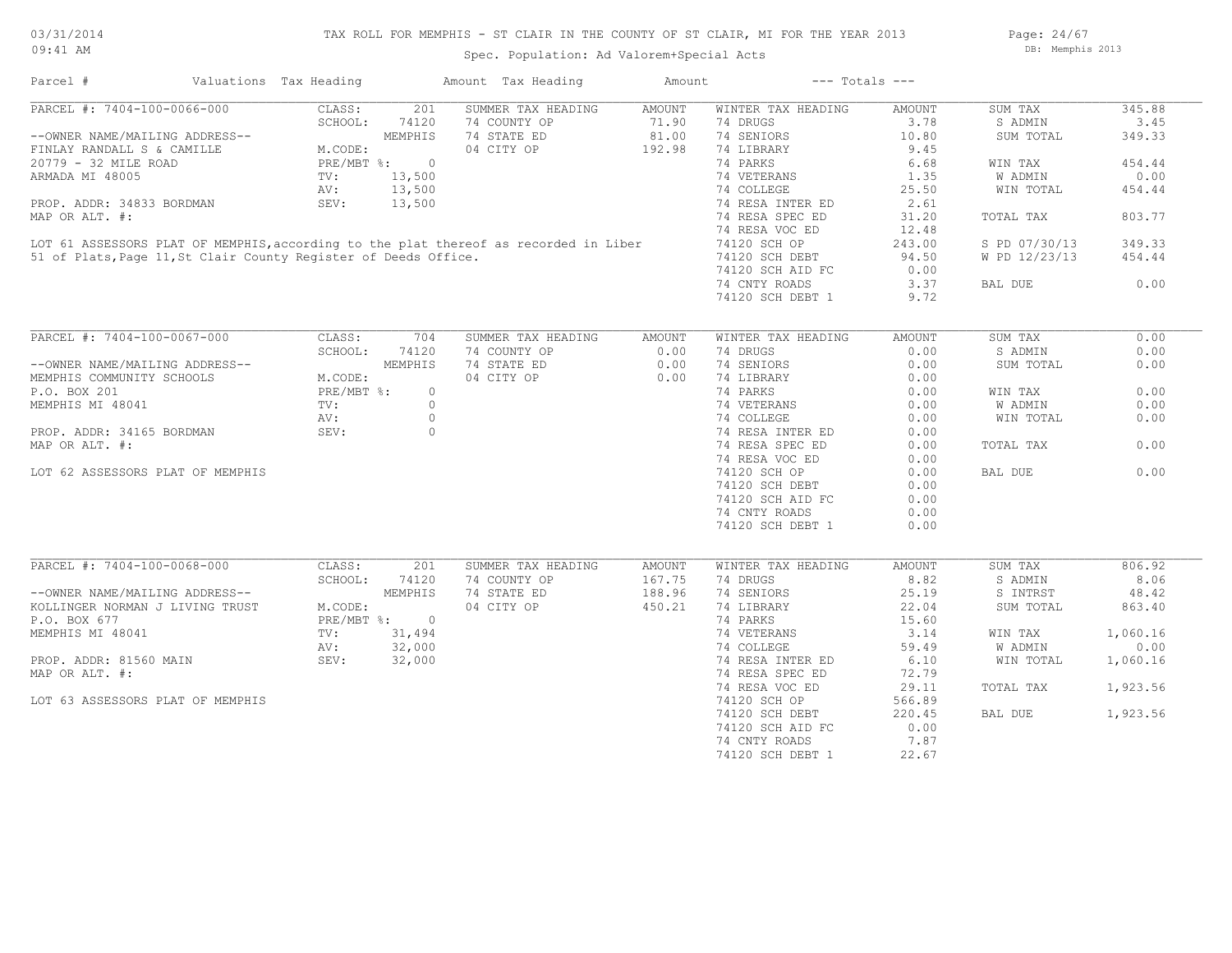## TAX ROLL FOR MEMPHIS - ST CLAIR IN THE COUNTY OF ST CLAIR, MI FOR THE YEAR 2013 Spec. Population: Ad Valorem+Special Acts

Page: 24/67 DB: Memphis 2013

| Parcel #                       | Valuations Tax Heading |         | Amount Tax Heading | Amount | $---$ Totals $---$ |        |           |        |
|--------------------------------|------------------------|---------|--------------------|--------|--------------------|--------|-----------|--------|
| PARCEL #: 7404-100-0066-000    | CLASS:                 | 201     | SUMMER TAX HEADING | AMOUNT | WINTER TAX HEADING | AMOUNT | SUM TAX   | 345.88 |
|                                | SCHOOL:                | 74120   | 74 COUNTY OP       | 71.90  | 74 DRUGS           | 3.78   | S ADMIN   | 3.45   |
| --OWNER NAME/MAILING ADDRESS-- |                        | MEMPHIS | 74 STATE ED        | 81.00  | 74 SENIORS         | 10.80  | SUM TOTAL | 349.33 |
| FINLAY RANDALL S & CAMILLE     | M.CODE:                |         | 04 CITY OP         | 192.98 | 74 LIBRARY         | 9.45   |           |        |
| 20779 - 32 MILE ROAD           | $PRE/MBT$ %:           |         |                    |        | 74 PARKS           | 6.68   | WIN TAX   | 454.44 |

74 CNTY ROADS 3.37 BAL DUE 0.00

51 of Plats,Page 11,St Clair County Register of Deeds Office. 74120 SCH DEBT 94.50 W PD 12/23/13 454.44 LOT 61 ASSESSORS PLAT OF MEMPHIS, according to the plat thereof as recorded in Liber 74120 SCH OP 243.00 S PD 07/30/13 349.33

MAP OR ALT. #: 74 RESA SPEC ED 31.20 TOTAL TAX 803.77

AV: 13,500 1 25.50 WIN TOTAL 454.44 ARMADA MI 48005 TV: 13,500 74 VETERANS 1.35 W ADMIN 0.00

PROP. ADDR: 34833 BORDMAN SEV: 13,500 74 RESA INTER ED 2.61

| PARCEL #: 7404-100-0067-000      | CLASS:       | 704     | SUMMER TAX HEADING | AMOUNT | WINTER TAX HEADING | AMOUNT | SUM TAX   | 0.00   |
|----------------------------------|--------------|---------|--------------------|--------|--------------------|--------|-----------|--------|
|                                  | SCHOOL:      | 74120   | 74 COUNTY OP       | 0.00   | 74 DRUGS           | 0.00   | S ADMIN   | 0.00   |
| --OWNER NAME/MAILING ADDRESS--   |              | MEMPHIS | 74 STATE ED        | 0.00   | 74 SENIORS         | 0.00   | SUM TOTAL | 0.00   |
| MEMPHIS COMMUNITY SCHOOLS        | M.CODE:      |         | 04 CITY OP         | 0.00   | 74 LIBRARY         | 0.00   |           |        |
| P.O. BOX 201                     | $PRE/MBT$ %: | $\circ$ |                    |        | 74 PARKS           | 0.00   | WIN TAX   | 0.00   |
| MEMPHIS MI 48041                 | TV:          |         |                    |        | 74 VETERANS        | 0.00   | W ADMIN   | 0.00   |
|                                  | AV:          |         |                    |        | 74 COLLEGE         | 0.00   | WIN TOTAL | 0.00   |
| PROP. ADDR: 34165 BORDMAN        | SEV:         |         |                    |        | 74 RESA INTER ED   | 0.00   |           |        |
| MAP OR ALT. #:                   |              |         |                    |        | 74 RESA SPEC ED    | 0.00   | TOTAL TAX | 0.00   |
|                                  |              |         |                    |        | 74 RESA VOC ED     | 0.00   |           |        |
| LOT 62 ASSESSORS PLAT OF MEMPHIS |              |         |                    |        | 74120 SCH OP       | 0.00   | BAL DUE   | 0.00   |
|                                  |              |         |                    |        | 74120 SCH DEBT     | 0.00   |           |        |
|                                  |              |         |                    |        | 74120 SCH AID FC   | 0.00   |           |        |
|                                  |              |         |                    |        | 74 CNTY ROADS      | 0.00   |           |        |
|                                  |              |         |                    |        | 74120 SCH DEBT 1   | 0.00   |           |        |
| PARCEL #: 7404-100-0068-000      | CLASS:       | 201     | SUMMER TAX HEADING | AMOUNT | WINTER TAX HEADING | AMOUNT | SUM TAX   | 806.92 |
|                                  | SCHOOL:      | 74120   | 74 COUNTY OP       | 167.75 | 74 DRUGS           | 8.82   | S ADMIN   | 8.06   |
| --OWNER NAME/MAILING ADDRESS--   |              | MEMPHIS | 74 STATE ED        | 188.96 | 74 SENIORS         | 25.19  | S INTRST  | 48.42  |
| KOLLINGER NORMAN J LIVING TRUST  | M.CODE:      |         | 04 CITY OP         | 450.21 | 74 LIBRARY         | 22.04  | SUM TOTAL | 863.40 |
|                                  |              |         |                    |        |                    |        |           |        |

| MPHIS MI 48041             |  |  |
|----------------------------|--|--|
| OP. ADDR: 81560 MAIN       |  |  |
| $P$ $\cap$ R $AT.T$ $\#$ . |  |  |

 74120 SCH DEBT 1 22.67 74 CNTY ROADS 7.87 74120 SCH AID FC 0.00 74120 SCH DEBT 220.45 BAL DUE 1,923.56 LOT 63 ASSESSORS PLAT OF MEMPHIS 74120 SCH OP 566.89 74 RESA VOC ED 29.11 TOTAL TAX 1,923.56 MAP OR ALT. #: 72.79 PESA SPEC ED 72.79 PESA SPEC ED 72.79 PROP. ADDR: 81560 MAIN SEV: 32,000 74 RESA INTER ED 6.10 WIN TOTAL 1,060.16 AV: 32,000 74 COLLEGE 59.49 W ADMIN 0.00 MEMPHIS MI 48041 TV: 31,494 74 VETERANS 3.14 WIN TAX 1,060.16 P.O. BOX 677 PRE/MBT %: 0 74 PARKS 15.60

74120 SCH DEBT 1 9.72

74120 SCH AID FC 0.00

74 RESA VOC ED 12.48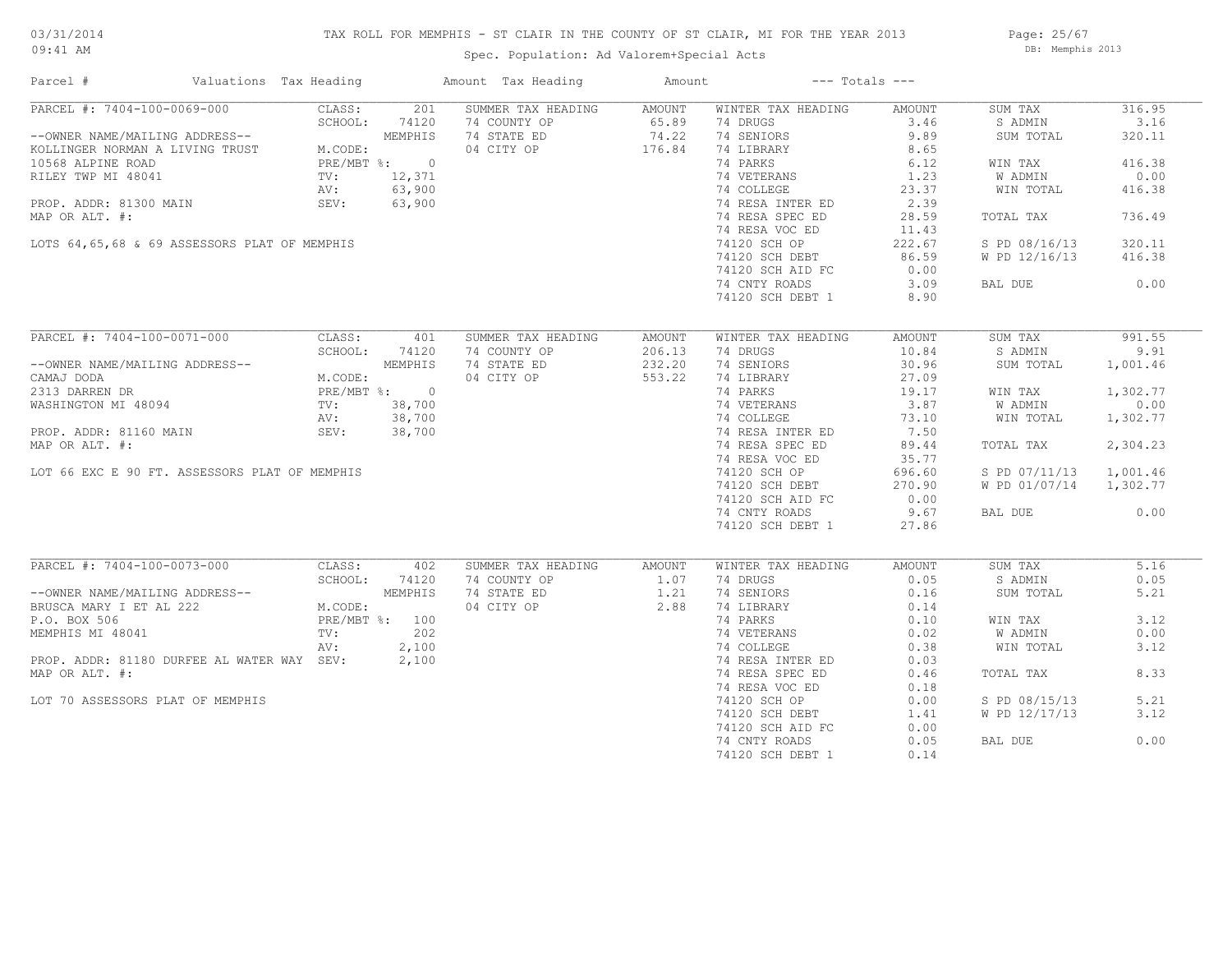## TAX ROLL FOR MEMPHIS - ST CLAIR IN THE COUNTY OF ST CLAIR, MI FOR THE YEAR 2013

Page: 25/67 DB: Memphis 2013

## Spec. Population: Ad Valorem+Special Acts

| Parcel #                                                               | Valuations Tax Heading                                                                                                                                                                                                                                                                                       |                                 |                                                       | Amount Tax Heading                                                                                                                               | Amount                               | $---$ Totals $---$                                                                                                                                                                                                                                                       |                                                                                                                             |                                                                                                                              |                                                                                                        |
|------------------------------------------------------------------------|--------------------------------------------------------------------------------------------------------------------------------------------------------------------------------------------------------------------------------------------------------------------------------------------------------------|---------------------------------|-------------------------------------------------------|--------------------------------------------------------------------------------------------------------------------------------------------------|--------------------------------------|--------------------------------------------------------------------------------------------------------------------------------------------------------------------------------------------------------------------------------------------------------------------------|-----------------------------------------------------------------------------------------------------------------------------|------------------------------------------------------------------------------------------------------------------------------|--------------------------------------------------------------------------------------------------------|
| MAP OR ALT. #:                                                         | PARCEL #: 7404-100-0069-000<br>SCHOOL: 74120<br>--OWNER NAME/MAILING ADDRESS--<br>KOLLINGER NORMAN A LIVING TRUST<br>10568 ALPINE ROAD<br>RILEY TWP MI 48041<br>HE/MBT %: 0<br>TV: 12,371<br>AV: 63,900<br>PROP. ADDR: 81300 MAIN SEV:<br>LOTS 64,65,68 & 69 ASSESSORS PLAT OF MEMPHIS                       | CLASS:                          | 201                                                   | SUMMER TAX HEADING<br>74 COUNTY OP<br>74 STATE ED 74.22<br>04 CITY OP 176.84<br>$\begin{array}{cc}\n 12,371 \\  63,900 \\  63,900\n \end{array}$ | AMOUNT<br>65.89                      | WINTER TAX HEADING<br>74 DRUGS<br>74 SENIORS<br>74 LIBRARY<br>74 PARKS<br>74 VETERANS<br>74 COLLEGE<br>74 RESA INTER ED<br>74 RESA SPEC ED<br>74 RESA VOC ED<br>74120 SCH OP<br>74120 SCH DEBT<br>74120 SCH AID FC<br>74 CNTY ROADS                                      | AMOUNT<br>3.46<br>9.89<br>8.65<br>6.12<br>$\frac{1.23}{23.37}$<br>2.39<br>28.59<br>11.43<br>222.67<br>86.59<br>0.00<br>3.09 | SUM TAX<br>S ADMIN<br>SUM TOTAL<br>WIN TAX<br>W ADMIN<br>WIN TOTAL<br>TOTAL TAX<br>S PD 08/16/13<br>W PD 12/16/13<br>BAL DUE | 316.95<br>3.16<br>320.11<br>416.38<br>0.00<br>416.38<br>736.49<br>320.11<br>416.38<br>0.00             |
|                                                                        |                                                                                                                                                                                                                                                                                                              |                                 |                                                       |                                                                                                                                                  |                                      | 74120 SCH DEBT 1                                                                                                                                                                                                                                                         | 8.90                                                                                                                        |                                                                                                                              |                                                                                                        |
| MAP OR ALT. #:                                                         | PARCEL #: 7404-100-0071-000<br>--OWNER NAME/MAILING ADDRESS--<br>CAMAJ DODA<br>2313 DARREN DR<br>WASHINGTON MI 48094<br>PROP. ADDR: 81160 MAIN<br>PROP. ADDR: 81160 MAIN<br>PROP. ADDR: 81160 MAIN<br>PROP. 38,700<br>PROP. ADDR: 81160 MAIN<br>SEV: 38,700<br>LOT 66 EXC E 90 FT. ASSESSORS PLAT OF MEMPHIS | CLASS:<br>SCHOOL:               | 401<br>74120                                          | SUMMER TAX HEADING<br>74 COUNTY OP<br>74 STATE ED<br>04 CITY OP                                                                                  | AMOUNT<br>206.13<br>232.20<br>553.22 | WINTER TAX HEADING<br>74 DRUGS<br>74 SENIORS<br>74 LIBRARY<br>74 PARKS<br>74 VETERANS<br>74 COLLEGE<br>73.10<br>74 RESA INTER ED<br>7.50<br>74 RESA SPEC ED<br>74 RESA VOC ED<br>74120 SCH OP<br>74120 SCH DEBT<br>74120 SCH AID FC<br>74 CNTY ROADS<br>74120 SCH DEBT 1 | AMOUNT<br>10.84<br>30.96<br>27.09<br>89.44<br>35.77<br>696.60<br>270.90<br>0.00<br>9.67<br>27.86                            | SUM TAX<br>S ADMIN<br>SUM TOTAL<br>WIN TAX<br>W ADMIN<br>WIN TOTAL<br>TOTAL TAX<br>S PD 07/11/13<br>W PD 01/07/14<br>BAL DUE | 991.55<br>9.91<br>1,001.46<br>1,302.77<br>0.00<br>1,302.77<br>2,304.23<br>1,001.46<br>1,302.77<br>0.00 |
| MEMPHIS MI 48041<br>MAP OR ALT. #:<br>LOT 70 ASSESSORS PLAT OF MEMPHIS | PARCEL #: 7404-100-0073-000<br>--OWNER NAME/MAILING ADDRESS--<br>BRUSCA MARY I ET AL 222 MEMPHIS<br>P.O. BOX 506 P.O. BOX 506<br>PROP. ADDR: 81180 DURFEE AL WATER WAY SEV:                                                                                                                                  | CLASS:<br>SCHOOL:<br>TV:<br>AV: | 402<br>74120<br>202<br>2,100<br>$\frac{2,100}{2,100}$ | SUMMER TAX HEADING<br>74 COUNTY OP<br>74 STATE ED<br>04 CITY OP                                                                                  | AMOUNT<br>1.07<br>$1.21$<br>$2.88$   | WINTER TAX HEADING<br>74 DRUGS<br>74 SENIORS<br>74 LIBRARY<br>74 PARKS<br>74 VETERANS<br>74 COLLEGE<br>74 RESA INTER ED<br>74 RESA SPEC ED<br>74 RESA VOC ED<br>74120 SCH OP<br>74120 SCH DEBT<br>74120 SCH AID FC<br>74 CNTY ROADS<br>74120 SCH DEBT 1                  | AMOUNT<br>0.05<br>0.16<br>0.14<br>0.10<br>0.02<br>0.38<br>0.03<br>0.46<br>0.18<br>0.00<br>1.41<br>0.00<br>0.05<br>0.14      | SUM TAX<br>S ADMIN<br>SUM TOTAL<br>WIN TAX<br>W ADMIN<br>WIN TOTAL<br>TOTAL TAX<br>S PD 08/15/13<br>W PD 12/17/13<br>BAL DUE | 5.16<br>0.05<br>5.21<br>3.12<br>0.00<br>3.12<br>8.33<br>5.21<br>3.12<br>0.00                           |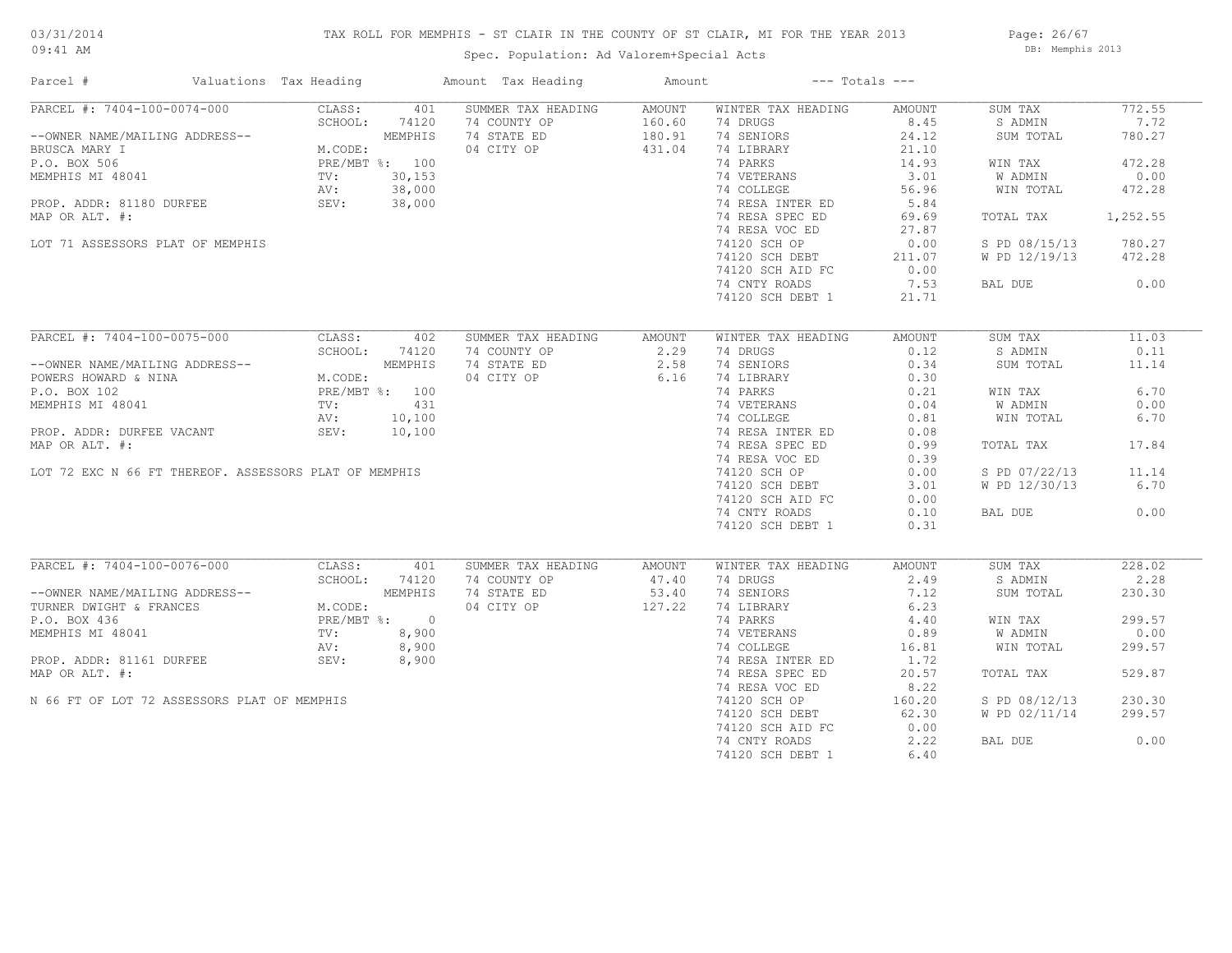## TAX ROLL FOR MEMPHIS - ST CLAIR IN THE COUNTY OF ST CLAIR, MI FOR THE YEAR 2013

09:41 AM

## Spec. Population: Ad Valorem+Special Acts

Page: 26/67 DB: Memphis 2013

| Parcel #                                              | Valuations Tax Heading | Amount Tax Heading | Amount |                                | $---$ Totals $---$ |               |          |
|-------------------------------------------------------|------------------------|--------------------|--------|--------------------------------|--------------------|---------------|----------|
| PARCEL #: 7404-100-0074-000                           | CLASS:<br>401          | SUMMER TAX HEADING | AMOUNT | WINTER TAX HEADING             | AMOUNT             | SUM TAX       | 772.55   |
|                                                       | SCHOOL:<br>74120       | 74 COUNTY OP       | 160.60 | 74 DRUGS                       | 8.45               | S ADMIN       | 7.72     |
| --OWNER NAME/MAILING ADDRESS--                        | MEMPHIS                | 74 STATE ED        | 180.91 | 74 SENIORS                     | 24.12              | SUM TOTAL     | 780.27   |
| BRUSCA MARY I                                         | M.CODE:                | 04 CITY OP         | 431.04 | 74 LIBRARY                     | 21.10              |               |          |
| P.O. BOX 506                                          | PRE/MBT %: 100         |                    |        | 74 PARKS                       | 14.93              | WIN TAX       | 472.28   |
| MEMPHIS MI 48041                                      | 30, 153<br>TV:         |                    |        | 74 VETERANS                    | 3.01               | W ADMIN       | 0.00     |
|                                                       | 38,000<br>AV:          |                    |        | 74 COLLEGE                     | 56.96              | WIN TOTAL     | 472.28   |
| PROP. ADDR: 81180 DURFEE                              | SEV: 38,000            |                    |        | 74 RESA INTER ED               | 5.84               |               |          |
| MAP OR ALT. #:                                        |                        |                    |        | 74 RESA SPEC ED                | 69.69              | TOTAL TAX     | 1,252.55 |
|                                                       |                        |                    |        |                                |                    |               |          |
|                                                       |                        |                    |        | 74 RESA VOC ED                 | 27.87              |               |          |
| LOT 71 ASSESSORS PLAT OF MEMPHIS                      |                        |                    |        | 74120 SCH OP                   | 0.00               | S PD 08/15/13 | 780.27   |
|                                                       |                        |                    |        | 74120 SCH DEBT                 | 211.07             | W PD 12/19/13 | 472.28   |
|                                                       |                        |                    |        | 74120 SCH AID FC               | 0.00               |               |          |
|                                                       |                        |                    |        | 74 CNTY ROADS                  | 7.53               | BAL DUE       | 0.00     |
|                                                       |                        |                    |        | 74120 SCH DEBT 1               | 21.71              |               |          |
|                                                       |                        |                    |        |                                |                    |               |          |
| PARCEL #: 7404-100-0075-000                           | CLASS:<br>402          | SUMMER TAX HEADING | AMOUNT | WINTER TAX HEADING             | AMOUNT             | SUM TAX       | 11.03    |
|                                                       | SCHOOL:<br>74120       | 74 COUNTY OP       | 2.29   | 74 DRUGS                       | 0.12               | S ADMIN       | 0.11     |
| --OWNER NAME/MAILING ADDRESS--                        | MEMPHIS                | 74 STATE ED        | 2.58   | 74 SENIORS                     | 0.34               | SUM TOTAL     | 11.14    |
| POWERS HOWARD & NINA                                  | M.CODE:                | 04 CITY OP         | 6.16   | 74 LIBRARY                     | 0.30               |               |          |
| P.O. BOX 102                                          | PRE/MBT %: 100         |                    |        | 74 PARKS                       | 0.21               | WIN TAX       | 6.70     |
| MEMPHIS MI 48041                                      | 431<br>TV:             |                    |        | 74 VETERANS                    | 0.04               | W ADMIN       | 0.00     |
|                                                       | 10,100<br>AV:          |                    |        | 74 COLLEGE                     | 0.81               | WIN TOTAL     | 6.70     |
| PROP. ADDR: DURFEE VACANT                             | 10,100<br>SEV:         |                    |        | 74 RESA INTER ED               | 0.08               |               |          |
| MAP OR ALT. #:                                        |                        |                    |        | 74 RESA SPEC ED                | 0.99               | TOTAL TAX     | 17.84    |
|                                                       |                        |                    |        | 74 RESA VOC ED                 | 0.39               |               |          |
|                                                       |                        |                    |        |                                |                    |               | 11.14    |
| LOT 72 EXC N 66 FT THEREOF. ASSESSORS PLAT OF MEMPHIS |                        |                    |        | 74120 SCH OP                   | 0.00               | S PD 07/22/13 |          |
|                                                       |                        |                    |        | 74120 SCH DEBT                 | 3.01               | W PD 12/30/13 | 6.70     |
|                                                       |                        |                    |        | 74120 SCH AID FC               | 0.00               |               |          |
|                                                       |                        |                    |        | 74 CNTY ROADS                  | 0.10               | BAL DUE       | 0.00     |
|                                                       |                        |                    |        | 74120 SCH DEBT 1               | 0.31               |               |          |
| PARCEL #: 7404-100-0076-000                           | CLASS:<br>401          | SUMMER TAX HEADING | AMOUNT |                                | AMOUNT             | SUM TAX       | 228.02   |
|                                                       | SCHOOL:<br>74120       | 74 COUNTY OP       | 47.40  | WINTER TAX HEADING<br>74 DRUGS | 2.49               | S ADMIN       | 2.28     |
|                                                       |                        |                    |        |                                |                    |               |          |
| --OWNER NAME/MAILING ADDRESS--                        | MEMPHIS                | 74 STATE ED        | 53.40  | 74 SENIORS                     | 7.12               | SUM TOTAL     | 230.30   |
| TURNER DWIGHT & FRANCES                               | M.CODE:                | 04 CITY OP         | 127.22 | 74 LIBRARY                     | 6.23               |               |          |
| P.O. BOX 436                                          | PRE/MBT %: 0           |                    |        | 74 PARKS                       | 4.40               | WIN TAX       | 299.57   |
| MEMPHIS MI 48041                                      | TV:<br>8,900           |                    |        | 74 VETERANS                    | 0.89               | W ADMIN       | 0.00     |
|                                                       | 8,900<br>AV:           |                    |        | 74 COLLEGE                     | 16.81              | WIN TOTAL     | 299.57   |
| PROP. ADDR: 81161 DURFEE                              | SEV:<br>8,900          |                    |        | 74 RESA INTER ED               | 1.72               |               |          |
| MAP OR ALT. #:                                        |                        |                    |        | 74 RESA SPEC ED                | 20.57              | TOTAL TAX     | 529.87   |
|                                                       |                        |                    |        | 74 RESA VOC ED                 | 8.22               |               |          |
| N 66 FT OF LOT 72 ASSESSORS PLAT OF MEMPHIS           |                        |                    |        | 74120 SCH OP                   | 160.20             | S PD 08/12/13 | 230.30   |
|                                                       |                        |                    |        | 74120 SCH DEBT                 | 62.30              | W PD 02/11/14 | 299.57   |
|                                                       |                        |                    |        | 74120 SCH AID FC               | 0.00               |               |          |
|                                                       |                        |                    |        | 74 CNTY ROADS                  | 2.22               | BAL DUE       | 0.00     |
|                                                       |                        |                    |        | 74120 SCH DEBT 1               | 6.40               |               |          |
|                                                       |                        |                    |        |                                |                    |               |          |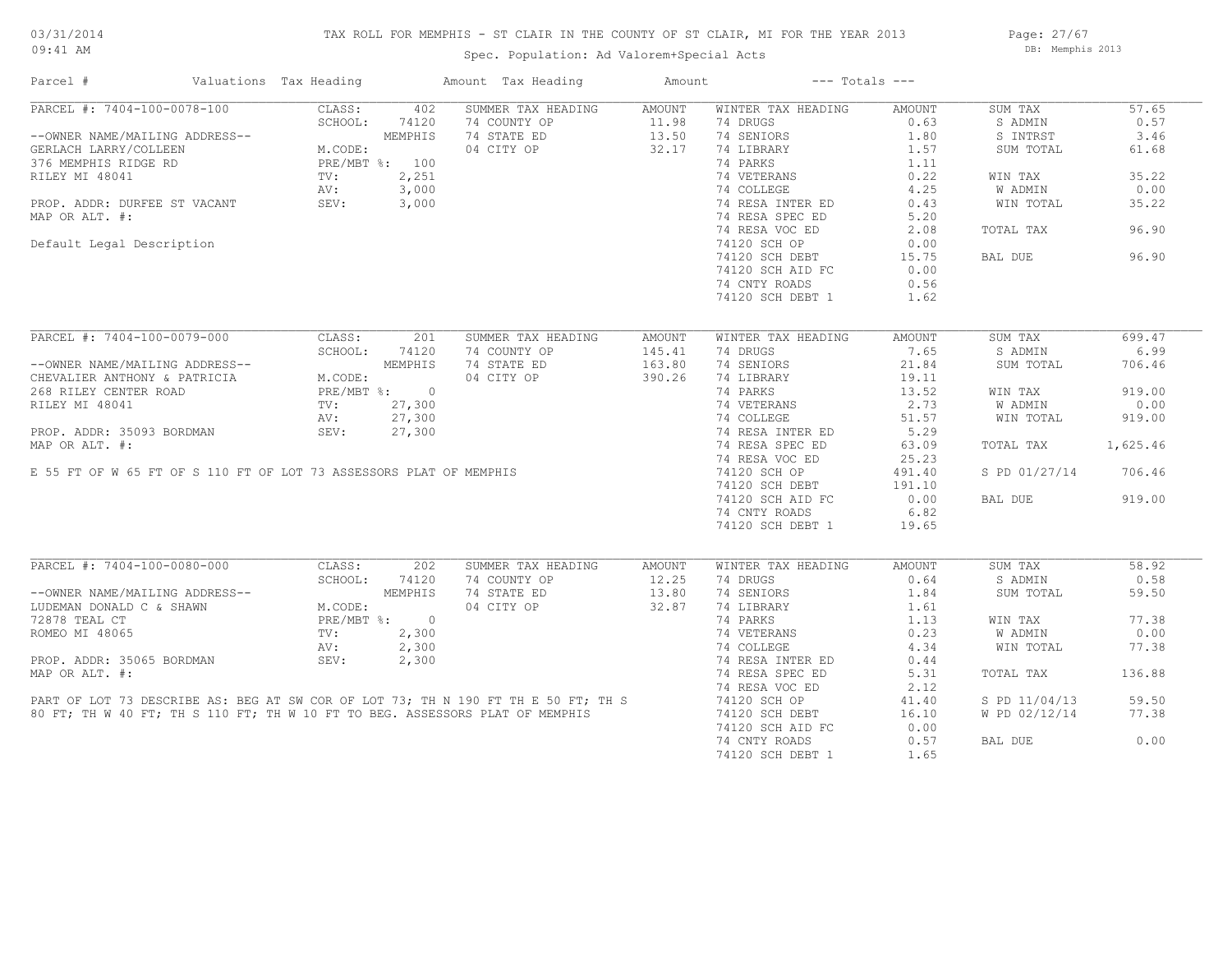## TAX ROLL FOR MEMPHIS - ST CLAIR IN THE COUNTY OF ST CLAIR, MI FOR THE YEAR 2013

09:41 AM

## Spec. Population: Ad Valorem+Special Acts

Page: 27/67 DB: Memphis 2013

| Parcel #                       | Valuations Tax Heading |                |         | Amount Tax Heading                                                                                                                                                | Amount        |                    | $---$ Totals $---$ |                |          |
|--------------------------------|------------------------|----------------|---------|-------------------------------------------------------------------------------------------------------------------------------------------------------------------|---------------|--------------------|--------------------|----------------|----------|
| PARCEL #: 7404-100-0078-100    |                        | CLASS:         | 402     | SUMMER TAX HEADING                                                                                                                                                | AMOUNT        | WINTER TAX HEADING | AMOUNT             | SUM TAX        | 57.65    |
|                                |                        | SCHOOL:        | 74120   | 74 COUNTY OP                                                                                                                                                      | 11.98         | 74 DRUGS           | 0.63               | S ADMIN        | 0.57     |
| --OWNER NAME/MAILING ADDRESS-- |                        |                | MEMPHIS | 74 STATE ED                                                                                                                                                       | 13.50         | 74 SENIORS         | 1.80               | S INTRST       | 3.46     |
| GERLACH LARRY/COLLEEN          |                        | M.CODE:        |         | 04 CITY OP                                                                                                                                                        | 32.17         | 74 LIBRARY         | 1.57               | SUM TOTAL      | 61.68    |
| 376 MEMPHIS RIDGE RD           |                        | PRE/MBT %: 100 |         |                                                                                                                                                                   |               | 74 PARKS           | 1.11               |                |          |
| RILEY MI 48041                 |                        | TV:            | 2,251   |                                                                                                                                                                   |               | 74 VETERANS        | 0.22               | WIN TAX        | 35.22    |
|                                |                        | AV:<br>SEV:    | 3,000   |                                                                                                                                                                   |               | 74 COLLEGE         | 4.25               | <b>W ADMIN</b> | 0.00     |
| PROP. ADDR: DURFEE ST VACANT   |                        |                | 3,000   |                                                                                                                                                                   |               | 74 RESA INTER ED   | 0.43               | WIN TOTAL      | 35.22    |
| MAP OR ALT. #:                 |                        |                |         |                                                                                                                                                                   |               | 74 RESA SPEC ED    | 5.20               |                |          |
|                                |                        |                |         |                                                                                                                                                                   |               | 74 RESA VOC ED     | 2.08               | TOTAL TAX      | 96.90    |
| Default Legal Description      |                        |                |         |                                                                                                                                                                   |               | 74120 SCH OP       | 0.00               |                |          |
|                                |                        |                |         |                                                                                                                                                                   |               | 74120 SCH DEBT     | 15.75              | BAL DUE        | 96.90    |
|                                |                        |                |         |                                                                                                                                                                   |               | 74120 SCH AID FC   | 0.00               |                |          |
|                                |                        |                |         |                                                                                                                                                                   |               | 74 CNTY ROADS      | 0.56               |                |          |
|                                |                        |                |         |                                                                                                                                                                   |               | 74120 SCH DEBT 1   | 1.62               |                |          |
|                                |                        |                |         |                                                                                                                                                                   |               |                    |                    |                |          |
| PARCEL #: 7404-100-0079-000    |                        | CLASS:         | 201     | SUMMER TAX HEADING                                                                                                                                                | AMOUNT        | WINTER TAX HEADING | AMOUNT             | SUM TAX        | 699.47   |
|                                |                        | SCHOOL:        | 74120   | 74 COUNTY OP                                                                                                                                                      | 145.41        | 74 DRUGS           | 7.65               | S ADMIN        | 6.99     |
| --OWNER NAME/MAILING ADDRESS-- |                        |                | MEMPHIS | 74 STATE ED                                                                                                                                                       | 163.80        | 74 SENIORS         | 21.84              | SUM TOTAL      | 706.46   |
| CHEVALIER ANTHONY & PATRICIA   |                        | M.CODE:        |         | 04 CITY OP                                                                                                                                                        | 390.26        | 74 LIBRARY         | 19.11              |                |          |
| 268 RILEY CENTER ROAD          |                        | PRE/MBT %: 0   |         |                                                                                                                                                                   |               | 74 PARKS           | 13.52              | WIN TAX        | 919.00   |
| RILEY MI 48041                 |                        | TV:            | 27,300  |                                                                                                                                                                   |               | 74 VETERANS        | 2.73               | W ADMIN        | 0.00     |
|                                |                        |                |         |                                                                                                                                                                   |               |                    |                    |                | 919.00   |
|                                |                        |                |         |                                                                                                                                                                   |               | 74 COLLEGE         | 51.57              | WIN TOTAL      |          |
|                                |                        |                |         |                                                                                                                                                                   |               | 74 RESA INTER ED   | 5.29               |                |          |
|                                |                        |                |         |                                                                                                                                                                   |               | 74 RESA SPEC ED    | 63.09              | TOTAL TAX      | 1,625.46 |
|                                |                        |                |         |                                                                                                                                                                   |               | 74 RESA VOC ED     | 25.23              |                |          |
|                                |                        |                |         | RILEY MI 48041<br>PROP. ADDR: 35093 BORDMAN<br>MAP OR ALT. #:<br>E 55 FT OF W 65 FT OF S 110 FT OF LOT 73 ASSESSORS PLAT OF MEMPHIS                               |               | 74120 SCH OP       | 491.40             | S PD 01/27/14  | 706.46   |
|                                |                        |                |         |                                                                                                                                                                   |               | 74120 SCH DEBT     | 191.10             |                |          |
|                                |                        |                |         |                                                                                                                                                                   |               | 74120 SCH AID FC   | 0.00               | BAL DUE        | 919.00   |
|                                |                        |                |         |                                                                                                                                                                   |               | 74 CNTY ROADS      | 6.82               |                |          |
|                                |                        |                |         |                                                                                                                                                                   |               | 74120 SCH DEBT 1   | 19.65              |                |          |
|                                |                        |                |         |                                                                                                                                                                   |               |                    |                    |                |          |
| PARCEL #: 7404-100-0080-000    |                        | CLASS:         | 202     | SUMMER TAX HEADING                                                                                                                                                | <b>AMOUNT</b> | WINTER TAX HEADING | AMOUNT             | SUM TAX        | 58.92    |
|                                |                        | SCHOOL:        | 74120   | 74 COUNTY OP                                                                                                                                                      | 12.25         | 74 DRUGS           | 0.64               | S ADMIN        | 0.58     |
| --OWNER NAME/MAILING ADDRESS-- |                        |                | MEMPHIS | 74 STATE ED                                                                                                                                                       | 13.80         | 74 SENIORS         | 1.84               | SUM TOTAL      | 59.50    |
| LUDEMAN DONALD C & SHAWN       |                        | M.CODE:        |         | 04 CITY OP                                                                                                                                                        | 32.87         | 74 LIBRARY         | 1.61               |                |          |
| 72878 TEAL CT                  |                        | PRE/MBT %: 0   |         |                                                                                                                                                                   |               | 74 PARKS           | 1.13               | WIN TAX        | 77.38    |
| ROMEO MI 48065                 |                        | TV:            | 2,300   |                                                                                                                                                                   |               | 74 VETERANS        | 0.23               | W ADMIN        | 0.00     |
|                                |                        | AV:            | 2,300   |                                                                                                                                                                   |               | 74 COLLEGE         | 4.34               | WIN TOTAL      | 77.38    |
| PROP. ADDR: 35065 BORDMAN      |                        | SEV:           | 2,300   |                                                                                                                                                                   |               | 74 RESA INTER ED   | 0.44               |                |          |
| MAP OR ALT. #:                 |                        |                |         |                                                                                                                                                                   |               | 74 RESA SPEC ED    | 5.31               | TOTAL TAX      | 136.88   |
|                                |                        |                |         |                                                                                                                                                                   |               | 74 RESA VOC ED     | 2.12               |                |          |
|                                |                        |                |         | PART OF LOT 73 DESCRIBE AS: BEG AT SW COR OF LOT 73; TH N 190 FT TH E 50 FT; TH S<br>80 FT; TH W 40 FT; TH S 110 FT; TH W 10 FT TO BEG. ASSESSORS PLAT OF MEMPHIS |               | 74120 SCH OP       | 41.40              | S PD 11/04/13  | 59.50    |
|                                |                        |                |         |                                                                                                                                                                   |               | 74120 SCH DEBT     | 16.10              | W PD 02/12/14  | 77.38    |
|                                |                        |                |         |                                                                                                                                                                   |               | 74120 SCH AID FC   | 0.00               |                |          |
|                                |                        |                |         |                                                                                                                                                                   |               | 74 CNTY ROADS      | 0.57               | BAL DUE        | 0.00     |
|                                |                        |                |         |                                                                                                                                                                   |               | 74120 SCH DEBT 1   | 1.65               |                |          |
|                                |                        |                |         |                                                                                                                                                                   |               |                    |                    |                |          |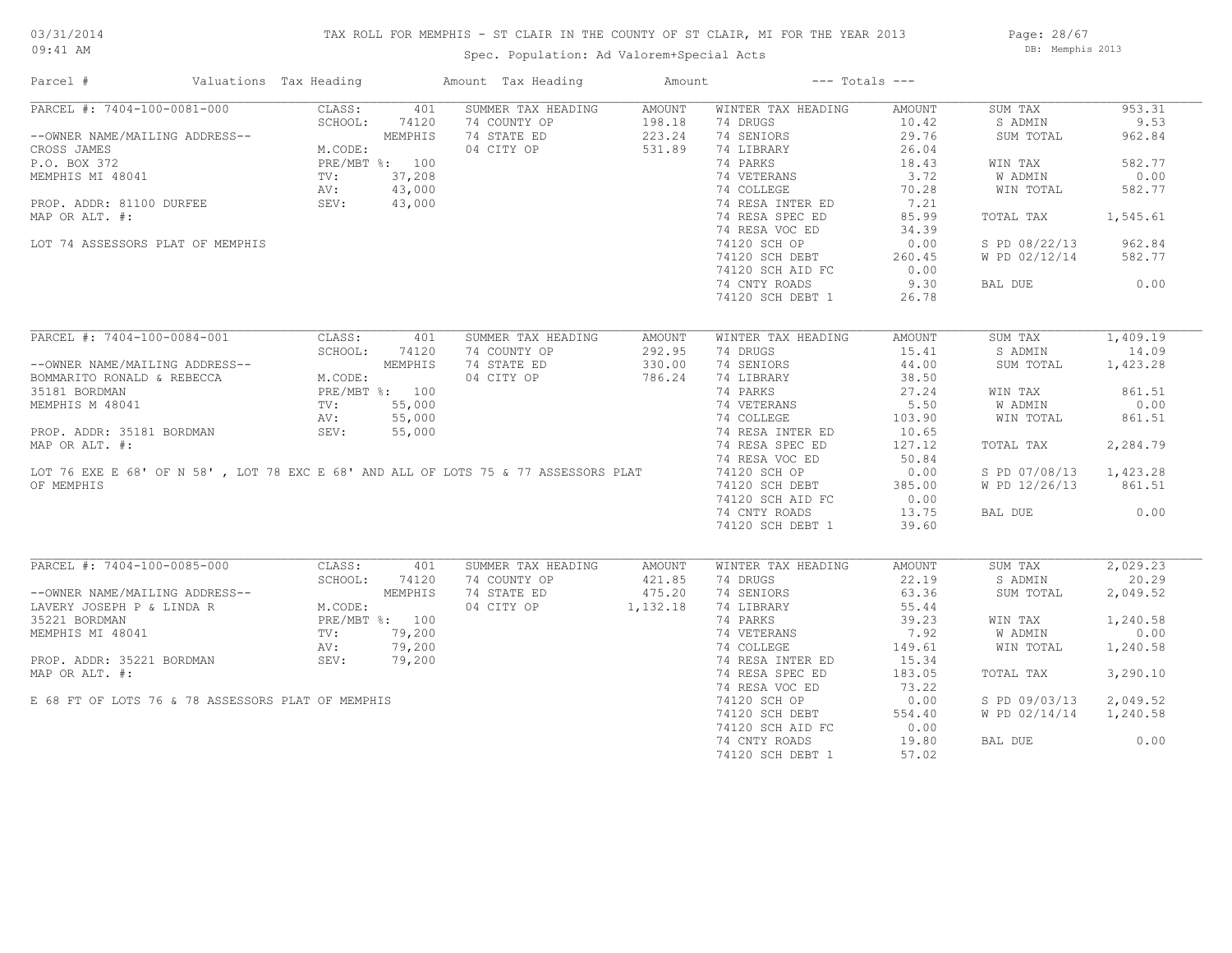## TAX ROLL FOR MEMPHIS - ST CLAIR IN THE COUNTY OF ST CLAIR, MI FOR THE YEAR 2013

09:41 AM

## Spec. Population: Ad Valorem+Special Acts

Page: 28/67 DB: Memphis 2013

| Parcel #                                                                                                                                         | Valuations Tax Heading |         | Amount Tax Heading   | Amount |                           | $---$ Totals $---$ |                        |          |
|--------------------------------------------------------------------------------------------------------------------------------------------------|------------------------|---------|----------------------|--------|---------------------------|--------------------|------------------------|----------|
| PARCEL #: 7404-100-0081-000                                                                                                                      | CLASS:                 | 401     | SUMMER TAX HEADING   | AMOUNT | WINTER TAX HEADING        | AMOUNT             | SUM TAX                | 953.31   |
|                                                                                                                                                  | SCHOOL:                | 74120   | 74 COUNTY OP         | 198.18 | 74 DRUGS                  | 10.42              | S ADMIN                | 9.53     |
| --OWNER NAME/MAILING ADDRESS--                                                                                                                   |                        | MEMPHIS | 74 STATE ED          | 223.24 | 74 SENIORS                | 29.76              | SUM TOTAL              | 962.84   |
| CROSS JAMES                                                                                                                                      | M.CODE:                |         | 04 CITY OP           | 531.89 | 74 LIBRARY                | 26.04              |                        |          |
| P.O. BOX 372                                                                                                                                     | PRE/MBT %: 100         |         |                      |        | 74 PARKS                  | 18.43              | WIN TAX                | 582.77   |
| NEMPHIS MI 48041 TV:<br>PROP. ADDR: 81100 DURFEE (SEV: SEV:                                                                                      |                        | 37,208  |                      |        | 74 VETERANS<br>74 COLLEGE | 3.72               | W ADMIN                | 0.00     |
|                                                                                                                                                  |                        | 43,000  |                      |        |                           | 70.28              | WIN TOTAL              | 582.77   |
|                                                                                                                                                  |                        | 43,000  |                      |        | 74 RESA INTER ED          | 7.21               |                        |          |
|                                                                                                                                                  |                        |         |                      |        | 74 RESA SPEC ED           | 85.99              | TOTAL TAX              | 1,545.61 |
| MAP OR ALT. #:                                                                                                                                   |                        |         |                      |        |                           |                    |                        |          |
|                                                                                                                                                  |                        |         |                      |        | 74 RESA VOC ED            | 34.39              |                        |          |
| LOT 74 ASSESSORS PLAT OF MEMPHIS                                                                                                                 |                        |         |                      |        | 74120 SCH OP              | 0.00               | S PD 08/22/13          | 962.84   |
|                                                                                                                                                  |                        |         |                      |        | 74120 SCH DEBT            | 260.45             | W PD 02/12/14          | 582.77   |
|                                                                                                                                                  |                        |         |                      |        | 74120 SCH AID FC          | 0.00               |                        |          |
|                                                                                                                                                  |                        |         |                      |        | 74 CNTY ROADS             | 9.30               | BAL DUE                | 0.00     |
|                                                                                                                                                  |                        |         |                      |        | 74120 SCH DEBT 1          | 26.78              |                        |          |
|                                                                                                                                                  |                        |         |                      |        |                           |                    |                        |          |
| PARCEL #: 7404-100-0084-001                                                                                                                      | CLASS:                 | 401     | SUMMER TAX HEADING   | AMOUNT | WINTER TAX HEADING        | AMOUNT             | SUM TAX                | 1,409.19 |
|                                                                                                                                                  | SCHOOL:                | 74120   | 74 COUNTY OP         | 292.95 | 74 DRUGS                  | 15.41              | S ADMIN                | 14.09    |
|                                                                                                                                                  |                        |         | 74 STATE ED          | 330.00 | 74 SENIORS                | 44.00              | SUM TOTAL              | 1,423.28 |
| --OWNER NAME/MAILING ADDRESS--<br>BOMMARITO RONALD & REBECCA M.CODE:<br>35181 BORDMAN PRE/MBT %: 100<br>MEMPHIS M 48041 TV: 55,000<br>AV: 55,000 |                        |         | 04 CITY OP           | 786.24 | 74 LIBRARY                | 38.50              |                        |          |
|                                                                                                                                                  |                        |         |                      |        | 74 PARKS                  | 27.24              | WIN TAX                | 861.51   |
|                                                                                                                                                  |                        |         |                      |        | 74 VETERANS               | 5.50               | W ADMIN                | 0.00     |
|                                                                                                                                                  |                        |         |                      |        | 74 COLLEGE                | 103.90             | WIN TOTAL              | 861.51   |
| PROP. ADDR: 35181 BORDMAN                                                                                                                        | SEV:                   | 55,000  |                      |        | 74 RESA INTER ED          | 10.65              |                        |          |
|                                                                                                                                                  |                        |         |                      |        | 74 RESA SPEC ED           | 127.12             | TOTAL TAX              | 2,284.79 |
|                                                                                                                                                  |                        |         |                      |        | 74 RESA VOC ED            | 50.84              |                        |          |
|                                                                                                                                                  |                        |         |                      |        |                           |                    |                        |          |
|                                                                                                                                                  |                        |         |                      |        | 74120 SCH OP              | 0.00               | S PD 07/08/13 1,423.28 |          |
| OF MEMPHIS                                                                                                                                       |                        |         |                      |        | 74120 SCH DEBT            | 385.00             | W PD 12/26/13 861.51   |          |
|                                                                                                                                                  |                        |         |                      |        | 74120 SCH AID FC          | 0.00               |                        |          |
|                                                                                                                                                  |                        |         |                      |        | 74 CNTY ROADS             | 13.75              | BAL DUE                | 0.00     |
|                                                                                                                                                  |                        |         |                      |        | 74120 SCH DEBT 1          | 39.60              |                        |          |
| PARCEL #: 7404-100-0085-000                                                                                                                      | CLASS:                 | 401     | SUMMER TAX HEADING   | AMOUNT | WINTER TAX HEADING        | AMOUNT             | SUM TAX                | 2,029.23 |
|                                                                                                                                                  | SCHOOL:                |         | 74 COUNTY OP         | 421.85 | 74 DRUGS                  | 22.19              | S ADMIN                | 20.29    |
| --OWNER NAME/MAILING ADDRESS--<br>LAVERY JOSEPH P & LINDA R<br>TEAMERY DOENARY CODE:<br>PRE/MBT \$: 100                                          |                        |         | 74 STATE ED          | 475.20 | 74 SENIORS                | 63.36              | SUM TOTAL              | 2,049.52 |
|                                                                                                                                                  |                        |         |                      |        |                           |                    |                        |          |
|                                                                                                                                                  |                        |         | 04 CITY OP 1, 132.18 |        | 74 LIBRARY                | 55.44              |                        |          |
|                                                                                                                                                  |                        |         |                      |        | 74 PARKS                  | 39.23              | WIN TAX                | 1,240.58 |
| MEMPHIS MI 48041                                                                                                                                 | TV:                    | 79,200  |                      |        | 74 VETERANS               | 7.92               | <b>W ADMIN</b>         | 0.00     |
|                                                                                                                                                  | AV:                    | 79,200  |                      |        | 74 COLLEGE                | 149.61             | WIN TOTAL              | 1,240.58 |
| PROP. ADDR: 35221 BORDMAN                                                                                                                        | SEV:                   | 79,200  |                      |        | 74 RESA INTER ED          | 15.34              |                        |          |
| MAP OR ALT. #:                                                                                                                                   |                        |         |                      |        | 74 RESA SPEC ED           | 183.05             | TOTAL TAX              | 3,290.10 |
|                                                                                                                                                  |                        |         |                      |        | 74 RESA VOC ED            | 73.22              |                        |          |
| E 68 FT OF LOTS 76 & 78 ASSESSORS PLAT OF MEMPHIS                                                                                                |                        |         |                      |        | 74120 SCH OP              | 0.00               | S PD 09/03/13          | 2,049.52 |
|                                                                                                                                                  |                        |         |                      |        | 74120 SCH DEBT            | 554.40             | W PD 02/14/14          | 1,240.58 |
|                                                                                                                                                  |                        |         |                      |        | 74120 SCH AID FC          | 0.00               |                        |          |
|                                                                                                                                                  |                        |         |                      |        | 74 CNTY ROADS             | 19.80              | BAL DUE                | 0.00     |
|                                                                                                                                                  |                        |         |                      |        |                           |                    |                        |          |
|                                                                                                                                                  |                        |         |                      |        | 74120 SCH DEBT 1          | 57.02              |                        |          |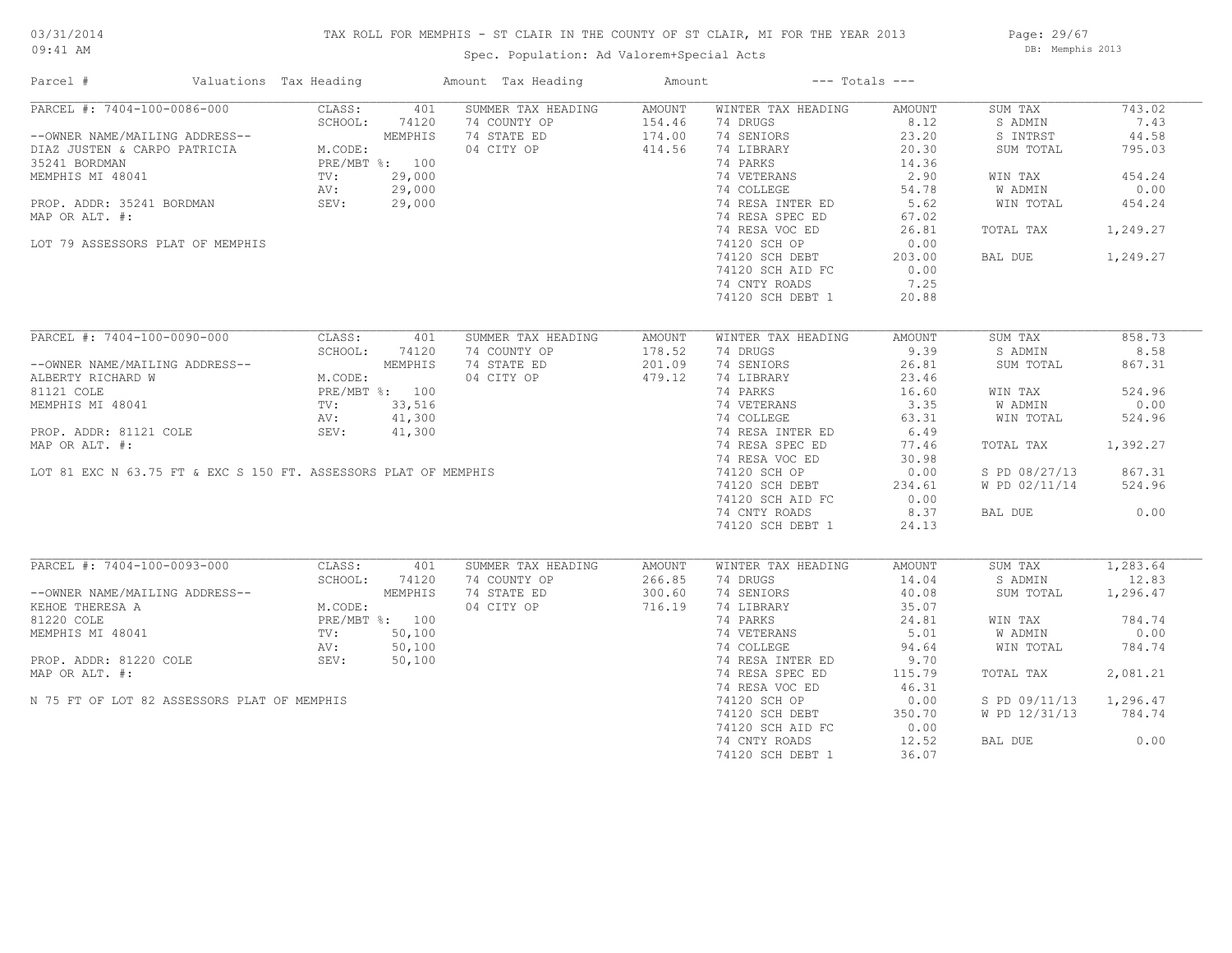## TAX ROLL FOR MEMPHIS - ST CLAIR IN THE COUNTY OF ST CLAIR, MI FOR THE YEAR 2013

Spec. Population: Ad Valorem+Special Acts

Page: 29/67 DB: Memphis 2013

| PARCEL #: 7404-100-0086-000<br>CLASS:<br>401<br>SUMMER TAX HEADING<br>AMOUNT<br>WINTER TAX HEADING<br>SUM TAX<br>743.02<br>AMOUNT<br>8.12<br>SCHOOL:<br>74120<br>74 COUNTY OP<br>154.46<br>74 DRUGS<br>S ADMIN<br>7.43<br>--OWNER NAME/MAILING ADDRESS--<br>DIAZ JUSTEN & CARPO PATRICIA M.CODE:<br>25241 ROBDMAN<br>MEMPHIS<br>74 STATE ED<br>174.00<br>74 SENIORS<br>S INTRST<br>44.58<br>23.20<br>04 CITY OP<br>414.56<br>74 LIBRARY<br>20.30<br>SUM TOTAL<br>795.03<br>35241 BORDMAN PRE/MBT %: 100<br>MEMPHIS MI 48041 TV: 29,000<br>PROP. ADDR: 35241 BORDMAN AV: 29,000<br>PROP. ADDR: 35241 BORDMAN SEV: 29,000<br>74 PARKS<br>14.36<br>74 VETERANS<br>2.90<br>454.24<br>WIN TAX<br>74 COLLEGE<br>54.78<br>W ADMIN<br>0.00<br>74 RESA INTER ED<br>5.62<br>WIN TOTAL<br>454.24<br>74 RESA SPEC ED<br>MAP OR ALT. #:<br>67.02<br>74 RESA VOC ED<br>26.81<br>1,249.27<br>TOTAL TAX<br>74120 SCH OP<br>LOT 79 ASSESSORS PLAT OF MEMPHIS<br>0.00<br>74120 SCH DEBT<br>203.00<br>1,249.27<br>BAL DUE<br>74120 SCH AID FC<br>0.00<br>74 CNTY ROADS<br>7.25<br>74120 SCH DEBT 1<br>20.88<br>PARCEL #: 7404-100-0090-000<br>CLASS:<br>SUMMER TAX HEADING<br>WINTER TAX HEADING<br>SUM TAX<br>858.73<br>401<br>AMOUNT<br>AMOUNT<br>SCHOOL:<br>74120<br>178.52<br>74 DRUGS<br>9.39<br>S ADMIN<br>8.58<br>74 COUNTY OP<br>G ADDRESS--<br>M.CODE:<br>PRE/MBT %: 100<br>TV: 33,516<br>AV: 41,300<br>201.09<br>74 SENIORS<br>26.81<br>867.31<br>--OWNER NAME/MAILING ADDRESS--<br>74 STATE ED<br>SUM TOTAL<br>479.12<br>04 CITY OP<br>74 LIBRARY<br>23.46<br>ALBERTY RICHARD W<br>81121 COLE<br>74 PARKS<br>524.96<br>16.60<br>WIN TAX<br>74 VETERANS<br>74 COLLEGE<br>3.35<br>0.00<br>MEMPHIS MI 48041<br>W ADMIN<br>524.96<br>63.31<br>WIN TOTAL<br>PROP. ADDR: 81121 COLE<br>74 RESA INTER ED<br>6.49<br>SEV:<br>41,300<br>74 RESA SPEC ED<br>MAP OR ALT. #:<br>77.46<br>1,392.27<br>TOTAL TAX<br>74 RESA VOC ED<br>30.98<br>LOT 81 EXC N 63.75 FT & EXC S 150 FT. ASSESSORS PLAT OF MEMPHIS<br>867.31<br>74120 SCH OP<br>0.00<br>S PD 08/27/13<br>74120 SCH DEBT<br>W PD 02/11/14<br>524.96<br>234.61<br>74120 SCH AID FC<br>0.00<br>8.37<br>0.00<br>74 CNTY ROADS<br>BAL DUE<br>74120 SCH DEBT 1<br>24.13<br>PARCEL #: 7404-100-0093-000<br>CLASS:<br>SUMMER TAX HEADING<br>WINTER TAX HEADING<br>1,283.64<br>401<br>AMOUNT<br>AMOUNT<br>SUM TAX<br>SCHOOL:<br>74 COUNTY OP<br>266.85<br>74 DRUGS<br>14.04<br>12.83<br>74120<br>S ADMIN<br>--OWNER NAME/MAILING ADDRESS--<br>M.CODE:<br>M.CODE:<br>PRE/MBT %: 100<br>TV: 50,100<br>AV: 50,100<br>SEV: 50,100<br>74 STATE ED<br>300.60<br>74 SENIORS<br>40.08<br>SUM TOTAL<br>1,296.47<br>04 CITY OP<br>716.19<br>74 LIBRARY<br>35.07<br>KEHOE THERESA A<br>74 PARKS<br>784.74<br>81220 COLE<br>24.81<br>WIN TAX<br>MEMPHIS MI 48041<br>74 VETERANS<br>5.01<br>W ADMIN<br>0.00<br>74 COLLEGE<br>94.64<br>784.74<br>WIN TOTAL<br>PROP. ADDR: 81220 COLE<br>74 RESA INTER ED<br>9.70<br>74 RESA SPEC ED<br>115.79<br>2,081.21<br>TOTAL TAX<br>74 RESA VOC ED<br>46.31<br>N 75 FT OF LOT 82 ASSESSORS PLAT OF MEMPHIS<br>74120 SCH OP<br>0.00<br>S PD 09/11/13<br>1,296.47<br>74120 SCH DEBT<br>350.70<br>W PD 12/31/13<br>784.74<br>74120 SCH AID FC<br>0.00<br>74 CNTY ROADS<br>12.52<br>BAL DUE<br>0.00<br>36.07 | Parcel #       | Valuations Tax Heading |  | Amount Tax Heading | Amount | $---$ Totals $---$ |  |  |
|---------------------------------------------------------------------------------------------------------------------------------------------------------------------------------------------------------------------------------------------------------------------------------------------------------------------------------------------------------------------------------------------------------------------------------------------------------------------------------------------------------------------------------------------------------------------------------------------------------------------------------------------------------------------------------------------------------------------------------------------------------------------------------------------------------------------------------------------------------------------------------------------------------------------------------------------------------------------------------------------------------------------------------------------------------------------------------------------------------------------------------------------------------------------------------------------------------------------------------------------------------------------------------------------------------------------------------------------------------------------------------------------------------------------------------------------------------------------------------------------------------------------------------------------------------------------------------------------------------------------------------------------------------------------------------------------------------------------------------------------------------------------------------------------------------------------------------------------------------------------------------------------------------------------------------------------------------------------------------------------------------------------------------------------------------------------------------------------------------------------------------------------------------------------------------------------------------------------------------------------------------------------------------------------------------------------------------------------------------------------------------------------------------------------------------------------------------------------------------------------------------------------------------------------------------------------------------------------------------------------------------------------------------------------------------------------------------------------------------------------------------------------------------------------------------------------------------------------------------------------------------------------------------------------------------------------------------------------------------------------------------------------------------------------------------------------------------------------------------------------------------------------------------------------------------------------------------------------------------------------------------------|----------------|------------------------|--|--------------------|--------|--------------------|--|--|
|                                                                                                                                                                                                                                                                                                                                                                                                                                                                                                                                                                                                                                                                                                                                                                                                                                                                                                                                                                                                                                                                                                                                                                                                                                                                                                                                                                                                                                                                                                                                                                                                                                                                                                                                                                                                                                                                                                                                                                                                                                                                                                                                                                                                                                                                                                                                                                                                                                                                                                                                                                                                                                                                                                                                                                                                                                                                                                                                                                                                                                                                                                                                                                                                                                                               |                |                        |  |                    |        |                    |  |  |
|                                                                                                                                                                                                                                                                                                                                                                                                                                                                                                                                                                                                                                                                                                                                                                                                                                                                                                                                                                                                                                                                                                                                                                                                                                                                                                                                                                                                                                                                                                                                                                                                                                                                                                                                                                                                                                                                                                                                                                                                                                                                                                                                                                                                                                                                                                                                                                                                                                                                                                                                                                                                                                                                                                                                                                                                                                                                                                                                                                                                                                                                                                                                                                                                                                                               |                |                        |  |                    |        |                    |  |  |
|                                                                                                                                                                                                                                                                                                                                                                                                                                                                                                                                                                                                                                                                                                                                                                                                                                                                                                                                                                                                                                                                                                                                                                                                                                                                                                                                                                                                                                                                                                                                                                                                                                                                                                                                                                                                                                                                                                                                                                                                                                                                                                                                                                                                                                                                                                                                                                                                                                                                                                                                                                                                                                                                                                                                                                                                                                                                                                                                                                                                                                                                                                                                                                                                                                                               |                |                        |  |                    |        |                    |  |  |
|                                                                                                                                                                                                                                                                                                                                                                                                                                                                                                                                                                                                                                                                                                                                                                                                                                                                                                                                                                                                                                                                                                                                                                                                                                                                                                                                                                                                                                                                                                                                                                                                                                                                                                                                                                                                                                                                                                                                                                                                                                                                                                                                                                                                                                                                                                                                                                                                                                                                                                                                                                                                                                                                                                                                                                                                                                                                                                                                                                                                                                                                                                                                                                                                                                                               |                |                        |  |                    |        |                    |  |  |
|                                                                                                                                                                                                                                                                                                                                                                                                                                                                                                                                                                                                                                                                                                                                                                                                                                                                                                                                                                                                                                                                                                                                                                                                                                                                                                                                                                                                                                                                                                                                                                                                                                                                                                                                                                                                                                                                                                                                                                                                                                                                                                                                                                                                                                                                                                                                                                                                                                                                                                                                                                                                                                                                                                                                                                                                                                                                                                                                                                                                                                                                                                                                                                                                                                                               |                |                        |  |                    |        |                    |  |  |
|                                                                                                                                                                                                                                                                                                                                                                                                                                                                                                                                                                                                                                                                                                                                                                                                                                                                                                                                                                                                                                                                                                                                                                                                                                                                                                                                                                                                                                                                                                                                                                                                                                                                                                                                                                                                                                                                                                                                                                                                                                                                                                                                                                                                                                                                                                                                                                                                                                                                                                                                                                                                                                                                                                                                                                                                                                                                                                                                                                                                                                                                                                                                                                                                                                                               |                |                        |  |                    |        |                    |  |  |
|                                                                                                                                                                                                                                                                                                                                                                                                                                                                                                                                                                                                                                                                                                                                                                                                                                                                                                                                                                                                                                                                                                                                                                                                                                                                                                                                                                                                                                                                                                                                                                                                                                                                                                                                                                                                                                                                                                                                                                                                                                                                                                                                                                                                                                                                                                                                                                                                                                                                                                                                                                                                                                                                                                                                                                                                                                                                                                                                                                                                                                                                                                                                                                                                                                                               |                |                        |  |                    |        |                    |  |  |
|                                                                                                                                                                                                                                                                                                                                                                                                                                                                                                                                                                                                                                                                                                                                                                                                                                                                                                                                                                                                                                                                                                                                                                                                                                                                                                                                                                                                                                                                                                                                                                                                                                                                                                                                                                                                                                                                                                                                                                                                                                                                                                                                                                                                                                                                                                                                                                                                                                                                                                                                                                                                                                                                                                                                                                                                                                                                                                                                                                                                                                                                                                                                                                                                                                                               |                |                        |  |                    |        |                    |  |  |
|                                                                                                                                                                                                                                                                                                                                                                                                                                                                                                                                                                                                                                                                                                                                                                                                                                                                                                                                                                                                                                                                                                                                                                                                                                                                                                                                                                                                                                                                                                                                                                                                                                                                                                                                                                                                                                                                                                                                                                                                                                                                                                                                                                                                                                                                                                                                                                                                                                                                                                                                                                                                                                                                                                                                                                                                                                                                                                                                                                                                                                                                                                                                                                                                                                                               |                |                        |  |                    |        |                    |  |  |
|                                                                                                                                                                                                                                                                                                                                                                                                                                                                                                                                                                                                                                                                                                                                                                                                                                                                                                                                                                                                                                                                                                                                                                                                                                                                                                                                                                                                                                                                                                                                                                                                                                                                                                                                                                                                                                                                                                                                                                                                                                                                                                                                                                                                                                                                                                                                                                                                                                                                                                                                                                                                                                                                                                                                                                                                                                                                                                                                                                                                                                                                                                                                                                                                                                                               |                |                        |  |                    |        |                    |  |  |
|                                                                                                                                                                                                                                                                                                                                                                                                                                                                                                                                                                                                                                                                                                                                                                                                                                                                                                                                                                                                                                                                                                                                                                                                                                                                                                                                                                                                                                                                                                                                                                                                                                                                                                                                                                                                                                                                                                                                                                                                                                                                                                                                                                                                                                                                                                                                                                                                                                                                                                                                                                                                                                                                                                                                                                                                                                                                                                                                                                                                                                                                                                                                                                                                                                                               |                |                        |  |                    |        |                    |  |  |
|                                                                                                                                                                                                                                                                                                                                                                                                                                                                                                                                                                                                                                                                                                                                                                                                                                                                                                                                                                                                                                                                                                                                                                                                                                                                                                                                                                                                                                                                                                                                                                                                                                                                                                                                                                                                                                                                                                                                                                                                                                                                                                                                                                                                                                                                                                                                                                                                                                                                                                                                                                                                                                                                                                                                                                                                                                                                                                                                                                                                                                                                                                                                                                                                                                                               |                |                        |  |                    |        |                    |  |  |
|                                                                                                                                                                                                                                                                                                                                                                                                                                                                                                                                                                                                                                                                                                                                                                                                                                                                                                                                                                                                                                                                                                                                                                                                                                                                                                                                                                                                                                                                                                                                                                                                                                                                                                                                                                                                                                                                                                                                                                                                                                                                                                                                                                                                                                                                                                                                                                                                                                                                                                                                                                                                                                                                                                                                                                                                                                                                                                                                                                                                                                                                                                                                                                                                                                                               |                |                        |  |                    |        |                    |  |  |
|                                                                                                                                                                                                                                                                                                                                                                                                                                                                                                                                                                                                                                                                                                                                                                                                                                                                                                                                                                                                                                                                                                                                                                                                                                                                                                                                                                                                                                                                                                                                                                                                                                                                                                                                                                                                                                                                                                                                                                                                                                                                                                                                                                                                                                                                                                                                                                                                                                                                                                                                                                                                                                                                                                                                                                                                                                                                                                                                                                                                                                                                                                                                                                                                                                                               |                |                        |  |                    |        |                    |  |  |
|                                                                                                                                                                                                                                                                                                                                                                                                                                                                                                                                                                                                                                                                                                                                                                                                                                                                                                                                                                                                                                                                                                                                                                                                                                                                                                                                                                                                                                                                                                                                                                                                                                                                                                                                                                                                                                                                                                                                                                                                                                                                                                                                                                                                                                                                                                                                                                                                                                                                                                                                                                                                                                                                                                                                                                                                                                                                                                                                                                                                                                                                                                                                                                                                                                                               |                |                        |  |                    |        |                    |  |  |
|                                                                                                                                                                                                                                                                                                                                                                                                                                                                                                                                                                                                                                                                                                                                                                                                                                                                                                                                                                                                                                                                                                                                                                                                                                                                                                                                                                                                                                                                                                                                                                                                                                                                                                                                                                                                                                                                                                                                                                                                                                                                                                                                                                                                                                                                                                                                                                                                                                                                                                                                                                                                                                                                                                                                                                                                                                                                                                                                                                                                                                                                                                                                                                                                                                                               |                |                        |  |                    |        |                    |  |  |
|                                                                                                                                                                                                                                                                                                                                                                                                                                                                                                                                                                                                                                                                                                                                                                                                                                                                                                                                                                                                                                                                                                                                                                                                                                                                                                                                                                                                                                                                                                                                                                                                                                                                                                                                                                                                                                                                                                                                                                                                                                                                                                                                                                                                                                                                                                                                                                                                                                                                                                                                                                                                                                                                                                                                                                                                                                                                                                                                                                                                                                                                                                                                                                                                                                                               |                |                        |  |                    |        |                    |  |  |
|                                                                                                                                                                                                                                                                                                                                                                                                                                                                                                                                                                                                                                                                                                                                                                                                                                                                                                                                                                                                                                                                                                                                                                                                                                                                                                                                                                                                                                                                                                                                                                                                                                                                                                                                                                                                                                                                                                                                                                                                                                                                                                                                                                                                                                                                                                                                                                                                                                                                                                                                                                                                                                                                                                                                                                                                                                                                                                                                                                                                                                                                                                                                                                                                                                                               |                |                        |  |                    |        |                    |  |  |
|                                                                                                                                                                                                                                                                                                                                                                                                                                                                                                                                                                                                                                                                                                                                                                                                                                                                                                                                                                                                                                                                                                                                                                                                                                                                                                                                                                                                                                                                                                                                                                                                                                                                                                                                                                                                                                                                                                                                                                                                                                                                                                                                                                                                                                                                                                                                                                                                                                                                                                                                                                                                                                                                                                                                                                                                                                                                                                                                                                                                                                                                                                                                                                                                                                                               |                |                        |  |                    |        |                    |  |  |
|                                                                                                                                                                                                                                                                                                                                                                                                                                                                                                                                                                                                                                                                                                                                                                                                                                                                                                                                                                                                                                                                                                                                                                                                                                                                                                                                                                                                                                                                                                                                                                                                                                                                                                                                                                                                                                                                                                                                                                                                                                                                                                                                                                                                                                                                                                                                                                                                                                                                                                                                                                                                                                                                                                                                                                                                                                                                                                                                                                                                                                                                                                                                                                                                                                                               |                |                        |  |                    |        |                    |  |  |
|                                                                                                                                                                                                                                                                                                                                                                                                                                                                                                                                                                                                                                                                                                                                                                                                                                                                                                                                                                                                                                                                                                                                                                                                                                                                                                                                                                                                                                                                                                                                                                                                                                                                                                                                                                                                                                                                                                                                                                                                                                                                                                                                                                                                                                                                                                                                                                                                                                                                                                                                                                                                                                                                                                                                                                                                                                                                                                                                                                                                                                                                                                                                                                                                                                                               |                |                        |  |                    |        |                    |  |  |
|                                                                                                                                                                                                                                                                                                                                                                                                                                                                                                                                                                                                                                                                                                                                                                                                                                                                                                                                                                                                                                                                                                                                                                                                                                                                                                                                                                                                                                                                                                                                                                                                                                                                                                                                                                                                                                                                                                                                                                                                                                                                                                                                                                                                                                                                                                                                                                                                                                                                                                                                                                                                                                                                                                                                                                                                                                                                                                                                                                                                                                                                                                                                                                                                                                                               |                |                        |  |                    |        |                    |  |  |
|                                                                                                                                                                                                                                                                                                                                                                                                                                                                                                                                                                                                                                                                                                                                                                                                                                                                                                                                                                                                                                                                                                                                                                                                                                                                                                                                                                                                                                                                                                                                                                                                                                                                                                                                                                                                                                                                                                                                                                                                                                                                                                                                                                                                                                                                                                                                                                                                                                                                                                                                                                                                                                                                                                                                                                                                                                                                                                                                                                                                                                                                                                                                                                                                                                                               |                |                        |  |                    |        |                    |  |  |
|                                                                                                                                                                                                                                                                                                                                                                                                                                                                                                                                                                                                                                                                                                                                                                                                                                                                                                                                                                                                                                                                                                                                                                                                                                                                                                                                                                                                                                                                                                                                                                                                                                                                                                                                                                                                                                                                                                                                                                                                                                                                                                                                                                                                                                                                                                                                                                                                                                                                                                                                                                                                                                                                                                                                                                                                                                                                                                                                                                                                                                                                                                                                                                                                                                                               |                |                        |  |                    |        |                    |  |  |
|                                                                                                                                                                                                                                                                                                                                                                                                                                                                                                                                                                                                                                                                                                                                                                                                                                                                                                                                                                                                                                                                                                                                                                                                                                                                                                                                                                                                                                                                                                                                                                                                                                                                                                                                                                                                                                                                                                                                                                                                                                                                                                                                                                                                                                                                                                                                                                                                                                                                                                                                                                                                                                                                                                                                                                                                                                                                                                                                                                                                                                                                                                                                                                                                                                                               |                |                        |  |                    |        |                    |  |  |
|                                                                                                                                                                                                                                                                                                                                                                                                                                                                                                                                                                                                                                                                                                                                                                                                                                                                                                                                                                                                                                                                                                                                                                                                                                                                                                                                                                                                                                                                                                                                                                                                                                                                                                                                                                                                                                                                                                                                                                                                                                                                                                                                                                                                                                                                                                                                                                                                                                                                                                                                                                                                                                                                                                                                                                                                                                                                                                                                                                                                                                                                                                                                                                                                                                                               |                |                        |  |                    |        |                    |  |  |
|                                                                                                                                                                                                                                                                                                                                                                                                                                                                                                                                                                                                                                                                                                                                                                                                                                                                                                                                                                                                                                                                                                                                                                                                                                                                                                                                                                                                                                                                                                                                                                                                                                                                                                                                                                                                                                                                                                                                                                                                                                                                                                                                                                                                                                                                                                                                                                                                                                                                                                                                                                                                                                                                                                                                                                                                                                                                                                                                                                                                                                                                                                                                                                                                                                                               |                |                        |  |                    |        |                    |  |  |
|                                                                                                                                                                                                                                                                                                                                                                                                                                                                                                                                                                                                                                                                                                                                                                                                                                                                                                                                                                                                                                                                                                                                                                                                                                                                                                                                                                                                                                                                                                                                                                                                                                                                                                                                                                                                                                                                                                                                                                                                                                                                                                                                                                                                                                                                                                                                                                                                                                                                                                                                                                                                                                                                                                                                                                                                                                                                                                                                                                                                                                                                                                                                                                                                                                                               |                |                        |  |                    |        |                    |  |  |
|                                                                                                                                                                                                                                                                                                                                                                                                                                                                                                                                                                                                                                                                                                                                                                                                                                                                                                                                                                                                                                                                                                                                                                                                                                                                                                                                                                                                                                                                                                                                                                                                                                                                                                                                                                                                                                                                                                                                                                                                                                                                                                                                                                                                                                                                                                                                                                                                                                                                                                                                                                                                                                                                                                                                                                                                                                                                                                                                                                                                                                                                                                                                                                                                                                                               |                |                        |  |                    |        |                    |  |  |
|                                                                                                                                                                                                                                                                                                                                                                                                                                                                                                                                                                                                                                                                                                                                                                                                                                                                                                                                                                                                                                                                                                                                                                                                                                                                                                                                                                                                                                                                                                                                                                                                                                                                                                                                                                                                                                                                                                                                                                                                                                                                                                                                                                                                                                                                                                                                                                                                                                                                                                                                                                                                                                                                                                                                                                                                                                                                                                                                                                                                                                                                                                                                                                                                                                                               |                |                        |  |                    |        |                    |  |  |
|                                                                                                                                                                                                                                                                                                                                                                                                                                                                                                                                                                                                                                                                                                                                                                                                                                                                                                                                                                                                                                                                                                                                                                                                                                                                                                                                                                                                                                                                                                                                                                                                                                                                                                                                                                                                                                                                                                                                                                                                                                                                                                                                                                                                                                                                                                                                                                                                                                                                                                                                                                                                                                                                                                                                                                                                                                                                                                                                                                                                                                                                                                                                                                                                                                                               |                |                        |  |                    |        |                    |  |  |
|                                                                                                                                                                                                                                                                                                                                                                                                                                                                                                                                                                                                                                                                                                                                                                                                                                                                                                                                                                                                                                                                                                                                                                                                                                                                                                                                                                                                                                                                                                                                                                                                                                                                                                                                                                                                                                                                                                                                                                                                                                                                                                                                                                                                                                                                                                                                                                                                                                                                                                                                                                                                                                                                                                                                                                                                                                                                                                                                                                                                                                                                                                                                                                                                                                                               |                |                        |  |                    |        |                    |  |  |
|                                                                                                                                                                                                                                                                                                                                                                                                                                                                                                                                                                                                                                                                                                                                                                                                                                                                                                                                                                                                                                                                                                                                                                                                                                                                                                                                                                                                                                                                                                                                                                                                                                                                                                                                                                                                                                                                                                                                                                                                                                                                                                                                                                                                                                                                                                                                                                                                                                                                                                                                                                                                                                                                                                                                                                                                                                                                                                                                                                                                                                                                                                                                                                                                                                                               |                |                        |  |                    |        |                    |  |  |
|                                                                                                                                                                                                                                                                                                                                                                                                                                                                                                                                                                                                                                                                                                                                                                                                                                                                                                                                                                                                                                                                                                                                                                                                                                                                                                                                                                                                                                                                                                                                                                                                                                                                                                                                                                                                                                                                                                                                                                                                                                                                                                                                                                                                                                                                                                                                                                                                                                                                                                                                                                                                                                                                                                                                                                                                                                                                                                                                                                                                                                                                                                                                                                                                                                                               |                |                        |  |                    |        |                    |  |  |
|                                                                                                                                                                                                                                                                                                                                                                                                                                                                                                                                                                                                                                                                                                                                                                                                                                                                                                                                                                                                                                                                                                                                                                                                                                                                                                                                                                                                                                                                                                                                                                                                                                                                                                                                                                                                                                                                                                                                                                                                                                                                                                                                                                                                                                                                                                                                                                                                                                                                                                                                                                                                                                                                                                                                                                                                                                                                                                                                                                                                                                                                                                                                                                                                                                                               |                |                        |  |                    |        |                    |  |  |
|                                                                                                                                                                                                                                                                                                                                                                                                                                                                                                                                                                                                                                                                                                                                                                                                                                                                                                                                                                                                                                                                                                                                                                                                                                                                                                                                                                                                                                                                                                                                                                                                                                                                                                                                                                                                                                                                                                                                                                                                                                                                                                                                                                                                                                                                                                                                                                                                                                                                                                                                                                                                                                                                                                                                                                                                                                                                                                                                                                                                                                                                                                                                                                                                                                                               |                |                        |  |                    |        |                    |  |  |
|                                                                                                                                                                                                                                                                                                                                                                                                                                                                                                                                                                                                                                                                                                                                                                                                                                                                                                                                                                                                                                                                                                                                                                                                                                                                                                                                                                                                                                                                                                                                                                                                                                                                                                                                                                                                                                                                                                                                                                                                                                                                                                                                                                                                                                                                                                                                                                                                                                                                                                                                                                                                                                                                                                                                                                                                                                                                                                                                                                                                                                                                                                                                                                                                                                                               |                |                        |  |                    |        |                    |  |  |
|                                                                                                                                                                                                                                                                                                                                                                                                                                                                                                                                                                                                                                                                                                                                                                                                                                                                                                                                                                                                                                                                                                                                                                                                                                                                                                                                                                                                                                                                                                                                                                                                                                                                                                                                                                                                                                                                                                                                                                                                                                                                                                                                                                                                                                                                                                                                                                                                                                                                                                                                                                                                                                                                                                                                                                                                                                                                                                                                                                                                                                                                                                                                                                                                                                                               |                |                        |  |                    |        |                    |  |  |
|                                                                                                                                                                                                                                                                                                                                                                                                                                                                                                                                                                                                                                                                                                                                                                                                                                                                                                                                                                                                                                                                                                                                                                                                                                                                                                                                                                                                                                                                                                                                                                                                                                                                                                                                                                                                                                                                                                                                                                                                                                                                                                                                                                                                                                                                                                                                                                                                                                                                                                                                                                                                                                                                                                                                                                                                                                                                                                                                                                                                                                                                                                                                                                                                                                                               |                |                        |  |                    |        |                    |  |  |
|                                                                                                                                                                                                                                                                                                                                                                                                                                                                                                                                                                                                                                                                                                                                                                                                                                                                                                                                                                                                                                                                                                                                                                                                                                                                                                                                                                                                                                                                                                                                                                                                                                                                                                                                                                                                                                                                                                                                                                                                                                                                                                                                                                                                                                                                                                                                                                                                                                                                                                                                                                                                                                                                                                                                                                                                                                                                                                                                                                                                                                                                                                                                                                                                                                                               |                |                        |  |                    |        |                    |  |  |
|                                                                                                                                                                                                                                                                                                                                                                                                                                                                                                                                                                                                                                                                                                                                                                                                                                                                                                                                                                                                                                                                                                                                                                                                                                                                                                                                                                                                                                                                                                                                                                                                                                                                                                                                                                                                                                                                                                                                                                                                                                                                                                                                                                                                                                                                                                                                                                                                                                                                                                                                                                                                                                                                                                                                                                                                                                                                                                                                                                                                                                                                                                                                                                                                                                                               |                |                        |  |                    |        |                    |  |  |
|                                                                                                                                                                                                                                                                                                                                                                                                                                                                                                                                                                                                                                                                                                                                                                                                                                                                                                                                                                                                                                                                                                                                                                                                                                                                                                                                                                                                                                                                                                                                                                                                                                                                                                                                                                                                                                                                                                                                                                                                                                                                                                                                                                                                                                                                                                                                                                                                                                                                                                                                                                                                                                                                                                                                                                                                                                                                                                                                                                                                                                                                                                                                                                                                                                                               | MAP OR ALT. #: |                        |  |                    |        |                    |  |  |
|                                                                                                                                                                                                                                                                                                                                                                                                                                                                                                                                                                                                                                                                                                                                                                                                                                                                                                                                                                                                                                                                                                                                                                                                                                                                                                                                                                                                                                                                                                                                                                                                                                                                                                                                                                                                                                                                                                                                                                                                                                                                                                                                                                                                                                                                                                                                                                                                                                                                                                                                                                                                                                                                                                                                                                                                                                                                                                                                                                                                                                                                                                                                                                                                                                                               |                |                        |  |                    |        |                    |  |  |
|                                                                                                                                                                                                                                                                                                                                                                                                                                                                                                                                                                                                                                                                                                                                                                                                                                                                                                                                                                                                                                                                                                                                                                                                                                                                                                                                                                                                                                                                                                                                                                                                                                                                                                                                                                                                                                                                                                                                                                                                                                                                                                                                                                                                                                                                                                                                                                                                                                                                                                                                                                                                                                                                                                                                                                                                                                                                                                                                                                                                                                                                                                                                                                                                                                                               |                |                        |  |                    |        |                    |  |  |
|                                                                                                                                                                                                                                                                                                                                                                                                                                                                                                                                                                                                                                                                                                                                                                                                                                                                                                                                                                                                                                                                                                                                                                                                                                                                                                                                                                                                                                                                                                                                                                                                                                                                                                                                                                                                                                                                                                                                                                                                                                                                                                                                                                                                                                                                                                                                                                                                                                                                                                                                                                                                                                                                                                                                                                                                                                                                                                                                                                                                                                                                                                                                                                                                                                                               |                |                        |  |                    |        |                    |  |  |
|                                                                                                                                                                                                                                                                                                                                                                                                                                                                                                                                                                                                                                                                                                                                                                                                                                                                                                                                                                                                                                                                                                                                                                                                                                                                                                                                                                                                                                                                                                                                                                                                                                                                                                                                                                                                                                                                                                                                                                                                                                                                                                                                                                                                                                                                                                                                                                                                                                                                                                                                                                                                                                                                                                                                                                                                                                                                                                                                                                                                                                                                                                                                                                                                                                                               |                |                        |  |                    |        |                    |  |  |
|                                                                                                                                                                                                                                                                                                                                                                                                                                                                                                                                                                                                                                                                                                                                                                                                                                                                                                                                                                                                                                                                                                                                                                                                                                                                                                                                                                                                                                                                                                                                                                                                                                                                                                                                                                                                                                                                                                                                                                                                                                                                                                                                                                                                                                                                                                                                                                                                                                                                                                                                                                                                                                                                                                                                                                                                                                                                                                                                                                                                                                                                                                                                                                                                                                                               |                |                        |  |                    |        |                    |  |  |
|                                                                                                                                                                                                                                                                                                                                                                                                                                                                                                                                                                                                                                                                                                                                                                                                                                                                                                                                                                                                                                                                                                                                                                                                                                                                                                                                                                                                                                                                                                                                                                                                                                                                                                                                                                                                                                                                                                                                                                                                                                                                                                                                                                                                                                                                                                                                                                                                                                                                                                                                                                                                                                                                                                                                                                                                                                                                                                                                                                                                                                                                                                                                                                                                                                                               |                |                        |  |                    |        | 74120 SCH DEBT 1   |  |  |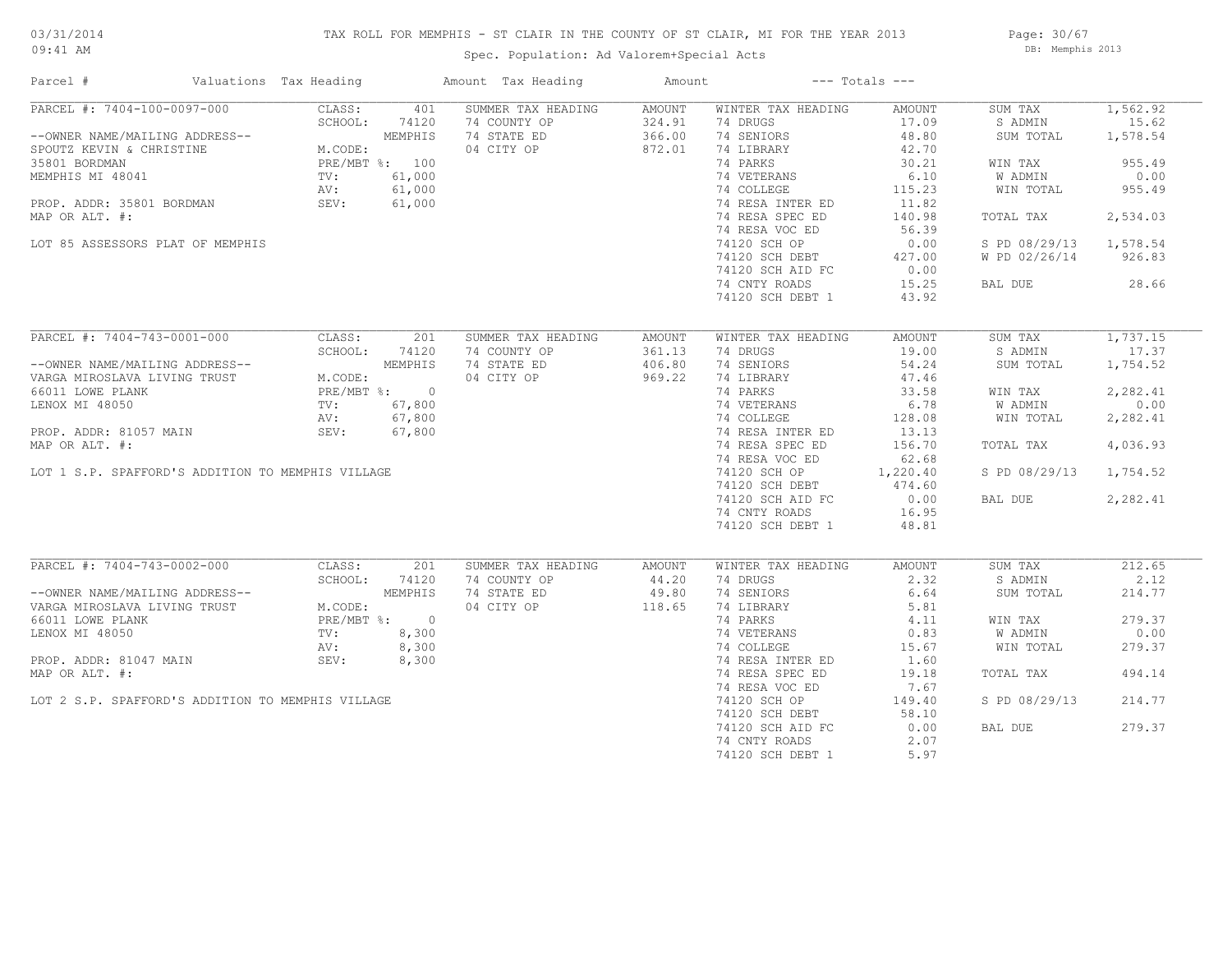## TAX ROLL FOR MEMPHIS - ST CLAIR IN THE COUNTY OF ST CLAIR, MI FOR THE YEAR 2013

Spec. Population: Ad Valorem+Special Acts

Page: 30/67 DB: Memphis 2013

| Parcel #                                                                                                                                                                                                                                                                                                 | Valuations Tax Heading             |                  | Amount Tax Heading                                              | Amount                               |                                                                                                                                                                                                                                                         | $---$ Totals $---$                                                                                                                   |                                                                                                                                              |                                                                                |
|----------------------------------------------------------------------------------------------------------------------------------------------------------------------------------------------------------------------------------------------------------------------------------------------------------|------------------------------------|------------------|-----------------------------------------------------------------|--------------------------------------|---------------------------------------------------------------------------------------------------------------------------------------------------------------------------------------------------------------------------------------------------------|--------------------------------------------------------------------------------------------------------------------------------------|----------------------------------------------------------------------------------------------------------------------------------------------|--------------------------------------------------------------------------------|
| PARCEL #: 7404-100-0097-000<br>--OWNER NAME/MAILING ADDRESS--<br>SPOUTZ KEVIN & CHRISTINE M.CODE:<br>35801 BORDMAN PRE/MBT %: 100<br>MEMPHIS MI 48041 TV: 61,000<br>PROP. ADDR: 35801 BORDMAN SEV: 61,000<br>PROP. ADDR: 35801 BORDMAN SEV: 61,000<br>MAP OR ALT. #:<br>LOT 85 ASSESSORS PLAT OF MEMPHIS | CLASS:<br>SCHOOL:                  | 401<br>74120     | SUMMER TAX HEADING<br>74 COUNTY OP<br>74 STATE ED<br>04 CITY OP | AMOUNT<br>324.91<br>366.00<br>872.01 | WINTER TAX HEADING<br>74 DRUGS<br>74 SENIORS<br>74 LIBRARY<br>74 PARKS<br>74 VETERANS<br>74 COLLEGE<br>74 RESA INTER ED<br>74 RESA SPEC ED<br>74 RESA VOC ED<br>74120 SCH OP<br>74120 SCH DEBT<br>74120 SCH AID FC<br>74 CNTY ROADS<br>74120 SCH DEBT 1 | AMOUNT<br>17.09<br>48.80<br>42.70<br>30.21<br>6.10<br>115.23<br>11.82<br>140.98<br>56.39<br>0.00<br>427.00<br>0.00<br>15.25<br>43.92 | SUM TAX<br>S ADMIN<br>SUM TOTAL<br>WIN TAX<br>W ADMIN<br>WIN TOTAL<br>TOTAL TAX<br>S PD 08/29/13 1,578.54<br>W PD 02/26/14 926.83<br>BAL DUE | 1,562.92<br>15.62<br>1,578.54<br>955.49<br>0.00<br>955.49<br>2,534.03<br>28.66 |
| PARCEL #: 7404-743-0001-000                                                                                                                                                                                                                                                                              | CLASS:                             | 201              | SUMMER TAX HEADING                                              | AMOUNT                               | WINTER TAX HEADING                                                                                                                                                                                                                                      | AMOUNT                                                                                                                               | SUM TAX                                                                                                                                      | 1,737.15                                                                       |
| --OWNER NAME/MAILING ADDRESS--<br>VARGA MIROSLAVA LIVING TRUST                                                                                                                                                                                                                                           | MEMPHIS<br>M.CODE:<br>PRE/MBT %: 0 | SCHOOL: 74120    | 74 COUNTY OP<br>74 STATE ED<br>04 CITY OP                       | 361.13<br>406.80<br>969.22           | 74 DRUGS<br>74 SENIORS<br>74 LIBRARY                                                                                                                                                                                                                    | 19.00<br>54.24<br>47.46                                                                                                              | S ADMIN<br>SUM TOTAL                                                                                                                         | 17.37<br>1,754.52                                                              |
| 66011 LOWE PLANK<br>LENOX MI 48050                                                                                                                                                                                                                                                                       | TV: 67,800                         |                  |                                                                 |                                      | 74 PARKS<br>74 VETERANS                                                                                                                                                                                                                                 | 33.58<br>6.78                                                                                                                        | WIN TAX<br>W ADMIN                                                                                                                           | 2,282.41<br>0.00                                                               |
| PROP. ADDR: 81057 MAIN                                                                                                                                                                                                                                                                                   | AV:<br>SEV:                        | 67,800<br>67,800 |                                                                 |                                      | 74 COLLEGE<br>74 RESA INTER ED                                                                                                                                                                                                                          | 128.08<br>13.13                                                                                                                      | WIN TOTAL                                                                                                                                    | 2,282.41                                                                       |
| MAP OR ALT. #:                                                                                                                                                                                                                                                                                           |                                    |                  |                                                                 |                                      | 74 RESA SPEC ED<br>74 RESA VOC ED                                                                                                                                                                                                                       | 156.70<br>62.68                                                                                                                      | TOTAL TAX                                                                                                                                    | 4,036.93                                                                       |
| LOT 1 S.P. SPAFFORD'S ADDITION TO MEMPHIS VILLAGE                                                                                                                                                                                                                                                        |                                    |                  |                                                                 |                                      | 74120 SCH OP<br>74120 SCH DEBT                                                                                                                                                                                                                          | 1,220.40<br>474.60                                                                                                                   | S PD 08/29/13                                                                                                                                | 1,754.52                                                                       |
|                                                                                                                                                                                                                                                                                                          |                                    |                  |                                                                 |                                      | 74120 SCH AID FC<br>74 CNTY ROADS<br>74120 SCH DEBT 1                                                                                                                                                                                                   | 0.00<br>16.95<br>48.81                                                                                                               | BAL DUE                                                                                                                                      | 2,282.41                                                                       |
| PARCEL #: 7404-743-0002-000                                                                                                                                                                                                                                                                              | CLASS:                             | 201              | SUMMER TAX HEADING                                              | AMOUNT                               | WINTER TAX HEADING                                                                                                                                                                                                                                      | AMOUNT                                                                                                                               | SUM TAX                                                                                                                                      | 212.65                                                                         |
| --OWNER NAME/MAILING ADDRESS--<br>VARGA MIROSLAVA LIVING TRUST                                                                                                                                                                                                                                           | SCHOOL:<br>M.CODE:                 | 74120<br>MEMPHIS | 74 COUNTY OP<br>74 STATE ED<br>04 CITY OP                       | 44.20<br>49.80<br>118.65             | 74 DRUGS<br>74 SENIORS<br>74 LIBRARY                                                                                                                                                                                                                    | 2.32<br>6.64<br>5.81                                                                                                                 | S ADMIN<br>SUM TOTAL                                                                                                                         | 2.12<br>214.77                                                                 |
| 66011 LOWE PLANK                                                                                                                                                                                                                                                                                         |                                    | PRE/MBT %: 0     |                                                                 |                                      | 74 PARKS                                                                                                                                                                                                                                                | 4.11                                                                                                                                 | WIN TAX                                                                                                                                      | 279.37                                                                         |
| LENOX MI 48050                                                                                                                                                                                                                                                                                           | TV:                                | 8,300            |                                                                 |                                      | 74 VETERANS                                                                                                                                                                                                                                             | 0.83                                                                                                                                 | W ADMIN                                                                                                                                      | 0.00                                                                           |
|                                                                                                                                                                                                                                                                                                          | AV:<br>SEV:                        | 8,300            |                                                                 |                                      | 74 COLLEGE                                                                                                                                                                                                                                              | 15.67                                                                                                                                | WIN TOTAL                                                                                                                                    | 279.37                                                                         |
| PROP. ADDR: 81047 MAIN<br>MAP OR ALT. #:                                                                                                                                                                                                                                                                 |                                    | 8,300            |                                                                 |                                      | 74 RESA INTER ED<br>74 RESA SPEC ED<br>74 RESA VOC ED                                                                                                                                                                                                   | 1.60<br>19.18<br>7.67                                                                                                                | TOTAL TAX                                                                                                                                    | 494.14                                                                         |
| LOT 2 S.P. SPAFFORD'S ADDITION TO MEMPHIS VILLAGE                                                                                                                                                                                                                                                        |                                    |                  |                                                                 |                                      | 74120 SCH OP<br>74120 SCH DEBT                                                                                                                                                                                                                          | 149.40<br>58.10                                                                                                                      | S PD 08/29/13                                                                                                                                | 214.77                                                                         |
|                                                                                                                                                                                                                                                                                                          |                                    |                  |                                                                 |                                      | 74120 SCH AID FC<br>74 CNTY ROADS<br>74120 SCH DEBT 1                                                                                                                                                                                                   | 0.00<br>2.07<br>5.97                                                                                                                 | BAL DUE                                                                                                                                      | 279.37                                                                         |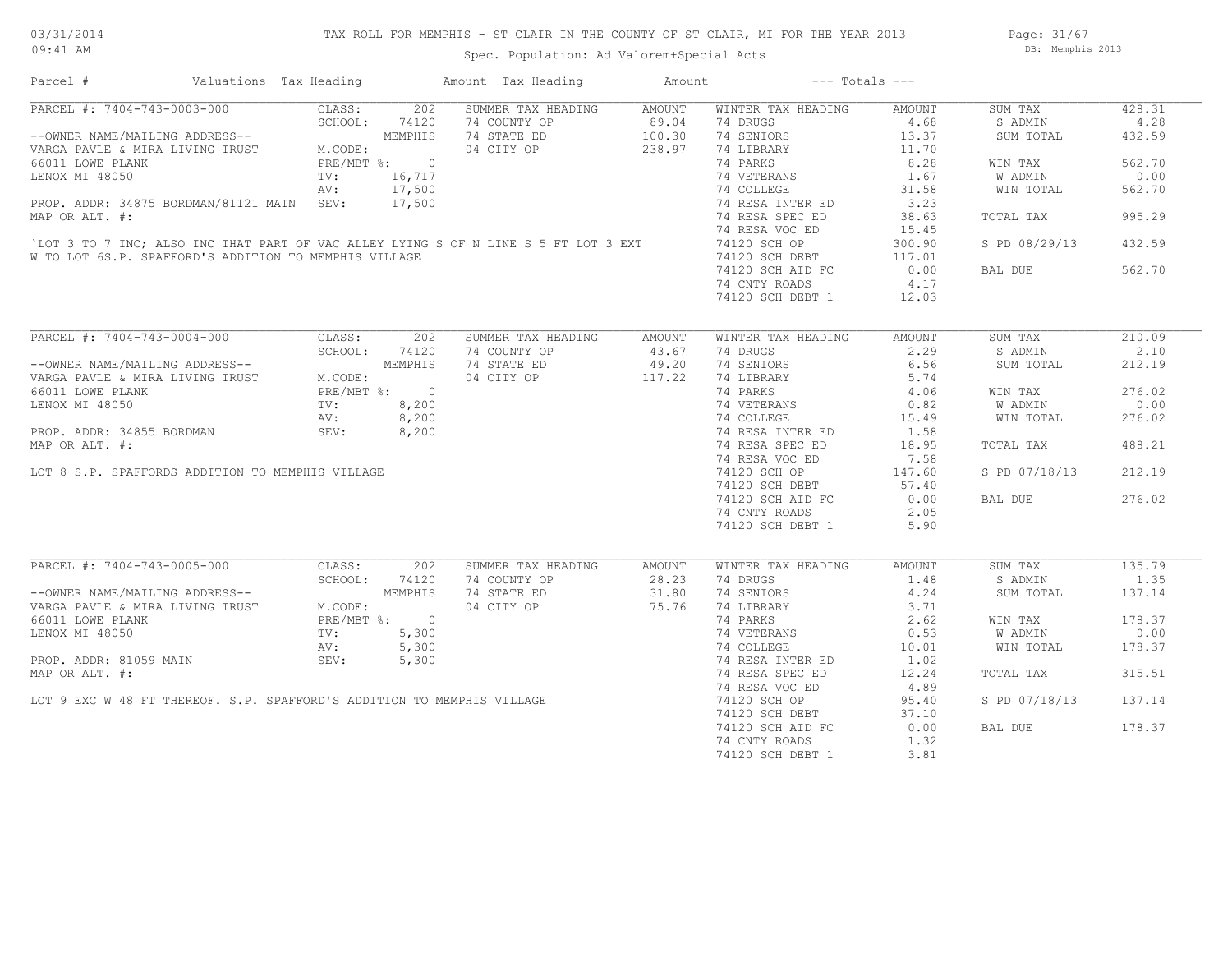## TAX ROLL FOR MEMPHIS - ST CLAIR IN THE COUNTY OF ST CLAIR, MI FOR THE YEAR 2013

Spec. Population: Ad Valorem+Special Acts

Page: 31/67 DB: Memphis 2013

| Parcel #                                                                     | Valuations Tax Heading |                 |              | Amount Tax Heading                                                                                                                  | Amount | $---$ Totals $---$ |        |               |        |
|------------------------------------------------------------------------------|------------------------|-----------------|--------------|-------------------------------------------------------------------------------------------------------------------------------------|--------|--------------------|--------|---------------|--------|
| PARCEL #: 7404-743-0003-000                                                  |                        | CLASS:          | 202          | SUMMER TAX HEADING                                                                                                                  | AMOUNT | WINTER TAX HEADING | AMOUNT | SUM TAX       | 428.31 |
| PARCEL #: /٩٧٩<br>--OWNER NAME/MAILING ADDRESS--<br>------ MIRA LIVING TRUST |                        | SCHOOL:         | 74120        | 74 COUNTY OP                                                                                                                        | 89.04  | 74 DRUGS           | 4.68   | S ADMIN       | 4.28   |
|                                                                              |                        |                 | MEMPHIS      | 74 STATE ED                                                                                                                         | 100.30 | 74 SENIORS         | 13.37  | SUM TOTAL     | 432.59 |
|                                                                              |                        | M.CODE:         |              | 04 CITY OP                                                                                                                          | 238.97 | 74 LIBRARY         | 11.70  |               |        |
| 66011 LOWE PLANK                                                             |                        |                 | PRE/MBT %: 0 |                                                                                                                                     |        | 74 PARKS           | 8.28   | WIN TAX       | 562.70 |
| LENOX MI 48050                                                               |                        | $\texttt{TV}$ : | 16,717       |                                                                                                                                     |        | 74 VETERANS        | 1.67   | W ADMIN       | 0.00   |
|                                                                              |                        | AV:             | 17,500       |                                                                                                                                     |        | 74 COLLEGE         | 31.58  | WIN TOTAL     | 562.70 |
| PROP. ADDR: 34875 BORDMAN/81121 MAIN SEV:                                    |                        |                 | 17,500       |                                                                                                                                     |        | 74 RESA INTER ED   | 3.23   |               |        |
| MAP OR ALT. #:                                                               |                        |                 |              |                                                                                                                                     |        | 74 RESA SPEC ED    | 38.63  | TOTAL TAX     | 995.29 |
|                                                                              |                        |                 |              |                                                                                                                                     |        | 74 RESA VOC ED     | 15.45  |               |        |
|                                                                              |                        |                 |              | LOT 3 TO 7 INC; ALSO INC THAT PART OF VAC ALLEY LYING S OF N LINE S 5 FT LOT 3 EXT                                                  |        | 74120 SCH OP       | 300.90 | S PD 08/29/13 | 432.59 |
| W TO LOT 6S.P. SPAFFORD'S ADDITION TO MEMPHIS VILLAGE                        |                        |                 |              |                                                                                                                                     |        | 74120 SCH DEBT     | 117.01 |               |        |
|                                                                              |                        |                 |              |                                                                                                                                     |        | 74120 SCH AID FC   | 0.00   | BAL DUE       | 562.70 |
|                                                                              |                        |                 |              |                                                                                                                                     |        |                    | 4.17   |               |        |
|                                                                              |                        |                 |              |                                                                                                                                     |        | 74 CNTY ROADS      |        |               |        |
|                                                                              |                        |                 |              |                                                                                                                                     |        | 74120 SCH DEBT 1   | 12.03  |               |        |
|                                                                              |                        |                 |              |                                                                                                                                     |        |                    |        |               |        |
| PARCEL #: 7404-743-0004-000                                                  |                        | CLASS:          | 202          | SUMMER TAX HEADING                                                                                                                  | AMOUNT | WINTER TAX HEADING | AMOUNT | SUM TAX       | 210.09 |
|                                                                              |                        | SCHOOL:         | 74120        | 74 COUNTY OP                                                                                                                        | 43.67  | 74 DRUGS           | 2.29   | S ADMIN       | 2.10   |
| --OWNER NAME/MAILING ADDRESS--                                               |                        |                 | MEMPHIS      | 74 STATE ED                                                                                                                         | 49.20  | 74 SENIORS         | 6.56   | SUM TOTAL     | 212.19 |
| VARGA PAVLE & MIRA LIVING TRUST                                              |                        | M.CODE:         |              |                                                                                                                                     |        | 74 LIBRARY         | 5.74   |               |        |
| 66011 LOWE PLANK                                                             |                        |                 | PRE/MBT %: 0 |                                                                                                                                     |        | 74 PARKS           | 4.06   | WIN TAX       | 276.02 |
| LENOX MI 48050                                                               |                        | TV:             |              |                                                                                                                                     |        | 74 VETERANS        | 0.82   | W ADMIN       | 0.00   |
|                                                                              |                        | AV:             | 8,200        |                                                                                                                                     |        | 74 COLLEGE         | 15.49  | WIN TOTAL     | 276.02 |
| PROP. ADDR: 34855 BORDMAN                                                    |                        | SEV:            |              |                                                                                                                                     |        | 74 RESA INTER ED   | 1.58   |               |        |
| MAP OR ALT. #:                                                               |                        |                 |              |                                                                                                                                     |        | 74 RESA SPEC ED    | 18.95  | TOTAL TAX     | 488.21 |
|                                                                              |                        |                 |              |                                                                                                                                     |        |                    |        |               |        |
|                                                                              |                        |                 |              |                                                                                                                                     |        | 74 RESA VOC ED     | 7.58   |               |        |
| LOT 8 S.P. SPAFFORDS ADDITION TO MEMPHIS VILLAGE                             |                        |                 |              |                                                                                                                                     |        | 74120 SCH OP       | 147.60 | S PD 07/18/13 | 212.19 |
|                                                                              |                        |                 |              |                                                                                                                                     |        | 74120 SCH DEBT     | 57.40  |               |        |
|                                                                              |                        |                 |              |                                                                                                                                     |        | 74120 SCH AID FC   | 0.00   | BAL DUE       | 276.02 |
|                                                                              |                        |                 |              |                                                                                                                                     |        | 74 CNTY ROADS      | 2.05   |               |        |
|                                                                              |                        |                 |              | $\frac{14}{14}$ Similar OP<br>04 CITY OP                                                                                            |        | 74120 SCH DEBT 1   | 5.90   |               |        |
|                                                                              |                        |                 |              |                                                                                                                                     |        |                    |        |               |        |
| PARCEL #: 7404-743-0005-000                                                  |                        | CLASS:          | 202          | SUMMER TAX HEADING                                                                                                                  | AMOUNT | WINTER TAX HEADING | AMOUNT | SUM TAX       | 135.79 |
|                                                                              |                        | SCHOOL:         | 74120        | 74 COUNTY OP                                                                                                                        | 28.23  | 74 DRUGS           | 1.48   | S ADMIN       | 1.35   |
| --OWNER NAME/MAILING ADDRESS--<br>VARGA PAVLE & MIRA LIVING TRUST            |                        |                 | MEMPHIS      | 74 STATE ED                                                                                                                         | 31.80  | 74 SENIORS         | 4.24   | SUM TOTAL     | 137.14 |
|                                                                              |                        | M.CODE:         |              | 04 CITY OP                                                                                                                          | 75.76  | 74 LIBRARY         | 3.71   |               |        |
| 66011 LOWE PLANK                                                             |                        |                 | PRE/MBT %: 0 |                                                                                                                                     |        | 74 PARKS           | 2.62   | WIN TAX       | 178.37 |
|                                                                              |                        |                 |              |                                                                                                                                     |        | 74 VETERANS        | 0.53   | W ADMIN       | 0.00   |
|                                                                              |                        |                 |              |                                                                                                                                     |        | 74 COLLEGE         | 10.01  | WIN TOTAL     | 178.37 |
|                                                                              |                        |                 |              |                                                                                                                                     |        | 74 RESA INTER ED   | 1.02   |               |        |
|                                                                              |                        |                 |              |                                                                                                                                     |        | 74 RESA SPEC ED    | 12.24  | TOTAL TAX     | 315.51 |
|                                                                              |                        |                 |              |                                                                                                                                     |        | 74 RESA VOC ED     | 4.89   |               |        |
|                                                                              |                        |                 |              | ENOX MI 48050<br>PROP. ADDR: 81059 MAIN<br>MAP OR ALT. #:<br>LOT 9 EXC W 48 FT THEREOF. S.P. SPAFFORD'S ADDITION TO MEMPHIS VILLAGE |        | 74120 SCH OP       | 95.40  | S PD 07/18/13 | 137.14 |
|                                                                              |                        |                 |              |                                                                                                                                     |        |                    |        |               |        |
|                                                                              |                        |                 |              |                                                                                                                                     |        | 74120 SCH DEBT     | 37.10  |               |        |
|                                                                              |                        |                 |              |                                                                                                                                     |        | 74120 SCH AID FC   | 0.00   | BAL DUE       | 178.37 |
|                                                                              |                        |                 |              |                                                                                                                                     |        | 74 CNTY ROADS      | 1.32   |               |        |
|                                                                              |                        |                 |              |                                                                                                                                     |        | 74120 SCH DEBT 1   | 3.81   |               |        |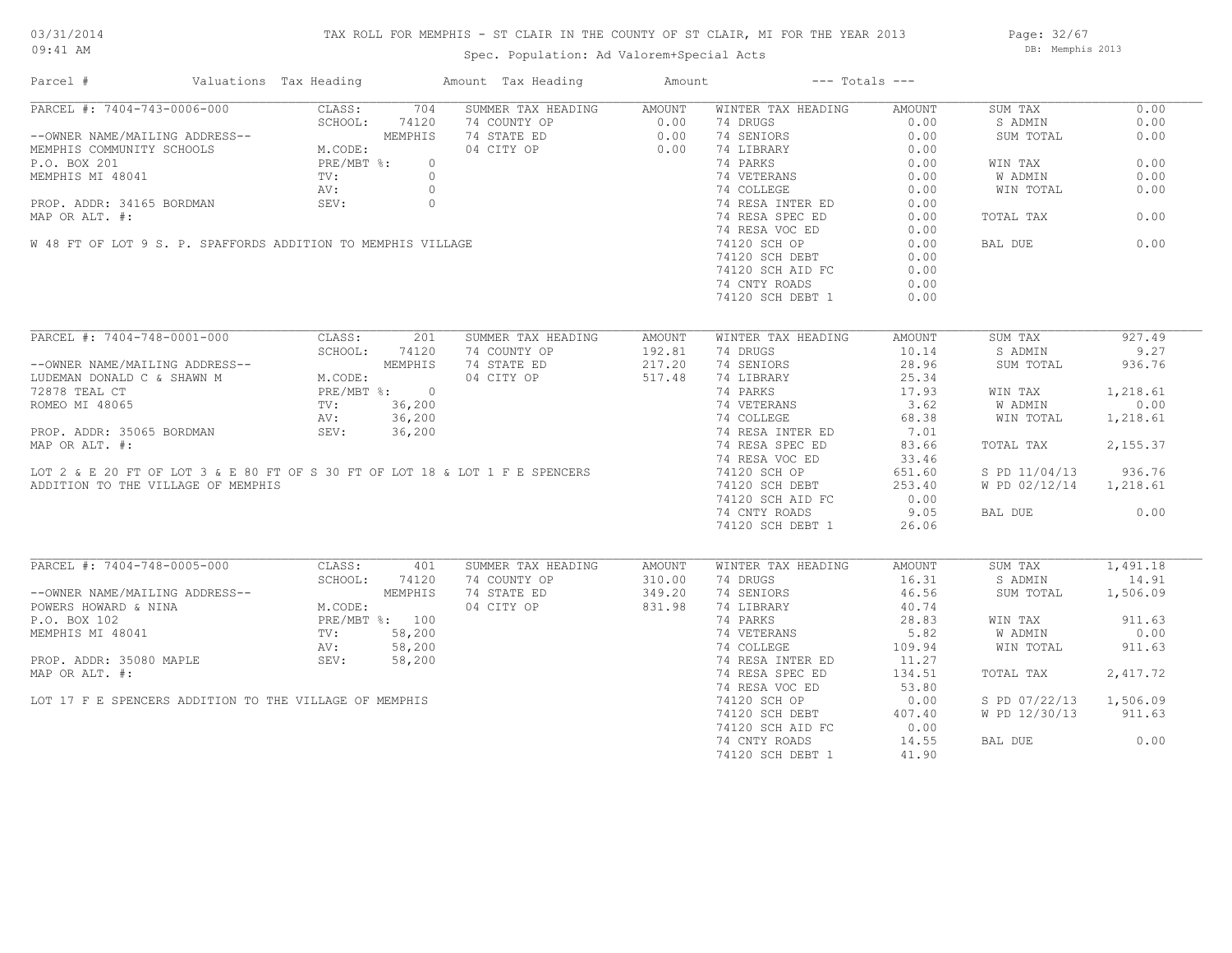## TAX ROLL FOR MEMPHIS - ST CLAIR IN THE COUNTY OF ST CLAIR, MI FOR THE YEAR 2013

Spec. Population: Ad Valorem+Special Acts

Page: 32/67 DB: Memphis 2013

| Parcel #                                                                                                                                                                | Valuations Tax Heading |          | Amount Tax Heading                                                                                                                       | Amount | $---$ Totals $---$                   |        |                        |          |
|-------------------------------------------------------------------------------------------------------------------------------------------------------------------------|------------------------|----------|------------------------------------------------------------------------------------------------------------------------------------------|--------|--------------------------------------|--------|------------------------|----------|
| PARCEL #: 7404-743-0006-000                                                                                                                                             | CLASS:                 | 704      | SUMMER TAX HEADING                                                                                                                       | AMOUNT | WINTER TAX HEADING                   | AMOUNT | SUM TAX                | 0.00     |
|                                                                                                                                                                         | SCHOOL:                | 74120    | 74 COUNTY OP                                                                                                                             | 0.00   | 74 DRUGS                             | 0.00   | S ADMIN                | 0.00     |
| --OWNER NAME/MAILING ADDRESS--                                                                                                                                          |                        | MEMPHIS  | 74 STATE ED                                                                                                                              | 0.00   | 74 SENIORS                           | 0.00   | SUM TOTAL              | 0.00     |
| MEMPHIS COMMUNITY SCHOOLS                                                                                                                                               | M.CODE:                |          | 04 CITY OP                                                                                                                               | 0.00   | 74 LIBRARY                           | 0.00   |                        |          |
| P.O. BOX 201                                                                                                                                                            | PRE/MBT %:             | $\Omega$ |                                                                                                                                          |        | 74 PARKS                             | 0.00   | WIN TAX                | 0.00     |
|                                                                                                                                                                         |                        |          | MEMPHIS MI 48041<br>TV: 0<br>PROP. ADDR: 34165 BORDMAN<br>MAP OR ALT. #:<br>W 48 FT OF LOT 9 S. P. SPAFFORDS ADDITION TO MEMPHIS VILLAGE |        | 74 VETERANS                          | 0.00   | W ADMIN                | 0.00     |
|                                                                                                                                                                         |                        |          |                                                                                                                                          |        | 74 COLLEGE                           | 0.00   | WIN TOTAL              | 0.00     |
|                                                                                                                                                                         |                        |          |                                                                                                                                          |        | 74 RESA INTER ED                     | 0.00   |                        |          |
|                                                                                                                                                                         |                        |          |                                                                                                                                          |        | 74 RESA SPEC ED                      | 0.00   | TOTAL TAX              | 0.00     |
|                                                                                                                                                                         |                        |          |                                                                                                                                          |        | 74 RESA VOC ED                       | 0.00   |                        |          |
|                                                                                                                                                                         |                        |          |                                                                                                                                          |        | 74120 SCH OP                         | 0.00   | BAL DUE                | 0.00     |
|                                                                                                                                                                         |                        |          |                                                                                                                                          |        |                                      |        |                        |          |
|                                                                                                                                                                         |                        |          |                                                                                                                                          |        | 74120 SCH DEBT                       | 0.00   |                        |          |
|                                                                                                                                                                         |                        |          |                                                                                                                                          |        | 74120 SCH AID FC                     | 0.00   |                        |          |
|                                                                                                                                                                         |                        |          |                                                                                                                                          |        | 74 CNTY ROADS                        | 0.00   |                        |          |
|                                                                                                                                                                         |                        |          |                                                                                                                                          |        | 74120 SCH DEBT 1                     | 0.00   |                        |          |
| PARCEL #: 7404-748-0001-000                                                                                                                                             | CLASS:                 | 201      | SUMMER TAX HEADING                                                                                                                       | AMOUNT | WINTER TAX HEADING                   | AMOUNT | SUM TAX                | 927.49   |
|                                                                                                                                                                         | SCHOOL:                | 74120    | 74 COUNTY OP                                                                                                                             | 192.81 | 74 DRUGS                             | 10.14  | S ADMIN                | 9.27     |
|                                                                                                                                                                         |                        |          | 74 STATE ED                                                                                                                              | 217.20 | 74 SENIORS                           | 28.96  | SUM TOTAL              | 936.76   |
| --OWNER NAME/MAILING ADDRESS--<br>LUDEMAN DONALD C & SHAWN M<br>72878 TEAL CT<br>ROMEO MI 48065<br>ROMEO MI 48065<br>AV: 36,200                                         |                        |          |                                                                                                                                          |        |                                      |        |                        |          |
|                                                                                                                                                                         |                        |          | 04 CITY OP                                                                                                                               | 517.48 | 74 LIBRARY                           | 25.34  |                        |          |
|                                                                                                                                                                         |                        |          |                                                                                                                                          |        | 74 PARKS                             | 17.93  | WIN TAX                | 1,218.61 |
|                                                                                                                                                                         |                        |          |                                                                                                                                          |        | 74 VETERANS 3.62<br>74 COLLEGE 68.38 |        | W ADMIN                | 0.00     |
|                                                                                                                                                                         |                        |          |                                                                                                                                          |        |                                      |        | WIN TOTAL              | 1,218.61 |
| PROP. ADDR: 35065 BORDMAN                                                                                                                                               | SEV:                   | 36,200   |                                                                                                                                          |        | 74 RESA INTER ED                     | 7.01   |                        |          |
| MAP OR ALT. #:                                                                                                                                                          |                        |          |                                                                                                                                          |        | 74 RESA SPEC ED                      | 83.66  | TOTAL TAX              | 2,155.37 |
|                                                                                                                                                                         |                        |          |                                                                                                                                          |        | 74 RESA VOC ED                       | 33.46  |                        |          |
|                                                                                                                                                                         |                        |          | LOT 2 & E 20 FT OF LOT 3 & E 80 FT OF S 30 FT OF LOT 18 & LOT 1 F E SPENCERS                                                             |        | 74120 SCH OP                         | 651.60 | S PD 11/04/13          | 936.76   |
| ADDITION TO THE VILLAGE OF MEMPHIS                                                                                                                                      |                        |          |                                                                                                                                          |        | 74120 SCH DEBT                       | 253.40 | W PD 02/12/14 1,218.61 |          |
|                                                                                                                                                                         |                        |          |                                                                                                                                          |        | 74120 SCH AID FC                     | 0.00   |                        |          |
|                                                                                                                                                                         |                        |          |                                                                                                                                          |        | 74 CNTY ROADS                        | 9.05   | BAL DUE                | 0.00     |
|                                                                                                                                                                         |                        |          |                                                                                                                                          |        | 74120 SCH DEBT 1                     | 26.06  |                        |          |
|                                                                                                                                                                         |                        |          |                                                                                                                                          |        |                                      |        |                        |          |
| PARCEL #: 7404-748-0005-000                                                                                                                                             | CLASS:                 | 401      | SUMMER TAX HEADING                                                                                                                       | AMOUNT | WINTER TAX HEADING                   | AMOUNT | SUM TAX                | 1,491.18 |
|                                                                                                                                                                         | SCHOOL:                | 74120    | 74 COUNTY OP                                                                                                                             | 310.00 | 74 DRUGS                             | 16.31  | S ADMIN                | 14.91    |
|                                                                                                                                                                         |                        | MEMPHIS  | 74 STATE ED                                                                                                                              | 349.20 | 74 SENIORS                           | 46.56  | SUM TOTAL              | 1,506.09 |
|                                                                                                                                                                         | M.CODE:                |          | 04 CITY OP                                                                                                                               | 831.98 | 74 LIBRARY                           | 40.74  |                        |          |
| --OWNER NAME/MAILING ADDRESS--<br>POWERS HOWARD & NINA<br>P.O. BOX 102<br>M.CODE:<br>P.O. BOX 102<br>MEMPHIS MI 48041<br>TV:<br>PROP. ADDR: 35080 MAPLE<br>SEV:<br>SEV: | PRE/MBT %: 100         |          |                                                                                                                                          |        | 74 PARKS                             | 28.83  | WIN TAX                | 911.63   |
|                                                                                                                                                                         | TV:                    | 58,200   |                                                                                                                                          |        | 74 VETERANS                          | 5.82   | <b>W ADMIN</b>         | 0.00     |
|                                                                                                                                                                         |                        | 58,200   |                                                                                                                                          |        | R ED<br>R<br>74 COLLEGE              | 109.94 | WIN TOTAL              | 911.63   |
|                                                                                                                                                                         |                        | 58,200   |                                                                                                                                          |        | 74 RESA INTER ED                     | 11.27  |                        |          |
| MAP OR ALT. #:                                                                                                                                                          |                        |          |                                                                                                                                          |        | 74 RESA SPEC ED                      | 134.51 | TOTAL TAX              | 2,417.72 |
|                                                                                                                                                                         |                        |          |                                                                                                                                          |        | 74 RESA VOC ED                       | 53.80  |                        |          |
| LOT 17 F E SPENCERS ADDITION TO THE VILLAGE OF MEMPHIS                                                                                                                  |                        |          |                                                                                                                                          |        | 74120 SCH OP                         | 0.00   | S PD 07/22/13 1,506.09 |          |
|                                                                                                                                                                         |                        |          |                                                                                                                                          |        |                                      |        |                        | 911.63   |
|                                                                                                                                                                         |                        |          |                                                                                                                                          |        | 74120 SCH DEBT                       | 407.40 | W PD 12/30/13          |          |
|                                                                                                                                                                         |                        |          |                                                                                                                                          |        | 74120 SCH AID FC                     | 0.00   |                        |          |
|                                                                                                                                                                         |                        |          |                                                                                                                                          |        | 74 CNTY ROADS                        | 14.55  | BAL DUE                | 0.00     |
|                                                                                                                                                                         |                        |          |                                                                                                                                          |        | 74120 SCH DEBT 1                     | 41.90  |                        |          |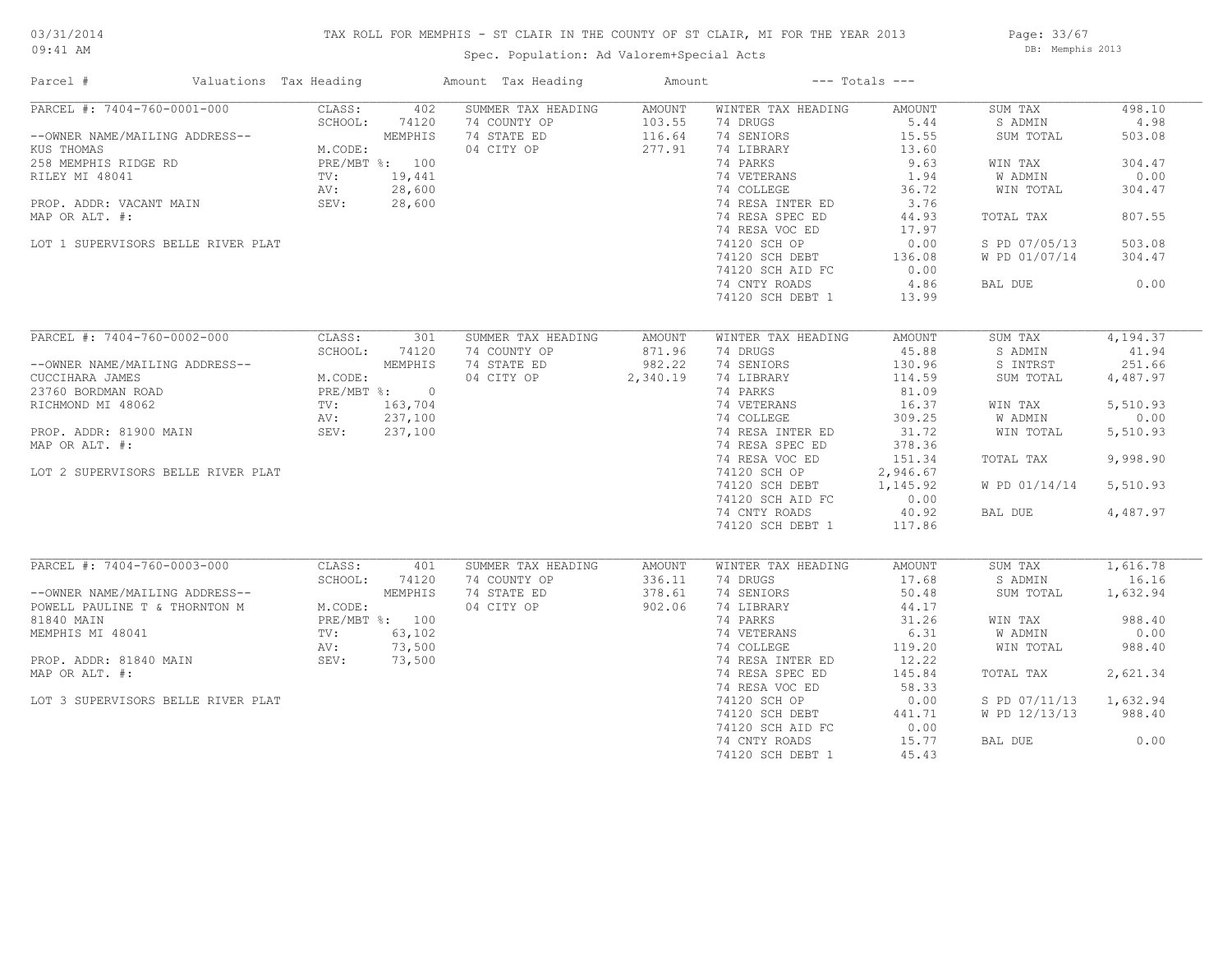## TAX ROLL FOR MEMPHIS - ST CLAIR IN THE COUNTY OF ST CLAIR, MI FOR THE YEAR 2013

09:41 AM

## Spec. Population: Ad Valorem+Special Acts

Page: 33/67 DB: Memphis 2013

| Parcel #                                     | Valuations Tax Heading |                | Amount Tax Heading                 | Amount           |                                | $---$ Totals $---$ |                    |                |
|----------------------------------------------|------------------------|----------------|------------------------------------|------------------|--------------------------------|--------------------|--------------------|----------------|
| PARCEL #: 7404-760-0001-000                  | CLASS:<br>SCHOOL:      | 402<br>74120   | SUMMER TAX HEADING<br>74 COUNTY OP | AMOUNT<br>103.55 | WINTER TAX HEADING<br>74 DRUGS | AMOUNT<br>5.44     | SUM TAX<br>S ADMIN | 498.10<br>4.98 |
| --OWNER NAME/MAILING ADDRESS--<br>KUS THOMAS | M.CODE:                | MEMPHIS        | 74 STATE ED<br>04 CITY OP          | 116.64<br>277.91 | 74 SENIORS<br>74 LIBRARY       | 15.55<br>13.60     | SUM TOTAL          | 503.08         |
| 258 MEMPHIS RIDGE RD                         |                        | PRE/MBT %: 100 |                                    |                  | 74 PARKS                       | 9.63               | WIN TAX            | 304.47         |
| RILEY MI 48041                               | TV:                    | 19,441         |                                    |                  | 74 VETERANS                    | 1.94               | W ADMIN            | 0.00           |
|                                              | AV:                    | 28,600         |                                    |                  | 74 COLLEGE                     | 36.72              | WIN TOTAL          | 304.47         |
|                                              | SEV:                   |                |                                    |                  | 74 RESA INTER ED               | 3.76               |                    |                |
| PROP. ADDR: VACANT MAIN                      |                        | 28,600         |                                    |                  |                                | 44.93              |                    | 807.55         |
| MAP OR ALT. #:                               |                        |                |                                    |                  | 74 RESA SPEC ED                |                    | TOTAL TAX          |                |
|                                              |                        |                |                                    |                  | 74 RESA VOC ED                 | 17.97              |                    |                |
| LOT 1 SUPERVISORS BELLE RIVER PLAT           |                        |                |                                    |                  | 74120 SCH OP                   | 0.00               | S PD 07/05/13      | 503.08         |
|                                              |                        |                |                                    |                  | 74120 SCH DEBT                 | 136.08             | W PD 01/07/14      | 304.47         |
|                                              |                        |                |                                    |                  | 74120 SCH AID FC               | 0.00               |                    |                |
|                                              |                        |                |                                    |                  | 74 CNTY ROADS                  | 4.86               | BAL DUE            | 0.00           |
|                                              |                        |                |                                    |                  | 74120 SCH DEBT 1               | 13.99              |                    |                |
| PARCEL #: 7404-760-0002-000                  | CLASS:                 | 301            | SUMMER TAX HEADING                 | AMOUNT           | WINTER TAX HEADING             | AMOUNT             | SUM TAX            | 4,194.37       |
|                                              | SCHOOL:                | 74120          | 74 COUNTY OP                       | 871.96           | 74 DRUGS                       | 45.88              | S ADMIN            | 41.94          |
| --OWNER NAME/MAILING ADDRESS--               |                        | MEMPHIS        | 74 STATE ED                        | 982.22           | 74 SENIORS                     | 130.96             | S INTRST           | 251.66         |
| CUCCIHARA JAMES                              | M.CODE:                |                | 04 CITY OP                         | 2,340.19         | 74 LIBRARY                     | 114.59             | SUM TOTAL          | 4,487.97       |
| 23760 BORDMAN ROAD                           |                        | PRE/MBT %: 0   |                                    |                  | 74 PARKS                       | 81.09              |                    |                |
| RICHMOND MI 48062                            | $\text{TV}$ :          | 163,704        |                                    |                  | 74 VETERANS                    | 16.37              | WIN TAX            | 5,510.93       |
|                                              | AV:                    | 237,100        |                                    |                  | 74 COLLEGE                     | 309.25             | W ADMIN            | 0.00           |
| PROP. ADDR: 81900 MAIN                       | SEV:                   | 237,100        |                                    |                  | 74 RESA INTER ED               | 31.72              | WIN TOTAL          | 5,510.93       |
|                                              |                        |                |                                    |                  |                                |                    |                    |                |
| MAP OR ALT. #:                               |                        |                |                                    |                  | 74 RESA SPEC ED                | 378.36             |                    |                |
|                                              |                        |                |                                    |                  | 74 RESA VOC ED                 | 151.34             | TOTAL TAX          | 9,998.90       |
| LOT 2 SUPERVISORS BELLE RIVER PLAT           |                        |                |                                    |                  | 74120 SCH OP                   | 2,946.67           |                    |                |
|                                              |                        |                |                                    |                  | 74120 SCH DEBT                 | 1,145.92           | W PD 01/14/14      | 5,510.93       |
|                                              |                        |                |                                    |                  | 74120 SCH AID FC               | 0.00               |                    |                |
|                                              |                        |                |                                    |                  | 74 CNTY ROADS                  | 40.92              | BAL DUE            | 4,487.97       |
|                                              |                        |                |                                    |                  | 74120 SCH DEBT 1               | 117.86             |                    |                |
| PARCEL #: 7404-760-0003-000                  | CLASS:                 | 401            | SUMMER TAX HEADING                 | AMOUNT           | WINTER TAX HEADING             | AMOUNT             | SUM TAX            | 1,616.78       |
|                                              | SCHOOL:                | 74120          | 74 COUNTY OP                       | 336.11           | 74 DRUGS                       | 17.68              | S ADMIN            | 16.16          |
| --OWNER NAME/MAILING ADDRESS--               |                        | MEMPHIS        | 74 STATE ED                        | 378.61           | 74 SENIORS                     | 50.48              | SUM TOTAL          | 1,632.94       |
| POWELL PAULINE T & THORNTON M                | M.CODE:                |                | 04 CITY OP                         | 902.06           | 74 LIBRARY                     | 44.17              |                    |                |
| 81840 MAIN                                   |                        | PRE/MBT %: 100 |                                    |                  | 74 PARKS                       | 31.26              | WIN TAX            | 988.40         |
| MEMPHIS MI 48041                             | TV:                    | 63,102         |                                    |                  | 74 VETERANS                    | 6.31               | W ADMIN            | 0.00           |
|                                              | AV:                    | 73,500         |                                    |                  | 74 COLLEGE                     | 119.20             | WIN TOTAL          | 988.40         |
| PROP. ADDR: 81840 MAIN                       | SEV:                   | 73,500         |                                    |                  | 74 RESA INTER ED               | 12.22              |                    |                |
| MAP OR ALT. #:                               |                        |                |                                    |                  | 74 RESA SPEC ED                | 145.84             | TOTAL TAX          | 2,621.34       |
|                                              |                        |                |                                    |                  | 74 RESA VOC ED                 | 58.33              |                    |                |
| LOT 3 SUPERVISORS BELLE RIVER PLAT           |                        |                |                                    |                  | 74120 SCH OP                   | 0.00               | S PD 07/11/13      | 1,632.94       |
|                                              |                        |                |                                    |                  | 74120 SCH DEBT                 | 441.71             | W PD 12/13/13      | 988.40         |
|                                              |                        |                |                                    |                  | 74120 SCH AID FC               | 0.00               |                    |                |
|                                              |                        |                |                                    |                  | 74 CNTY ROADS                  | 15.77              | BAL DUE            | 0.00           |
|                                              |                        |                |                                    |                  |                                |                    |                    |                |
|                                              |                        |                |                                    |                  | 74120 SCH DEBT 1               | 45.43              |                    |                |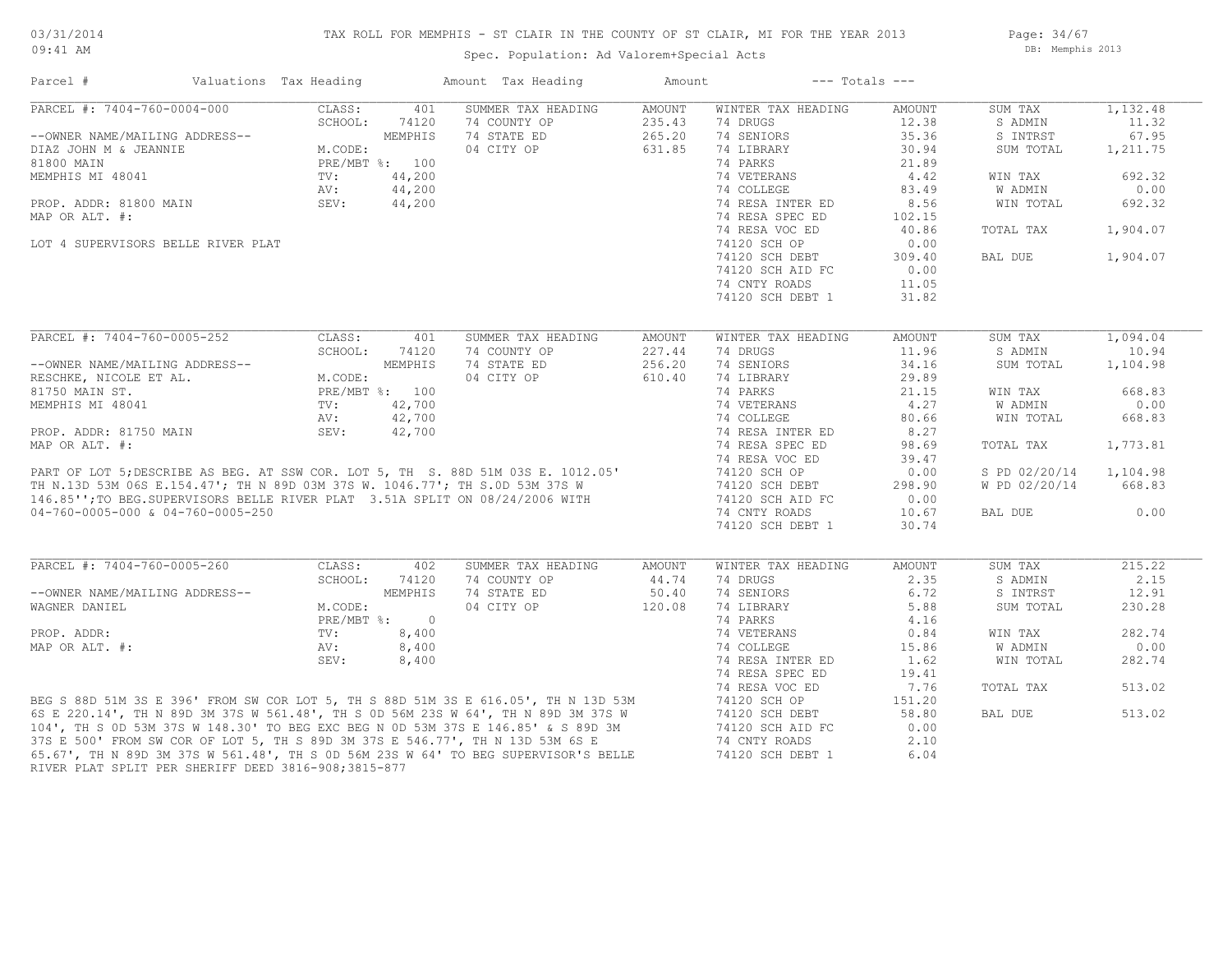#### TAX ROLL FOR MEMPHIS - ST CLAIR IN THE COUNTY OF ST CLAIR, MI FOR THE YEAR 2013

Spec. Population: Ad Valorem+Special Acts

Page: 34/67 DB: Memphis 2013

| Parcel #                                            | Valuations Tax Heading                                                                                                                                                                    |                                                                  |              | Amount Tax Heading                                                                                                                                                                                                                   | Amount |                    | $---$ Totals $---$ |               |          |
|-----------------------------------------------------|-------------------------------------------------------------------------------------------------------------------------------------------------------------------------------------------|------------------------------------------------------------------|--------------|--------------------------------------------------------------------------------------------------------------------------------------------------------------------------------------------------------------------------------------|--------|--------------------|--------------------|---------------|----------|
| PARCEL #: 7404-760-0004-000                         |                                                                                                                                                                                           | CLASS:                                                           | 401          | SUMMER TAX HEADING                                                                                                                                                                                                                   | AMOUNT | WINTER TAX HEADING | AMOUNT             | SUM TAX       | 1,132.48 |
|                                                     |                                                                                                                                                                                           | SCHOOL:                                                          | 74120        | 74 COUNTY OP                                                                                                                                                                                                                         | 235.43 | 74 DRUGS           | 12.38              | S ADMIN       | 11.32    |
| --OWNER NAME/MAILING ADDRESS--                      |                                                                                                                                                                                           | MEMPHIS<br>M.CODE:<br>PRE/MBT %: 100<br>TV: 44,200<br>AV: 44,200 |              | 74 STATE ED                                                                                                                                                                                                                          | 265.20 | 74 SENIORS         | 35.36              | S INTRST      | 67.95    |
| DIAZ JOHN M & JEANNIE                               |                                                                                                                                                                                           |                                                                  |              | 04 CITY OP                                                                                                                                                                                                                           | 631.85 | 74 LIBRARY         | 30.94              | SUM TOTAL     | 1,211.75 |
| 81800 MAIN                                          |                                                                                                                                                                                           |                                                                  |              |                                                                                                                                                                                                                                      |        | 74 PARKS           | 21.89              |               |          |
| MEMPHIS MI 48041                                    |                                                                                                                                                                                           |                                                                  |              |                                                                                                                                                                                                                                      |        | 74 VETERANS        | 4.42               | WIN TAX       | 692.32   |
|                                                     |                                                                                                                                                                                           |                                                                  |              | $\frac{00}{00}$                                                                                                                                                                                                                      |        | 74 COLLEGE         | 83.49              | W ADMIN       | 0.00     |
| PROP. ADDR: 81800 MAIN                              |                                                                                                                                                                                           | SEV:                                                             | 44,200       |                                                                                                                                                                                                                                      |        | 74 RESA INTER ED   | 8.56               | WIN TOTAL     | 692.32   |
| MAP OR ALT. #:                                      |                                                                                                                                                                                           |                                                                  |              |                                                                                                                                                                                                                                      |        | 74 RESA SPEC ED    | 102.15             |               |          |
|                                                     |                                                                                                                                                                                           |                                                                  |              |                                                                                                                                                                                                                                      |        | 74 RESA VOC ED     | 40.86              | TOTAL TAX     | 1,904.07 |
| LOT 4 SUPERVISORS BELLE RIVER PLAT                  |                                                                                                                                                                                           |                                                                  |              |                                                                                                                                                                                                                                      |        | 74120 SCH OP       | 0.00               |               |          |
|                                                     |                                                                                                                                                                                           |                                                                  |              |                                                                                                                                                                                                                                      |        | 74120 SCH DEBT     | 309.40             | BAL DUE       | 1,904.07 |
|                                                     |                                                                                                                                                                                           |                                                                  |              |                                                                                                                                                                                                                                      |        |                    |                    |               |          |
|                                                     |                                                                                                                                                                                           |                                                                  |              |                                                                                                                                                                                                                                      |        | 74120 SCH AID FC   | 0.00               |               |          |
|                                                     |                                                                                                                                                                                           |                                                                  |              |                                                                                                                                                                                                                                      |        | 74 CNTY ROADS      | 11.05              |               |          |
|                                                     |                                                                                                                                                                                           |                                                                  |              |                                                                                                                                                                                                                                      |        | 74120 SCH DEBT 1   | 31.82              |               |          |
|                                                     |                                                                                                                                                                                           |                                                                  |              |                                                                                                                                                                                                                                      |        |                    |                    |               |          |
| PARCEL #: 7404-760-0005-252                         |                                                                                                                                                                                           | CLASS:                                                           | 401          | SUMMER TAX HEADING                                                                                                                                                                                                                   | AMOUNT | WINTER TAX HEADING | AMOUNT             | SUM TAX       | 1,094.04 |
|                                                     | $\begin{tabular}{ll} $\times$SS--\\ & M.\texttt{CODE:} \\ \texttt{PRE/MBT} ~\text{\$:} & 100 \\ \texttt{TV:} & 42,700 \\ \texttt{AV:} & 42,700 \\ \texttt{Cov:} & 42,70 \\ \end{tabular}$ | SCHOOL:                                                          | 74120        | 74 COUNTY OP                                                                                                                                                                                                                         | 227.44 | 74 DRUGS           | 11.96              | S ADMIN       | 10.94    |
| --OWNER NAME/MAILING ADDRESS--                      |                                                                                                                                                                                           |                                                                  |              | 74 STATE ED                                                                                                                                                                                                                          | 256.20 | 74 SENIORS         | 34.16              | SUM TOTAL     | 1,104.98 |
| RESCHKE, NICOLE ET AL.                              |                                                                                                                                                                                           |                                                                  |              | 04 CITY OP                                                                                                                                                                                                                           | 610.40 | 74 LIBRARY         | 29.89              |               |          |
| 81750 MAIN ST.                                      |                                                                                                                                                                                           |                                                                  |              |                                                                                                                                                                                                                                      |        | 74 PARKS           | 21.15              | WIN TAX       | 668.83   |
| MEMPHIS MI 48041                                    |                                                                                                                                                                                           |                                                                  |              |                                                                                                                                                                                                                                      |        | 74 VETERANS        | 4,27               | W ADMIN       | 0.00     |
|                                                     |                                                                                                                                                                                           |                                                                  |              |                                                                                                                                                                                                                                      |        | 74 COLLEGE         | 80.66              | WIN TOTAL     | 668.83   |
| PROP. ADDR: 81750 MAIN                              |                                                                                                                                                                                           |                                                                  |              |                                                                                                                                                                                                                                      |        | 74 RESA INTER ED   | 8.27               |               |          |
| MAP OR ALT. #:                                      |                                                                                                                                                                                           |                                                                  |              |                                                                                                                                                                                                                                      |        | 74 RESA SPEC ED    | 98.69              | TOTAL TAX     | 1,773.81 |
|                                                     |                                                                                                                                                                                           |                                                                  |              |                                                                                                                                                                                                                                      |        | 74 RESA VOC ED     | 39.47              |               |          |
|                                                     |                                                                                                                                                                                           |                                                                  |              |                                                                                                                                                                                                                                      |        | 74120 SCH OP       | 0.00               | S PD 02/20/14 | 1,104.98 |
|                                                     |                                                                                                                                                                                           |                                                                  |              |                                                                                                                                                                                                                                      |        | 74120 SCH DEBT     | 298.90             | W PD 02/20/14 | 668.83   |
|                                                     |                                                                                                                                                                                           |                                                                  |              |                                                                                                                                                                                                                                      |        | 74120 SCH AID FC   | 0.00               |               |          |
| 04-760-0005-000 & 04-760-0005-250                   |                                                                                                                                                                                           |                                                                  |              | PART OF LOT 5; DESCRIBE AS BEG. AT SSW COR. LOT 5, TH S. 88D 51M 03S E. 1012.05'<br>TH N.13D 53M 06S E.154.47'; TH N 89D 03M 37S W. 1046.77'; TH S.0D 53M 37S W<br>146.85'';TO BEG.SUPERVISORS BELLE RIVER PLAT 3.51A SPLIT ON 08/24 |        | 74 CNTY ROADS      | 10.67              | BAL DUE       | 0.00     |
|                                                     |                                                                                                                                                                                           |                                                                  |              |                                                                                                                                                                                                                                      |        | 74120 SCH DEBT 1   | 30.74              |               |          |
|                                                     |                                                                                                                                                                                           |                                                                  |              |                                                                                                                                                                                                                                      |        |                    |                    |               |          |
| PARCEL #: 7404-760-0005-260                         |                                                                                                                                                                                           | CLASS:                                                           | 402          | SUMMER TAX HEADING                                                                                                                                                                                                                   | AMOUNT | WINTER TAX HEADING | AMOUNT             | SUM TAX       | 215.22   |
|                                                     |                                                                                                                                                                                           | SCHOOL:                                                          | 74120        | 74 COUNTY OP                                                                                                                                                                                                                         | 44.74  | 74 DRUGS           | 2.35               | S ADMIN       | 2.15     |
| --OWNER NAME/MAILING ADDRESS--                      |                                                                                                                                                                                           |                                                                  | MEMPHIS      | 74 STATE ED                                                                                                                                                                                                                          | 50.40  | 74 SENIORS         | 6.72               | S INTRST      | 12.91    |
|                                                     |                                                                                                                                                                                           |                                                                  |              |                                                                                                                                                                                                                                      |        |                    |                    |               |          |
| WAGNER DANIEL                                       |                                                                                                                                                                                           | M.CODE:                                                          |              | 04 CITY OP                                                                                                                                                                                                                           | 120.08 | 74 LIBRARY         | 5.88               | SUM TOTAL     | 230.28   |
|                                                     |                                                                                                                                                                                           |                                                                  | PRE/MBT %: 0 |                                                                                                                                                                                                                                      |        | 74 PARKS           | 4.16               |               |          |
| PROP. ADDR:                                         |                                                                                                                                                                                           | $\texttt{TV}$ :                                                  | 8,400        |                                                                                                                                                                                                                                      |        | 74 VETERANS        | 0.84               | WIN TAX       | 282.74   |
| MAP OR ALT. #:                                      |                                                                                                                                                                                           | AV:                                                              | 8,400        |                                                                                                                                                                                                                                      |        | 74 COLLEGE         | 15.86              | W ADMIN       | 0.00     |
|                                                     |                                                                                                                                                                                           | SEV:                                                             | 8,400        |                                                                                                                                                                                                                                      |        | 74 RESA INTER ED   | 1.62               | WIN TOTAL     | 282.74   |
|                                                     |                                                                                                                                                                                           |                                                                  |              |                                                                                                                                                                                                                                      |        | 74 RESA SPEC ED    | 19.41              |               |          |
|                                                     |                                                                                                                                                                                           |                                                                  |              |                                                                                                                                                                                                                                      |        | 74 RESA VOC ED     | 7.76               | TOTAL TAX     | 513.02   |
|                                                     |                                                                                                                                                                                           |                                                                  |              |                                                                                                                                                                                                                                      |        | 74120 SCH OP       | 151.20             |               |          |
|                                                     |                                                                                                                                                                                           |                                                                  |              |                                                                                                                                                                                                                                      |        | 74120 SCH DEBT     | 58.80              | BAL DUE       | 513.02   |
|                                                     |                                                                                                                                                                                           |                                                                  |              | BEG S 88D 51M 3S E 396' FROM SW COR LOT 5, TH S 88D 51M 3S E 616.05', TH N 13D 53M<br>6S E 220.14', TH N 89D 3M 37S W 561.48', TH S 0D 56M 23S W 64', TH N 89D 3M 37S W<br>104', TH S 0D 53M 37S W 148.30' TO BEG EXC BEG N 0D 53M 3 |        | 74120 SCH AID FC   | 0.00               |               |          |
|                                                     |                                                                                                                                                                                           |                                                                  |              |                                                                                                                                                                                                                                      |        | 74 CNTY ROADS      | 2.10               |               |          |
|                                                     |                                                                                                                                                                                           |                                                                  |              |                                                                                                                                                                                                                                      |        | 74120 SCH DEBT 1   | 6.04               |               |          |
| RIVER PLAT SPLIT PER SHERIFF DEED 3816-908;3815-877 |                                                                                                                                                                                           |                                                                  |              |                                                                                                                                                                                                                                      |        |                    |                    |               |          |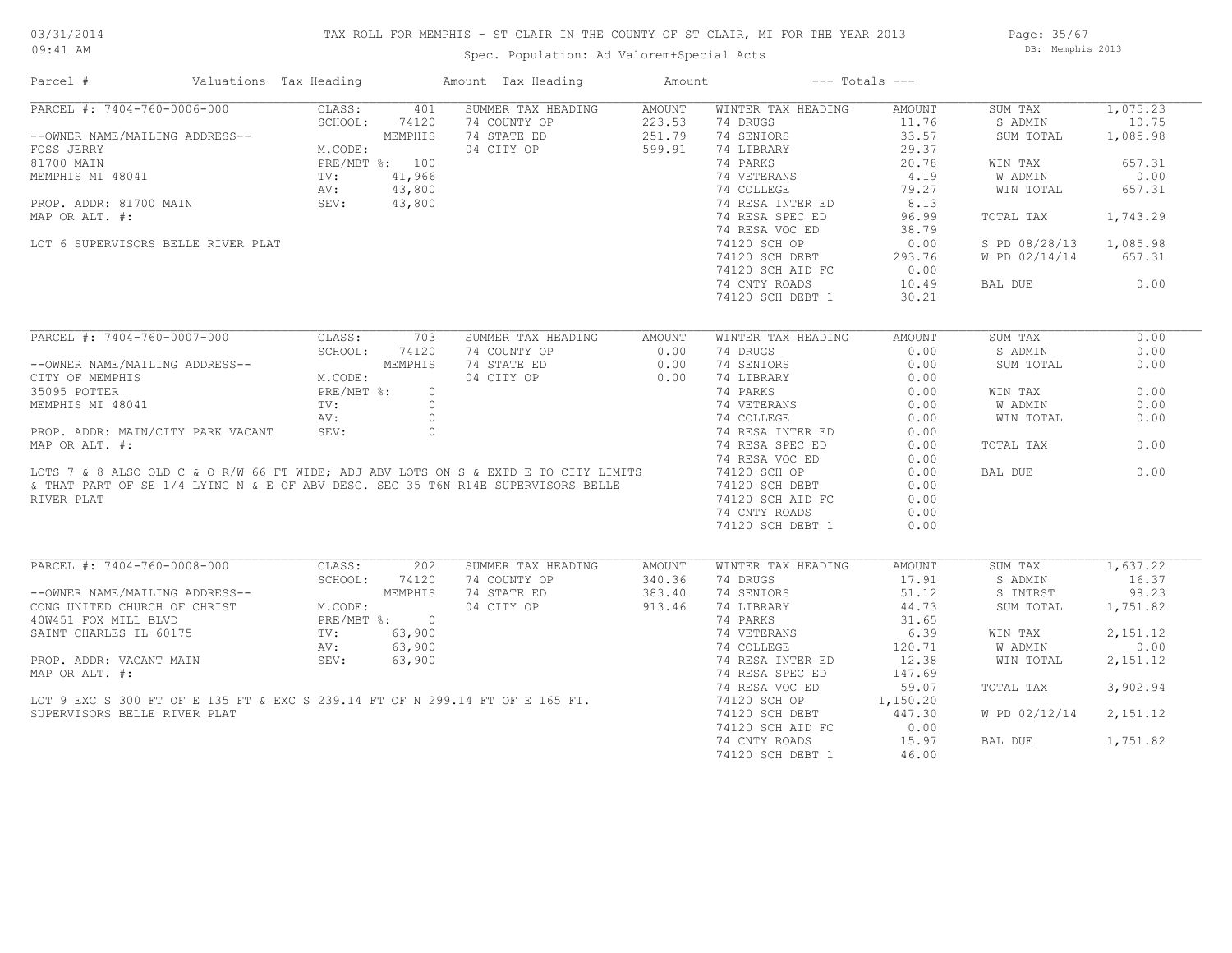## TAX ROLL FOR MEMPHIS - ST CLAIR IN THE COUNTY OF ST CLAIR, MI FOR THE YEAR 2013

Spec. Population: Ad Valorem+Special Acts

Page: 35/67 DB: Memphis 2013

| Parcel #                                                                                                                                                                                                                                   | Valuations Tax Heading |               | Amount Tax Heading                                       | Amount               | $---$ Totals $---$                                                                      |                                                                                            |                        |          |
|--------------------------------------------------------------------------------------------------------------------------------------------------------------------------------------------------------------------------------------------|------------------------|---------------|----------------------------------------------------------|----------------------|-----------------------------------------------------------------------------------------|--------------------------------------------------------------------------------------------|------------------------|----------|
| PARCEL #: 7404-760-0006-000                                                                                                                                                                                                                | CLASS:                 | 401           | SUMMER TAX HEADING                                       | AMOUNT               | WINTER TAX HEADING                                                                      | AMOUNT                                                                                     | SUM TAX                | 1,075.23 |
|                                                                                                                                                                                                                                            | SCHOOL:                | 74120         | 74 COUNTY OP                                             |                      | 74 DRUGS                                                                                | 11.76                                                                                      | S ADMIN                | 10.75    |
| --OWNER NAME/MAILING ADDRESS--<br>FOSS JERRY M.CODE: MEMPHIS<br>81700 MAIN PRE/MBT %: 100<br>MEMPHIS MI 48041 PRE/MBT %: 100<br>PROP. ADDR: 81700 MAIN SEV: 43,800<br>PROP. ADDR: 81700 MAIN SEV: 43,800                                   |                        |               | 74 STATE ED                                              | $223.53$<br>$251.79$ | 74 SENIORS                                                                              | 33.57                                                                                      | SUM TOTAL              | 1,085.98 |
|                                                                                                                                                                                                                                            |                        |               | 04 CITY OP 599.91                                        |                      | 74 LIBRARY                                                                              | 29.37                                                                                      |                        |          |
|                                                                                                                                                                                                                                            |                        |               | $\Gamma$ \$: 100<br>41,966<br>43,800<br>43,800<br>43,800 |                      | 74 PARKS                                                                                | 20.78                                                                                      | WIN TAX                | 657.31   |
|                                                                                                                                                                                                                                            |                        |               |                                                          |                      | 74 VETERANS<br>74 COLLEGE<br>79.27<br>74 RESA INTER ED<br>8.13<br>74 RESA SPEC ED 96.99 |                                                                                            | W ADMIN                | 0.00     |
|                                                                                                                                                                                                                                            |                        |               |                                                          |                      |                                                                                         |                                                                                            | WIN TOTAL              | 657.31   |
|                                                                                                                                                                                                                                            |                        |               |                                                          |                      |                                                                                         |                                                                                            |                        |          |
| MAP OR ALT. #:                                                                                                                                                                                                                             |                        |               |                                                          |                      |                                                                                         |                                                                                            | TOTAL TAX              | 1,743.29 |
|                                                                                                                                                                                                                                            |                        |               |                                                          |                      | 74 RESA VOC ED                                                                          | 38.79                                                                                      |                        |          |
| LOT 6 SUPERVISORS BELLE RIVER PLAT                                                                                                                                                                                                         |                        |               |                                                          |                      | 74120 SCH OP                                                                            | 0.00                                                                                       | S PD 08/28/13 1,085.98 |          |
|                                                                                                                                                                                                                                            |                        |               |                                                          |                      |                                                                                         |                                                                                            | W PD 02/14/14 657.31   |          |
|                                                                                                                                                                                                                                            |                        |               |                                                          |                      | 74120 SCH DEBT 293.76<br>74120 SCH AID FC 0.00                                          |                                                                                            |                        |          |
|                                                                                                                                                                                                                                            |                        |               |                                                          |                      | 74 CNTY ROADS                                                                           | 10.49                                                                                      | BAL DUE                | 0.00     |
|                                                                                                                                                                                                                                            |                        |               |                                                          |                      |                                                                                         | 30.21                                                                                      |                        |          |
|                                                                                                                                                                                                                                            |                        |               |                                                          |                      | 74120 SCH DEBT 1                                                                        |                                                                                            |                        |          |
|                                                                                                                                                                                                                                            |                        |               |                                                          |                      |                                                                                         |                                                                                            |                        |          |
| PARCEL #: 7404-760-0007-000                                                                                                                                                                                                                | CLASS:                 | 703           | SUMMER TAX HEADING                                       | AMOUNT               | WINTER TAX HEADING                                                                      | AMOUNT                                                                                     | SUM TAX                | 0.00     |
|                                                                                                                                                                                                                                            |                        | SCHOOL: 74120 | 74 COUNTY OP                                             | 0.00                 | 74 DRUGS                                                                                | 0.00                                                                                       | S ADMIN                | 0.00     |
| --OWNER NAME/MAILING ADDRESS--<br>CITY OF MEMPHIS<br>35095 POTTER<br>MEMPHIS MI 48041<br>MEMPHIS MI 48041<br>MEMPHIS MI 48041<br>TV:<br>AV:                                                                                                |                        |               | 74 STATE ED                                              | 0.00                 | 74 SENIORS                                                                              | 0.00                                                                                       | SUM TOTAL              | 0.00     |
|                                                                                                                                                                                                                                            |                        |               | 04 CITY OP 0.00                                          |                      |                                                                                         |                                                                                            |                        |          |
|                                                                                                                                                                                                                                            |                        |               |                                                          |                      |                                                                                         |                                                                                            | WIN TAX                | 0.00     |
|                                                                                                                                                                                                                                            |                        |               |                                                          |                      |                                                                                         |                                                                                            | W ADMIN                | 0.00     |
|                                                                                                                                                                                                                                            |                        |               |                                                          |                      |                                                                                         |                                                                                            | WIN TOTAL              | 0.00     |
|                                                                                                                                                                                                                                            |                        |               |                                                          |                      |                                                                                         |                                                                                            |                        |          |
|                                                                                                                                                                                                                                            |                        |               |                                                          |                      |                                                                                         |                                                                                            | TOTAL TAX              | 0.00     |
|                                                                                                                                                                                                                                            |                        |               |                                                          |                      |                                                                                         | 0.00                                                                                       |                        |          |
|                                                                                                                                                                                                                                            |                        |               |                                                          |                      |                                                                                         | 0.00                                                                                       | BAL DUE                | 0.00     |
|                                                                                                                                                                                                                                            |                        |               |                                                          |                      |                                                                                         | 0.00                                                                                       |                        |          |
| RIVER PLAT                                                                                                                                                                                                                                 |                        |               |                                                          |                      | 74120 SCH AID FC                                                                        | 0.00                                                                                       |                        |          |
|                                                                                                                                                                                                                                            |                        |               |                                                          |                      | 74 CNTY ROADS                                                                           | 0.00                                                                                       |                        |          |
|                                                                                                                                                                                                                                            |                        |               |                                                          |                      | 74120 SCH DEBT 1                                                                        | 0.00                                                                                       |                        |          |
|                                                                                                                                                                                                                                            |                        |               |                                                          |                      |                                                                                         |                                                                                            |                        |          |
| PARCEL #: 7404-760-0008-000                                                                                                                                                                                                                | CLASS:                 | 202           | SUMMER TAX HEADING                                       | AMOUNT               | WINTER TAX HEADING                                                                      | AMOUNT                                                                                     | SUM TAX                | 1,637.22 |
|                                                                                                                                                                                                                                            |                        | SCHOOL: 74120 |                                                          |                      | 74 DRUGS                                                                                | 17.91                                                                                      | S ADMIN                | 16.37    |
|                                                                                                                                                                                                                                            |                        |               |                                                          |                      | 74 SENIORS                                                                              | 51.12                                                                                      | S INTRST               | 98.23    |
| --OWNER NAME/MAILING ADDRESS--<br>CONG UNITED CHURCH OF CHRIST<br>40W451 FOX MILL BLVD<br>SAINT CHARLES IL 60175 PRE/MBT %: 0<br>PROP. ADDR: VACANT MAIN SEV: 63,900<br>PROP. ADDR: WACANT MAIN SEV: 63,900<br>PROP. ADDR: WACANT MAIN SEV |                        |               | AMOUN'I<br>340.36<br>383.40<br>04 CITY OP<br>913.46      |                      | 74 LIBRARY                                                                              | 44.73                                                                                      | SUM TOTAL              | 1,751.82 |
|                                                                                                                                                                                                                                            |                        |               |                                                          |                      | 74 PARKS                                                                                | 31.65                                                                                      |                        |          |
| 40W451 FOX MILL BLVD<br>SAINT CHARLES IL 60175 TV: 63,900<br>PROP. ADDR: VACANT MAIN SEV: 63,900<br>MAP OR ALT. #:<br>LOT 9 EXC S 300 FT OF E 135 FT & EXC S 239.14 FT OF N 299.14 FT OF E 165 FT.<br>SUPERVISORS BELLE RIVER PLAT         |                        |               |                                                          |                      | 74 VETERANS                                                                             | 6.39                                                                                       | WIN TAX                | 2,151.12 |
|                                                                                                                                                                                                                                            |                        |               |                                                          |                      | 74 COLLEGE                                                                              |                                                                                            | <b>W ADMIN</b>         | 0.00     |
|                                                                                                                                                                                                                                            |                        |               |                                                          |                      | 74 RESA INTER ED                                                                        | $\begin{array}{r} 120.71 \\ 12.38 \end{array}$<br>RED $\begin{array}{r} 12.38 \end{array}$ |                        | 2,151.12 |
|                                                                                                                                                                                                                                            |                        |               |                                                          |                      |                                                                                         |                                                                                            | WIN TOTAL              |          |
|                                                                                                                                                                                                                                            |                        |               |                                                          |                      | 74 RESA SPEC ED                                                                         | 147.69                                                                                     |                        |          |
|                                                                                                                                                                                                                                            |                        |               |                                                          |                      | 74 RESA VOC ED                                                                          | 59.07                                                                                      | TOTAL TAX              | 3,902.94 |
|                                                                                                                                                                                                                                            |                        |               |                                                          |                      | 74120 SCH OP 1, 150.20                                                                  |                                                                                            |                        |          |
| SUPERVISORS BELLE RIVER PLAT                                                                                                                                                                                                               |                        |               |                                                          |                      | 74120 SCH DEBT                                                                          | 447.30                                                                                     | W PD 02/12/14 2,151.12 |          |
|                                                                                                                                                                                                                                            |                        |               |                                                          |                      | 74120 SCH AID FC                                                                        | 0.00                                                                                       |                        |          |
|                                                                                                                                                                                                                                            |                        |               |                                                          |                      | 74 CNTY ROADS                                                                           | 15.97                                                                                      | BAL DUE                | 1,751.82 |
|                                                                                                                                                                                                                                            |                        |               |                                                          |                      | 74120 SCH DEBT 1                                                                        | 46.00                                                                                      |                        |          |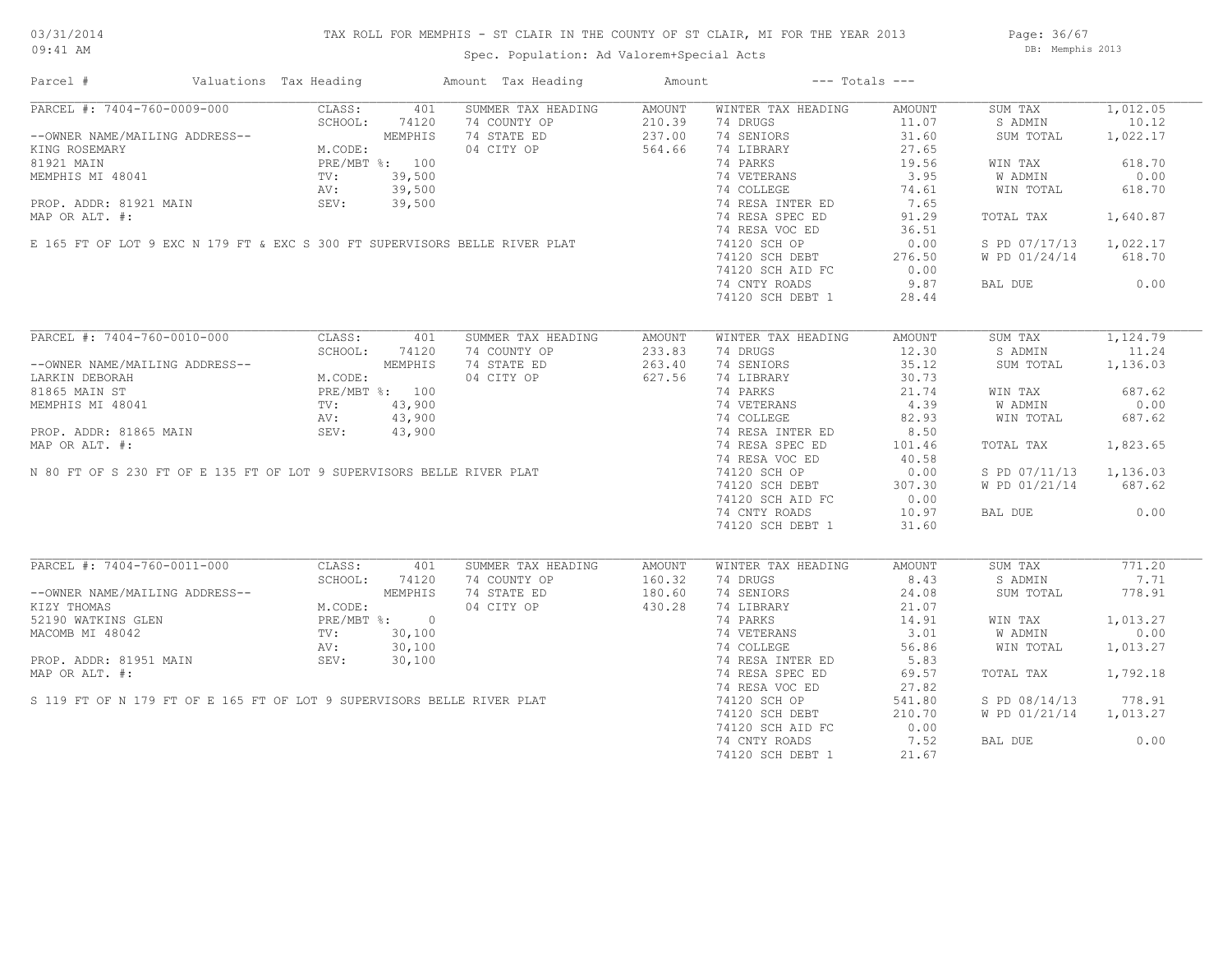## TAX ROLL FOR MEMPHIS - ST CLAIR IN THE COUNTY OF ST CLAIR, MI FOR THE YEAR 2013

Spec. Population: Ad Valorem+Special Acts

Page: 36/67 DB: Memphis 2013

| Parcel #                                                                                                                                                                                                                                                                                                                                                                                               | Valuations Tax Heading |         | Amount Tax Heading | Amount |                                                        | $---$ Totals $---$ |                        |          |
|--------------------------------------------------------------------------------------------------------------------------------------------------------------------------------------------------------------------------------------------------------------------------------------------------------------------------------------------------------------------------------------------------------|------------------------|---------|--------------------|--------|--------------------------------------------------------|--------------------|------------------------|----------|
| PARCEL #: 7404-760-0009-000                                                                                                                                                                                                                                                                                                                                                                            | CLASS:                 | 401     | SUMMER TAX HEADING | AMOUNT | WINTER TAX HEADING                                     | AMOUNT             | SUM TAX                | 1,012.05 |
|                                                                                                                                                                                                                                                                                                                                                                                                        | SCHOOL:                | 74120   | 74 COUNTY OP       | 210.39 | 74 DRUGS                                               | 11.07              | S ADMIN                | 10.12    |
| --OWNER NAME/MAILING ADDRESS--<br>KING ROSEMARY M.CODE:<br>81921 MAIN MEMPHIS MI 48041 PRE/MBT %: 100<br>MEMPHIS MI 48041 PV: 39,500<br>PROP. ADDR: 81921 MAIN SEV: 39,500<br>PROP. ADDR: 81921 MAIN SEV: 39,500                                                                                                                                                                                       |                        |         | 74 STATE ED        | 237.00 | 74 SENIORS                                             | 31.60              | SUM TOTAL              | 1,022.17 |
|                                                                                                                                                                                                                                                                                                                                                                                                        |                        |         | 04 CITY OP         | 564.66 | 74 LIBRARY                                             | 27.65              |                        |          |
|                                                                                                                                                                                                                                                                                                                                                                                                        |                        |         |                    |        | 74 PARKS                                               | 19.56              | WIN TAX                | 618.70   |
|                                                                                                                                                                                                                                                                                                                                                                                                        |                        |         |                    |        | 74 VETERANS                                            | 3.95               | W ADMIN                | 0.00     |
|                                                                                                                                                                                                                                                                                                                                                                                                        |                        |         |                    |        | 74 COLLEGE                                             | 74.61              | WIN TOTAL              | 618.70   |
|                                                                                                                                                                                                                                                                                                                                                                                                        |                        |         |                    |        | 74 RESA INTER ED                                       | 7.65               |                        |          |
|                                                                                                                                                                                                                                                                                                                                                                                                        |                        |         |                    |        | 74 RESA SPEC ED                                        | 91.29              | TOTAL TAX              | 1,640.87 |
|                                                                                                                                                                                                                                                                                                                                                                                                        |                        |         |                    |        | 74 RESA VOC ED                                         | 36.51              |                        |          |
|                                                                                                                                                                                                                                                                                                                                                                                                        |                        |         |                    |        | 74120 SCH OP                                           | 0.00               | S PD 07/17/13 1,022.17 |          |
|                                                                                                                                                                                                                                                                                                                                                                                                        |                        |         |                    |        |                                                        | 276.50             | W PD 01/24/14          | 618.70   |
| KING ROSEMARY<br>81921 MAIN PRE/MBT %: 100<br>MEMPHIS MI 48041 TV: 39,500<br>PROP. ADDR: 81921 MAIN SEV: 39,500<br>MAP OR ALT. #:<br>E 165 FT OF LOT 9 EXC N 179 FT & EXC S 300 FT SUPERVISORS BELLE RIVER PLAT                                                                                                                                                                                        |                        |         |                    |        | 74120 SCH DEBT<br>74120 sch atd FC<br>74120 SCH AID FC | 0.00               |                        |          |
|                                                                                                                                                                                                                                                                                                                                                                                                        |                        |         |                    |        | 74 CNTY ROADS                                          | 9.87               | BAL DUE                | 0.00     |
|                                                                                                                                                                                                                                                                                                                                                                                                        |                        |         |                    |        | 74120 SCH DEBT 1                                       | 28.44              |                        |          |
|                                                                                                                                                                                                                                                                                                                                                                                                        |                        |         |                    |        |                                                        |                    |                        |          |
| PARCEL #: 7404-760-0010-000                                                                                                                                                                                                                                                                                                                                                                            | CLASS:                 | 401     | SUMMER TAX HEADING | AMOUNT | WINTER TAX HEADING                                     | AMOUNT             | SUM TAX                | 1,124.79 |
|                                                                                                                                                                                                                                                                                                                                                                                                        | SCHOOL:                | 74120   | 74 COUNTY OP       | 233.83 | 74 DRUGS                                               | 12.30              | S ADMIN                | 11.24    |
|                                                                                                                                                                                                                                                                                                                                                                                                        |                        |         | 74 STATE ED        | 263.40 | 74 SENIORS                                             | 35.12              | SUM TOTAL              | 1,136.03 |
|                                                                                                                                                                                                                                                                                                                                                                                                        |                        |         | 04 CITY OP         | 627.56 | 74 LIBRARY                                             | 30.73              |                        |          |
|                                                                                                                                                                                                                                                                                                                                                                                                        |                        |         |                    |        | 74 PARKS                                               | 21.74              | WIN TAX                | 687.62   |
|                                                                                                                                                                                                                                                                                                                                                                                                        |                        |         |                    |        |                                                        | 4.39               | W ADMIN                | 0.00     |
| --OWNER NAME/MAILING ADDRESS--<br>LARKIN DEBORAH M.CODE:<br>81865 MAIN ST PRE/MBT %: 100<br>MEMPHIS MI 48041 TV: 43,900<br>PROP. ADDR: 81865 MAIN SEV: 43,900<br>PROP. ADDR: 81865 MAIN SEV: 43,900<br>LARKIN DEBORAH<br>81865 MAIN ST<br>MEMPHIS MI 48041 TV: 43,900<br>PROP. ADDR: 81865 MAIN SEV: 43,900<br>MAP OR ALT. #:<br>N 80 FT OF S 230 FT OF E 135 FT OF LOT 9 SUPERVISORS BELLE RIVER PLAT |                        |         |                    |        | 74 VETERANS<br>74 COLLEGE                              | 82.93              | WIN TOTAL              | 687.62   |
|                                                                                                                                                                                                                                                                                                                                                                                                        |                        |         |                    |        | 74 RESA INTER ED                                       | 8.50               |                        |          |
|                                                                                                                                                                                                                                                                                                                                                                                                        |                        |         |                    |        | 74 RESA SPEC ED                                        | 101.46             | TOTAL TAX              | 1,823.65 |
|                                                                                                                                                                                                                                                                                                                                                                                                        |                        |         |                    |        | 74 RESA VOC ED                                         | 40.58              |                        |          |
|                                                                                                                                                                                                                                                                                                                                                                                                        |                        |         |                    |        | 74120 SCH OP                                           | 0.00               | S PD 07/11/13 1,136.03 |          |
|                                                                                                                                                                                                                                                                                                                                                                                                        |                        |         |                    |        | 74120 SCH DEBT                                         | 307.30             | W PD 01/21/14          | 687.62   |
|                                                                                                                                                                                                                                                                                                                                                                                                        |                        |         |                    |        | 74120 SCH AID FC                                       | 0.00               |                        |          |
|                                                                                                                                                                                                                                                                                                                                                                                                        |                        |         |                    |        | 74 CNTY ROADS                                          | 10.97              | BAL DUE                | 0.00     |
|                                                                                                                                                                                                                                                                                                                                                                                                        |                        |         |                    |        | 74120 SCH DEBT 1                                       | 31.60              |                        |          |
|                                                                                                                                                                                                                                                                                                                                                                                                        |                        |         |                    |        |                                                        |                    |                        |          |
| PARCEL #: 7404-760-0011-000                                                                                                                                                                                                                                                                                                                                                                            | CLASS:                 | 401     | SUMMER TAX HEADING | AMOUNT | WINTER TAX HEADING                                     | AMOUNT             | SUM TAX                | 771.20   |
|                                                                                                                                                                                                                                                                                                                                                                                                        | SCHOOL:                | 74120   | 74 COUNTY OP       | 160.32 | 74 DRUGS                                               | 8.43               | S ADMIN                | 7.71     |
| --OWNER NAME/MAILING ADDRESS--                                                                                                                                                                                                                                                                                                                                                                         |                        | MEMPHIS | 74 STATE ED        | 180.60 | 74 SENIORS                                             | 24.08              | SUM TOTAL              | 778.91   |
| KIZY THOMAS                                                                                                                                                                                                                                                                                                                                                                                            | M.CODE:                |         | 04 CITY OP         | 430.28 | 74 LIBRARY                                             | 21.07              |                        |          |
| 52190 WATKINS GLEN                                                                                                                                                                                                                                                                                                                                                                                     | PRE/MBT %: 0           |         |                    |        | 74 PARKS                                               | 14.91              | WIN TAX                | 1,013.27 |
| MACOMB MI 48042<br>MACOMB MI 48042<br>PROP. ADDR: 81951 MAIN<br>MAP OR ALT. #:<br>S 119 FT OF N 179 FT OF E 165 FT OF LOT 9 SUPERVISORS BELLE RIVER PLAT                                                                                                                                                                                                                                               |                        |         |                    |        | 74 VETERANS                                            | 3.01               | W ADMIN                | 0.00     |
|                                                                                                                                                                                                                                                                                                                                                                                                        |                        |         |                    |        | 74 COLLEGE                                             | 56.86              | WIN TOTAL              | 1,013.27 |
|                                                                                                                                                                                                                                                                                                                                                                                                        |                        |         |                    |        | 74 RESA INTER ED                                       | 5.83               |                        |          |
|                                                                                                                                                                                                                                                                                                                                                                                                        |                        |         |                    |        | 74 RESA SPEC ED                                        | 69.57              | TOTAL TAX              | 1,792.18 |
|                                                                                                                                                                                                                                                                                                                                                                                                        |                        |         |                    |        | 74 RESA VOC ED                                         | 27.82              |                        |          |
|                                                                                                                                                                                                                                                                                                                                                                                                        |                        |         |                    |        | 74120 SCH OP                                           | 541.80             | S PD 08/14/13          | 778.91   |
|                                                                                                                                                                                                                                                                                                                                                                                                        |                        |         |                    |        | 74120 SCH DEBT                                         | 210.70             | W PD 01/21/14          | 1,013.27 |
|                                                                                                                                                                                                                                                                                                                                                                                                        |                        |         |                    |        | 74120 SCH AID FC                                       | 0.00               |                        |          |
|                                                                                                                                                                                                                                                                                                                                                                                                        |                        |         |                    |        | 74 CNTY ROADS                                          | 7.52               | BAL DUE                | 0.00     |
|                                                                                                                                                                                                                                                                                                                                                                                                        |                        |         |                    |        | 74120 SCH DEBT 1                                       | 21.67              |                        |          |
|                                                                                                                                                                                                                                                                                                                                                                                                        |                        |         |                    |        |                                                        |                    |                        |          |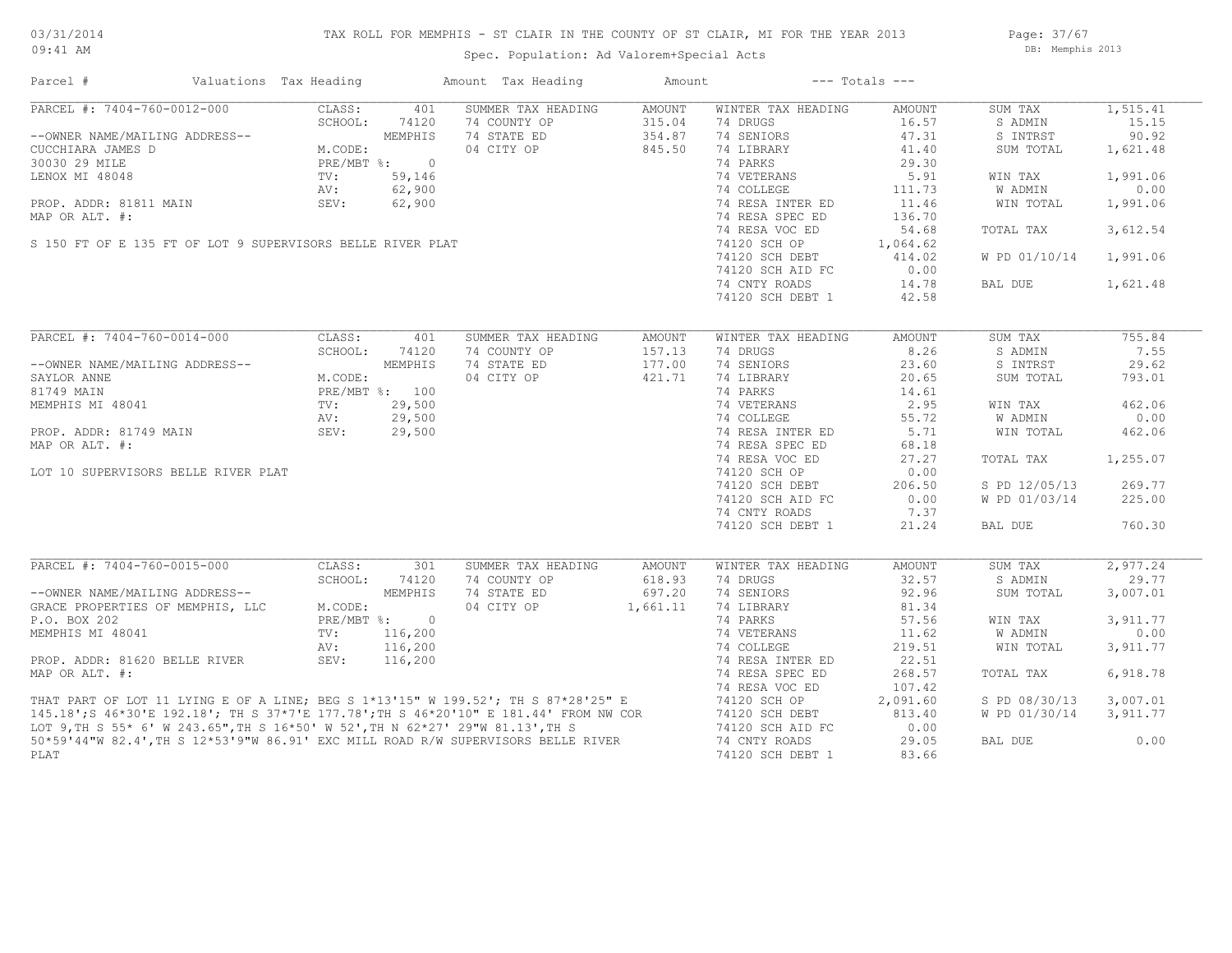## TAX ROLL FOR MEMPHIS - ST CLAIR IN THE COUNTY OF ST CLAIR, MI FOR THE YEAR 2013

Spec. Population: Ad Valorem+Special Acts

Page: 37/67 DB: Memphis 2013

| Parcel #                                                                                                                                                                                                                             | Valuations Tax Heading |                |                             | Amount Tax Heading | Amount   |                    | $---$ Totals $---$ |               |           |
|--------------------------------------------------------------------------------------------------------------------------------------------------------------------------------------------------------------------------------------|------------------------|----------------|-----------------------------|--------------------|----------|--------------------|--------------------|---------------|-----------|
| PARCEL #: 7404-760-0012-000                                                                                                                                                                                                          |                        | CLASS:         | 401                         | SUMMER TAX HEADING | AMOUNT   | WINTER TAX HEADING | AMOUNT             | SUM TAX       | 1, 515.41 |
|                                                                                                                                                                                                                                      |                        | SCHOOL:        | 74120                       | 74 COUNTY OP       | 315.04   | 74 DRUGS           | 16.57              | S ADMIN       | 15.15     |
| --OWNER NAME/MAILING ADDRESS--                                                                                                                                                                                                       |                        |                | MEMPHIS                     | 74 STATE ED        | 354.87   | 74 SENIORS         | 47.31              | S INTRST      | 90.92     |
| CUCCHIARA JAMES D                                                                                                                                                                                                                    |                        | M.CODE:        |                             | 04 CITY OP         | 845.50   | 74 LIBRARY         | 41.40              | SUM TOTAL     | 1,621.48  |
| UCCHIARA JAMES D<br>30030 29 MILE<br>LENOX MI 48048 TV: 59,146<br>TV: 59,146<br>TV: 59,146<br>NAP OR ALT. #: 62,900<br>MAP OR ALT. #:<br>S 150 FT OF E 135 FT OF LOT 9 SUPERVISORS BELLE RIVER PLAT                                  |                        |                |                             |                    |          | 74 PARKS           | 29.30              |               |           |
|                                                                                                                                                                                                                                      |                        |                |                             |                    |          | 74 VETERANS        | 5.91               | WIN TAX       | 1,991.06  |
|                                                                                                                                                                                                                                      |                        |                |                             |                    |          | 74 COLLEGE         | 111.73             | W ADMIN       | 0.00      |
|                                                                                                                                                                                                                                      |                        |                |                             |                    |          | 74 RESA INTER ED   | 11.46              | WIN TOTAL     | 1,991.06  |
|                                                                                                                                                                                                                                      |                        |                |                             |                    |          | 74 RESA SPEC ED    |                    |               |           |
|                                                                                                                                                                                                                                      |                        |                |                             |                    |          |                    | 136.70             |               |           |
|                                                                                                                                                                                                                                      |                        |                |                             |                    |          | 74 RESA VOC ED     | 54.68              | TOTAL TAX     | 3,612.54  |
|                                                                                                                                                                                                                                      |                        |                |                             |                    |          | 74120 SCH OP       | 1,064.62           |               |           |
|                                                                                                                                                                                                                                      |                        |                |                             |                    |          | 74120 SCH DEBT     | 414.02             | W PD 01/10/14 | 1,991.06  |
|                                                                                                                                                                                                                                      |                        |                |                             |                    |          | 74120 SCH AID FC   | 0.00               |               |           |
|                                                                                                                                                                                                                                      |                        |                |                             |                    |          | 74 CNTY ROADS      | 14.78              | BAL DUE       | 1,621.48  |
|                                                                                                                                                                                                                                      |                        |                |                             |                    |          | 74120 SCH DEBT 1   | 42.58              |               |           |
|                                                                                                                                                                                                                                      |                        |                |                             |                    |          |                    |                    |               |           |
| PARCEL #: 7404-760-0014-000                                                                                                                                                                                                          |                        | CLASS:         | 401                         | SUMMER TAX HEADING | AMOUNT   | WINTER TAX HEADING | AMOUNT             | SUM TAX       | 755.84    |
|                                                                                                                                                                                                                                      |                        | SCHOOL:        | 74120                       | 74 COUNTY OP       | 157.13   | 74 DRUGS           | 8.26               | S ADMIN       | 7.55      |
| --OWNER NAME/MAILING ADDRESS--                                                                                                                                                                                                       |                        |                | MEMPHIS                     | 74 STATE ED        | 177.00   | 74 SENIORS         | 23.60              | S INTRST      | 29.62     |
| SAYLOR ANNE                                                                                                                                                                                                                          |                        | M.CODE:        |                             | 04 CITY OP         | 421.71   | 74 LIBRARY         | 20.65              | SUM TOTAL     | 793.01    |
| 81749 MAIN                                                                                                                                                                                                                           |                        | PRE/MBT %: 100 |                             |                    |          | 74 PARKS           | 14.61              |               |           |
| MEMPHIS MI 48041                                                                                                                                                                                                                     |                        | TV:            | 29,500                      |                    |          | 74 VETERANS        | 2.95               | WIN TAX       | 462.06    |
|                                                                                                                                                                                                                                      |                        | AV:            | 29,500                      |                    |          | 74 COLLEGE         | 55.72              | W ADMIN       | 0.00      |
|                                                                                                                                                                                                                                      |                        |                |                             |                    |          | 74 RESA INTER ED   | 5.71               |               |           |
| PROP. ADDR: 81749 MAIN<br>MAP OR ALT. #:                                                                                                                                                                                             |                        | SEV:           | 29,500                      |                    |          |                    |                    | WIN TOTAL     | 462.06    |
|                                                                                                                                                                                                                                      |                        |                |                             |                    |          | 74 RESA SPEC ED    | 68.18              |               |           |
|                                                                                                                                                                                                                                      |                        |                |                             |                    |          | 74 RESA VOC ED     | 27.27              | TOTAL TAX     | 1,255.07  |
| LOT 10 SUPERVISORS BELLE RIVER PLAT                                                                                                                                                                                                  |                        |                |                             |                    |          | 74120 SCH OP       | 0.00               |               |           |
|                                                                                                                                                                                                                                      |                        |                |                             |                    |          | 74120 SCH DEBT     | 206.50             | S PD 12/05/13 | 269.77    |
|                                                                                                                                                                                                                                      |                        |                |                             |                    |          | 74120 SCH AID FC   | 0.00               | W PD 01/03/14 | 225.00    |
|                                                                                                                                                                                                                                      |                        |                |                             |                    |          | 74 CNTY ROADS      | 7.37               |               |           |
|                                                                                                                                                                                                                                      |                        |                |                             |                    |          | 74120 SCH DEBT 1   | 21.24              | BAL DUE       | 760.30    |
|                                                                                                                                                                                                                                      |                        |                |                             |                    |          |                    |                    |               |           |
| PARCEL #: 7404-760-0015-000                                                                                                                                                                                                          |                        | CLASS:         | 301                         | SUMMER TAX HEADING | AMOUNT   | WINTER TAX HEADING | AMOUNT             | SUM TAX       | 2,977.24  |
|                                                                                                                                                                                                                                      |                        | SCHOOL:        | 74120                       | 74 COUNTY OP       | 618.93   | 74 DRUGS           | 32.57              | S ADMIN       | 29.77     |
| --OWNER NAME/MAILING ADDRESS--                                                                                                                                                                                                       |                        |                | MEMPHIS                     | 74 STATE ED        | 697.20   | 74 SENIORS         | 92.96              | SUM TOTAL     | 3,007.01  |
| GRACE PROPERTIES OF MEMPHIS, LLC                                                                                                                                                                                                     |                        | M.CODE:        |                             | 04 CITY OP         | 1,661.11 | 74 LIBRARY         | 81.34              |               |           |
| P.O. BOX 202                                                                                                                                                                                                                         |                        |                | $PRE/MBT$ $\frac{1}{6}$ : 0 |                    |          | 74 PARKS           | 57.56              | WIN TAX       | 3,911.77  |
| MEMPHIS MI 48041                                                                                                                                                                                                                     |                        | TV:            | 116,200                     |                    |          | 74 VETERANS        | 11.62              | W ADMIN       | 0.00      |
|                                                                                                                                                                                                                                      |                        | AV:            | 116,200                     |                    |          | 74 COLLEGE         | 219.51             | WIN TOTAL     | 3,911.77  |
| PROP. ADDR: 81620 BELLE RIVER                                                                                                                                                                                                        |                        | SEV:           | 116,200                     |                    |          | 74 RESA INTER ED   | 22.51              |               |           |
| MAP OR ALT. #:                                                                                                                                                                                                                       |                        |                |                             |                    |          | 74 RESA SPEC ED    | 268.57             | TOTAL TAX     | 6,918.78  |
|                                                                                                                                                                                                                                      |                        |                |                             |                    |          | 74 RESA VOC ED     | 107.42             |               |           |
|                                                                                                                                                                                                                                      |                        |                |                             |                    |          | 74120 SCH OP       | 2,091.60           | S PD 08/30/13 | 3,007.01  |
|                                                                                                                                                                                                                                      |                        |                |                             |                    |          |                    |                    |               | 3,911.77  |
|                                                                                                                                                                                                                                      |                        |                |                             |                    |          | 74120 SCH DEBT     | 813.40<br>0.00     | W PD 01/30/14 |           |
| THAT PART OF LOT 11 LYING E OF A LINE; BEG S 1*13'15" W 199.52'; TH S 87*28'25" E<br>145.18';S 46*30'E 192.18'; TH S 37*7'E 177.78';TH S 46*20'10" E 181.44' FROM NW COR<br>LOT 9,TH S 55* 6' W 243.65",TH S 16*50' W 52',TH N 62*27 |                        |                |                             |                    |          | 74120 SCH AID FC   |                    |               |           |
|                                                                                                                                                                                                                                      |                        |                |                             |                    |          | 74 CNTY ROADS      | 29.05              | BAL DUE       | 0.00      |
| PLAT                                                                                                                                                                                                                                 |                        |                |                             |                    |          | 74120 SCH DEBT 1   | 83.66              |               |           |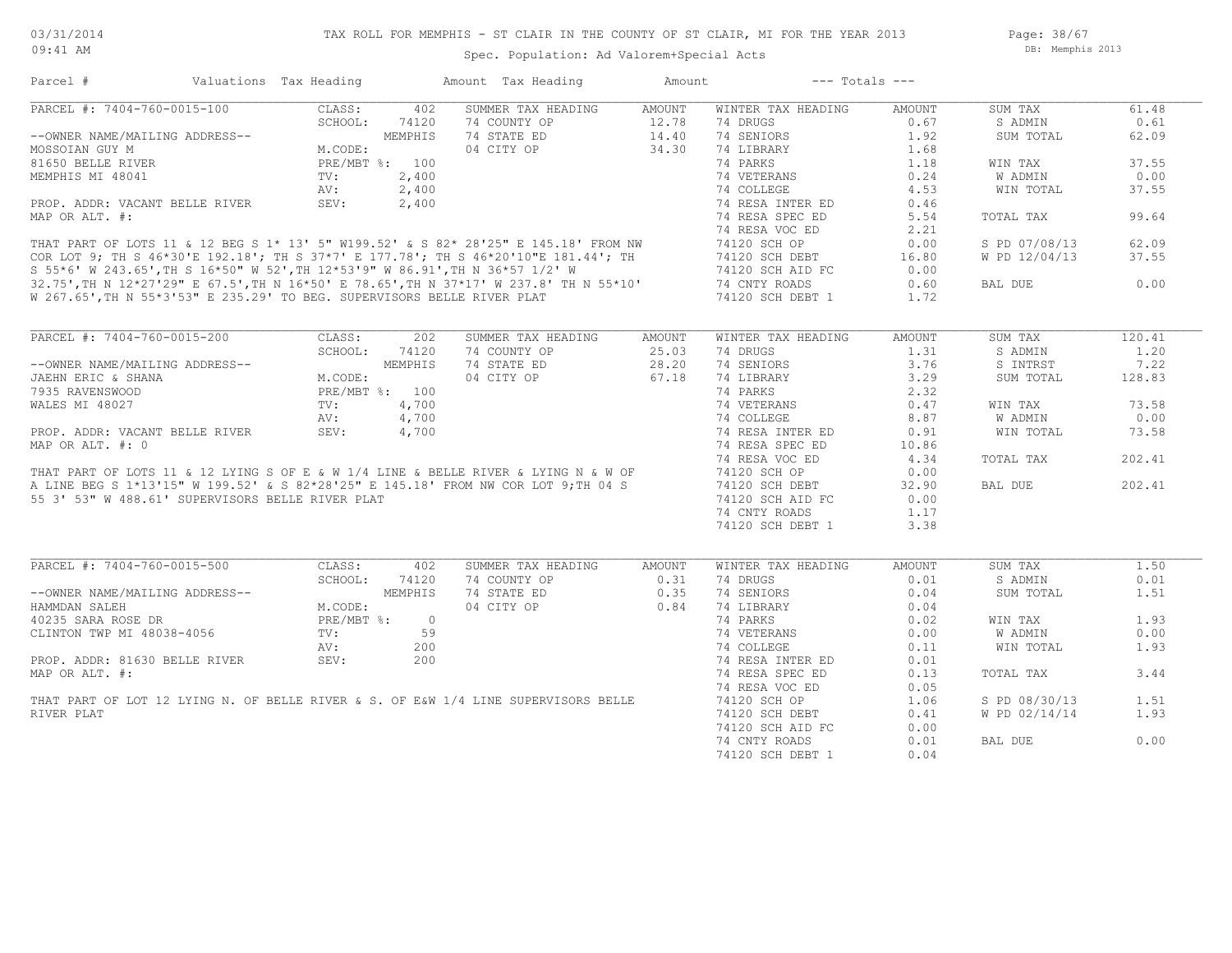## Spec. Population: Ad Valorem+Special Acts

| CLASS:<br>SUMMER TAX HEADING<br>AMOUNT<br>WINTER TAX HEADING<br>SUM TAX<br>402<br><b>AMOUNT</b><br>SCHOOL:<br>74120<br>74 COUNTY OP<br>12.78<br>74 DRUGS<br>0.67<br>S ADMIN<br>74 STATE ED<br>74 SENIORS<br>1.92<br>62.09<br>14.40<br>SUM TOTAL<br>DDRESS--<br>M.CODE:<br>PRE/MBT %: 100<br>04 CITY OP<br>34.30<br>74 LIBRARY<br>1.68<br>37.55<br>74 PARKS<br>1.18<br>WIN TAX<br>$\texttt{TV}$ :<br>2,400<br>74 VETERANS<br>0.24<br>W ADMIN<br>0.00<br>74 COLLEGE<br>37.55<br>2,400<br>4.53<br>WIN TOTAL<br>AV:<br>SEV:<br>2,400<br>74 RESA INTER ED<br>0.46<br>74 RESA SPEC ED<br>5.54<br>TOTAL TAX<br>99.64<br>74 RESA VOC ED<br>2.21<br>THAT PART OF LOTS 11 & 12 BEG S 1* 13' 5" W199.52' & S 82* 28'25" E 145.18' FROM NW 74120 SCH OP<br>COR LOT 9; TH S 46*30'E 192.18'; TH S 37*7' E 177.78'; TH S 46*20'10"E 181.44'; TH 74120 SCH OP<br>S 55*6' W 243.65',TH S 16*5<br>62.09<br>0.00<br>S PD 07/08/13<br>W PD 12/04/13<br>37.55<br>16.80<br>0.00<br>0.00<br>0.60<br>BAL DUE<br>1.72<br>PARCEL #: 7404-760-0015-200<br>CLASS:<br>202<br>SUMMER TAX HEADING<br>WINTER TAX HEADING<br>SUM TAX<br>AMOUNT<br>AMOUNT<br>SCHOOL:<br>74120<br>74 COUNTY OP<br>25.03<br>74 DRUGS<br>1.31<br>S ADMIN<br>DDRESS--<br>M.COD<br>APEAM<br>3.76<br>7.22<br>MEMPHIS<br>74 STATE ED<br>28.20<br>74 SENIORS<br>S INTRST<br>04 CITY OP<br>67.18<br>3.29<br>M.CODE:<br>74 LIBRARY<br>SUM TOTAL<br>128.83<br>JAEHN ERIC & SHANA<br>PRE/MBT %: 100<br>7935 RAVENSWOOD<br>74 PARKS<br>2.32<br>$\begin{array}{ll} \text{Fiv.}, \\ \text{TV}: \\ \text{AV}: \\ \text{SE'} \end{array}$<br>WALES MI 48027<br>4,700<br>74 VETERANS<br>0.47<br>73.58<br>WIN TAX<br>74 VETERANS<br>74 COLLEGE<br>74 RESA INTER ED<br>4,700<br>8.87<br>0.00<br>W ADMIN<br>PROP. ADDR: VACANT BELLE RIVER<br>0.91<br>WIN TOTAL<br>73.58<br>4,700<br>MAP OR ALT. #: 0<br>74 RESA SPEC ED<br>10.86<br>74 RESA VOC ED<br>4.34<br>TOTAL TAX<br>202.41<br>THAT PART OF LOTS 11 & 12 LYING S OF E & W 1/4 LINE & BELLE RIVER & LYING N & W OF 74120 SCH OP<br>A LINE BEG S 1*13'15" W 199.52' & S 82*28'25" E 145.18' FROM NW COR LOT 9; TH 04 S 74120 SCH OP 74120 SCH DEB<br>F C 1. F.R. M 14<br>0.00<br>74120 SCH DEBT<br>202.41<br>32.90<br>BAL DUE<br>55 3' 53" W 488.61' SUPERVISORS BELLE RIVER PLAT<br>74120 SCH AID FC<br>0.00<br>74 CNTY ROADS<br>1.17<br>74120 SCH DEBT 1<br>3.38<br>PARCEL #: 7404-760-0015-500<br>CLASS:<br>SUMMER TAX HEADING<br>SUM TAX<br>1.50<br>402<br>AMOUNT<br>WINTER TAX HEADING<br><b>AMOUNT</b><br>SCHOOL:<br>74120<br>74 COUNTY OP<br>0.31<br>74 DRUGS<br>0.01<br>S ADMIN<br>--OWNER NAME/MAILING ADDRESS--<br>MEMPHIS<br>74 STATE ED<br>0.35<br>74 SENIORS<br>0.04<br>SUM TOTAL<br>1.51<br>0.84<br>M.CODE:<br>04 CITY OP<br>74 LIBRARY<br>0.04<br>HAMMDAN SALEH<br>74 PARKS<br>1.93<br>40235 SARA ROSE DR<br>PRE/MBT %:<br>0.02<br>WIN TAX<br>$\overline{0}$<br>CLINTON TWP MI 48038-4056<br>TV:<br>59<br>74 VETERANS<br>0.00<br>W ADMIN<br>0.00<br>200<br>74 COLLEGE<br>0.11<br>WIN TOTAL<br>1.93<br>AV:<br>SEV:<br>200<br>PROP. ADDR: 81630 BELLE RIVER<br>0.01<br>74 RESA INTER ED<br>3.44<br>MAP OR ALT. #:<br>74 RESA SPEC ED<br>0.13<br>TOTAL TAX<br>74 RESA VOC ED<br>0.05<br>THAT PART OF LOT 12 LYING N. OF BELLE RIVER & S. OF E&W 1/4 LINE SUPERVISORS BELLE<br>74120 SCH OP<br>1.06<br>S PD 08/30/13<br>1.51<br>W PD 02/14/14<br>1.93<br>RIVER PLAT<br>74120 SCH DEBT<br>0.41<br>74120 SCH AID FC<br>0.00<br>0.00<br>74 CNTY ROADS<br>0.01<br>BAL DUE<br>74120 SCH DEBT 1<br>0.04 | Parcel #<br>Valuations Tax Heading | Amount Tax Heading | Amount | $---$ Totals $---$ |  |       |
|---------------------------------------------------------------------------------------------------------------------------------------------------------------------------------------------------------------------------------------------------------------------------------------------------------------------------------------------------------------------------------------------------------------------------------------------------------------------------------------------------------------------------------------------------------------------------------------------------------------------------------------------------------------------------------------------------------------------------------------------------------------------------------------------------------------------------------------------------------------------------------------------------------------------------------------------------------------------------------------------------------------------------------------------------------------------------------------------------------------------------------------------------------------------------------------------------------------------------------------------------------------------------------------------------------------------------------------------------------------------------------------------------------------------------------------------------------------------------------------------------------------------------------------------------------------------------------------------------------------------------------------------------------------------------------------------------------------------------------------------------------------------------------------------------------------------------------------------------------------------------------------------------------------------------------------------------------------------------------------------------------------------------------------------------------------------------------------------------------------------------------------------------------------------------------------------------------------------------------------------------------------------------------------------------------------------------------------------------------------------------------------------------------------------------------------------------------------------------------------------------------------------------------------------------------------------------------------------------------------------------------------------------------------------------------------------------------------------------------------------------------------------------------------------------------------------------------------------------------------------------------------------------------------------------------------------------------------------------------------------------------------------------------------------------------------------------------------------------------------------------------------------------------------------------------------------------------------------------------------------------------------------------------------------------------------------------------------------------------------------------------------------------------------------------------------------------------------------------------------------|------------------------------------|--------------------|--------|--------------------|--|-------|
| 0.61<br>120.41<br>1.20<br>0.01                                                                                                                                                                                                                                                                                                                                                                                                                                                                                                                                                                                                                                                                                                                                                                                                                                                                                                                                                                                                                                                                                                                                                                                                                                                                                                                                                                                                                                                                                                                                                                                                                                                                                                                                                                                                                                                                                                                                                                                                                                                                                                                                                                                                                                                                                                                                                                                                                                                                                                                                                                                                                                                                                                                                                                                                                                                                                                                                                                                                                                                                                                                                                                                                                                                                                                                                                                                                                                                              | PARCEL #: 7404-760-0015-100        |                    |        |                    |  | 61.48 |
|                                                                                                                                                                                                                                                                                                                                                                                                                                                                                                                                                                                                                                                                                                                                                                                                                                                                                                                                                                                                                                                                                                                                                                                                                                                                                                                                                                                                                                                                                                                                                                                                                                                                                                                                                                                                                                                                                                                                                                                                                                                                                                                                                                                                                                                                                                                                                                                                                                                                                                                                                                                                                                                                                                                                                                                                                                                                                                                                                                                                                                                                                                                                                                                                                                                                                                                                                                                                                                                                                             |                                    |                    |        |                    |  |       |
|                                                                                                                                                                                                                                                                                                                                                                                                                                                                                                                                                                                                                                                                                                                                                                                                                                                                                                                                                                                                                                                                                                                                                                                                                                                                                                                                                                                                                                                                                                                                                                                                                                                                                                                                                                                                                                                                                                                                                                                                                                                                                                                                                                                                                                                                                                                                                                                                                                                                                                                                                                                                                                                                                                                                                                                                                                                                                                                                                                                                                                                                                                                                                                                                                                                                                                                                                                                                                                                                                             | --OWNER NAME/MAILING ADDRESS--     |                    |        |                    |  |       |
|                                                                                                                                                                                                                                                                                                                                                                                                                                                                                                                                                                                                                                                                                                                                                                                                                                                                                                                                                                                                                                                                                                                                                                                                                                                                                                                                                                                                                                                                                                                                                                                                                                                                                                                                                                                                                                                                                                                                                                                                                                                                                                                                                                                                                                                                                                                                                                                                                                                                                                                                                                                                                                                                                                                                                                                                                                                                                                                                                                                                                                                                                                                                                                                                                                                                                                                                                                                                                                                                                             | MOSSOIAN GUY M                     |                    |        |                    |  |       |
|                                                                                                                                                                                                                                                                                                                                                                                                                                                                                                                                                                                                                                                                                                                                                                                                                                                                                                                                                                                                                                                                                                                                                                                                                                                                                                                                                                                                                                                                                                                                                                                                                                                                                                                                                                                                                                                                                                                                                                                                                                                                                                                                                                                                                                                                                                                                                                                                                                                                                                                                                                                                                                                                                                                                                                                                                                                                                                                                                                                                                                                                                                                                                                                                                                                                                                                                                                                                                                                                                             | 81650 BELLE RIVER                  |                    |        |                    |  |       |
|                                                                                                                                                                                                                                                                                                                                                                                                                                                                                                                                                                                                                                                                                                                                                                                                                                                                                                                                                                                                                                                                                                                                                                                                                                                                                                                                                                                                                                                                                                                                                                                                                                                                                                                                                                                                                                                                                                                                                                                                                                                                                                                                                                                                                                                                                                                                                                                                                                                                                                                                                                                                                                                                                                                                                                                                                                                                                                                                                                                                                                                                                                                                                                                                                                                                                                                                                                                                                                                                                             | MEMPHIS MI 48041                   |                    |        |                    |  |       |
|                                                                                                                                                                                                                                                                                                                                                                                                                                                                                                                                                                                                                                                                                                                                                                                                                                                                                                                                                                                                                                                                                                                                                                                                                                                                                                                                                                                                                                                                                                                                                                                                                                                                                                                                                                                                                                                                                                                                                                                                                                                                                                                                                                                                                                                                                                                                                                                                                                                                                                                                                                                                                                                                                                                                                                                                                                                                                                                                                                                                                                                                                                                                                                                                                                                                                                                                                                                                                                                                                             |                                    |                    |        |                    |  |       |
|                                                                                                                                                                                                                                                                                                                                                                                                                                                                                                                                                                                                                                                                                                                                                                                                                                                                                                                                                                                                                                                                                                                                                                                                                                                                                                                                                                                                                                                                                                                                                                                                                                                                                                                                                                                                                                                                                                                                                                                                                                                                                                                                                                                                                                                                                                                                                                                                                                                                                                                                                                                                                                                                                                                                                                                                                                                                                                                                                                                                                                                                                                                                                                                                                                                                                                                                                                                                                                                                                             | PROP. ADDR: VACANT BELLE RIVER     |                    |        |                    |  |       |
|                                                                                                                                                                                                                                                                                                                                                                                                                                                                                                                                                                                                                                                                                                                                                                                                                                                                                                                                                                                                                                                                                                                                                                                                                                                                                                                                                                                                                                                                                                                                                                                                                                                                                                                                                                                                                                                                                                                                                                                                                                                                                                                                                                                                                                                                                                                                                                                                                                                                                                                                                                                                                                                                                                                                                                                                                                                                                                                                                                                                                                                                                                                                                                                                                                                                                                                                                                                                                                                                                             | MAP OR ALT. #:                     |                    |        |                    |  |       |
|                                                                                                                                                                                                                                                                                                                                                                                                                                                                                                                                                                                                                                                                                                                                                                                                                                                                                                                                                                                                                                                                                                                                                                                                                                                                                                                                                                                                                                                                                                                                                                                                                                                                                                                                                                                                                                                                                                                                                                                                                                                                                                                                                                                                                                                                                                                                                                                                                                                                                                                                                                                                                                                                                                                                                                                                                                                                                                                                                                                                                                                                                                                                                                                                                                                                                                                                                                                                                                                                                             |                                    |                    |        |                    |  |       |
|                                                                                                                                                                                                                                                                                                                                                                                                                                                                                                                                                                                                                                                                                                                                                                                                                                                                                                                                                                                                                                                                                                                                                                                                                                                                                                                                                                                                                                                                                                                                                                                                                                                                                                                                                                                                                                                                                                                                                                                                                                                                                                                                                                                                                                                                                                                                                                                                                                                                                                                                                                                                                                                                                                                                                                                                                                                                                                                                                                                                                                                                                                                                                                                                                                                                                                                                                                                                                                                                                             |                                    |                    |        |                    |  |       |
|                                                                                                                                                                                                                                                                                                                                                                                                                                                                                                                                                                                                                                                                                                                                                                                                                                                                                                                                                                                                                                                                                                                                                                                                                                                                                                                                                                                                                                                                                                                                                                                                                                                                                                                                                                                                                                                                                                                                                                                                                                                                                                                                                                                                                                                                                                                                                                                                                                                                                                                                                                                                                                                                                                                                                                                                                                                                                                                                                                                                                                                                                                                                                                                                                                                                                                                                                                                                                                                                                             |                                    |                    |        |                    |  |       |
|                                                                                                                                                                                                                                                                                                                                                                                                                                                                                                                                                                                                                                                                                                                                                                                                                                                                                                                                                                                                                                                                                                                                                                                                                                                                                                                                                                                                                                                                                                                                                                                                                                                                                                                                                                                                                                                                                                                                                                                                                                                                                                                                                                                                                                                                                                                                                                                                                                                                                                                                                                                                                                                                                                                                                                                                                                                                                                                                                                                                                                                                                                                                                                                                                                                                                                                                                                                                                                                                                             |                                    |                    |        |                    |  |       |
|                                                                                                                                                                                                                                                                                                                                                                                                                                                                                                                                                                                                                                                                                                                                                                                                                                                                                                                                                                                                                                                                                                                                                                                                                                                                                                                                                                                                                                                                                                                                                                                                                                                                                                                                                                                                                                                                                                                                                                                                                                                                                                                                                                                                                                                                                                                                                                                                                                                                                                                                                                                                                                                                                                                                                                                                                                                                                                                                                                                                                                                                                                                                                                                                                                                                                                                                                                                                                                                                                             |                                    |                    |        |                    |  |       |
|                                                                                                                                                                                                                                                                                                                                                                                                                                                                                                                                                                                                                                                                                                                                                                                                                                                                                                                                                                                                                                                                                                                                                                                                                                                                                                                                                                                                                                                                                                                                                                                                                                                                                                                                                                                                                                                                                                                                                                                                                                                                                                                                                                                                                                                                                                                                                                                                                                                                                                                                                                                                                                                                                                                                                                                                                                                                                                                                                                                                                                                                                                                                                                                                                                                                                                                                                                                                                                                                                             |                                    |                    |        |                    |  |       |
|                                                                                                                                                                                                                                                                                                                                                                                                                                                                                                                                                                                                                                                                                                                                                                                                                                                                                                                                                                                                                                                                                                                                                                                                                                                                                                                                                                                                                                                                                                                                                                                                                                                                                                                                                                                                                                                                                                                                                                                                                                                                                                                                                                                                                                                                                                                                                                                                                                                                                                                                                                                                                                                                                                                                                                                                                                                                                                                                                                                                                                                                                                                                                                                                                                                                                                                                                                                                                                                                                             |                                    |                    |        |                    |  |       |
|                                                                                                                                                                                                                                                                                                                                                                                                                                                                                                                                                                                                                                                                                                                                                                                                                                                                                                                                                                                                                                                                                                                                                                                                                                                                                                                                                                                                                                                                                                                                                                                                                                                                                                                                                                                                                                                                                                                                                                                                                                                                                                                                                                                                                                                                                                                                                                                                                                                                                                                                                                                                                                                                                                                                                                                                                                                                                                                                                                                                                                                                                                                                                                                                                                                                                                                                                                                                                                                                                             |                                    |                    |        |                    |  |       |
|                                                                                                                                                                                                                                                                                                                                                                                                                                                                                                                                                                                                                                                                                                                                                                                                                                                                                                                                                                                                                                                                                                                                                                                                                                                                                                                                                                                                                                                                                                                                                                                                                                                                                                                                                                                                                                                                                                                                                                                                                                                                                                                                                                                                                                                                                                                                                                                                                                                                                                                                                                                                                                                                                                                                                                                                                                                                                                                                                                                                                                                                                                                                                                                                                                                                                                                                                                                                                                                                                             |                                    |                    |        |                    |  |       |
|                                                                                                                                                                                                                                                                                                                                                                                                                                                                                                                                                                                                                                                                                                                                                                                                                                                                                                                                                                                                                                                                                                                                                                                                                                                                                                                                                                                                                                                                                                                                                                                                                                                                                                                                                                                                                                                                                                                                                                                                                                                                                                                                                                                                                                                                                                                                                                                                                                                                                                                                                                                                                                                                                                                                                                                                                                                                                                                                                                                                                                                                                                                                                                                                                                                                                                                                                                                                                                                                                             | --OWNER NAME/MAILING ADDRESS--     |                    |        |                    |  |       |
|                                                                                                                                                                                                                                                                                                                                                                                                                                                                                                                                                                                                                                                                                                                                                                                                                                                                                                                                                                                                                                                                                                                                                                                                                                                                                                                                                                                                                                                                                                                                                                                                                                                                                                                                                                                                                                                                                                                                                                                                                                                                                                                                                                                                                                                                                                                                                                                                                                                                                                                                                                                                                                                                                                                                                                                                                                                                                                                                                                                                                                                                                                                                                                                                                                                                                                                                                                                                                                                                                             |                                    |                    |        |                    |  |       |
|                                                                                                                                                                                                                                                                                                                                                                                                                                                                                                                                                                                                                                                                                                                                                                                                                                                                                                                                                                                                                                                                                                                                                                                                                                                                                                                                                                                                                                                                                                                                                                                                                                                                                                                                                                                                                                                                                                                                                                                                                                                                                                                                                                                                                                                                                                                                                                                                                                                                                                                                                                                                                                                                                                                                                                                                                                                                                                                                                                                                                                                                                                                                                                                                                                                                                                                                                                                                                                                                                             |                                    |                    |        |                    |  |       |
|                                                                                                                                                                                                                                                                                                                                                                                                                                                                                                                                                                                                                                                                                                                                                                                                                                                                                                                                                                                                                                                                                                                                                                                                                                                                                                                                                                                                                                                                                                                                                                                                                                                                                                                                                                                                                                                                                                                                                                                                                                                                                                                                                                                                                                                                                                                                                                                                                                                                                                                                                                                                                                                                                                                                                                                                                                                                                                                                                                                                                                                                                                                                                                                                                                                                                                                                                                                                                                                                                             |                                    |                    |        |                    |  |       |
|                                                                                                                                                                                                                                                                                                                                                                                                                                                                                                                                                                                                                                                                                                                                                                                                                                                                                                                                                                                                                                                                                                                                                                                                                                                                                                                                                                                                                                                                                                                                                                                                                                                                                                                                                                                                                                                                                                                                                                                                                                                                                                                                                                                                                                                                                                                                                                                                                                                                                                                                                                                                                                                                                                                                                                                                                                                                                                                                                                                                                                                                                                                                                                                                                                                                                                                                                                                                                                                                                             |                                    |                    |        |                    |  |       |
|                                                                                                                                                                                                                                                                                                                                                                                                                                                                                                                                                                                                                                                                                                                                                                                                                                                                                                                                                                                                                                                                                                                                                                                                                                                                                                                                                                                                                                                                                                                                                                                                                                                                                                                                                                                                                                                                                                                                                                                                                                                                                                                                                                                                                                                                                                                                                                                                                                                                                                                                                                                                                                                                                                                                                                                                                                                                                                                                                                                                                                                                                                                                                                                                                                                                                                                                                                                                                                                                                             |                                    |                    |        |                    |  |       |
|                                                                                                                                                                                                                                                                                                                                                                                                                                                                                                                                                                                                                                                                                                                                                                                                                                                                                                                                                                                                                                                                                                                                                                                                                                                                                                                                                                                                                                                                                                                                                                                                                                                                                                                                                                                                                                                                                                                                                                                                                                                                                                                                                                                                                                                                                                                                                                                                                                                                                                                                                                                                                                                                                                                                                                                                                                                                                                                                                                                                                                                                                                                                                                                                                                                                                                                                                                                                                                                                                             |                                    |                    |        |                    |  |       |
|                                                                                                                                                                                                                                                                                                                                                                                                                                                                                                                                                                                                                                                                                                                                                                                                                                                                                                                                                                                                                                                                                                                                                                                                                                                                                                                                                                                                                                                                                                                                                                                                                                                                                                                                                                                                                                                                                                                                                                                                                                                                                                                                                                                                                                                                                                                                                                                                                                                                                                                                                                                                                                                                                                                                                                                                                                                                                                                                                                                                                                                                                                                                                                                                                                                                                                                                                                                                                                                                                             |                                    |                    |        |                    |  |       |
|                                                                                                                                                                                                                                                                                                                                                                                                                                                                                                                                                                                                                                                                                                                                                                                                                                                                                                                                                                                                                                                                                                                                                                                                                                                                                                                                                                                                                                                                                                                                                                                                                                                                                                                                                                                                                                                                                                                                                                                                                                                                                                                                                                                                                                                                                                                                                                                                                                                                                                                                                                                                                                                                                                                                                                                                                                                                                                                                                                                                                                                                                                                                                                                                                                                                                                                                                                                                                                                                                             |                                    |                    |        |                    |  |       |
|                                                                                                                                                                                                                                                                                                                                                                                                                                                                                                                                                                                                                                                                                                                                                                                                                                                                                                                                                                                                                                                                                                                                                                                                                                                                                                                                                                                                                                                                                                                                                                                                                                                                                                                                                                                                                                                                                                                                                                                                                                                                                                                                                                                                                                                                                                                                                                                                                                                                                                                                                                                                                                                                                                                                                                                                                                                                                                                                                                                                                                                                                                                                                                                                                                                                                                                                                                                                                                                                                             |                                    |                    |        |                    |  |       |
|                                                                                                                                                                                                                                                                                                                                                                                                                                                                                                                                                                                                                                                                                                                                                                                                                                                                                                                                                                                                                                                                                                                                                                                                                                                                                                                                                                                                                                                                                                                                                                                                                                                                                                                                                                                                                                                                                                                                                                                                                                                                                                                                                                                                                                                                                                                                                                                                                                                                                                                                                                                                                                                                                                                                                                                                                                                                                                                                                                                                                                                                                                                                                                                                                                                                                                                                                                                                                                                                                             |                                    |                    |        |                    |  |       |
|                                                                                                                                                                                                                                                                                                                                                                                                                                                                                                                                                                                                                                                                                                                                                                                                                                                                                                                                                                                                                                                                                                                                                                                                                                                                                                                                                                                                                                                                                                                                                                                                                                                                                                                                                                                                                                                                                                                                                                                                                                                                                                                                                                                                                                                                                                                                                                                                                                                                                                                                                                                                                                                                                                                                                                                                                                                                                                                                                                                                                                                                                                                                                                                                                                                                                                                                                                                                                                                                                             |                                    |                    |        |                    |  |       |
|                                                                                                                                                                                                                                                                                                                                                                                                                                                                                                                                                                                                                                                                                                                                                                                                                                                                                                                                                                                                                                                                                                                                                                                                                                                                                                                                                                                                                                                                                                                                                                                                                                                                                                                                                                                                                                                                                                                                                                                                                                                                                                                                                                                                                                                                                                                                                                                                                                                                                                                                                                                                                                                                                                                                                                                                                                                                                                                                                                                                                                                                                                                                                                                                                                                                                                                                                                                                                                                                                             |                                    |                    |        |                    |  |       |
|                                                                                                                                                                                                                                                                                                                                                                                                                                                                                                                                                                                                                                                                                                                                                                                                                                                                                                                                                                                                                                                                                                                                                                                                                                                                                                                                                                                                                                                                                                                                                                                                                                                                                                                                                                                                                                                                                                                                                                                                                                                                                                                                                                                                                                                                                                                                                                                                                                                                                                                                                                                                                                                                                                                                                                                                                                                                                                                                                                                                                                                                                                                                                                                                                                                                                                                                                                                                                                                                                             |                                    |                    |        |                    |  |       |
|                                                                                                                                                                                                                                                                                                                                                                                                                                                                                                                                                                                                                                                                                                                                                                                                                                                                                                                                                                                                                                                                                                                                                                                                                                                                                                                                                                                                                                                                                                                                                                                                                                                                                                                                                                                                                                                                                                                                                                                                                                                                                                                                                                                                                                                                                                                                                                                                                                                                                                                                                                                                                                                                                                                                                                                                                                                                                                                                                                                                                                                                                                                                                                                                                                                                                                                                                                                                                                                                                             |                                    |                    |        |                    |  |       |
|                                                                                                                                                                                                                                                                                                                                                                                                                                                                                                                                                                                                                                                                                                                                                                                                                                                                                                                                                                                                                                                                                                                                                                                                                                                                                                                                                                                                                                                                                                                                                                                                                                                                                                                                                                                                                                                                                                                                                                                                                                                                                                                                                                                                                                                                                                                                                                                                                                                                                                                                                                                                                                                                                                                                                                                                                                                                                                                                                                                                                                                                                                                                                                                                                                                                                                                                                                                                                                                                                             |                                    |                    |        |                    |  |       |
|                                                                                                                                                                                                                                                                                                                                                                                                                                                                                                                                                                                                                                                                                                                                                                                                                                                                                                                                                                                                                                                                                                                                                                                                                                                                                                                                                                                                                                                                                                                                                                                                                                                                                                                                                                                                                                                                                                                                                                                                                                                                                                                                                                                                                                                                                                                                                                                                                                                                                                                                                                                                                                                                                                                                                                                                                                                                                                                                                                                                                                                                                                                                                                                                                                                                                                                                                                                                                                                                                             |                                    |                    |        |                    |  |       |
|                                                                                                                                                                                                                                                                                                                                                                                                                                                                                                                                                                                                                                                                                                                                                                                                                                                                                                                                                                                                                                                                                                                                                                                                                                                                                                                                                                                                                                                                                                                                                                                                                                                                                                                                                                                                                                                                                                                                                                                                                                                                                                                                                                                                                                                                                                                                                                                                                                                                                                                                                                                                                                                                                                                                                                                                                                                                                                                                                                                                                                                                                                                                                                                                                                                                                                                                                                                                                                                                                             |                                    |                    |        |                    |  |       |
|                                                                                                                                                                                                                                                                                                                                                                                                                                                                                                                                                                                                                                                                                                                                                                                                                                                                                                                                                                                                                                                                                                                                                                                                                                                                                                                                                                                                                                                                                                                                                                                                                                                                                                                                                                                                                                                                                                                                                                                                                                                                                                                                                                                                                                                                                                                                                                                                                                                                                                                                                                                                                                                                                                                                                                                                                                                                                                                                                                                                                                                                                                                                                                                                                                                                                                                                                                                                                                                                                             |                                    |                    |        |                    |  |       |
|                                                                                                                                                                                                                                                                                                                                                                                                                                                                                                                                                                                                                                                                                                                                                                                                                                                                                                                                                                                                                                                                                                                                                                                                                                                                                                                                                                                                                                                                                                                                                                                                                                                                                                                                                                                                                                                                                                                                                                                                                                                                                                                                                                                                                                                                                                                                                                                                                                                                                                                                                                                                                                                                                                                                                                                                                                                                                                                                                                                                                                                                                                                                                                                                                                                                                                                                                                                                                                                                                             |                                    |                    |        |                    |  |       |
|                                                                                                                                                                                                                                                                                                                                                                                                                                                                                                                                                                                                                                                                                                                                                                                                                                                                                                                                                                                                                                                                                                                                                                                                                                                                                                                                                                                                                                                                                                                                                                                                                                                                                                                                                                                                                                                                                                                                                                                                                                                                                                                                                                                                                                                                                                                                                                                                                                                                                                                                                                                                                                                                                                                                                                                                                                                                                                                                                                                                                                                                                                                                                                                                                                                                                                                                                                                                                                                                                             |                                    |                    |        |                    |  |       |
|                                                                                                                                                                                                                                                                                                                                                                                                                                                                                                                                                                                                                                                                                                                                                                                                                                                                                                                                                                                                                                                                                                                                                                                                                                                                                                                                                                                                                                                                                                                                                                                                                                                                                                                                                                                                                                                                                                                                                                                                                                                                                                                                                                                                                                                                                                                                                                                                                                                                                                                                                                                                                                                                                                                                                                                                                                                                                                                                                                                                                                                                                                                                                                                                                                                                                                                                                                                                                                                                                             |                                    |                    |        |                    |  |       |
|                                                                                                                                                                                                                                                                                                                                                                                                                                                                                                                                                                                                                                                                                                                                                                                                                                                                                                                                                                                                                                                                                                                                                                                                                                                                                                                                                                                                                                                                                                                                                                                                                                                                                                                                                                                                                                                                                                                                                                                                                                                                                                                                                                                                                                                                                                                                                                                                                                                                                                                                                                                                                                                                                                                                                                                                                                                                                                                                                                                                                                                                                                                                                                                                                                                                                                                                                                                                                                                                                             |                                    |                    |        |                    |  |       |
|                                                                                                                                                                                                                                                                                                                                                                                                                                                                                                                                                                                                                                                                                                                                                                                                                                                                                                                                                                                                                                                                                                                                                                                                                                                                                                                                                                                                                                                                                                                                                                                                                                                                                                                                                                                                                                                                                                                                                                                                                                                                                                                                                                                                                                                                                                                                                                                                                                                                                                                                                                                                                                                                                                                                                                                                                                                                                                                                                                                                                                                                                                                                                                                                                                                                                                                                                                                                                                                                                             |                                    |                    |        |                    |  |       |
|                                                                                                                                                                                                                                                                                                                                                                                                                                                                                                                                                                                                                                                                                                                                                                                                                                                                                                                                                                                                                                                                                                                                                                                                                                                                                                                                                                                                                                                                                                                                                                                                                                                                                                                                                                                                                                                                                                                                                                                                                                                                                                                                                                                                                                                                                                                                                                                                                                                                                                                                                                                                                                                                                                                                                                                                                                                                                                                                                                                                                                                                                                                                                                                                                                                                                                                                                                                                                                                                                             |                                    |                    |        |                    |  |       |
|                                                                                                                                                                                                                                                                                                                                                                                                                                                                                                                                                                                                                                                                                                                                                                                                                                                                                                                                                                                                                                                                                                                                                                                                                                                                                                                                                                                                                                                                                                                                                                                                                                                                                                                                                                                                                                                                                                                                                                                                                                                                                                                                                                                                                                                                                                                                                                                                                                                                                                                                                                                                                                                                                                                                                                                                                                                                                                                                                                                                                                                                                                                                                                                                                                                                                                                                                                                                                                                                                             |                                    |                    |        |                    |  |       |
|                                                                                                                                                                                                                                                                                                                                                                                                                                                                                                                                                                                                                                                                                                                                                                                                                                                                                                                                                                                                                                                                                                                                                                                                                                                                                                                                                                                                                                                                                                                                                                                                                                                                                                                                                                                                                                                                                                                                                                                                                                                                                                                                                                                                                                                                                                                                                                                                                                                                                                                                                                                                                                                                                                                                                                                                                                                                                                                                                                                                                                                                                                                                                                                                                                                                                                                                                                                                                                                                                             |                                    |                    |        |                    |  |       |
|                                                                                                                                                                                                                                                                                                                                                                                                                                                                                                                                                                                                                                                                                                                                                                                                                                                                                                                                                                                                                                                                                                                                                                                                                                                                                                                                                                                                                                                                                                                                                                                                                                                                                                                                                                                                                                                                                                                                                                                                                                                                                                                                                                                                                                                                                                                                                                                                                                                                                                                                                                                                                                                                                                                                                                                                                                                                                                                                                                                                                                                                                                                                                                                                                                                                                                                                                                                                                                                                                             |                                    |                    |        |                    |  |       |
|                                                                                                                                                                                                                                                                                                                                                                                                                                                                                                                                                                                                                                                                                                                                                                                                                                                                                                                                                                                                                                                                                                                                                                                                                                                                                                                                                                                                                                                                                                                                                                                                                                                                                                                                                                                                                                                                                                                                                                                                                                                                                                                                                                                                                                                                                                                                                                                                                                                                                                                                                                                                                                                                                                                                                                                                                                                                                                                                                                                                                                                                                                                                                                                                                                                                                                                                                                                                                                                                                             |                                    |                    |        |                    |  |       |
|                                                                                                                                                                                                                                                                                                                                                                                                                                                                                                                                                                                                                                                                                                                                                                                                                                                                                                                                                                                                                                                                                                                                                                                                                                                                                                                                                                                                                                                                                                                                                                                                                                                                                                                                                                                                                                                                                                                                                                                                                                                                                                                                                                                                                                                                                                                                                                                                                                                                                                                                                                                                                                                                                                                                                                                                                                                                                                                                                                                                                                                                                                                                                                                                                                                                                                                                                                                                                                                                                             |                                    |                    |        |                    |  |       |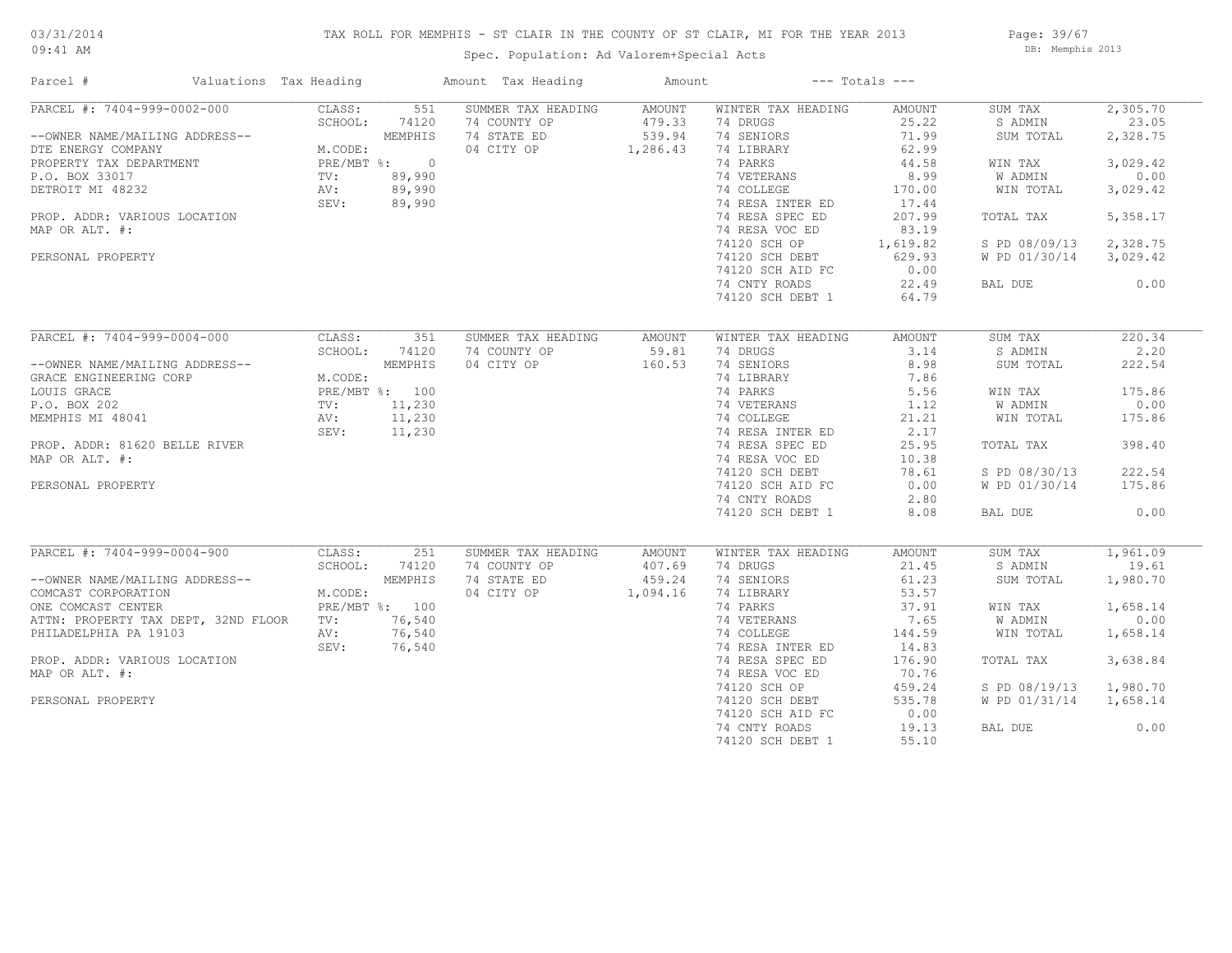## TAX ROLL FOR MEMPHIS - ST CLAIR IN THE COUNTY OF ST CLAIR, MI FOR THE YEAR 2013

09:41 AM

## Spec. Population: Ad Valorem+Special Acts

Page: 39/67 DB: Memphis 2013

| Parcel #                            | Valuations Tax Heading |         |                | Amount Tax Heading | Amount   |                    | $---$ Totals $---$ |               |          |
|-------------------------------------|------------------------|---------|----------------|--------------------|----------|--------------------|--------------------|---------------|----------|
| PARCEL #: 7404-999-0002-000         |                        | CLASS:  | 551            | SUMMER TAX HEADING | AMOUNT   | WINTER TAX HEADING | AMOUNT             | SUM TAX       | 2,305.70 |
|                                     |                        | SCHOOL: | 74120          | 74 COUNTY OP       | 479.33   | 74 DRUGS           | 25.22              | S ADMIN       | 23.05    |
| --OWNER NAME/MAILING ADDRESS--      |                        |         | MEMPHIS        | 74 STATE ED        | 539.94   | 74 SENIORS         | 71.99              | SUM TOTAL     | 2,328.75 |
| DTE ENERGY COMPANY                  |                        | M.CODE: |                | 04 CITY OP         | 1,286.43 | 74 LIBRARY         | 62.99              |               |          |
| PROPERTY TAX DEPARTMENT             |                        |         | PRE/MBT %: 0   |                    |          | 74 PARKS           | 44.58              | WIN TAX       | 3,029.42 |
| P.O. BOX 33017                      |                        | TV:     | 89,990         |                    |          | 74 VETERANS        | 8.99               | W ADMIN       | 0.00     |
| DETROIT MI 48232                    |                        | AV:     | 89,990         |                    |          | 74 COLLEGE         | 170.00             | WIN TOTAL     | 3,029.42 |
|                                     |                        | SEV:    | 89,990         |                    |          | 74 RESA INTER ED   | 17.44              |               |          |
| PROP. ADDR: VARIOUS LOCATION        |                        |         |                |                    |          | 74 RESA SPEC ED    | 207.99             | TOTAL TAX     | 5,358.17 |
| MAP OR ALT. #:                      |                        |         |                |                    |          | 74 RESA VOC ED     | 83.19              |               |          |
|                                     |                        |         |                |                    |          | 74120 SCH OP       | 1,619.82           | S PD 08/09/13 | 2,328.75 |
| PERSONAL PROPERTY                   |                        |         |                |                    |          | 74120 SCH DEBT     | 629.93             | W PD 01/30/14 | 3,029.42 |
|                                     |                        |         |                |                    |          | 74120 SCH AID FC   | 0.00               |               |          |
|                                     |                        |         |                |                    |          | 74 CNTY ROADS      | 22.49              | BAL DUE       | 0.00     |
|                                     |                        |         |                |                    |          | 74120 SCH DEBT 1   | 64.79              |               |          |
|                                     |                        |         |                |                    |          |                    |                    |               |          |
| PARCEL #: 7404-999-0004-000         |                        | CLASS:  | 351            | SUMMER TAX HEADING | AMOUNT   | WINTER TAX HEADING | AMOUNT             | SUM TAX       | 220.34   |
|                                     |                        | SCHOOL: | 74120          | 74 COUNTY OP       | 59.81    | 74 DRUGS           | 3.14               | S ADMIN       | 2.20     |
| --OWNER NAME/MAILING ADDRESS--      |                        |         | MEMPHIS        | 04 CITY OP         | 160.53   | 74 SENIORS         | 8.98               | SUM TOTAL     | 222.54   |
| GRACE ENGINEERING CORP              |                        | M.CODE: |                |                    |          | 74 LIBRARY         | 7.86               |               |          |
| LOUIS GRACE                         |                        |         | PRE/MBT %: 100 |                    |          | 74 PARKS           | 5.56               | WIN TAX       | 175.86   |
| P.O. BOX 202                        |                        | TV:     | 11,230         |                    |          | 74 VETERANS        | 1.12               | W ADMIN       | 0.00     |
|                                     |                        |         |                |                    |          |                    |                    |               |          |
| MEMPHIS MI 48041                    |                        | AV:     | 11,230         |                    |          | 74 COLLEGE         | 21.21              | WIN TOTAL     | 175.86   |
|                                     |                        | SEV:    | 11,230         |                    |          | 74 RESA INTER ED   | 2.17               |               |          |
| PROP. ADDR: 81620 BELLE RIVER       |                        |         |                |                    |          | 74 RESA SPEC ED    | 25.95              | TOTAL TAX     | 398.40   |
| MAP OR ALT. #:                      |                        |         |                |                    |          | 74 RESA VOC ED     | 10.38              |               |          |
|                                     |                        |         |                |                    |          | 74120 SCH DEBT     | 78.61              | S PD 08/30/13 | 222.54   |
| PERSONAL PROPERTY                   |                        |         |                |                    |          | 74120 SCH AID FC   | 0.00               | W PD 01/30/14 | 175.86   |
|                                     |                        |         |                |                    |          | 74 CNTY ROADS      | 2.80               |               |          |
|                                     |                        |         |                |                    |          | 74120 SCH DEBT 1   | 8.08               | BAL DUE       | 0.00     |
|                                     |                        |         |                |                    |          |                    |                    |               |          |
| PARCEL #: 7404-999-0004-900         |                        | CLASS:  | 251            | SUMMER TAX HEADING | AMOUNT   | WINTER TAX HEADING | AMOUNT             | SUM TAX       | 1,961.09 |
|                                     |                        | SCHOOL: | 74120          | 74 COUNTY OP       | 407.69   | 74 DRUGS           | 21.45              | S ADMIN       | 19.61    |
| --OWNER NAME/MAILING ADDRESS--      |                        |         | MEMPHIS        | 74 STATE ED        | 459.24   | 74 SENIORS         | 61.23              | SUM TOTAL     | 1,980.70 |
| COMCAST CORPORATION                 |                        | M.CODE: |                | 04 CITY OP         | 1,094.16 | 74 LIBRARY         | 53.57              |               |          |
| ONE COMCAST CENTER                  |                        |         | PRE/MBT %: 100 |                    |          | 74 PARKS           | 37.91              | WIN TAX       | 1,658.14 |
| ATTN: PROPERTY TAX DEPT, 32ND FLOOR |                        | TV:     | 76,540         |                    |          | 74 VETERANS        | 7.65               | W ADMIN       | 0.00     |
| PHILADELPHIA PA 19103               |                        | AV:     | 76,540         |                    |          | 74 COLLEGE         | 144.59             | WIN TOTAL     | 1,658.14 |
|                                     |                        | SEV:    | 76,540         |                    |          | 74 RESA INTER ED   | 14.83              |               |          |
| PROP. ADDR: VARIOUS LOCATION        |                        |         |                |                    |          | 74 RESA SPEC ED    | 176.90             | TOTAL TAX     | 3,638.84 |
| MAP OR ALT. #:                      |                        |         |                |                    |          | 74 RESA VOC ED     | 70.76              |               |          |
|                                     |                        |         |                |                    |          | 74120 SCH OP       | 459.24             | S PD 08/19/13 | 1,980.70 |
| PERSONAL PROPERTY                   |                        |         |                |                    |          | 74120 SCH DEBT     | 535.78             | W PD 01/31/14 | 1,658.14 |
|                                     |                        |         |                |                    |          | 74120 SCH AID FC   | 0.00               |               |          |
|                                     |                        |         |                |                    |          | 74 CNTY ROADS      | 19.13              | BAL DUE       | 0.00     |
|                                     |                        |         |                |                    |          | 74120 SCH DEBT 1   | 55.10              |               |          |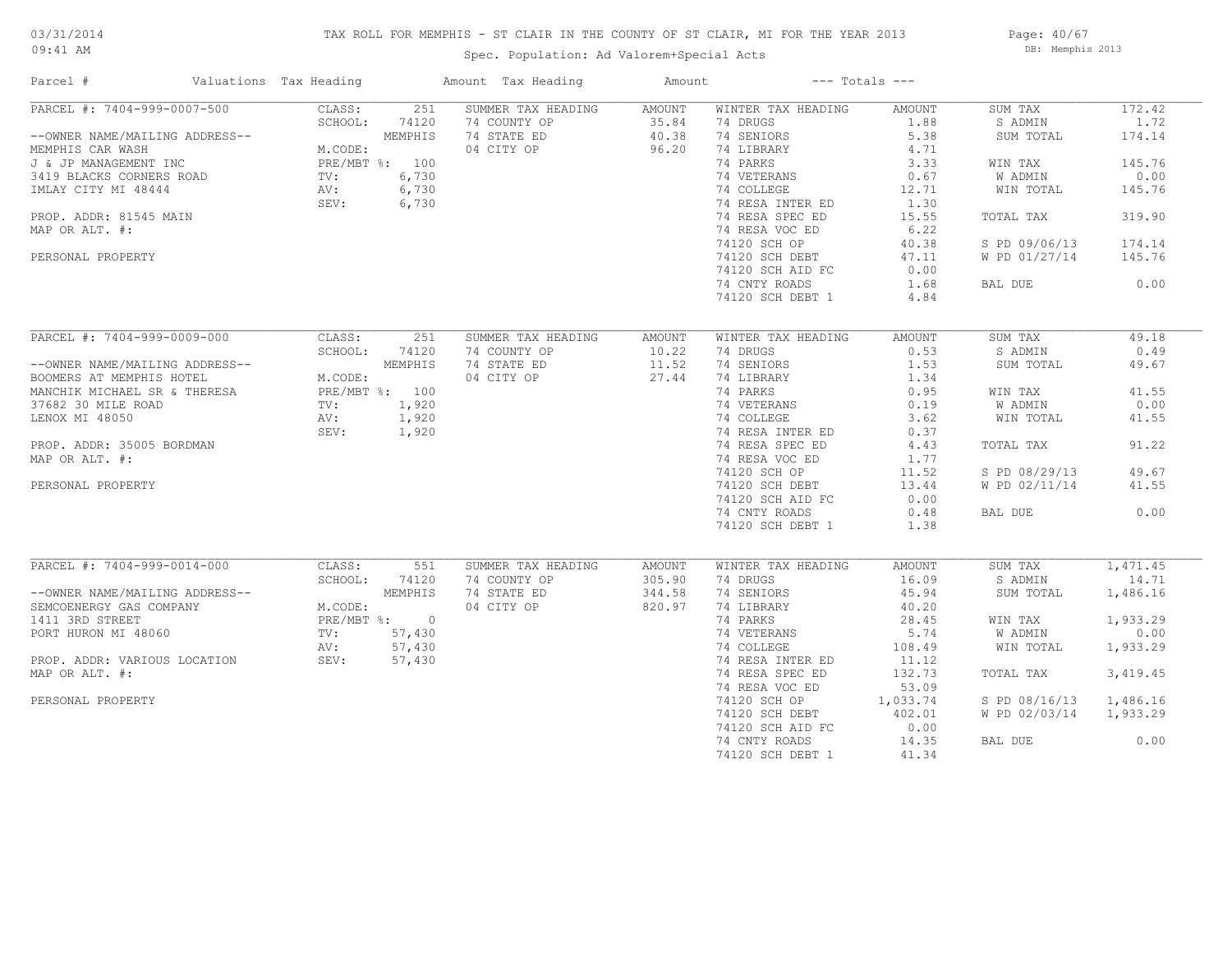#### TAX ROLL FOR MEMPHIS - ST CLAIR IN THE COUNTY OF ST CLAIR, MI FOR THE YEAR 2013

09:41 AM

## Spec. Population: Ad Valorem+Special Acts

Page: 40/67 DB: Memphis 2013

| Parcel #                                                                                                                                                                                                                       | Valuations Tax Heading |                                                                      |                                                    | Amount Tax Heading                                              | Amount                            |                                                                                                                                                                                                | $---$ Totals $---$                                                                                 |                                                                                                                   |                                                                                    |
|--------------------------------------------------------------------------------------------------------------------------------------------------------------------------------------------------------------------------------|------------------------|----------------------------------------------------------------------|----------------------------------------------------|-----------------------------------------------------------------|-----------------------------------|------------------------------------------------------------------------------------------------------------------------------------------------------------------------------------------------|----------------------------------------------------------------------------------------------------|-------------------------------------------------------------------------------------------------------------------|------------------------------------------------------------------------------------|
| PARCEL #: 7404-999-0007-500<br>--OWNER NAME/MAILING ADDRESS--<br>MEMPHIS CAR WASH<br>J & JP MANAGEMENT INC<br>3419 BLACKS CORNERS ROAD<br>IMLAY CITY MI 48444<br>PROP. ADDR: 81545 MAIN<br>MAP OR ALT. #:<br>PERSONAL PROPERTY |                        | CLASS:<br>SCHOOL:<br>M.CODE:<br>PRE/MBT %: 100<br>TV:<br>AV:<br>SEV: | 251<br>74120<br>MEMPHIS<br>6,730<br>6,730<br>6,730 | SUMMER TAX HEADING<br>74 COUNTY OP<br>74 STATE ED<br>04 CITY OP | AMOUNT<br>35.84<br>40.38<br>96.20 | WINTER TAX HEADING<br>74 DRUGS<br>74 SENIORS<br>74 LIBRARY<br>74 PARKS<br>74 VETERANS<br>74 COLLEGE<br>74 RESA INTER ED<br>74 RESA SPEC ED<br>74 RESA VOC ED<br>74120 SCH OP<br>74120 SCH DEBT | AMOUNT<br>1.88<br>5.38<br>4.71<br>3.33<br>0.67<br>12.71<br>1.30<br>15.55<br>6.22<br>40.38<br>47.11 | SUM TAX<br>S ADMIN<br>SUM TOTAL<br>WIN TAX<br>W ADMIN<br>WIN TOTAL<br>TOTAL TAX<br>S PD 09/06/13<br>W PD 01/27/14 | 172.42<br>1.72<br>174.14<br>145.76<br>0.00<br>145.76<br>319.90<br>174.14<br>145.76 |
|                                                                                                                                                                                                                                |                        |                                                                      |                                                    |                                                                 |                                   | 74120 SCH AID FC<br>74 CNTY ROADS<br>74120 SCH DEBT 1                                                                                                                                          | 0.00<br>1.68<br>4.84                                                                               | BAL DUE                                                                                                           | 0.00                                                                               |
| PARCEL #: 7404-999-0009-000                                                                                                                                                                                                    |                        | CLASS:<br>SCHOOL:                                                    | 251<br>74120                                       | SUMMER TAX HEADING<br>74 COUNTY OP                              | AMOUNT<br>10.22                   | WINTER TAX HEADING<br>74 DRUGS                                                                                                                                                                 | AMOUNT<br>0.53                                                                                     | SUM TAX<br>S ADMIN                                                                                                | 49.18<br>0.49                                                                      |
| --OWNER NAME/MAILING ADDRESS--<br>BOOMERS AT MEMPHIS HOTEL<br>MANCHIK MICHAEL SR & THERESA                                                                                                                                     |                        | M.CODE:<br>PRE/MBT %: 100                                            | MEMPHIS                                            | 74 STATE ED<br>04 CITY OP                                       | 11.52<br>27.44                    | 74 SENIORS<br>74 LIBRARY<br>74 PARKS                                                                                                                                                           | 1.53<br>1.34<br>0.95                                                                               | SUM TOTAL<br>WIN TAX                                                                                              | 49.67<br>41.55                                                                     |
| 37682 30 MILE ROAD<br>LENOX MI 48050                                                                                                                                                                                           |                        | TV:<br>AV:<br>SEV:                                                   | 1,920<br>1,920<br>1,920                            |                                                                 |                                   | 74 VETERANS<br>74 COLLEGE<br>74 RESA INTER ED                                                                                                                                                  | 0.19<br>3.62<br>0.37                                                                               | W ADMIN<br>WIN TOTAL                                                                                              | 0.00<br>41.55                                                                      |
| PROP. ADDR: 35005 BORDMAN<br>MAP OR ALT. #:                                                                                                                                                                                    |                        |                                                                      |                                                    |                                                                 |                                   | 74 RESA SPEC ED<br>74 RESA VOC ED                                                                                                                                                              | 4.43<br>1.77                                                                                       | TOTAL TAX                                                                                                         | 91.22                                                                              |
| PERSONAL PROPERTY                                                                                                                                                                                                              |                        |                                                                      |                                                    |                                                                 |                                   | 74120 SCH OP<br>74120 SCH DEBT<br>74120 SCH AID FC                                                                                                                                             | 11.52<br>13.44<br>0.00                                                                             | S PD 08/29/13<br>W PD 02/11/14                                                                                    | 49.67<br>41.55                                                                     |
|                                                                                                                                                                                                                                |                        |                                                                      |                                                    |                                                                 |                                   | 74 CNTY ROADS<br>74120 SCH DEBT 1                                                                                                                                                              | 0.48<br>1.38                                                                                       | BAL DUE                                                                                                           | 0.00                                                                               |
| PARCEL #: 7404-999-0014-000                                                                                                                                                                                                    |                        | CLASS:<br>SCHOOL:                                                    | 551<br>74120                                       | SUMMER TAX HEADING<br>74 COUNTY OP                              | AMOUNT<br>305.90                  | WINTER TAX HEADING<br>74 DRUGS                                                                                                                                                                 | AMOUNT<br>16.09                                                                                    | SUM TAX<br>S ADMIN                                                                                                | 1,471.45<br>14.71                                                                  |
| --OWNER NAME/MAILING ADDRESS--<br>SEMCOENERGY GAS COMPANY                                                                                                                                                                      |                        | M.CODE:                                                              | MEMPHIS                                            | 74 STATE ED<br>04 CITY OP                                       | 344.58<br>820.97                  | 74 SENIORS<br>74 LIBRARY                                                                                                                                                                       | 45.94<br>40.20                                                                                     | SUM TOTAL                                                                                                         | 1,486.16                                                                           |
| 1411 3RD STREET<br>PORT HURON MI 48060                                                                                                                                                                                         |                        | PRE/MBT %: 0<br>TV:                                                  | 57,430                                             |                                                                 |                                   | 74 PARKS<br>74 VETERANS                                                                                                                                                                        | 28.45<br>5.74                                                                                      | WIN TAX<br>W ADMIN                                                                                                | 1,933.29<br>0.00                                                                   |
| PROP. ADDR: VARIOUS LOCATION<br>MAP OR ALT. #:                                                                                                                                                                                 |                        | AV:<br>SEV:                                                          | 57,430<br>57,430                                   |                                                                 |                                   | 74 COLLEGE<br>74 RESA INTER ED<br>74 RESA SPEC ED                                                                                                                                              | 108.49<br>11.12<br>132.73                                                                          | WIN TOTAL<br>TOTAL TAX                                                                                            | 1,933.29<br>3,419.45                                                               |
| PERSONAL PROPERTY                                                                                                                                                                                                              |                        |                                                                      |                                                    |                                                                 |                                   | 74 RESA VOC ED<br>74120 SCH OP                                                                                                                                                                 | 53.09<br>1,033.74                                                                                  | S PD 08/16/13                                                                                                     | 1,486.16                                                                           |
|                                                                                                                                                                                                                                |                        |                                                                      |                                                    |                                                                 |                                   | 74120 SCH DEBT<br>74120 SCH AID FC                                                                                                                                                             | 402.01<br>0.00                                                                                     | W PD 02/03/14                                                                                                     | 1,933.29                                                                           |
|                                                                                                                                                                                                                                |                        |                                                                      |                                                    |                                                                 |                                   | 74 CNTY ROADS<br>74120 SCH DEBT 1                                                                                                                                                              | 14.35<br>41.34                                                                                     | BAL DUE                                                                                                           | 0.00                                                                               |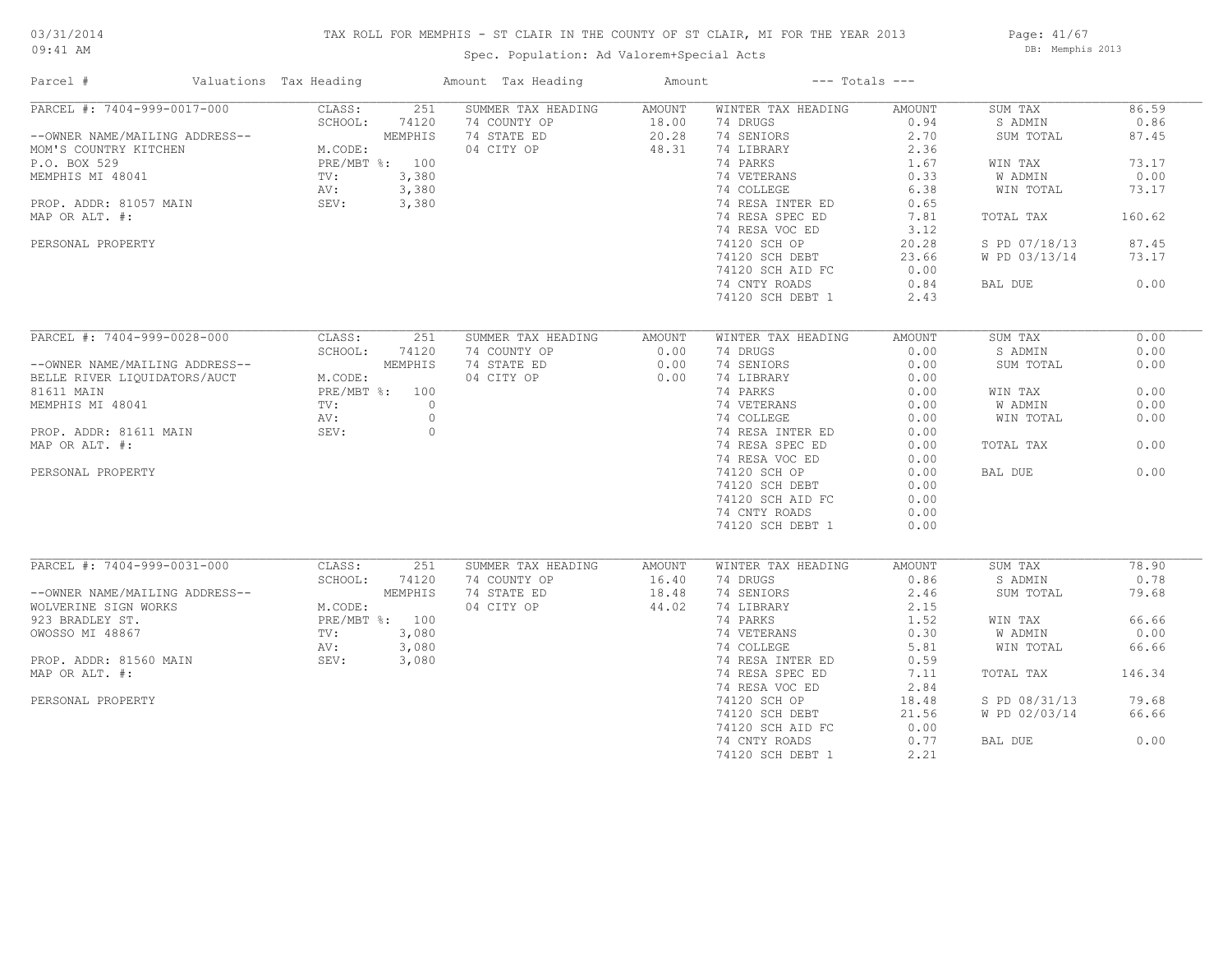## TAX ROLL FOR MEMPHIS - ST CLAIR IN THE COUNTY OF ST CLAIR, MI FOR THE YEAR 2013

09:41 AM

## Spec. Population: Ad Valorem+Special Acts

Page: 41/67 DB: Memphis 2013

| Parcel #                       | Valuations Tax Heading |                | Amount Tax Heading                 | Amount          |                                | $---$ Totals $---$ |                    |               |
|--------------------------------|------------------------|----------------|------------------------------------|-----------------|--------------------------------|--------------------|--------------------|---------------|
| PARCEL #: 7404-999-0017-000    | CLASS:                 | 251            | SUMMER TAX HEADING                 | <b>AMOUNT</b>   | WINTER TAX HEADING             | AMOUNT             | SUM TAX            | 86.59         |
|                                | SCHOOL:                | 74120          | 74 COUNTY OP                       | 18.00           | 74 DRUGS                       | 0.94               | S ADMIN            | 0.86          |
| --OWNER NAME/MAILING ADDRESS-- |                        | MEMPHIS        | 74 STATE ED                        | 20.28           | 74 SENIORS                     | 2.70               | SUM TOTAL          | 87.45         |
| MOM'S COUNTRY KITCHEN          | M.CODE:                |                | 04 CITY OP                         | 48.31           | 74 LIBRARY                     | 2.36               |                    |               |
| P.O. BOX 529                   |                        | PRE/MBT %: 100 |                                    |                 | 74 PARKS                       | 1.67               | WIN TAX            | 73.17         |
| MEMPHIS MI 48041               | TV:                    | 3,380          |                                    |                 | 74 VETERANS                    | 0.33               | W ADMIN            | 0.00          |
|                                | AV:                    | 3,380          |                                    |                 | 74 COLLEGE                     | 6.38               | WIN TOTAL          | 73.17         |
| PROP. ADDR: 81057 MAIN         | SEV:                   | 3,380          |                                    |                 | 74 RESA INTER ED               | 0.65               |                    |               |
| MAP OR ALT. #:                 |                        |                |                                    |                 | 74 RESA SPEC ED                | 7.81               | TOTAL TAX          | 160.62        |
|                                |                        |                |                                    |                 | 74 RESA VOC ED                 | 3.12               |                    |               |
| PERSONAL PROPERTY              |                        |                |                                    |                 | 74120 SCH OP                   | 20.28              | S PD 07/18/13      | 87.45         |
|                                |                        |                |                                    |                 | 74120 SCH DEBT                 | 23.66              | W PD 03/13/14      | 73.17         |
|                                |                        |                |                                    |                 | 74120 SCH AID FC               | 0.00               |                    |               |
|                                |                        |                |                                    |                 | 74 CNTY ROADS                  | 0.84               | BAL DUE            | 0.00          |
|                                |                        |                |                                    |                 | 74120 SCH DEBT 1               | 2.43               |                    |               |
|                                |                        |                |                                    |                 |                                |                    |                    |               |
| PARCEL #: 7404-999-0028-000    | CLASS:                 | 251            | SUMMER TAX HEADING                 | AMOUNT          | WINTER TAX HEADING             | AMOUNT             | SUM TAX            | 0.00          |
|                                | SCHOOL:                | 74120          | 74 COUNTY OP                       | 0.00            | 74 DRUGS                       | 0.00               | S ADMIN            | 0.00          |
| --OWNER NAME/MAILING ADDRESS-- |                        | MEMPHIS        | 74 STATE ED                        | 0.00            | 74 SENIORS                     | 0.00               | SUM TOTAL          | 0.00          |
| BELLE RIVER LIQUIDATORS/AUCT   | M.CODE:                |                | 04 CITY OP                         | 0.00            | 74 LIBRARY                     | 0.00               |                    |               |
|                                |                        | PRE/MBT %: 100 |                                    |                 |                                |                    |                    | 0.00          |
| 81611 MAIN                     |                        |                |                                    |                 | 74 PARKS                       | 0.00               | WIN TAX            |               |
| MEMPHIS MI 48041               | TV:                    | $\circ$        |                                    |                 | 74 VETERANS                    | 0.00               | W ADMIN            | 0.00          |
|                                | AV:                    | $\circ$        |                                    |                 | 74 COLLEGE                     | 0.00               | WIN TOTAL          | 0.00          |
| PROP. ADDR: 81611 MAIN         | SEV:                   | $\circ$        |                                    |                 | 74 RESA INTER ED               | 0.00               |                    |               |
| MAP OR ALT. #:                 |                        |                |                                    |                 | 74 RESA SPEC ED                | 0.00               | TOTAL TAX          | 0.00          |
|                                |                        |                |                                    |                 | 74 RESA VOC ED                 | 0.00               |                    |               |
| PERSONAL PROPERTY              |                        |                |                                    |                 | 74120 SCH OP                   | 0.00               | BAL DUE            | 0.00          |
|                                |                        |                |                                    |                 | 74120 SCH DEBT                 | 0.00               |                    |               |
|                                |                        |                |                                    |                 | 74120 SCH AID FC               | 0.00               |                    |               |
|                                |                        |                |                                    |                 | 74 CNTY ROADS                  | 0.00               |                    |               |
|                                |                        |                |                                    |                 | 74120 SCH DEBT 1               | 0.00               |                    |               |
|                                |                        |                |                                    |                 |                                |                    |                    |               |
| PARCEL #: 7404-999-0031-000    | CLASS:<br>SCHOOL:      | 251<br>74120   | SUMMER TAX HEADING<br>74 COUNTY OP | AMOUNT<br>16.40 | WINTER TAX HEADING<br>74 DRUGS | AMOUNT<br>0.86     | SUM TAX<br>S ADMIN | 78.90<br>0.78 |
| --OWNER NAME/MAILING ADDRESS-- |                        | MEMPHIS        | 74 STATE ED                        |                 | 74 SENIORS                     |                    |                    | 79.68         |
|                                |                        |                |                                    | 18.48           |                                | 2.46               | SUM TOTAL          |               |
| WOLVERINE SIGN WORKS           | M.CODE:                |                | 04 CITY OP                         | 44.02           | 74 LIBRARY                     | 2.15               |                    |               |
| 923 BRADLEY ST.                |                        | PRE/MBT %: 100 |                                    |                 | 74 PARKS                       | 1.52               | WIN TAX            | 66.66         |
| OWOSSO MI 48867                | TV:                    | 3,080          |                                    |                 | 74 VETERANS                    | 0.30               | W ADMIN            | 0.00          |
|                                | AV:                    | 3,080          |                                    |                 | 74 COLLEGE                     | 5.81               | WIN TOTAL          | 66.66         |
| PROP. ADDR: 81560 MAIN         | SEV:                   | 3,080          |                                    |                 | 74 RESA INTER ED               | 0.59               |                    |               |
| MAP OR ALT. #:                 |                        |                |                                    |                 | 74 RESA SPEC ED                | 7.11               | TOTAL TAX          | 146.34        |
|                                |                        |                |                                    |                 | 74 RESA VOC ED                 | 2.84               |                    |               |
| PERSONAL PROPERTY              |                        |                |                                    |                 | 74120 SCH OP                   | 18.48              | S PD 08/31/13      | 79.68         |
|                                |                        |                |                                    |                 | 74120 SCH DEBT                 | 21.56              | W PD 02/03/14      | 66.66         |
|                                |                        |                |                                    |                 | 74120 SCH AID FC               | 0.00               |                    |               |
|                                |                        |                |                                    |                 | 74 CNTY ROADS                  | 0.77               | BAL DUE            | 0.00          |
|                                |                        |                |                                    |                 | 74120 SCH DEBT 1               | 2.21               |                    |               |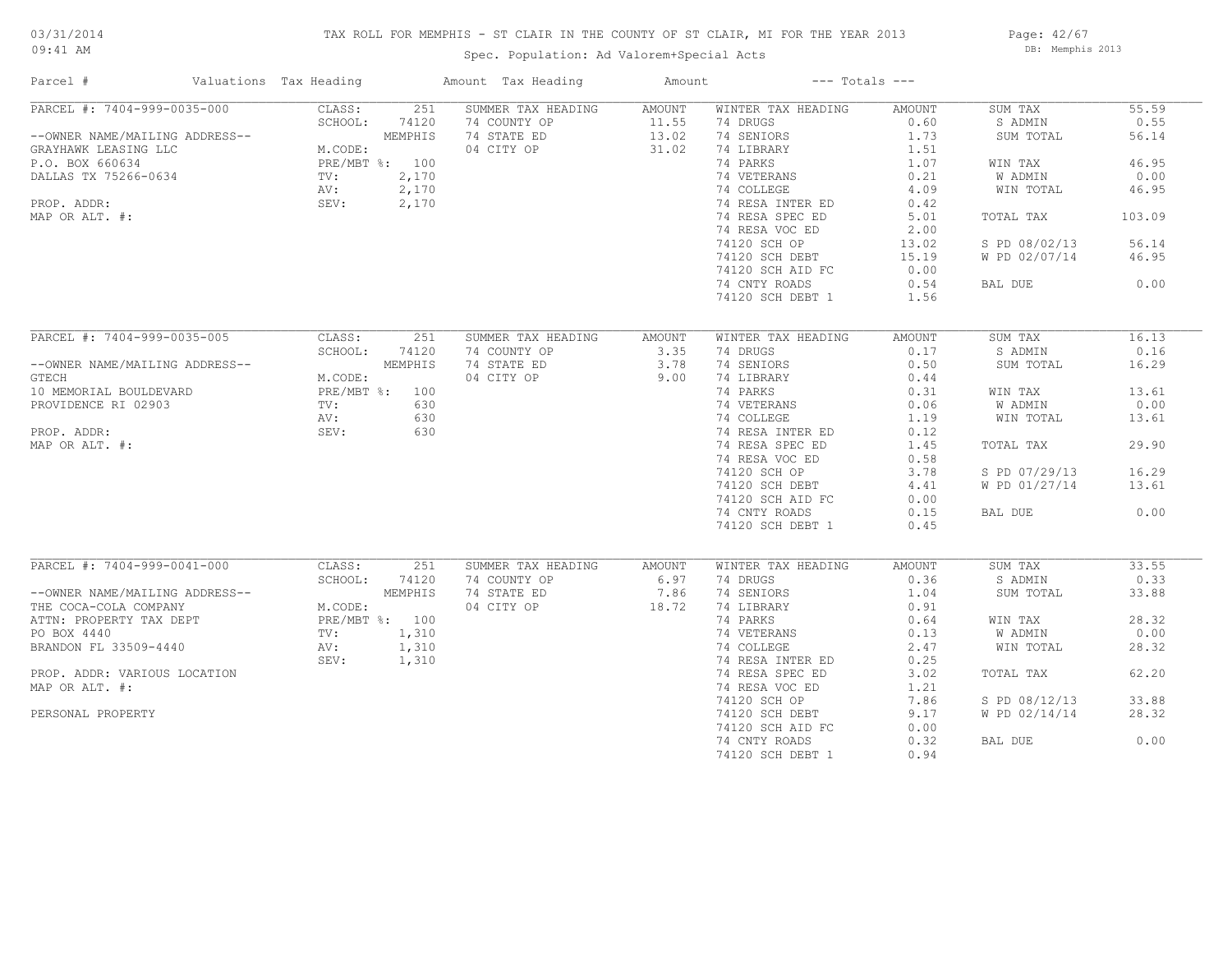## TAX ROLL FOR MEMPHIS - ST CLAIR IN THE COUNTY OF ST CLAIR, MI FOR THE YEAR 2013

Spec. Population: Ad Valorem+Special Acts

Page: 42/67 DB: Memphis 2013

| Parcel #                       | Valuations Tax Heading |         | Amount Tax Heading | Amount |                    | $---$ Totals $---$ |               |        |
|--------------------------------|------------------------|---------|--------------------|--------|--------------------|--------------------|---------------|--------|
| PARCEL #: 7404-999-0035-000    | CLASS:                 | 251     | SUMMER TAX HEADING | AMOUNT | WINTER TAX HEADING | AMOUNT             | SUM TAX       | 55.59  |
|                                | SCHOOL:                | 74120   | 74 COUNTY OP       | 11.55  | 74 DRUGS           | 0.60               | S ADMIN       | 0.55   |
| --OWNER NAME/MAILING ADDRESS-- |                        | MEMPHIS | 74 STATE ED        | 13.02  | 74 SENIORS         | 1.73               | SUM TOTAL     | 56.14  |
| GRAYHAWK LEASING LLC           | M.CODE:                |         | 04 CITY OP         | 31.02  | 74 LIBRARY         | 1.51               |               |        |
| P.O. BOX 660634                | PRE/MBT %: 100         |         |                    |        | 74 PARKS           | 1.07               | WIN TAX       | 46.95  |
| DALLAS TX 75266-0634           | TV:                    | 2,170   |                    |        | 74 VETERANS        | 0.21               | W ADMIN       | 0.00   |
|                                | AV:                    | 2,170   |                    |        | 74 COLLEGE         | 4.09               | WIN TOTAL     | 46.95  |
| PROP. ADDR:                    | SEV:                   | 2,170   |                    |        | 74 RESA INTER ED   | 0.42               |               |        |
| MAP OR ALT. #:                 |                        |         |                    |        | 74 RESA SPEC ED    | 5.01               | TOTAL TAX     | 103.09 |
|                                |                        |         |                    |        | 74 RESA VOC ED     | 2.00               |               |        |
|                                |                        |         |                    |        | 74120 SCH OP       | 13.02              | S PD 08/02/13 | 56.14  |
|                                |                        |         |                    |        | 74120 SCH DEBT     | 15.19              | W PD 02/07/14 | 46.95  |
|                                |                        |         |                    |        |                    | 0.00               |               |        |
|                                |                        |         |                    |        | 74120 SCH AID FC   |                    |               |        |
|                                |                        |         |                    |        | 74 CNTY ROADS      | 0.54               | BAL DUE       | 0.00   |
|                                |                        |         |                    |        | 74120 SCH DEBT 1   | 1.56               |               |        |
| PARCEL #: 7404-999-0035-005    | CLASS:                 |         |                    |        |                    |                    |               | 16.13  |
|                                |                        | 251     | SUMMER TAX HEADING | AMOUNT | WINTER TAX HEADING | AMOUNT             | SUM TAX       |        |
|                                | SCHOOL:                | 74120   | 74 COUNTY OP       | 3.35   | 74 DRUGS           | 0.17               | S ADMIN       | 0.16   |
| --OWNER NAME/MAILING ADDRESS-- |                        | MEMPHIS | 74 STATE ED        | 3.78   | 74 SENIORS         | 0.50               | SUM TOTAL     | 16.29  |
| GTECH                          | M.CODE:                |         | 04 CITY OP         | 9.00   | 74 LIBRARY         | 0.44               |               |        |
| 10 MEMORIAL BOULDEVARD         | PRE/MBT %: 100         |         |                    |        | 74 PARKS           | 0.31               | WIN TAX       | 13.61  |
| PROVIDENCE RI 02903            | TV:                    | 630     |                    |        | 74 VETERANS        | 0.06               | W ADMIN       | 0.00   |
|                                | AV:                    | 630     |                    |        | 74 COLLEGE         | 1.19               | WIN TOTAL     | 13.61  |
| PROP. ADDR:                    | SEV:                   | 630     |                    |        | 74 RESA INTER ED   | 0.12               |               |        |
| MAP OR ALT. #:                 |                        |         |                    |        | 74 RESA SPEC ED    | 1.45               | TOTAL TAX     | 29.90  |
|                                |                        |         |                    |        | 74 RESA VOC ED     | 0.58               |               |        |
|                                |                        |         |                    |        | 74120 SCH OP       | 3.78               | S PD 07/29/13 | 16.29  |
|                                |                        |         |                    |        | 74120 SCH DEBT     | 4.41               | W PD 01/27/14 | 13.61  |
|                                |                        |         |                    |        | 74120 SCH AID FC   | 0.00               |               |        |
|                                |                        |         |                    |        | 74 CNTY ROADS      | 0.15               | BAL DUE       | 0.00   |
|                                |                        |         |                    |        | 74120 SCH DEBT 1   | 0.45               |               |        |
|                                |                        |         |                    |        |                    |                    |               |        |
| PARCEL #: 7404-999-0041-000    | CLASS:                 | 251     | SUMMER TAX HEADING | AMOUNT | WINTER TAX HEADING | AMOUNT             | SUM TAX       | 33.55  |
|                                | SCHOOL:                | 74120   | 74 COUNTY OP       | 6.97   | 74 DRUGS           | 0.36               | S ADMIN       | 0.33   |
| --OWNER NAME/MAILING ADDRESS-- |                        | MEMPHIS | 74 STATE ED        | 7.86   | 74 SENIORS         | 1.04               | SUM TOTAL     | 33.88  |
| THE COCA-COLA COMPANY          | M.CODE:                |         | 04 CITY OP         | 18.72  | 74 LIBRARY         | 0.91               |               |        |
| ATTN: PROPERTY TAX DEPT        | PRE/MBT %: 100         |         |                    |        | 74 PARKS           | 0.64               | WIN TAX       | 28.32  |
| PO BOX 4440                    | TV:                    | 1,310   |                    |        | 74 VETERANS        | 0.13               | W ADMIN       | 0.00   |
| BRANDON FL 33509-4440          | AV:                    | 1,310   |                    |        | 74 COLLEGE         | 2.47               | WIN TOTAL     | 28.32  |
|                                |                        |         |                    |        |                    |                    |               |        |
|                                | SEV:                   | 1,310   |                    |        | 74 RESA INTER ED   | 0.25               |               |        |
| PROP. ADDR: VARIOUS LOCATION   |                        |         |                    |        | 74 RESA SPEC ED    | 3.02               | TOTAL TAX     | 62.20  |
| MAP OR ALT. #:                 |                        |         |                    |        | 74 RESA VOC ED     | 1.21               |               |        |
|                                |                        |         |                    |        | 74120 SCH OP       | 7.86               | S PD 08/12/13 | 33.88  |
| PERSONAL PROPERTY              |                        |         |                    |        | 74120 SCH DEBT     | 9.17               | W PD 02/14/14 | 28.32  |
|                                |                        |         |                    |        | 74120 SCH AID FC   | 0.00               |               |        |
|                                |                        |         |                    |        | 74 CNTY ROADS      | 0.32               | BAL DUE       | 0.00   |
|                                |                        |         |                    |        | 74120 SCH DEBT 1   | 0.94               |               |        |
|                                |                        |         |                    |        |                    |                    |               |        |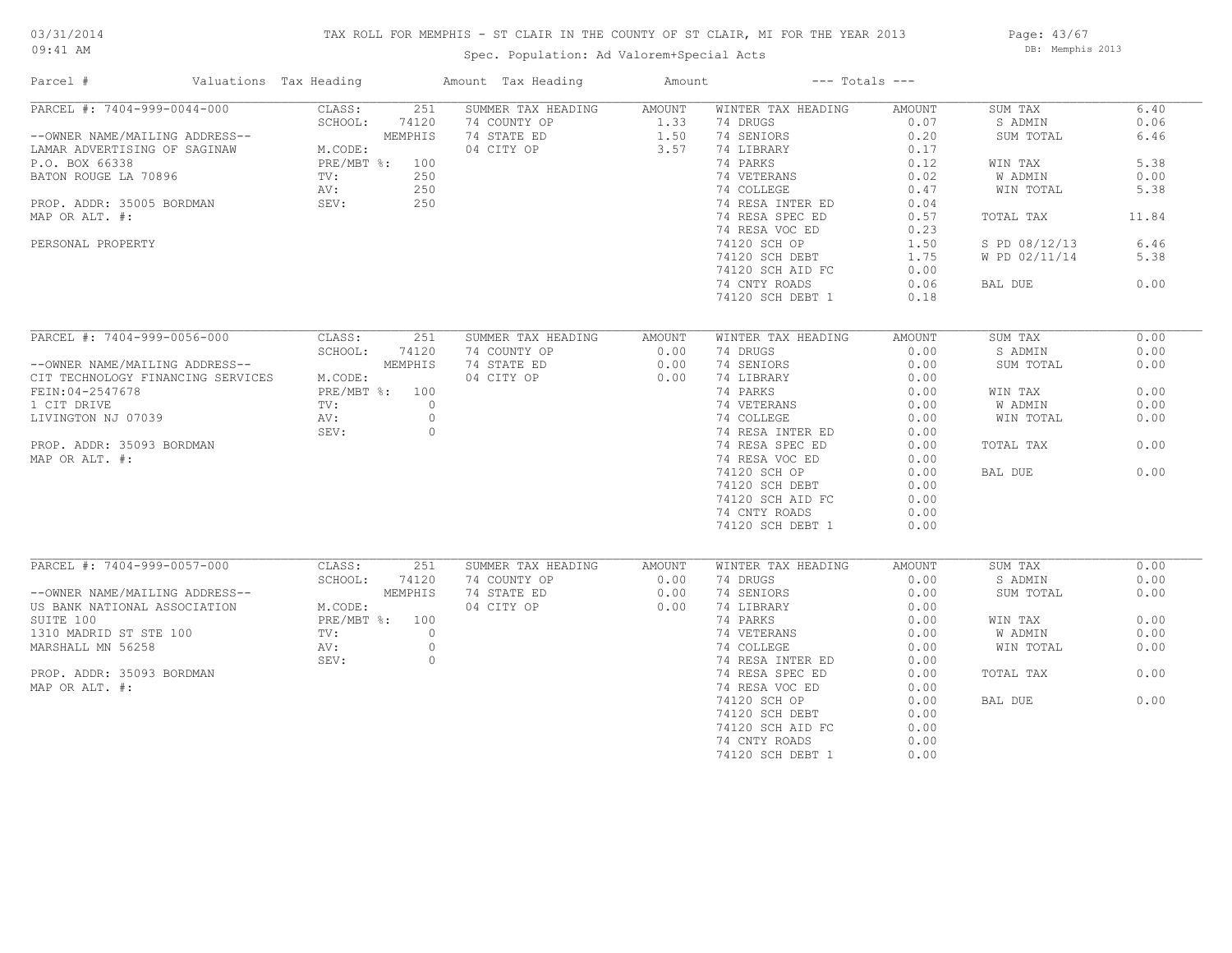## TAX ROLL FOR MEMPHIS - ST CLAIR IN THE COUNTY OF ST CLAIR, MI FOR THE YEAR 2013

## Spec. Population: Ad Valorem+Special Acts

Page: 43/67 DB: Memphis 2013

| Parcel #                                                                                                                                                                                                   | Valuations Tax Heading |                                                                                                                      | Amount Tax Heading                                                                               | Amount                         | $---$ Totals $---$                                                                                                                                                                                                                                      |                                                                                                                        |                                                                                            |                                                              |
|------------------------------------------------------------------------------------------------------------------------------------------------------------------------------------------------------------|------------------------|----------------------------------------------------------------------------------------------------------------------|--------------------------------------------------------------------------------------------------|--------------------------------|---------------------------------------------------------------------------------------------------------------------------------------------------------------------------------------------------------------------------------------------------------|------------------------------------------------------------------------------------------------------------------------|--------------------------------------------------------------------------------------------|--------------------------------------------------------------|
| PARCEL #: 7404-999-0044-000<br>--OWNER NAME/MAILING ADDRESS--<br>LAMAR ADVERTISING OF SAGINAW<br>P.O. BOX 66338<br>BATON ROUGE LA 70896<br>PROP. ADDR: 35005 BORDMAN<br>MAP OR ALT. #:                     |                        | CLASS:<br>251<br>SCHOOL:<br>74120<br>MEMPHIS<br>M.CODE:<br>PRE/MBT %: 100<br>250<br>TV:<br>250<br>AV:<br>250<br>SEV: | SUMMER TAX HEADING<br>74 COUNTY OP<br>74 STATE ED<br>04 CITY OP                                  | AMOUNT<br>1.33<br>1.50<br>3.57 | WINTER TAX HEADING<br>74 DRUGS<br>74 SENIORS<br>74 LIBRARY<br>74 PARKS<br>74 VETERANS<br>74 COLLEGE<br>74 RESA INTER ED<br>74 RESA SPEC ED                                                                                                              | AMOUNT<br>0.07<br>0.20<br>0.17<br>0.12<br>0.02<br>0.47<br>0.04<br>0.57                                                 | SUM TAX<br>S ADMIN<br>SUM TOTAL<br>WIN TAX<br>W ADMIN<br>WIN TOTAL<br>TOTAL TAX            | 6.40<br>0.06<br>6.46<br>5.38<br>0.00<br>5.38<br>11.84        |
| PERSONAL PROPERTY                                                                                                                                                                                          |                        |                                                                                                                      |                                                                                                  |                                | 74 RESA VOC ED<br>74120 SCH OP<br>74120 SCH DEBT<br>74120 SCH AID FC<br>74 CNTY ROADS<br>74120 SCH DEBT 1                                                                                                                                               | 0.23<br>1.50<br>1.75<br>0.00<br>0.06<br>0.18                                                                           | S PD 08/12/13<br>W PD 02/11/14<br>BAL DUE                                                  | 6.46<br>5.38<br>0.00                                         |
| PARCEL #: 7404-999-0056-000<br>--OWNER NAME/MAILING ADDRESS--<br>CIT TECHNOLOGY FINANCING SERVICES<br>FEIN: 04-2547678<br>1 CIT DRIVE<br>LIVINGTON NJ 07039<br>PROP. ADDR: 35093 BORDMAN<br>MAP OR ALT. #: |                        | CLASS:<br>251<br>SCHOOL:<br>74120<br>MEMPHIS<br>M.CODE:<br>PRE/MBT %: 100<br>TV:<br>AV:<br>SEV:                      | SUMMER TAX HEADING<br>74 COUNTY OP<br>74 STATE ED<br>04 CITY OP<br>$\circ$<br>$\circ$<br>$\circ$ | AMOUNT<br>0.00<br>0.00<br>0.00 | WINTER TAX HEADING<br>74 DRUGS<br>74 SENIORS<br>74 LIBRARY<br>74 PARKS<br>74 VETERANS<br>74 COLLEGE<br>74 RESA INTER ED<br>74 RESA SPEC ED<br>74 RESA VOC ED<br>74120 SCH OP<br>74120 SCH DEBT<br>74120 SCH AID FC<br>74 CNTY ROADS<br>74120 SCH DEBT 1 | AMOUNT<br>0.00<br>0.00<br>0.00<br>0.00<br>0.00<br>0.00<br>0.00<br>0.00<br>0.00<br>0.00<br>0.00<br>0.00<br>0.00<br>0.00 | SUM TAX<br>S ADMIN<br>SUM TOTAL<br>WIN TAX<br>W ADMIN<br>WIN TOTAL<br>TOTAL TAX<br>BAL DUE | 0.00<br>0.00<br>0.00<br>0.00<br>0.00<br>0.00<br>0.00<br>0.00 |
| PARCEL #: 7404-999-0057-000<br>--OWNER NAME/MAILING ADDRESS--<br>US BANK NATIONAL ASSOCIATION<br>SUITE 100<br>1310 MADRID ST STE 100<br>MARSHALL MN 56258<br>PROP. ADDR: 35093 BORDMAN<br>MAP OR ALT. #:   |                        | CLASS:<br>251<br>SCHOOL:<br>74120<br>MEMPHIS<br>M.CODE:<br>PRE/MBT %: 100<br>TV:<br>AV:<br>SEV:                      | SUMMER TAX HEADING<br>74 COUNTY OP<br>74 STATE ED<br>04 CITY OP<br>$\circ$<br>$\circ$<br>$\circ$ | AMOUNT<br>0.00<br>0.00<br>0.00 | WINTER TAX HEADING<br>74 DRUGS<br>74 SENIORS<br>74 LIBRARY<br>74 PARKS<br>74 VETERANS<br>74 COLLEGE<br>74 RESA INTER ED<br>74 RESA SPEC ED<br>74 RESA VOC ED<br>74120 SCH OP<br>74120 SCH DEBT<br>74120 SCH AID FC<br>74 CNTY ROADS<br>74120 SCH DEBT 1 | AMOUNT<br>0.00<br>0.00<br>0.00<br>0.00<br>0.00<br>0.00<br>0.00<br>0.00<br>0.00<br>0.00<br>0.00<br>0.00<br>0.00<br>0.00 | SUM TAX<br>S ADMIN<br>SUM TOTAL<br>WIN TAX<br>W ADMIN<br>WIN TOTAL<br>TOTAL TAX<br>BAL DUE | 0.00<br>0.00<br>0.00<br>0.00<br>0.00<br>0.00<br>0.00<br>0.00 |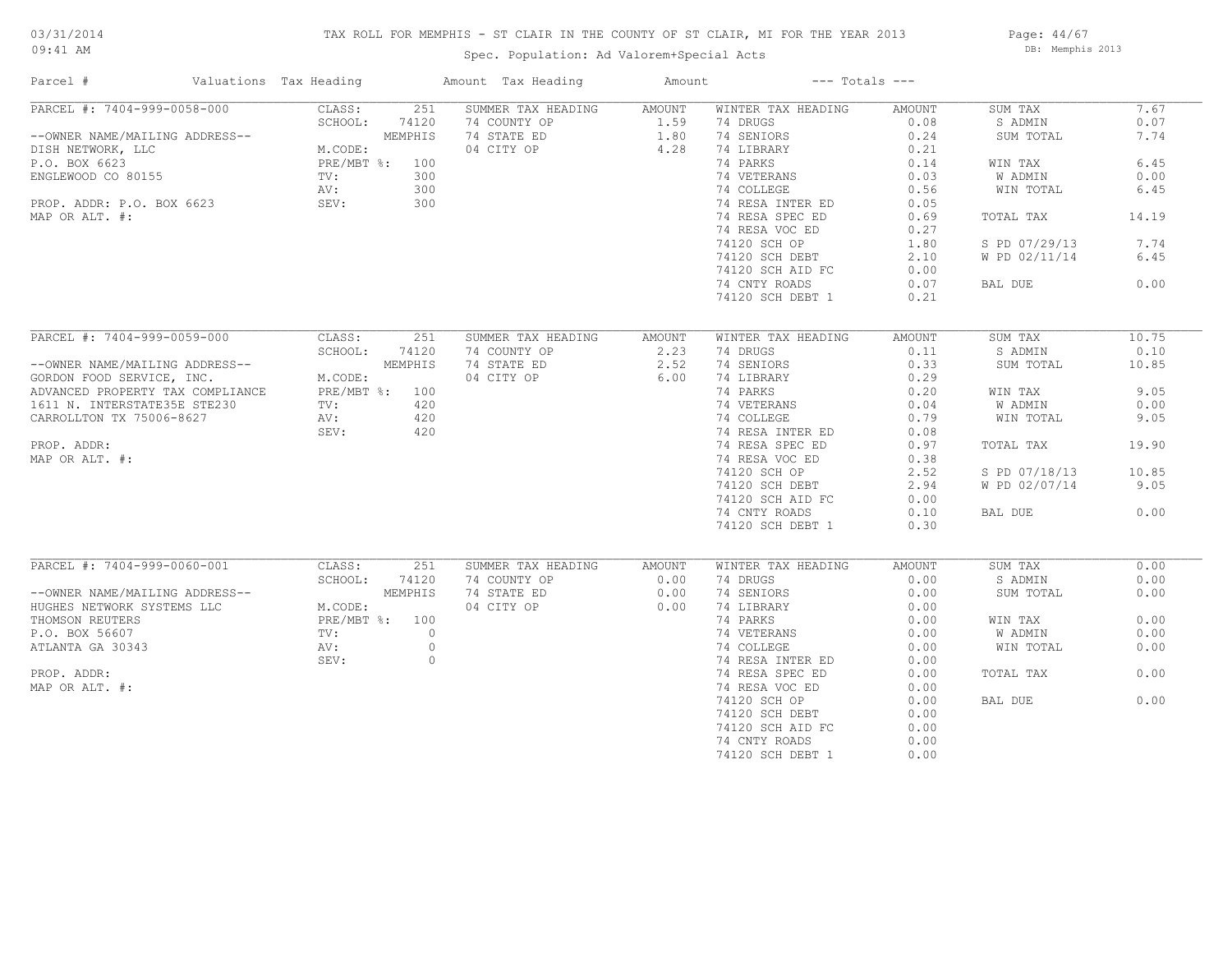## TAX ROLL FOR MEMPHIS - ST CLAIR IN THE COUNTY OF ST CLAIR, MI FOR THE YEAR 2013

Spec. Population: Ad Valorem+Special Acts

Page: 44/67 DB: Memphis 2013

| Parcel #                         | Valuations Tax Heading |                      | Amount Tax Heading | Amount | $---$ Totals $---$ |        |               |       |
|----------------------------------|------------------------|----------------------|--------------------|--------|--------------------|--------|---------------|-------|
| PARCEL #: 7404-999-0058-000      |                        | 251<br>CLASS:        | SUMMER TAX HEADING | AMOUNT | WINTER TAX HEADING | AMOUNT | SUM TAX       | 7.67  |
|                                  |                        | SCHOOL:<br>74120     | 74 COUNTY OP       | 1.59   | 74 DRUGS           | 0.08   | S ADMIN       | 0.07  |
| --OWNER NAME/MAILING ADDRESS--   |                        | MEMPHIS              | 74 STATE ED        | 1.80   | 74 SENIORS         | 0.24   | SUM TOTAL     | 7.74  |
| DISH NETWORK, LLC                |                        | M.CODE:              | 04 CITY OP         | 4.28   | 74 LIBRARY         | 0.21   |               |       |
| P.O. BOX 6623                    |                        | PRE/MBT %: 100       |                    |        | 74 PARKS           | 0.14   | WIN TAX       | 6.45  |
| ENGLEWOOD CO 80155               |                        | TV:<br>300           |                    |        | 74 VETERANS        | 0.03   | W ADMIN       | 0.00  |
|                                  |                        | 300<br>AV:           |                    |        | 74 COLLEGE         | 0.56   | WIN TOTAL     | 6.45  |
| PROP. ADDR: P.O. BOX 6623        |                        | SEV:<br>300          |                    |        | 74 RESA INTER ED   | 0.05   |               |       |
| MAP OR ALT. #:                   |                        |                      |                    |        | 74 RESA SPEC ED    | 0.69   | TOTAL TAX     | 14.19 |
|                                  |                        |                      |                    |        | 74 RESA VOC ED     | 0.27   |               |       |
|                                  |                        |                      |                    |        | 74120 SCH OP       | 1.80   | S PD 07/29/13 | 7.74  |
|                                  |                        |                      |                    |        |                    |        |               | 6.45  |
|                                  |                        |                      |                    |        | 74120 SCH DEBT     | 2.10   | W PD 02/11/14 |       |
|                                  |                        |                      |                    |        | 74120 SCH AID FC   | 0.00   |               |       |
|                                  |                        |                      |                    |        | 74 CNTY ROADS      | 0.07   | BAL DUE       | 0.00  |
|                                  |                        |                      |                    |        | 74120 SCH DEBT 1   | 0.21   |               |       |
| PARCEL #: 7404-999-0059-000      |                        | CLASS:<br>251        | SUMMER TAX HEADING | AMOUNT | WINTER TAX HEADING | AMOUNT | SUM TAX       | 10.75 |
|                                  |                        | SCHOOL:<br>74120     | 74 COUNTY OP       | 2.23   | 74 DRUGS           | 0.11   | S ADMIN       | 0.10  |
|                                  |                        |                      |                    |        |                    |        |               |       |
| --OWNER NAME/MAILING ADDRESS--   |                        | MEMPHIS              | 74 STATE ED        | 2.52   | 74 SENIORS         | 0.33   | SUM TOTAL     | 10.85 |
| GORDON FOOD SERVICE, INC.        |                        | M.CODE:              | 04 CITY OP         | 6.00   | 74 LIBRARY         | 0.29   |               |       |
| ADVANCED PROPERTY TAX COMPLIANCE |                        | PRE/MBT %: 100       |                    |        | 74 PARKS           | 0.20   | WIN TAX       | 9.05  |
| 1611 N. INTERSTATE35E STE230     |                        | 420<br>$\text{TV}$ : |                    |        | 74 VETERANS        | 0.04   | W ADMIN       | 0.00  |
| CARROLLTON TX 75006-8627         |                        | AV:<br>420           |                    |        | 74 COLLEGE         | 0.79   | WIN TOTAL     | 9.05  |
|                                  |                        | 420<br>SEV:          |                    |        | 74 RESA INTER ED   | 0.08   |               |       |
| PROP. ADDR:                      |                        |                      |                    |        | 74 RESA SPEC ED    | 0.97   | TOTAL TAX     | 19.90 |
| MAP OR ALT. #:                   |                        |                      |                    |        | 74 RESA VOC ED     | 0.38   |               |       |
|                                  |                        |                      |                    |        | 74120 SCH OP       | 2.52   | S PD 07/18/13 | 10.85 |
|                                  |                        |                      |                    |        | 74120 SCH DEBT     | 2.94   | W PD 02/07/14 | 9.05  |
|                                  |                        |                      |                    |        | 74120 SCH AID FC   | 0.00   |               |       |
|                                  |                        |                      |                    |        | 74 CNTY ROADS      | 0.10   | BAL DUE       | 0.00  |
|                                  |                        |                      |                    |        | 74120 SCH DEBT 1   | 0.30   |               |       |
|                                  |                        |                      |                    |        |                    |        |               |       |
| PARCEL #: 7404-999-0060-001      |                        | CLASS:<br>251        | SUMMER TAX HEADING | AMOUNT | WINTER TAX HEADING | AMOUNT | SUM TAX       | 0.00  |
|                                  |                        | SCHOOL:<br>74120     | 74 COUNTY OP       | 0.00   | 74 DRUGS           | 0.00   | S ADMIN       | 0.00  |
| --OWNER NAME/MAILING ADDRESS--   |                        | MEMPHIS              | 74 STATE ED        | 0.00   | 74 SENIORS         | 0.00   | SUM TOTAL     | 0.00  |
| HUGHES NETWORK SYSTEMS LLC       |                        | M.CODE:              | 04 CITY OP         | 0.00   | 74 LIBRARY         | 0.00   |               |       |
| THOMSON REUTERS                  |                        | PRE/MBT %: 100       |                    |        | 74 PARKS           | 0.00   | WIN TAX       | 0.00  |
| P.O. BOX 56607                   |                        | $\circ$<br>TV:       |                    |        | 74 VETERANS        | 0.00   | W ADMIN       | 0.00  |
| ATLANTA GA 30343                 |                        | $\circ$<br>AV:       |                    |        | 74 COLLEGE         | 0.00   | WIN TOTAL     | 0.00  |
|                                  |                        | $\circ$<br>SEV:      |                    |        | 74 RESA INTER ED   | 0.00   |               |       |
| PROP. ADDR:                      |                        |                      |                    |        | 74 RESA SPEC ED    | 0.00   | TOTAL TAX     | 0.00  |
|                                  |                        |                      |                    |        |                    |        |               |       |
| MAP OR ALT. #:                   |                        |                      |                    |        | 74 RESA VOC ED     | 0.00   |               |       |
|                                  |                        |                      |                    |        | 74120 SCH OP       | 0.00   | BAL DUE       | 0.00  |
|                                  |                        |                      |                    |        | 74120 SCH DEBT     | 0.00   |               |       |
|                                  |                        |                      |                    |        | 74120 SCH AID FC   | 0.00   |               |       |
|                                  |                        |                      |                    |        | 74 CNTY ROADS      | 0.00   |               |       |
|                                  |                        |                      |                    |        | 74120 SCH DEBT 1   | 0.00   |               |       |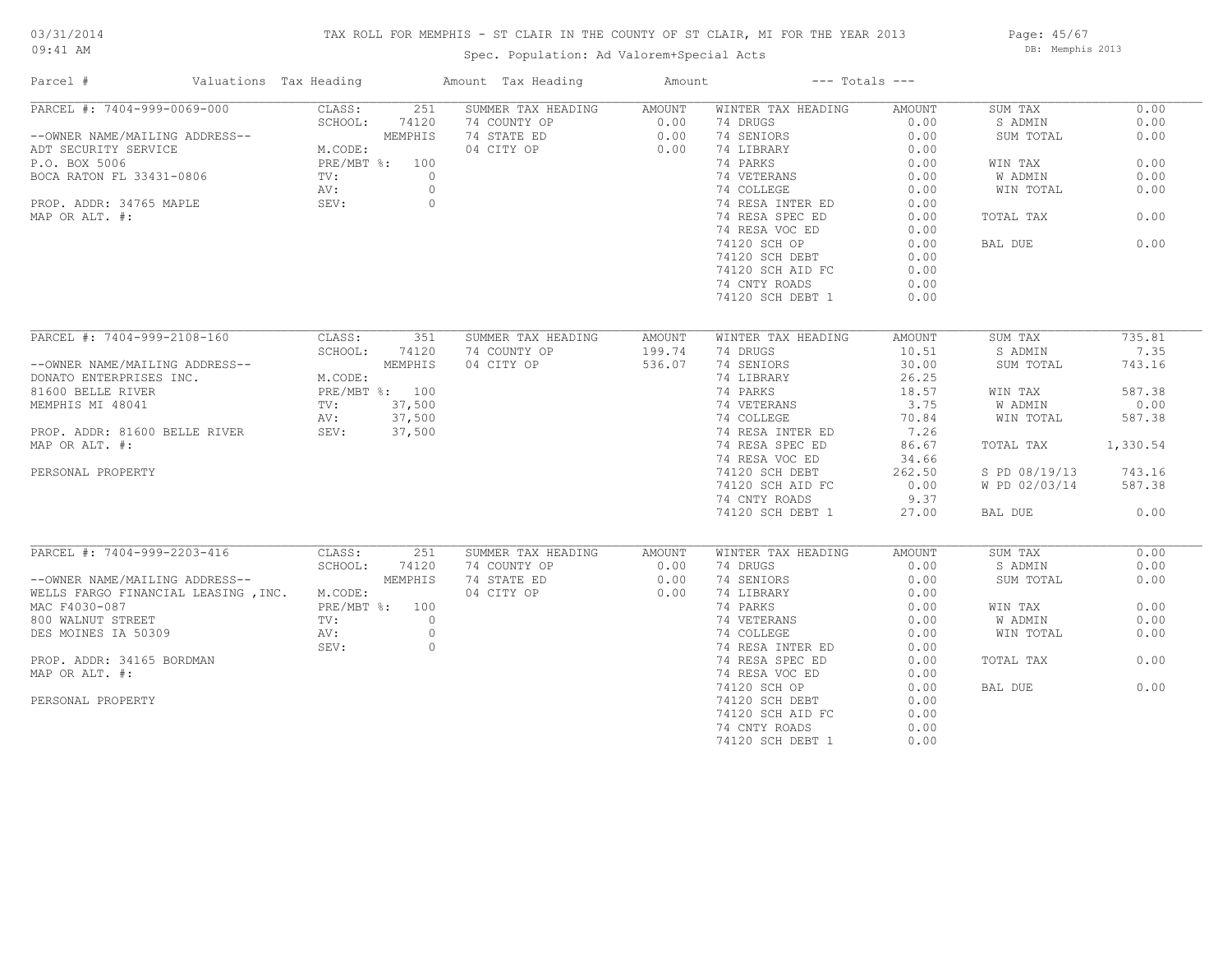#### TAX ROLL FOR MEMPHIS - ST CLAIR IN THE COUNTY OF ST CLAIR, MI FOR THE YEAR 2013

74120 SCH OP 0.00 BAL DUE 0.00

Page: 45/67 DB: Memphis 2013

| 09:41 AM                       |                        |                | Spec. Population: Ad Valorem+Special Acts |        | DB: Memphis 2013   |                    |           |      |
|--------------------------------|------------------------|----------------|-------------------------------------------|--------|--------------------|--------------------|-----------|------|
| Parcel #                       | Valuations Tax Heading |                | Amount Tax Heading                        | Amount |                    | $---$ Totals $---$ |           |      |
| PARCEL #: 7404-999-0069-000    | CLASS:                 | 2.51           | SUMMER TAX HEADING                        | AMOUNT | WINTER TAX HEADING | AMOUNT             | SUM TAX   | 0.00 |
|                                | SCHOOL:                | 74120          | 74 COUNTY OP                              | 0.00   | 74 DRUGS           | 0.00               | S ADMIN   | 0.00 |
| --OWNER NAME/MAILING ADDRESS-- |                        | MEMPHIS        | 74 STATE ED                               | 0.00   | 74 SENIORS         | 0.00               | SUM TOTAL | 0.00 |
| ADT SECURITY SERVICE           | M.CODE:                |                | 04 CITY OP                                | 0.00   | 74 LIBRARY         | 0.00               |           |      |
| P.O. BOX 5006                  |                        | PRE/MBT %: 100 |                                           |        | 74 PARKS           | 0.00               | WIN TAX   | 0.00 |
|                                |                        |                |                                           |        |                    |                    |           |      |

74120 SCH AID FC 0.00

74 RESA VOC ED 0.00

MAP OR ALT. #: THE SALT SERVICE OR DESCRIPTION OF THE SALT AND TOTAL TAX CONSIDERED A LOCAL TAX COLORED ORDER TO A LOCAL TAX COLORED AND RESA SPECIED ORDER TO TOTAL TAX PROP. ADDR: 34765 MAPLE SEV: 0 74 RESA INTER ED 0.00 AV: 0 74 COLLEGE 0.00 0.00 BOCA RATON FL 33431-0806 TV: 0<br>AV: 0 74 COLLEGE 0.00 WIN TOTAL 0.00

|                                      |              |                |                    |        | 74 CNTY ROADS<br>74120 SCH DEBT 1 | 0.00<br>0.00 |               |          |
|--------------------------------------|--------------|----------------|--------------------|--------|-----------------------------------|--------------|---------------|----------|
|                                      |              |                |                    |        |                                   |              |               |          |
| PARCEL #: 7404-999-2108-160          | CLASS:       | 351            | SUMMER TAX HEADING | AMOUNT | WINTER TAX HEADING                | AMOUNT       | SUM TAX       | 735.81   |
|                                      | SCHOOL:      | 74120          | 74 COUNTY OP       | 199.74 | 74 DRUGS                          | 10.51        | S ADMIN       | 7.35     |
| --OWNER NAME/MAILING ADDRESS--       |              | MEMPHIS        | 04 CITY OP         | 536.07 | 74 SENIORS                        | 30.00        | SUM TOTAL     | 743.16   |
| DONATO ENTERPRISES INC.              | M.CODE:      |                |                    |        | 74 LIBRARY                        | 26.25        |               |          |
| 81600 BELLE RIVER                    |              | PRE/MBT %: 100 |                    |        | 74 PARKS                          | 18.57        | WIN TAX       | 587.38   |
| MEMPHIS MI 48041                     | TV:          | 37,500         |                    |        | 74 VETERANS                       | 3.75         | W ADMIN       | 0.00     |
|                                      | AV:          | 37,500         |                    |        | 74 COLLEGE                        | 70.84        | WIN TOTAL     | 587.38   |
| PROP. ADDR: 81600 BELLE RIVER        | SEV:         | 37,500         |                    |        | 74 RESA INTER ED                  | 7.26         |               |          |
| MAP OR ALT. #:                       |              |                |                    |        | 74 RESA SPEC ED                   | 86.67        | TOTAL TAX     | 1,330.54 |
|                                      |              |                |                    |        | 74 RESA VOC ED                    | 34.66        |               |          |
| PERSONAL PROPERTY                    |              |                |                    |        | 74120 SCH DEBT                    | 262.50       | S PD 08/19/13 | 743.16   |
|                                      |              |                |                    |        | 74120 SCH AID FC                  | 0.00         | W PD 02/03/14 | 587.38   |
|                                      |              |                |                    |        | 74 CNTY ROADS                     | 9.37         |               |          |
|                                      |              |                |                    |        | 74120 SCH DEBT 1                  | 27.00        | BAL DUE       | 0.00     |
| PARCEL #: 7404-999-2203-416          | CLASS:       | 251            | SUMMER TAX HEADING | AMOUNT | WINTER TAX HEADING                | AMOUNT       | SUM TAX       | 0.00     |
|                                      | SCHOOL:      | 74120          | 74 COUNTY OP       | 0.00   | 74 DRUGS                          | 0.00         | S ADMIN       | 0.00     |
| --OWNER NAME/MAILING ADDRESS--       |              | MEMPHIS        | 74 STATE ED        | 0.00   | 74 SENIORS                        | 0.00         | SUM TOTAL     | 0.00     |
| WELLS FARGO FINANCIAL LEASING , INC. | M.CODE:      |                | 04 CITY OP         | 0.00   | 74 LIBRARY                        | 0.00         |               |          |
| MAC F4030-087                        | $PRE/MBT$ %: | 100            |                    |        | 74 PARKS                          | 0.00         | WIN TAX       | 0.00     |
| 800 WALNUT STREET                    | TV:          |                |                    |        | 74 VETERANS                       | 0.00         | W ADMIN       | 0.00     |
| DES MOINES IA 50309                  | AV:          |                |                    |        | 74 COLLEGE                        | 0.00         | WIN TOTAL     | 0.00     |
|                                      |              |                |                    |        |                                   |              |               |          |

 74120 SCH DEBT 1 0.00 74 CNTY ROADS 0.00 74120 SCH AID FC 0.00<br>74 CNTY ROADS 0.00 PERSONAL PROPERTY **2008** 2009 2012 12:30 PERSONAL PROPERTY **2008**  74120 SCH OP 0.00 BAL DUE 0.00 MAP OR ALT. #: 74 RESA VOC ED 0.00 PROP. ADDR: 34165 BORDMAN 74 RESA SPEC ED 0.00 TOTAL TAX 0.00 SEV: 0 74 RESA INTER ED 0.00

74120 SCH DEBT 0.00<br>74120 SCH AID FC 0.00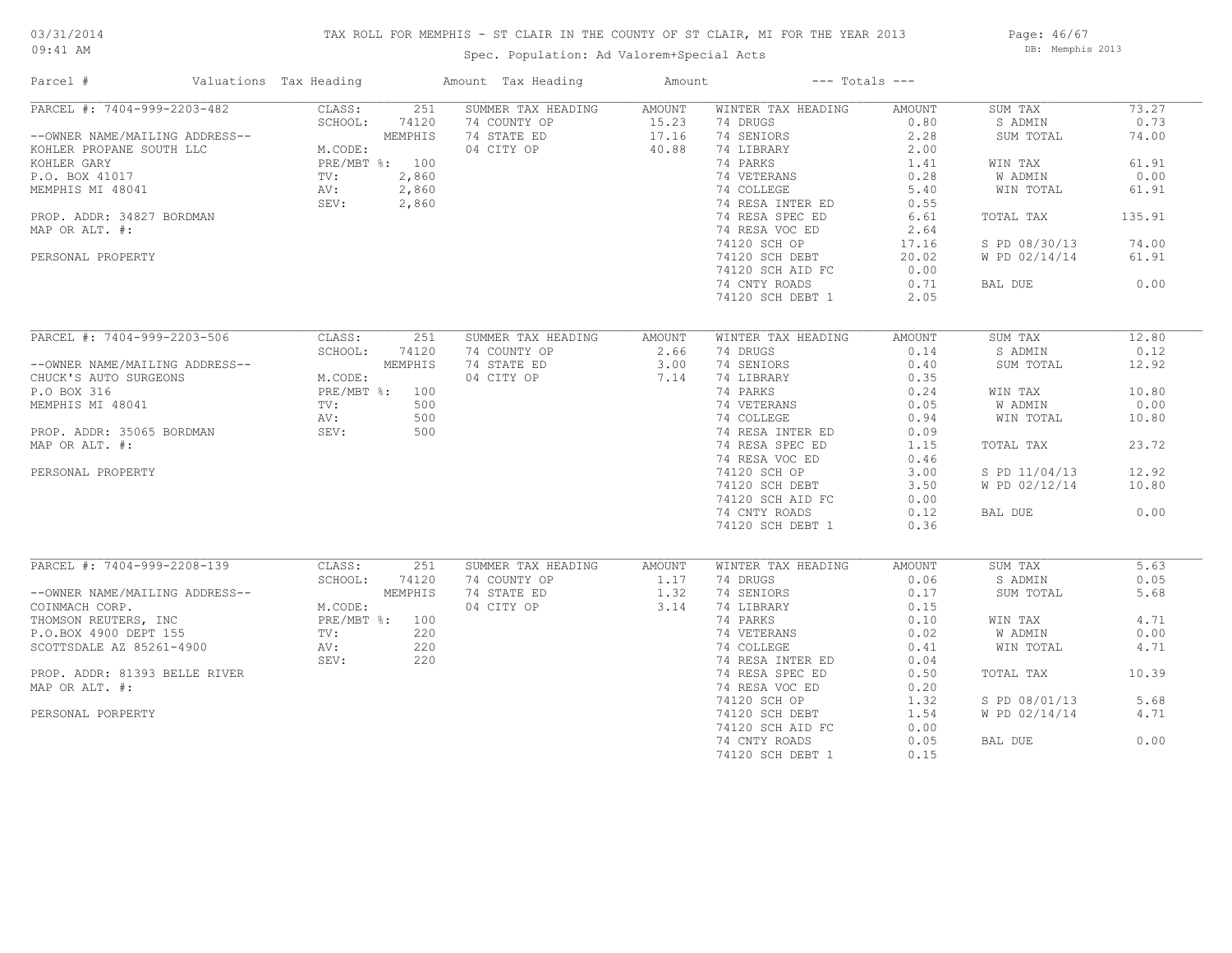## TAX ROLL FOR MEMPHIS - ST CLAIR IN THE COUNTY OF ST CLAIR, MI FOR THE YEAR 2013

09:41 AM

## Spec. Population: Ad Valorem+Special Acts

Page: 46/67 DB: Memphis 2013

| Parcel #                       | Valuations Tax Heading |         | Amount Tax Heading | Amount |                    | $---$ Totals $---$ |               |        |
|--------------------------------|------------------------|---------|--------------------|--------|--------------------|--------------------|---------------|--------|
| PARCEL #: 7404-999-2203-482    | CLASS:                 | 251     | SUMMER TAX HEADING | AMOUNT | WINTER TAX HEADING | AMOUNT             | SUM TAX       | 73.27  |
|                                | SCHOOL:                | 74120   | 74 COUNTY OP       | 15.23  | 74 DRUGS           | 0.80               | S ADMIN       | 0.73   |
| --OWNER NAME/MAILING ADDRESS-- |                        | MEMPHIS | 74 STATE ED        | 17.16  | 74 SENIORS         | 2.28               | SUM TOTAL     | 74.00  |
| KOHLER PROPANE SOUTH LLC       | M.CODE:                |         | 04 CITY OP         | 40.88  | 74 LIBRARY         | 2.00               |               |        |
| KOHLER GARY                    | PRE/MBT %: 100         |         |                    |        | 74 PARKS           | 1.41               | WIN TAX       | 61.91  |
| P.O. BOX 41017                 | TV:                    | 2,860   |                    |        | 74 VETERANS        | 0.28               | W ADMIN       | 0.00   |
| MEMPHIS MI 48041               | AV:                    | 2,860   |                    |        | 74 COLLEGE         | 5.40               | WIN TOTAL     | 61.91  |
|                                | SEV:                   | 2,860   |                    |        | 74 RESA INTER ED   | 0.55               |               |        |
| PROP. ADDR: 34827 BORDMAN      |                        |         |                    |        | 74 RESA SPEC ED    | 6.61               | TOTAL TAX     | 135.91 |
| MAP OR ALT. #:                 |                        |         |                    |        | 74 RESA VOC ED     | 2.64               |               |        |
|                                |                        |         |                    |        | 74120 SCH OP       | 17.16              | S PD 08/30/13 | 74.00  |
| PERSONAL PROPERTY              |                        |         |                    |        | 74120 SCH DEBT     | 20.02              | W PD 02/14/14 | 61.91  |
|                                |                        |         |                    |        | 74120 SCH AID FC   | 0.00               |               |        |
|                                |                        |         |                    |        | 74 CNTY ROADS      | 0.71               | BAL DUE       | 0.00   |
|                                |                        |         |                    |        | 74120 SCH DEBT 1   | 2.05               |               |        |
|                                |                        |         |                    |        |                    |                    |               |        |
| PARCEL #: 7404-999-2203-506    | CLASS:                 | 251     | SUMMER TAX HEADING | AMOUNT | WINTER TAX HEADING | AMOUNT             | SUM TAX       | 12.80  |
|                                | SCHOOL:                | 74120   | 74 COUNTY OP       | 2.66   | 74 DRUGS           | 0.14               | S ADMIN       | 0.12   |
| --OWNER NAME/MAILING ADDRESS-- |                        | MEMPHIS | 74 STATE ED        | 3.00   | 74 SENIORS         | 0.40               | SUM TOTAL     | 12.92  |
| CHUCK'S AUTO SURGEONS          | M.CODE:                |         | 04 CITY OP         | 7.14   | 74 LIBRARY         | 0.35               |               |        |
| P.O BOX 316                    | PRE/MBT %: 100         |         |                    |        | 74 PARKS           | 0.24               | WIN TAX       | 10.80  |
| MEMPHIS MI 48041               | TV:                    | 500     |                    |        | 74 VETERANS        | 0.05               | W ADMIN       | 0.00   |
|                                | AV:                    | 500     |                    |        | 74 COLLEGE         | 0.94               | WIN TOTAL     | 10.80  |
|                                | SEV:                   | 500     |                    |        | 74 RESA INTER ED   | 0.09               |               |        |
| PROP. ADDR: 35065 BORDMAN      |                        |         |                    |        |                    |                    |               | 23.72  |
| MAP OR ALT. #:                 |                        |         |                    |        | 74 RESA SPEC ED    | 1.15               | TOTAL TAX     |        |
|                                |                        |         |                    |        | 74 RESA VOC ED     | 0.46               |               |        |
| PERSONAL PROPERTY              |                        |         |                    |        | 74120 SCH OP       | 3.00               | S PD 11/04/13 | 12.92  |
|                                |                        |         |                    |        | 74120 SCH DEBT     | 3.50               | W PD 02/12/14 | 10.80  |
|                                |                        |         |                    |        | 74120 SCH AID FC   | 0.00               |               |        |
|                                |                        |         |                    |        | 74 CNTY ROADS      | 0.12               | BAL DUE       | 0.00   |
|                                |                        |         |                    |        | 74120 SCH DEBT 1   | 0.36               |               |        |
| PARCEL #: 7404-999-2208-139    | CLASS:                 | 251     | SUMMER TAX HEADING | AMOUNT | WINTER TAX HEADING | AMOUNT             | SUM TAX       | 5.63   |
|                                | SCHOOL:                | 74120   | 74 COUNTY OP       | 1.17   | 74 DRUGS           | 0.06               | S ADMIN       | 0.05   |
| --OWNER NAME/MAILING ADDRESS-- |                        | MEMPHIS | 74 STATE ED        | 1.32   | 74 SENIORS         | 0.17               | SUM TOTAL     | 5.68   |
| COINMACH CORP.                 | M.CODE:                |         | 04 CITY OP         | 3.14   | 74 LIBRARY         | 0.15               |               |        |
|                                |                        |         |                    |        | 74 PARKS           | 0.10               |               | 4.71   |
| THOMSON REUTERS, INC           | PRE/MBT %: 100         |         |                    |        |                    |                    | WIN TAX       |        |
| P.O.BOX 4900 DEPT 155          | TV:                    | 220     |                    |        | 74 VETERANS        | 0.02               | W ADMIN       | 0.00   |
| SCOTTSDALE AZ 85261-4900       | AV:                    | 220     |                    |        | 74 COLLEGE         | 0.41               | WIN TOTAL     | 4.71   |
|                                | SEV:                   | 220     |                    |        | 74 RESA INTER ED   | 0.04               |               |        |
| PROP. ADDR: 81393 BELLE RIVER  |                        |         |                    |        | 74 RESA SPEC ED    | 0.50               | TOTAL TAX     | 10.39  |
| MAP OR ALT. #:                 |                        |         |                    |        | 74 RESA VOC ED     | 0.20               |               |        |
|                                |                        |         |                    |        | 74120 SCH OP       | 1.32               | S PD 08/01/13 | 5.68   |
| PERSONAL PORPERTY              |                        |         |                    |        | 74120 SCH DEBT     | 1.54               | W PD 02/14/14 | 4.71   |
|                                |                        |         |                    |        | 74120 SCH AID FC   | 0.00               |               |        |
|                                |                        |         |                    |        | 74 CNTY ROADS      | 0.05               | BAL DUE       | 0.00   |
|                                |                        |         |                    |        | 74120 SCH DEBT 1   | 0.15               |               |        |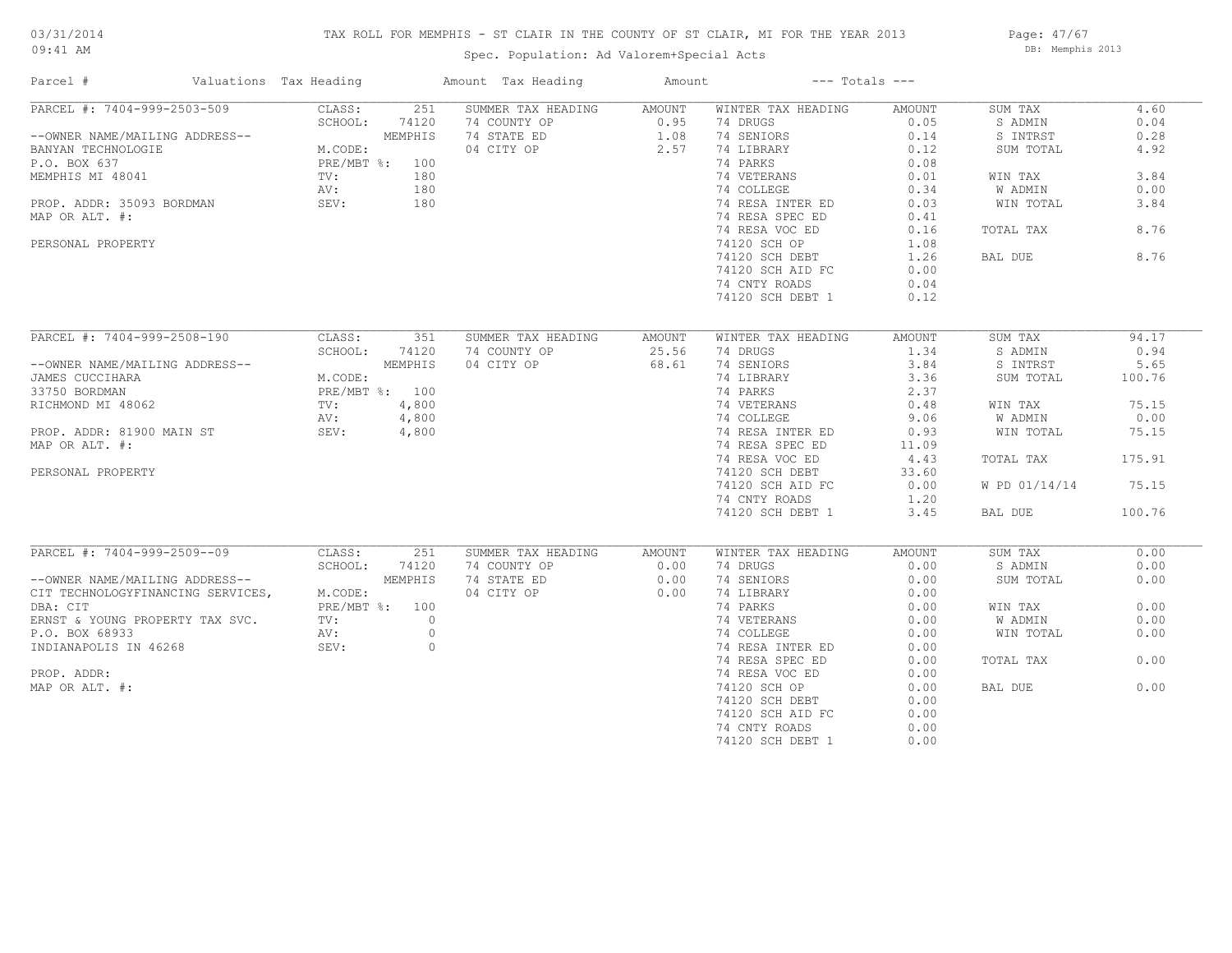## TAX ROLL FOR MEMPHIS - ST CLAIR IN THE COUNTY OF ST CLAIR, MI FOR THE YEAR 2013

09:41 AM

## Spec. Population: Ad Valorem+Special Acts

Page: 47/67 DB: Memphis 2013

| Parcel #                          | Valuations Tax Heading |         | Amount Tax Heading        | Amount |                    | $---$ Totals $---$ |               |        |
|-----------------------------------|------------------------|---------|---------------------------|--------|--------------------|--------------------|---------------|--------|
| PARCEL #: 7404-999-2503-509       | CLASS:                 | 251     | SUMMER TAX HEADING AMOUNT |        | WINTER TAX HEADING | AMOUNT             | SUM TAX       | 4.60   |
|                                   | SCHOOL:                | 74120   | 74 COUNTY OP              | 0.95   | 74 DRUGS           | 0.05               | S ADMIN       | 0.04   |
| --OWNER NAME/MAILING ADDRESS--    |                        | MEMPHIS | 74 STATE ED               | 1.08   | 74 SENIORS         | 0.14               | S INTRST      | 0.28   |
| BANYAN TECHNOLOGIE                | M.CODE:                |         | 04 CITY OP                | 2.57   | 74 LIBRARY         | 0.12               | SUM TOTAL     | 4.92   |
| P.O. BOX 637                      | PRE/MBT %: 100         |         |                           |        | 74 PARKS           | 0.08               |               |        |
| MEMPHIS MI 48041                  | $\text{TV}$ :          | 180     |                           |        | 74 VETERANS        | 0.01               | WIN TAX       | 3.84   |
|                                   | AV:                    | 180     |                           |        | 74 COLLEGE         | 0.34               | W ADMIN       | 0.00   |
| PROP. ADDR: 35093 BORDMAN         | SEV:                   | 180     |                           |        | 74 RESA INTER ED   | 0.03               | WIN TOTAL     | 3.84   |
| MAP OR ALT. #:                    |                        |         |                           |        | 74 RESA SPEC ED    | 0.41               |               |        |
|                                   |                        |         |                           |        | 74 RESA VOC ED     | 0.16               | TOTAL TAX     | 8.76   |
|                                   |                        |         |                           |        | 74120 SCH OP       | 1.08               |               |        |
| PERSONAL PROPERTY                 |                        |         |                           |        |                    |                    |               | 8.76   |
|                                   |                        |         |                           |        | 74120 SCH DEBT     | 1.26               | BAL DUE       |        |
|                                   |                        |         |                           |        | 74120 SCH AID FC   | 0.00               |               |        |
|                                   |                        |         |                           |        | 74 CNTY ROADS      | 0.04               |               |        |
|                                   |                        |         |                           |        | 74120 SCH DEBT 1   | 0.12               |               |        |
|                                   |                        |         |                           |        |                    |                    |               |        |
| PARCEL #: 7404-999-2508-190       | CLASS:                 | 351     | SUMMER TAX HEADING        | AMOUNT | WINTER TAX HEADING | AMOUNT             | SUM TAX       | 94.17  |
|                                   | SCHOOL:                | 74120   | 74 COUNTY OP              | 25.56  | 74 DRUGS           | 1.34               | S ADMIN       | 0.94   |
| --OWNER NAME/MAILING ADDRESS--    |                        | MEMPHIS | 04 CITY OP                | 68.61  | 74 SENIORS         | 3.84               | S INTRST      | 5.65   |
| JAMES CUCCIHARA                   | M.CODE:                |         |                           |        | 74 LIBRARY         | 3.36               | SUM TOTAL     | 100.76 |
| 33750 BORDMAN                     | PRE/MBT %: 100         |         |                           |        | 74 PARKS           | 2.37               |               |        |
| RICHMOND MI 48062                 | TV:                    | 4,800   |                           |        | 74 VETERANS        | 0.48               | WIN TAX       | 75.15  |
|                                   | AV:                    | 4,800   |                           |        | 74 COLLEGE         | 9.06               | W ADMIN       | 0.00   |
| PROP. ADDR: 81900 MAIN ST SEV:    |                        | 4,800   |                           |        | 74 RESA INTER ED   | 0.93               | WIN TOTAL     | 75.15  |
| MAP OR ALT. #:                    |                        |         |                           |        | 74 RESA SPEC ED    | 11.09              |               |        |
|                                   |                        |         |                           |        | 74 RESA VOC ED     | 4.43               | TOTAL TAX     | 175.91 |
| PERSONAL PROPERTY                 |                        |         |                           |        | 74120 SCH DEBT     | 33.60              |               |        |
|                                   |                        |         |                           |        | 74120 SCH AID FC   | 0.00               | W PD 01/14/14 | 75.15  |
|                                   |                        |         |                           |        | 74 CNTY ROADS      | 1.20               |               |        |
|                                   |                        |         |                           |        |                    |                    |               |        |
|                                   |                        |         |                           |        | 74120 SCH DEBT 1   | 3.45               | BAL DUE       | 100.76 |
| PARCEL #: 7404-999-2509--09       | CLASS:                 | 251     | SUMMER TAX HEADING        | AMOUNT | WINTER TAX HEADING | AMOUNT             | SUM TAX       | 0.00   |
|                                   | SCHOOL:                | 74120   | 74 COUNTY OP              | 0.00   | 74 DRUGS           | 0.00               | S ADMIN       | 0.00   |
| --OWNER NAME/MAILING ADDRESS--    |                        | MEMPHIS | 74 STATE ED               | 0.00   | 74 SENIORS         | 0.00               | SUM TOTAL     | 0.00   |
|                                   |                        |         | 04 CITY OP                | 0.00   | 74 LIBRARY         |                    |               |        |
| CIT TECHNOLOGYFINANCING SERVICES, | M.CODE:                |         |                           |        |                    | 0.00               |               |        |
| DBA: CIT                          | PRE/MBT %: 100         |         |                           |        | 74 PARKS           | 0.00               | WIN TAX       | 0.00   |
| ERNST & YOUNG PROPERTY TAX SVC.   | TV:                    | $\circ$ |                           |        | 74 VETERANS        | 0.00               | W ADMIN       | 0.00   |
| P.O. BOX 68933                    | AV:                    | $\circ$ |                           |        | 74 COLLEGE         | 0.00               | WIN TOTAL     | 0.00   |
| INDIANAPOLIS IN 46268             | SEV:                   | $\circ$ |                           |        | 74 RESA INTER ED   | 0.00               |               |        |
|                                   |                        |         |                           |        | 74 RESA SPEC ED    | 0.00               | TOTAL TAX     | 0.00   |
| PROP. ADDR:                       |                        |         |                           |        | 74 RESA VOC ED     | 0.00               |               |        |
| MAP OR ALT. #:                    |                        |         |                           |        | 74120 SCH OP       | 0.00               | BAL DUE       | 0.00   |
|                                   |                        |         |                           |        | 74120 SCH DEBT     | 0.00               |               |        |
|                                   |                        |         |                           |        | 74120 SCH AID FC   | 0.00               |               |        |
|                                   |                        |         |                           |        | 74 CNTY ROADS      | 0.00               |               |        |
|                                   |                        |         |                           |        | 74120 SCH DEBT 1   | 0.00               |               |        |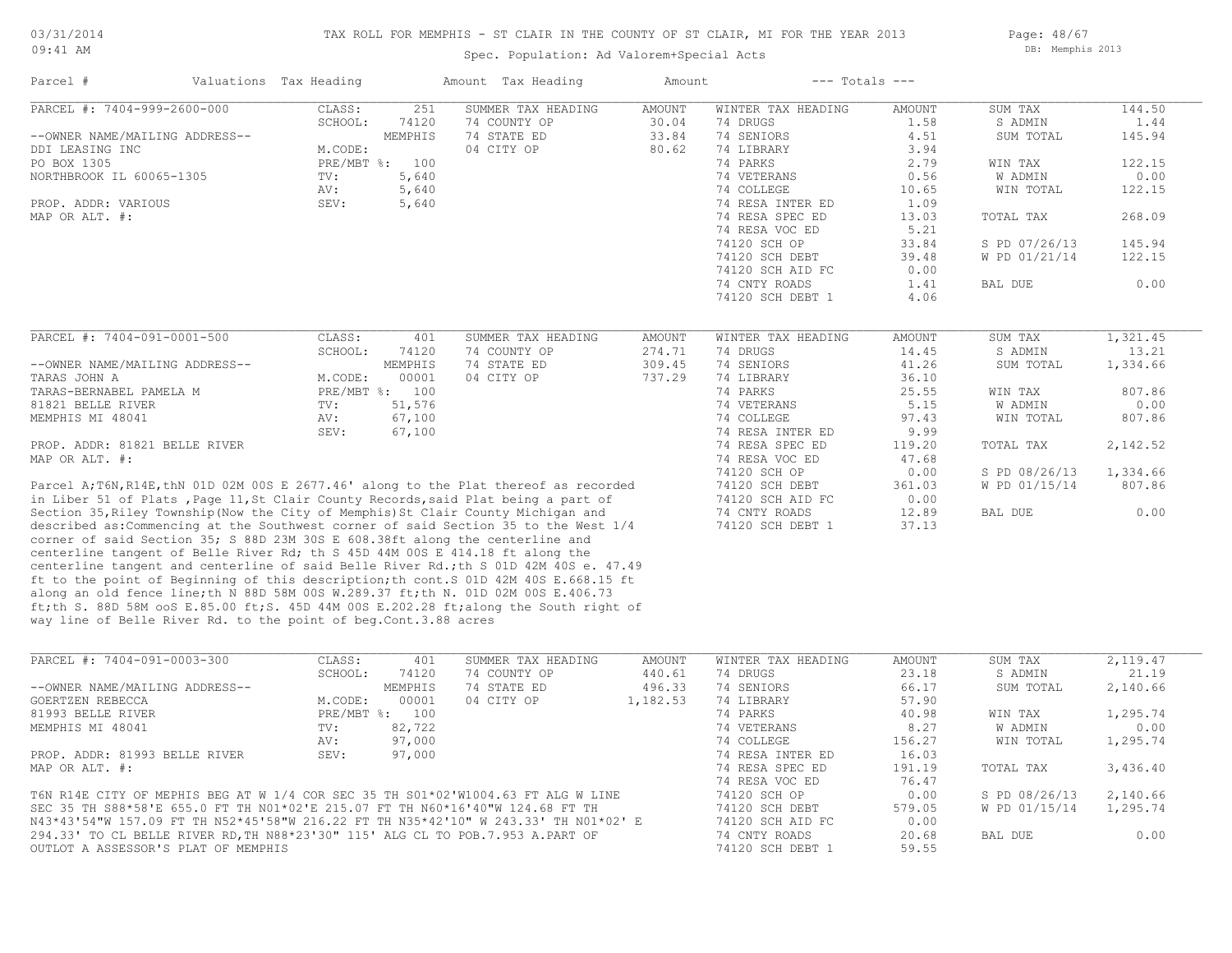#### TAX ROLL FOR MEMPHIS - ST CLAIR IN THE COUNTY OF ST CLAIR, MI FOR THE YEAR 2013

09:41 AM

## Spec. Population: Ad Valorem+Special Acts

Page: 48/67 DB: Memphis 2013

| Parcel #                                                                         | Valuations Tax Heading |                | Amount Tax Heading                                                                   | Amount        | $---$ Totals $---$ |               |                |          |
|----------------------------------------------------------------------------------|------------------------|----------------|--------------------------------------------------------------------------------------|---------------|--------------------|---------------|----------------|----------|
| PARCEL #: 7404-999-2600-000                                                      | CLASS:                 | 2.51           | SUMMER TAX HEADING                                                                   | <b>AMOUNT</b> | WINTER TAX HEADING | <b>AMOUNT</b> | SUM TAX        | 144.50   |
|                                                                                  | SCHOOL:                | 74120          | 74 COUNTY OP                                                                         | 30.04         | 74 DRUGS           | 1.58          | S ADMIN        | 1.44     |
| --OWNER NAME/MAILING ADDRESS--                                                   |                        | MEMPHIS        | 74 STATE ED                                                                          | 33.84         | 74 SENIORS         | 4.51          | SUM TOTAL      | 145.94   |
| DDI LEASING INC                                                                  | M.CODE:                |                | 04 CITY OP                                                                           | 80.62         | 74 LIBRARY         | 3.94          |                |          |
| PO BOX 1305                                                                      |                        | PRE/MBT %: 100 |                                                                                      |               | 74 PARKS           | 2.79          | WIN TAX        | 122.15   |
| NORTHBROOK IL 60065-1305                                                         | TV:                    | 5,640          |                                                                                      |               | 74 VETERANS        | 0.56          | W ADMIN        | 0.00     |
|                                                                                  | AV:                    | 5,640          |                                                                                      |               | 74 COLLEGE         | 10.65         | WIN TOTAL      | 122.15   |
| PROP. ADDR: VARIOUS                                                              | SEV:                   | 5,640          |                                                                                      |               | 74 RESA INTER ED   | 1.09          |                |          |
| MAP OR ALT. #:                                                                   |                        |                |                                                                                      |               | 74 RESA SPEC ED    | 13.03         | TOTAL TAX      | 268.09   |
|                                                                                  |                        |                |                                                                                      |               | 74 RESA VOC ED     | 5.21          |                |          |
|                                                                                  |                        |                |                                                                                      |               | 74120 SCH OP       | 33.84         | S PD 07/26/13  | 145.94   |
|                                                                                  |                        |                |                                                                                      |               | 74120 SCH DEBT     | 39.48         | W PD 01/21/14  | 122.15   |
|                                                                                  |                        |                |                                                                                      |               | 74120 SCH AID FC   | 0.00          |                |          |
|                                                                                  |                        |                |                                                                                      |               | 74 CNTY ROADS      | 1.41          | BAL DUE        | 0.00     |
|                                                                                  |                        |                |                                                                                      |               | 74120 SCH DEBT 1   | 4.06          |                |          |
|                                                                                  |                        |                |                                                                                      |               |                    |               |                |          |
| PARCEL #: 7404-091-0001-500                                                      | CLASS:                 | 401            | SUMMER TAX HEADING                                                                   | <b>AMOUNT</b> | WINTER TAX HEADING | <b>AMOUNT</b> | SUM TAX        | 1,321.45 |
|                                                                                  | SCHOOL:                | 74120          | 74 COUNTY OP                                                                         | 274.71        | 74 DRUGS           | 14.45         | S ADMIN        | 13.21    |
| --OWNER NAME/MAILING ADDRESS--                                                   |                        | MEMPHIS        | 74 STATE ED                                                                          | 309.45        | 74 SENIORS         | 41.26         | SUM TOTAL      | 1,334.66 |
| TARAS JOHN A                                                                     | M.CODE:                | 00001          | 04 CITY OP                                                                           | 737.29        | 74 LIBRARY         | 36.10         |                |          |
| TARAS-BERNABEL PAMELA M                                                          |                        | PRE/MBT %: 100 |                                                                                      |               | 74 PARKS           | 25.55         | WIN TAX        | 807.86   |
| 81821 BELLE RIVER                                                                | TV:                    | 51,576         |                                                                                      |               | 74 VETERANS        | 5.15          | <b>W ADMIN</b> | 0.00     |
| MEMPHIS MI 48041                                                                 | AV:                    | 67,100         |                                                                                      |               | 74 COLLEGE         | 97.43         | WIN TOTAL      | 807.86   |
|                                                                                  | SEV:                   | 67,100         |                                                                                      |               | 74 RESA INTER ED   | 9.99          |                |          |
| PROP. ADDR: 81821 BELLE RIVER                                                    |                        |                |                                                                                      |               | 74 RESA SPEC ED    | 119.20        | TOTAL TAX      | 2,142.52 |
| MAP OR ALT. #:                                                                   |                        |                |                                                                                      |               | 74 RESA VOC ED     | 47.68         |                |          |
|                                                                                  |                        |                |                                                                                      |               | 74120 SCH OP       | 0.00          | S PD 08/26/13  | 1,334.66 |
|                                                                                  |                        |                | Parcel A;T6N, R14E, thN 01D 02M 00S E 2677.46' along to the Plat thereof as recorded |               | 74120 SCH DEBT     | 361.03        | W PD 01/15/14  | 807.86   |
|                                                                                  |                        |                | in Liber 51 of Plats, Page 11, St Clair County Records, said Plat being a part of    |               | 74120 SCH AID FC   | 0.00          |                |          |
|                                                                                  |                        |                | Section 35, Riley Township (Now the City of Memphis) St Clair County Michigan and    |               | 74 CNTY ROADS      | 12.89         | BAL DUE        | 0.00     |
|                                                                                  |                        |                | described as: Commencing at the Southwest corner of said Section 35 to the West 1/4  |               | 74120 SCH DEBT 1   | 37.13         |                |          |
| corner of said Section 35; S 88D 23M 30S E 608.38ft along the centerline and     |                        |                |                                                                                      |               |                    |               |                |          |
| centerline tangent of Belle River Rd; th S 45D 44M 00S E 414.18 ft along the     |                        |                |                                                                                      |               |                    |               |                |          |
|                                                                                  |                        |                | centerline tangent and centerline of said Belle River Rd.; th S 01D 42M 40S e. 47.49 |               |                    |               |                |          |
|                                                                                  |                        |                | ft to the point of Beginning of this description; th cont. S 01D 42M 40S E.668.15 ft |               |                    |               |                |          |
|                                                                                  |                        |                | along an old fence line; th N 88D 58M 00S W.289.37 ft; th N. 01D 02M 00S E.406.73    |               |                    |               |                |          |
|                                                                                  |                        |                | ft;th S. 88D 58M ooS E.85.00 ft;S. 45D 44M 00S E.202.28 ft;along the South right of  |               |                    |               |                |          |
| way line of Belle River Rd. to the point of beg. Cont. 3.88 acres                |                        |                |                                                                                      |               |                    |               |                |          |
|                                                                                  |                        |                |                                                                                      |               |                    |               |                |          |
| PARCEL #: 7404-091-0003-300                                                      | CLASS:                 | 401            | SUMMER TAX HEADING                                                                   | <b>AMOUNT</b> | WINTER TAX HEADING | <b>AMOUNT</b> | SUM TAX        | 2,119.47 |
|                                                                                  | SCHOOL:                | 74120          | 74 COUNTY OP                                                                         | 440.61        | 74 DRUGS           | 23.18         | S ADMIN        | 21.19    |
| --OWNER NAME/MAILING ADDRESS--                                                   |                        | MEMPHIS        | 74 STATE ED                                                                          | 496.33        | 74 SENIORS         | 66.17         | SUM TOTAL      | 2,140.66 |
| <b>GOERTZEN REBECCA</b>                                                          | M.CODE:                | 00001          | 04 CITY OP                                                                           | 1,182.53      | 74 LIBRARY         | 57.90         |                |          |
|                                                                                  |                        | PRE/MBT %: 100 |                                                                                      |               | 74 PARKS           | 40.98         |                | 1,295.74 |
| 81993 BELLE RIVER                                                                |                        |                |                                                                                      |               |                    |               | WIN TAX        |          |
| MEMPHIS MI 48041                                                                 | TV:                    | 82,722         |                                                                                      |               | 74 VETERANS        | 8.27          | W ADMIN        | 0.00     |
|                                                                                  | AV:                    | 97,000         |                                                                                      |               | 74 COLLEGE         | 156.27        | WIN TOTAL      | 1,295.74 |
| PROP. ADDR: 81993 BELLE RIVER                                                    | SEV:                   | 97,000         |                                                                                      |               | 74 RESA INTER ED   | 16.03         |                |          |
| MAP OR ALT. #:                                                                   |                        |                |                                                                                      |               | 74 RESA SPEC ED    | 191.19        | TOTAL TAX      | 3,436.40 |
|                                                                                  |                        |                |                                                                                      |               | 74 RESA VOC ED     | 76.47         |                |          |
|                                                                                  |                        |                | T6N R14E CITY OF MEPHIS BEG AT W 1/4 COR SEC 35 TH S01*02'W1004.63 FT ALG W LINE     |               | 74120 SCH OP       | 0.00          | S PD 08/26/13  | 2,140.66 |
| SEC 35 TH S88*58'E 655.0 FT TH NO1*02'E 215.07 FT TH N60*16'40"W 124.68 FT TH    |                        |                |                                                                                      |               | 74120 SCH DEBT     | 579.05        | W PD 01/15/14  | 1,295.74 |
|                                                                                  |                        |                | N43*43'54"W 157.09 FT TH N52*45'58"W 216.22 FT TH N35*42'10" W 243.33' TH N01*02' E  |               | 74120 SCH AID FC   | 0.00          |                |          |
| 294.33' TO CL BELLE RIVER RD, TH N88*23'30" 115' ALG CL TO POB. 7.953 A. PART OF |                        |                |                                                                                      |               | 74 CNTY ROADS      | 20.68         | BAL DUE        | 0.00     |
| OUTLOT A ASSESSOR'S PLAT OF MEMPHIS                                              |                        |                |                                                                                      |               | 74120 SCH DEBT 1   | 59.55         |                |          |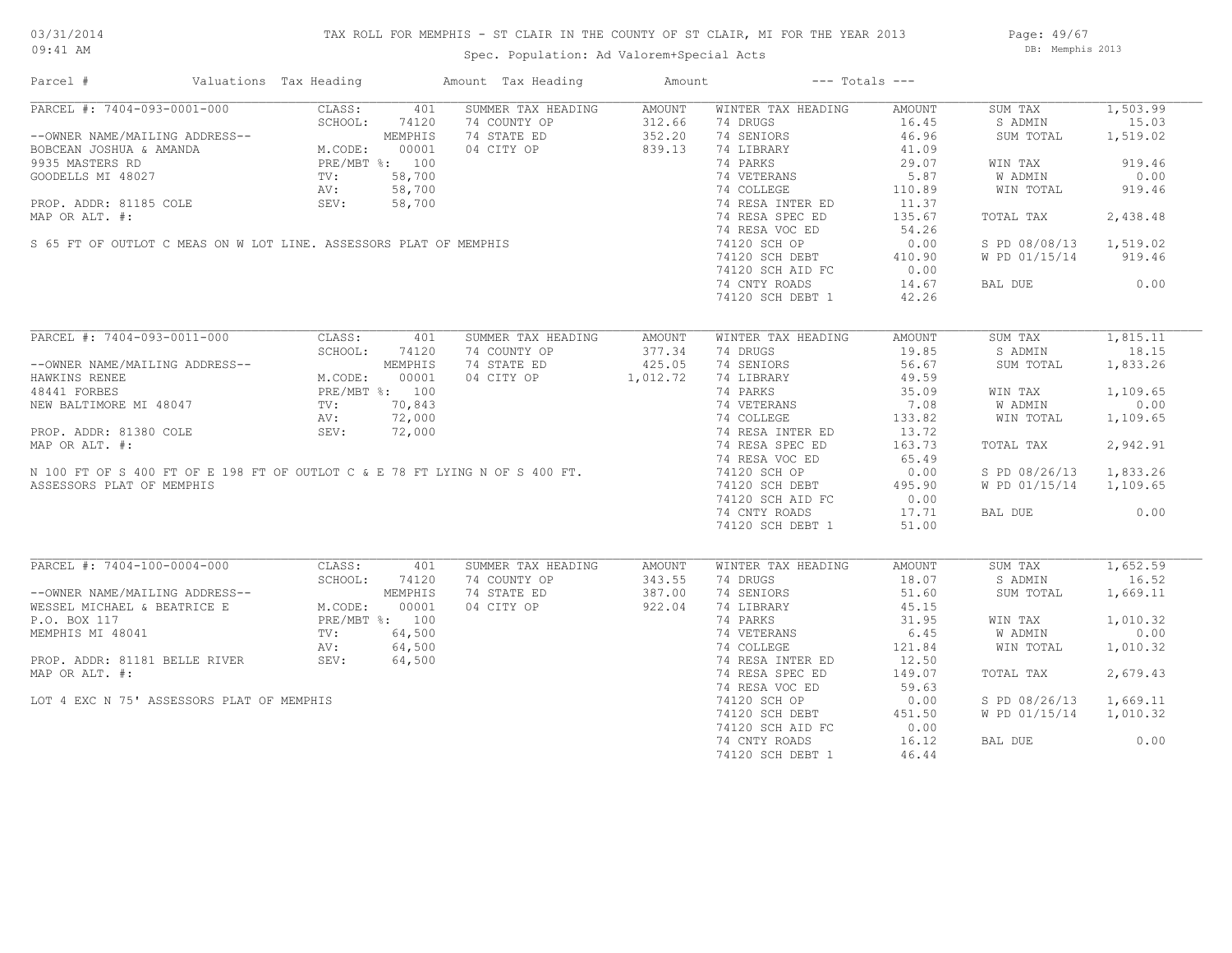## TAX ROLL FOR MEMPHIS - ST CLAIR IN THE COUNTY OF ST CLAIR, MI FOR THE YEAR 2013

Spec. Population: Ad Valorem+Special Acts

Page: 49/67 DB: Memphis 2013

| Parcel #                                                                                                                                                                                                                                           | Valuations Tax Heading |            | Amount Tax Heading                                                                                                                                                     | Amount |                                                | $---$ Totals $---$ |                        |          |
|----------------------------------------------------------------------------------------------------------------------------------------------------------------------------------------------------------------------------------------------------|------------------------|------------|------------------------------------------------------------------------------------------------------------------------------------------------------------------------|--------|------------------------------------------------|--------------------|------------------------|----------|
| PARCEL #: 7404-093-0001-000                                                                                                                                                                                                                        | CLASS:                 | 401        | SUMMER TAX HEADING                                                                                                                                                     | AMOUNT | WINTER TAX HEADING                             | AMOUNT             | SUM TAX                | 1,503.99 |
|                                                                                                                                                                                                                                                    |                        |            | 74 COUNTY OP                                                                                                                                                           | 312.66 | 74 DRUGS                                       | 16.45              | S ADMIN                | 15.03    |
| FARCEL #: 7404-099-0001-000<br>--OWNER NAME/MAILING ADDRESS--<br>BOBCEAN JOSHUA & AMANDA<br>9935 MASTERS RD<br>GOODELLS MI 48027 TV: 58,700<br>PROP. ADDR: 81185 COLE<br>PROP. ADDR: 81185 COLE<br>PROP. ADDR: 1185 COLE<br>PROP. ADDR: 1185 C     |                        |            | 74 STATE ED                                                                                                                                                            | 352.20 | 74 SENIORS                                     | 46.96              | SUM TOTAL              | 1,519.02 |
|                                                                                                                                                                                                                                                    |                        |            | 04 CITY OP                                                                                                                                                             | 839.13 | 74 LIBRARY                                     | 41.09              |                        |          |
|                                                                                                                                                                                                                                                    |                        |            | GOODELLS MI 48027 FEET WELT AND TV: 58,700<br>PROP. ADDR: 81185 COLE AV: 58,700<br>MAP OR ALT. #:<br>S 65 FT OF OUTLOT C MEAS ON W LOT LINE. ASSESSORS PLAT OF MEMPHIS |        | 74 PARKS                                       | 29.07              | WIN TAX                | 919.46   |
|                                                                                                                                                                                                                                                    |                        |            |                                                                                                                                                                        |        |                                                | 5.87               | W ADMIN                | 0.00     |
|                                                                                                                                                                                                                                                    |                        |            |                                                                                                                                                                        |        | 74 VETERANS<br>74 COLLEGE                      | 110.89             | WIN TOTAL              | 919.46   |
|                                                                                                                                                                                                                                                    |                        |            |                                                                                                                                                                        |        |                                                |                    |                        |          |
|                                                                                                                                                                                                                                                    |                        |            |                                                                                                                                                                        |        | 74 RESA INTER ED<br>74 RESA SPEC ED            | 11.37              |                        |          |
|                                                                                                                                                                                                                                                    |                        |            |                                                                                                                                                                        |        |                                                | 135.67             | TOTAL TAX              | 2,438.48 |
|                                                                                                                                                                                                                                                    |                        |            |                                                                                                                                                                        |        | 74 RESA VOC ED                                 | 54.26              |                        |          |
|                                                                                                                                                                                                                                                    |                        |            |                                                                                                                                                                        |        | 74120 SCH OP                                   | 0.00               | S PD 08/08/13 1,519.02 |          |
|                                                                                                                                                                                                                                                    |                        |            |                                                                                                                                                                        |        | 74120 SCH DEBT 410.90<br>74120 SCH AID FC 0.00 |                    | W PD 01/15/14 919.46   |          |
|                                                                                                                                                                                                                                                    |                        |            |                                                                                                                                                                        |        |                                                |                    |                        |          |
|                                                                                                                                                                                                                                                    |                        |            |                                                                                                                                                                        |        | 74 CNTY ROADS                                  | 14.67              | BAL DUE 0.00           |          |
|                                                                                                                                                                                                                                                    |                        |            |                                                                                                                                                                        |        | 74120 SCH DEBT 1                               | 42.26              |                        |          |
|                                                                                                                                                                                                                                                    |                        |            |                                                                                                                                                                        |        |                                                |                    |                        |          |
| PARCEL #: 7404-093-0011-000                                                                                                                                                                                                                        |                        | CLASS: 401 | SUMMER TAX HEADING                                                                                                                                                     | AMOUNT | WINTER TAX HEADING                             | AMOUNT             | SUM TAX                | 1,815.11 |
|                                                                                                                                                                                                                                                    | SCHOOL:                | 74120      | 74 COUNTY OP                                                                                                                                                           | 377.34 | 74 DRUGS                                       | 19.85              | S ADMIN                | 18.15    |
|                                                                                                                                                                                                                                                    |                        |            | 74 STATE ED                                                                                                                                                            | 425.05 | 74 SENIORS                                     | 56.67              | SUM TOTAL              | 1,833.26 |
| --OWNER NAME/MAILING ADDRESS--<br>HAWKINS RENEE<br>HAWKINS RENEE<br>48441 FORBES<br>NEW BALTIMORE MI 48047<br>PROP. ADDR: 81380 COLE<br>MROP. ADDR: 81380 COLE<br>MROP. ADDR: 81380 COLE<br>MROP. ADDR: 81380 COLE<br>MROP. APDR: 81380 COLE<br>MR |                        |            |                                                                                                                                                                        |        |                                                | 49.59              |                        |          |
|                                                                                                                                                                                                                                                    |                        |            | 04 CITY OP 1,012.72                                                                                                                                                    |        | 74 LIBRARY                                     |                    |                        |          |
|                                                                                                                                                                                                                                                    |                        |            |                                                                                                                                                                        |        | 74 PARKS                                       | 35.09              | WIN TAX                | 1,109.65 |
|                                                                                                                                                                                                                                                    |                        |            |                                                                                                                                                                        |        | 74 VETERANS<br>74 COLLEGE                      | 7.08               | W ADMIN                | 0.00     |
|                                                                                                                                                                                                                                                    |                        |            |                                                                                                                                                                        |        |                                                | 133.82             | WIN TOTAL              | 1,109.65 |
|                                                                                                                                                                                                                                                    |                        |            |                                                                                                                                                                        |        | 74 COLLEGE<br>74 RESA INTER ED                 | 13.72              |                        |          |
|                                                                                                                                                                                                                                                    |                        |            |                                                                                                                                                                        |        |                                                | 163.73             | TOTAL TAX              | 2,942.91 |
|                                                                                                                                                                                                                                                    |                        |            |                                                                                                                                                                        |        | 74 RESA VOC ED                                 | 65.49              |                        |          |
|                                                                                                                                                                                                                                                    |                        |            |                                                                                                                                                                        |        | 73 ABSA VOC ED<br>74120 SCH OP                 | 0.00               | S PD 08/26/13 1,833.26 |          |
| ASSESSORS PLAT OF MEMPHIS                                                                                                                                                                                                                          |                        |            |                                                                                                                                                                        |        |                                                |                    | W PD 01/15/14 1,109.65 |          |
|                                                                                                                                                                                                                                                    |                        |            |                                                                                                                                                                        |        | 74120 SCH DEBT 495.90<br>74120 SCH AID FC 0.00 |                    |                        |          |
|                                                                                                                                                                                                                                                    |                        |            |                                                                                                                                                                        |        |                                                |                    |                        |          |
|                                                                                                                                                                                                                                                    |                        |            |                                                                                                                                                                        |        | 74 CNTY ROADS                                  | 17.71              | BAL DUE                | 0.00     |
|                                                                                                                                                                                                                                                    |                        |            |                                                                                                                                                                        |        | 74120 SCH DEBT 1                               | 51.00              |                        |          |
|                                                                                                                                                                                                                                                    |                        |            |                                                                                                                                                                        |        |                                                |                    |                        |          |
| PARCEL #: 7404-100-0004-000                                                                                                                                                                                                                        | CLASS:                 | 401        | SUMMER TAX HEADING                                                                                                                                                     | AMOUNT | WINTER TAX HEADING                             | AMOUNT             | SUM TAX                | 1,652.59 |
| CHOOL: 74120<br>WESSEL MICHAEL & BEATRICE E M.CODE: 00001<br>P.O. BOX 117<br>MEMPHIS MI 48041<br>PROP. ADDR: 81181 BELLE RIVER<br>PROP. ADDR: 81181 BELLE RIVER<br>PROP. ADDR: 81181 BELLE RIVER<br>PROP. ADDR: 81181 BELLE RIVER<br>PROP. ADD     | SCHOOL:                | 74120      | 74 COUNTY OP                                                                                                                                                           | 343.55 | 74 DRUGS                                       | 18.07              | S ADMIN                | 16.52    |
|                                                                                                                                                                                                                                                    |                        |            | 74 STATE ED                                                                                                                                                            | 387.00 | 74 SENIORS                                     | 51.60              | SUM TOTAL              | 1,669.11 |
|                                                                                                                                                                                                                                                    |                        |            | 04 CITY OP                                                                                                                                                             | 922.04 | 74 LIBRARY<br>74 PARKS                         | 45.15              |                        |          |
|                                                                                                                                                                                                                                                    |                        |            |                                                                                                                                                                        |        |                                                | 31.95              | WIN TAX                | 1,010.32 |
|                                                                                                                                                                                                                                                    |                        |            |                                                                                                                                                                        |        | 74 VETERANS<br>74 COLLEGE<br>74 RESA INTER ED  | 6.45               | W ADMIN                | 0.00     |
|                                                                                                                                                                                                                                                    |                        |            |                                                                                                                                                                        |        |                                                | 121.84             | WIN TOTAL              | 1,010.32 |
|                                                                                                                                                                                                                                                    |                        |            |                                                                                                                                                                        |        |                                                | 12.50              |                        |          |
| MAP OR ALT. #:                                                                                                                                                                                                                                     |                        |            | r %: 100<br>64,500<br>64,500<br>64,500<br>64,500                                                                                                                       |        | 74 RESA SPEC ED                                | 149.07             | TOTAL TAX              | 2,679.43 |
|                                                                                                                                                                                                                                                    |                        |            |                                                                                                                                                                        |        |                                                |                    |                        |          |
|                                                                                                                                                                                                                                                    |                        |            |                                                                                                                                                                        |        | 74 RESA VOC ED                                 | 59.63              |                        |          |
| LOT 4 EXC N 75' ASSESSORS PLAT OF MEMPHIS                                                                                                                                                                                                          |                        |            |                                                                                                                                                                        |        | 74120 SCH OP                                   | 0.00               | S PD 08/26/13          | 1,669.11 |
|                                                                                                                                                                                                                                                    |                        |            |                                                                                                                                                                        |        | 74120 SCH DEBT                                 | 451.50             | W PD 01/15/14 1,010.32 |          |
|                                                                                                                                                                                                                                                    |                        |            |                                                                                                                                                                        |        | 74120 SCH AID FC                               | 0.00               |                        |          |
|                                                                                                                                                                                                                                                    |                        |            |                                                                                                                                                                        |        | 74 CNTY ROADS                                  | 16.12              | BAL DUE                | 0.00     |
|                                                                                                                                                                                                                                                    |                        |            |                                                                                                                                                                        |        | 74120 SCH DEBT 1                               | 46.44              |                        |          |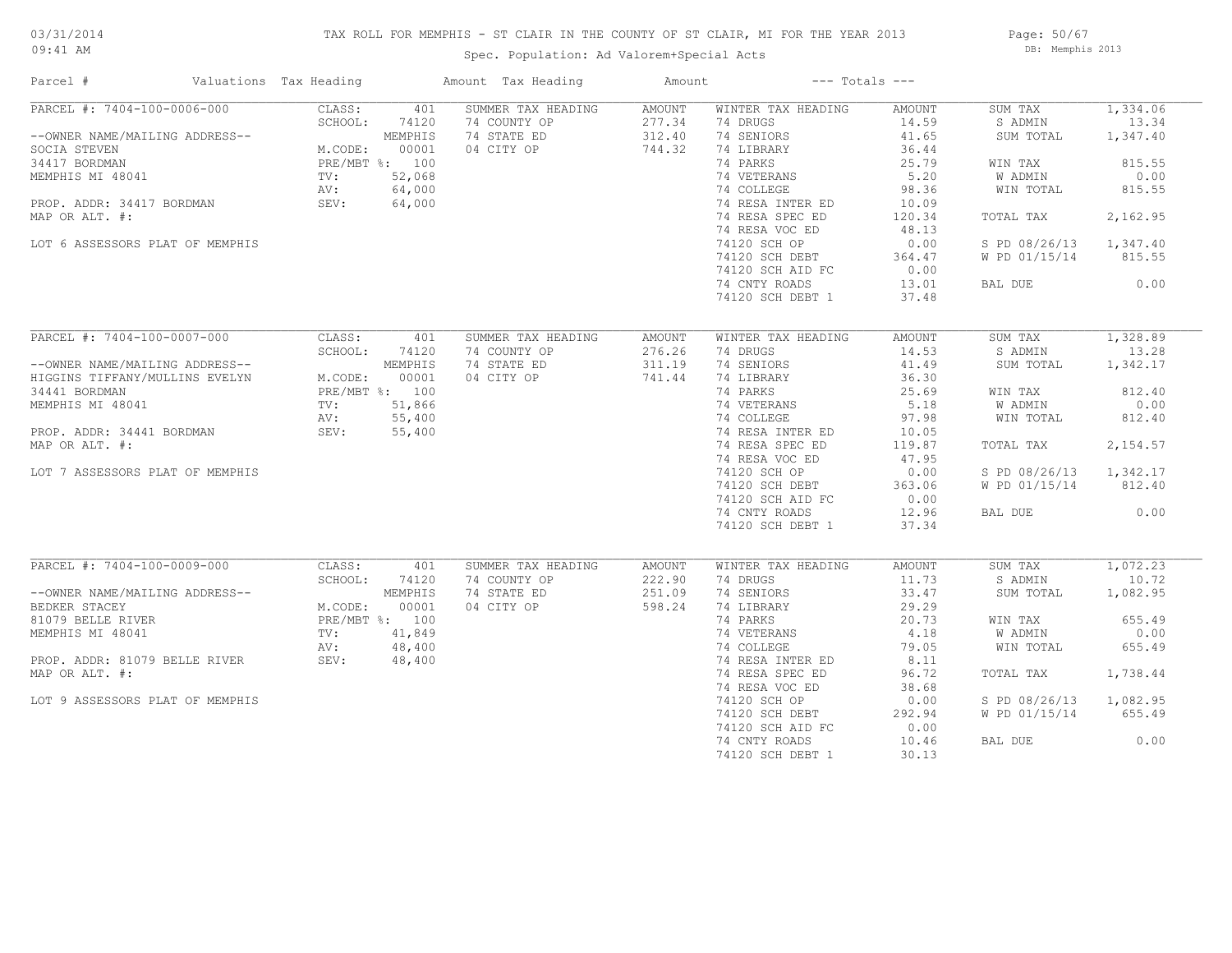## TAX ROLL FOR MEMPHIS - ST CLAIR IN THE COUNTY OF ST CLAIR, MI FOR THE YEAR 2013

09:41 AM

## Spec. Population: Ad Valorem+Special Acts

Page: 50/67 DB: Memphis 2013

| Parcel #                                                                                                                                                                                                               | Valuations Tax Heading                             |                                                                                  | Amount Tax Heading                                              | Amount                               |                                                                                                                                                                                                                                                         | $---$ Totals $---$                                                                                                                  |                                                                                                                              |                                                                                                     |
|------------------------------------------------------------------------------------------------------------------------------------------------------------------------------------------------------------------------|----------------------------------------------------|----------------------------------------------------------------------------------|-----------------------------------------------------------------|--------------------------------------|---------------------------------------------------------------------------------------------------------------------------------------------------------------------------------------------------------------------------------------------------------|-------------------------------------------------------------------------------------------------------------------------------------|------------------------------------------------------------------------------------------------------------------------------|-----------------------------------------------------------------------------------------------------|
| PARCEL #: 7404-100-0006-000<br>--OWNER NAME/MAILING ADDRESS--<br>SOCIA STEVEN<br>34417 BORDMAN<br>MEMPHIS MI 48041<br>PROP. ADDR: 34417 BORDMAN<br>MAP OR ALT. #:<br>LOT 6 ASSESSORS PLAT OF MEMPHIS                   | CLASS:<br>SCHOOL:<br>M.CODE:<br>TV:<br>AV:<br>SEV: | 401<br>74120<br>MEMPHIS<br>00001<br>PRE/MBT %: 100<br>52,068<br>64,000<br>64,000 | SUMMER TAX HEADING<br>74 COUNTY OP<br>74 STATE ED<br>04 CITY OP | AMOUNT<br>277.34<br>312.40<br>744.32 | WINTER TAX HEADING<br>74 DRUGS<br>74 SENIORS<br>74 LIBRARY<br>74 PARKS<br>74 VETERANS<br>74 COLLEGE<br>74 RESA INTER ED<br>74 RESA SPEC ED<br>74 RESA VOC ED<br>74120 SCH OP<br>74120 SCH DEBT<br>74120 SCH AID FC<br>74 CNTY ROADS<br>74120 SCH DEBT 1 | AMOUNT<br>14.59<br>41.65<br>36.44<br>25.79<br>5.20<br>98.36<br>10.09<br>120.34<br>48.13<br>0.00<br>364.47<br>0.00<br>13.01<br>37.48 | SUM TAX<br>S ADMIN<br>SUM TOTAL<br>WIN TAX<br>W ADMIN<br>WIN TOTAL<br>TOTAL TAX<br>S PD 08/26/13<br>W PD 01/15/14<br>BAL DUE | 1,334.06<br>13.34<br>1,347.40<br>815.55<br>0.00<br>815.55<br>2,162.95<br>1,347.40<br>815.55<br>0.00 |
| PARCEL #: 7404-100-0007-000<br>--OWNER NAME/MAILING ADDRESS--<br>HIGGINS TIFFANY/MULLINS EVELYN<br>34441 BORDMAN<br>MEMPHIS MI 48041<br>PROP. ADDR: 34441 BORDMAN<br>MAP OR ALT. #:<br>LOT 7 ASSESSORS PLAT OF MEMPHIS | CLASS:<br>SCHOOL:<br>M.CODE:<br>TV:<br>AV:<br>SEV: | 401<br>74120<br>MEMPHIS<br>00001<br>PRE/MBT %: 100<br>51,866<br>55,400<br>55,400 | SUMMER TAX HEADING<br>74 COUNTY OP<br>74 STATE ED<br>04 CITY OP | AMOUNT<br>276.26<br>311.19<br>741.44 | WINTER TAX HEADING<br>74 DRUGS<br>74 SENIORS<br>74 LIBRARY<br>74 PARKS<br>74 VETERANS<br>74 COLLEGE<br>74 RESA INTER ED<br>74 RESA SPEC ED<br>74 RESA VOC ED<br>74120 SCH OP<br>74120 SCH DEBT<br>74120 SCH AID FC<br>74 CNTY ROADS<br>74120 SCH DEBT 1 | AMOUNT<br>14.53<br>41.49<br>36.30<br>25.69<br>5.18<br>97.98<br>10.05<br>119.87<br>47.95<br>0.00<br>363.06<br>0.00<br>12.96<br>37.34 | SUM TAX<br>S ADMIN<br>SUM TOTAL<br>WIN TAX<br>W ADMIN<br>WIN TOTAL<br>TOTAL TAX<br>S PD 08/26/13<br>W PD 01/15/14<br>BAL DUE | 1,328.89<br>13.28<br>1,342.17<br>812.40<br>0.00<br>812.40<br>2,154.57<br>1,342.17<br>812.40<br>0.00 |
| PARCEL #: 7404-100-0009-000<br>--OWNER NAME/MAILING ADDRESS--<br>BEDKER STACEY<br>81079 BELLE RIVER<br>MEMPHIS MI 48041<br>PROP. ADDR: 81079 BELLE RIVER<br>MAP OR ALT. #:<br>LOT 9 ASSESSORS PLAT OF MEMPHIS          | CLASS:<br>SCHOOL:<br>M.CODE:<br>TV:<br>AV:<br>SEV: | 401<br>74120<br>MEMPHIS<br>00001<br>PRE/MBT %: 100<br>41,849<br>48,400<br>48,400 | SUMMER TAX HEADING<br>74 COUNTY OP<br>74 STATE ED<br>04 CITY OP | AMOUNT<br>222.90<br>251.09<br>598.24 | WINTER TAX HEADING<br>74 DRUGS<br>74 SENIORS<br>74 LIBRARY<br>74 PARKS<br>74 VETERANS<br>74 COLLEGE<br>74 RESA INTER ED<br>74 RESA SPEC ED<br>74 RESA VOC ED<br>74120 SCH OP<br>74120 SCH DEBT<br>74120 SCH AID FC<br>74 CNTY ROADS<br>74120 SCH DEBT 1 | AMOUNT<br>11.73<br>33.47<br>29.29<br>20.73<br>4.18<br>79.05<br>8.11<br>96.72<br>38.68<br>0.00<br>292.94<br>0.00<br>10.46<br>30.13   | SUM TAX<br>S ADMIN<br>SUM TOTAL<br>WIN TAX<br>W ADMIN<br>WIN TOTAL<br>TOTAL TAX<br>S PD 08/26/13<br>W PD 01/15/14<br>BAL DUE | 1,072.23<br>10.72<br>1,082.95<br>655.49<br>0.00<br>655.49<br>1,738.44<br>1,082.95<br>655.49<br>0.00 |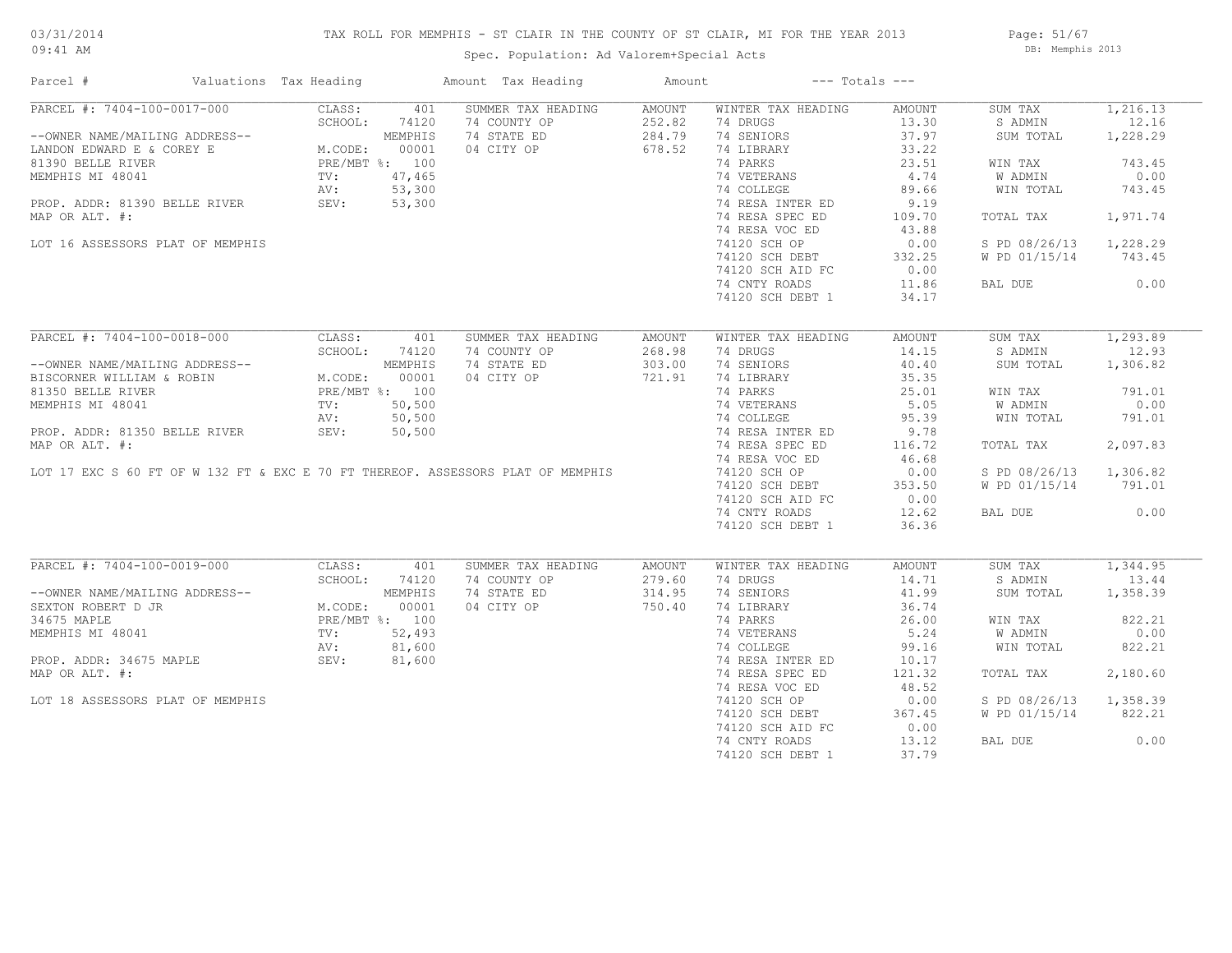## TAX ROLL FOR MEMPHIS - ST CLAIR IN THE COUNTY OF ST CLAIR, MI FOR THE YEAR 2013

Spec. Population: Ad Valorem+Special Acts

Page: 51/67 DB: Memphis 2013

| Parcel #                         | Valuations Tax Heading |                | Amount Tax Heading                                                              | Amount |                    | $---$ Totals $---$ |               |          |
|----------------------------------|------------------------|----------------|---------------------------------------------------------------------------------|--------|--------------------|--------------------|---------------|----------|
| PARCEL #: 7404-100-0017-000      | CLASS:                 | 401            | SUMMER TAX HEADING                                                              | AMOUNT | WINTER TAX HEADING | AMOUNT             | SUM TAX       | 1,216.13 |
|                                  | SCHOOL:                | 74120          | 74 COUNTY OP                                                                    | 252.82 | 74 DRUGS           | 13.30              | S ADMIN       | 12.16    |
| --OWNER NAME/MAILING ADDRESS--   |                        | MEMPHIS        | 74 STATE ED                                                                     | 284.79 | 74 SENIORS         | 37.97              | SUM TOTAL     | 1,228.29 |
| LANDON EDWARD E & COREY E        | M.CODE:                | 00001          | 04 CITY OP                                                                      | 678.52 | 74 LIBRARY         | 33.22              |               |          |
| 81390 BELLE RIVER                |                        | PRE/MBT %: 100 |                                                                                 |        | 74 PARKS           | 23.51              | WIN TAX       | 743.45   |
| MEMPHIS MI 48041                 | TV:                    | 47,465         |                                                                                 |        | 74 VETERANS        | 4.74               | W ADMIN       | 0.00     |
|                                  | AV:                    | 53,300         |                                                                                 |        | 74 COLLEGE         | 89.66              | WIN TOTAL     | 743.45   |
| PROP. ADDR: 81390 BELLE RIVER    | SEV:                   | 53,300         |                                                                                 |        | 74 RESA INTER ED   | 9.19               |               |          |
| MAP OR ALT. #:                   |                        |                |                                                                                 |        | 74 RESA SPEC ED    | 109.70             | TOTAL TAX     | 1,971.74 |
|                                  |                        |                |                                                                                 |        |                    |                    |               |          |
|                                  |                        |                |                                                                                 |        | 74 RESA VOC ED     | 43.88              |               |          |
| LOT 16 ASSESSORS PLAT OF MEMPHIS |                        |                |                                                                                 |        | 74120 SCH OP       | 0.00               | S PD 08/26/13 | 1,228.29 |
|                                  |                        |                |                                                                                 |        | 74120 SCH DEBT     | 332.25             | W PD 01/15/14 | 743.45   |
|                                  |                        |                |                                                                                 |        | 74120 SCH AID FC   | 0.00               |               |          |
|                                  |                        |                |                                                                                 |        | 74 CNTY ROADS      | 11.86              | BAL DUE       | 0.00     |
|                                  |                        |                |                                                                                 |        | 74120 SCH DEBT 1   | 34.17              |               |          |
|                                  |                        |                |                                                                                 |        |                    |                    |               |          |
| PARCEL #: 7404-100-0018-000      | CLASS:                 | 401            | SUMMER TAX HEADING                                                              | AMOUNT | WINTER TAX HEADING | AMOUNT             | SUM TAX       | 1,293.89 |
|                                  | SCHOOL:                | 74120          | 74 COUNTY OP                                                                    | 268.98 | 74 DRUGS           | 14.15              | S ADMIN       | 12.93    |
| --OWNER NAME/MAILING ADDRESS--   |                        | MEMPHIS        | 74 STATE ED                                                                     | 303.00 | 74 SENIORS         | 40.40              | SUM TOTAL     | 1,306.82 |
| BISCORNER WILLIAM & ROBIN        | M.CODE:                | 00001          | 04 CITY OP                                                                      | 721.91 | 74 LIBRARY         | 35.35              |               |          |
| 81350 BELLE RIVER                | PRE/MBT %: 100         |                |                                                                                 |        | 74 PARKS           | 25.01              | WIN TAX       | 791.01   |
| MEMPHIS MI 48041                 | TV:                    | 50, 500        |                                                                                 |        | 74 VETERANS        | 5.05               | W ADMIN       | 0.00     |
|                                  |                        |                |                                                                                 |        |                    |                    |               |          |
|                                  | AV:                    | 50,500         |                                                                                 |        | 74 COLLEGE         | 95.39              | WIN TOTAL     | 791.01   |
| PROP. ADDR: 81350 BELLE RIVER    | SEV:                   | 50, 500        |                                                                                 |        | 74 RESA INTER ED   | 9.78               |               |          |
| MAP OR ALT. #:                   |                        |                |                                                                                 |        | 74 RESA SPEC ED    | 116.72             | TOTAL TAX     | 2,097.83 |
|                                  |                        |                |                                                                                 |        | 74 RESA VOC ED     | 46.68              |               |          |
|                                  |                        |                | LOT 17 EXC S 60 FT OF W 132 FT & EXC E 70 FT THEREOF. ASSESSORS PLAT OF MEMPHIS |        | 74120 SCH OP       | 0.00               | S PD 08/26/13 | 1,306.82 |
|                                  |                        |                |                                                                                 |        | 74120 SCH DEBT     | 353.50             | W PD 01/15/14 | 791.01   |
|                                  |                        |                |                                                                                 |        | 74120 SCH AID FC   | 0.00               |               |          |
|                                  |                        |                |                                                                                 |        | 74 CNTY ROADS      | 12.62              | BAL DUE       | 0.00     |
|                                  |                        |                |                                                                                 |        | 74120 SCH DEBT 1   | 36.36              |               |          |
|                                  |                        |                |                                                                                 |        |                    |                    |               |          |
| PARCEL #: 7404-100-0019-000      | CLASS:                 | 401            | SUMMER TAX HEADING                                                              | AMOUNT | WINTER TAX HEADING | AMOUNT             | SUM TAX       | 1,344.95 |
|                                  | SCHOOL:                | 74120          | 74 COUNTY OP                                                                    | 279.60 | 74 DRUGS           | 14.71              | S ADMIN       | 13.44    |
| --OWNER NAME/MAILING ADDRESS--   |                        | MEMPHIS        | 74 STATE ED                                                                     | 314.95 | 74 SENIORS         | 41.99              | SUM TOTAL     | 1,358.39 |
| SEXTON ROBERT D JR               | M.CODE:                | 00001          | 04 CITY OP                                                                      | 750.40 | 74 LIBRARY         | 36.74              |               |          |
| 34675 MAPLE                      |                        | PRE/MBT %: 100 |                                                                                 |        | 74 PARKS           | 26.00              | WIN TAX       | 822.21   |
| MEMPHIS MI 48041                 | TV:                    | 52,493         |                                                                                 |        | 74 VETERANS        | 5.24               | W ADMIN       | 0.00     |
|                                  | AV:                    | 81,600         |                                                                                 |        | 74 COLLEGE         | 99.16              | WIN TOTAL     | 822.21   |
|                                  |                        |                |                                                                                 |        |                    |                    |               |          |
| PROP. ADDR: 34675 MAPLE          | SEV:                   | 81,600         |                                                                                 |        | 74 RESA INTER ED   | 10.17              |               |          |
| MAP OR ALT. #:                   |                        |                |                                                                                 |        | 74 RESA SPEC ED    | 121.32             | TOTAL TAX     | 2,180.60 |
|                                  |                        |                |                                                                                 |        | 74 RESA VOC ED     | 48.52              |               |          |
| LOT 18 ASSESSORS PLAT OF MEMPHIS |                        |                |                                                                                 |        | 74120 SCH OP       | 0.00               | S PD 08/26/13 | 1,358.39 |
|                                  |                        |                |                                                                                 |        | 74120 SCH DEBT     | 367.45             | W PD 01/15/14 | 822.21   |
|                                  |                        |                |                                                                                 |        | 74120 SCH AID FC   | 0.00               |               |          |
|                                  |                        |                |                                                                                 |        | 74 CNTY ROADS      | 13.12              | BAL DUE       | 0.00     |
|                                  |                        |                |                                                                                 |        | 74120 SCH DEBT 1   | 37.79              |               |          |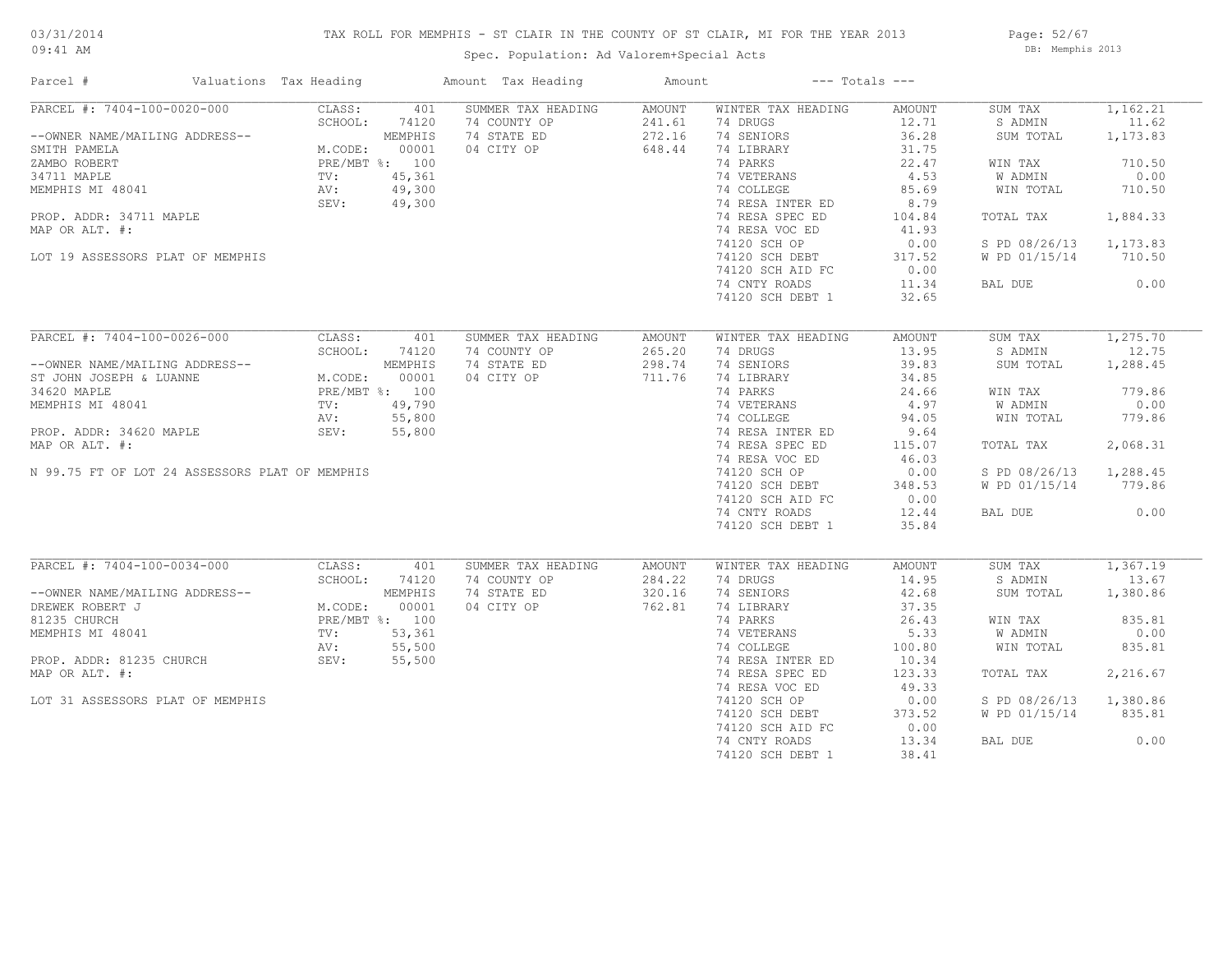Page: 52/67 DB: Memphis 2013

## Spec. Population: Ad Valorem+Special Acts

| Parcel #                                                                                                                                                                                                                                                                                                                  | Valuations Tax Heading                                                                                           |                                                              | Amount Tax Heading                                              | Amount                               |                                                                                                                                                                                                                                                                                                                                                     | $---$ Totals $---$                                                                                                                   |                                                                                                                                       |                                                                                                     |
|---------------------------------------------------------------------------------------------------------------------------------------------------------------------------------------------------------------------------------------------------------------------------------------------------------------------------|------------------------------------------------------------------------------------------------------------------|--------------------------------------------------------------|-----------------------------------------------------------------|--------------------------------------|-----------------------------------------------------------------------------------------------------------------------------------------------------------------------------------------------------------------------------------------------------------------------------------------------------------------------------------------------------|--------------------------------------------------------------------------------------------------------------------------------------|---------------------------------------------------------------------------------------------------------------------------------------|-----------------------------------------------------------------------------------------------------|
| PARCEL #: 7404-100-0020-000<br>--OWNER NAME/MAILING ADDRESS--<br>SMITH PAMELA<br>ZAMBO ROBERT<br>34711 MAPLE<br>MEMPHIS MI 48041<br>PROP. ADDR: 34711 MAPLE<br>MAP OR ALT. #:<br>LOT 19 ASSESSORS PLAT OF MEMPHIS                                                                                                         | CLASS:<br>SCHOOL:<br>M.CODE: 14120<br>M.CODE: 00001<br>PRE/MBT %: 100<br>TV: 45,361<br>AV: 49,300<br>SEV: 49,300 | 401<br>74120                                                 | SUMMER TAX HEADING<br>74 COUNTY OP<br>74 STATE ED<br>04 CITY OP | AMOUNT<br>241.61<br>272.16<br>648.44 | WINTER TAX HEADING<br>74 DRUGS<br>74 SENIORS<br>74 LIBRARY<br>74 PARKS<br>74 VETERANS<br>74 COLLEGE<br>74 RESA INTER ED<br>74 RESA SPEC ED<br>74 RESA VOC ED<br>74120 SCH OP<br>74120 SCH DEBT<br>74120 SCH AID FC<br>74 CNTY ROADS                                                                                                                 | AMOUNT<br>12.71<br>36.28<br>31.75<br>22.47<br>4.53<br>85.69<br>8.79<br>104.84<br>41.93<br>0.00<br>317.52<br>0.00<br>11.34            | SUM TAX<br>S ADMIN<br>SUM TOTAL<br>WIN TAX<br>W ADMIN<br>WIN TOTAL<br>TOTAL TAX<br>S PD 08/26/13 1,173.83<br>W PD 01/15/14<br>BAL DUE | 1,162.21<br>11.62<br>1,173.83<br>710.50<br>0.00<br>710.50<br>1,884.33<br>710.50<br>0.00             |
|                                                                                                                                                                                                                                                                                                                           |                                                                                                                  |                                                              |                                                                 |                                      | 74120 SCH DEBT 1                                                                                                                                                                                                                                                                                                                                    | 32.65                                                                                                                                |                                                                                                                                       |                                                                                                     |
| PARCEL #: 7404-100-0026-000<br>--OWNER NAME/MAILING ADDRESS--<br>ST JOHN JOSEPH & LUANNE<br>34620 MAPLE<br>MEMPHIS MI 48041<br>MEMPHIS MI 48041<br>PRE/MBT %: 100<br>PROP. ADDR: 34620 MAPLE<br>PROP. ADDR: 34620 MAPLE<br>SEV: 55,800<br>SEV: 55,800<br>MAP OR ALT. #:<br>N 99.75 FT OF LOT 24 ASSESSORS PLAT OF MEMPHIS | CLASS:<br>SCHOOL:                                                                                                | 401<br>74120                                                 | SUMMER TAX HEADING<br>74 COUNTY OP<br>74 STATE ED<br>04 CITY OP | AMOUNT<br>265.20<br>298.74<br>711.76 | WINTER TAX HEADING<br>74 DRUGS<br>74 SENIORS<br>74 LIBRARY<br>$\begin{tabular}{llllll} 74 & PARKS & & 24.66 \\ 74 & VETERANS & & 4.97 \\ 74 & COLLEGE & & 94.05 \\ 74 & RESA & INTER & D & & 9.64 \\ \end{tabular}$<br>74 RESA SPEC ED<br>74 RESA VOC ED<br>74120 SCH OP<br>74120 SCH DEBT<br>74120 SCH AID FC<br>74 CNTY ROADS<br>74120 SCH DEBT 1 | AMOUNT<br>13.95<br>39.83<br>34.85<br>115.07<br>46.03<br>0.00<br>348.53<br>0.00<br>12.44<br>35.84                                     | SUM TAX<br>S ADMIN<br>SUM TOTAL<br>WIN TAX<br>W ADMIN<br>WIN TOTAL<br>TOTAL TAX<br>S PD 08/26/13<br>W PD 01/15/14<br>BAL DUE          | 1,275.70<br>12.75<br>1,288.45<br>779.86<br>0.00<br>779.86<br>2,068.31<br>1,288.45<br>779.86<br>0.00 |
| PARCEL #: 7404-100-0034-000<br>--OWNER NAME/MAILING ADDRESS--<br>DREWEK ROBERT J<br>81235 CHURCH<br>MEMPHIS MI 48041<br>PROP. ADDR: 81235 CHURCH<br>MAP OR ALT. #:<br>LOT 31 ASSESSORS PLAT OF MEMPHIS                                                                                                                    | CLASS:<br>SCHOOL:<br>M.CODE:<br>TV:<br>TV: 53,361<br>AV: 55,500<br>SEV: 55,500                                   | 401<br>74120<br>MEMPHIS<br>00001<br>PRE/MBT %: 100<br>53,361 | SUMMER TAX HEADING<br>74 COUNTY OP<br>74 STATE ED<br>04 CITY OP | AMOUNT<br>284.22<br>320.16<br>762.81 | WINTER TAX HEADING<br>74 DRUGS<br>74 SENIORS<br>74 LIBRARY<br>74 PARKS<br>74 VETERANS<br>74 COLLEGE<br>74 RESA INTER ED<br>74 RESA SPEC ED<br>74 RESA VOC ED<br>74120 SCH OP<br>74120 SCH DEBT<br>74120 SCH AID FC<br>74 CNTY ROADS<br>74120 SCH DEBT 1                                                                                             | AMOUNT<br>14.95<br>42.68<br>37.35<br>26.43<br>5.33<br>100.80<br>10.34<br>123.33<br>49.33<br>0.00<br>373.52<br>0.00<br>13.34<br>38.41 | SUM TAX<br>S ADMIN<br>SUM TOTAL<br>WIN TAX<br>W ADMIN<br>WIN TOTAL<br>TOTAL TAX<br>S PD 08/26/13<br>W PD 01/15/14<br>BAL DUE          | 1,367.19<br>13.67<br>1,380.86<br>835.81<br>0.00<br>835.81<br>2,216.67<br>1,380.86<br>835.81<br>0.00 |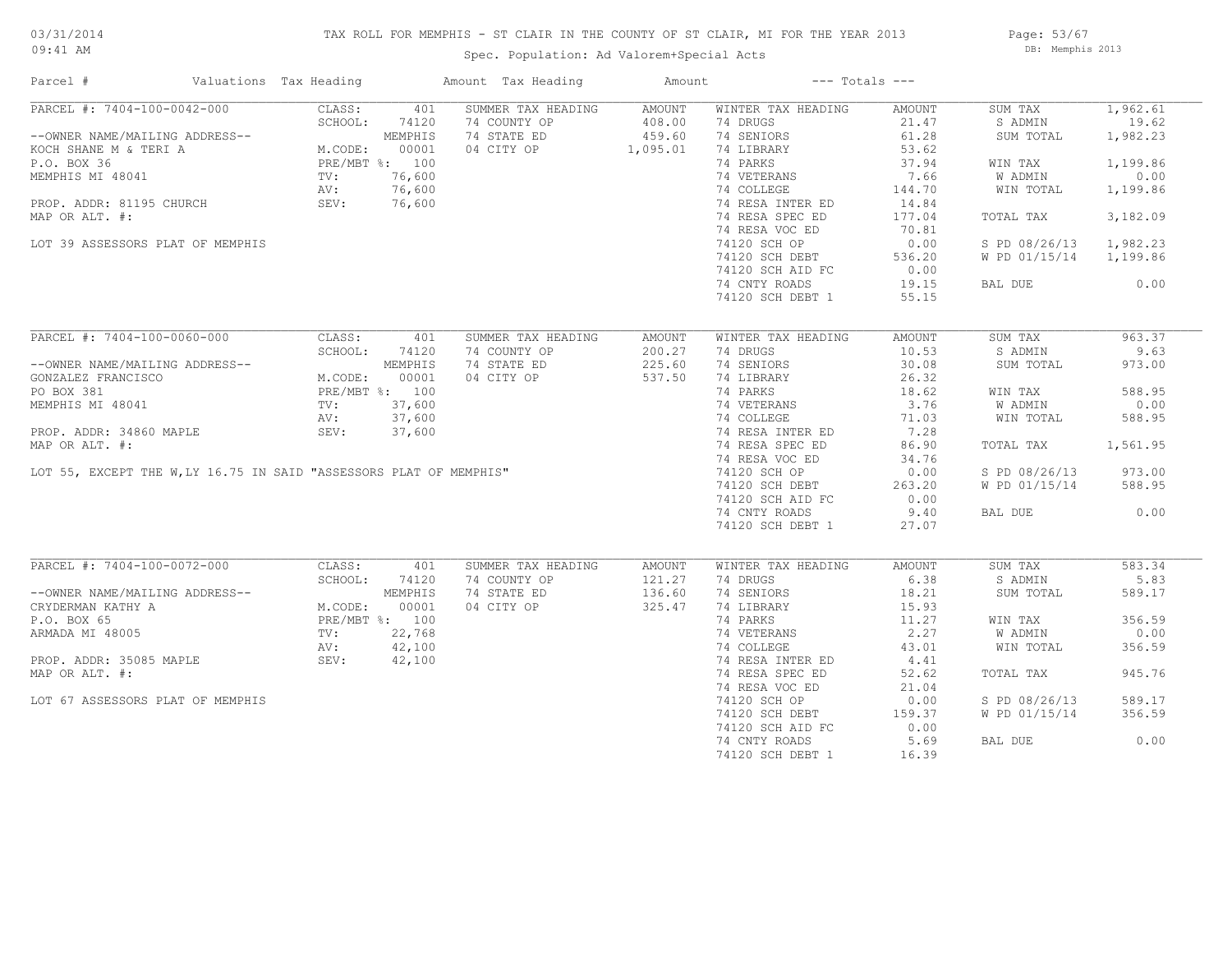## TAX ROLL FOR MEMPHIS - ST CLAIR IN THE COUNTY OF ST CLAIR, MI FOR THE YEAR 2013

Spec. Population: Ad Valorem+Special Acts

Page: 53/67 DB: Memphis 2013

| Parcel #                                                                                                                                         | Valuations Tax Heading                                                  |                | Amount Tax Heading | Amount   |                    | $---$ Totals $---$ |               |          |
|--------------------------------------------------------------------------------------------------------------------------------------------------|-------------------------------------------------------------------------|----------------|--------------------|----------|--------------------|--------------------|---------------|----------|
| PARCEL #: 7404-100-0042-000                                                                                                                      | CLASS:                                                                  | 401            | SUMMER TAX HEADING | AMOUNT   | WINTER TAX HEADING | AMOUNT             | SUM TAX       | 1,962.61 |
|                                                                                                                                                  | SCHOOL:                                                                 | 74120          | 74 COUNTY OP       | 408.00   | 74 DRUGS           | 21.47              | S ADMIN       | 19.62    |
| --OWNER NAME/MAILING ADDRESS--                                                                                                                   | DRESS--<br>M.CODE: 00001<br>PRE/MBT %: 100<br>TV: 76,600<br>AV: 76,600  |                | 74 STATE ED        | 459.60   | 74 SENIORS         | 61.28              | SUM TOTAL     | 1,982.23 |
| KOCH SHANE M & TERI A                                                                                                                            |                                                                         |                | 04 CITY OP         | 1,095.01 | 74 LIBRARY         | 53.62              |               |          |
| P.O. BOX 36                                                                                                                                      |                                                                         |                |                    |          | 74 PARKS           | 37.94              | WIN TAX       | 1,199.86 |
| MEMPHIS MI 48041                                                                                                                                 |                                                                         |                |                    |          | 74 VETERANS        | 7.66               | W ADMIN       | 0.00     |
|                                                                                                                                                  |                                                                         |                |                    |          | 74 COLLEGE         | 144.70             | WIN TOTAL     | 1,199.86 |
| PROP. ADDR: 81195 CHURCH SEV: 76,600                                                                                                             |                                                                         |                |                    |          | 74 RESA INTER ED   | 14.84              |               |          |
| MAP OR ALT. #:                                                                                                                                   |                                                                         |                |                    |          | 74 RESA SPEC ED    | 177.04             | TOTAL TAX     | 3,182.09 |
|                                                                                                                                                  |                                                                         |                |                    |          | 74 RESA VOC ED     | 70.81              |               |          |
|                                                                                                                                                  |                                                                         |                |                    |          |                    |                    |               | 1,982.23 |
| LOT 39 ASSESSORS PLAT OF MEMPHIS                                                                                                                 |                                                                         |                |                    |          | 74120 SCH OP       | 0.00               | S PD 08/26/13 |          |
|                                                                                                                                                  |                                                                         |                |                    |          | 74120 SCH DEBT     | 536.20             | W PD 01/15/14 | 1,199.86 |
|                                                                                                                                                  |                                                                         |                |                    |          | 74120 SCH AID FC   | 0.00               |               |          |
|                                                                                                                                                  |                                                                         |                |                    |          | 74 CNTY ROADS      | 19.15              | BAL DUE       | 0.00     |
|                                                                                                                                                  |                                                                         |                |                    |          | 74120 SCH DEBT 1   | 55.15              |               |          |
|                                                                                                                                                  |                                                                         |                |                    |          |                    |                    |               |          |
| PARCEL #: 7404-100-0060-000                                                                                                                      | CLASS:                                                                  | 401            | SUMMER TAX HEADING | AMOUNT   | WINTER TAX HEADING | AMOUNT             | SUM TAX       | 963.37   |
|                                                                                                                                                  | SCHOOL:                                                                 | 74120          | 74 COUNTY OP       | 200.27   | 74 DRUGS           | 10.53              | S ADMIN       | 9.63     |
| --OWNER NAME/MAILING ADDRESS--                                                                                                                   | M.CODE: $00001$<br>PRE/MBT %: 100<br>TV: 37,600<br>AV: 37,600<br>37,660 | MEMPHIS        | 74 STATE ED        | 225.60   | 74 SENIORS         | 30.08              | SUM TOTAL     | 973.00   |
| GONZALEZ FRANCISCO                                                                                                                               |                                                                         |                | 04 CITY OP         | 537.50   | 74 LIBRARY         | 26.32              |               |          |
| PO BOX 381                                                                                                                                       |                                                                         |                |                    |          | 74 PARKS           | 18.62              | WIN TAX       | 588.95   |
|                                                                                                                                                  |                                                                         |                |                    |          | 74 VETERANS        | 3.76               | W ADMIN       | 0.00     |
|                                                                                                                                                  |                                                                         |                |                    |          | 74 COLLEGE         | 71.03              | WIN TOTAL     | 588.95   |
|                                                                                                                                                  |                                                                         |                |                    |          | 74 RESA INTER ED   | 7.28               |               |          |
|                                                                                                                                                  |                                                                         |                |                    |          | 74 RESA SPEC ED    | 86.90              | TOTAL TAX     | 1,561.95 |
|                                                                                                                                                  |                                                                         |                |                    |          | 74 RESA VOC ED     | 34.76              |               |          |
| PO BOX 381<br>MEMPHIS MI 48041<br>PROP. ADDR: 34860 MAPLE<br>MAP OR ALT. #:<br>LOT 55, EXCEPT THE W,LY 16.75 IN SAID "ASSESSORS PLAT OF MEMPHIS" |                                                                         |                |                    |          | 74120 SCH OP       | 0.00               | S PD 08/26/13 | 973.00   |
|                                                                                                                                                  |                                                                         |                |                    |          |                    | 263.20             | W PD 01/15/14 | 588.95   |
|                                                                                                                                                  |                                                                         |                |                    |          | 74120 SCH DEBT     |                    |               |          |
|                                                                                                                                                  |                                                                         |                |                    |          | 74120 SCH AID FC   | 0.00               |               |          |
|                                                                                                                                                  |                                                                         |                |                    |          | 74 CNTY ROADS      | 9.40               | BAL DUE       | 0.00     |
|                                                                                                                                                  |                                                                         |                |                    |          | 74120 SCH DEBT 1   | 27.07              |               |          |
| PARCEL #: 7404-100-0072-000                                                                                                                      |                                                                         |                |                    |          |                    |                    |               |          |
|                                                                                                                                                  | CLASS:                                                                  | 401            | SUMMER TAX HEADING | AMOUNT   | WINTER TAX HEADING | AMOUNT             | SUM TAX       | 583.34   |
|                                                                                                                                                  | SCHOOL:                                                                 | 74120          | 74 COUNTY OP       | 121.27   | 74 DRUGS           | 6.38               | S ADMIN       | 5.83     |
| --OWNER NAME/MAILING ADDRESS--                                                                                                                   |                                                                         | MEMPHIS        | 74 STATE ED        | 136.60   | 74 SENIORS         | 18.21              | SUM TOTAL     | 589.17   |
| CRYDERMAN KATHY A                                                                                                                                | M.CODE:                                                                 | 00001          | 04 CITY OP         | 325.47   | 74 LIBRARY         | 15.93              |               |          |
| P.O. BOX 65                                                                                                                                      |                                                                         | PRE/MBT %: 100 |                    |          | 74 PARKS           | 11.27              | WIN TAX       | 356.59   |
| ARMADA MI 48005                                                                                                                                  | TV:                                                                     | 22,768         |                    |          | 74 VETERANS        | 2.27               | W ADMIN       | 0.00     |
|                                                                                                                                                  | AV:                                                                     | 42,100         |                    |          | 74 COLLEGE         | 43.01              | WIN TOTAL     | 356.59   |
| PROP. ADDR: 35085 MAPLE                                                                                                                          | SEV: 42,100                                                             |                |                    |          | 74 RESA INTER ED   | 4.41               |               |          |
| MAP OR ALT. #:                                                                                                                                   |                                                                         |                |                    |          | 74 RESA SPEC ED    | 52.62              | TOTAL TAX     | 945.76   |
|                                                                                                                                                  |                                                                         |                |                    |          | 74 RESA VOC ED     | 21.04              |               |          |
| LOT 67 ASSESSORS PLAT OF MEMPHIS                                                                                                                 |                                                                         |                |                    |          | 74120 SCH OP       | 0.00               | S PD 08/26/13 | 589.17   |
|                                                                                                                                                  |                                                                         |                |                    |          | 74120 SCH DEBT     | 159.37             | W PD 01/15/14 | 356.59   |
|                                                                                                                                                  |                                                                         |                |                    |          | 74120 SCH AID FC   | 0.00               |               |          |
|                                                                                                                                                  |                                                                         |                |                    |          | 74 CNTY ROADS      | 5.69               | BAL DUE       | 0.00     |
|                                                                                                                                                  |                                                                         |                |                    |          | 74120 SCH DEBT 1   | 16.39              |               |          |
|                                                                                                                                                  |                                                                         |                |                    |          |                    |                    |               |          |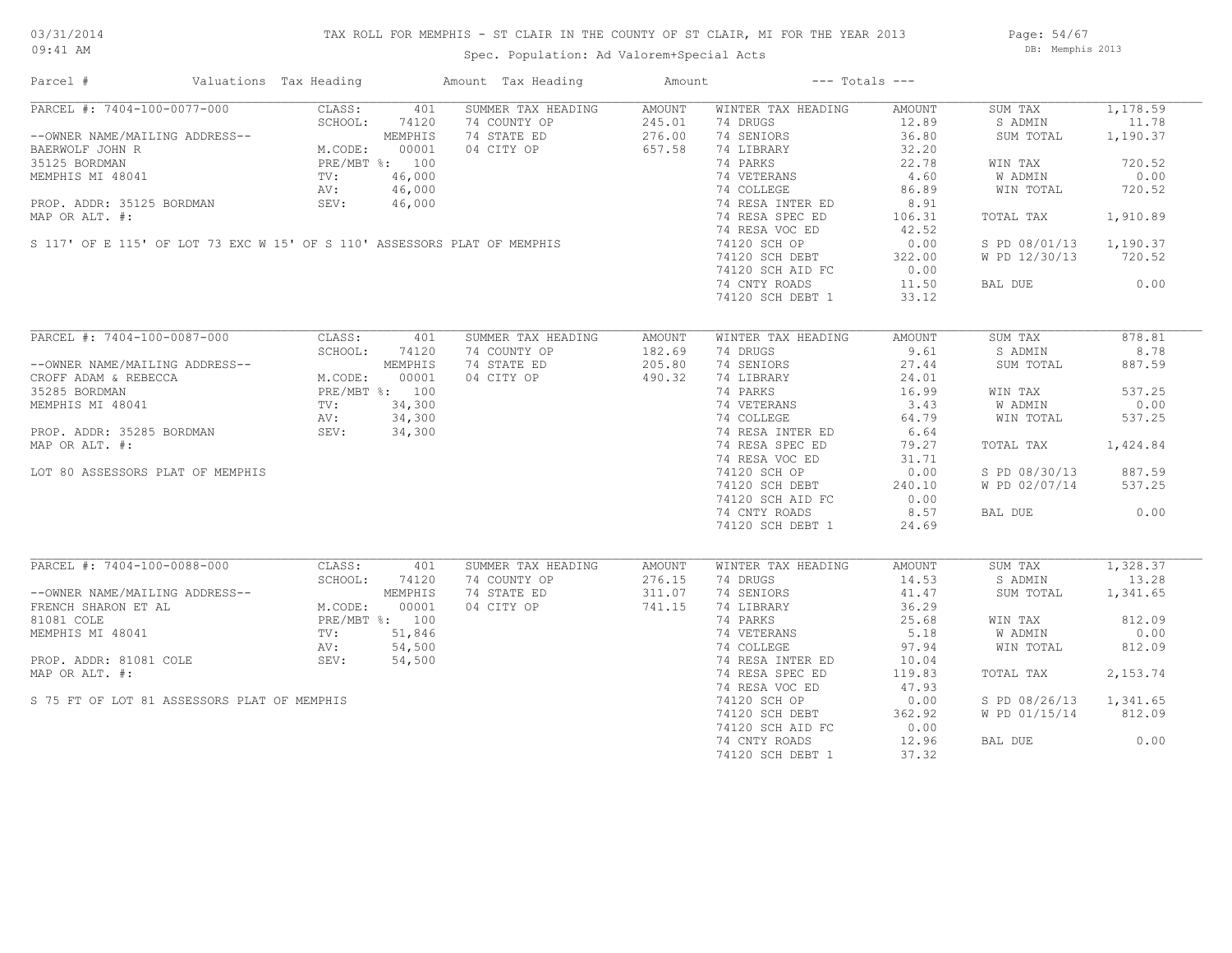## TAX ROLL FOR MEMPHIS - ST CLAIR IN THE COUNTY OF ST CLAIR, MI FOR THE YEAR 2013

Spec. Population: Ad Valorem+Special Acts

Page: 54/67 DB: Memphis 2013

| Parcel #                                                                                                                | Valuations Tax Heading |                | Amount Tax Heading | Amount        |                    | $---$ Totals $---$ |               |          |
|-------------------------------------------------------------------------------------------------------------------------|------------------------|----------------|--------------------|---------------|--------------------|--------------------|---------------|----------|
| PARCEL #: 7404-100-0077-000                                                                                             | CLASS:                 | 401            | SUMMER TAX HEADING | AMOUNT        | WINTER TAX HEADING | AMOUNT             | SUM TAX       | 1,178.59 |
|                                                                                                                         | SCHOOL:                | 74120          | 74 COUNTY OP       | 245.01        | 74 DRUGS           | 12.89              | S ADMIN       | 11.78    |
| --OWNER NAME/MAILING ADDRESS--                                                                                          |                        | MEMPHIS        | 74 STATE ED        | 276.00        | 74 SENIORS         | 36.80              | SUM TOTAL     | 1,190.37 |
| BAERWOLF JOHN R                                                                                                         | M.CODE:                | 00001          | 04 CITY OP         | 657.58        | 74 LIBRARY         | 32.20              |               |          |
| 35125 BORDMAN                                                                                                           | PRE/MBT %: 100         |                |                    |               | 74 PARKS           | 22.78              | WIN TAX       | 720.52   |
| MEMPHIS MI 48041                                                                                                        | TV:                    | 46,000         |                    |               | 74 VETERANS        | 4.60               | W ADMIN       | 0.00     |
|                                                                                                                         | AV:                    | 46,000         |                    |               | 74 COLLEGE         | 86.89              | WIN TOTAL     | 720.52   |
|                                                                                                                         |                        |                |                    |               | 74 RESA INTER ED   | 8.91               |               |          |
|                                                                                                                         |                        |                |                    |               | 74 RESA SPEC ED    | 106.31             | TOTAL TAX     | 1,910.89 |
| PROP. ADDR: 35125 BORDMAN<br>MAP OR ALT. #:<br>S 117' OF E 115' OF LOT 73 EXC W 15' OF S 110' ASSESSORS PLAT OF MEMPHIS |                        |                |                    |               | 74 RESA VOC ED     | 42.52              |               |          |
|                                                                                                                         |                        |                |                    |               | 74120 SCH OP       | 0.00               | S PD 08/01/13 | 1,190.37 |
|                                                                                                                         |                        |                |                    |               | 74120 SCH DEBT     | 322.00             | W PD 12/30/13 | 720.52   |
|                                                                                                                         |                        |                |                    |               | 74120 SCH AID FC   | 0.00               |               |          |
|                                                                                                                         |                        |                |                    |               | 74 CNTY ROADS      | 11.50              | BAL DUE       | 0.00     |
|                                                                                                                         |                        |                |                    |               | 74120 SCH DEBT 1   | 33.12              |               |          |
|                                                                                                                         |                        |                |                    |               |                    |                    |               |          |
|                                                                                                                         |                        |                |                    |               |                    |                    |               |          |
| PARCEL #: 7404-100-0087-000                                                                                             | CLASS:                 | 401            | SUMMER TAX HEADING | <b>AMOUNT</b> | WINTER TAX HEADING | AMOUNT             | SUM TAX       | 878.81   |
|                                                                                                                         | SCHOOL:                | 74120          | 74 COUNTY OP       | 182.69        | 74 DRUGS           | 9.61               | S ADMIN       | 8.78     |
| --OWNER NAME/MAILING ADDRESS--                                                                                          |                        | MEMPHIS        | 74 STATE ED        | 205.80        | 74 SENIORS         | 27.44              | SUM TOTAL     | 887.59   |
| CROFF ADAM & REBECCA                                                                                                    | M.CODE:                | 00001          | 04 CITY OP         | 490.32        | 74 LIBRARY         | 24.01              |               |          |
| 35285 BORDMAN                                                                                                           |                        | PRE/MBT %: 100 |                    |               | 74 PARKS           | 16.99              | WIN TAX       | 537.25   |
| MEMPHIS MI 48041                                                                                                        | TV:                    | 34,300         |                    |               | 74 VETERANS        | 3.43               | W ADMIN       | 0.00     |
|                                                                                                                         | AV:                    | 34,300         |                    |               | 74 COLLEGE         | 64.79              | WIN TOTAL     | 537.25   |
| PROP. ADDR: 35285 BORDMAN                                                                                               | SEV:                   | 34,300         |                    |               | 74 RESA INTER ED   | 6.64               |               |          |
| MAP OR ALT. #:                                                                                                          |                        |                |                    |               | 74 RESA SPEC ED    | 79.27              | TOTAL TAX     | 1,424.84 |
|                                                                                                                         |                        |                |                    |               | 74 RESA VOC ED     | 31.71              |               |          |
| LOT 80 ASSESSORS PLAT OF MEMPHIS                                                                                        |                        |                |                    |               | 74120 SCH OP       | 0.00               | S PD 08/30/13 | 887.59   |
|                                                                                                                         |                        |                |                    |               | 74120 SCH DEBT     | 240.10             | W PD 02/07/14 | 537.25   |
|                                                                                                                         |                        |                |                    |               | 74120 SCH AID FC   | 0.00               |               |          |
|                                                                                                                         |                        |                |                    |               | 74 CNTY ROADS      | 8.57               | BAL DUE       | 0.00     |
|                                                                                                                         |                        |                |                    |               | 74120 SCH DEBT 1   | 24.69              |               |          |
|                                                                                                                         |                        |                |                    |               |                    |                    |               |          |
| PARCEL #: 7404-100-0088-000                                                                                             | CLASS:                 | 401            | SUMMER TAX HEADING | <b>AMOUNT</b> | WINTER TAX HEADING | AMOUNT             | SUM TAX       | 1,328.37 |
|                                                                                                                         | SCHOOL:                | 74120          | 74 COUNTY OP       | 276.15        | 74 DRUGS           | 14.53              | S ADMIN       | 13.28    |
| --OWNER NAME/MAILING ADDRESS--                                                                                          |                        | MEMPHIS        | 74 STATE ED        | 311.07        | 74 SENIORS         | 41.47              | SUM TOTAL     | 1,341.65 |
| FRENCH SHARON ET AL                                                                                                     | M.CODE:                | 00001          | 04 CITY OP         | 741.15        | 74 LIBRARY         | 36.29              |               |          |
| 81081 COLE                                                                                                              |                        | PRE/MBT %: 100 |                    |               | 74 PARKS           | 25.68              | WIN TAX       | 812.09   |
| MEMPHIS MI 48041                                                                                                        | TV:                    | 51,846         |                    |               | 74 VETERANS        | 5.18               | W ADMIN       | 0.00     |
|                                                                                                                         | AV:                    | 54,500         |                    |               | 74 COLLEGE         | 97.94              | WIN TOTAL     | 812.09   |
| PROP. ADDR: 81081 COLE                                                                                                  | SEV:                   | 54,500         |                    |               | 74 RESA INTER ED   | 10.04              |               |          |
| MAP OR ALT. #:                                                                                                          |                        |                |                    |               | 74 RESA SPEC ED    | 119.83             | TOTAL TAX     | 2,153.74 |
|                                                                                                                         |                        |                |                    |               | 74 RESA VOC ED     | 47.93              |               |          |
| S 75 FT OF LOT 81 ASSESSORS PLAT OF MEMPHIS                                                                             |                        |                |                    |               | 74120 SCH OP       | 0.00               | S PD 08/26/13 | 1,341.65 |
|                                                                                                                         |                        |                |                    |               | 74120 SCH DEBT     | 362.92             | W PD 01/15/14 | 812.09   |
|                                                                                                                         |                        |                |                    |               | 74120 SCH AID FC   | 0.00               |               |          |
|                                                                                                                         |                        |                |                    |               | 74 CNTY ROADS      | 12.96              | BAL DUE       | 0.00     |
|                                                                                                                         |                        |                |                    |               |                    |                    |               |          |
|                                                                                                                         |                        |                |                    |               | 74120 SCH DEBT 1   | 37.32              |               |          |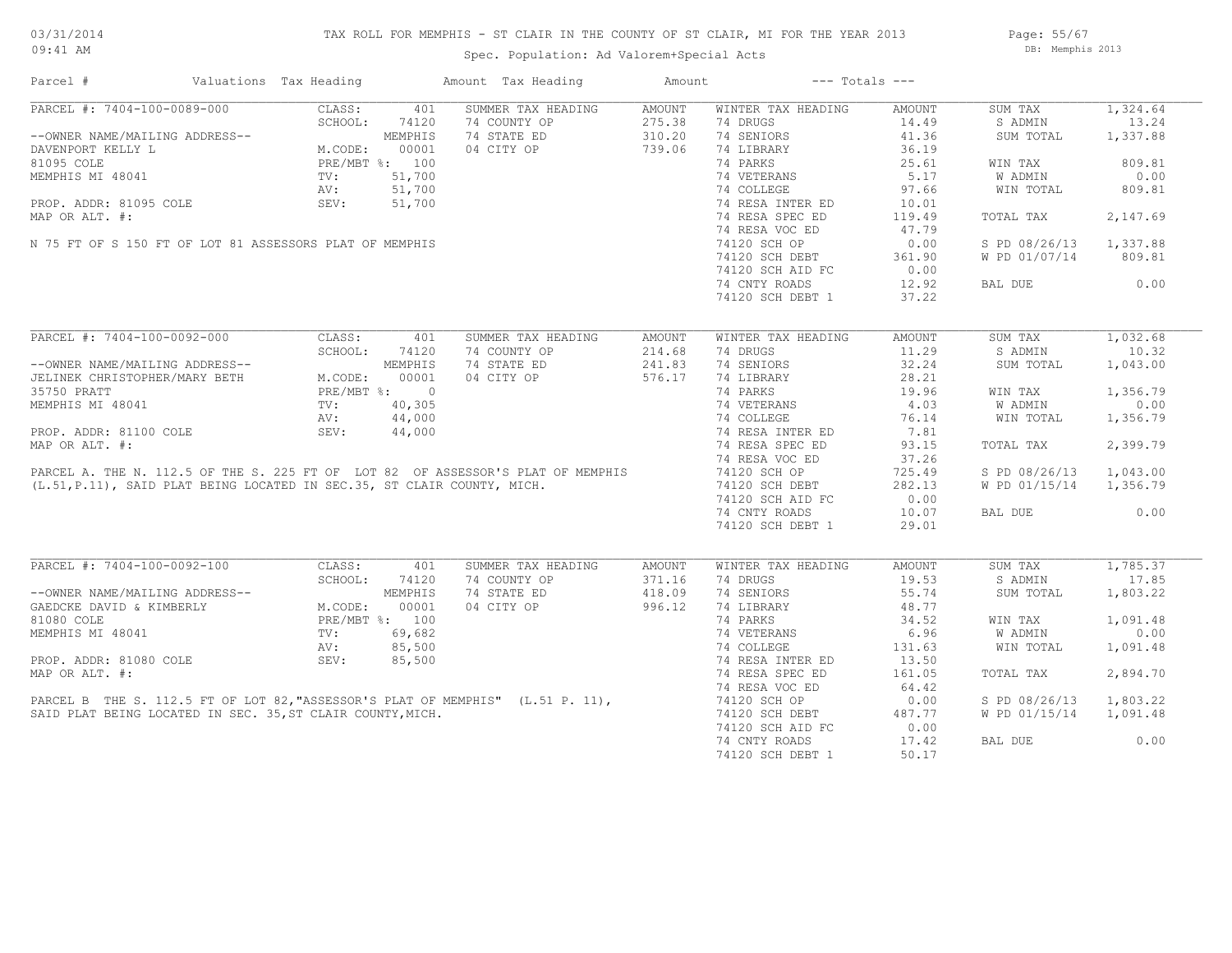Page: 55/67 DB: Memphis 2013

Spec. Population: Ad Valorem+Special Acts

| Parcel #                                                                                                                                                                                                                                               | Valuations Tax Heading |        | Amount Tax Heading                                                                                                                                                                                      | Amount |                                    | $---$ Totals $---$ |                        |          |
|--------------------------------------------------------------------------------------------------------------------------------------------------------------------------------------------------------------------------------------------------------|------------------------|--------|---------------------------------------------------------------------------------------------------------------------------------------------------------------------------------------------------------|--------|------------------------------------|--------------------|------------------------|----------|
| PARCEL #: 7404-100-0089-000<br>--OWNER NAME/MAILING ADDRESS--<br>DAVENPORT KELLY L<br>81095 COLE<br>MEMPHIS MI 48041<br>MEMPHIS MI 48041<br>TV: 51,700<br>NEMPHIS MI 48041<br>TV: 51,700<br>NEMPHIS MI 48041<br>TV: 51,700<br>NC: 51,700<br>NC: 51,700 |                        |        | SUMMER TAX HEADING                                                                                                                                                                                      | AMOUNT | WINTER TAX HEADING                 | AMOUNT             | SUM TAX                | 1,324.64 |
|                                                                                                                                                                                                                                                        |                        |        | 74 COUNTY OP                                                                                                                                                                                            | 275.38 | 74 DRUGS                           | 14.49              | S ADMIN                | 13.24    |
|                                                                                                                                                                                                                                                        |                        |        | 74 STATE ED                                                                                                                                                                                             | 310.20 | 74 SENIORS                         | 41.36              | SUM TOTAL              | 1,337.88 |
|                                                                                                                                                                                                                                                        |                        |        | 04 CITY OP                                                                                                                                                                                              | 739.06 | 74 LIBRARY                         | 36.19              |                        |          |
|                                                                                                                                                                                                                                                        |                        |        |                                                                                                                                                                                                         |        | 74 PARKS                           | 25.61              | WIN TAX                | 809.81   |
|                                                                                                                                                                                                                                                        |                        |        |                                                                                                                                                                                                         |        | 74 VETERANS                        | 5.17               | W ADMIN                | 0.00     |
|                                                                                                                                                                                                                                                        |                        |        |                                                                                                                                                                                                         |        | 74 COLLEGE                         | 97.66              | WIN TOTAL              | 809.81   |
| PROP. ADDR: 81095 COLE                                                                                                                                                                                                                                 | SEV:                   | 51,700 |                                                                                                                                                                                                         |        | 74 RESA INTER ED                   | 10.01              |                        |          |
| MAP OR ALT. #:                                                                                                                                                                                                                                         |                        |        |                                                                                                                                                                                                         |        | 74 RESA SPEC ED                    | 119.49             | TOTAL TAX              | 2,147.69 |
|                                                                                                                                                                                                                                                        |                        |        |                                                                                                                                                                                                         |        | 74 RESA VOC ED                     | 47.79              |                        |          |
| N 75 FT OF S 150 FT OF LOT 81 ASSESSORS PLAT OF MEMPHIS                                                                                                                                                                                                |                        |        |                                                                                                                                                                                                         |        | 74120 SCH OP                       | 0.00               | S PD 08/26/13          | 1,337.88 |
|                                                                                                                                                                                                                                                        |                        |        |                                                                                                                                                                                                         |        |                                    |                    |                        |          |
|                                                                                                                                                                                                                                                        |                        |        |                                                                                                                                                                                                         |        | 74120 SCH DEBT<br>74120 sch atd FC | 361.90             | W PD 01/07/14          | 809.81   |
|                                                                                                                                                                                                                                                        |                        |        |                                                                                                                                                                                                         |        | 74120 SCH AID FC                   | 0.00               |                        |          |
|                                                                                                                                                                                                                                                        |                        |        |                                                                                                                                                                                                         |        | 74 CNTY ROADS                      | 12.92              | BAL DUE                | 0.00     |
|                                                                                                                                                                                                                                                        |                        |        |                                                                                                                                                                                                         |        | 74120 SCH DEBT 1                   | 37.22              |                        |          |
| PARCEL #: 7404-100-0092-000                                                                                                                                                                                                                            | CLASS:                 | 401    | SUMMER TAX HEADING                                                                                                                                                                                      | AMOUNT | WINTER TAX HEADING                 | AMOUNT             | SUM TAX                | 1,032.68 |
|                                                                                                                                                                                                                                                        |                        |        |                                                                                                                                                                                                         |        |                                    |                    |                        | 10.32    |
| --OWNER NAME/MAILING ADDRESS--<br>JELINEK CHRISTOPHER/MARY BETH M.CODE: 00001<br>35750 PRATT PRE/MBT %: 0<br>MEMPHIS MI 48041 TV: 40,305<br>MEMPHIS MI 48041 TV: 44,000<br>AU: 44,000                                                                  |                        |        | 74 COUNTY OP                                                                                                                                                                                            | 214.68 | 74 DRUGS                           | 11.29              | S ADMIN                |          |
|                                                                                                                                                                                                                                                        |                        |        | 74 STATE ED                                                                                                                                                                                             | 241.83 | 74 SENIORS                         | 32.24              | SUM TOTAL              | 1,043.00 |
|                                                                                                                                                                                                                                                        |                        |        | 04 CITY OP                                                                                                                                                                                              | 576.17 | 74 LIBRARY                         | 28.21              |                        |          |
|                                                                                                                                                                                                                                                        |                        |        |                                                                                                                                                                                                         |        | 74 PARKS                           | 19.96              | WIN TAX                | 1,356.79 |
|                                                                                                                                                                                                                                                        |                        |        |                                                                                                                                                                                                         |        | 74 VETERANS                        | 4.03               | W ADMIN                | 0.00     |
|                                                                                                                                                                                                                                                        |                        |        |                                                                                                                                                                                                         |        | 74 COLLEGE                         | 76.14              | WIN TOTAL              | 1,356.79 |
| PROP. ADDR: 81100 COLE                                                                                                                                                                                                                                 | SEV:                   | 44,000 |                                                                                                                                                                                                         |        | 74 RESA INTER ED                   | 7.81               |                        |          |
| MAP OR ALT. #:                                                                                                                                                                                                                                         |                        |        |                                                                                                                                                                                                         |        | 74 RESA SPEC ED                    | 93.15              | TOTAL TAX              | 2,399.79 |
|                                                                                                                                                                                                                                                        |                        |        |                                                                                                                                                                                                         |        | 74 RESA VOC ED                     | 37.26              |                        |          |
|                                                                                                                                                                                                                                                        |                        |        | PARCEL A. THE N. 112.5 OF THE S. 225 FT OF LOT 82 OF ASSESSOR'S PLAT OF MEMPHIS 74120 SCH OP<br>(L.51, P.11), SAID PLAT BEING LOCATED IN SEC.35, ST CLAIR COUNTY, MICH. 74120 SCH OF THE 74120 SCH DEBT |        |                                    | 725.49             | S PD 08/26/13          | 1,043.00 |
|                                                                                                                                                                                                                                                        |                        |        |                                                                                                                                                                                                         |        |                                    | 282.13             | W PD 01/15/14 1,356.79 |          |
|                                                                                                                                                                                                                                                        |                        |        |                                                                                                                                                                                                         |        | 74120 SCH AID FC                   | 0.00               |                        |          |
|                                                                                                                                                                                                                                                        |                        |        |                                                                                                                                                                                                         |        | 74 CNTY ROADS                      | 10.07              | BAL DUE                | 0.00     |
|                                                                                                                                                                                                                                                        |                        |        |                                                                                                                                                                                                         |        | 74120 SCH DEBT 1                   | 29.01              |                        |          |
|                                                                                                                                                                                                                                                        |                        |        |                                                                                                                                                                                                         |        |                                    |                    |                        |          |
| %ARCEL #: 7404-100-0092-100<br>--OWNER NAME/MAILING ADDRESS--<br>GAEDCKE DAVID & KIMBERLY<br>GAEDCKE DAVID & KIMBERLY<br>M.CODE: 00001<br>MEMPHIS MI 48041<br>TV: 69,682<br>AV: 85,500<br>SEV: 85,500<br>SEV: 85,500<br>SEV: 85,500                    |                        |        | SUMMER TAX HEADING                                                                                                                                                                                      | AMOUNT | WINTER TAX HEADING                 | AMOUNT             | SUM TAX                | 1,785.37 |
|                                                                                                                                                                                                                                                        |                        |        | 74 COUNTY OP                                                                                                                                                                                            | 371.16 | 74 DRUGS                           | 19.53              | S ADMIN                | 17.85    |
|                                                                                                                                                                                                                                                        |                        |        | 74 STATE ED                                                                                                                                                                                             | 418.09 | 74 SENIORS                         | 55.74              | SUM TOTAL              | 1,803.22 |
|                                                                                                                                                                                                                                                        |                        |        | 04 CITY OP                                                                                                                                                                                              | 996.12 | 74 LIBRARY                         | 48.77              |                        |          |
|                                                                                                                                                                                                                                                        |                        |        |                                                                                                                                                                                                         |        | 74 PARKS                           | 34.52              | WIN TAX                | 1,091.48 |
|                                                                                                                                                                                                                                                        |                        |        |                                                                                                                                                                                                         |        | 74 VETERANS                        | 6.96               | W ADMIN                | 0.00     |
|                                                                                                                                                                                                                                                        |                        |        |                                                                                                                                                                                                         |        | 74 COLLEGE                         | 131.63             | WIN TOTAL              | 1,091.48 |
|                                                                                                                                                                                                                                                        |                        |        |                                                                                                                                                                                                         |        |                                    |                    |                        |          |
|                                                                                                                                                                                                                                                        |                        |        |                                                                                                                                                                                                         |        | 74 RESA INTER ED                   | 13.50              |                        |          |
|                                                                                                                                                                                                                                                        |                        |        |                                                                                                                                                                                                         |        | 74 RESA SPEC ED                    | 161.05             | TOTAL TAX              | 2,894.70 |
|                                                                                                                                                                                                                                                        |                        |        |                                                                                                                                                                                                         |        | 74 RESA VOC ED                     | 64.42              |                        |          |
|                                                                                                                                                                                                                                                        |                        |        | PARCEL B THE S. 112.5 FT OF LOT 82, "ASSESSOR'S PLAT OF MEMPHIS" (L.51 P. 11),<br>SAID PLAT BEING LOCATED IN SEC. 35, ST CLAIR COUNTY, MICH.                                                            |        | 74120 SCH OP                       | 0.00               | S PD 08/26/13          | 1,803.22 |
|                                                                                                                                                                                                                                                        |                        |        |                                                                                                                                                                                                         |        | 74120 SCH DEBT                     | 487.77             | W PD 01/15/14          | 1,091.48 |
|                                                                                                                                                                                                                                                        |                        |        |                                                                                                                                                                                                         |        | 74120 SCH AID FC                   | 0.00               |                        |          |
|                                                                                                                                                                                                                                                        |                        |        |                                                                                                                                                                                                         |        | 74 CNTY ROADS                      | 17.42              | BAL DUE                | 0.00     |
|                                                                                                                                                                                                                                                        |                        |        |                                                                                                                                                                                                         |        | 74120 SCH DEBT 1                   | 50.17              |                        |          |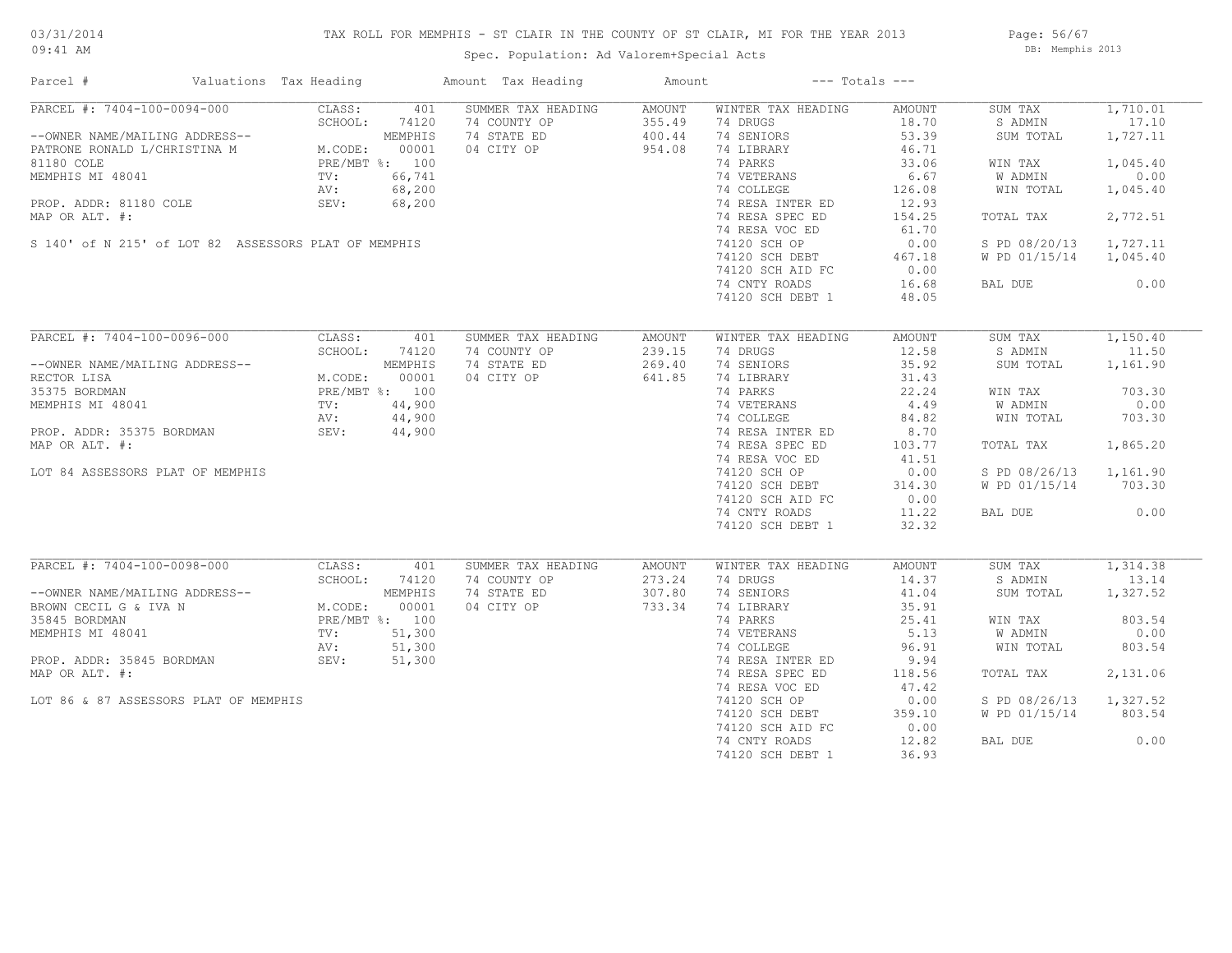## TAX ROLL FOR MEMPHIS - ST CLAIR IN THE COUNTY OF ST CLAIR, MI FOR THE YEAR 2013

Spec. Population: Ad Valorem+Special Acts

Page: 56/67 DB: Memphis 2013

| Parcel #                                             | Valuations Tax Heading | Amount Tax Heading                                 | Amount           |                                | $---$ Totals $---$ |                    |                   |
|------------------------------------------------------|------------------------|----------------------------------------------------|------------------|--------------------------------|--------------------|--------------------|-------------------|
| PARCEL #: 7404-100-0094-000                          | CLASS:                 | SUMMER TAX HEADING<br>401                          | AMOUNT           | WINTER TAX HEADING             | AMOUNT             | SUM TAX            | 1,710.01          |
|                                                      | SCHOOL:<br>74120       | 74 COUNTY OP                                       | 355.49           | 74 DRUGS                       | 18.70              | S ADMIN            | 17.10             |
| --OWNER NAME/MAILING ADDRESS--                       | M. CODE:<br>MEMPHIS    | 74 STATE ED                                        | 400.44           | 74 SENIORS                     | 53.39              | SUM TOTAL          | 1,727.11          |
| PATRONE RONALD L/CHRISTINA M                         |                        | 00001<br>04 CITY OP                                | 954.08           | 74 LIBRARY                     | 46.71              |                    |                   |
| 81180 COLE                                           | PRE/MBT %: 100         |                                                    |                  | 74 PARKS                       | 33.06              | WIN TAX            | 1,045.40          |
| MEMPHIS MI 48041                                     | TV:                    | 66,741                                             |                  | 74 VETERANS                    | 6.67               | W ADMIN            | 0.00              |
|                                                      | AV:                    | 68,200                                             |                  | 74 COLLEGE                     | 126.08             | WIN TOTAL          | 1,045.40          |
| PROP. ADDR: 81180 COLE                               | SEV:                   | 68,200                                             |                  | 74 RESA INTER ED               | 12.93              |                    |                   |
| MAP OR ALT. #:                                       |                        |                                                    |                  | 74 RESA SPEC ED                | 154.25             | TOTAL TAX          | 2,772.51          |
|                                                      |                        |                                                    |                  | 74 RESA VOC ED                 |                    |                    |                   |
|                                                      |                        |                                                    |                  |                                | 61.70              |                    |                   |
| S 140' of N 215' of LOT 82 ASSESSORS PLAT OF MEMPHIS |                        |                                                    |                  | 74120 SCH OP                   | 0.00               | S PD 08/20/13      | 1,727.11          |
|                                                      |                        |                                                    |                  | 74120 SCH DEBT                 | 467.18             | W PD 01/15/14      | 1,045.40          |
|                                                      |                        |                                                    |                  | 74120 SCH AID FC               | 0.00               |                    |                   |
|                                                      |                        |                                                    |                  | 74 CNTY ROADS                  | 16.68              | BAL DUE            | 0.00              |
|                                                      |                        |                                                    |                  | 74120 SCH DEBT 1               | 48.05              |                    |                   |
|                                                      |                        |                                                    |                  |                                |                    |                    |                   |
| PARCEL #: 7404-100-0096-000                          | CLASS:                 | 401<br>SUMMER TAX HEADING                          | AMOUNT           | WINTER TAX HEADING             | AMOUNT             | SUM TAX            | 1,150.40          |
|                                                      | SCHOOL:                | 74120<br>74 COUNTY OP                              | 239.15           | 74 DRUGS                       | 12.58              | S ADMIN            | 11.50             |
| --OWNER NAME/MAILING ADDRESS--                       | MEMPHIS                | 74 STATE ED                                        | 269.40           | 74 SENIORS                     | 35.92              | SUM TOTAL          | 1,161.90          |
| RECTOR LISA                                          | M.CODE:                | 00001<br>04 CITY OP                                | 641.85           | 74 LIBRARY                     | 31.43              |                    |                   |
| 35375 BORDMAN                                        | PRE/MBT %: 100         |                                                    |                  | 74 PARKS                       | 22.24              | WIN TAX            | 703.30            |
| MEMPHIS MI 48041                                     | TV:                    | 44,900                                             |                  | 74 VETERANS                    | 4.49               | W ADMIN            | 0.00              |
|                                                      | AV:                    | 44,900                                             |                  | 74 COLLEGE                     | 84.82              | WIN TOTAL          | 703.30            |
| PROP. ADDR: 35375 BORDMAN                            | SEV: 44,900            |                                                    |                  | 74 RESA INTER ED               | 8.70               |                    |                   |
|                                                      |                        |                                                    |                  |                                |                    |                    |                   |
| MAP OR ALT. #:                                       |                        |                                                    |                  | 74 RESA SPEC ED                | 103.77             | TOTAL TAX          | 1,865.20          |
|                                                      |                        |                                                    |                  | 74 RESA VOC ED                 | 41.51              |                    |                   |
| LOT 84 ASSESSORS PLAT OF MEMPHIS                     |                        |                                                    |                  | 74120 SCH OP                   | 0.00               | S PD 08/26/13      | 1,161.90          |
|                                                      |                        |                                                    |                  | 74120 SCH DEBT                 | 314.30             | W PD 01/15/14      | 703.30            |
|                                                      |                        |                                                    |                  | 74120 SCH AID FC               | 0.00               |                    |                   |
|                                                      |                        |                                                    |                  | 74 CNTY ROADS                  | 11.22              | BAL DUE            | 0.00              |
|                                                      |                        |                                                    |                  | 74120 SCH DEBT 1               | 32.32              |                    |                   |
|                                                      |                        |                                                    |                  |                                |                    |                    |                   |
| PARCEL #: 7404-100-0098-000                          | CLASS:<br>SCHOOL:      | SUMMER TAX HEADING<br>401<br>74 COUNTY OP<br>74120 | AMOUNT<br>273.24 | WINTER TAX HEADING<br>74 DRUGS | AMOUNT<br>14.37    | SUM TAX<br>S ADMIN | 1,314.38<br>13.14 |
|                                                      | MEMPHIS                | 74 STATE ED                                        | 307.80           | 74 SENIORS                     | 41.04              | SUM TOTAL          | 1,327.52          |
| --OWNER NAME/MAILING ADDRESS--                       |                        |                                                    |                  |                                |                    |                    |                   |
| BROWN CECIL G & IVA N                                | M.CODE:                | 04 CITY OP<br>00001                                | 733.34           | 74 LIBRARY                     | 35.91              |                    |                   |
| 35845 BORDMAN                                        | PRE/MBT %: 100         |                                                    |                  | 74 PARKS                       | 25.41              | WIN TAX            | 803.54            |
| MEMPHIS MI 48041                                     | TV:                    | 51,300                                             |                  | 74 VETERANS                    | 5.13               | W ADMIN            | 0.00              |
|                                                      | AV:                    | 51,300                                             |                  | 74 COLLEGE                     | 96.91              | WIN TOTAL          | 803.54            |
| PROP. ADDR: 35845 BORDMAN                            | SEV:                   | 51,300                                             |                  | 74 RESA INTER ED               | 9.94               |                    |                   |
| MAP OR ALT. #:                                       |                        |                                                    |                  | 74 RESA SPEC ED                | 118.56             | TOTAL TAX          | 2,131.06          |
|                                                      |                        |                                                    |                  | 74 RESA VOC ED                 | 47.42              |                    |                   |
| LOT 86 & 87 ASSESSORS PLAT OF MEMPHIS                |                        |                                                    |                  | 74120 SCH OP                   | 0.00               | S PD 08/26/13      | 1,327.52          |
|                                                      |                        |                                                    |                  | 74120 SCH DEBT                 | 359.10             | W PD 01/15/14      | 803.54            |
|                                                      |                        |                                                    |                  | 74120 SCH AID FC               | 0.00               |                    |                   |
|                                                      |                        |                                                    |                  | 74 CNTY ROADS                  | 12.82              | BAL DUE            | 0.00              |
|                                                      |                        |                                                    |                  |                                |                    |                    |                   |
|                                                      |                        |                                                    |                  | 74120 SCH DEBT 1               | 36.93              |                    |                   |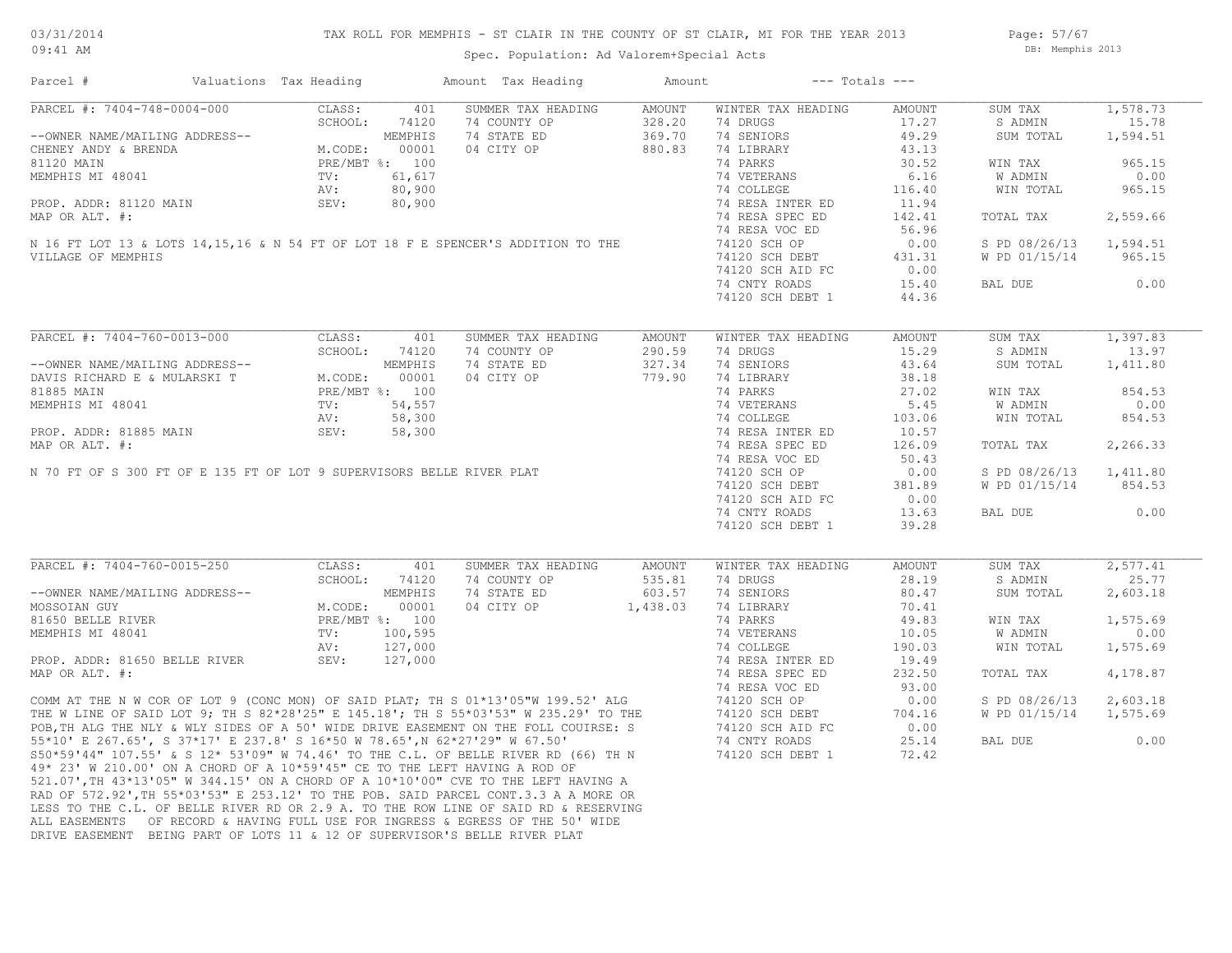#### TAX ROLL FOR MEMPHIS - ST CLAIR IN THE COUNTY OF ST CLAIR, MI FOR THE YEAR 2013

09:41 AM

### Spec. Population: Ad Valorem+Special Acts

Page: 57/67 DB: Memphis 2013

| Parcel #                                                                                                                                                                                                                                        | Valuations Tax Heading                       |         | Amount Tax Heading                                                                                                                                                                                                                   | Amount |                    | $---$ Totals $---$ |                        |          |
|-------------------------------------------------------------------------------------------------------------------------------------------------------------------------------------------------------------------------------------------------|----------------------------------------------|---------|--------------------------------------------------------------------------------------------------------------------------------------------------------------------------------------------------------------------------------------|--------|--------------------|--------------------|------------------------|----------|
| PARCEL #: 7404-748-0004-000                                                                                                                                                                                                                     | CLASS:                                       | 401     | SUMMER TAX HEADING                                                                                                                                                                                                                   | AMOUNT | WINTER TAX HEADING | AMOUNT             | SUM TAX                | 1,578.73 |
|                                                                                                                                                                                                                                                 | SCHOOL:                                      | 74120   | 74 COUNTY OP                                                                                                                                                                                                                         | 328.20 | 74 DRUGS           | 17.27              | S ADMIN                | 15.78    |
| --OWNER NAME/MAILING ADDRESS--<br>CHENEY ANDY & BRENDA<br>MEMPHIS MI 48041<br>MEMPHIS MI 48041<br>PROP. ADDR: 81120 MAIN<br>PROP. ADDR: 81120 MAIN<br>PROP. ADDR: 81120 MAIN<br>PROP. ADDR: 81120 MAIN<br>PROP. ADDR: 81120 MAIN<br>SEV: 80,900 |                                              |         | 74 STATE ED                                                                                                                                                                                                                          | 369.70 | 74 SENIORS         | 49.29              | SUM TOTAL              | 1,594.51 |
|                                                                                                                                                                                                                                                 |                                              |         | 04 CITY OP                                                                                                                                                                                                                           | 880.83 | 74 LIBRARY         | 43.13              |                        |          |
|                                                                                                                                                                                                                                                 |                                              |         |                                                                                                                                                                                                                                      |        | 74 PARKS           | 30.52              | WIN TAX                | 965.15   |
|                                                                                                                                                                                                                                                 |                                              |         | 81120 MAIN<br>MEMPHIS MI 48041<br>PROP. ADDR: 81120 MAIN<br>MAP OR ALT. #:<br>N 16 FT LOT 13 & LOTS 14,15,16 & N 54 FT OF LOT 18 F E SPENCER'S ADDITION TO THE<br>VILLAGE OF MEMPHIS                                                 |        | 74 VETERANS        | 6.16               | W ADMIN                | 0.00     |
|                                                                                                                                                                                                                                                 |                                              |         |                                                                                                                                                                                                                                      |        | 74 COLLEGE         | 116.40             | WIN TOTAL              | 965.15   |
|                                                                                                                                                                                                                                                 |                                              |         |                                                                                                                                                                                                                                      |        | 74 RESA INTER ED   | 11.94              |                        |          |
|                                                                                                                                                                                                                                                 |                                              |         |                                                                                                                                                                                                                                      |        | 74 RESA SPEC ED    | 142.41             | TOTAL TAX              | 2,559.66 |
|                                                                                                                                                                                                                                                 |                                              |         |                                                                                                                                                                                                                                      |        | 74 RESA VOC ED     | 56.96              |                        |          |
|                                                                                                                                                                                                                                                 |                                              |         |                                                                                                                                                                                                                                      |        | 74120 SCH OP       | 0.00               | S PD 08/26/13          | 1,594.51 |
|                                                                                                                                                                                                                                                 |                                              |         |                                                                                                                                                                                                                                      |        |                    |                    |                        | 965.15   |
|                                                                                                                                                                                                                                                 |                                              |         |                                                                                                                                                                                                                                      |        | 74120 SCH DEBT     | 431.31             | W PD 01/15/14          |          |
|                                                                                                                                                                                                                                                 |                                              |         |                                                                                                                                                                                                                                      |        | 74120 SCH AID FC   | 0.00               |                        |          |
|                                                                                                                                                                                                                                                 |                                              |         |                                                                                                                                                                                                                                      |        | 74 CNTY ROADS      | 15.40              | BAL DUE                | 0.00     |
|                                                                                                                                                                                                                                                 |                                              |         |                                                                                                                                                                                                                                      |        | 74120 SCH DEBT 1   | 44.36              |                        |          |
| PARCEL #: 7404-760-0013-000                                                                                                                                                                                                                     | CLASS:                                       | 401     | SUMMER TAX HEADING                                                                                                                                                                                                                   |        | WINTER TAX HEADING |                    | SUM TAX                | 1,397.83 |
|                                                                                                                                                                                                                                                 |                                              |         |                                                                                                                                                                                                                                      | AMOUNT | 74 DRUGS           | AMOUNT<br>15.29    |                        | 13.97    |
| --OWNER NAME/MAILING ADDRESS--<br>DAVIS RICHARD E & MULARSKI T<br>81885 MAIN PRE/MBT %: 00001<br>MEMPHIS MI 48041 PRE/MBT %: 100<br>MEMPHIS MI 48041 TV: 54,557<br>PROP. ADDR: 81885 MAIN SEV: 58,300<br>PROP. ADDR: 81885 MAIN SEV: 58,30      | SCHOOL:                                      | 74120   | 74 COUNTY OP                                                                                                                                                                                                                         | 290.59 |                    |                    | S ADMIN                |          |
|                                                                                                                                                                                                                                                 |                                              |         | 74 STATE ED                                                                                                                                                                                                                          | 327.34 | 74 SENIORS         | 43.64              | SUM TOTAL              | 1,411.80 |
|                                                                                                                                                                                                                                                 |                                              |         | 04 CITY OP                                                                                                                                                                                                                           | 779.90 | 74 LIBRARY         | 38.18              |                        |          |
|                                                                                                                                                                                                                                                 |                                              |         |                                                                                                                                                                                                                                      |        | 74 PARKS           | 27.02              | WIN TAX                | 854.53   |
|                                                                                                                                                                                                                                                 |                                              |         |                                                                                                                                                                                                                                      |        | 74 VETERANS        | 5.45               | W ADMIN                | 0.00     |
|                                                                                                                                                                                                                                                 |                                              |         |                                                                                                                                                                                                                                      |        | 74 COLLEGE         | 103.06             | WIN TOTAL              | 854.53   |
|                                                                                                                                                                                                                                                 |                                              |         |                                                                                                                                                                                                                                      |        | 74 RESA INTER ED   | 10.57              |                        |          |
|                                                                                                                                                                                                                                                 |                                              |         |                                                                                                                                                                                                                                      |        | 74 RESA SPEC ED    | 126.09             | TOTAL TAX              | 2,266.33 |
|                                                                                                                                                                                                                                                 |                                              |         |                                                                                                                                                                                                                                      |        | 74 RESA VOC ED     | 50.43              |                        |          |
|                                                                                                                                                                                                                                                 |                                              |         |                                                                                                                                                                                                                                      |        | 74120 SCH OP       | 0.00               | S PD 08/26/13 1,411.80 |          |
|                                                                                                                                                                                                                                                 |                                              |         |                                                                                                                                                                                                                                      |        | 74120 SCH DEBT     | 381.89             | W PD 01/15/14          | 854.53   |
|                                                                                                                                                                                                                                                 |                                              |         |                                                                                                                                                                                                                                      |        | 74120 SCH AID FC   | 0.00               |                        |          |
|                                                                                                                                                                                                                                                 |                                              |         |                                                                                                                                                                                                                                      |        | 74 CNTY ROADS      | 13.63              | BAL DUE                | 0.00     |
|                                                                                                                                                                                                                                                 |                                              |         | 81885 MAIN<br>MEMPHIS MI 48041<br>TV: 54,557<br>PROP. ADDR: 81885 MAIN<br>MAP OR ALT. #: 58,300<br>MAP OR ALT. #:<br>N 70 FT OF S 300 FT OF E 135 FT OF LOT 9 SUPERVISORS BELLE RIVER PLAT                                           |        | 74120 SCH DEBT 1   | 39.28              |                        |          |
|                                                                                                                                                                                                                                                 |                                              |         |                                                                                                                                                                                                                                      |        |                    |                    |                        |          |
| PARCEL #: 7404-760-0015-250                                                                                                                                                                                                                     | CLASS:                                       | 401     | SUMMER TAX HEADING                                                                                                                                                                                                                   | AMOUNT | WINTER TAX HEADING | AMOUNT             | SUM TAX                | 2,577.41 |
|                                                                                                                                                                                                                                                 | SCHOOL:                                      | 74120   | 74 COUNTY OP                                                                                                                                                                                                                         | 535.81 | 74 DRUGS           | 28.19              | S ADMIN                | 25.77    |
| --OWNER NAME/MAILING ADDRESS--                                                                                                                                                                                                                  | M.COD                                        | MEMPHIS | 74 STATE ED                                                                                                                                                                                                                          | 603.57 | 74 SENIORS         | 80.47              | SUM TOTAL              | 2,603.18 |
| MOSSOIAN GUY                                                                                                                                                                                                                                    | M.CODE:                                      | 00001   | 04 CITY OP 1,438.03                                                                                                                                                                                                                  |        | 74 LIBRARY         | 70.41              |                        |          |
| 81650 BELLE RIVER                                                                                                                                                                                                                               |                                              |         |                                                                                                                                                                                                                                      |        | 74 PARKS           | 49.83              | WIN TAX                | 1,575.69 |
| MEMPHIS MI 48041                                                                                                                                                                                                                                | PRE/MBT %: 100<br>TV: 100,595<br>AV: 127,000 |         |                                                                                                                                                                                                                                      |        | 74 VETERANS        | 10.05              | W ADMIN                | 0.00     |
|                                                                                                                                                                                                                                                 |                                              |         |                                                                                                                                                                                                                                      |        | 74 COLLEGE         | 190.03             | WIN TOTAL              | 1,575.69 |
| PROP. ADDR: 81650 BELLE RIVER                                                                                                                                                                                                                   | SEV: 127,000                                 |         |                                                                                                                                                                                                                                      |        | 74 RESA INTER ED   | 19.49              |                        |          |
|                                                                                                                                                                                                                                                 |                                              |         |                                                                                                                                                                                                                                      |        |                    | 232.50             | TOTAL TAX              | 4,178.87 |
|                                                                                                                                                                                                                                                 |                                              |         | MAP OR ALT. #:<br>COMM AT THE N W COR OF LOT 9 (CONC MON) OF SAID PLAT; TH S 01*13'05"W 199.52' ALG<br>THE W LINE OF SAID LOT 9; TH S 82*28'25" E 145.18'; TH S 55*03'53" W 235.29' TO THE<br>POB, TH ALG THE NLY & WLY SIDES OF A 5 |        |                    | 93.00              |                        |          |
|                                                                                                                                                                                                                                                 |                                              |         |                                                                                                                                                                                                                                      |        |                    | 0.00               | S PD 08/26/13          | 2,603.18 |
|                                                                                                                                                                                                                                                 |                                              |         |                                                                                                                                                                                                                                      |        | 74120 SCH DEBT     | 704.16             | W PD 01/15/14          | 1,575.69 |
|                                                                                                                                                                                                                                                 |                                              |         |                                                                                                                                                                                                                                      |        |                    | 0.00               |                        |          |
|                                                                                                                                                                                                                                                 |                                              |         |                                                                                                                                                                                                                                      |        |                    | 25.14              | BAL DUE                | 0.00     |
|                                                                                                                                                                                                                                                 |                                              |         |                                                                                                                                                                                                                                      |        |                    | 72.42              |                        |          |
| 49* 23' W 210.00' ON A CHORD OF A 10*59'45" CE TO THE LEFT HAVING A ROD OF                                                                                                                                                                      |                                              |         |                                                                                                                                                                                                                                      |        |                    |                    |                        |          |
|                                                                                                                                                                                                                                                 |                                              |         | 521.07', TH 43*13'05" W 344.15' ON A CHORD OF A 10*10'00" CVE TO THE LEFT HAVING A                                                                                                                                                   |        |                    |                    |                        |          |
|                                                                                                                                                                                                                                                 |                                              |         |                                                                                                                                                                                                                                      |        |                    |                    |                        |          |

DRIVE EASEMENT BEING PART OF LOTS 11 & 12 OF SUPERVISOR'S BELLE RIVER PLAT ALL EASEMENTS OF RECORD & HAVING FULL USE FOR INGRESS & EGRESS OF THE 50' WIDE LESS TO THE C.L. OF BELLE RIVER RD OR 2.9 A. TO THE ROW LINE OF SAID RD & RESERVING RAD OF 572.92',TH 55\*03'53" E 253.12' TO THE POB. SAID PARCEL CONT.3.3 A A MORE OR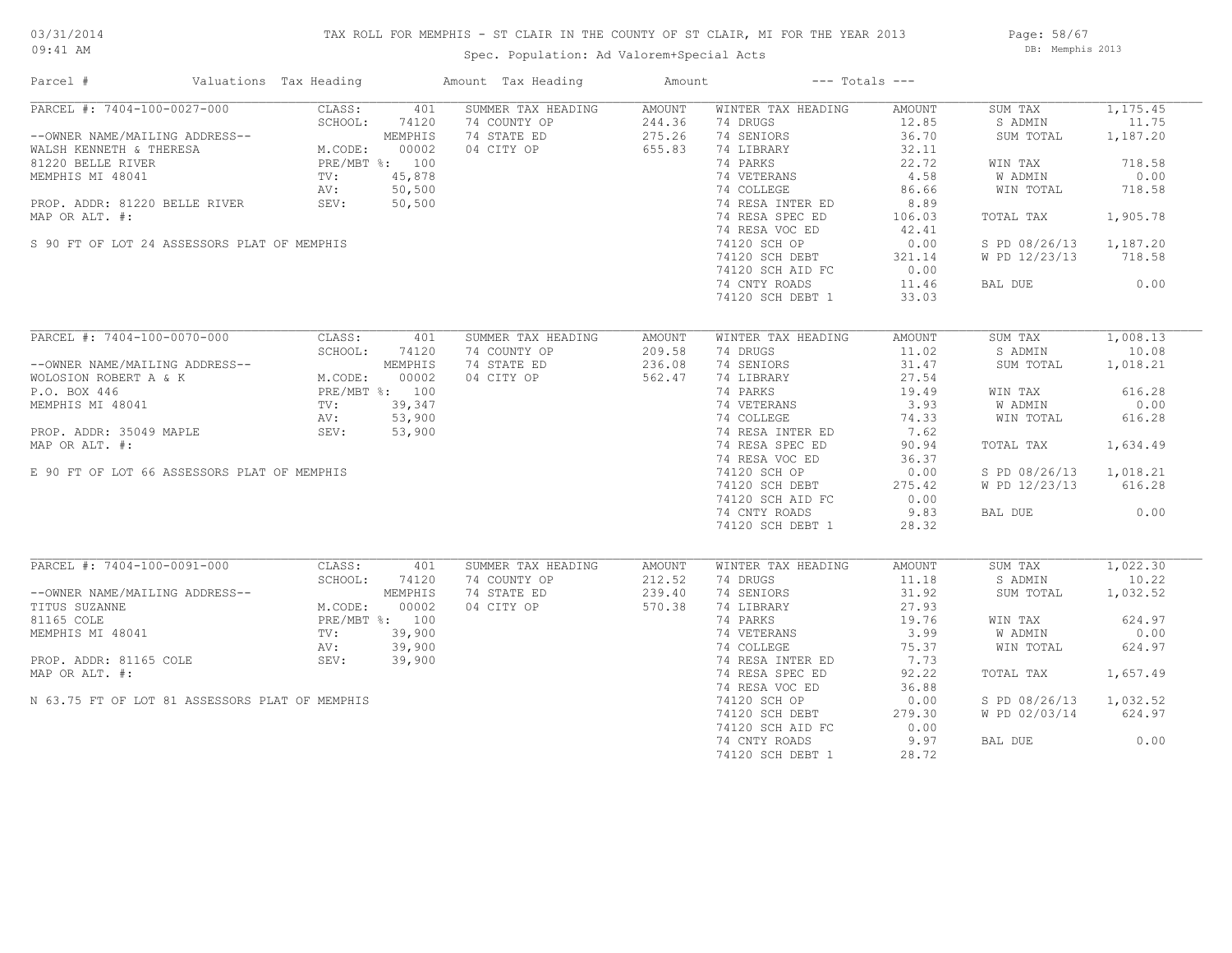## TAX ROLL FOR MEMPHIS - ST CLAIR IN THE COUNTY OF ST CLAIR, MI FOR THE YEAR 2013

Spec. Population: Ad Valorem+Special Acts

Page: 58/67 DB: Memphis 2013

| Parcel #                                                                                                                                                     | Valuations Tax Heading                                                              |        | Amount Tax Heading                  | Amount | $---$ Totals $---$        |                   |                        |          |
|--------------------------------------------------------------------------------------------------------------------------------------------------------------|-------------------------------------------------------------------------------------|--------|-------------------------------------|--------|---------------------------|-------------------|------------------------|----------|
| PARCEL #: 7404-100-0027-000                                                                                                                                  | CLASS:                                                                              | 401    | SUMMER TAX HEADING                  | AMOUNT | WINTER TAX HEADING        | AMOUNT            | SUM TAX                | 1,175.45 |
|                                                                                                                                                              |                                                                                     |        | 74 COUNTY OP                        | 244.36 | 74 DRUGS                  | 12.85             | S ADMIN                | 11.75    |
| --OWNER NAME/MAILING ADDRESS--<br>WALSH KENNETH & THERESA M.CODE: 00002<br>81220 BELLE RIVER PRE/MBT %: 100<br>MEMPHIS MI 48041 TV: 45,878<br>--             |                                                                                     |        | 74 STATE ED                         | 275.26 | 74 SENIORS                | 36.70             | SUM TOTAL              | 1,187.20 |
|                                                                                                                                                              |                                                                                     |        | 04 CITY OP                          | 655.83 | 74 LIBRARY                | 32.11             |                        |          |
|                                                                                                                                                              |                                                                                     |        |                                     |        | 74 PARKS                  | 22.72             | WIN TAX                | 718.58   |
|                                                                                                                                                              |                                                                                     |        |                                     |        |                           | 4.58              | W ADMIN                | 0.00     |
|                                                                                                                                                              |                                                                                     |        |                                     |        | 74 VETERANS<br>74 COLLEGE | 86.66             | WIN TOTAL              | 718.58   |
| PROP. ADDR: 81220 BELLE RIVER SEV:                                                                                                                           |                                                                                     | 50,500 |                                     |        | 74 RESA INTER ED          | 8.89              |                        |          |
| MAP OR ALT. #:                                                                                                                                               |                                                                                     |        |                                     |        | 74 RESA SPEC ED           | 106.03            | TOTAL TAX              | 1,905.78 |
|                                                                                                                                                              |                                                                                     |        |                                     |        | 74 RESA VOC ED            | 42.41             |                        |          |
|                                                                                                                                                              |                                                                                     |        |                                     |        |                           |                   |                        |          |
| S 90 FT OF LOT 24 ASSESSORS PLAT OF MEMPHIS                                                                                                                  |                                                                                     |        |                                     |        | 74120 SCH OP              | 0.00              | S PD 08/26/13          | 1,187.20 |
|                                                                                                                                                              |                                                                                     |        |                                     |        | 74120 SCH DEBT            | 321.14            | W PD 12/23/13          | 718.58   |
|                                                                                                                                                              |                                                                                     |        |                                     |        | 74120 SCH AID FC          | 0.00              |                        |          |
|                                                                                                                                                              |                                                                                     |        |                                     |        | 74 CNTY ROADS             | 11.46             | BAL DUE                | 0.00     |
|                                                                                                                                                              |                                                                                     |        |                                     |        | 74120 SCH DEBT 1          | 33.03             |                        |          |
|                                                                                                                                                              |                                                                                     |        |                                     |        |                           |                   |                        |          |
| PARCEL #: 7404-100-0070-000                                                                                                                                  | CLASS:                                                                              | 401    | SUMMER TAX HEADING                  | AMOUNT | WINTER TAX HEADING        | AMOUNT            | SUM TAX                | 1,008.13 |
|                                                                                                                                                              | SCHOOL:                                                                             | 74120  | 74 COUNTY OP                        | 209.58 | 74 DRUGS                  | 11.02             | S ADMIN                | 10.08    |
|                                                                                                                                                              |                                                                                     |        | 74 STATE ED                         | 236.08 | 74 SENIORS                | 31.47             | SUM TOTAL              | 1,018.21 |
| --OWNER NAME/MAILING ADDRESS--<br>WOLOSION ROBERT A & K<br>M.CODE: 00002<br>P.O. BOX 446<br>MEMPHIS MI 48041<br>MEMPHIS MI 48041<br>TV: 39,347<br>AV: 53,900 |                                                                                     |        | 04 CITY OP                          | 562.47 | 74 LIBRARY                | 27.54             |                        |          |
|                                                                                                                                                              |                                                                                     |        |                                     |        | 74 PARKS                  | 19.49             | WIN TAX                | 616.28   |
|                                                                                                                                                              |                                                                                     |        |                                     |        |                           | 3.93              | W ADMIN                | 0.00     |
|                                                                                                                                                              |                                                                                     |        |                                     |        | 74 VETERANS<br>74 COLLEGE | 74.33             | WIN TOTAL              | 616.28   |
| PROP. ADDR: 35049 MAPLE                                                                                                                                      | SEV: 53,900                                                                         |        |                                     |        | 74 RESA INTER ED          | 7.62              |                        |          |
| MAP OR ALT. #:                                                                                                                                               |                                                                                     |        |                                     |        | 74 RESA SPEC ED           | 90.94             | TOTAL TAX              | 1,634.49 |
|                                                                                                                                                              |                                                                                     |        |                                     |        | 74 RESA VOC ED            | 36.37             |                        |          |
|                                                                                                                                                              |                                                                                     |        | $100$<br>39,347<br>53,900<br>53,900 |        |                           |                   |                        |          |
| E 90 FT OF LOT 66 ASSESSORS PLAT OF MEMPHIS                                                                                                                  |                                                                                     |        |                                     |        | 74120 SCH OP              | 0.00              | S PD 08/26/13 1,018.21 |          |
|                                                                                                                                                              |                                                                                     |        |                                     |        | 74120 SCH DEBT            | 275.42            | W PD 12/23/13          | 616.28   |
|                                                                                                                                                              |                                                                                     |        |                                     |        | 74120 SCH AID FC          | 0.00              |                        |          |
|                                                                                                                                                              |                                                                                     |        |                                     |        | 74 CNTY ROADS             | 9.83              | BAL DUE                | 0.00     |
|                                                                                                                                                              |                                                                                     |        |                                     |        | 74120 SCH DEBT 1          | 28.32             |                        |          |
|                                                                                                                                                              |                                                                                     |        |                                     |        |                           |                   |                        |          |
| PARCEL #: 7404-100-0091-000                                                                                                                                  | CLASS:                                                                              | 401    | SUMMER TAX HEADING                  | AMOUNT | WINTER TAX HEADING        | AMOUNT            | SUM TAX                | 1,022.30 |
|                                                                                                                                                              | SCHOOL:                                                                             | 74120  | 74 COUNTY OP                        | 212.52 | 74 DRUGS                  | 11.18             | S ADMIN                | 10.22    |
| --OWNER NAME/MAILING ADDRESS--                                                                                                                               |                                                                                     |        | 74 STATE ED                         | 239.40 | 74 SENIORS                | 31.92             | SUM TOTAL              | 1,032.52 |
| TITUS SUZANNE                                                                                                                                                | (4120<br>M.CODE: 00002<br>PRE/MBT %: 100<br>TV: 39,900<br>AV: 39,900<br>SEV: 39,900 |        | 04 CITY OP                          | 570.38 | 74 LIBRARY                | 27.93             |                        |          |
| 81165 COLE                                                                                                                                                   |                                                                                     |        |                                     |        | 74 PARKS                  | 19.76             | WIN TAX                | 624.97   |
| MEMPHIS MI 48041                                                                                                                                             |                                                                                     |        |                                     |        | 74 VETERANS               |                   | W ADMIN                | 0.00     |
|                                                                                                                                                              |                                                                                     |        |                                     |        | 74 COLLEGE                |                   | WIN TOTAL              | 624.97   |
| PROP. ADDR: 81165 COLE                                                                                                                                       |                                                                                     |        |                                     |        | 74 RESA INTER ED          | $75.37$<br>$7.73$ |                        |          |
| MAP OR ALT. #:                                                                                                                                               |                                                                                     |        |                                     |        | 74 RESA SPEC ED           | 92.22             | TOTAL TAX              | 1,657.49 |
|                                                                                                                                                              |                                                                                     |        |                                     |        | 74 RESA VOC ED            | 36.88             |                        |          |
| N 63.75 FT OF LOT 81 ASSESSORS PLAT OF MEMPHIS                                                                                                               |                                                                                     |        |                                     |        | 74120 SCH OP              | 0.00              | S PD 08/26/13          | 1,032.52 |
|                                                                                                                                                              |                                                                                     |        |                                     |        | 74120 SCH DEBT            | 279.30            | W PD 02/03/14 624.97   |          |
|                                                                                                                                                              |                                                                                     |        |                                     |        | 74120 SCH AID FC          | 0.00              |                        |          |
|                                                                                                                                                              |                                                                                     |        |                                     |        | 74 CNTY ROADS             | 9.97              | BAL DUE                | 0.00     |
|                                                                                                                                                              |                                                                                     |        |                                     |        | 74120 SCH DEBT 1          | 28.72             |                        |          |
|                                                                                                                                                              |                                                                                     |        |                                     |        |                           |                   |                        |          |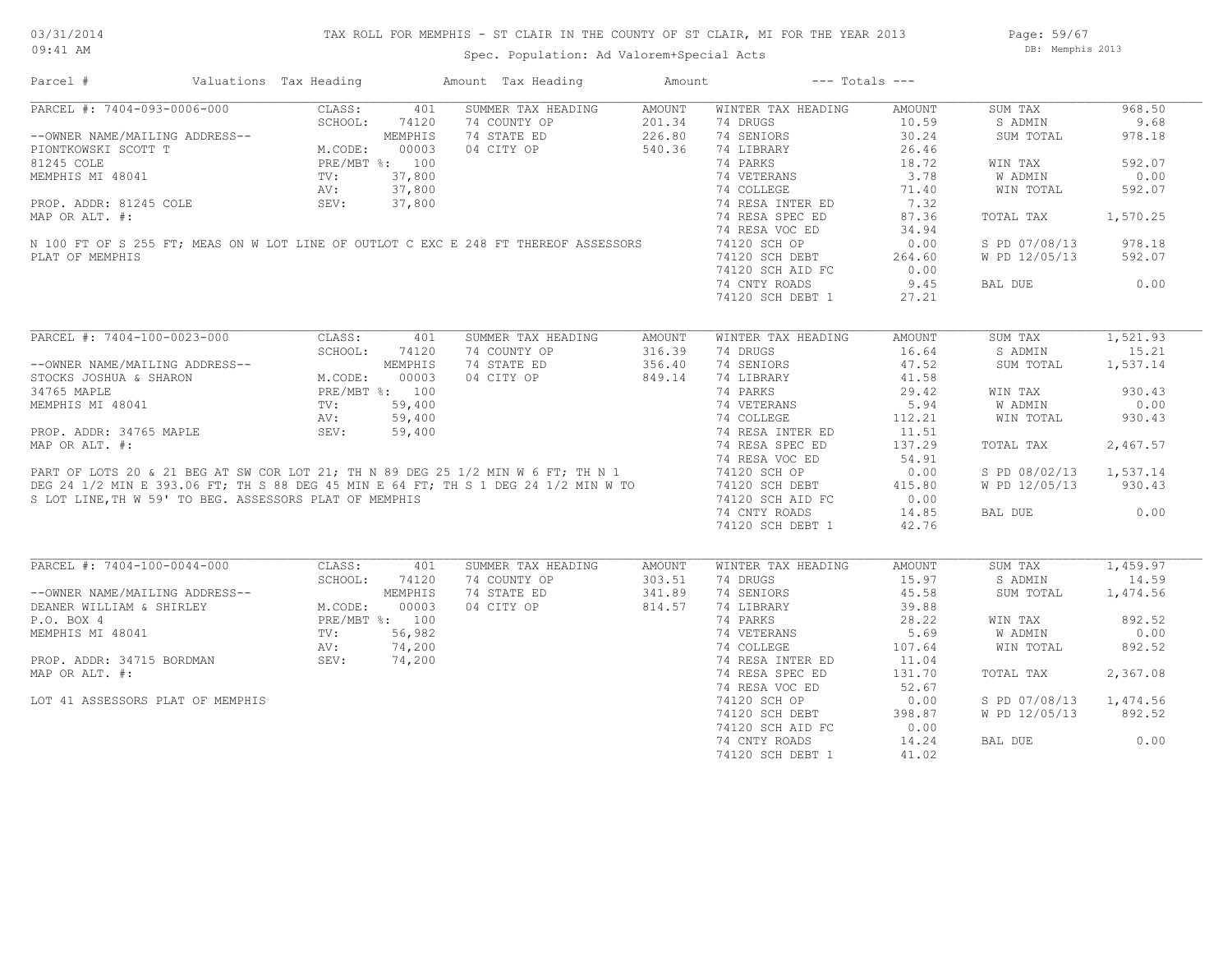Page: 59/67 DB: Memphis 2013

|  |  |  | Spec. Population: Ad Valorem+Special Acts |  |
|--|--|--|-------------------------------------------|--|
|--|--|--|-------------------------------------------|--|

Parcel # Valuations Tax Heading Amount Tax Heading Amount --- Totals ---

| PARCEL #: 7404-093-0006-000                                                         | CLASS:<br>401           | SUMMER TAX HEADING | <b>AMOUNT</b> | WINTER TAX HEADING | <b>AMOUNT</b> | SUM TAX       | 968.50   |
|-------------------------------------------------------------------------------------|-------------------------|--------------------|---------------|--------------------|---------------|---------------|----------|
|                                                                                     | SCHOOL:<br>74120        | 74 COUNTY OP       | 201.34        | 74 DRUGS           | 10.59         | S ADMIN       | 9.68     |
| --OWNER NAME/MAILING ADDRESS--                                                      | MEMPHIS                 | 74 STATE ED        | 226.80        | 74 SENIORS         | 30.24         | SUM TOTAL     | 978.18   |
| PIONTKOWSKI SCOTT T                                                                 | M.CODE:<br>00003        | 04 CITY OP         | 540.36        | 74 LIBRARY         | 26.46         |               |          |
| 81245 COLE                                                                          | PRE/MBT %: 100          |                    |               | 74 PARKS           | 18.72         | WIN TAX       | 592.07   |
| MEMPHIS MI 48041                                                                    | 37,800<br>$\text{TV}$ : |                    |               | 74 VETERANS        | 3.78          | W ADMIN       | 0.00     |
|                                                                                     | 37,800<br>AV:           |                    |               | 74 COLLEGE         | 71.40         | WIN TOTAL     | 592.07   |
| PROP. ADDR: 81245 COLE                                                              | 37,800<br>SEV:          |                    |               | 74 RESA INTER ED   | 7.32          |               |          |
| MAP OR ALT. #:                                                                      |                         |                    |               | 74 RESA SPEC ED    | 87.36         | TOTAL TAX     | 1,570.25 |
|                                                                                     |                         |                    |               | 74 RESA VOC ED     | 34.94         |               |          |
| N 100 FT OF S 255 FT; MEAS ON W LOT LINE OF OUTLOT C EXC E 248 FT THEREOF ASSESSORS |                         |                    |               | 74120 SCH OP       | 0.00          | S PD 07/08/13 | 978.18   |
| PLAT OF MEMPHIS                                                                     |                         |                    |               | 74120 SCH DEBT     | 264.60        | W PD 12/05/13 | 592.07   |
|                                                                                     |                         |                    |               | 74120 SCH AID FC   | 0.00          |               |          |
|                                                                                     |                         |                    |               | 74 CNTY ROADS      | 9.45          | BAL DUE       | 0.00     |
|                                                                                     |                         |                    |               | 74120 SCH DEBT 1   | 27.21         |               |          |
|                                                                                     |                         |                    |               |                    |               |               |          |
| PARCEL #: 7404-100-0023-000                                                         | CLASS:<br>401           | SUMMER TAX HEADING | AMOUNT        | WINTER TAX HEADING | AMOUNT        | SUM TAX       | 1,521.93 |
|                                                                                     | SCHOOL:<br>74120        | 74 COUNTY OP       | 316.39        | 74 DRUGS           | 16.64         | S ADMIN       | 15.21    |
| --OWNER NAME/MAILING ADDRESS--                                                      | MEMPHIS                 | 74 STATE ED        | 356.40        | 74 SENIORS         | 47.52         | SUM TOTAL     | 1,537.14 |
| STOCKS JOSHUA & SHARON                                                              | M.CODE:<br>00003        | 04 CITY OP         | 849.14        | 74 LIBRARY         | 41.58         |               |          |
| 34765 MAPLE                                                                         | PRE/MBT %: 100          |                    |               | 74 PARKS           | 29.42         | WIN TAX       | 930.43   |
| MEMPHIS MI 48041                                                                    | 59,400<br>TV:           |                    |               | 74 VETERANS        | 5.94          | W ADMIN       | 0.00     |
|                                                                                     | 59,400<br>AV:           |                    |               | 74 COLLEGE         | 112.21        | WIN TOTAL     | 930.43   |
| PROP. ADDR: 34765 MAPLE                                                             | SEV:<br>59,400          |                    |               | 74 RESA INTER ED   | 11.51         |               |          |
| MAP OR ALT. #:                                                                      |                         |                    |               | 74 RESA SPEC ED    | 137.29        | TOTAL TAX     | 2,467.57 |
|                                                                                     |                         |                    |               | 74 RESA VOC ED     | 54.91         |               |          |
| PART OF LOTS 20 & 21 BEG AT SW COR LOT 21; TH N 89 DEG 25 1/2 MIN W 6 FT; TH N 1    |                         |                    |               | 74120 SCH OP       | 0.00          | S PD 08/02/13 | 1,537.14 |
| DEG 24 1/2 MIN E 393.06 FT; TH S 88 DEG 45 MIN E 64 FT; TH S 1 DEG 24 1/2 MIN W TO  |                         |                    |               | 74120 SCH DEBT     | 415.80        | W PD 12/05/13 | 930.43   |
| S LOT LINE, TH W 59' TO BEG. ASSESSORS PLAT OF MEMPHIS                              |                         |                    |               | 74120 SCH AID FC   | 0.00          |               |          |
|                                                                                     |                         |                    |               | 74 CNTY ROADS      | 14.85         | BAL DUE       | 0.00     |
|                                                                                     |                         |                    |               | 74120 SCH DEBT 1   | 42.76         |               |          |
|                                                                                     |                         |                    |               |                    |               |               |          |
| PARCEL #: 7404-100-0044-000                                                         | CLASS:<br>401           | SUMMER TAX HEADING | AMOUNT        | WINTER TAX HEADING | AMOUNT        | SUM TAX       | 1,459.97 |
|                                                                                     | SCHOOL:<br>74120        | 74 COUNTY OP       | 303.51        | 74 DRUGS           | 15.97         | S ADMIN       | 14.59    |
| --OWNER NAME/MAILING ADDRESS--                                                      | MEMPHIS                 | 74 STATE ED        | 341.89        | 74 SENIORS         | 45.58         | SUM TOTAL     | 1,474.56 |
| DEANER WILLIAM & SHIRLEY                                                            | M.CODE:<br>00003        | 04 CITY OP         | 814.57        | 74 LIBRARY         | 39.88         |               |          |
| P.O. BOX 4                                                                          | PRE/MBT %: 100          |                    |               | 74 PARKS           | 28.22         | WIN TAX       | 892.52   |
| MEMPHIS MI 48041                                                                    | 56,982<br>$\text{TV}$ : |                    |               | 74 VETERANS        | 5.69          | W ADMIN       | 0.00     |
|                                                                                     | AV:<br>74,200           |                    |               | 74 COLLEGE         | 107.64        | WIN TOTAL     | 892.52   |
| PROP. ADDR: 34715 BORDMAN                                                           | SEV:<br>74,200          |                    |               | 74 RESA INTER ED   | 11.04         |               |          |
| MAP OR ALT. #:                                                                      |                         |                    |               | 74 RESA SPEC ED    | 131.70        | TOTAL TAX     | 2,367.08 |
|                                                                                     |                         |                    |               | 74 RESA VOC ED     | 52.67         |               |          |
| LOT 41 ASSESSORS PLAT OF MEMPHIS                                                    |                         |                    |               | 74120 SCH OP       | 0.00          | S PD 07/08/13 | 1,474.56 |
|                                                                                     |                         |                    |               | 74120 SCH DEBT     | 398.87        | W PD 12/05/13 | 892.52   |
|                                                                                     |                         |                    |               | 74120 SCH AID FC   | 0.00          |               |          |
|                                                                                     |                         |                    |               | 74 CNTY ROADS      | 14.24         | BAL DUE       | 0.00     |
|                                                                                     |                         |                    |               | 74120 SCH DEBT 1   | 41.02         |               |          |
|                                                                                     |                         |                    |               |                    |               |               |          |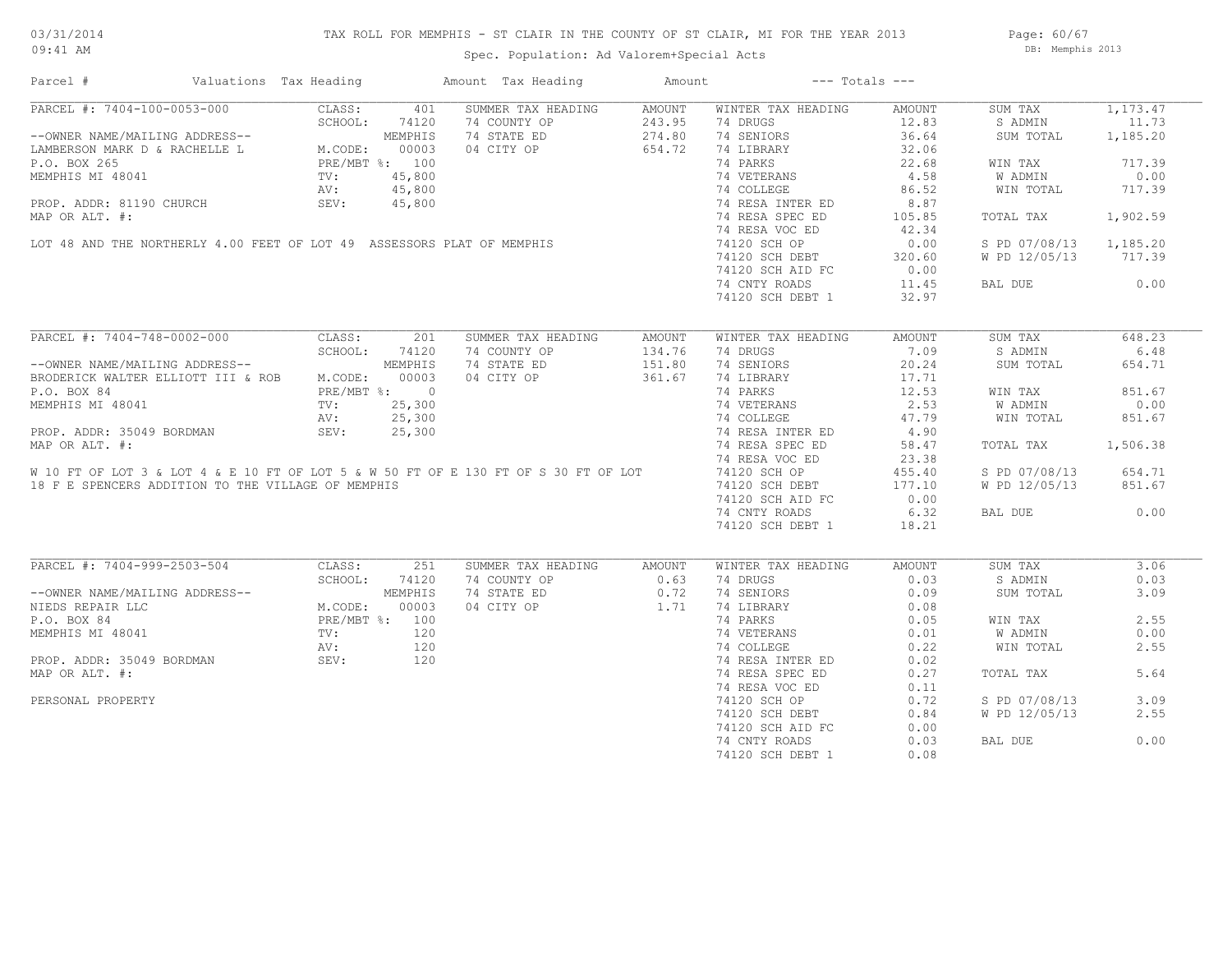## TAX ROLL FOR MEMPHIS - ST CLAIR IN THE COUNTY OF ST CLAIR, MI FOR THE YEAR 2013

Spec. Population: Ad Valorem+Special Acts

Page: 60/67 DB: Memphis 2013

| COMPARE THE TRIANG ADDRESS --<br>--OWNER NAME/MAILING ADDRESS--<br>LAMBERSON MARK D & RACHELLE L M.CODE: 00003<br>--OWNER NAME/MAILING ADDRESS--<br>MEMPHIS<br>--OWNER NAME D & RACHELLE L M.CODE: 00003<br>--OWNER NAME<br>--OWNER NAME D & | Valuations Tax Heading                   |                |               | Amount Tax Heading                                        | Amount | $---$ Totals $---$                                            |        |                        |            |
|----------------------------------------------------------------------------------------------------------------------------------------------------------------------------------------------------------------------------------------------|------------------------------------------|----------------|---------------|-----------------------------------------------------------|--------|---------------------------------------------------------------|--------|------------------------|------------|
|                                                                                                                                                                                                                                              |                                          |                |               | SUMMER TAX HEADING                                        | AMOUNT | WINTER TAX HEADING                                            | AMOUNT | SUM TAX                | 1, 173, 47 |
|                                                                                                                                                                                                                                              |                                          |                |               | 74 COUNTY OP                                              | 243.95 | 74 DRUGS                                                      | 12.83  | S ADMIN                | 11.73      |
|                                                                                                                                                                                                                                              |                                          |                |               | 74 STATE ED                                               | 274.80 | 74 SENIORS                                                    | 36.64  | SUM TOTAL              | 1,185.20   |
|                                                                                                                                                                                                                                              |                                          |                |               | 04 CITY OP                                                | 654.72 | 74 LIBRARY                                                    | 32.06  |                        |            |
|                                                                                                                                                                                                                                              |                                          |                |               |                                                           |        | 74 PARKS                                                      | 22.68  | WIN TAX                | 717.39     |
|                                                                                                                                                                                                                                              |                                          |                |               |                                                           |        |                                                               |        |                        |            |
|                                                                                                                                                                                                                                              |                                          |                |               |                                                           |        | .<br>74 VETERANS<br>74 COLLEGE                                | 4.58   | W ADMIN                | 0.00       |
|                                                                                                                                                                                                                                              |                                          |                |               |                                                           |        |                                                               | 86.52  | WIN TOTAL              | 717.39     |
|                                                                                                                                                                                                                                              |                                          |                |               |                                                           |        | 74 RESA INTER ED                                              | 8.87   |                        |            |
|                                                                                                                                                                                                                                              |                                          |                |               |                                                           |        | 74 RESA SPEC ED                                               | 105.85 | TOTAL TAX              | 1,902.59   |
| P.O. BOX 265<br>MEMPHIS MI 48041<br>PROP. ADDR: 81190 CHURCH<br>MAP OR ALT. #:<br>LOT 48 AND THE NORTHERLY 4.00 FEET OF LOT 49 ASSESSORS PLAT OF MEMPHIS                                                                                     |                                          |                |               |                                                           |        | 74 RESA VOC ED                                                | 42.34  |                        |            |
|                                                                                                                                                                                                                                              |                                          |                |               |                                                           |        | 74120 SCH OP                                                  | 0.00   | S PD 07/08/13 1,185.20 |            |
|                                                                                                                                                                                                                                              |                                          |                |               |                                                           |        |                                                               | 320.60 | W PD 12/05/13 717.39   |            |
|                                                                                                                                                                                                                                              |                                          |                |               |                                                           |        | 74120 SCH DEBT<br>74120 SCH AID FC<br>74120 SCH AID FC        | 0.00   |                        |            |
|                                                                                                                                                                                                                                              |                                          |                |               |                                                           |        | 74 CNTY ROADS                                                 | 11.45  | BAL DUE                | 0.00       |
|                                                                                                                                                                                                                                              |                                          |                |               |                                                           |        | 74120 SCH DEBT 1                                              | 32.97  |                        |            |
|                                                                                                                                                                                                                                              |                                          |                |               |                                                           |        |                                                               |        |                        |            |
| PARCEL #: 7404-748-0002-000                                                                                                                                                                                                                  |                                          | CLASS:         | 201           | SUMMER TAX HEADING                                        | AMOUNT | WINTER TAX HEADING                                            | AMOUNT | SUM TAX                | 648.23     |
|                                                                                                                                                                                                                                              |                                          |                | SCHOOL: 74120 | 74 COUNTY OP                                              | 134.76 | 74 DRUGS                                                      | 7.09   | S ADMIN                | 6.48       |
| --OWNER NAME/MAILING ADDRESS--                                                                                                                                                                                                               |                                          |                | MEMPHIS       | 74 STATE ED                                               | 151.80 | 74 SENIORS                                                    | 20.24  | SUM TOTAL              | 654.71     |
|                                                                                                                                                                                                                                              |                                          |                |               |                                                           |        |                                                               |        |                        |            |
| BRODERICK WALTER ELLIOTT III & ROB M.CODE: 00003                                                                                                                                                                                             |                                          |                |               | 04 CITY OP                                                | 361.67 | 74 LIBRARY                                                    | 17.71  |                        |            |
| P.O. BOX 84                                                                                                                                                                                                                                  | PRE/MBT %: 0<br>TV: 25,300<br>AV: 25,300 |                |               |                                                           |        | 74 PARKS                                                      | 12.53  | WIN TAX                | 851.67     |
| MEMPHIS MI 48041                                                                                                                                                                                                                             |                                          |                |               |                                                           |        | 74 VETERANS 2.53<br>74 COLLEGE 47.79<br>74 RESA INTER ED 4.90 |        | W ADMIN                | 0.00       |
|                                                                                                                                                                                                                                              |                                          |                |               |                                                           |        |                                                               |        | WIN TOTAL              | 851.67     |
| PROP. ADDR: 35049 BORDMAN                                                                                                                                                                                                                    |                                          | SEV:           | 25,300        |                                                           |        |                                                               |        |                        |            |
| MAP OR ALT. #:                                                                                                                                                                                                                               |                                          |                |               |                                                           |        | 74 RESA SPEC ED                                               | 58.47  | TOTAL TAX              | 1,506.38   |
|                                                                                                                                                                                                                                              |                                          |                |               |                                                           |        | 74 RESA VOC ED                                                | 23.38  |                        |            |
| W 10 FT OF LOT 3 & LOT 4 & E 10 FT OF LOT 5 & W 50 FT OF E 130 FT OF S 30 FT OF LOT                                                                                                                                                          |                                          |                |               |                                                           |        | 74120 SCH OP                                                  | 455.40 | S PD 07/08/13          | 654.71     |
| 18 F E SPENCERS ADDITION TO THE VILLAGE OF MEMPHIS                                                                                                                                                                                           |                                          |                |               |                                                           |        | 74120 SCH DEBT                                                | 177.10 | W PD 12/05/13          | 851.67     |
|                                                                                                                                                                                                                                              |                                          |                |               |                                                           |        | 74120 SCH AID FC                                              | 0.00   |                        |            |
|                                                                                                                                                                                                                                              |                                          |                |               |                                                           |        | 74 CNTY ROADS                                                 | 6.32   | BAL DUE                | 0.00       |
|                                                                                                                                                                                                                                              |                                          |                |               |                                                           |        | 74120 SCH DEBT 1                                              | 18.21  |                        |            |
|                                                                                                                                                                                                                                              |                                          |                |               |                                                           |        |                                                               |        |                        |            |
| PARCEL #: 7404-999-2503-504                                                                                                                                                                                                                  |                                          |                | 251           | SUMMER TAX HEADING                                        |        |                                                               |        | SUM TAX                | 3.06       |
|                                                                                                                                                                                                                                              |                                          | CLASS:         |               |                                                           | AMOUNT | WINTER TAX HEADING                                            | AMOUNT |                        |            |
|                                                                                                                                                                                                                                              |                                          | SCHOOL:        | 74120         | 74 COUNTY OP                                              | 0.63   | 74 DRUGS                                                      | 0.03   | S ADMIN                | 0.03       |
| --OWNER NAME/MAILING ADDRESS--                                                                                                                                                                                                               |                                          |                | MEMPHIS       | 74 STATE ED 0.72 74 SENIORS<br>04 CITY OP 1.71 74 LIBRARY |        |                                                               | 0.09   | SUM TOTAL              | 3.09       |
| NIEDS REPAIR LLC                                                                                                                                                                                                                             |                                          | M.CODE:        | 00003         |                                                           |        |                                                               | 0.08   |                        |            |
| P.O. BOX 84                                                                                                                                                                                                                                  |                                          | PRE/MBT %: 100 |               |                                                           |        | 74 PARKS                                                      | 0.05   | WIN TAX                | 2.55       |
| MEMPHIS MI 48041                                                                                                                                                                                                                             |                                          | TV:            | 120           |                                                           |        | 74 VETERANS<br>74 COLLEGE<br>74 RESA INTER ED                 | 0.01   | W ADMIN                | 0.00       |
|                                                                                                                                                                                                                                              |                                          | AV:            | 120           |                                                           |        |                                                               | 0.22   | WIN TOTAL              | 2.55       |
| PROP. ADDR: 35049 BORDMAN                                                                                                                                                                                                                    |                                          | SEV: 120       |               |                                                           |        |                                                               | 0.02   |                        |            |
| MAP OR ALT. #:                                                                                                                                                                                                                               |                                          |                |               |                                                           |        | 74 RESA SPEC ED                                               | 0.27   | TOTAL TAX              | 5.64       |
|                                                                                                                                                                                                                                              |                                          |                |               |                                                           |        | 74 RESA VOC ED                                                | 0.11   |                        |            |
| PERSONAL PROPERTY                                                                                                                                                                                                                            |                                          |                |               |                                                           |        | 74120 SCH OP                                                  | 0.72   | S PD 07/08/13          | 3.09       |
|                                                                                                                                                                                                                                              |                                          |                |               |                                                           |        | 74120 SCH DEBT                                                | 0.84   | W PD 12/05/13          | 2.55       |
|                                                                                                                                                                                                                                              |                                          |                |               |                                                           |        | 74120 SCH AID FC                                              | 0.00   |                        |            |
|                                                                                                                                                                                                                                              |                                          |                |               |                                                           |        |                                                               |        |                        |            |
|                                                                                                                                                                                                                                              |                                          |                |               |                                                           |        | 74 CNTY ROADS                                                 | 0.03   | BAL DUE                | 0.00       |
|                                                                                                                                                                                                                                              |                                          |                |               |                                                           |        | 74120 SCH DEBT 1                                              | 0.08   |                        |            |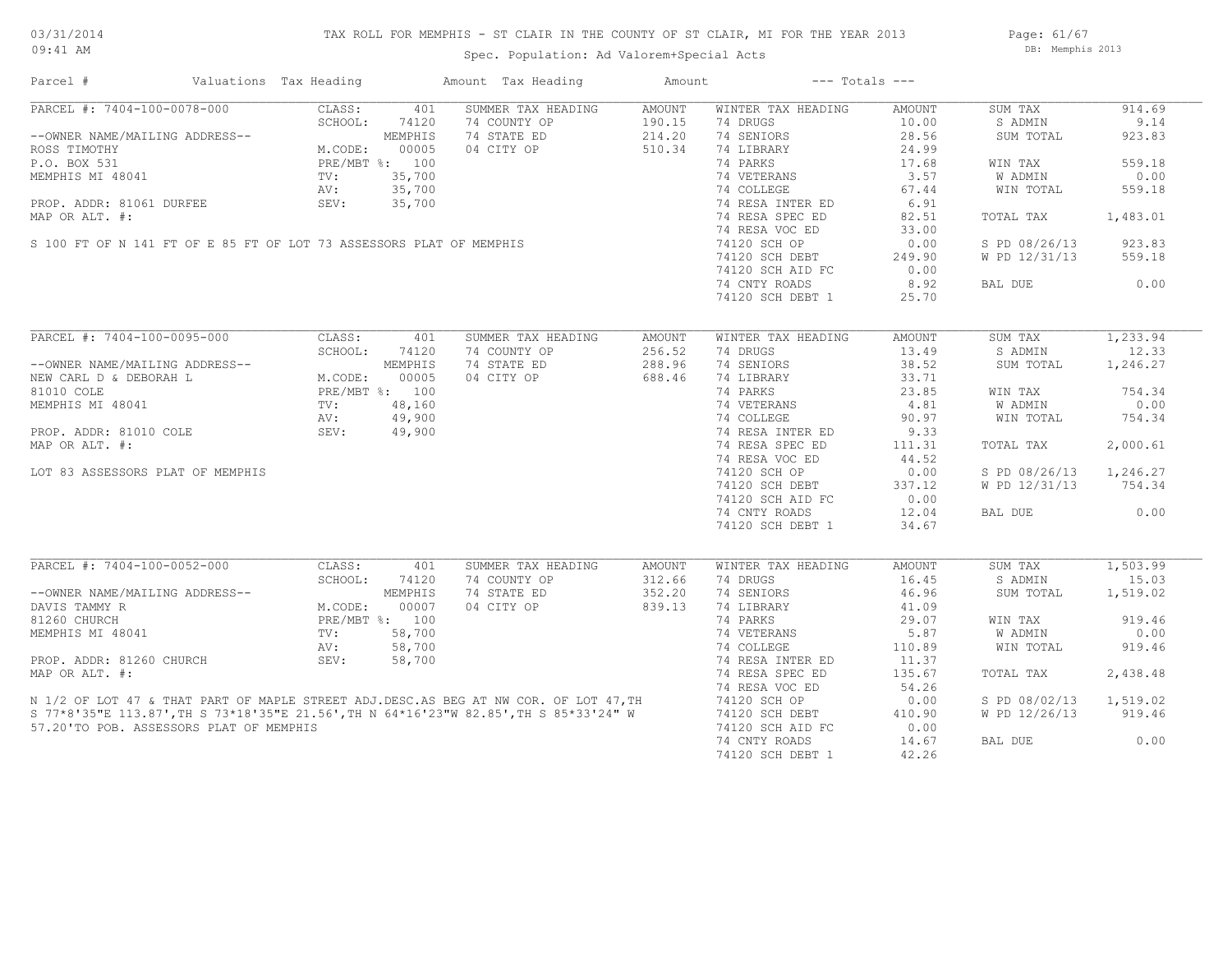## TAX ROLL FOR MEMPHIS - ST CLAIR IN THE COUNTY OF ST CLAIR, MI FOR THE YEAR 2013

Spec. Population: Ad Valorem+Special Acts

Page: 61/67 DB: Memphis 2013

| Parcel #                                | Valuations Tax Heading                                                   |        | Amount Tax Heading                                                                                                                                                                | Amount |                                     | $---$ Totals $---$ |                        |           |
|-----------------------------------------|--------------------------------------------------------------------------|--------|-----------------------------------------------------------------------------------------------------------------------------------------------------------------------------------|--------|-------------------------------------|--------------------|------------------------|-----------|
| PARCEL #: 7404-100-0078-000             | CLASS:                                                                   | 401    | SUMMER TAX HEADING                                                                                                                                                                | AMOUNT | WINTER TAX HEADING                  | AMOUNT             | SUM TAX                | 914.69    |
|                                         | SCHOOL:                                                                  | 74120  | 74 COUNTY OP                                                                                                                                                                      | 190.15 | 74 DRUGS                            | 10.00              | S ADMIN                | 9.14      |
| --OWNER NAME/MAILING ADDRESS--          | ING ADDRESS--<br>M.CODE: 00005<br>PRE/MBT %: 100<br>TV: 35,700<br>NV:    |        | 74 STATE ED                                                                                                                                                                       | 214.20 | 74 SENIORS                          | 28.56              | SUM TOTAL              | 923.83    |
| ROSS TIMOTHY                            |                                                                          |        | 04 CITY OP                                                                                                                                                                        | 510.34 | 74 LIBRARY                          | 24.99              |                        |           |
| P.O. BOX 531                            |                                                                          |        |                                                                                                                                                                                   |        | 74 PARKS                            | 17.68              | WIN TAX                | 559.18    |
|                                         |                                                                          |        | P.O. BOX 531<br>MEMPHIS MI 48041<br>PROP. ADDR: 81061 DURFEE<br>PROP. ADDR: 81061 DURFEE<br>MAP OR ALT. #:<br>S 100 FT OF N 141 FT OF E 85 FT OF LOT 73 ASSESSORS PLAT OF MEMPHIS |        | 74 VETERANS                         | 3.57               | W ADMIN                | 0.00      |
|                                         |                                                                          |        |                                                                                                                                                                                   |        | 74 COLLEGE                          | 67.44              | WIN TOTAL              | 559.18    |
|                                         |                                                                          |        |                                                                                                                                                                                   |        | 74 RESA INTER ED                    |                    |                        |           |
|                                         |                                                                          |        |                                                                                                                                                                                   |        |                                     | 6.91               |                        |           |
|                                         |                                                                          |        |                                                                                                                                                                                   |        | 74 RESA SPEC ED                     | 82.51              | TOTAL TAX 1,483.01     |           |
|                                         |                                                                          |        |                                                                                                                                                                                   |        | 74 RESA VOC ED                      | 33.00              |                        |           |
|                                         |                                                                          |        |                                                                                                                                                                                   |        | 74120 SCH OP                        | 0.00               | S PD 08/26/13 923.83   |           |
|                                         |                                                                          |        |                                                                                                                                                                                   |        | $74120$ SCH DEBT                    | 249.90             | W PD 12/31/13          | 559.18    |
|                                         |                                                                          |        |                                                                                                                                                                                   |        | 74120 SCH AID FC                    | 0.00               |                        |           |
|                                         |                                                                          |        |                                                                                                                                                                                   |        | 74 CNTY ROADS                       | 8.92               | BAL DUE                | 0.00      |
|                                         |                                                                          |        |                                                                                                                                                                                   |        | 74120 SCH DEBT 1                    | 25.70              |                        |           |
|                                         |                                                                          |        |                                                                                                                                                                                   |        |                                     |                    |                        |           |
|                                         |                                                                          |        | SUMMER TAX HEADING                                                                                                                                                                | AMOUNT | WINTER TAX HEADING                  | AMOUNT             | SUM TAX                | 1, 233.94 |
|                                         |                                                                          |        | 74 COUNTY OP                                                                                                                                                                      | 256.52 | 74 DRUGS                            | 13.49              | S ADMIN                | 12.33     |
|                                         |                                                                          |        | 74 STATE ED                                                                                                                                                                       | 288.96 | 74 SENIORS                          | 38.52              | SUM TOTAL              | 1,246.27  |
|                                         |                                                                          |        | 04 CITY OP                                                                                                                                                                        | 688.46 | 74 LIBRARY                          | 33.71              |                        |           |
|                                         |                                                                          |        |                                                                                                                                                                                   |        | 74 PARKS                            | 23.85              | WIN TAX                | 754.34    |
|                                         |                                                                          |        |                                                                                                                                                                                   |        | 74 VETERANS                         |                    |                        | 0.00      |
|                                         |                                                                          |        | PRE/MBT %: 100<br>TV: 48,160<br>AV: 49,900<br>SEV: 49,900                                                                                                                         |        |                                     | 4.81               | W ADMIN                |           |
|                                         |                                                                          |        |                                                                                                                                                                                   |        | 74 COLLEGE                          | 90.97              | WIN TOTAL              | 754.34    |
|                                         |                                                                          |        |                                                                                                                                                                                   |        | 74 RESA INTER ED<br>74 RESA SPEC ED | 9.33               |                        |           |
| MAP OR ALT. #:                          |                                                                          |        |                                                                                                                                                                                   |        | 74 RESA SPEC ED                     | 111.31             | TOTAL TAX              | 2,000.61  |
|                                         |                                                                          |        |                                                                                                                                                                                   |        | 74 RESA VOC ED                      | 44.52              |                        |           |
| LOT 83 ASSESSORS PLAT OF MEMPHIS        |                                                                          |        |                                                                                                                                                                                   |        | 74120 SCH OP                        | 0.00               | S PD 08/26/13 1,246.27 |           |
|                                         |                                                                          |        |                                                                                                                                                                                   |        | 74120 SCH DEBT                      | 337.12             | W PD 12/31/13          | 754.34    |
|                                         |                                                                          |        |                                                                                                                                                                                   |        | 74120 SCH AID FC                    | 0.00               |                        |           |
|                                         |                                                                          |        |                                                                                                                                                                                   |        | 74 CNTY ROADS                       | 12.04              | BAL DUE                | 0.00      |
|                                         |                                                                          |        |                                                                                                                                                                                   |        | 74120 SCH DEBT 1                    | 34.67              |                        |           |
|                                         |                                                                          |        |                                                                                                                                                                                   |        |                                     |                    |                        |           |
| PARCEL #: 7404-100-0052-000             | CLASS:                                                                   | 401    | SUMMER TAX HEADING                                                                                                                                                                | AMOUNT | WINTER TAX HEADING                  | AMOUNT             | SUM TAX                | 1,503.99  |
|                                         | SCHOOL: 7412<br>MEMPHIS<br>M.CODE: 00007<br>PRE/MBT %: 100<br>TV: 58 700 |        | 74 COUNTY OP                                                                                                                                                                      | 312.66 | 74 DRUGS                            | 16.45              | S ADMIN                | 15.03     |
| --OWNER NAME/MAILING ADDRESS--          |                                                                          |        | 74 STATE ED                                                                                                                                                                       | 352.20 | 74 SENIORS                          | 46.96              | SUM TOTAL              | 1,519.02  |
| DAVIS TAMMY R                           |                                                                          |        | 04 CITY OP                                                                                                                                                                        | 839.13 | 74 LIBRARY                          | 41.09              |                        |           |
| 81260 CHURCH                            |                                                                          |        |                                                                                                                                                                                   |        | 74 PARKS                            | 29.07              | WIN TAX                | 919.46    |
| MEMPHIS MI 48041                        |                                                                          |        |                                                                                                                                                                                   |        | 74 VETERANS                         | 5.87               | W ADMIN                | 0.00      |
|                                         |                                                                          |        |                                                                                                                                                                                   |        |                                     |                    |                        |           |
|                                         | AV:                                                                      | 58,700 |                                                                                                                                                                                   |        | 74 COLLEGE                          | 110.89             | WIN TOTAL              | 919.46    |
| PROP. ADDR: 81260 CHURCH                | SEV:                                                                     | 58,700 |                                                                                                                                                                                   |        | 74 RESA INTER ED                    | 11.37              |                        |           |
| MAP OR ALT. #:                          |                                                                          |        |                                                                                                                                                                                   |        | 74 RESA SPEC ED                     | 135.67             | TOTAL TAX              | 2,438.48  |
|                                         |                                                                          |        |                                                                                                                                                                                   |        | 74 RESA VOC ED                      | 54.26              |                        |           |
|                                         |                                                                          |        | N 1/2 OF LOT 47 & THAT PART OF MAPLE STREET ADJ.DESC.AS BEG AT NW COR. OF LOT 47, TH<br>S 77*8'35"E 113.87', TH S 73*18'35"E 21.56', TH N 64*16'23"W 82.85', TH S 85*33'24" W     |        | 74120 SCH OP                        | 0.00               | S PD 08/02/13          | 1,519.02  |
|                                         |                                                                          |        |                                                                                                                                                                                   |        | 74120 SCH DEBT                      | 410.90             | W PD 12/26/13          | 919.46    |
| 57.20'TO POB. ASSESSORS PLAT OF MEMPHIS |                                                                          |        |                                                                                                                                                                                   |        | 74120 SCH AID FC                    | 0.00               |                        |           |
|                                         |                                                                          |        |                                                                                                                                                                                   |        | 74 CNTY ROADS                       | 14.67              | BAL DUE                | 0.00      |
|                                         |                                                                          |        |                                                                                                                                                                                   |        |                                     | 42.26              |                        |           |
|                                         |                                                                          |        |                                                                                                                                                                                   |        | 74120 SCH DEBT 1                    |                    |                        |           |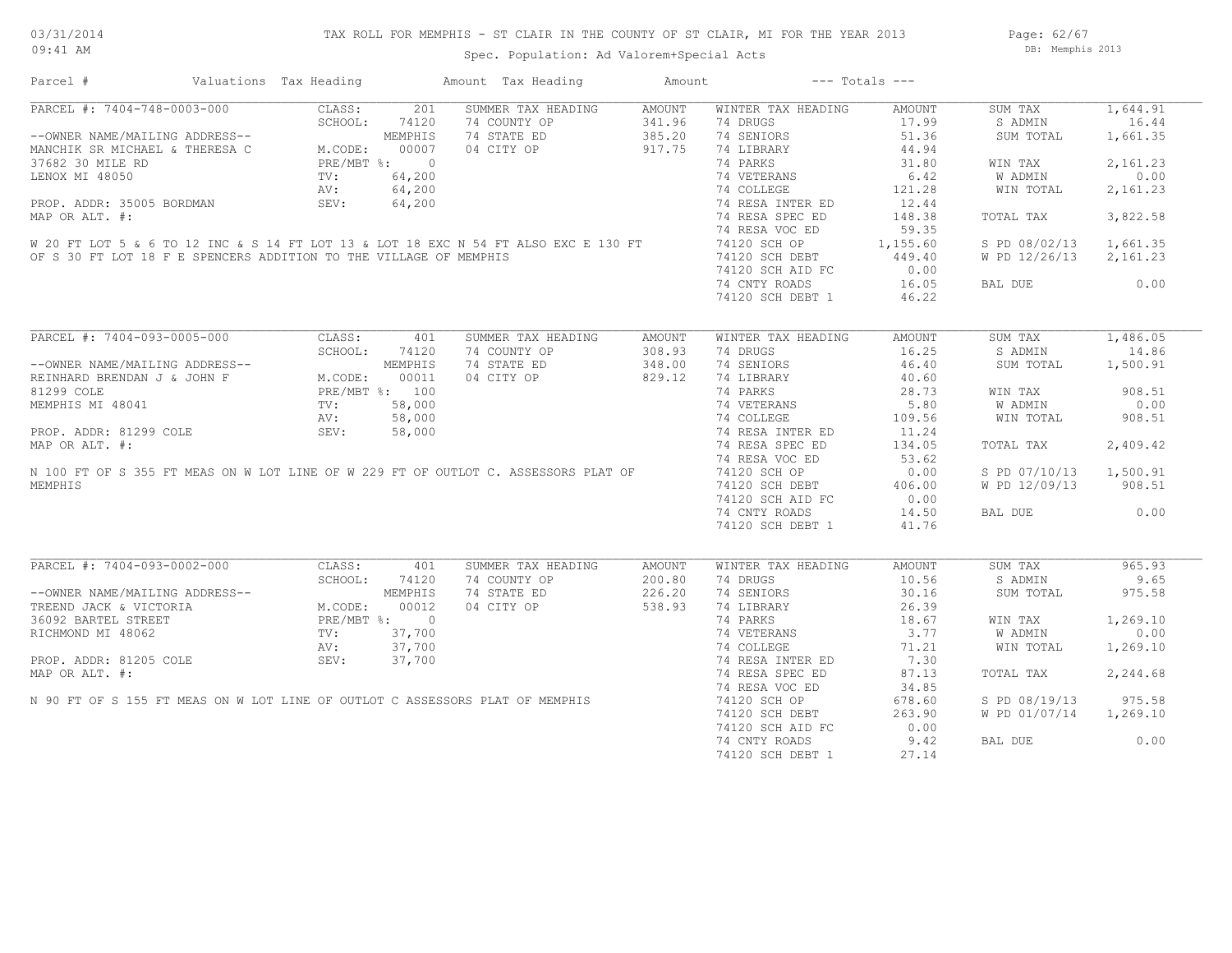Page: 62/67 DB: Memphis 2013

Spec. Population: Ad Valorem+Special Acts

| Parcel #                                                                                                                                                                                                                                   | Valuations Tax Heading |               | Amount Tax Heading                 | Amount           |                                               | $---$ Totals $---$                                                  |                        |          |
|--------------------------------------------------------------------------------------------------------------------------------------------------------------------------------------------------------------------------------------------|------------------------|---------------|------------------------------------|------------------|-----------------------------------------------|---------------------------------------------------------------------|------------------------|----------|
| PARCEL #: 7404-748-0003-000 CLASS: 201<br>--OWNER NAME/MAILING ADDRESS--<br>MANCHIK SR MICHAEL & THERESA C M.CODE: 74120<br>37682 30 MILE RD<br>LENOX MI 48050 PROP. ADDR: 35005 BORDMAN<br>PROP. ADDR: 35005 BORDMAN<br>PROP. ADDR: 35005 |                        |               | SUMMER TAX HEADING                 | AMOUNT           | WINTER TAX HEADING                            | AMOUNT                                                              | SUM TAX                | 1,644.91 |
|                                                                                                                                                                                                                                            |                        |               | 74 COUNTY OP                       |                  | 74 DRUGS                                      | 17.99                                                               | S ADMIN                | 16.44    |
|                                                                                                                                                                                                                                            |                        |               | 74 STATE ED                        | 341.96<br>385.20 | 74 SENIORS                                    | 51.36                                                               | SUM TOTAL              | 1,661.35 |
|                                                                                                                                                                                                                                            |                        |               | 04 CITY OP                         | 917.75           | 74 LIBRARY                                    | 44.94                                                               |                        |          |
|                                                                                                                                                                                                                                            |                        |               |                                    |                  | 74 PARKS                                      | 31.80                                                               | WIN TAX                | 2,161.23 |
|                                                                                                                                                                                                                                            |                        |               |                                    |                  |                                               | 6.42                                                                | W ADMIN                | 0.00     |
|                                                                                                                                                                                                                                            |                        |               |                                    |                  |                                               | 121.28                                                              | WIN TOTAL              | 2,161.23 |
|                                                                                                                                                                                                                                            |                        |               |                                    |                  |                                               | 12.44                                                               |                        |          |
|                                                                                                                                                                                                                                            |                        |               |                                    |                  |                                               | 148.38                                                              | TOTAL TAX              | 3,822.58 |
|                                                                                                                                                                                                                                            |                        |               |                                    |                  |                                               | 59.35                                                               |                        |          |
| 37682 30 MILE RD<br>LENOX MI 48050 TV: 64, 200<br>PROP. ADDR: 35005 BORDMAN SEV: 64, 200<br>MAP OR ALT. #: 74 RESA INTER ED<br>MAP OR ALT. #: 74 RESA INTER ED<br>M20 FT LOT 5 & 6 TO 12 INC & S 14 FT LOT 13 & LOT 18 EXC N 54 FT ALSO    |                        |               |                                    |                  |                                               | 1,155.60                                                            | S PD 08/02/13 1,661.35 |          |
|                                                                                                                                                                                                                                            |                        |               |                                    |                  | 74120 SCH DEBT                                | 449.40                                                              | W PD 12/26/13 2,161.23 |          |
| OF S 30 FT LOT 18 F E SPENCERS ADDITION TO THE VILLAGE OF MEMPHIS                                                                                                                                                                          |                        |               |                                    |                  | 74120 SCH AID FC                              | 0.00                                                                |                        |          |
|                                                                                                                                                                                                                                            |                        |               |                                    |                  | 74 CNTY ROADS                                 | 16.05                                                               | BAL DUE                | 0.00     |
|                                                                                                                                                                                                                                            |                        |               |                                    |                  | 74120 SCH DEBT 1                              | 46.22                                                               |                        |          |
|                                                                                                                                                                                                                                            |                        |               |                                    |                  |                                               |                                                                     |                        |          |
| PARCEL #: 7404-093-0005-000                                                                                                                                                                                                                | CLASS:                 | 401           | SUMMER TAX HEADING                 | AMOUNT           | WINTER TAX HEADING                            | AMOUNT                                                              | SUM TAX                | 1,486.05 |
|                                                                                                                                                                                                                                            |                        | SCHOOL: 74120 | 74 COUNTY OP                       | 308.93           | 74 DRUGS                                      | 16.25                                                               | S ADMIN                | 14.86    |
| --OWNER NAME/MAILING ADDRESS--<br>REINHARD BRENDAN J & JOHN F M.CODE: 00011<br>81299 COLE PRE/MBT %: 100<br>MEMPHIS MI 48041 TV: 58,000<br>PROP. ADDR: 81299 COLE AV: 58,000<br>MRD OD NTT #                                               |                        |               | 74 STATE ED                        | 348.00           | 74 SENIORS                                    | 46.40                                                               | SUM TOTAL              | 1,500.91 |
|                                                                                                                                                                                                                                            |                        |               | 04 CITY OP                         | 829.12           | 74 LIBRARY                                    | 40.60                                                               |                        |          |
|                                                                                                                                                                                                                                            |                        |               |                                    |                  | 74 PARKS                                      | 28.73                                                               | WIN TAX                | 908.51   |
|                                                                                                                                                                                                                                            |                        |               |                                    |                  |                                               | 5.80                                                                | <b>W ADMIN</b>         | 0.00     |
|                                                                                                                                                                                                                                            |                        |               |                                    |                  | 74 VETERANS<br>74 COLLEGE<br>74 RESA INTER ED |                                                                     |                        |          |
|                                                                                                                                                                                                                                            |                        |               |                                    |                  |                                               | 109.56                                                              | WIN TOTAL              | 908.51   |
|                                                                                                                                                                                                                                            |                        |               |                                    |                  |                                               | 11.24                                                               |                        |          |
| MAP OR ALT. #:                                                                                                                                                                                                                             |                        |               |                                    |                  | 74 RESA SPEC ED                               | 134.05                                                              | TOTAL TAX              | 2,409.42 |
|                                                                                                                                                                                                                                            |                        |               |                                    |                  | 74 RESA VOC ED                                | 53.62                                                               |                        |          |
| N 100 FT OF S 355 FT MEAS ON W LOT LINE OF W 229 FT OF OUTLOT C. ASSESSORS PLAT OF                                                                                                                                                         |                        |               |                                    |                  | 74120 SCH OP                                  | 0.00                                                                | S PD 07/10/13 1,500.91 |          |
| MEMPHIS                                                                                                                                                                                                                                    |                        |               |                                    |                  | 74120 SCH DEBT                                | 406.00                                                              | W PD 12/09/13          | 908.51   |
|                                                                                                                                                                                                                                            |                        |               |                                    |                  | 74120 SCH AID FC                              | 0.00                                                                |                        |          |
|                                                                                                                                                                                                                                            |                        |               |                                    |                  | 74 CNTY ROADS                                 | 14.50                                                               | BAL DUE                | 0.00     |
|                                                                                                                                                                                                                                            |                        |               |                                    |                  | 74120 SCH DEBT 1                              | 41.76                                                               |                        |          |
| PARCEL #: 7404-093-0002-000                                                                                                                                                                                                                |                        |               |                                    |                  |                                               |                                                                     |                        | 965.93   |
|                                                                                                                                                                                                                                            | CLASS:                 | 401           | SUMMER TAX HEADING<br>74 COUNTY OP | AMOUNT           | WINTER TAX HEADING                            | AMOUNT<br>10.56                                                     | SUM TAX                | 9.65     |
|                                                                                                                                                                                                                                            | SCHOOL:                | 74120         |                                    | 200.80           | 74 DRUGS                                      |                                                                     | S ADMIN                |          |
|                                                                                                                                                                                                                                            |                        |               | 74 STATE ED                        | 226.20           | 74 SENIORS                                    | 30.16                                                               | SUM TOTAL              | 975.58   |
|                                                                                                                                                                                                                                            |                        |               | 04 CITY OP                         | 538.93           | 74 LIBRARY                                    | 26.39                                                               |                        |          |
|                                                                                                                                                                                                                                            |                        |               |                                    |                  | 74 PARKS                                      |                                                                     | WIN TAX                | 1,269.10 |
|                                                                                                                                                                                                                                            |                        |               |                                    |                  | 74 VETERANS                                   |                                                                     | W ADMIN                | 0.00     |
|                                                                                                                                                                                                                                            |                        |               |                                    |                  | 74 COLLEGE                                    |                                                                     | WIN TOTAL              | 1,269.10 |
| --OWNER NAME/MAILING ADDRESS--<br>TREEND JACK & VICTORIA M.CODE: 00012<br>36092 BARTEL STREET PRE/MBT %: 0<br>RICHMOND MI 48062 TV: 37,700<br>PROP. ADDR: 81205 COLE SEV: 37,700<br>PROP. ADDR: 81205 COLE SEV: 37,700                     |                        |               |                                    |                  | 74 RESA INTER ED                              | $\begin{array}{c} 18.67 \\ 3.77 \\ 71.21 \\ 7.30 \end{array}$ ER ED |                        |          |
| MAP OR ALT. #:                                                                                                                                                                                                                             |                        |               |                                    |                  | 74 RESA SPEC ED                               | 87.13                                                               | TOTAL TAX              | 2,244.68 |
|                                                                                                                                                                                                                                            |                        |               |                                    |                  | 74 RESA VOC ED                                | 34.85                                                               |                        |          |
| N 90 FT OF S 155 FT MEAS ON W LOT LINE OF OUTLOT C ASSESSORS PLAT OF MEMPHIS                                                                                                                                                               |                        |               |                                    |                  | 74120 SCH OP<br>74120 SCH DEBT                | 678.60                                                              | S PD 08/19/13          | 975.58   |
|                                                                                                                                                                                                                                            |                        |               |                                    |                  |                                               | 263.90                                                              | W PD 01/07/14 1,269.10 |          |
|                                                                                                                                                                                                                                            |                        |               |                                    |                  | 74120 SCH AID FC                              | 0.00                                                                |                        |          |
|                                                                                                                                                                                                                                            |                        |               |                                    |                  | 74 CNTY ROADS                                 | 9.42                                                                | BAL DUE                | 0.00     |
|                                                                                                                                                                                                                                            |                        |               |                                    |                  | 74120 SCH DEBT 1                              | 27.14                                                               |                        |          |
|                                                                                                                                                                                                                                            |                        |               |                                    |                  |                                               |                                                                     |                        |          |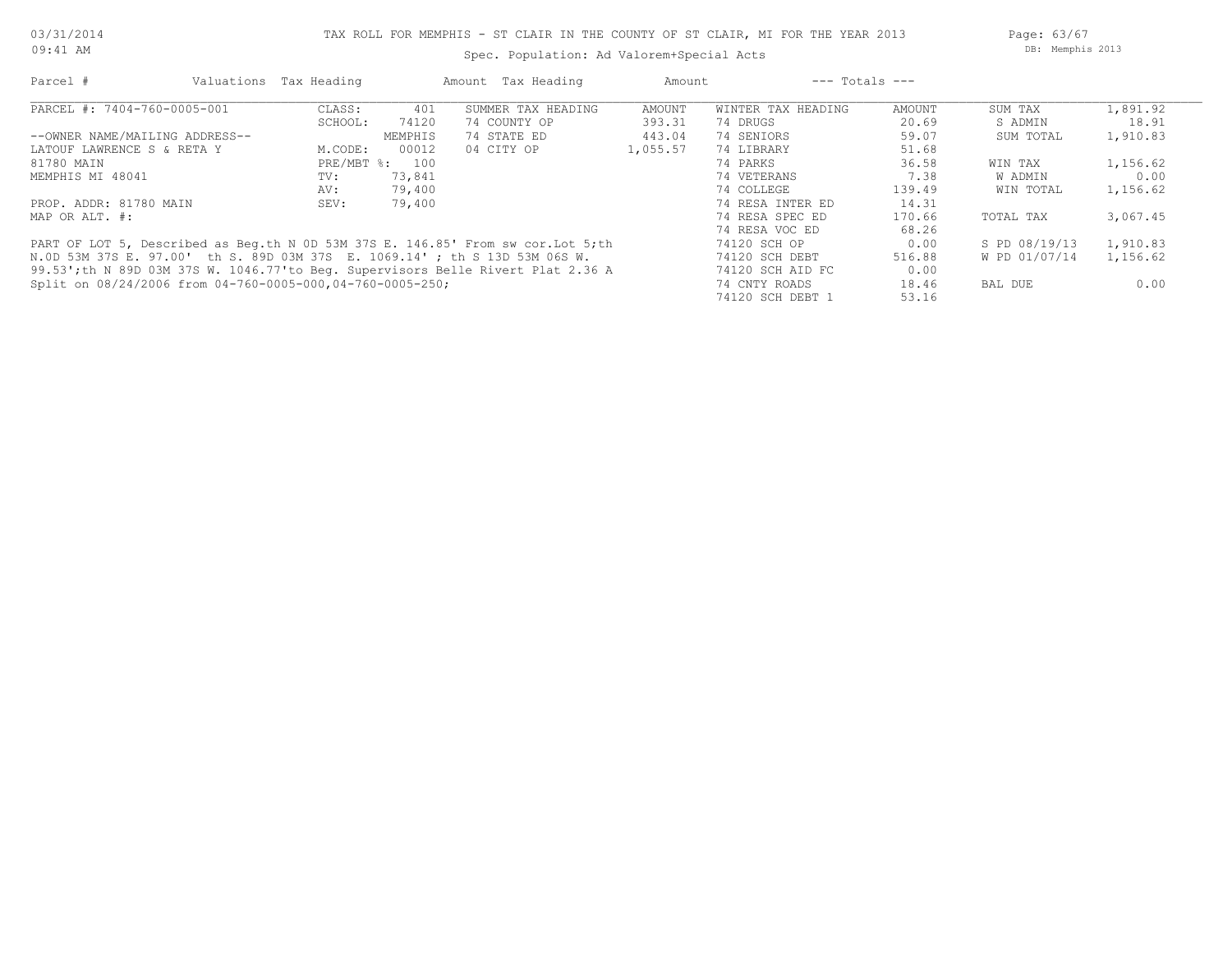09:41 AM

## Spec. Population: Ad Valorem+Special Acts

Page: 63/67 DB: Memphis 2013

| Parcel #                       |                                                           | Valuations Tax Heading |                | Amount Tax Heading                                                               | Amount   |                    | $---$ Totals $---$ |               |          |
|--------------------------------|-----------------------------------------------------------|------------------------|----------------|----------------------------------------------------------------------------------|----------|--------------------|--------------------|---------------|----------|
| PARCEL #: 7404-760-0005-001    |                                                           | CLASS:                 | 401            | SUMMER TAX HEADING                                                               | AMOUNT   | WINTER TAX HEADING | AMOUNT             | SUM TAX       | 1,891.92 |
|                                |                                                           | SCHOOL:                | 74120          | 74 COUNTY OP                                                                     | 393.31   | 74 DRUGS           | 20.69              | S ADMIN       | 18.91    |
| --OWNER NAME/MAILING ADDRESS-- |                                                           |                        | MEMPHIS        | 74 STATE ED                                                                      | 443.04   | 74 SENIORS         | 59.07              | SUM TOTAL     | 1,910.83 |
| LATOUF LAWRENCE S & RETA Y     |                                                           | M.CODE:                | 00012          | 04 CITY OP                                                                       | 1,055.57 | 74 LIBRARY         | 51.68              |               |          |
| 81780 MAIN                     |                                                           |                        | PRE/MBT %: 100 |                                                                                  |          | 74 PARKS           | 36.58              | WIN TAX       | 1,156.62 |
| MEMPHIS MI 48041               |                                                           | TV:                    | 73,841         |                                                                                  |          | 74 VETERANS        | 7.38               | W ADMIN       | 0.00     |
|                                |                                                           | AV:                    | 79,400         |                                                                                  |          | 74 COLLEGE         | 139.49             | WIN TOTAL     | 1,156.62 |
| PROP. ADDR: 81780 MAIN         |                                                           | SEV:                   | 79,400         |                                                                                  |          | 74 RESA INTER ED   | 14.31              |               |          |
| MAP OR ALT. #:                 |                                                           |                        |                |                                                                                  |          | 74 RESA SPEC ED    | 170.66             | TOTAL TAX     | 3,067.45 |
|                                |                                                           |                        |                |                                                                                  |          | 74 RESA VOC ED     | 68.26              |               |          |
|                                |                                                           |                        |                | PART OF LOT 5, Described as Beq.th N 0D 53M 37S E. 146.85' From sw cor.Lot 5; th |          | 74120 SCH OP       | 0.00               | S PD 08/19/13 | 1,910.83 |
|                                |                                                           |                        |                | N.OD 53M 37S E. 97.00' th S. 89D 03M 37S E. 1069.14'; th S 13D 53M 06S W.        |          | 74120 SCH DEBT     | 516.88             | W PD 01/07/14 | 1,156.62 |
|                                |                                                           |                        |                | 99.53'; th N 89D 03M 37S W. 1046.77'to Beg. Supervisors Belle Rivert Plat 2.36 A |          | 74120 SCH AID FC   | 0.00               |               |          |
|                                | Split on 08/24/2006 from 04-760-0005-000,04-760-0005-250; |                        |                |                                                                                  |          | 74 CNTY ROADS      | 18.46              | BAL DUE       | 0.00     |
|                                |                                                           |                        |                |                                                                                  |          | 74120 SCH DEBT 1   | 53.16              |               |          |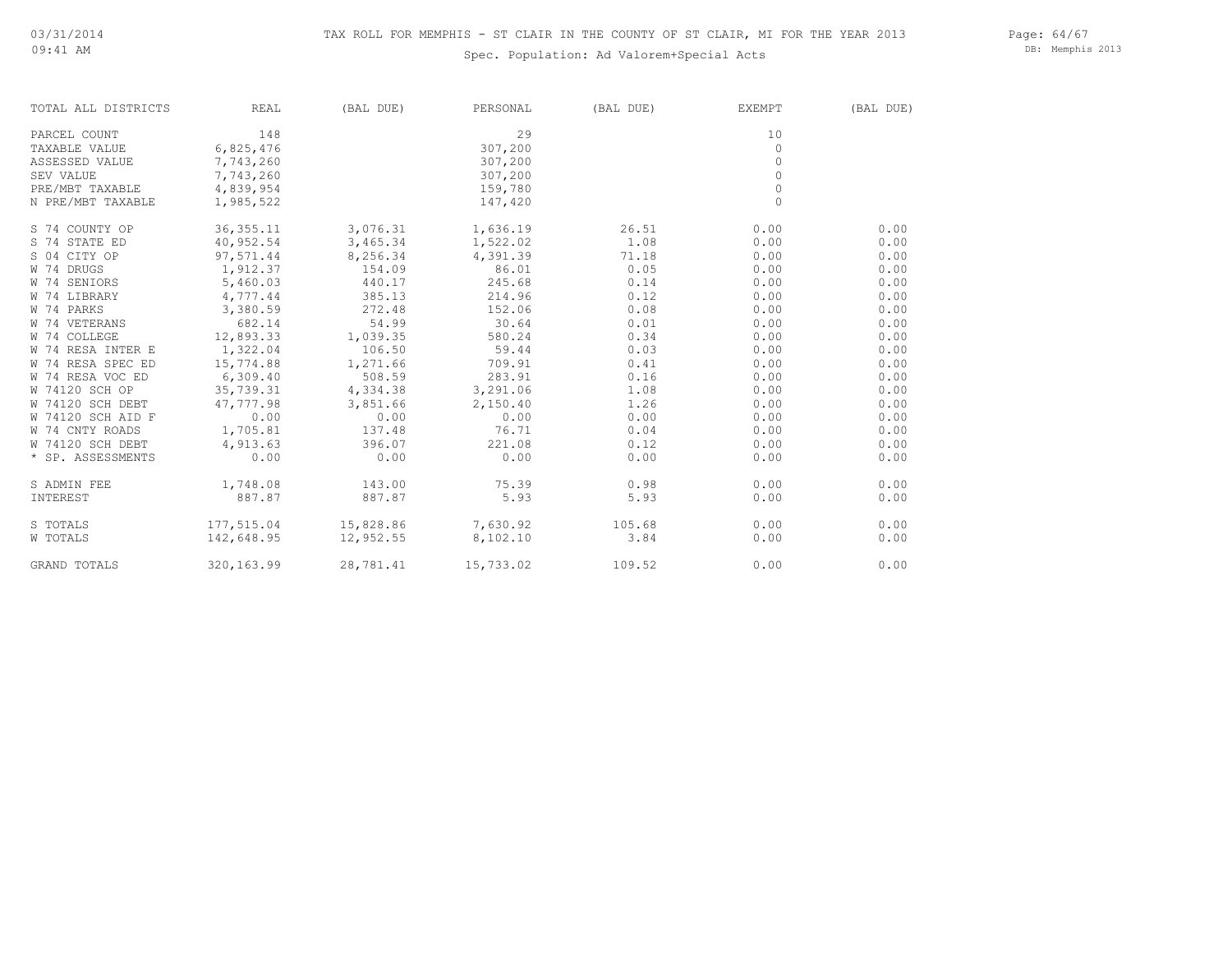## Spec. Population: Ad Valorem+Special Acts

Page: 64/67 DB: Memphis 2013

| TOTAL ALL DISTRICTS | REAL       | (BAL DUE) | PERSONAL  | (BAL DUE) | EXEMPT   | (BAL DUE) |
|---------------------|------------|-----------|-----------|-----------|----------|-----------|
| PARCEL COUNT        | 148        |           | 29        |           | 10       |           |
| TAXABLE VALUE       | 6,825,476  |           | 307,200   |           | $\Omega$ |           |
| ASSESSED VALUE      | 7,743,260  |           | 307,200   |           | $\Omega$ |           |
| <b>SEV VALUE</b>    | 7,743,260  |           | 307,200   |           | $\Omega$ |           |
| PRE/MBT TAXABLE     | 4,839,954  |           | 159,780   |           | $\Omega$ |           |
| N PRE/MBT TAXABLE   | 1,985,522  |           | 147,420   |           | $\circ$  |           |
| S 74 COUNTY OP      | 36, 355.11 | 3,076.31  | 1,636.19  | 26.51     | 0.00     | 0.00      |
| S 74 STATE ED       | 40,952.54  | 3,465.34  | 1,522.02  | 1.08      | 0.00     | 0.00      |
| S 04 CITY OP        | 97,571.44  | 8,256.34  | 4,391.39  | 71.18     | 0.00     | 0.00      |
| W 74 DRUGS          | 1,912.37   | 154.09    | 86.01     | 0.05      | 0.00     | 0.00      |
| W 74 SENIORS        | 5,460.03   | 440.17    | 245.68    | 0.14      | 0.00     | 0.00      |
| W 74 LIBRARY        | 4,777.44   | 385.13    | 214.96    | 0.12      | 0.00     | 0.00      |
| W 74 PARKS          | 3,380.59   | 272.48    | 152.06    | 0.08      | 0.00     | 0.00      |
| W 74 VETERANS       | 682.14     | 54.99     | 30.64     | 0.01      | 0.00     | 0.00      |
| W 74 COLLEGE        | 12,893.33  | 1,039.35  | 580.24    | 0.34      | 0.00     | 0.00      |
| W 74 RESA INTER E   | 1,322.04   | 106.50    | 59.44     | 0.03      | 0.00     | 0.00      |
| W 74 RESA SPEC ED   | 15,774.88  | 1,271.66  | 709.91    | 0.41      | 0.00     | 0.00      |
| W 74 RESA VOC ED    | 6,309.40   | 508.59    | 283.91    | 0.16      | 0.00     | 0.00      |
| W 74120 SCH OP      | 35,739.31  | 4,334.38  | 3,291.06  | 1.08      | 0.00     | 0.00      |
| W 74120 SCH DEBT    | 47,777.98  | 3,851.66  | 2,150.40  | 1.26      | 0.00     | 0.00      |
| W 74120 SCH AID F   | 0.00       | 0.00      | 0.00      | 0.00      | 0.00     | 0.00      |
| W 74 CNTY ROADS     | 1,705.81   | 137.48    | 76.71     | 0.04      | 0.00     | 0.00      |
| W 74120 SCH DEBT    | 4,913.63   | 396.07    | 221.08    | 0.12      | 0.00     | 0.00      |
| * SP. ASSESSMENTS   | 0.00       | 0.00      | 0.00      | 0.00      | 0.00     | 0.00      |
| S ADMIN FEE         | 1,748.08   | 143.00    | 75.39     | 0.98      | 0.00     | 0.00      |
| INTEREST            | 887.87     | 887.87    | 5.93      | 5.93      | 0.00     | 0.00      |
| S TOTALS            | 177,515.04 | 15,828.86 | 7,630.92  | 105.68    | 0.00     | 0.00      |
| W TOTALS            | 142,648.95 | 12,952.55 | 8,102.10  | 3.84      | 0.00     | 0.00      |
| GRAND TOTALS        | 320,163.99 | 28,781.41 | 15,733.02 | 109.52    | 0.00     | 0.00      |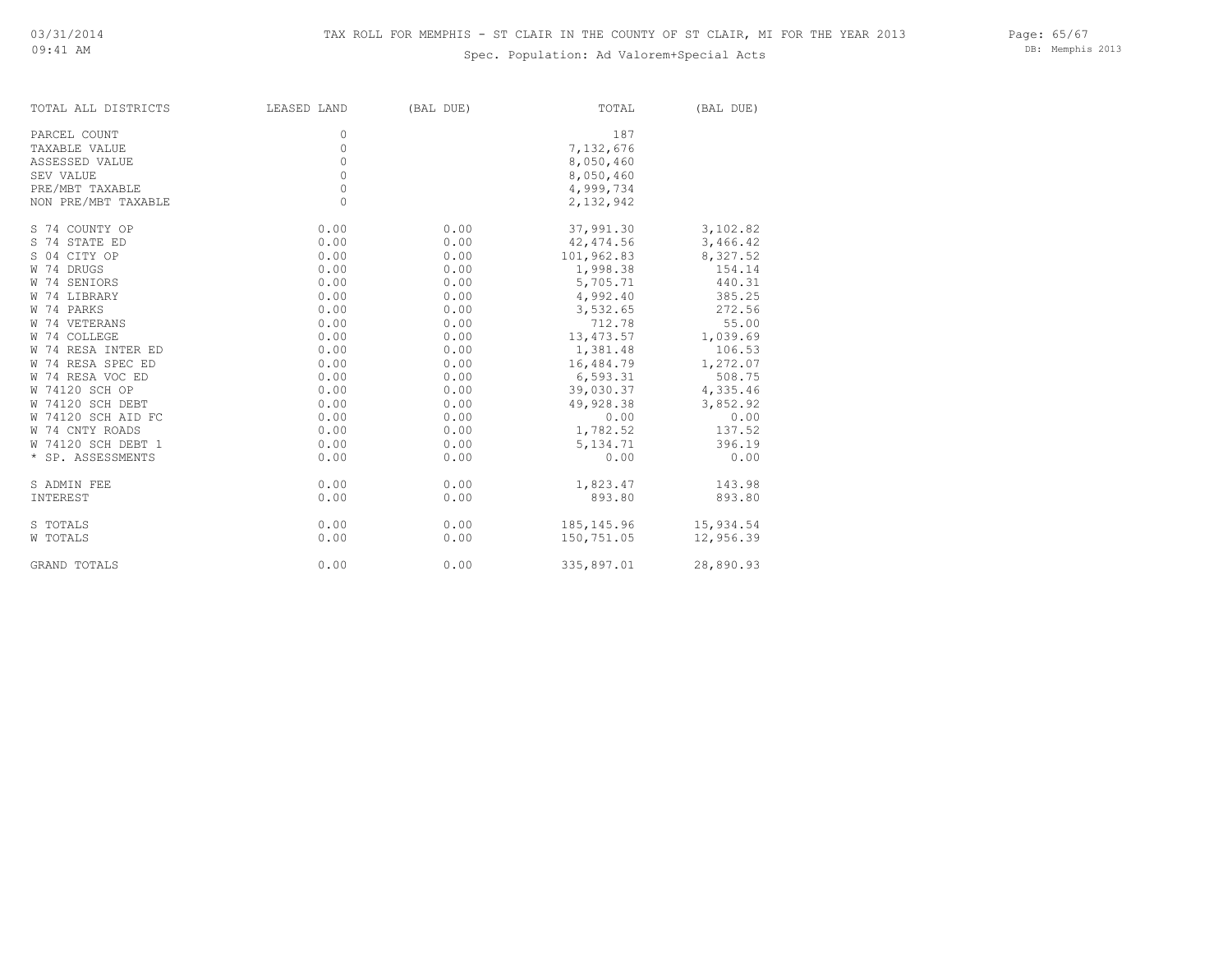## Spec. Population: Ad Valorem+Special Acts

Page: 65/67 DB: Memphis 2013

| TOTAL ALL DISTRICTS | LEASED LAND | (BAL DUE) | TOTAL        | (BAL DUE) |
|---------------------|-------------|-----------|--------------|-----------|
| PARCEL COUNT        | 0           |           | 187          |           |
| TAXABLE VALUE       | $\circ$     |           | 7,132,676    |           |
| ASSESSED VALUE      | 0           |           | 8,050,460    |           |
| SEV VALUE           | 0           |           | 8,050,460    |           |
| PRE/MBT TAXABLE     | 0           |           | 4,999,734    |           |
| NON PRE/MBT TAXABLE | $\circ$     |           | 2,132,942    |           |
| S 74 COUNTY OP      | 0.00        | 0.00      | 37,991.30    | 3,102.82  |
| S 74 STATE ED       | 0.00        | 0.00      | 42,474.56    | 3,466.42  |
| S 04 CITY OP        | 0.00        | 0.00      | 101,962.83   | 8,327.52  |
| W 74 DRUGS          | 0.00        | 0.00      | 1,998.38     | 154.14    |
| W 74 SENIORS        | 0.00        | 0.00      | 5,705.71     | 440.31    |
| W 74 LIBRARY        | 0.00        | 0.00      | 4,992.40     | 385.25    |
| W 74 PARKS          | 0.00        | 0.00      | 3,532.65     | 272.56    |
| W 74 VETERANS       | 0.00        | 0.00      | 712.78       | 55.00     |
| W 74 COLLEGE        | 0.00        | 0.00      | 13,473.57    | 1,039.69  |
| W 74 RESA INTER ED  | 0.00        | 0.00      | 1,381.48     | 106.53    |
| W 74 RESA SPEC ED   | 0.00        | 0.00      | 16,484.79    | 1,272.07  |
| W 74 RESA VOC ED    | 0.00        | 0.00      | 6,593.31     | 508.75    |
| W 74120 SCH OP      | 0.00        | 0.00      | 39,030.37    | 4,335.46  |
| W 74120 SCH DEBT    | 0.00        | 0.00      | 49,928.38    | 3,852.92  |
| W 74120 SCH AID FC  | 0.00        | 0.00      | 0.00         | 0.00      |
| W 74 CNTY ROADS     | 0.00        | 0.00      | 1,782.52     | 137.52    |
| W 74120 SCH DEBT 1  | 0.00        | 0.00      | 5,134.71     | 396.19    |
| * SP. ASSESSMENTS   | 0.00        | 0.00      | 0.00         | 0.00      |
| S ADMIN FEE         | 0.00        | 0.00      | 1,823.47     | 143.98    |
| INTEREST            | 0.00        | 0.00      | 893.80       | 893.80    |
| S TOTALS            | 0.00        | 0.00      | 185, 145. 96 | 15,934.54 |
| W TOTALS            | 0.00        | 0.00      | 150,751.05   | 12,956.39 |
| GRAND TOTALS        | 0.00        | 0.00      | 335,897.01   | 28,890.93 |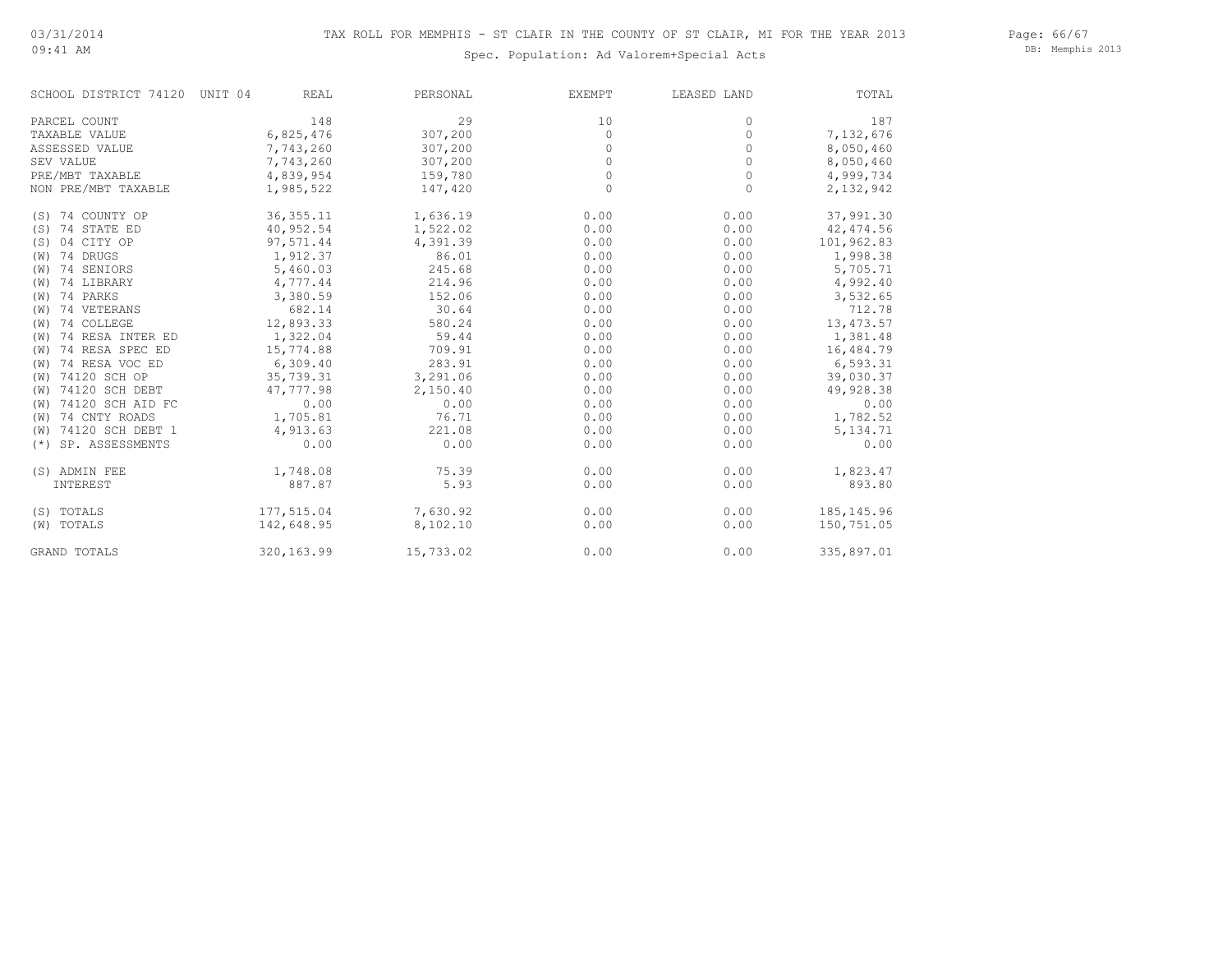### 09:41 AM

Spec. Population: Ad Valorem+Special Acts

Page: 66/67 DB: Memphis 2013

| SCHOOL DISTRICT 74120 UNIT 04 | <b>REAL</b> | PERSONAL  | <b>EXEMPT</b> | LEASED LAND | TOTAL       |
|-------------------------------|-------------|-----------|---------------|-------------|-------------|
| PARCEL COUNT                  | 148         | 29        | 10            | 0           | 187         |
| TAXABLE VALUE                 | 6,825,476   | 307,200   | $\circ$       | 0           | 7,132,676   |
| ASSESSED VALUE                | 7,743,260   | 307,200   | 0             | 0           | 8,050,460   |
| SEV VALUE                     | 7,743,260   | 307,200   | $\circ$       | 0           | 8,050,460   |
| PRE/MBT TAXABLE               | 4,839,954   | 159,780   | $\circ$       | 0           | 4,999,734   |
| NON PRE/MBT TAXABLE           | 1,985,522   | 147,420   | $\circ$       | $\circ$     | 2,132,942   |
| (S) 74 COUNTY OP              | 36, 355.11  | 1,636.19  | 0.00          | 0.00        | 37,991.30   |
| (S) 74 STATE ED               | 40,952.54   | 1,522.02  | 0.00          | 0.00        | 42, 474.56  |
| (S) 04 CITY OP                | 97,571.44   | 4,391.39  | 0.00          | 0.00        | 101,962.83  |
| (W) 74 DRUGS                  | 1,912.37    | 86.01     | 0.00          | 0.00        | 1,998.38    |
| (W) 74 SENIORS                | 5,460.03    | 245.68    | 0.00          | 0.00        | 5,705.71    |
| (W) 74 LIBRARY                | 4,777.44    | 214.96    | 0.00          | 0.00        | 4,992.40    |
| (W) 74 PARKS                  | 3,380.59    | 152.06    | 0.00          | 0.00        | 3,532.65    |
| (W) 74 VETERANS               | 682.14      | 30.64     | 0.00          | 0.00        | 712.78      |
| (W) 74 COLLEGE                | 12,893.33   | 580.24    | 0.00          | 0.00        | 13, 473.57  |
| (W) 74 RESA INTER ED          | 1,322.04    | 59.44     | 0.00          | 0.00        | 1,381.48    |
| (W) 74 RESA SPEC ED           | 15,774.88   | 709.91    | 0.00          | 0.00        | 16,484.79   |
| (W) 74 RESA VOC ED            | 6,309.40    | 283.91    | 0.00          | 0.00        | 6,593.31    |
| (W) 74120 SCH OP              | 35,739.31   | 3,291.06  | 0.00          | 0.00        | 39,030.37   |
| (W) 74120 SCH DEBT            | 47,777.98   | 2,150.40  | 0.00          | 0.00        | 49,928.38   |
| (W) 74120 SCH AID FC          | 0.00        | 0.00      | 0.00          | 0.00        | 0.00        |
| (W) 74 CNTY ROADS             | 1,705.81    | 76.71     | 0.00          | 0.00        | 1,782.52    |
| (W) 74120 SCH DEBT 1          | 4,913.63    | 221.08    | 0.00          | 0.00        | 5, 134.71   |
| (*) SP. ASSESSMENTS           | 0.00        | 0.00      | 0.00          | 0.00        | 0.00        |
| (S) ADMIN FEE                 | 1,748.08    | 75.39     | 0.00          | 0.00        | 1,823.47    |
| INTEREST                      | 887.87      | 5.93      | 0.00          | 0.00        | 893.80      |
| (S) TOTALS                    | 177,515.04  | 7,630.92  | 0.00          | 0.00        | 185, 145.96 |
| (W) TOTALS                    | 142,648.95  | 8,102.10  | 0.00          | 0.00        | 150,751.05  |
| <b>GRAND TOTALS</b>           | 320,163.99  | 15,733.02 | 0.00          | 0.00        | 335,897.01  |